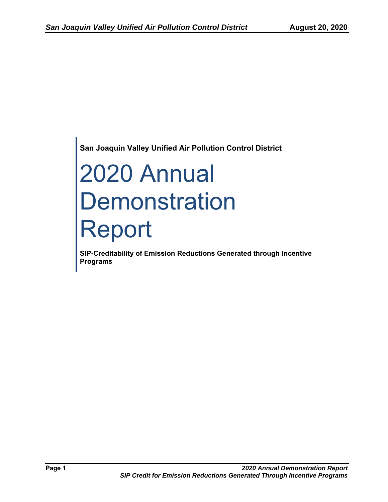**San Joaquin Valley Unified Air Pollution Control District**

# 2020 Annual **Demonstration** Report

**SIP-Creditability of Emission Reductions Generated through Incentive Programs**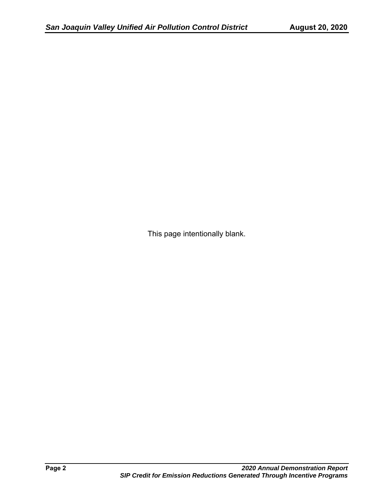This page intentionally blank.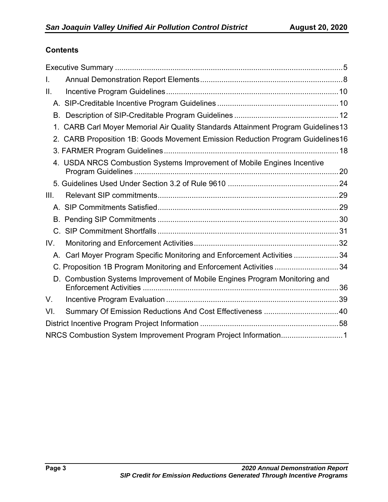# **Contents**

| L.   |                                                                                |  |
|------|--------------------------------------------------------------------------------|--|
| II.  |                                                                                |  |
|      |                                                                                |  |
| В.   |                                                                                |  |
|      | CARB Carl Moyer Memorial Air Quality Standards Attainment Program Guidelines13 |  |
|      | 2. CARB Proposition 1B: Goods Movement Emission Reduction Program Guidelines16 |  |
|      |                                                                                |  |
|      | 4. USDA NRCS Combustion Systems Improvement of Mobile Engines Incentive        |  |
|      |                                                                                |  |
| III. |                                                                                |  |
|      |                                                                                |  |
|      |                                                                                |  |
|      |                                                                                |  |
| IV.  |                                                                                |  |
|      | Carl Moyer Program Specific Monitoring and Enforcement Activities  34          |  |
|      | C. Proposition 1B Program Monitoring and Enforcement Activities 34             |  |
|      | D. Combustion Systems Improvement of Mobile Engines Program Monitoring and     |  |
| V.   |                                                                                |  |
| VI.  |                                                                                |  |
|      |                                                                                |  |
|      | NRCS Combustion System Improvement Program Project Information1                |  |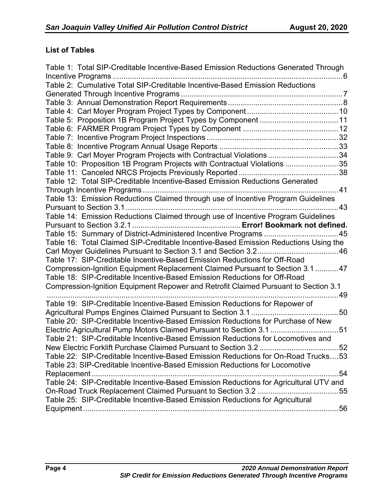# **List of Tables**

| Table 1: Total SIP-Creditable Incentive-Based Emission Reductions Generated Through   |    |
|---------------------------------------------------------------------------------------|----|
|                                                                                       |    |
| Table 2: Cumulative Total SIP-Creditable Incentive-Based Emission Reductions          |    |
|                                                                                       |    |
|                                                                                       |    |
|                                                                                       |    |
|                                                                                       |    |
|                                                                                       |    |
|                                                                                       |    |
|                                                                                       |    |
| Table 9: Carl Moyer Program Projects with Contractual Violations34                    |    |
| Table 10: Proposition 1B Program Projects with Contractual Violations 35              |    |
|                                                                                       |    |
| Table 12: Total SIP-Creditable Incentive-Based Emission Reductions Generated          |    |
|                                                                                       |    |
| Table 13: Emission Reductions Claimed through use of Incentive Program Guidelines     |    |
|                                                                                       |    |
| Table 14: Emission Reductions Claimed through use of Incentive Program Guidelines     |    |
|                                                                                       |    |
| Table 15: Summary of District-Administered Incentive Programs 45                      |    |
| Table 16: Total Claimed SIP-Creditable Incentive-Based Emission Reductions Using the  |    |
|                                                                                       |    |
| Table 17: SIP-Creditable Incentive-Based Emission Reductions for Off-Road             |    |
| Compression-Ignition Equipment Replacement Claimed Pursuant to Section 3.1  47        |    |
| Table 18: SIP-Creditable Incentive-Based Emission Reductions for Off-Road             |    |
| Compression-Ignition Equipment Repower and Retrofit Claimed Pursuant to Section 3.1   |    |
| . 49                                                                                  |    |
| Table 19: SIP-Creditable Incentive-Based Emission Reductions for Repower of           |    |
|                                                                                       |    |
| Table 20: SIP-Creditable Incentive-Based Emission Reductions for Purchase of New      |    |
|                                                                                       |    |
| Electric Agricultural Pump Motors Claimed Pursuant to Section 3.1 51                  |    |
| Table 21: SIP-Creditable Incentive-Based Emission Reductions for Locomotives and      |    |
| New Electric Forklift Purchase Claimed Pursuant to Section 3.2                        | 52 |
| Table 22: SIP-Creditable Incentive-Based Emission Reductions for On-Road Trucks53     |    |
| Table 23: SIP-Creditable Incentive-Based Emission Reductions for Locomotive           |    |
|                                                                                       | 54 |
| Table 24: SIP-Creditable Incentive-Based Emission Reductions for Agricultural UTV and |    |
|                                                                                       |    |
| Table 25: SIP-Creditable Incentive-Based Emission Reductions for Agricultural         |    |
|                                                                                       |    |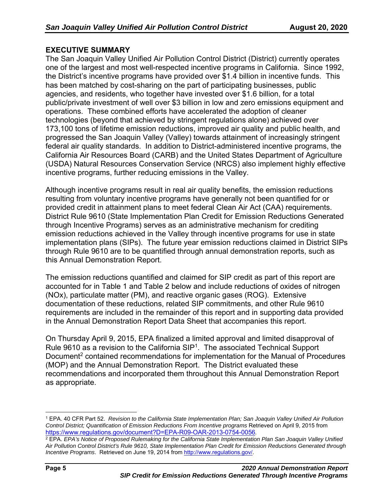#### **EXECUTIVE SUMMARY**

The San Joaquin Valley Unified Air Pollution Control District (District) currently operates one of the largest and most well-respected incentive programs in California. Since 1992, the District's incentive programs have provided over \$1.4 billion in incentive funds. This has been matched by cost-sharing on the part of participating businesses, public agencies, and residents, who together have invested over \$1.6 billion, for a total public/private investment of well over \$3 billion in low and zero emissions equipment and operations. These combined efforts have accelerated the adoption of cleaner technologies (beyond that achieved by stringent regulations alone) achieved over 173,100 tons of lifetime emission reductions, improved air quality and public health, and progressed the San Joaquin Valley (Valley) towards attainment of increasingly stringent federal air quality standards. In addition to District-administered incentive programs, the California Air Resources Board (CARB) and the United States Department of Agriculture (USDA) Natural Resources Conservation Service (NRCS) also implement highly effective incentive programs, further reducing emissions in the Valley.

Although incentive programs result in real air quality benefits, the emission reductions resulting from voluntary incentive programs have generally not been quantified for or provided credit in attainment plans to meet federal Clean Air Act (CAA) requirements. District Rule 9610 (State Implementation Plan Credit for Emission Reductions Generated through Incentive Programs) serves as an administrative mechanism for crediting emission reductions achieved in the Valley through incentive programs for use in state implementation plans (SIPs). The future year emission reductions claimed in District SIPs through Rule 9610 are to be quantified through annual demonstration reports, such as this Annual Demonstration Report.

The emission reductions quantified and claimed for SIP credit as part of this report are accounted for in Table 1 and Table 2 below and include reductions of oxides of nitrogen (NOx), particulate matter (PM), and reactive organic gases (ROG). Extensive documentation of these reductions, related SIP commitments, and other Rule 9610 requirements are included in the remainder of this report and in supporting data provided in the Annual Demonstration Report Data Sheet that accompanies this report.

On Thursday April 9, 2015, EPA finalized a limited approval and limited disapproval of Rule 9610 as a revision to the California SIP1. The associated Technical Support Document<sup>2</sup> contained recommendations for implementation for the Manual of Procedures (MOP) and the Annual Demonstration Report. The District evaluated these recommendations and incorporated them throughout this Annual Demonstration Report as appropriate.

<sup>1</sup> 1 EPA. 40 CFR Part 52. *Revision to the California State Implementation Plan; San Joaquin Valley Unified Air Pollution Control District; Quantification of Emission Reductions From Incentive programs* Retrieved on April 9, 2015 from https://www.regulations.gov/document?D=EPA-R09-OAR-2013-0754-0056*.* 

<sup>2</sup> EPA. *EPA's Notice of Proposed Rulemaking for the California State Implementation Plan San Joaquin Valley Unified Air Pollution Control District's Rule 9610, State Implementation Plan Credit for Emission Reductions Generated through Incentive Programs*. Retrieved on June 19, 2014 from http://www.regulations.gov/.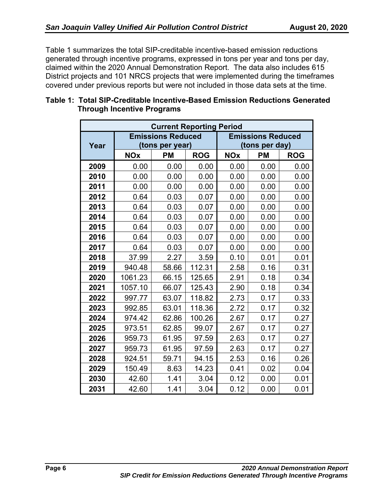Table 1 summarizes the total SIP-creditable incentive-based emission reductions generated through incentive programs, expressed in tons per year and tons per day, claimed within the 2020 Annual Demonstration Report. The data also includes 615 District projects and 101 NRCS projects that were implemented during the timeframes covered under previous reports but were not included in those data sets at the time.

|      | <b>Current Reporting Period</b> |                 |                          |                |           |            |
|------|---------------------------------|-----------------|--------------------------|----------------|-----------|------------|
|      | <b>Emissions Reduced</b>        |                 | <b>Emissions Reduced</b> |                |           |            |
| Year |                                 | (tons per year) |                          | (tons per day) |           |            |
|      | <b>NOx</b>                      | <b>PM</b>       | <b>ROG</b>               | <b>NOx</b>     | <b>PM</b> | <b>ROG</b> |
| 2009 | 0.00                            | 0.00            | 0.00                     | 0.00           | 0.00      | 0.00       |
| 2010 | 0.00                            | 0.00            | 0.00                     | 0.00           | 0.00      | 0.00       |
| 2011 | 0.00                            | 0.00            | 0.00                     | 0.00           | 0.00      | 0.00       |
| 2012 | 0.64                            | 0.03            | 0.07                     | 0.00           | 0.00      | 0.00       |
| 2013 | 0.64                            | 0.03            | 0.07                     | 0.00           | 0.00      | 0.00       |
| 2014 | 0.64                            | 0.03            | 0.07                     | 0.00           | 0.00      | 0.00       |
| 2015 | 0.64                            | 0.03            | 0.07                     | 0.00           | 0.00      | 0.00       |
| 2016 | 0.64                            | 0.03            | 0.07                     | 0.00           | 0.00      | 0.00       |
| 2017 | 0.64                            | 0.03            | 0.07                     | 0.00           | 0.00      | 0.00       |
| 2018 | 37.99                           | 2.27            | 3.59                     | 0.10           | 0.01      | 0.01       |
| 2019 | 940.48                          | 58.66           | 112.31                   | 2.58           | 0.16      | 0.31       |
| 2020 | 1061.23                         | 66.15           | 125.65                   | 2.91           | 0.18      | 0.34       |
| 2021 | 1057.10                         | 66.07           | 125.43                   | 2.90           | 0.18      | 0.34       |
| 2022 | 997.77                          | 63.07           | 118.82                   | 2.73           | 0.17      | 0.33       |
| 2023 | 992.85                          | 63.01           | 118.36                   | 2.72           | 0.17      | 0.32       |
| 2024 | 974.42                          | 62.86           | 100.26                   | 2.67           | 0.17      | 0.27       |
| 2025 | 973.51                          | 62.85           | 99.07                    | 2.67           | 0.17      | 0.27       |
| 2026 | 959.73                          | 61.95           | 97.59                    | 2.63           | 0.17      | 0.27       |
| 2027 | 959.73                          | 61.95           | 97.59                    | 2.63           | 0.17      | 0.27       |
| 2028 | 924.51                          | 59.71           | 94.15                    | 2.53           | 0.16      | 0.26       |
| 2029 | 150.49                          | 8.63            | 14.23                    | 0.41           | 0.02      | 0.04       |
| 2030 | 42.60                           | 1.41            | 3.04                     | 0.12           | 0.00      | 0.01       |
| 2031 | 42.60                           | 1.41            | 3.04                     | 0.12           | 0.00      | 0.01       |

#### **Table 1: Total SIP-Creditable Incentive-Based Emission Reductions Generated Through Incentive Programs**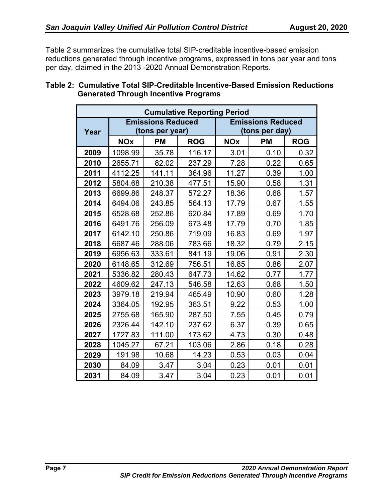Table 2 summarizes the cumulative total SIP-creditable incentive-based emission reductions generated through incentive programs, expressed in tons per year and tons per day, claimed in the 2013 -2020 Annual Demonstration Reports.

#### **Table 2: Cumulative Total SIP-Creditable Incentive-Based Emission Reductions Generated Through Incentive Programs**

| <b>Cumulative Reporting Period</b> |                          |           |                |            |                          |            |
|------------------------------------|--------------------------|-----------|----------------|------------|--------------------------|------------|
|                                    | <b>Emissions Reduced</b> |           |                |            | <b>Emissions Reduced</b> |            |
| Year                               | (tons per year)          |           | (tons per day) |            |                          |            |
|                                    | <b>NOx</b>               | <b>PM</b> | <b>ROG</b>     | <b>NOx</b> | <b>PM</b>                | <b>ROG</b> |
| 2009                               | 1098.99                  | 35.78     | 116.17         | 3.01       | 0.10                     | 0.32       |
| 2010                               | 2655.71                  | 82.02     | 237.29         | 7.28       | 0.22                     | 0.65       |
| 2011                               | 4112.25                  | 141.11    | 364.96         | 11.27      | 0.39                     | 1.00       |
| 2012                               | 5804.68                  | 210.38    | 477.51         | 15.90      | 0.58                     | 1.31       |
| 2013                               | 6699.86                  | 248.37    | 572.27         | 18.36      | 0.68                     | 1.57       |
| 2014                               | 6494.06                  | 243.85    | 564.13         | 17.79      | 0.67                     | 1.55       |
| 2015                               | 6528.68                  | 252.86    | 620.84         | 17.89      | 0.69                     | 1.70       |
| 2016                               | 6491.76                  | 256.09    | 673.48         | 17.79      | 0.70                     | 1.85       |
| 2017                               | 6142.10                  | 250.86    | 719.09         | 16.83      | 0.69                     | 1.97       |
| 2018                               | 6687.46                  | 288.06    | 783.66         | 18.32      | 0.79                     | 2.15       |
| 2019                               | 6956.63                  | 333.61    | 841.19         | 19.06      | 0.91                     | 2.30       |
| 2020                               | 6148.65                  | 312.69    | 756.51         | 16.85      | 0.86                     | 2.07       |
| 2021                               | 5336.82                  | 280.43    | 647.73         | 14.62      | 0.77                     | 1.77       |
| 2022                               | 4609.62                  | 247.13    | 546.58         | 12.63      | 0.68                     | 1.50       |
| 2023                               | 3979.18                  | 219.94    | 465.49         | 10.90      | 0.60                     | 1.28       |
| 2024                               | 3364.05                  | 192.95    | 363.51         | 9.22       | 0.53                     | 1.00       |
| 2025                               | 2755.68                  | 165.90    | 287.50         | 7.55       | 0.45                     | 0.79       |
| 2026                               | 2326.44                  | 142.10    | 237.62         | 6.37       | 0.39                     | 0.65       |
| 2027                               | 1727.83                  | 111.00    | 173.62         | 4.73       | 0.30                     | 0.48       |
| 2028                               | 1045.27                  | 67.21     | 103.06         | 2.86       | 0.18                     | 0.28       |
| 2029                               | 191.98                   | 10.68     | 14.23          | 0.53       | 0.03                     | 0.04       |
| 2030                               | 84.09                    | 3.47      | 3.04           | 0.23       | 0.01                     | 0.01       |
| 2031                               | 84.09                    | 3.47      | 3.04           | 0.23       | 0.01                     | 0.01       |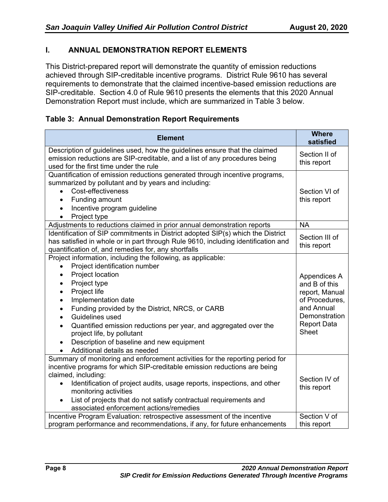#### **I. ANNUAL DEMONSTRATION REPORT ELEMENTS**

This District-prepared report will demonstrate the quantity of emission reductions achieved through SIP-creditable incentive programs. District Rule 9610 has several requirements to demonstrate that the claimed incentive-based emission reductions are SIP-creditable. Section 4.0 of Rule 9610 presents the elements that this 2020 Annual Demonstration Report must include, which are summarized in Table 3 below.

#### **Table 3: Annual Demonstration Report Requirements**

| <b>Element</b>                                                                                                                                                                                                                                                                                                                                                                                                                                                                                                                        | <b>Where</b><br>satisfied                                                                                                              |
|---------------------------------------------------------------------------------------------------------------------------------------------------------------------------------------------------------------------------------------------------------------------------------------------------------------------------------------------------------------------------------------------------------------------------------------------------------------------------------------------------------------------------------------|----------------------------------------------------------------------------------------------------------------------------------------|
| Description of guidelines used, how the guidelines ensure that the claimed<br>emission reductions are SIP-creditable, and a list of any procedures being<br>used for the first time under the rule                                                                                                                                                                                                                                                                                                                                    | Section II of<br>this report                                                                                                           |
| Quantification of emission reductions generated through incentive programs,<br>summarized by pollutant and by years and including:<br>Cost-effectiveness<br>Funding amount<br>$\bullet$<br>Incentive program guideline<br>$\bullet$<br>Project type                                                                                                                                                                                                                                                                                   | Section VI of<br>this report                                                                                                           |
| Adjustments to reductions claimed in prior annual demonstration reports                                                                                                                                                                                                                                                                                                                                                                                                                                                               | <b>NA</b>                                                                                                                              |
| Identification of SIP commitments in District adopted SIP(s) which the District<br>has satisfied in whole or in part through Rule 9610, including identification and<br>quantification of, and remedies for, any shortfalls                                                                                                                                                                                                                                                                                                           | Section III of<br>this report                                                                                                          |
| Project information, including the following, as applicable:<br>Project identification number<br>Project location<br>$\bullet$<br>Project type<br>$\bullet$<br>Project life<br>$\bullet$<br>Implementation date<br>$\bullet$<br>Funding provided by the District, NRCS, or CARB<br>$\bullet$<br>Guidelines used<br>$\bullet$<br>Quantified emission reductions per year, and aggregated over the<br>$\bullet$<br>project life, by pollutant<br>Description of baseline and new equipment<br>$\bullet$<br>Additional details as needed | Appendices A<br>and B of this<br>report, Manual<br>of Procedures,<br>and Annual<br>Demonstration<br><b>Report Data</b><br><b>Sheet</b> |
| Summary of monitoring and enforcement activities for the reporting period for<br>incentive programs for which SIP-creditable emission reductions are being<br>claimed, including:<br>Identification of project audits, usage reports, inspections, and other<br>$\bullet$<br>monitoring activities<br>List of projects that do not satisfy contractual requirements and<br>$\bullet$<br>associated enforcement actions/remedies<br>Incentive Program Evaluation: retrospective assessment of the incentive                            | Section IV of<br>this report<br>Section V of                                                                                           |
| program performance and recommendations, if any, for future enhancements                                                                                                                                                                                                                                                                                                                                                                                                                                                              | this report                                                                                                                            |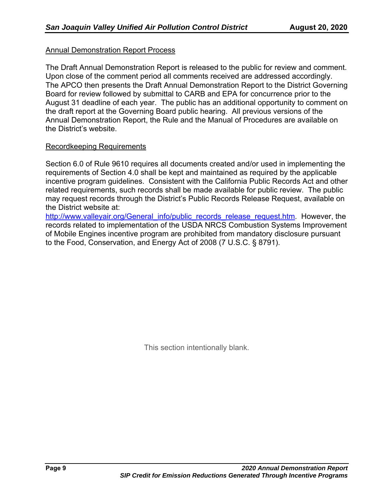#### Annual Demonstration Report Process

The Draft Annual Demonstration Report is released to the public for review and comment. Upon close of the comment period all comments received are addressed accordingly. The APCO then presents the Draft Annual Demonstration Report to the District Governing Board for review followed by submittal to CARB and EPA for concurrence prior to the August 31 deadline of each year. The public has an additional opportunity to comment on the draft report at the Governing Board public hearing. All previous versions of the Annual Demonstration Report, the Rule and the Manual of Procedures are available on the District's website.

#### Recordkeeping Requirements

Section 6.0 of Rule 9610 requires all documents created and/or used in implementing the requirements of Section 4.0 shall be kept and maintained as required by the applicable incentive program guidelines. Consistent with the California Public Records Act and other related requirements, such records shall be made available for public review. The public may request records through the District's Public Records Release Request, available on the District website at:

http://www.valleyair.org/General\_info/public\_records\_release\_request.htm. However, the records related to implementation of the USDA NRCS Combustion Systems Improvement of Mobile Engines incentive program are prohibited from mandatory disclosure pursuant to the Food, Conservation, and Energy Act of 2008 (7 U.S.C. § 8791).

This section intentionally blank.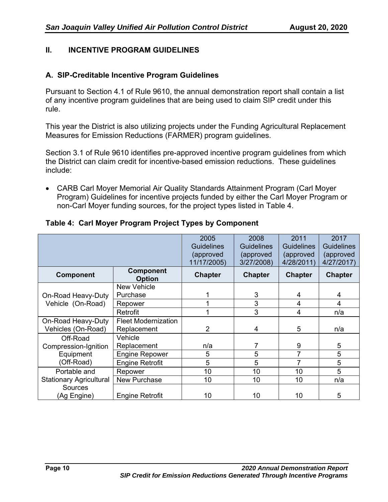#### **II. INCENTIVE PROGRAM GUIDELINES**

#### **A. SIP-Creditable Incentive Program Guidelines**

Pursuant to Section 4.1 of Rule 9610, the annual demonstration report shall contain a list of any incentive program guidelines that are being used to claim SIP credit under this rule.

This year the District is also utilizing projects under the Funding Agricultural Replacement Measures for Emission Reductions (FARMER) program guidelines.

Section 3.1 of Rule 9610 identifies pre-approved incentive program guidelines from which the District can claim credit for incentive-based emission reductions. These guidelines include:

 CARB Carl Moyer Memorial Air Quality Standards Attainment Program (Carl Moyer Program) Guidelines for incentive projects funded by either the Carl Moyer Program or non-Carl Moyer funding sources, for the project types listed in Table 4.

|                                          |                                           | 2005<br><b>Guidelines</b><br>(approved<br>11/17/2005) | 2008<br><b>Guidelines</b><br>(approved<br>3/27/2008) | 2011<br><b>Guidelines</b><br>(approved<br>4/28/2011) | 2017<br><b>Guidelines</b><br>(approved<br>4/27/2017) |
|------------------------------------------|-------------------------------------------|-------------------------------------------------------|------------------------------------------------------|------------------------------------------------------|------------------------------------------------------|
| <b>Component</b>                         | <b>Component</b><br><b>Option</b>         | <b>Chapter</b>                                        | <b>Chapter</b>                                       | <b>Chapter</b>                                       | <b>Chapter</b>                                       |
| On-Road Heavy-Duty                       | <b>New Vehicle</b><br>Purchase            |                                                       | 3                                                    | 4                                                    | 4                                                    |
| Vehicle (On-Road)                        | Repower                                   | 1                                                     | 3                                                    | 4                                                    | 4                                                    |
|                                          | Retrofit                                  | 4                                                     | 3                                                    | 4                                                    | n/a                                                  |
| On-Road Heavy-Duty<br>Vehicles (On-Road) | <b>Fleet Modernization</b><br>Replacement | $\overline{2}$                                        | 4                                                    | 5                                                    | n/a                                                  |
| Off-Road<br>Compression-Ignition         | Vehicle<br>Replacement                    | n/a                                                   | 7                                                    | 9                                                    | 5                                                    |
| Equipment                                | <b>Engine Repower</b>                     | 5                                                     | 5                                                    | 7                                                    | 5                                                    |
| Off-Road)                                | <b>Engine Retrofit</b>                    | 5                                                     | 5                                                    | 7                                                    | 5                                                    |
| Portable and                             | Repower                                   | 10                                                    | 10                                                   | 10                                                   | 5                                                    |
| <b>Stationary Agricultural</b>           | <b>New Purchase</b>                       | 10                                                    | 10                                                   | 10                                                   | n/a                                                  |
| Sources<br>(Ag Engine)                   | <b>Engine Retrofit</b>                    | 10                                                    | 10                                                   | 10                                                   | 5                                                    |

## **Table 4: Carl Moyer Program Project Types by Component**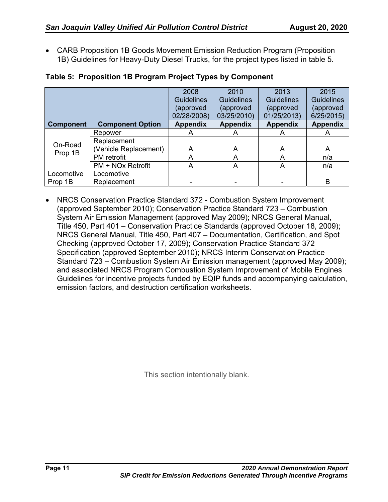CARB Proposition 1B Goods Movement Emission Reduction Program (Proposition 1B) Guidelines for Heavy-Duty Diesel Trucks, for the project types listed in table 5.

|                  |                         | 2008              | 2010              | 2013              | 2015              |
|------------------|-------------------------|-------------------|-------------------|-------------------|-------------------|
|                  |                         | <b>Guidelines</b> | <b>Guidelines</b> | <b>Guidelines</b> | <b>Guidelines</b> |
|                  |                         | (approved         | (approved         | (approved         | (approved         |
|                  |                         | 02/28/2008)       | 03/25/2010)       | 01/25/2013)       | 6/25/2015         |
| <b>Component</b> | <b>Component Option</b> | <b>Appendix</b>   | <b>Appendix</b>   | <b>Appendix</b>   | <b>Appendix</b>   |
|                  | Repower                 | Α                 |                   | Α                 |                   |
| On-Road          | Replacement             |                   |                   |                   |                   |
|                  | Vehicle Replacement)    | A                 | A                 | A                 | A                 |
| Prop 1B          | PM retrofit             | A                 | A                 | Α                 | n/a               |
|                  | PM + NOx Retrofit       | А                 | A                 | A                 | n/a               |
| Locomotive       | Locomotive              |                   |                   |                   |                   |
| Prop 1B          | Replacement             |                   |                   |                   | B                 |

#### **Table 5: Proposition 1B Program Project Types by Component**

• NRCS Conservation Practice Standard 372 - Combustion System Improvement (approved September 2010); Conservation Practice Standard 723 – Combustion System Air Emission Management (approved May 2009); NRCS General Manual, Title 450, Part 401 – Conservation Practice Standards (approved October 18, 2009); NRCS General Manual, Title 450, Part 407 – Documentation, Certification, and Spot Checking (approved October 17, 2009); Conservation Practice Standard 372 Specification (approved September 2010); NRCS Interim Conservation Practice Standard 723 – Combustion System Air Emission management (approved May 2009); and associated NRCS Program Combustion System Improvement of Mobile Engines Guidelines for incentive projects funded by EQIP funds and accompanying calculation, emission factors, and destruction certification worksheets.

This section intentionally blank.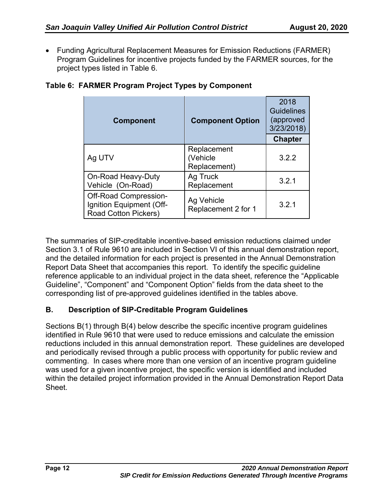Funding Agricultural Replacement Measures for Emission Reductions (FARMER) Program Guidelines for incentive projects funded by the FARMER sources, for the project types listed in Table 6.

| <b>Component</b>                                                                        | <b>Component Option</b>                 | 2018<br><b>Guidelines</b><br>(approved<br>3/23/2018) |
|-----------------------------------------------------------------------------------------|-----------------------------------------|------------------------------------------------------|
|                                                                                         |                                         | <b>Chapter</b>                                       |
| Ag UTV                                                                                  | Replacement<br>(Vehicle<br>Replacement) | 3.2.2                                                |
| On-Road Heavy-Duty<br>Vehicle (On-Road)                                                 | Ag Truck<br>Replacement                 | 3.2.1                                                |
| <b>Off-Road Compression-</b><br>Ignition Equipment (Off-<br><b>Road Cotton Pickers)</b> | Ag Vehicle<br>Replacement 2 for 1       | 3.2.1                                                |

# **Table 6: FARMER Program Project Types by Component**

The summaries of SIP-creditable incentive-based emission reductions claimed under Section 3.1 of Rule 9610 are included in Section VI of this annual demonstration report, and the detailed information for each project is presented in the Annual Demonstration Report Data Sheet that accompanies this report. To identify the specific guideline reference applicable to an individual project in the data sheet, reference the "Applicable Guideline", "Component" and "Component Option" fields from the data sheet to the corresponding list of pre-approved guidelines identified in the tables above.

#### **B. Description of SIP-Creditable Program Guidelines**

Sections B(1) through B(4) below describe the specific incentive program guidelines identified in Rule 9610 that were used to reduce emissions and calculate the emission reductions included in this annual demonstration report. These guidelines are developed and periodically revised through a public process with opportunity for public review and commenting. In cases where more than one version of an incentive program guideline was used for a given incentive project, the specific version is identified and included within the detailed project information provided in the Annual Demonstration Report Data Sheet.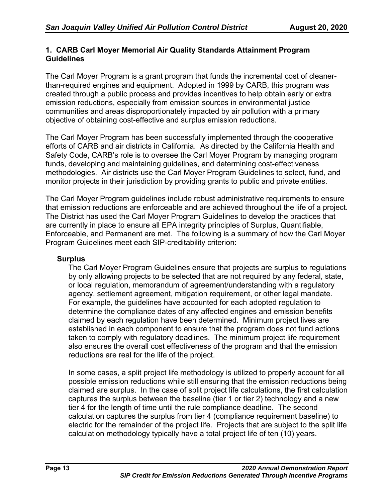#### **1. CARB Carl Moyer Memorial Air Quality Standards Attainment Program Guidelines**

The Carl Moyer Program is a grant program that funds the incremental cost of cleanerthan-required engines and equipment. Adopted in 1999 by CARB, this program was created through a public process and provides incentives to help obtain early or extra emission reductions, especially from emission sources in environmental justice communities and areas disproportionately impacted by air pollution with a primary objective of obtaining cost-effective and surplus emission reductions.

The Carl Moyer Program has been successfully implemented through the cooperative efforts of CARB and air districts in California. As directed by the California Health and Safety Code, CARB's role is to oversee the Carl Moyer Program by managing program funds, developing and maintaining guidelines, and determining cost-effectiveness methodologies. Air districts use the Carl Moyer Program Guidelines to select, fund, and monitor projects in their jurisdiction by providing grants to public and private entities.

The Carl Moyer Program guidelines include robust administrative requirements to ensure that emission reductions are enforceable and are achieved throughout the life of a project. The District has used the Carl Moyer Program Guidelines to develop the practices that are currently in place to ensure all EPA integrity principles of Surplus, Quantifiable, Enforceable, and Permanent are met. The following is a summary of how the Carl Moyer Program Guidelines meet each SIP-creditability criterion:

#### **Surplus**

The Carl Moyer Program Guidelines ensure that projects are surplus to regulations by only allowing projects to be selected that are not required by any federal, state, or local regulation, memorandum of agreement/understanding with a regulatory agency, settlement agreement, mitigation requirement, or other legal mandate. For example, the guidelines have accounted for each adopted regulation to determine the compliance dates of any affected engines and emission benefits claimed by each regulation have been determined. Minimum project lives are established in each component to ensure that the program does not fund actions taken to comply with regulatory deadlines. The minimum project life requirement also ensures the overall cost effectiveness of the program and that the emission reductions are real for the life of the project.

In some cases, a split project life methodology is utilized to properly account for all possible emission reductions while still ensuring that the emission reductions being claimed are surplus. In the case of split project life calculations, the first calculation captures the surplus between the baseline (tier 1 or tier 2) technology and a new tier 4 for the length of time until the rule compliance deadline. The second calculation captures the surplus from tier 4 (compliance requirement baseline) to electric for the remainder of the project life. Projects that are subject to the split life calculation methodology typically have a total project life of ten (10) years.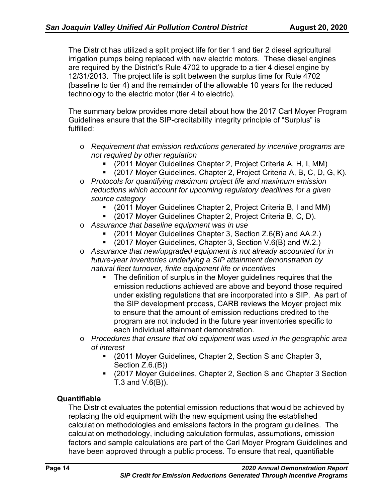The District has utilized a split project life for tier 1 and tier 2 diesel agricultural irrigation pumps being replaced with new electric motors. These diesel engines are required by the District's Rule 4702 to upgrade to a tier 4 diesel engine by 12/31/2013. The project life is split between the surplus time for Rule 4702 (baseline to tier 4) and the remainder of the allowable 10 years for the reduced technology to the electric motor (tier 4 to electric).

The summary below provides more detail about how the 2017 Carl Moyer Program Guidelines ensure that the SIP-creditability integrity principle of "Surplus" is fulfilled:

- o *Requirement that emission reductions generated by incentive programs are not required by other regulation* 
	- (2011 Moyer Guidelines Chapter 2, Project Criteria A, H, I, MM)
	- (2017 Moyer Guidelines, Chapter 2, Project Criteria A, B, C, D, G, K).
- o *Protocols for quantifying maximum project life and maximum emission reductions which account for upcoming regulatory deadlines for a given source category* 
	- (2011 Moyer Guidelines Chapter 2, Project Criteria B, I and MM)
	- (2017 Moyer Guidelines Chapter 2, Project Criteria B, C, D).
- o *Assurance that baseline equipment was in use* 
	- (2011 Moyer Guidelines Chapter 3, Section Z.6(B) and AA.2.)
	- (2017 Moyer Guidelines, Chapter 3, Section V.6(B) and W.2.)
- o *Assurance that new/upgraded equipment is not already accounted for in future-year inventories underlying a SIP attainment demonstration by natural fleet turnover, finite equipment life or incentives* 
	- The definition of surplus in the Moyer guidelines requires that the emission reductions achieved are above and beyond those required under existing regulations that are incorporated into a SIP. As part of the SIP development process, CARB reviews the Moyer project mix to ensure that the amount of emission reductions credited to the program are not included in the future year inventories specific to each individual attainment demonstration.
- o *Procedures that ensure that old equipment was used in the geographic area of interest* 
	- (2011 Moyer Guidelines, Chapter 2, Section S and Chapter 3, Section Z.6.(B))
	- (2017 Moyer Guidelines, Chapter 2, Section S and Chapter 3 Section  $T.3$  and  $V.6(B)$ ).

#### **Quantifiable**

The District evaluates the potential emission reductions that would be achieved by replacing the old equipment with the new equipment using the established calculation methodologies and emissions factors in the program guidelines. The calculation methodology, including calculation formulas, assumptions, emission factors and sample calculations are part of the Carl Moyer Program Guidelines and have been approved through a public process. To ensure that real, quantifiable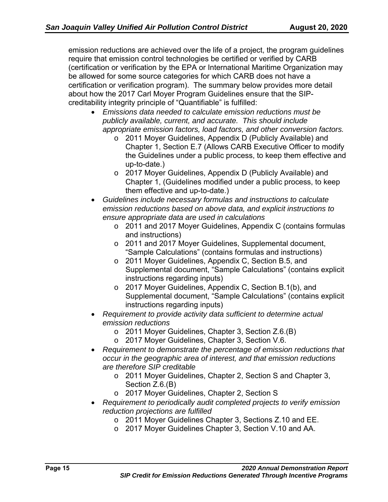emission reductions are achieved over the life of a project, the program guidelines require that emission control technologies be certified or verified by CARB (certification or verification by the EPA or International Maritime Organization may be allowed for some source categories for which CARB does not have a certification or verification program). The summary below provides more detail about how the 2017 Carl Moyer Program Guidelines ensure that the SIPcreditability integrity principle of "Quantifiable" is fulfilled:

- *Emissions data needed to calculate emission reductions must be publicly available, current, and accurate. This should include appropriate emission factors, load factors, and other conversion factors.* 
	- o 2011 Moyer Guidelines, Appendix D (Publicly Available) and Chapter 1, Section E.7 (Allows CARB Executive Officer to modify the Guidelines under a public process, to keep them effective and up-to-date.)
	- o 2017 Moyer Guidelines, Appendix D (Publicly Available) and Chapter 1, (Guidelines modified under a public process, to keep them effective and up-to-date.)
- *Guidelines include necessary formulas and instructions to calculate emission reductions based on above data, and explicit instructions to ensure appropriate data are used in calculations* 
	- o 2011 and 2017 Moyer Guidelines, Appendix C (contains formulas and instructions)
	- o 2011 and 2017 Moyer Guidelines, Supplemental document, "Sample Calculations" (contains formulas and instructions)
	- o 2011 Moyer Guidelines, Appendix C, Section B.5, and Supplemental document, "Sample Calculations" (contains explicit instructions regarding inputs)
	- o 2017 Moyer Guidelines, Appendix C, Section B.1(b), and Supplemental document, "Sample Calculations" (contains explicit instructions regarding inputs)
- *Requirement to provide activity data sufficient to determine actual emission reductions* 
	- o 2011 Moyer Guidelines, Chapter 3, Section Z.6.(B)
	- o 2017 Moyer Guidelines, Chapter 3, Section V.6.
- *Requirement to demonstrate the percentage of emission reductions that occur in the geographic area of interest, and that emission reductions are therefore SIP creditable* 
	- o 2011 Moyer Guidelines, Chapter 2, Section S and Chapter 3, Section Z.6.(B)
	- o 2017 Moyer Guidelines, Chapter 2, Section S
- *Requirement to periodically audit completed projects to verify emission reduction projections are fulfilled* 
	- o 2011 Moyer Guidelines Chapter 3, Sections Z.10 and EE.
	- o 2017 Moyer Guidelines Chapter 3, Section V.10 and AA.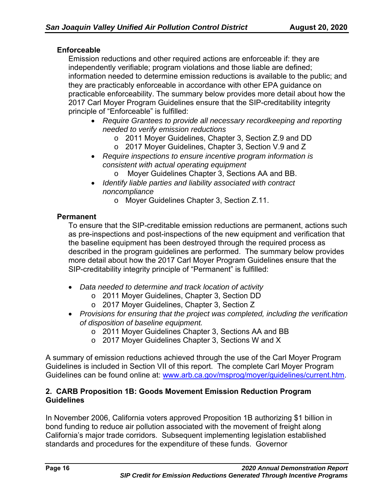## **Enforceable**

Emission reductions and other required actions are enforceable if: they are independently verifiable; program violations and those liable are defined; information needed to determine emission reductions is available to the public; and they are practicably enforceable in accordance with other EPA guidance on practicable enforceability. The summary below provides more detail about how the 2017 Carl Moyer Program Guidelines ensure that the SIP-creditability integrity principle of "Enforceable" is fulfilled:

- *Require Grantees to provide all necessary recordkeeping and reporting needed to verify emission reductions* 
	- o 2011 Moyer Guidelines, Chapter 3, Section Z.9 and DD
	- o 2017 Moyer Guidelines, Chapter 3, Section V.9 and Z
- *Require inspections to ensure incentive program information is consistent with actual operating equipment* 
	- o Moyer Guidelines Chapter 3, Sections AA and BB.
- *Identify liable parties and liability associated with contract noncompliance* 
	- o Moyer Guidelines Chapter 3, Section Z.11.

#### **Permanent**

To ensure that the SIP-creditable emission reductions are permanent, actions such as pre-inspections and post-inspections of the new equipment and verification that the baseline equipment has been destroyed through the required process as described in the program guidelines are performed. The summary below provides more detail about how the 2017 Carl Moyer Program Guidelines ensure that the SIP-creditability integrity principle of "Permanent" is fulfilled:

- *Data needed to determine and track location of activity* 
	- o 2011 Moyer Guidelines, Chapter 3, Section DD
	- o 2017 Moyer Guidelines, Chapter 3, Section Z
- *Provisions for ensuring that the project was completed, including the verification of disposition of baseline equipment.* 
	- o 2011 Moyer Guidelines Chapter 3, Sections AA and BB
	- o 2017 Moyer Guidelines Chapter 3, Sections W and X

A summary of emission reductions achieved through the use of the Carl Moyer Program Guidelines is included in Section VII of this report. The complete Carl Moyer Program Guidelines can be found online at: www.arb.ca.gov/msprog/moyer/guidelines/current.htm.

#### **2. CARB Proposition 1B: Goods Movement Emission Reduction Program Guidelines**

In November 2006, California voters approved Proposition 1B authorizing \$1 billion in bond funding to reduce air pollution associated with the movement of freight along California's major trade corridors. Subsequent implementing legislation established standards and procedures for the expenditure of these funds. Governor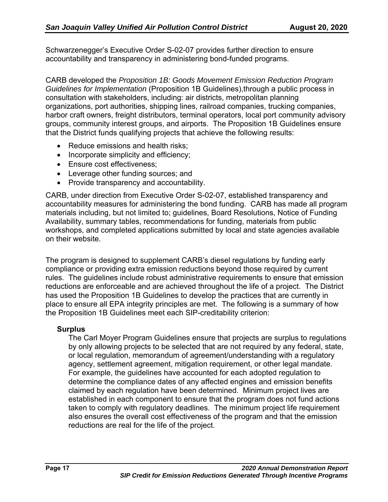Schwarzenegger's Executive Order S-02-07 provides further direction to ensure accountability and transparency in administering bond-funded programs.

CARB developed the *Proposition 1B: Goods Movement Emission Reduction Program Guidelines for Implementation* (Proposition 1B Guidelines),through a public process in consultation with stakeholders, including: air districts, metropolitan planning organizations, port authorities, shipping lines, railroad companies, trucking companies, harbor craft owners, freight distributors, terminal operators, local port community advisory groups, community interest groups, and airports. The Proposition 1B Guidelines ensure that the District funds qualifying projects that achieve the following results:

- Reduce emissions and health risks;
- Incorporate simplicity and efficiency;
- Ensure cost effectiveness;
- Leverage other funding sources; and
- Provide transparency and accountability.

CARB, under direction from Executive Order S-02-07, established transparency and accountability measures for administering the bond funding. CARB has made all program materials including, but not limited to; guidelines, Board Resolutions, Notice of Funding Availability, summary tables, recommendations for funding, materials from public workshops, and completed applications submitted by local and state agencies available on their website.

The program is designed to supplement CARB's diesel regulations by funding early compliance or providing extra emission reductions beyond those required by current rules. The guidelines include robust administrative requirements to ensure that emission reductions are enforceable and are achieved throughout the life of a project. The District has used the Proposition 1B Guidelines to develop the practices that are currently in place to ensure all EPA integrity principles are met. The following is a summary of how the Proposition 1B Guidelines meet each SIP-creditability criterion:

#### **Surplus**

The Carl Moyer Program Guidelines ensure that projects are surplus to regulations by only allowing projects to be selected that are not required by any federal, state, or local regulation, memorandum of agreement/understanding with a regulatory agency, settlement agreement, mitigation requirement, or other legal mandate. For example, the guidelines have accounted for each adopted regulation to determine the compliance dates of any affected engines and emission benefits claimed by each regulation have been determined. Minimum project lives are established in each component to ensure that the program does not fund actions taken to comply with regulatory deadlines. The minimum project life requirement also ensures the overall cost effectiveness of the program and that the emission reductions are real for the life of the project.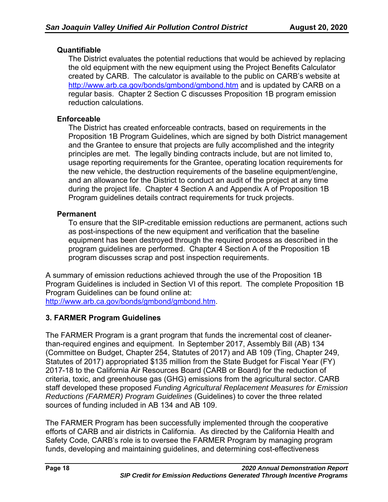#### **Quantifiable**

The District evaluates the potential reductions that would be achieved by replacing the old equipment with the new equipment using the Project Benefits Calculator created by CARB. The calculator is available to the public on CARB's website at http://www.arb.ca.gov/bonds/gmbond/gmbond.htm and is updated by CARB on a regular basis. Chapter 2 Section C discusses Proposition 1B program emission reduction calculations.

## **Enforceable**

The District has created enforceable contracts, based on requirements in the Proposition 1B Program Guidelines, which are signed by both District management and the Grantee to ensure that projects are fully accomplished and the integrity principles are met. The legally binding contracts include, but are not limited to, usage reporting requirements for the Grantee, operating location requirements for the new vehicle, the destruction requirements of the baseline equipment/engine, and an allowance for the District to conduct an audit of the project at any time during the project life. Chapter 4 Section A and Appendix A of Proposition 1B Program guidelines details contract requirements for truck projects.

# **Permanent**

To ensure that the SIP-creditable emission reductions are permanent, actions such as post-inspections of the new equipment and verification that the baseline equipment has been destroyed through the required process as described in the program guidelines are performed. Chapter 4 Section A of the Proposition 1B program discusses scrap and post inspection requirements.

A summary of emission reductions achieved through the use of the Proposition 1B Program Guidelines is included in Section VI of this report. The complete Proposition 1B Program Guidelines can be found online at:

http://www.arb.ca.gov/bonds/gmbond/gmbond.htm.

# **3. FARMER Program Guidelines**

The FARMER Program is a grant program that funds the incremental cost of cleanerthan-required engines and equipment. In September 2017, Assembly Bill (AB) 134 (Committee on Budget, Chapter 254, Statutes of 2017) and AB 109 (Ting, Chapter 249, Statutes of 2017) appropriated \$135 million from the State Budget for Fiscal Year (FY) 2017-18 to the California Air Resources Board (CARB or Board) for the reduction of criteria, toxic, and greenhouse gas (GHG) emissions from the agricultural sector. CARB staff developed these proposed *Funding Agricultural Replacement Measures for Emission Reductions (FARMER) Program Guidelines* (Guidelines) to cover the three related sources of funding included in AB 134 and AB 109.

The FARMER Program has been successfully implemented through the cooperative efforts of CARB and air districts in California. As directed by the California Health and Safety Code, CARB's role is to oversee the FARMER Program by managing program funds, developing and maintaining guidelines, and determining cost-effectiveness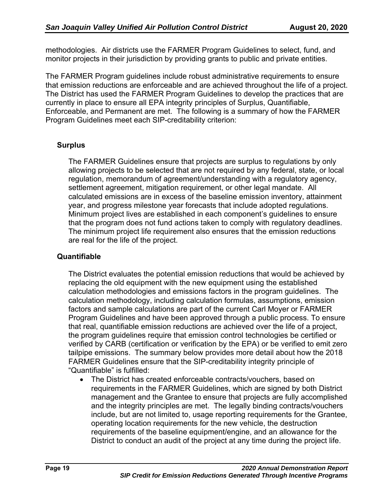methodologies. Air districts use the FARMER Program Guidelines to select, fund, and monitor projects in their jurisdiction by providing grants to public and private entities.

The FARMER Program guidelines include robust administrative requirements to ensure that emission reductions are enforceable and are achieved throughout the life of a project. The District has used the FARMER Program Guidelines to develop the practices that are currently in place to ensure all EPA integrity principles of Surplus, Quantifiable, Enforceable, and Permanent are met. The following is a summary of how the FARMER Program Guidelines meet each SIP-creditability criterion:

## **Surplus**

 The FARMER Guidelines ensure that projects are surplus to regulations by only allowing projects to be selected that are not required by any federal, state, or local regulation, memorandum of agreement/understanding with a regulatory agency, settlement agreement, mitigation requirement, or other legal mandate. All calculated emissions are in excess of the baseline emission inventory, attainment year, and progress milestone year forecasts that include adopted regulations. Minimum project lives are established in each component's guidelines to ensure that the program does not fund actions taken to comply with regulatory deadlines. The minimum project life requirement also ensures that the emission reductions are real for the life of the project.

# **Quantifiable**

The District evaluates the potential emission reductions that would be achieved by replacing the old equipment with the new equipment using the established calculation methodologies and emissions factors in the program guidelines. The calculation methodology, including calculation formulas, assumptions, emission factors and sample calculations are part of the current Carl Moyer or FARMER Program Guidelines and have been approved through a public process. To ensure that real, quantifiable emission reductions are achieved over the life of a project, the program guidelines require that emission control technologies be certified or verified by CARB (certification or verification by the EPA) or be verified to emit zero tailpipe emissions. The summary below provides more detail about how the 2018 FARMER Guidelines ensure that the SIP-creditability integrity principle of "Quantifiable" is fulfilled:

 The District has created enforceable contracts/vouchers, based on requirements in the FARMER Guidelines, which are signed by both District management and the Grantee to ensure that projects are fully accomplished and the integrity principles are met. The legally binding contracts/vouchers include, but are not limited to, usage reporting requirements for the Grantee, operating location requirements for the new vehicle, the destruction requirements of the baseline equipment/engine, and an allowance for the District to conduct an audit of the project at any time during the project life.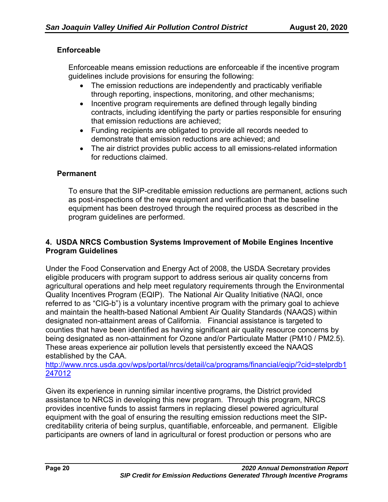## **Enforceable**

Enforceable means emission reductions are enforceable if the incentive program guidelines include provisions for ensuring the following:

- The emission reductions are independently and practicably verifiable through reporting, inspections, monitoring, and other mechanisms;
- Incentive program requirements are defined through legally binding contracts, including identifying the party or parties responsible for ensuring that emission reductions are achieved;
- Funding recipients are obligated to provide all records needed to demonstrate that emission reductions are achieved; and
- The air district provides public access to all emissions-related information for reductions claimed.

#### **Permanent**

To ensure that the SIP-creditable emission reductions are permanent, actions such as post-inspections of the new equipment and verification that the baseline equipment has been destroyed through the required process as described in the program guidelines are performed.

## **4. USDA NRCS Combustion Systems Improvement of Mobile Engines Incentive Program Guidelines**

Under the Food Conservation and Energy Act of 2008, the USDA Secretary provides eligible producers with program support to address serious air quality concerns from agricultural operations and help meet regulatory requirements through the Environmental Quality Incentives Program (EQIP). The National Air Quality Initiative (NAQI, once referred to as "CIG-b") is a voluntary incentive program with the primary goal to achieve and maintain the health-based National Ambient Air Quality Standards (NAAQS) within designated non-attainment areas of California. Financial assistance is targeted to counties that have been identified as having significant air quality resource concerns by being designated as non-attainment for Ozone and/or Particulate Matter (PM10 / PM2.5). These areas experience air pollution levels that persistently exceed the NAAQS established by the CAA.

http://www.nrcs.usda.gov/wps/portal/nrcs/detail/ca/programs/financial/eqip/?cid=stelprdb1 247012

Given its experience in running similar incentive programs, the District provided assistance to NRCS in developing this new program. Through this program, NRCS provides incentive funds to assist farmers in replacing diesel powered agricultural equipment with the goal of ensuring the resulting emission reductions meet the SIPcreditability criteria of being surplus, quantifiable, enforceable, and permanent. Eligible participants are owners of land in agricultural or forest production or persons who are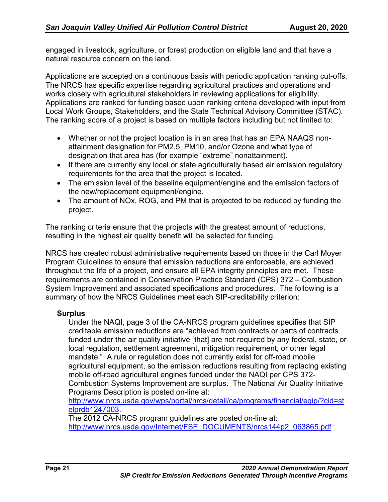engaged in livestock, agriculture, or forest production on eligible land and that have a natural resource concern on the land.

Applications are accepted on a continuous basis with periodic application ranking cut-offs. The NRCS has specific expertise regarding agricultural practices and operations and works closely with agricultural stakeholders in reviewing applications for eligibility. Applications are ranked for funding based upon ranking criteria developed with input from Local Work Groups, Stakeholders, and the State Technical Advisory Committee (STAC). The ranking score of a project is based on multiple factors including but not limited to:

- Whether or not the project location is in an area that has an EPA NAAQS nonattainment designation for PM2.5, PM10, and/or Ozone and what type of designation that area has (for example "extreme" nonattainment).
- If there are currently any local or state agriculturally based air emission regulatory requirements for the area that the project is located.
- The emission level of the baseline equipment/engine and the emission factors of the new/replacement equipment/engine.
- The amount of NOx, ROG, and PM that is projected to be reduced by funding the project.

The ranking criteria ensure that the projects with the greatest amount of reductions, resulting in the highest air quality benefit will be selected for funding.

NRCS has created robust administrative requirements based on those in the Carl Moyer Program Guidelines to ensure that emission reductions are enforceable, are achieved throughout the life of a project, and ensure all EPA integrity principles are met. These requirements are contained in Conservation Practice Standard (CPS) 372 – Combustion System Improvement and associated specifications and procedures. The following is a summary of how the NRCS Guidelines meet each SIP-creditability criterion:

# **Surplus**

Under the NAQI, page 3 of the CA-NRCS program guidelines specifies that SIP creditable emission reductions are "achieved from contracts or parts of contracts funded under the air quality initiative [that] are not required by any federal, state, or local regulation, settlement agreement, mitigation requirement, or other legal mandate." A rule or regulation does not currently exist for off-road mobile agricultural equipment, so the emission reductions resulting from replacing existing mobile off-road agricultural engines funded under the NAQI per CPS 372- Combustion Systems Improvement are surplus. The National Air Quality Initiative Programs Description is posted on-line at:

http://www.nrcs.usda.gov/wps/portal/nrcs/detail/ca/programs/financial/eqip/?cid=st elprdb1247003.

The 2012 CA-NRCS program guidelines are posted on-line at: http://www.nrcs.usda.gov/Internet/FSE\_DOCUMENTS/nrcs144p2\_063865.pdf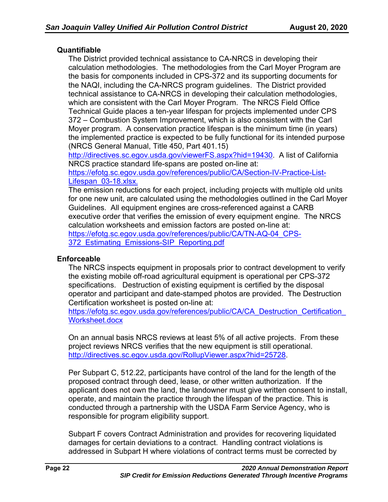#### **Quantifiable**

The District provided technical assistance to CA-NRCS in developing their calculation methodologies. The methodologies from the Carl Moyer Program are the basis for components included in CPS-372 and its supporting documents for the NAQI, including the CA-NRCS program guidelines. The District provided technical assistance to CA-NRCS in developing their calculation methodologies, which are consistent with the Carl Moyer Program. The NRCS Field Office Technical Guide places a ten-year lifespan for projects implemented under CPS 372 – Combustion System Improvement, which is also consistent with the Carl Moyer program. A conservation practice lifespan is the minimum time (in years) the implemented practice is expected to be fully functional for its intended purpose (NRCS General Manual, Title 450, Part 401.15)

http://directives.sc.egov.usda.gov/viewerFS.aspx?hid=19430. A list of California NRCS practice standard life-spans are posted on-line at:

https://efotg.sc.egov.usda.gov/references/public/CA/Section-IV-Practice-List-Lifespan\_03-18.xlsx.

The emission reductions for each project, including projects with multiple old units for one new unit, are calculated using the methodologies outlined in the Carl Moyer Guidelines. All equipment engines are cross-referenced against a CARB executive order that verifies the emission of every equipment engine. The NRCS calculation worksheets and emission factors are posted on-line at: https://efotg.sc.egov.usda.gov/references/public/CA/TN-AQ-04\_CPS-372\_Estimating\_Emissions-SIP\_Reporting.pdf

#### **Enforceable**

The NRCS inspects equipment in proposals prior to contract development to verify the existing mobile off-road agricultural equipment is operational per CPS-372 specifications. Destruction of existing equipment is certified by the disposal operator and participant and date-stamped photos are provided. The Destruction Certification worksheet is posted on-line at:

https://efotg.sc.egov.usda.gov/references/public/CA/CA\_Destruction\_Certification Worksheet.docx

On an annual basis NRCS reviews at least 5% of all active projects. From these project reviews NRCS verifies that the new equipment is still operational. http://directives.sc.egov.usda.gov/RollupViewer.aspx?hid=25728.

Per Subpart C, 512.22, participants have control of the land for the length of the proposed contract through deed, lease, or other written authorization. If the applicant does not own the land, the landowner must give written consent to install, operate, and maintain the practice through the lifespan of the practice. This is conducted through a partnership with the USDA Farm Service Agency, who is responsible for program eligibility support.

Subpart F covers Contract Administration and provides for recovering liquidated damages for certain deviations to a contract. Handling contract violations is addressed in Subpart H where violations of contract terms must be corrected by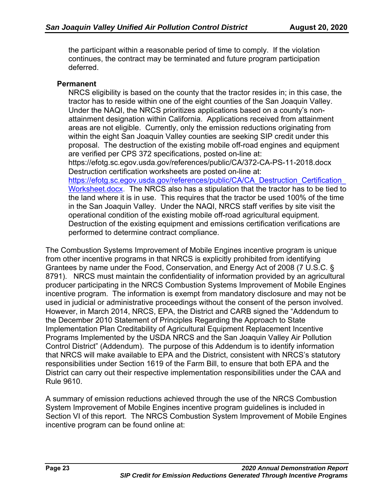the participant within a reasonable period of time to comply. If the violation continues, the contract may be terminated and future program participation deferred.

#### **Permanent**

NRCS eligibility is based on the county that the tractor resides in; in this case, the tractor has to reside within one of the eight counties of the San Joaquin Valley. Under the NAQI, the NRCS prioritizes applications based on a county's nonattainment designation within California. Applications received from attainment areas are not eligible. Currently, only the emission reductions originating from within the eight San Joaquin Valley counties are seeking SIP credit under this proposal. The destruction of the existing mobile off-road engines and equipment are verified per CPS 372 specifications, posted on-line at: https://efotg.sc.egov.usda.gov/references/public/CA/372-CA-PS-11-2018.docx

Destruction certification worksheets are posted on-line at: https://efotg.sc.egov.usda.gov/references/public/CA/CA\_Destruction\_Certification\_ Worksheet.docx. The NRCS also has a stipulation that the tractor has to be tied to the land where it is in use. This requires that the tractor be used 100% of the time in the San Joaquin Valley. Under the NAQI, NRCS staff verifies by site visit the operational condition of the existing mobile off-road agricultural equipment. Destruction of the existing equipment and emissions certification verifications are performed to determine contract compliance.

The Combustion Systems Improvement of Mobile Engines incentive program is unique from other incentive programs in that NRCS is explicitly prohibited from identifying Grantees by name under the Food, Conservation, and Energy Act of 2008 (7 U.S.C. § 8791). NRCS must maintain the confidentiality of information provided by an agricultural producer participating in the NRCS Combustion Systems Improvement of Mobile Engines incentive program. The information is exempt from mandatory disclosure and may not be used in judicial or administrative proceedings without the consent of the person involved. However, in March 2014, NRCS, EPA, the District and CARB signed the "Addendum to the December 2010 Statement of Principles Regarding the Approach to State Implementation Plan Creditability of Agricultural Equipment Replacement Incentive Programs Implemented by the USDA NRCS and the San Joaquin Valley Air Pollution Control District" (Addendum). The purpose of this Addendum is to identify information that NRCS will make available to EPA and the District, consistent with NRCS's statutory responsibilities under Section 1619 of the Farm Bill, to ensure that both EPA and the District can carry out their respective implementation responsibilities under the CAA and Rule 9610.

A summary of emission reductions achieved through the use of the NRCS Combustion System Improvement of Mobile Engines incentive program guidelines is included in Section VI of this report. The NRCS Combustion System Improvement of Mobile Engines incentive program can be found online at: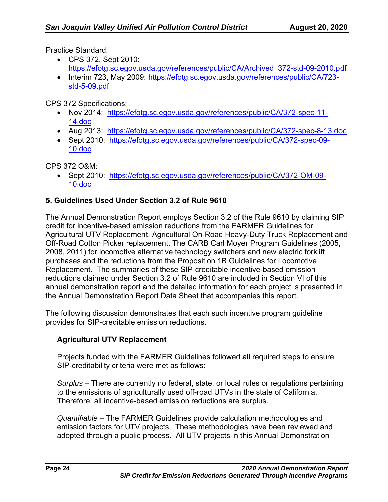Practice Standard:

- CPS 372, Sept 2010: https://efotg.sc.egov.usda.gov/references/public/CA/Archived\_372-std-09-2010.pdf
- Interim 723, May 2009: https://efotg.sc.egov.usda.gov/references/public/CA/723std-5-09.pdf

CPS 372 Specifications:

- Nov 2014: https://efotg.sc.egov.usda.gov/references/public/CA/372-spec-11- 14.doc
- Aug 2013: https://efotg.sc.egov.usda.gov/references/public/CA/372-spec-8-13.doc
- Sept 2010: https://efotg.sc.egov.usda.gov/references/public/CA/372-spec-09- 10.doc

CPS 372 O&M:

 Sept 2010: https://efotg.sc.egov.usda.gov/references/public/CA/372-OM-09- 10.doc

# **5. Guidelines Used Under Section 3.2 of Rule 9610**

The Annual Demonstration Report employs Section 3.2 of the Rule 9610 by claiming SIP credit for incentive-based emission reductions from the FARMER Guidelines for Agricultural UTV Replacement, Agricultural On-Road Heavy-Duty Truck Replacement and Off-Road Cotton Picker replacement. The CARB Carl Moyer Program Guidelines (2005, 2008, 2011) for locomotive alternative technology switchers and new electric forklift purchases and the reductions from the Proposition 1B Guidelines for Locomotive Replacement. The summaries of these SIP-creditable incentive-based emission reductions claimed under Section 3.2 of Rule 9610 are included in Section VI of this annual demonstration report and the detailed information for each project is presented in the Annual Demonstration Report Data Sheet that accompanies this report.

The following discussion demonstrates that each such incentive program guideline provides for SIP-creditable emission reductions.

# **Agricultural UTV Replacement**

Projects funded with the FARMER Guidelines followed all required steps to ensure SIP-creditability criteria were met as follows:

*Surplus –* There are currently no federal, state, or local rules or regulations pertaining to the emissions of agriculturally used off-road UTVs in the state of California. Therefore, all incentive-based emission reductions are surplus.

*Quantifiable* – The FARMER Guidelines provide calculation methodologies and emission factors for UTV projects. These methodologies have been reviewed and adopted through a public process. All UTV projects in this Annual Demonstration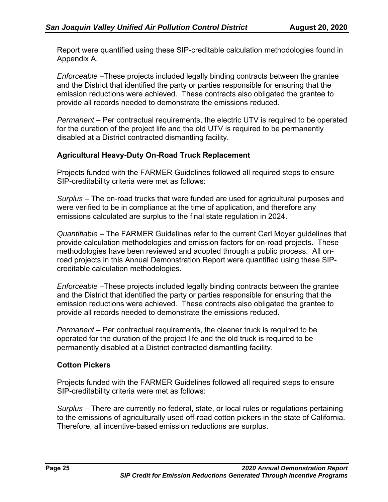Report were quantified using these SIP-creditable calculation methodologies found in Appendix A.

*Enforceable –*These projects included legally binding contracts between the grantee and the District that identified the party or parties responsible for ensuring that the emission reductions were achieved. These contracts also obligated the grantee to provide all records needed to demonstrate the emissions reduced.

*Permanent* – Per contractual requirements, the electric UTV is required to be operated for the duration of the project life and the old UTV is required to be permanently disabled at a District contracted dismantling facility.

# **Agricultural Heavy-Duty On-Road Truck Replacement**

Projects funded with the FARMER Guidelines followed all required steps to ensure SIP-creditability criteria were met as follows:

*Surplus –* The on-road trucks that were funded are used for agricultural purposes and were verified to be in compliance at the time of application, and therefore any emissions calculated are surplus to the final state regulation in 2024.

*Quantifiable* – The FARMER Guidelines refer to the current Carl Moyer guidelines that provide calculation methodologies and emission factors for on-road projects. These methodologies have been reviewed and adopted through a public process. All onroad projects in this Annual Demonstration Report were quantified using these SIPcreditable calculation methodologies.

*Enforceable –*These projects included legally binding contracts between the grantee and the District that identified the party or parties responsible for ensuring that the emission reductions were achieved. These contracts also obligated the grantee to provide all records needed to demonstrate the emissions reduced.

*Permanent* – Per contractual requirements, the cleaner truck is required to be operated for the duration of the project life and the old truck is required to be permanently disabled at a District contracted dismantling facility.

#### **Cotton Pickers**

Projects funded with the FARMER Guidelines followed all required steps to ensure SIP-creditability criteria were met as follows:

*Surplus –* There are currently no federal, state, or local rules or regulations pertaining to the emissions of agriculturally used off-road cotton pickers in the state of California. Therefore, all incentive-based emission reductions are surplus.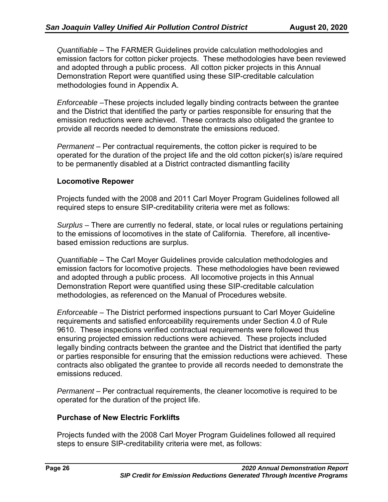*Quantifiable* – The FARMER Guidelines provide calculation methodologies and emission factors for cotton picker projects. These methodologies have been reviewed and adopted through a public process. All cotton picker projects in this Annual Demonstration Report were quantified using these SIP-creditable calculation methodologies found in Appendix A.

*Enforceable –*These projects included legally binding contracts between the grantee and the District that identified the party or parties responsible for ensuring that the emission reductions were achieved. These contracts also obligated the grantee to provide all records needed to demonstrate the emissions reduced.

*Permanent* – Per contractual requirements, the cotton picker is required to be operated for the duration of the project life and the old cotton picker(s) is/are required to be permanently disabled at a District contracted dismantling facility

#### **Locomotive Repower**

Projects funded with the 2008 and 2011 Carl Moyer Program Guidelines followed all required steps to ensure SIP-creditability criteria were met as follows:

*Surplus –* There are currently no federal, state, or local rules or regulations pertaining to the emissions of locomotives in the state of California. Therefore, all incentivebased emission reductions are surplus.

*Quantifiable* – The Carl Moyer Guidelines provide calculation methodologies and emission factors for locomotive projects. These methodologies have been reviewed and adopted through a public process. All locomotive projects in this Annual Demonstration Report were quantified using these SIP-creditable calculation methodologies, as referenced on the Manual of Procedures website.

*Enforceable –* The District performed inspections pursuant to Carl Moyer Guideline requirements and satisfied enforceability requirements under Section 4.0 of Rule 9610. These inspections verified contractual requirements were followed thus ensuring projected emission reductions were achieved. These projects included legally binding contracts between the grantee and the District that identified the party or parties responsible for ensuring that the emission reductions were achieved. These contracts also obligated the grantee to provide all records needed to demonstrate the emissions reduced.

*Permanent* – Per contractual requirements, the cleaner locomotive is required to be operated for the duration of the project life.

#### **Purchase of New Electric Forklifts**

Projects funded with the 2008 Carl Moyer Program Guidelines followed all required steps to ensure SIP-creditability criteria were met, as follows: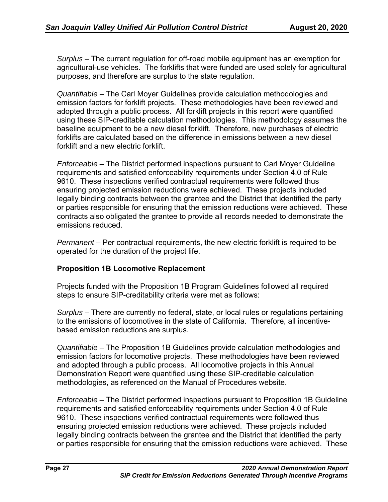*Surplus –* The current regulation for off-road mobile equipment has an exemption for agricultural-use vehicles. The forklifts that were funded are used solely for agricultural purposes, and therefore are surplus to the state regulation.

*Quantifiable* – The Carl Moyer Guidelines provide calculation methodologies and emission factors for forklift projects. These methodologies have been reviewed and adopted through a public process. All forklift projects in this report were quantified using these SIP-creditable calculation methodologies. This methodology assumes the baseline equipment to be a new diesel forklift. Therefore, new purchases of electric forklifts are calculated based on the difference in emissions between a new diesel forklift and a new electric forklift.

*Enforceable –* The District performed inspections pursuant to Carl Moyer Guideline requirements and satisfied enforceability requirements under Section 4.0 of Rule 9610. These inspections verified contractual requirements were followed thus ensuring projected emission reductions were achieved. These projects included legally binding contracts between the grantee and the District that identified the party or parties responsible for ensuring that the emission reductions were achieved. These contracts also obligated the grantee to provide all records needed to demonstrate the emissions reduced.

*Permanent* – Per contractual requirements, the new electric forklift is required to be operated for the duration of the project life.

#### **Proposition 1B Locomotive Replacement**

Projects funded with the Proposition 1B Program Guidelines followed all required steps to ensure SIP-creditability criteria were met as follows:

*Surplus –* There are currently no federal, state, or local rules or regulations pertaining to the emissions of locomotives in the state of California. Therefore, all incentivebased emission reductions are surplus.

*Quantifiable* – The Proposition 1B Guidelines provide calculation methodologies and emission factors for locomotive projects. These methodologies have been reviewed and adopted through a public process. All locomotive projects in this Annual Demonstration Report were quantified using these SIP-creditable calculation methodologies, as referenced on the Manual of Procedures website.

*Enforceable –* The District performed inspections pursuant to Proposition 1B Guideline requirements and satisfied enforceability requirements under Section 4.0 of Rule 9610. These inspections verified contractual requirements were followed thus ensuring projected emission reductions were achieved. These projects included legally binding contracts between the grantee and the District that identified the party or parties responsible for ensuring that the emission reductions were achieved. These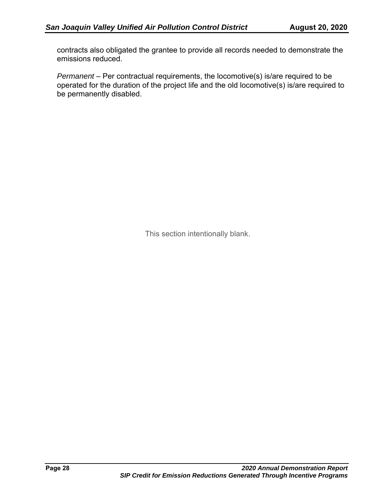contracts also obligated the grantee to provide all records needed to demonstrate the emissions reduced.

*Permanent* – Per contractual requirements, the locomotive(s) is/are required to be operated for the duration of the project life and the old locomotive(s) is/are required to be permanently disabled.

This section intentionally blank.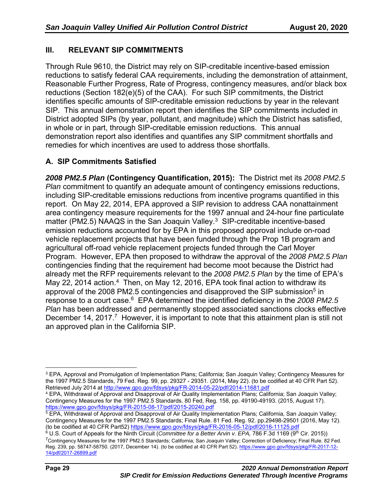## **III. RELEVANT SIP COMMITMENTS**

Through Rule 9610, the District may rely on SIP-creditable incentive-based emission reductions to satisfy federal CAA requirements, including the demonstration of attainment, Reasonable Further Progress, Rate of Progress, contingency measures, and/or black box reductions (Section 182(e)(5) of the CAA). For such SIP commitments, the District identifies specific amounts of SIP-creditable emission reductions by year in the relevant SIP. This annual demonstration report then identifies the SIP commitments included in District adopted SIPs (by year, pollutant, and magnitude) which the District has satisfied, in whole or in part, through SIP-creditable emission reductions. This annual demonstration report also identifies and quantifies any SIP commitment shortfalls and remedies for which incentives are used to address those shortfalls.

## **A. SIP Commitments Satisfied**

*2008 PM2.5 Plan* **(Contingency Quantification, 2015):** The District met its *2008 PM2.5 Plan* commitment to quantify an adequate amount of contingency emissions reductions, including SIP-creditable emissions reductions from incentive programs quantified in this report. On May 22, 2014, EPA approved a SIP revision to address CAA nonattainment area contingency measure requirements for the 1997 annual and 24-hour fine particulate matter (PM2.5) NAAQS in the San Joaquin Valley.<sup>3</sup> SIP-creditable incentive-based emission reductions accounted for by EPA in this proposed approval include on-road vehicle replacement projects that have been funded through the Prop 1B program and agricultural off-road vehicle replacement projects funded through the Carl Moyer Program. However, EPA then proposed to withdraw the approval of the *2008 PM2.5 Plan*  contingencies finding that the requirement had become moot because the District had already met the RFP requirements relevant to the *2008 PM2.5 Plan* by the time of EPA's May 22, 2014 action.<sup>4</sup> Then, on May 12, 2016, EPA took final action to withdraw its approval of the 2008 PM2.5 contingencies and disapproved the SIP submission<sup>5</sup> in response to a court case.6 EPA determined the identified deficiency in the *2008 PM2.5 Plan* has been addressed and permanently stopped associated sanctions clocks effective December 14, 2017.<sup>7</sup> However, it is important to note that this attainment plan is still not an approved plan in the California SIP.

 $\overline{a}$ 3 EPA, Approval and Promulgation of Implementation Plans; California; San Joaquin Valley; Contingency Measures for the 1997 PM2.5 Standards, 79 Fed. Reg. 99, pp. 29327 - 29351. (2014, May 22). (to be codified at 40 CFR Part 52). Retrieved July 2014 at http://www.gpo.gov/fdsys/pkg/FR-2014-05-22/pdf/2014-11681.pdf

<sup>&</sup>lt;sup>4</sup> EPA, Withdrawal of Approval and Disapproval of Air Quality Implementation Plans; California; San Joaquin Valley; Contingency Measures for the 1997 PM2.5 Standards. 80 Fed, Reg. 158, pp. 49190-49193. (2015, August 17). https://www.gpo.gov/fdsys/pkg/FR-2015-08-17/pdf/2015-20240.pdf

<sup>5</sup> EPA, Withdrawal of Approval and Disapproval of Air Quality Implementation Plans; California, San Joaquin Valley; Contingency Measures for the 1997 PM2.5 Standards; Final Rule. 81 Fed. Reg. 92. pp.29498-29501 (2016, May 12). (to be codified at 40 CFR Part52) https://www.gpo.gov/fdsys/pkg/FR-2016-05-12/pdf/2016-11125.pdf

<sup>&</sup>lt;sup>6</sup> U.S. Court of Appeals for the Ninth Circuit (*Committee for a Better Arvin v. EPA, 786 F.3d 1169 (9<sup>th</sup> Cir. 2015))* <sup>7</sup>Contingency Measures for the 1997 PM2.5 Standards; California; San Joaquin Valley; Correction of Deficiency; Final Rule. 82 Fed. Reg. 239, pp. 58747-58750. (2017, December 14). (to be codified at 40 CFR Part 52). https://www.gpo.gov/fdsys/pkg/FR-2017-12- 14/pdf/2017-26899.pdf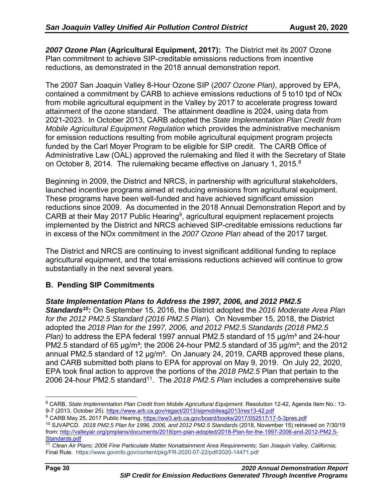*2007 Ozone Plan* **(Agricultural Equipment, 2017):** The District met its 2007 Ozone Plan commitment to achieve SIP-creditable emissions reductions from incentive reductions, as demonstrated in the 2018 annual demonstration report.

The 2007 San Joaquin Valley 8-Hour Ozone SIP (*2007 Ozone Plan)*, approved by EPA, contained a commitment by CARB to achieve emissions reductions of 5 to10 tpd of NOx from mobile agricultural equipment in the Valley by 2017 to accelerate progress toward attainment of the ozone standard. The attainment deadline is 2024, using data from 2021-2023. In October 2013, CARB adopted the *State Implementation Plan Credit from Mobile Agricultural Equipment Regulation* which provides the administrative mechanism for emission reductions resulting from mobile agricultural equipment program projects funded by the Carl Moyer Program to be eligible for SIP credit. The CARB Office of Administrative Law (OAL) approved the rulemaking and filed it with the Secretary of State on October 8, 2014. The rulemaking became effective on January 1, 2015.<sup>8</sup>

Beginning in 2009, the District and NRCS, in partnership with agricultural stakeholders, launched incentive programs aimed at reducing emissions from agricultural equipment. These programs have been well-funded and have achieved significant emission reductions since 2009. As documented in the 2018 Annual Demonstration Report and by CARB at their May 2017 Public Hearing<sup>9</sup>, agricultural equipment replacement projects implemented by the District and NRCS achieved SIP-creditable emissions reductions far in excess of the NOx commitment in the *2007 Ozone Plan* ahead of the 2017 target.

The District and NRCS are continuing to invest significant additional funding to replace agricultural equipment, and the total emissions reductions achieved will continue to grow substantially in the next several years.

# **B. Pending SIP Commitments**

*State Implementation Plans to Address the 1997, 2006, and 2012 PM2.5* 

*Standards10:* On September 15, 2016, the District adopted the *2016 Moderate Area Plan for the 2012 PM2.5 Standard (2016 PM2.5 Plan*)*.* On November 15, 2018, the District adopted the *2018 Plan for the 1997, 2006, and 2012 PM2.5 Standards (2018 PM2.5 Plan*) to address the EPA federal 1997 annual PM2.5 standard of 15 μg/m<sup>3</sup> and 24-hour PM2.5 standard of 65  $\mu$ g/m<sup>3</sup>; the 2006 24-hour PM2.5 standard of 35  $\mu$ g/m<sup>3</sup>; and the 2012 annual PM2.5 standard of 12  $\mu$ g/m<sup>3</sup>. On January 24, 2019, CARB approved these plans, and CARB submitted both plans to EPA for approval on May 9, 2019. On July 22, 2020, EPA took final action to approve the portions of the *2018 PM2.5* Plan that pertain to the 2006 24-hour PM2.5 standard11. The *2018 PM2.5 Plan* includes a comprehensive suite

<sup>1</sup> 8 CARB, *State Implementation Plan Credit from Mobile Agricultural Equipment*. Resolution 12-42, Agenda Item No.: 13- 9-7 (2013, October 25). <u>https://www.arb.ca.gov/regact/2013/sipmobileag2013/res13-42.pdf</u><br><sup>9</sup> CARB May 25, 2017 Public Hearing, <u>https://ww3.arb.ca.gov/board/books/2017/052517/17-5-3pres.pdf</u><br><sup>10</sup> SJVAPCD. *2018 PM2.5 Plan* 

from: http://valleyair.org/pmplans/documents/2018/pm-plan-adopted/2018-Plan-for-the-1997-2006-and-2012-PM2.5- Standards.pdf

<sup>11</sup> *Clean Air Plans; 2006 Fine Particulate Matter Nonattainment Area Requirements; San Joaquin Valley, California*; Final Rule. https://www.govinfo.gov/content/pkg/FR-2020-07-22/pdf/2020-14471.pdf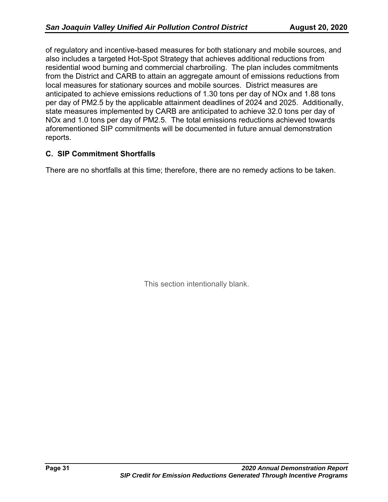of regulatory and incentive-based measures for both stationary and mobile sources, and also includes a targeted Hot-Spot Strategy that achieves additional reductions from residential wood burning and commercial charbroiling. The plan includes commitments from the District and CARB to attain an aggregate amount of emissions reductions from local measures for stationary sources and mobile sources. District measures are anticipated to achieve emissions reductions of 1.30 tons per day of NOx and 1.88 tons per day of PM2.5 by the applicable attainment deadlines of 2024 and 2025. Additionally, state measures implemented by CARB are anticipated to achieve 32.0 tons per day of NOx and 1.0 tons per day of PM2.5. The total emissions reductions achieved towards aforementioned SIP commitments will be documented in future annual demonstration reports.

## **C. SIP Commitment Shortfalls**

There are no shortfalls at this time; therefore, there are no remedy actions to be taken.

This section intentionally blank.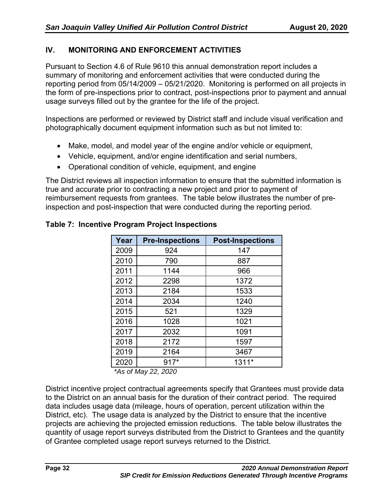## **IV. MONITORING AND ENFORCEMENT ACTIVITIES**

Pursuant to Section 4.6 of Rule 9610 this annual demonstration report includes a summary of monitoring and enforcement activities that were conducted during the reporting period from 05/14/2009 – 05/21/2020. Monitoring is performed on all projects in the form of pre-inspections prior to contract, post-inspections prior to payment and annual usage surveys filled out by the grantee for the life of the project.

Inspections are performed or reviewed by District staff and include visual verification and photographically document equipment information such as but not limited to:

- Make, model, and model year of the engine and/or vehicle or equipment,
- Vehicle, equipment, and/or engine identification and serial numbers,
- Operational condition of vehicle, equipment, and engine

The District reviews all inspection information to ensure that the submitted information is true and accurate prior to contracting a new project and prior to payment of reimbursement requests from grantees. The table below illustrates the number of preinspection and post-inspection that were conducted during the reporting period.

| Year | <b>Pre-Inspections</b> | <b>Post-Inspections</b> |
|------|------------------------|-------------------------|
| 2009 | 924                    | 147                     |
| 2010 | 790                    | 887                     |
| 2011 | 1144                   | 966                     |
| 2012 | 2298                   | 1372                    |
| 2013 | 2184                   | 1533                    |
| 2014 | 2034                   | 1240                    |
| 2015 | 521                    | 1329                    |
| 2016 | 1028                   | 1021                    |
| 2017 | 2032                   | 1091                    |
| 2018 | 2172                   | 1597                    |
| 2019 | 2164                   | 3467                    |
| 2020 | $917*$                 | 1311*                   |

#### **Table 7: Incentive Program Project Inspections**

 *\*As of May 22, 2020* 

District incentive project contractual agreements specify that Grantees must provide data to the District on an annual basis for the duration of their contract period. The required data includes usage data (mileage, hours of operation, percent utilization within the District, etc). The usage data is analyzed by the District to ensure that the incentive projects are achieving the projected emission reductions. The table below illustrates the quantity of usage report surveys distributed from the District to Grantees and the quantity of Grantee completed usage report surveys returned to the District.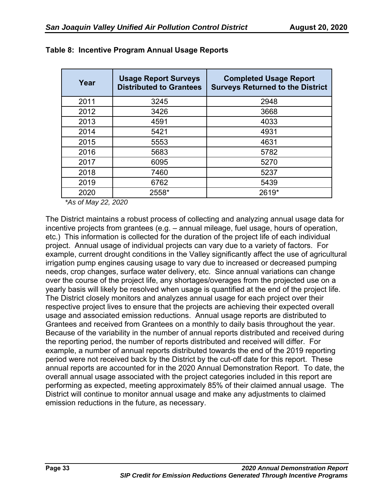| Year | <b>Usage Report Surveys</b><br><b>Distributed to Grantees</b> | <b>Completed Usage Report</b><br><b>Surveys Returned to the District</b> |
|------|---------------------------------------------------------------|--------------------------------------------------------------------------|
| 2011 | 3245                                                          | 2948                                                                     |
| 2012 | 3426                                                          | 3668                                                                     |
| 2013 | 4591                                                          | 4033                                                                     |
| 2014 | 5421                                                          | 4931                                                                     |
| 2015 | 5553                                                          | 4631                                                                     |
| 2016 | 5683                                                          | 5782                                                                     |
| 2017 | 6095                                                          | 5270                                                                     |
| 2018 | 7460                                                          | 5237                                                                     |
| 2019 | 6762                                                          | 5439                                                                     |
| 2020 | 2558*                                                         | 2619*                                                                    |

#### **Table 8: Incentive Program Annual Usage Reports**

 *\*As of May 22, 2020* 

The District maintains a robust process of collecting and analyzing annual usage data for incentive projects from grantees (e.g. – annual mileage, fuel usage, hours of operation, etc.) This information is collected for the duration of the project life of each individual project. Annual usage of individual projects can vary due to a variety of factors. For example, current drought conditions in the Valley significantly affect the use of agricultural irrigation pump engines causing usage to vary due to increased or decreased pumping needs, crop changes, surface water delivery, etc. Since annual variations can change over the course of the project life, any shortages/overages from the projected use on a yearly basis will likely be resolved when usage is quantified at the end of the project life. The District closely monitors and analyzes annual usage for each project over their respective project lives to ensure that the projects are achieving their expected overall usage and associated emission reductions. Annual usage reports are distributed to Grantees and received from Grantees on a monthly to daily basis throughout the year. Because of the variability in the number of annual reports distributed and received during the reporting period, the number of reports distributed and received will differ. For example, a number of annual reports distributed towards the end of the 2019 reporting period were not received back by the District by the cut-off date for this report. These annual reports are accounted for in the 2020 Annual Demonstration Report. To date, the overall annual usage associated with the project categories included in this report are performing as expected, meeting approximately 85% of their claimed annual usage. The District will continue to monitor annual usage and make any adjustments to claimed emission reductions in the future, as necessary.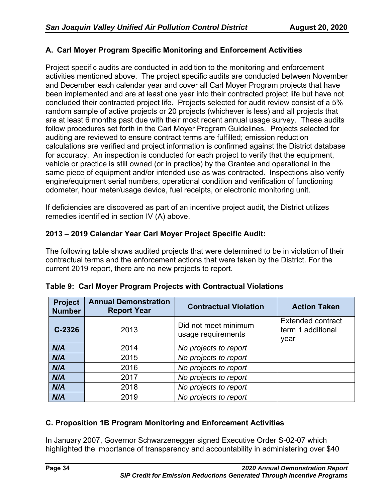## **A. Carl Moyer Program Specific Monitoring and Enforcement Activities**

Project specific audits are conducted in addition to the monitoring and enforcement activities mentioned above. The project specific audits are conducted between November and December each calendar year and cover all Carl Moyer Program projects that have been implemented and are at least one year into their contracted project life but have not concluded their contracted project life. Projects selected for audit review consist of a 5% random sample of active projects or 20 projects (whichever is less) and all projects that are at least 6 months past due with their most recent annual usage survey. These audits follow procedures set forth in the Carl Moyer Program Guidelines. Projects selected for auditing are reviewed to ensure contract terms are fulfilled; emission reduction calculations are verified and project information is confirmed against the District database for accuracy. An inspection is conducted for each project to verify that the equipment, vehicle or practice is still owned (or in practice) by the Grantee and operational in the same piece of equipment and/or intended use as was contracted. Inspections also verify engine/equipment serial numbers, operational condition and verification of functioning odometer, hour meter/usage device, fuel receipts, or electronic monitoring unit.

If deficiencies are discovered as part of an incentive project audit, the District utilizes remedies identified in section IV (A) above.

## **2013 – 2019 Calendar Year Carl Moyer Project Specific Audit:**

The following table shows audited projects that were determined to be in violation of their contractual terms and the enforcement actions that were taken by the District. For the current 2019 report, there are no new projects to report.

| <b>Project</b><br><b>Number</b> | <b>Annual Demonstration</b><br><b>Report Year</b> | <b>Contractual Violation</b>               | <b>Action Taken</b>                                   |
|---------------------------------|---------------------------------------------------|--------------------------------------------|-------------------------------------------------------|
| $C-2326$                        | 2013                                              | Did not meet minimum<br>usage requirements | <b>Extended contract</b><br>term 1 additional<br>vear |
| N/A                             | 2014                                              | No projects to report                      |                                                       |
| N/A                             | 2015                                              | No projects to report                      |                                                       |
| N/A                             | 2016                                              | No projects to report                      |                                                       |
| N/A                             | 2017                                              | No projects to report                      |                                                       |
| N/A                             | 2018                                              | No projects to report                      |                                                       |
| N/A                             | 2019                                              | No projects to report                      |                                                       |

#### **Table 9: Carl Moyer Program Projects with Contractual Violations**

#### **C. Proposition 1B Program Monitoring and Enforcement Activities**

In January 2007, Governor Schwarzenegger signed Executive Order S-02-07 which highlighted the importance of transparency and accountability in administering over \$40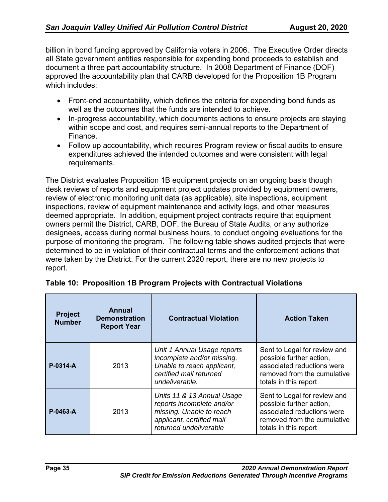billion in bond funding approved by California voters in 2006. The Executive Order directs all State government entities responsible for expending bond proceeds to establish and document a three part accountability structure. In 2008 Department of Finance (DOF) approved the accountability plan that CARB developed for the Proposition 1B Program which includes:

- Front-end accountability, which defines the criteria for expending bond funds as well as the outcomes that the funds are intended to achieve.
- In-progress accountability, which documents actions to ensure projects are staying within scope and cost, and requires semi-annual reports to the Department of Finance.
- Follow up accountability, which requires Program review or fiscal audits to ensure expenditures achieved the intended outcomes and were consistent with legal requirements.

The District evaluates Proposition 1B equipment projects on an ongoing basis though desk reviews of reports and equipment project updates provided by equipment owners, review of electronic monitoring unit data (as applicable), site inspections, equipment inspections, review of equipment maintenance and activity logs, and other measures deemed appropriate. In addition, equipment project contracts require that equipment owners permit the District, CARB, DOF, the Bureau of State Audits, or any authorize designees, access during normal business hours, to conduct ongoing evaluations for the purpose of monitoring the program. The following table shows audited projects that were determined to be in violation of their contractual terms and the enforcement actions that were taken by the District. For the current 2020 report, there are no new projects to report.

| <b>Project</b><br><b>Number</b> | Annual<br><b>Demonstration</b><br><b>Report Year</b> | <b>Contractual Violation</b>                                                                                                               | <b>Action Taken</b>                                                                                                                            |
|---------------------------------|------------------------------------------------------|--------------------------------------------------------------------------------------------------------------------------------------------|------------------------------------------------------------------------------------------------------------------------------------------------|
| $P-0314-A$                      | 2013                                                 | Unit 1 Annual Usage reports<br>incomplete and/or missing.<br>Unable to reach applicant,<br>certified mail returned<br>undeliverable.       | Sent to Legal for review and<br>possible further action,<br>associated reductions were<br>removed from the cumulative<br>totals in this report |
| $P-0463-A$                      | 2013                                                 | Units 11 & 13 Annual Usage<br>reports incomplete and/or<br>missing. Unable to reach<br>applicant, certified mail<br>returned undeliverable | Sent to Legal for review and<br>possible further action,<br>associated reductions were<br>removed from the cumulative<br>totals in this report |

|  |  | Table 10: Proposition 1B Program Projects with Contractual Violations |  |
|--|--|-----------------------------------------------------------------------|--|
|  |  |                                                                       |  |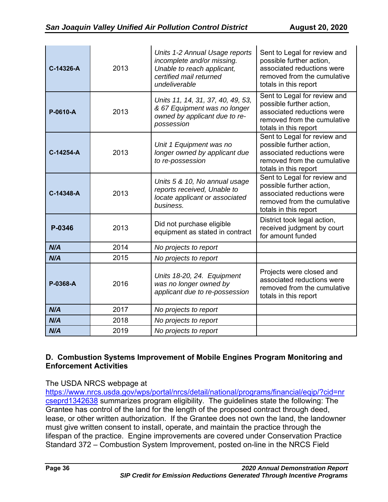| C-14326-A | 2013 | Units 1-2 Annual Usage reports<br>incomplete and/or missing.<br>Unable to reach applicant,<br>certified mail returned<br>undeliverable | Sent to Legal for review and<br>possible further action,<br>associated reductions were<br>removed from the cumulative<br>totals in this report |
|-----------|------|----------------------------------------------------------------------------------------------------------------------------------------|------------------------------------------------------------------------------------------------------------------------------------------------|
| P-0610-A  | 2013 | Units 11, 14, 31, 37, 40, 49, 53,<br>& 67 Equipment was no longer<br>owned by applicant due to re-<br>possession                       | Sent to Legal for review and<br>possible further action,<br>associated reductions were<br>removed from the cumulative<br>totals in this report |
| C-14254-A | 2013 | Unit 1 Equipment was no<br>longer owned by applicant due<br>to re-possession                                                           | Sent to Legal for review and<br>possible further action,<br>associated reductions were<br>removed from the cumulative<br>totals in this report |
| C-14348-A | 2013 | Units 5 & 10, No annual usage<br>reports received, Unable to<br>locate applicant or associated<br>business.                            | Sent to Legal for review and<br>possible further action,<br>associated reductions were<br>removed from the cumulative<br>totals in this report |
| P-0346    | 2013 | Did not purchase eligible<br>equipment as stated in contract                                                                           | District took legal action,<br>received judgment by court<br>for amount funded                                                                 |
| N/A       | 2014 | No projects to report                                                                                                                  |                                                                                                                                                |
| N/A       | 2015 | No projects to report                                                                                                                  |                                                                                                                                                |
| P-0368-A  | 2016 | Units 18-20, 24. Equipment<br>was no longer owned by<br>applicant due to re-possession                                                 | Projects were closed and<br>associated reductions were<br>removed from the cumulative<br>totals in this report                                 |
| N/A       | 2017 | No projects to report                                                                                                                  |                                                                                                                                                |
| N/A       | 2018 | No projects to report                                                                                                                  |                                                                                                                                                |
| N/A       | 2019 | No projects to report                                                                                                                  |                                                                                                                                                |

## **D. Combustion Systems Improvement of Mobile Engines Program Monitoring and Enforcement Activities**

The USDA NRCS webpage at

https://www.nrcs.usda.gov/wps/portal/nrcs/detail/national/programs/financial/eqip/?cid=nr cseprd1342638 summarizes program eligibility. The guidelines state the following: The Grantee has control of the land for the length of the proposed contract through deed, lease, or other written authorization. If the Grantee does not own the land, the landowner must give written consent to install, operate, and maintain the practice through the lifespan of the practice. Engine improvements are covered under Conservation Practice Standard 372 – Combustion System Improvement, posted on-line in the NRCS Field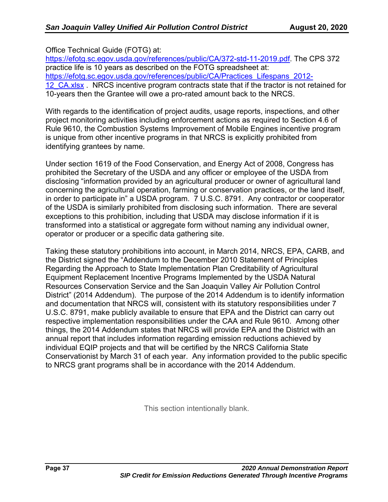### Office Technical Guide (FOTG) at:

https://efotg.sc.egov.usda.gov/references/public/CA/372-std-11-2019.pdf. The CPS 372 practice life is 10 years as described on the FOTG spreadsheet at: https://efotg.sc.egov.usda.gov/references/public/CA/Practices\_Lifespans\_2012-12 CA.xlsx . NRCS incentive program contracts state that if the tractor is not retained for 10-years then the Grantee will owe a pro-rated amount back to the NRCS.

With regards to the identification of project audits, usage reports, inspections, and other project monitoring activities including enforcement actions as required to Section 4.6 of Rule 9610, the Combustion Systems Improvement of Mobile Engines incentive program is unique from other incentive programs in that NRCS is explicitly prohibited from identifying grantees by name.

Under section 1619 of the Food Conservation, and Energy Act of 2008, Congress has prohibited the Secretary of the USDA and any officer or employee of the USDA from disclosing "information provided by an agricultural producer or owner of agricultural land concerning the agricultural operation, farming or conservation practices, or the land itself, in order to participate in" a USDA program. 7 U.S.C. 8791. Any contractor or cooperator of the USDA is similarly prohibited from disclosing such information. There are several exceptions to this prohibition, including that USDA may disclose information if it is transformed into a statistical or aggregate form without naming any individual owner, operator or producer or a specific data gathering site.

Taking these statutory prohibitions into account, in March 2014, NRCS, EPA, CARB, and the District signed the "Addendum to the December 2010 Statement of Principles Regarding the Approach to State Implementation Plan Creditability of Agricultural Equipment Replacement Incentive Programs Implemented by the USDA Natural Resources Conservation Service and the San Joaquin Valley Air Pollution Control District" (2014 Addendum). The purpose of the 2014 Addendum is to identify information and documentation that NRCS will, consistent with its statutory responsibilities under 7 U.S.C. 8791, make publicly available to ensure that EPA and the District can carry out respective implementation responsibilities under the CAA and Rule 9610. Among other things, the 2014 Addendum states that NRCS will provide EPA and the District with an annual report that includes information regarding emission reductions achieved by individual EQIP projects and that will be certified by the NRCS California State Conservationist by March 31 of each year. Any information provided to the public specific to NRCS grant programs shall be in accordance with the 2014 Addendum.

This section intentionally blank.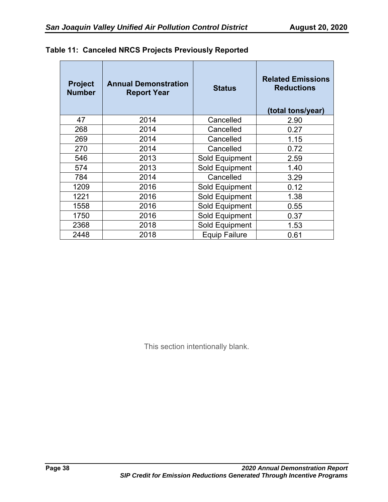| <b>Project</b><br><b>Number</b> | <b>Annual Demonstration</b><br><b>Report Year</b> | <b>Status</b>        | <b>Related Emissions</b><br><b>Reductions</b><br>(total tons/year) |
|---------------------------------|---------------------------------------------------|----------------------|--------------------------------------------------------------------|
| 47                              | 2014                                              | Cancelled            | 2.90                                                               |
| 268                             | 2014                                              | Cancelled            | 0.27                                                               |
| 269                             | 2014                                              | Cancelled            | 1.15                                                               |
| 270                             | 2014                                              | Cancelled            | 0.72                                                               |
| 546                             | 2013                                              | Sold Equipment       | 2.59                                                               |
| 574                             | 2013                                              | Sold Equipment       | 1.40                                                               |
| 784                             | 2014                                              | Cancelled            | 3.29                                                               |
| 1209                            | 2016                                              | Sold Equipment       | 0.12                                                               |
| 1221                            | 2016                                              | Sold Equipment       | 1.38                                                               |
| 1558                            | 2016                                              | Sold Equipment       | 0.55                                                               |
| 1750                            | 2016                                              | Sold Equipment       | 0.37                                                               |
| 2368                            | 2018                                              | Sold Equipment       | 1.53                                                               |
| 2448                            | 2018                                              | <b>Equip Failure</b> | 0.61                                                               |

This section intentionally blank.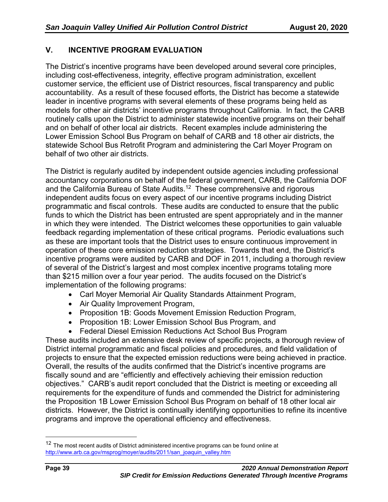### **V. INCENTIVE PROGRAM EVALUATION**

The District's incentive programs have been developed around several core principles, including cost-effectiveness, integrity, effective program administration, excellent customer service, the efficient use of District resources, fiscal transparency and public accountability. As a result of these focused efforts, the District has become a statewide leader in incentive programs with several elements of these programs being held as models for other air districts' incentive programs throughout California. In fact, the CARB routinely calls upon the District to administer statewide incentive programs on their behalf and on behalf of other local air districts. Recent examples include administering the Lower Emission School Bus Program on behalf of CARB and 18 other air districts, the statewide School Bus Retrofit Program and administering the Carl Moyer Program on behalf of two other air districts.

The District is regularly audited by independent outside agencies including professional accountancy corporations on behalf of the federal government, CARB, the California DOF and the California Bureau of State Audits.<sup>12</sup> These comprehensive and rigorous independent audits focus on every aspect of our incentive programs including District programmatic and fiscal controls. These audits are conducted to ensure that the public funds to which the District has been entrusted are spent appropriately and in the manner in which they were intended. The District welcomes these opportunities to gain valuable feedback regarding implementation of these critical programs. Periodic evaluations such as these are important tools that the District uses to ensure continuous improvement in operation of these core emission reduction strategies. Towards that end, the District's incentive programs were audited by CARB and DOF in 2011, including a thorough review of several of the District's largest and most complex incentive programs totaling more than \$215 million over a four year period. The audits focused on the District's implementation of the following programs:

- Carl Moyer Memorial Air Quality Standards Attainment Program,
- Air Quality Improvement Program,
- Proposition 1B: Goods Movement Emission Reduction Program,
- Proposition 1B: Lower Emission School Bus Program, and
- Federal Diesel Emission Reductions Act School Bus Program

These audits included an extensive desk review of specific projects, a thorough review of District internal programmatic and fiscal policies and procedures, and field validation of projects to ensure that the expected emission reductions were being achieved in practice. Overall, the results of the audits confirmed that the District's incentive programs are fiscally sound and are "efficiently and effectively achieving their emission reduction objectives." CARB's audit report concluded that the District is meeting or exceeding all requirements for the expenditure of funds and commended the District for administering the Proposition 1B Lower Emission School Bus Program on behalf of 18 other local air districts. However, the District is continually identifying opportunities to refine its incentive programs and improve the operational efficiency and effectiveness.

 $\overline{a}$ 

 $12$  The most recent audits of District administered incentive programs can be found online at http://www.arb.ca.gov/msprog/moyer/audits/2011/san\_joaquin\_valley.htm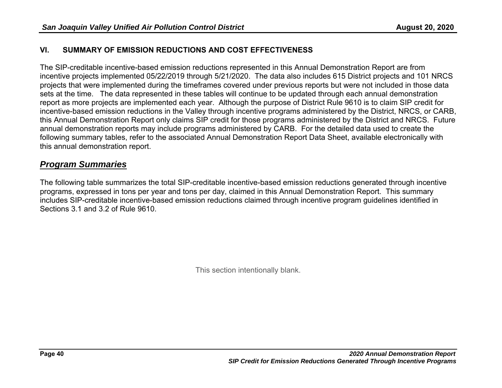### **VI. SUMMARY OF EMISSION REDUCTIONS AND COST EFFECTIVENESS**

The SIP-creditable incentive-based emission reductions represented in this Annual Demonstration Report are from incentive projects implemented 05/22/2019 through 5/21/2020. The data also includes 615 District projects and 101 NRCS projects that were implemented during the timeframes covered under previous reports but were not included in those data sets at the time. The data represented in these tables will continue to be updated through each annual demonstration report as more projects are implemented each year. Although the purpose of District Rule 9610 is to claim SIP credit for incentive-based emission reductions in the Valley through incentive programs administered by the District, NRCS, or CARB, this Annual Demonstration Report only claims SIP credit for those programs administered by the District and NRCS. Future annual demonstration reports may include programs administered by CARB. For the detailed data used to create the following summary tables, refer to the associated Annual Demonstration Report Data Sheet, available electronically with this annual demonstration report.

### *Program Summaries*

The following table summarizes the total SIP-creditable incentive-based emission reductions generated through incentive programs, expressed in tons per year and tons per day, claimed in this Annual Demonstration Report. This summary includes SIP-creditable incentive-based emission reductions claimed through incentive program guidelines identified in Sections 3.1 and 3.2 of Rule 9610.

This section intentionally blank.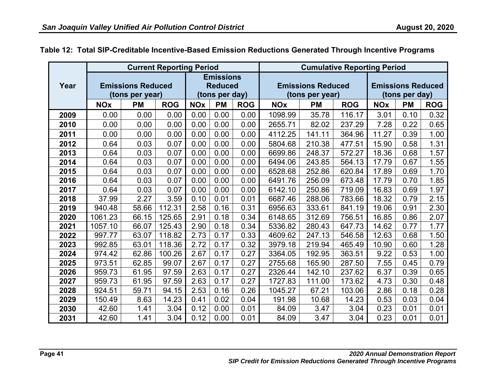|      |            |                                             | <b>Current Reporting Period</b> |                                                      |      |            | <b>Cumulative Reporting Period</b> |                                             |            |                                            |            |      |  |
|------|------------|---------------------------------------------|---------------------------------|------------------------------------------------------|------|------------|------------------------------------|---------------------------------------------|------------|--------------------------------------------|------------|------|--|
| Year |            | <b>Emissions Reduced</b><br>(tons per year) |                                 | <b>Emissions</b><br><b>Reduced</b><br>(tons per day) |      |            |                                    | <b>Emissions Reduced</b><br>(tons per year) |            | <b>Emissions Reduced</b><br>(tons per day) |            |      |  |
|      | <b>NOx</b> | <b>PM</b>                                   | <b>ROG</b>                      | <b>NOx</b><br><b>PM</b><br><b>ROG</b>                |      | <b>NOx</b> | <b>PM</b>                          | <b>ROG</b>                                  | <b>NOx</b> | <b>PM</b>                                  | <b>ROG</b> |      |  |
| 2009 | 0.00       | 0.00                                        | 0.00                            | 0.00                                                 | 0.00 | 0.00       | 1098.99                            | 35.78                                       | 116.17     | 3.01                                       | 0.10       | 0.32 |  |
| 2010 | 0.00       | 0.00                                        | 0.00                            | 0.00                                                 | 0.00 | 0.00       | 2655.71                            | 82.02                                       | 237.29     | 7.28                                       | 0.22       | 0.65 |  |
| 2011 | 0.00       | 0.00                                        | 0.00                            | 0.00                                                 | 0.00 | 0.00       | 4112.25                            | 141.11                                      | 364.96     | 11.27                                      | 0.39       | 1.00 |  |
| 2012 | 0.64       | 0.03                                        | 0.07                            | 0.00                                                 | 0.00 | 0.00       | 5804.68                            | 210.38                                      | 477.51     | 15.90                                      | 0.58       | 1.31 |  |
| 2013 | 0.64       | 0.03                                        | 0.07                            | 0.00                                                 | 0.00 | 0.00       | 6699.86                            | 248.37                                      | 572.27     | 18.36                                      | 0.68       | 1.57 |  |
| 2014 | 0.64       | 0.03                                        | 0.07                            | 0.00                                                 | 0.00 | 0.00       | 6494.06                            | 243.85                                      | 564.13     | 17.79                                      | 0.67       | 1.55 |  |
| 2015 | 0.64       | 0.03                                        | 0.07                            | 0.00                                                 | 0.00 | 0.00       | 6528.68                            | 252.86                                      | 620.84     | 17.89                                      | 0.69       | 1.70 |  |
| 2016 | 0.64       | 0.03                                        | 0.07                            | 0.00                                                 | 0.00 | 0.00       | 6491.76                            | 256.09                                      | 673.48     | 17.79                                      | 0.70       | 1.85 |  |
| 2017 | 0.64       | 0.03                                        | 0.07                            | 0.00                                                 | 0.00 | 0.00       | 6142.10                            | 250.86                                      | 719.09     | 16.83                                      | 0.69       | 1.97 |  |
| 2018 | 37.99      | 2.27                                        | 3.59                            | 0.10                                                 | 0.01 | 0.01       | 6687.46                            | 288.06                                      | 783.66     | 18.32                                      | 0.79       | 2.15 |  |
| 2019 | 940.48     | 58.66                                       | 112.31                          | 2.58                                                 | 0.16 | 0.31       | 6956.63                            | 333.61                                      | 841.19     | 19.06                                      | 0.91       | 2.30 |  |
| 2020 | 1061.23    | 66.15                                       | 125.65                          | 2.91                                                 | 0.18 | 0.34       | 6148.65                            | 312.69                                      | 756.51     | 16.85                                      | 0.86       | 2.07 |  |
| 2021 | 1057.10    | 66.07                                       | 125.43                          | 2.90                                                 | 0.18 | 0.34       | 5336.82                            | 280.43                                      | 647.73     | 14.62                                      | 0.77       | 1.77 |  |
| 2022 | 997.77     | 63.07                                       | 118.82                          | 2.73                                                 | 0.17 | 0.33       | 4609.62                            | 247.13                                      | 546.58     | 12.63                                      | 0.68       | 1.50 |  |
| 2023 | 992.85     | 63.01                                       | 118.36                          | 2.72                                                 | 0.17 | 0.32       | 3979.18                            | 219.94                                      | 465.49     | 10.90                                      | 0.60       | 1.28 |  |
| 2024 | 974.42     | 62.86                                       | 100.26                          | 2.67                                                 | 0.17 | 0.27       | 3364.05                            | 192.95                                      | 363.51     | 9.22                                       | 0.53       | 1.00 |  |
| 2025 | 973.51     | 62.85                                       | 99.07                           | 2.67                                                 | 0.17 | 0.27       | 2755.68                            | 165.90                                      | 287.50     | 7.55                                       | 0.45       | 0.79 |  |
| 2026 | 959.73     | 61.95                                       | 97.59                           | 2.63                                                 | 0.17 | 0.27       | 2326.44                            | 142.10                                      | 237.62     | 6.37                                       | 0.39       | 0.65 |  |
| 2027 | 959.73     | 61.95                                       | 97.59                           | 2.63                                                 | 0.17 | 0.27       | 1727.83                            | 111.00                                      | 173.62     | 4.73                                       | 0.30       | 0.48 |  |
| 2028 | 924.51     | 59.71                                       | 94.15                           | 2.53                                                 | 0.16 | 0.26       | 1045.27                            | 67.21                                       | 103.06     | 2.86                                       | 0.18       | 0.28 |  |
| 2029 | 150.49     | 8.63                                        | 14.23                           | 0.41                                                 | 0.02 | 0.04       | 191.98                             | 10.68                                       | 14.23      | 0.53                                       | 0.03       | 0.04 |  |
| 2030 | 42.60      | 1.41                                        | 3.04                            | 0.12                                                 | 0.00 | 0.01       | 84.09                              | 3.47                                        | 3.04       | 0.23                                       | 0.01       | 0.01 |  |
| 2031 | 42.60      | 1.41                                        | 3.04                            | 0.12                                                 | 0.00 | 0.01       | 84.09                              | 3.47                                        | 3.04       | 0.23                                       | 0.01       | 0.01 |  |

### **Table 12: Total SIP-Creditable Incentive-Based Emission Reductions Generated Through Incentive Programs**

 $\blacksquare$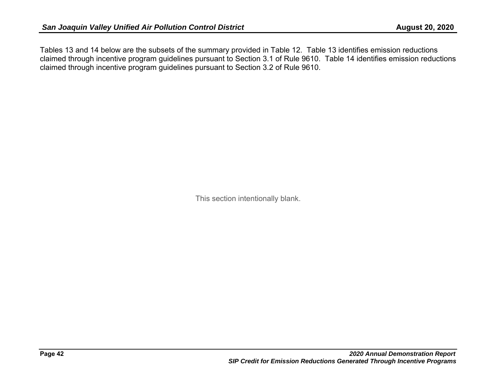Tables 13 and 14 below are the subsets of the summary provided in Table 12. Table 13 identifies emission reductions claimed through incentive program guidelines pursuant to Section 3.1 of Rule 9610. Table 14 identifies emission reductions claimed through incentive program guidelines pursuant to Section 3.2 of Rule 9610.

This section intentionally blank.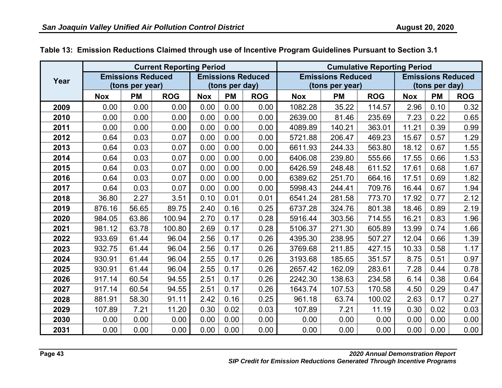|      |            |                          | <b>Current Reporting Period</b> |            |                |                          | <b>Cumulative Reporting Period</b> |                          |            |            |                |                          |
|------|------------|--------------------------|---------------------------------|------------|----------------|--------------------------|------------------------------------|--------------------------|------------|------------|----------------|--------------------------|
| Year |            | <b>Emissions Reduced</b> |                                 |            |                | <b>Emissions Reduced</b> |                                    | <b>Emissions Reduced</b> |            |            |                | <b>Emissions Reduced</b> |
|      |            | (tons per year)          |                                 |            | (tons per day) |                          |                                    | (tons per year)          |            |            | (tons per day) |                          |
|      | <b>Nox</b> | <b>PM</b>                | <b>ROG</b>                      | <b>Nox</b> | <b>PM</b>      | <b>ROG</b>               | <b>Nox</b>                         | <b>PM</b>                | <b>ROG</b> | <b>Nox</b> | <b>PM</b>      | <b>ROG</b>               |
| 2009 | 0.00       | 0.00                     | 0.00                            | 0.00       | 0.00           | 0.00                     | 1082.28                            | 35.22                    | 114.57     | 2.96       | 0.10           | 0.32                     |
| 2010 | 0.00       | 0.00                     | 0.00                            | 0.00       | 0.00           | 0.00                     | 2639.00                            | 81.46                    | 235.69     | 7.23       | 0.22           | 0.65                     |
| 2011 | 0.00       | 0.00                     | 0.00                            | 0.00       | 0.00           | 0.00                     | 4089.89                            | 140.21                   | 363.01     | 11.21      | 0.39           | 0.99                     |
| 2012 | 0.64       | 0.03                     | 0.07                            | 0.00       | 0.00           | 0.00                     | 5721.88                            | 206.47                   | 469.23     | 15.67      | 0.57           | 1.29                     |
| 2013 | 0.64       | 0.03                     | 0.07                            | 0.00       | 0.00           | 0.00                     | 6611.93                            | 244.33                   | 563.80     | 18.12      | 0.67           | 1.55                     |
| 2014 | 0.64       | 0.03                     | 0.07                            | 0.00       | 0.00           | 0.00                     | 6406.08                            | 239.80                   | 555.66     | 17.55      | 0.66           | 1.53                     |
| 2015 | 0.64       | 0.03                     | 0.07                            | 0.00       | 0.00           | 0.00                     | 6426.59                            | 248.48                   | 611.52     | 17.61      | 0.68           | 1.67                     |
| 2016 | 0.64       | 0.03                     | 0.07                            | 0.00       | 0.00           | 0.00                     | 6389.62                            | 251.70                   | 664.16     | 17.51      | 0.69           | 1.82                     |
| 2017 | 0.64       | 0.03                     | 0.07                            | 0.00       | 0.00           | 0.00                     | 5998.43                            | 244.41                   | 709.76     | 16.44      | 0.67           | 1.94                     |
| 2018 | 36.80      | 2.27                     | 3.51                            | 0.10       | 0.01           | 0.01                     | 6541.24                            | 281.58                   | 773.70     | 17.92      | 0.77           | 2.12                     |
| 2019 | 876.16     | 56.65                    | 89.75                           | 2.40       | 0.16           | 0.25                     | 6737.28                            | 324.76                   | 801.38     | 18.46      | 0.89           | 2.19                     |
| 2020 | 984.05     | 63.86                    | 100.94                          | 2.70       | 0.17           | 0.28                     | 5916.44                            | 303.56                   | 714.55     | 16.21      | 0.83           | 1.96                     |
| 2021 | 981.12     | 63.78                    | 100.80                          | 2.69       | 0.17           | 0.28                     | 5106.37                            | 271.30                   | 605.89     | 13.99      | 0.74           | 1.66                     |
| 2022 | 933.69     | 61.44                    | 96.04                           | 2.56       | 0.17           | 0.26                     | 4395.30                            | 238.95                   | 507.27     | 12.04      | 0.66           | 1.39                     |
| 2023 | 932.75     | 61.44                    | 96.04                           | 2.56       | 0.17           | 0.26                     | 3769.68                            | 211.85                   | 427.15     | 10.33      | 0.58           | 1.17                     |
| 2024 | 930.91     | 61.44                    | 96.04                           | 2.55       | 0.17           | 0.26                     | 3193.68                            | 185.65                   | 351.57     | 8.75       | 0.51           | 0.97                     |
| 2025 | 930.91     | 61.44                    | 96.04                           | 2.55       | 0.17           | 0.26                     | 2657.42                            | 162.09                   | 283.61     | 7.28       | 0.44           | 0.78                     |
| 2026 | 917.14     | 60.54                    | 94.55                           | 2.51       | 0.17           | 0.26                     | 2242.30                            | 138.63                   | 234.58     | 6.14       | 0.38           | 0.64                     |
| 2027 | 917.14     | 60.54                    | 94.55                           | 2.51       | 0.17           | 0.26                     | 1643.74                            | 107.53                   | 170.58     | 4.50       | 0.29           | 0.47                     |
| 2028 | 881.91     | 58.30                    | 91.11                           | 2.42       | 0.16           | 0.25                     | 961.18                             | 63.74                    | 100.02     | 2.63       | 0.17           | 0.27                     |
| 2029 | 107.89     | 7.21                     | 11.20                           | 0.30       | 0.02           | 0.03                     | 107.89                             | 7.21                     | 11.19      | 0.30       | 0.02           | 0.03                     |
| 2030 | 0.00       | 0.00                     | 0.00                            | 0.00       | 0.00           | 0.00                     | 0.00                               | 0.00                     | 0.00       | 0.00       | 0.00           | 0.00                     |
| 2031 | 0.00       | 0.00                     | 0.00                            | 0.00       | 0.00           | 0.00                     | 0.00                               | 0.00                     | 0.00       | 0.00       | 0.00           | 0.00                     |

### **Table 13: Emission Reductions Claimed through use of Incentive Program Guidelines Pursuant to Section 3.1**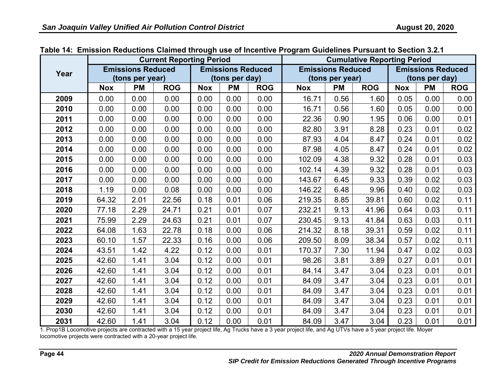|      |            |                                             | <b>Current Reporting Period</b> |            |                                            |            | <b>Cumulative Reporting Period</b> |                 |            |            |                                            |            |
|------|------------|---------------------------------------------|---------------------------------|------------|--------------------------------------------|------------|------------------------------------|-----------------|------------|------------|--------------------------------------------|------------|
| Year |            | <b>Emissions Reduced</b><br>(tons per year) |                                 |            | <b>Emissions Reduced</b><br>(tons per day) |            | <b>Emissions Reduced</b>           | (tons per year) |            |            | <b>Emissions Reduced</b><br>(tons per day) |            |
|      | <b>Nox</b> | <b>PM</b>                                   | <b>ROG</b>                      | <b>Nox</b> | <b>PM</b>                                  | <b>ROG</b> | <b>Nox</b>                         | <b>PM</b>       | <b>ROG</b> | <b>Nox</b> | <b>PM</b>                                  | <b>ROG</b> |
| 2009 | 0.00       | 0.00                                        | 0.00                            | 0.00       | 0.00                                       | 0.00       | 16.71                              | 0.56            | 1.60       | 0.05       | 0.00                                       | 0.00       |
| 2010 | 0.00       | 0.00                                        | 0.00                            | 0.00       | 0.00                                       | 0.00       | 16.71                              | 0.56            | 1.60       | 0.05       | 0.00                                       | 0.00       |
| 2011 | 0.00       | 0.00                                        | 0.00                            | 0.00       | 0.00                                       | 0.00       | 22.36                              | 0.90            | 1.95       | 0.06       | 0.00                                       | 0.01       |
| 2012 | 0.00       | 0.00                                        | 0.00                            | 0.00       | 0.00                                       | 0.00       | 82.80                              | 3.91            | 8.28       | 0.23       | 0.01                                       | 0.02       |
| 2013 | 0.00       | 0.00                                        | 0.00                            | 0.00       | 0.00                                       | 0.00       | 87.93                              | 4.04            | 8.47       | 0.24       | 0.01                                       | 0.02       |
| 2014 | 0.00       | 0.00                                        | 0.00                            | 0.00       | 0.00                                       | 0.00       | 87.98                              | 4.05            | 8.47       | 0.24       | 0.01                                       | 0.02       |
| 2015 | 0.00       | 0.00                                        | 0.00                            | 0.00       | 0.00                                       | 0.00       | 102.09                             | 4.38            | 9.32       | 0.28       | 0.01                                       | 0.03       |
| 2016 | 0.00       | 0.00                                        | 0.00                            | 0.00       | 0.00                                       | 0.00       | 102.14                             | 4.39            | 9.32       | 0.28       | 0.01                                       | 0.03       |
| 2017 | 0.00       | 0.00                                        | 0.00                            | 0.00       | 0.00                                       | 0.00       | 143.67                             | 6.45            | 9.33       | 0.39       | 0.02                                       | 0.03       |
| 2018 | 1.19       | 0.00                                        | 0.08                            | 0.00       | 0.00                                       | 0.00       | 146.22                             | 6.48            | 9.96       | 0.40       | 0.02                                       | 0.03       |
| 2019 | 64.32      | 2.01                                        | 22.56                           | 0.18       | 0.01                                       | 0.06       | 219.35                             | 8.85            | 39.81      | 0.60       | 0.02                                       | 0.11       |
| 2020 | 77.18      | 2.29                                        | 24.71                           | 0.21       | 0.01                                       | 0.07       | 232.21                             | 9.13            | 41.96      | 0.64       | 0.03                                       | 0.11       |
| 2021 | 75.99      | 2.29                                        | 24.63                           | 0.21       | 0.01                                       | 0.07       | 230.45                             | 9.13            | 41.84      | 0.63       | 0.03                                       | 0.11       |
| 2022 | 64.08      | 1.63                                        | 22.78                           | 0.18       | 0.00                                       | 0.06       | 214.32                             | 8.18            | 39.31      | 0.59       | 0.02                                       | 0.11       |
| 2023 | 60.10      | 1.57                                        | 22.33                           | 0.16       | 0.00                                       | 0.06       | 209.50                             | 8.09            | 38.34      | 0.57       | 0.02                                       | 0.11       |
| 2024 | 43.51      | 1.42                                        | 4.22                            | 0.12       | 0.00                                       | 0.01       | 170.37                             | 7.30            | 11.94      | 0.47       | 0.02                                       | 0.03       |
| 2025 | 42.60      | 1.41                                        | 3.04                            | 0.12       | 0.00                                       | 0.01       | 98.26                              | 3.81            | 3.89       | 0.27       | 0.01                                       | 0.01       |
| 2026 | 42.60      | 1.41                                        | 3.04                            | 0.12       | 0.00                                       | 0.01       | 84.14                              | 3.47            | 3.04       | 0.23       | 0.01                                       | 0.01       |
| 2027 | 42.60      | 1.41                                        | 3.04                            | 0.12       | 0.00                                       | 0.01       | 84.09                              | 3.47            | 3.04       | 0.23       | 0.01                                       | 0.01       |
| 2028 | 42.60      | 1.41                                        | 3.04                            | 0.12       | 0.00                                       | 0.01       | 84.09                              | 3.47            | 3.04       | 0.23       | 0.01                                       | 0.01       |
| 2029 | 42.60      | 1.41                                        | 3.04                            | 0.12       | 0.00                                       | 0.01       | 84.09                              | 3.47            | 3.04       | 0.23       | 0.01                                       | 0.01       |
| 2030 | 42.60      | 1.41                                        | 3.04                            | 0.12       | 0.00                                       | 0.01       | 84.09                              | 3.47            | 3.04       | 0.23       | 0.01                                       | 0.01       |
| 2031 | 42.60      | 1.41                                        | 3.04                            | 0.12       | 0.00                                       | 0.01       | 84.09                              | 3.47            | 3.04       | 0.23       | 0.01                                       | 0.01       |

|  |  | Table 14: Emission Reductions Claimed through use of Incentive Program Guidelines Pursuant to Section 3.2.1 |  |
|--|--|-------------------------------------------------------------------------------------------------------------|--|
|--|--|-------------------------------------------------------------------------------------------------------------|--|

1. Prop1B Locomotive projects are contracted with a 15 year project life, Ag Trucks have a 3 year project life, and Ag UTVs have a 5 year project life. Moyer locomotive projects were contracted with a 20-year project life.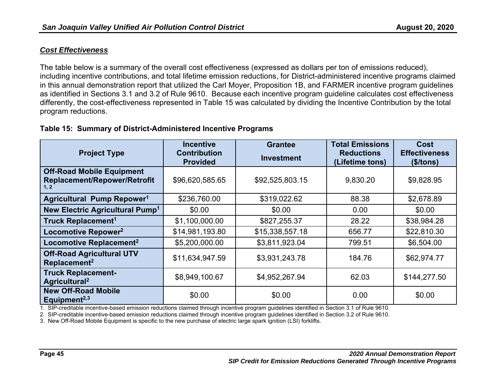### *Cost Effectiveness*

The table below is a summary of the overall cost effectiveness (expressed as dollars per ton of emissions reduced), including incentive contributions, and total lifetime emission reductions, for District-administered incentive programs claimed in this annual demonstration report that utilized the Carl Moyer, Proposition 1B, and FARMER incentive program guidelines as identified in Sections 3.1 and 3.2 of Rule 9610. Because each incentive program guideline calculates cost effectiveness differently, the cost-effectiveness represented in Table 15 was calculated by dividing the Incentive Contribution by the total program reductions.

### **Table 15: Summary of District-Administered Incentive Programs**

| <b>Project Type</b>                                                      | <b>Incentive</b><br><b>Contribution</b><br><b>Provided</b> | <b>Grantee</b><br><b>Investment</b> | <b>Total Emissions</b><br><b>Reductions</b><br>(Lifetime tons) | <b>Cost</b><br><b>Effectiveness</b><br>(\$/tons) |
|--------------------------------------------------------------------------|------------------------------------------------------------|-------------------------------------|----------------------------------------------------------------|--------------------------------------------------|
| <b>Off-Road Mobile Equipment</b><br>Replacement/Repower/Retrofit<br>1, 2 | \$96,620,585.65                                            | \$92,525,803.15                     | 9,830.20                                                       | \$9,828.95                                       |
| Agricultural Pump Repower <sup>1</sup>                                   | \$236,760.00                                               | \$319,022.62                        | 88.38                                                          | \$2,678.89                                       |
| New Electric Agricultural Pump <sup>1</sup>                              | \$0.00                                                     | \$0.00                              | 0.00                                                           | \$0.00                                           |
| Truck Replacement <sup>1</sup>                                           | \$1,100,000.00                                             | \$827,255.37                        | 28.22                                                          | \$38,984.28                                      |
| Locomotive Repower <sup>2</sup>                                          | \$14,981,193.80                                            | \$15,338,557.18                     | 656.77                                                         | \$22,810.30                                      |
| Locomotive Replacement <sup>2</sup>                                      | \$5,200,000.00                                             | \$3,811,923.04                      | 799.51                                                         | \$6,504.00                                       |
| <b>Off-Road Agricultural UTV</b><br>Replacement <sup>2</sup>             | \$11,634,947.59                                            | \$3,931,243.78                      | 184.76                                                         | \$62,974.77                                      |
| <b>Truck Replacement-</b><br>Agricultural <sup>2</sup>                   | \$8,949,100.67                                             | \$4,952,267.94                      | 62.03                                                          | \$144,277.50                                     |
| <b>New Off-Road Mobile</b><br>Equipment <sup>2,3</sup>                   | \$0.00                                                     | \$0.00                              | 0.00                                                           | \$0.00                                           |

1. SIP-creditable incentive-based emission reductions claimed through incentive program guidelines identified in Section 3.1 of Rule 9610.

2. SIP-creditable incentive-based emission reductions claimed through incentive program guidelines identified in Section 3.2 of Rule 9610.

3. New Off-Road Mobile Equipment is specific to the new purchase of electric large spark ignition (LSI) forklifts.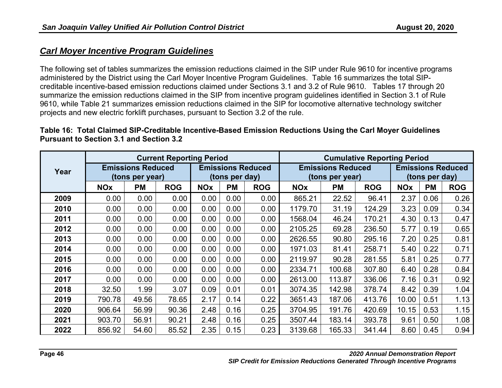### *Carl Moyer Incentive Program Guidelines*

The following set of tables summarizes the emission reductions claimed in the SIP under Rule 9610 for incentive programs administered by the District using the Carl Moyer Incentive Program Guidelines. Table 16 summarizes the total SIPcreditable incentive-based emission reductions claimed under Sections 3.1 and 3.2 of Rule 9610. Tables 17 through 20 summarize the emission reductions claimed in the SIP from incentive program guidelines identified in Section 3.1 of Rule 9610, while Table 21 summarizes emission reductions claimed in the SIP for locomotive alternative technology switcher projects and new electric forklift purchases, pursuant to Section 3.2 of the rule.

### **Table 16: Total Claimed SIP-Creditable Incentive-Based Emission Reductions Using the Carl Moyer Guidelines Pursuant to Section 3.1 and Section 3.2**

|      |            |                                             | <b>Current Reporting Period</b> |            |                                            |            | <b>Cumulative Reporting Period</b> |                                             |            |            |                |                          |
|------|------------|---------------------------------------------|---------------------------------|------------|--------------------------------------------|------------|------------------------------------|---------------------------------------------|------------|------------|----------------|--------------------------|
| Year |            | <b>Emissions Reduced</b><br>(tons per year) |                                 |            | <b>Emissions Reduced</b><br>(tons per day) |            |                                    | <b>Emissions Reduced</b><br>(tons per year) |            |            | (tons per day) | <b>Emissions Reduced</b> |
|      | <b>NOx</b> | <b>PM</b>                                   | <b>ROG</b>                      | <b>NOx</b> | <b>PM</b>                                  | <b>ROG</b> | <b>NOx</b>                         | <b>PM</b>                                   | <b>ROG</b> | <b>NOx</b> | <b>PM</b>      | <b>ROG</b>               |
| 2009 | 0.00       | 0.00                                        | 0.00                            | 0.00       | 0.00                                       | 0.00       | 865.21                             | 22.52                                       | 96.41      | 2.37       | 0.06           | 0.26                     |
| 2010 | 0.00       | 0.00                                        | 0.00                            | 0.00       | 0.00                                       | 0.00       | 1179.70                            | 31.19                                       | 124.29     | 3.23       | 0.09           | 0.34                     |
| 2011 | 0.00       | 0.00                                        | 0.00                            | 0.00       | 0.00                                       | 0.00       | 1568.04                            | 46.24                                       | 170.21     | 4.30       | 0.13           | 0.47                     |
| 2012 | 0.00       | 0.00                                        | 0.00                            | 0.00       | 0.00                                       | 0.00       | 2105.25                            | 69.28                                       | 236.50     | 5.77       | 0.19           | 0.65                     |
| 2013 | 0.00       | 0.00                                        | 0.00                            | 0.00       | 0.00                                       | 0.00       | 2626.55                            | 90.80                                       | 295.16     | 7.20       | 0.25           | 0.81                     |
| 2014 | 0.00       | 0.00                                        | 0.00                            | 0.00       | 0.00                                       | 0.00       | 1971.03                            | 81.41                                       | 258.71     | 5.40       | 0.22           | 0.71                     |
| 2015 | 0.00       | 0.00                                        | 0.00                            | 0.00       | 0.00                                       | 0.00       | 2119.97                            | 90.28                                       | 281.55     | 5.81       | 0.25           | 0.77                     |
| 2016 | 0.00       | 0.00                                        | 0.00                            | 0.00       | 0.00                                       | 0.00       | 2334.71                            | 100.68                                      | 307.80     | 6.40       | 0.28           | 0.84                     |
| 2017 | 0.00       | 0.00                                        | 0.00                            | 0.00       | 0.00                                       | 0.00       | 2613.00                            | 113.87                                      | 336.06     | 7.16       | 0.31           | 0.92                     |
| 2018 | 32.50      | 1.99                                        | 3.07                            | 0.09       | 0.01                                       | 0.01       | 3074.35                            | 142.98                                      | 378.74     | 8.42       | 0.39           | 1.04                     |
| 2019 | 790.78     | 49.56                                       | 78.65                           | 2.17       | 0.14                                       | 0.22       | 3651.43                            | 187.06                                      | 413.76     | 10.00      | 0.51           | 1.13                     |
| 2020 | 906.64     | 56.99                                       | 90.36                           | 2.48       | 0.16                                       | 0.25       | 3704.95                            | 191.76                                      | 420.69     | 10.15      | 0.53           | 1.15                     |
| 2021 | 903.70     | 56.91                                       | 90.21                           | 2.48       | 0.16                                       | 0.25       | 3507.44                            | 183.14                                      | 393.78     | 9.61       | 0.50           | 1.08                     |
| 2022 | 856.92     | 54.60                                       | 85.52                           | 2.35       | 0.15                                       | 0.23       | 3139.68                            | 165.33                                      | 341.44     | 8.60       | 0.45           | 0.94                     |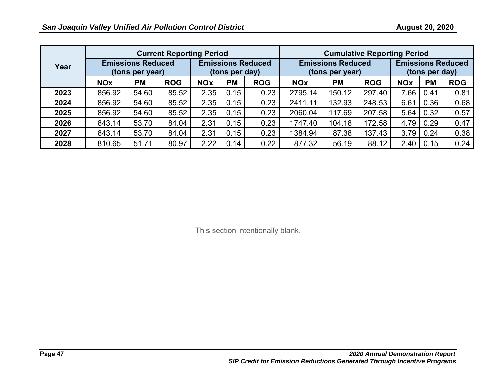|      |                       | <b>Current Reporting Period</b>             |            |                                            |           |            |                                             | <b>Cumulative Reporting Period</b> |            |                                            |           |            |  |
|------|-----------------------|---------------------------------------------|------------|--------------------------------------------|-----------|------------|---------------------------------------------|------------------------------------|------------|--------------------------------------------|-----------|------------|--|
| Year |                       | <b>Emissions Reduced</b><br>(tons per year) |            | <b>Emissions Reduced</b><br>(tons per day) |           |            | <b>Emissions Reduced</b><br>(tons per year) |                                    |            | <b>Emissions Reduced</b><br>(tons per day) |           |            |  |
|      | <b>NO<sub>x</sub></b> | PМ                                          | <b>ROG</b> | <b>NO<sub>x</sub></b>                      | <b>PM</b> | <b>ROG</b> | <b>NOx</b>                                  | <b>PM</b>                          | <b>ROG</b> | <b>NOx</b>                                 | <b>PM</b> | <b>ROG</b> |  |
| 2023 | 856.92                | 54.60                                       | 85.52      | 2.35                                       | 0.15      | 0.23       | 2795.14                                     | 150.12                             | 297.40     | 7.66                                       | 0.41      | 0.81       |  |
| 2024 | 856.92                | 54.60                                       | 85.52      | 2.35                                       | 0.15      | 0.23       | 2411.11                                     | 132.93                             | 248.53     | 6.61                                       | 0.36      | 0.68       |  |
| 2025 | 856.92                | 54.60                                       | 85.52      | 2.35                                       | 0.15      | 0.23       | 2060.04                                     | 117.69                             | 207.58     | 5.64                                       | 0.32      | 0.57       |  |
| 2026 | 843.14                | 53.70                                       | 84.04      | 2.31                                       | 0.15      | 0.23       | 1747.40                                     | 104.18                             | 172.58     | 4.79                                       | 0.29      | 0.47       |  |
| 2027 | 843.14                | 53.70                                       | 84.04      | 2.31                                       | 0.15      | 0.23       | 1384.94                                     | 87.38                              | 137.43     | 3.79                                       | 0.24      | 0.38       |  |
| 2028 | 810.65                | 51.71                                       | 80.97      | 2.22                                       | 0.14      | 0.22       | 877.32                                      | 56.19                              | 88.12      | 2.40                                       | 0.15      | 0.24       |  |

This section intentionally blank.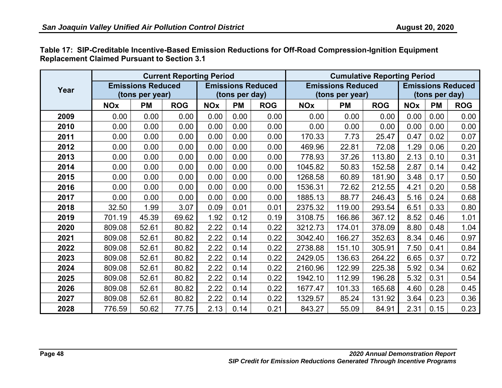|  | Table 17: SIP-Creditable Incentive-Based Emission Reductions for Off-Road Compression-Ignition Equipment |  |  |
|--|----------------------------------------------------------------------------------------------------------|--|--|
|  | <b>Replacement Claimed Pursuant to Section 3.1</b>                                                       |  |  |

|      |            |                          | <b>Current Reporting Period</b> |            | <b>Cumulative Reporting Period</b> |                          |            |                          |            |            |                |                          |
|------|------------|--------------------------|---------------------------------|------------|------------------------------------|--------------------------|------------|--------------------------|------------|------------|----------------|--------------------------|
| Year |            | <b>Emissions Reduced</b> |                                 |            |                                    | <b>Emissions Reduced</b> |            | <b>Emissions Reduced</b> |            |            |                | <b>Emissions Reduced</b> |
|      |            | (tons per year)          |                                 |            | (tons per day)                     |                          |            | (tons per year)          |            |            | (tons per day) |                          |
|      | <b>NOx</b> | <b>PM</b>                | <b>ROG</b>                      | <b>NOx</b> | <b>PM</b>                          | <b>ROG</b>               | <b>NOx</b> | <b>PM</b>                | <b>ROG</b> | <b>NOx</b> | <b>PM</b>      | <b>ROG</b>               |
| 2009 | 0.00       | 0.00                     | 0.00                            | 0.00       | 0.00                               | 0.00                     | 0.00       | 0.00                     | 0.00       | 0.00       | 0.00           | 0.00                     |
| 2010 | 0.00       | 0.00                     | 0.00                            | 0.00       | 0.00                               | 0.00                     | 0.00       | 0.00                     | 0.00       | 0.00       | 0.00           | 0.00                     |
| 2011 | 0.00       | 0.00                     | 0.00                            | 0.00       | 0.00                               | 0.00                     | 170.33     | 7.73                     | 25.47      | 0.47       | 0.02           | 0.07                     |
| 2012 | 0.00       | 0.00                     | 0.00                            | 0.00       | 0.00                               | 0.00                     | 469.96     | 22.81                    | 72.08      | 1.29       | 0.06           | 0.20                     |
| 2013 | 0.00       | 0.00                     | 0.00                            | 0.00       | 0.00                               | 0.00                     | 778.93     | 37.26                    | 113.80     | 2.13       | 0.10           | 0.31                     |
| 2014 | 0.00       | 0.00                     | 0.00                            | 0.00       | 0.00                               | 0.00                     | 1045.82    | 50.83                    | 152.58     | 2.87       | 0.14           | 0.42                     |
| 2015 | 0.00       | 0.00                     | 0.00                            | 0.00       | 0.00                               | 0.00                     | 1268.58    | 60.89                    | 181.90     | 3.48       | 0.17           | 0.50                     |
| 2016 | 0.00       | 0.00                     | 0.00                            | 0.00       | 0.00                               | 0.00                     | 1536.31    | 72.62                    | 212.55     | 4.21       | 0.20           | 0.58                     |
| 2017 | 0.00       | 0.00                     | 0.00                            | 0.00       | 0.00                               | 0.00                     | 1885.13    | 88.77                    | 246.43     | 5.16       | 0.24           | 0.68                     |
| 2018 | 32.50      | 1.99                     | 3.07                            | 0.09       | 0.01                               | 0.01                     | 2375.32    | 119.00                   | 293.54     | 6.51       | 0.33           | 0.80                     |
| 2019 | 701.19     | 45.39                    | 69.62                           | 1.92       | 0.12                               | 0.19                     | 3108.75    | 166.86                   | 367.12     | 8.52       | 0.46           | 1.01                     |
| 2020 | 809.08     | 52.61                    | 80.82                           | 2.22       | 0.14                               | 0.22                     | 3212.73    | 174.01                   | 378.09     | 8.80       | 0.48           | 1.04                     |
| 2021 | 809.08     | 52.61                    | 80.82                           | 2.22       | 0.14                               | 0.22                     | 3042.40    | 166.27                   | 352.63     | 8.34       | 0.46           | 0.97                     |
| 2022 | 809.08     | 52.61                    | 80.82                           | 2.22       | 0.14                               | 0.22                     | 2738.88    | 151.10                   | 305.91     | 7.50       | 0.41           | 0.84                     |
| 2023 | 809.08     | 52.61                    | 80.82                           | 2.22       | 0.14                               | 0.22                     | 2429.05    | 136.63                   | 264.22     | 6.65       | 0.37           | 0.72                     |
| 2024 | 809.08     | 52.61                    | 80.82                           | 2.22       | 0.14                               | 0.22                     | 2160.96    | 122.99                   | 225.38     | 5.92       | 0.34           | 0.62                     |
| 2025 | 809.08     | 52.61                    | 80.82                           | 2.22       | 0.14                               | 0.22                     | 1942.10    | 112.99                   | 196.28     | 5.32       | 0.31           | 0.54                     |
| 2026 | 809.08     | 52.61                    | 80.82                           | 2.22       | 0.14                               | 0.22                     | 1677.47    | 101.33                   | 165.68     | 4.60       | 0.28           | 0.45                     |
| 2027 | 809.08     | 52.61                    | 80.82                           | 2.22       | 0.14                               | 0.22                     | 1329.57    | 85.24                    | 131.92     | 3.64       | 0.23           | 0.36                     |
| 2028 | 776.59     | 50.62                    | 77.75                           | 2.13       | 0.14                               | 0.21                     | 843.27     | 55.09                    | 84.91      | 2.31       | 0.15           | 0.23                     |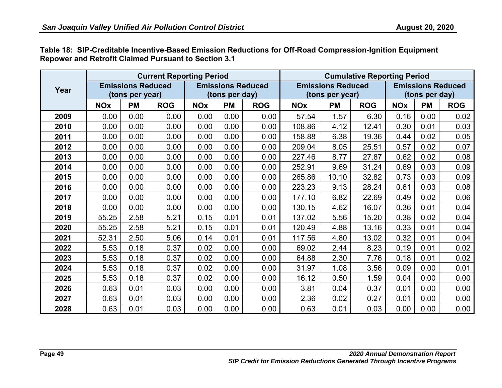|      |            | <b>Current Reporting Period</b>             |            |                                            |           |            |                                             | <b>Cumulative Reporting Period</b> |            |            |                                            |            |  |
|------|------------|---------------------------------------------|------------|--------------------------------------------|-----------|------------|---------------------------------------------|------------------------------------|------------|------------|--------------------------------------------|------------|--|
| Year |            | <b>Emissions Reduced</b><br>(tons per year) |            | <b>Emissions Reduced</b><br>(tons per day) |           |            | <b>Emissions Reduced</b><br>(tons per year) |                                    |            |            | <b>Emissions Reduced</b><br>(tons per day) |            |  |
|      | <b>NOx</b> | <b>PM</b>                                   | <b>ROG</b> | <b>NOx</b>                                 | <b>PM</b> | <b>ROG</b> | <b>NOx</b>                                  | <b>PM</b>                          | <b>ROG</b> | <b>NOx</b> | <b>PM</b>                                  | <b>ROG</b> |  |
| 2009 | 0.00       | 0.00                                        | 0.00       | 0.00                                       | 0.00      | 0.00       | 57.54                                       | 1.57                               | 6.30       | 0.16       | 0.00                                       | 0.02       |  |
| 2010 | 0.00       | 0.00                                        | 0.00       | 0.00                                       | 0.00      | 0.00       | 108.86                                      | 4.12                               | 12.41      | 0.30       | 0.01                                       | 0.03       |  |
| 2011 | 0.00       | 0.00                                        | 0.00       | 0.00                                       | 0.00      | 0.00       | 158.88                                      | 6.38                               | 19.36      | 0.44       | 0.02                                       | 0.05       |  |
| 2012 | 0.00       | 0.00                                        | 0.00       | 0.00                                       | 0.00      | 0.00       | 209.04                                      | 8.05                               | 25.51      | 0.57       | 0.02                                       | 0.07       |  |
| 2013 | 0.00       | 0.00                                        | 0.00       | 0.00                                       | 0.00      | 0.00       | 227.46                                      | 8.77                               | 27.87      | 0.62       | 0.02                                       | 0.08       |  |
| 2014 | 0.00       | 0.00                                        | 0.00       | 0.00                                       | 0.00      | 0.00       | 252.91                                      | 9.69                               | 31.24      | 0.69       | 0.03                                       | 0.09       |  |
| 2015 | 0.00       | 0.00                                        | 0.00       | 0.00                                       | 0.00      | 0.00       | 265.86                                      | 10.10                              | 32.82      | 0.73       | 0.03                                       | 0.09       |  |
| 2016 | 0.00       | 0.00                                        | 0.00       | 0.00                                       | 0.00      | 0.00       | 223.23                                      | 9.13                               | 28.24      | 0.61       | 0.03                                       | 0.08       |  |
| 2017 | 0.00       | 0.00                                        | 0.00       | 0.00                                       | 0.00      | 0.00       | 177.10                                      | 6.82                               | 22.69      | 0.49       | 0.02                                       | 0.06       |  |
| 2018 | 0.00       | 0.00                                        | 0.00       | 0.00                                       | 0.00      | 0.00       | 130.15                                      | 4.62                               | 16.07      | 0.36       | 0.01                                       | 0.04       |  |
| 2019 | 55.25      | 2.58                                        | 5.21       | 0.15                                       | 0.01      | 0.01       | 137.02                                      | 5.56                               | 15.20      | 0.38       | 0.02                                       | 0.04       |  |
| 2020 | 55.25      | 2.58                                        | 5.21       | 0.15                                       | 0.01      | 0.01       | 120.49                                      | 4.88                               | 13.16      | 0.33       | 0.01                                       | 0.04       |  |
| 2021 | 52.31      | 2.50                                        | 5.06       | 0.14                                       | 0.01      | 0.01       | 117.56                                      | 4.80                               | 13.02      | 0.32       | 0.01                                       | 0.04       |  |
| 2022 | 5.53       | 0.18                                        | 0.37       | 0.02                                       | 0.00      | 0.00       | 69.02                                       | 2.44                               | 8.23       | 0.19       | 0.01                                       | 0.02       |  |
| 2023 | 5.53       | 0.18                                        | 0.37       | 0.02                                       | 0.00      | 0.00       | 64.88                                       | 2.30                               | 7.76       | 0.18       | 0.01                                       | 0.02       |  |
| 2024 | 5.53       | 0.18                                        | 0.37       | 0.02                                       | 0.00      | 0.00       | 31.97                                       | 1.08                               | 3.56       | 0.09       | 0.00                                       | 0.01       |  |
| 2025 | 5.53       | 0.18                                        | 0.37       | 0.02                                       | 0.00      | 0.00       | 16.12                                       | 0.50                               | 1.59       | 0.04       | 0.00                                       | 0.00       |  |
| 2026 | 0.63       | 0.01                                        | 0.03       | 0.00                                       | 0.00      | 0.00       | 3.81                                        | 0.04                               | 0.37       | 0.01       | 0.00                                       | 0.00       |  |
| 2027 | 0.63       | 0.01                                        | 0.03       | 0.00                                       | 0.00      | 0.00       | 2.36                                        | 0.02                               | 0.27       | 0.01       | 0.00                                       | 0.00       |  |
| 2028 | 0.63       | 0.01                                        | 0.03       | 0.00                                       | 0.00      | 0.00       | 0.63                                        | 0.01                               | 0.03       | 0.00       | 0.00                                       | 0.00       |  |

**Table 18: SIP-Creditable Incentive-Based Emission Reductions for Off-Road Compression-Ignition Equipment Repower and Retrofit Claimed Pursuant to Section 3.1**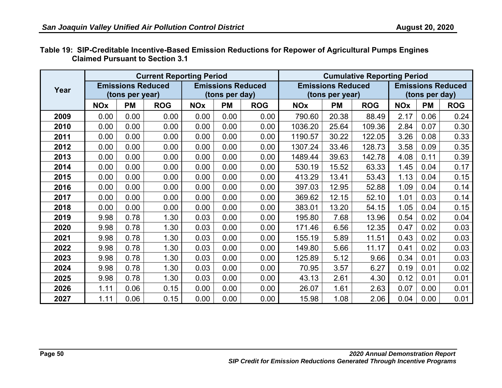|      |            |                                             | <b>Current Reporting Period</b> |            |                                            |            |            |                                             | <b>Cumulative Reporting Period</b> |            |                |                          |
|------|------------|---------------------------------------------|---------------------------------|------------|--------------------------------------------|------------|------------|---------------------------------------------|------------------------------------|------------|----------------|--------------------------|
| Year |            | <b>Emissions Reduced</b><br>(tons per year) |                                 |            | <b>Emissions Reduced</b><br>(tons per day) |            |            | <b>Emissions Reduced</b><br>(tons per year) |                                    |            | (tons per day) | <b>Emissions Reduced</b> |
|      | <b>NOx</b> | <b>PM</b>                                   | <b>ROG</b>                      | <b>NOx</b> | <b>PM</b>                                  | <b>ROG</b> | <b>NOx</b> | <b>PM</b>                                   | <b>ROG</b>                         | <b>NOx</b> | <b>PM</b>      | <b>ROG</b>               |
| 2009 | 0.00       | 0.00                                        | 0.00                            | 0.00       | 0.00                                       | 0.00       | 790.60     | 20.38                                       | 88.49                              | 2.17       | 0.06           | 0.24                     |
| 2010 | 0.00       | 0.00                                        | 0.00                            | 0.00       | 0.00                                       | 0.00       | 1036.20    | 25.64                                       | 109.36                             | 2.84       | 0.07           | 0.30                     |
| 2011 | 0.00       | 0.00                                        | 0.00                            | 0.00       | 0.00                                       | 0.00       | 1190.57    | 30.22                                       | 122.05                             | 3.26       | 0.08           | 0.33                     |
| 2012 | 0.00       | 0.00                                        | 0.00                            | 0.00       | 0.00                                       | 0.00       | 1307.24    | 33.46                                       | 128.73                             | 3.58       | 0.09           | 0.35                     |
| 2013 | 0.00       | 0.00                                        | 0.00                            | 0.00       | 0.00                                       | 0.00       | 1489.44    | 39.63                                       | 142.78                             | 4.08       | 0.11           | 0.39                     |
| 2014 | 0.00       | 0.00                                        | 0.00                            | 0.00       | 0.00                                       | 0.00       | 530.19     | 15.52                                       | 63.33                              | 1.45       | 0.04           | 0.17                     |
| 2015 | 0.00       | 0.00                                        | 0.00                            | 0.00       | 0.00                                       | 0.00       | 413.29     | 13.41                                       | 53.43                              | 1.13       | 0.04           | 0.15                     |
| 2016 | 0.00       | 0.00                                        | 0.00                            | 0.00       | 0.00                                       | 0.00       | 397.03     | 12.95                                       | 52.88                              | 1.09       | 0.04           | 0.14                     |
| 2017 | 0.00       | 0.00                                        | 0.00                            | 0.00       | 0.00                                       | 0.00       | 369.62     | 12.15                                       | 52.10                              | 1.01       | 0.03           | 0.14                     |
| 2018 | 0.00       | 0.00                                        | 0.00                            | 0.00       | 0.00                                       | 0.00       | 383.01     | 13.20                                       | 54.15                              | 1.05       | 0.04           | 0.15                     |
| 2019 | 9.98       | 0.78                                        | 1.30                            | 0.03       | 0.00                                       | 0.00       | 195.80     | 7.68                                        | 13.96                              | 0.54       | 0.02           | 0.04                     |
| 2020 | 9.98       | 0.78                                        | 1.30                            | 0.03       | 0.00                                       | 0.00       | 171.46     | 6.56                                        | 12.35                              | 0.47       | 0.02           | 0.03                     |
| 2021 | 9.98       | 0.78                                        | 1.30                            | 0.03       | 0.00                                       | 0.00       | 155.19     | 5.89                                        | 11.51                              | 0.43       | 0.02           | 0.03                     |
| 2022 | 9.98       | 0.78                                        | 1.30                            | 0.03       | 0.00                                       | 0.00       | 149.80     | 5.66                                        | 11.17                              | 0.41       | 0.02           | 0.03                     |
| 2023 | 9.98       | 0.78                                        | 1.30                            | 0.03       | 0.00                                       | 0.00       | 125.89     | 5.12                                        | 9.66                               | 0.34       | 0.01           | 0.03                     |
| 2024 | 9.98       | 0.78                                        | 1.30                            | 0.03       | 0.00                                       | 0.00       | 70.95      | 3.57                                        | 6.27                               | 0.19       | 0.01           | 0.02                     |
| 2025 | 9.98       | 0.78                                        | 1.30                            | 0.03       | 0.00                                       | 0.00       | 43.13      | 2.61                                        | 4.30                               | 0.12       | 0.01           | 0.01                     |
| 2026 | 1.11       | 0.06                                        | 0.15                            | 0.00       | 0.00                                       | 0.00       | 26.07      | 1.61                                        | 2.63                               | 0.07       | 0.00           | 0.01                     |
| 2027 | 1.11       | 0.06                                        | 0.15                            | 0.00       | 0.00                                       | 0.00       | 15.98      | 1.08                                        | 2.06                               | 0.04       | 0.00           | 0.01                     |

### **Table 19: SIP-Creditable Incentive-Based Emission Reductions for Repower of Agricultural Pumps Engines Claimed Pursuant to Section 3.1**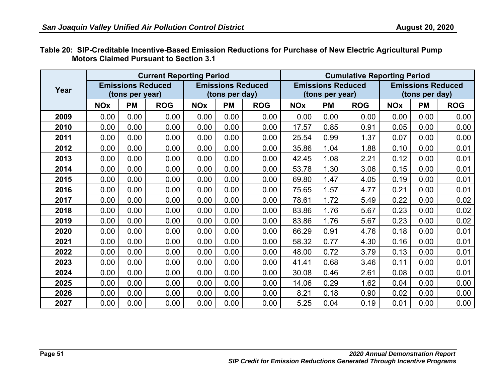|                                               |  | Table 20: SIP-Creditable Incentive-Based Emission Reductions for Purchase of New Electric Agricultural Pump |  |
|-----------------------------------------------|--|-------------------------------------------------------------------------------------------------------------|--|
| <b>Motors Claimed Pursuant to Section 3.1</b> |  |                                                                                                             |  |

|      |            |                                             | <b>Current Reporting Period</b> |            |                                            |            | <b>Cumulative Reporting Period</b><br><b>Emissions Reduced</b><br><b>Emissions Reduced</b><br>(tons per day)<br>(tons per year)<br><b>PM</b><br><b>ROG</b><br><b>NOx</b><br><b>NOx</b><br><b>PM</b><br>0.00<br>0.00<br>0.00<br>0.00<br>0.00<br>0.00<br>0.00<br>0.85<br>0.05<br>17.57<br>0.91<br>0.00<br>25.54<br>0.99<br>1.37<br>0.07<br>0.00<br>0.00 |      |      |      |      |            |
|------|------------|---------------------------------------------|---------------------------------|------------|--------------------------------------------|------------|-------------------------------------------------------------------------------------------------------------------------------------------------------------------------------------------------------------------------------------------------------------------------------------------------------------------------------------------------------|------|------|------|------|------------|
| Year |            | <b>Emissions Reduced</b><br>(tons per year) |                                 |            | <b>Emissions Reduced</b><br>(tons per day) |            |                                                                                                                                                                                                                                                                                                                                                       |      |      |      |      |            |
|      | <b>NOx</b> | <b>PM</b>                                   | <b>ROG</b>                      | <b>NOx</b> | <b>PM</b>                                  | <b>ROG</b> |                                                                                                                                                                                                                                                                                                                                                       |      |      |      |      | <b>ROG</b> |
| 2009 | 0.00       | 0.00                                        | 0.00                            | 0.00       | 0.00                                       |            |                                                                                                                                                                                                                                                                                                                                                       |      |      |      |      | 0.00       |
| 2010 | 0.00       | 0.00                                        | 0.00                            | 0.00       | 0.00                                       |            |                                                                                                                                                                                                                                                                                                                                                       |      |      |      |      | 0.00       |
| 2011 | 0.00       | 0.00                                        | 0.00                            | 0.00       | 0.00                                       |            |                                                                                                                                                                                                                                                                                                                                                       |      |      |      |      | 0.00       |
| 2012 | 0.00       | 0.00                                        | 0.00                            | 0.00       | 0.00                                       | 0.00       | 35.86                                                                                                                                                                                                                                                                                                                                                 | 1.04 | 1.88 | 0.10 | 0.00 | 0.01       |
| 2013 | 0.00       | 0.00                                        | 0.00                            | 0.00       | 0.00                                       | 0.00       | 42.45                                                                                                                                                                                                                                                                                                                                                 | 1.08 | 2.21 | 0.12 | 0.00 | 0.01       |
| 2014 | 0.00       | 0.00                                        | 0.00                            | 0.00       | 0.00                                       | 0.00       | 53.78                                                                                                                                                                                                                                                                                                                                                 | 1.30 | 3.06 | 0.15 | 0.00 | 0.01       |
| 2015 | 0.00       | 0.00                                        | 0.00                            | 0.00       | 0.00                                       | 0.00       | 69.80                                                                                                                                                                                                                                                                                                                                                 | 1.47 | 4.05 | 0.19 | 0.00 | 0.01       |
| 2016 | 0.00       | 0.00                                        | 0.00                            | 0.00       | 0.00                                       | 0.00       | 75.65                                                                                                                                                                                                                                                                                                                                                 | 1.57 | 4.77 | 0.21 | 0.00 | 0.01       |
| 2017 | 0.00       | 0.00                                        | 0.00                            | 0.00       | 0.00                                       | 0.00       | 78.61                                                                                                                                                                                                                                                                                                                                                 | 1.72 | 5.49 | 0.22 | 0.00 | 0.02       |
| 2018 | 0.00       | 0.00                                        | 0.00                            | 0.00       | 0.00                                       | 0.00       | 83.86                                                                                                                                                                                                                                                                                                                                                 | 1.76 | 5.67 | 0.23 | 0.00 | 0.02       |
| 2019 | 0.00       | 0.00                                        | 0.00                            | 0.00       | 0.00                                       | 0.00       | 83.86                                                                                                                                                                                                                                                                                                                                                 | 1.76 | 5.67 | 0.23 | 0.00 | 0.02       |
| 2020 | 0.00       | 0.00                                        | 0.00                            | 0.00       | 0.00                                       | 0.00       | 66.29                                                                                                                                                                                                                                                                                                                                                 | 0.91 | 4.76 | 0.18 | 0.00 | 0.01       |
| 2021 | 0.00       | 0.00                                        | 0.00                            | 0.00       | 0.00                                       | 0.00       | 58.32                                                                                                                                                                                                                                                                                                                                                 | 0.77 | 4.30 | 0.16 | 0.00 | 0.01       |
| 2022 | 0.00       | 0.00                                        | 0.00                            | 0.00       | 0.00                                       | 0.00       | 48.00                                                                                                                                                                                                                                                                                                                                                 | 0.72 | 3.79 | 0.13 | 0.00 | 0.01       |
| 2023 | 0.00       | 0.00                                        | 0.00                            | 0.00       | 0.00                                       | 0.00       | 41.41                                                                                                                                                                                                                                                                                                                                                 | 0.68 | 3.46 | 0.11 | 0.00 | 0.01       |
| 2024 | 0.00       | 0.00                                        | 0.00                            | 0.00       | 0.00                                       | 0.00       | 30.08                                                                                                                                                                                                                                                                                                                                                 | 0.46 | 2.61 | 0.08 | 0.00 | 0.01       |
| 2025 | 0.00       | 0.00                                        | 0.00                            | 0.00       | 0.00                                       | 0.00       | 14.06                                                                                                                                                                                                                                                                                                                                                 | 0.29 | 1.62 | 0.04 | 0.00 | 0.00       |
| 2026 | 0.00       | 0.00                                        | 0.00                            | 0.00       | 0.00                                       | 0.00       | 8.21                                                                                                                                                                                                                                                                                                                                                  | 0.18 | 0.90 | 0.02 | 0.00 | 0.00       |
| 2027 | 0.00       | 0.00                                        | 0.00                            | 0.00       | 0.00                                       | 0.00       | 5.25                                                                                                                                                                                                                                                                                                                                                  | 0.04 | 0.19 | 0.01 | 0.00 | 0.00       |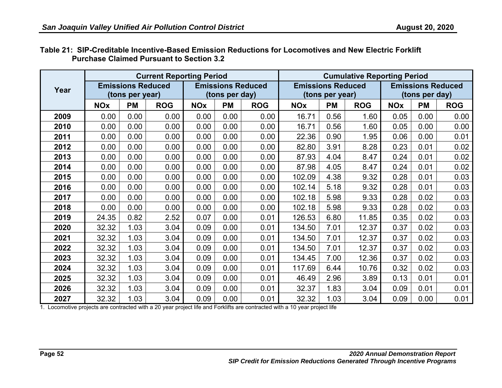| Table 21: SIP-Creditable Incentive-Based Emission Reductions for Locomotives and New Electric Forklift |  |  |
|--------------------------------------------------------------------------------------------------------|--|--|
| <b>Purchase Claimed Pursuant to Section 3.2</b>                                                        |  |  |

|      |            |                          | <b>Current Reporting Period</b> |            |                |                          |                          |                 | <b>Cumulative Reporting Period</b> |            | <b>Emissions Reduced</b> |            |
|------|------------|--------------------------|---------------------------------|------------|----------------|--------------------------|--------------------------|-----------------|------------------------------------|------------|--------------------------|------------|
| Year |            | <b>Emissions Reduced</b> |                                 |            |                | <b>Emissions Reduced</b> | <b>Emissions Reduced</b> |                 |                                    |            |                          |            |
|      |            | (tons per year)          |                                 |            | (tons per day) |                          |                          | (tons per year) |                                    |            | (tons per day)           |            |
|      | <b>NOx</b> | <b>PM</b>                | <b>ROG</b>                      | <b>NOx</b> | PM             | <b>ROG</b>               | <b>NOx</b>               | <b>PM</b>       | <b>ROG</b>                         | <b>NOx</b> | <b>PM</b>                | <b>ROG</b> |
| 2009 | 0.00       | 0.00                     | 0.00                            | 0.00       | 0.00           | 0.00                     | 16.71                    | 0.56            | 1.60                               | 0.05       | 0.00                     | 0.00       |
| 2010 | 0.00       | 0.00                     | 0.00                            | 0.00       | 0.00           | 0.00                     | 16.71                    | 0.56            | 1.60                               | 0.05       | 0.00                     | 0.00       |
| 2011 | 0.00       | 0.00                     | 0.00                            | 0.00       | 0.00           | 0.00                     | 22.36                    | 0.90            | 1.95                               | 0.06       | 0.00                     | 0.01       |
| 2012 | 0.00       | 0.00                     | 0.00                            | 0.00       | 0.00           | 0.00                     | 82.80                    | 3.91            | 8.28                               | 0.23       | 0.01                     | 0.02       |
| 2013 | 0.00       | 0.00                     | 0.00                            | 0.00       | 0.00           | 0.00                     | 87.93                    | 4.04            | 8.47                               | 0.24       | 0.01                     | 0.02       |
| 2014 | 0.00       | 0.00                     | 0.00                            | 0.00       | 0.00           | 0.00                     | 87.98                    | 4.05            | 8.47                               | 0.24       | 0.01                     | 0.02       |
| 2015 | 0.00       | 0.00                     | 0.00                            | 0.00       | 0.00           | 0.00                     | 102.09                   | 4.38            | 9.32                               | 0.28       | 0.01                     | 0.03       |
| 2016 | 0.00       | 0.00                     | 0.00                            | 0.00       | 0.00           | 0.00                     | 102.14                   | 5.18            | 9.32                               | 0.28       | 0.01                     | 0.03       |
| 2017 | 0.00       | 0.00                     | 0.00                            | 0.00       | 0.00           | 0.00                     | 102.18                   | 5.98            | 9.33                               | 0.28       | 0.02                     | 0.03       |
| 2018 | 0.00       | 0.00                     | 0.00                            | 0.00       | 0.00           | 0.00                     | 102.18                   | 5.98            | 9.33                               | 0.28       | 0.02                     | 0.03       |
| 2019 | 24.35      | 0.82                     | 2.52                            | 0.07       | 0.00           | 0.01                     | 126.53                   | 6.80            | 11.85                              | 0.35       | 0.02                     | 0.03       |
| 2020 | 32.32      | 1.03                     | 3.04                            | 0.09       | 0.00           | 0.01                     | 134.50                   | 7.01            | 12.37                              | 0.37       | 0.02                     | 0.03       |
| 2021 | 32.32      | 1.03                     | 3.04                            | 0.09       | 0.00           | 0.01                     | 134.50                   | 7.01            | 12.37                              | 0.37       | 0.02                     | 0.03       |
| 2022 | 32.32      | 1.03                     | 3.04                            | 0.09       | 0.00           | 0.01                     | 134.50                   | 7.01            | 12.37                              | 0.37       | 0.02                     | 0.03       |
| 2023 | 32.32      | 1.03                     | 3.04                            | 0.09       | 0.00           | 0.01                     | 134.45                   | 7.00            | 12.36                              | 0.37       | 0.02                     | 0.03       |
| 2024 | 32.32      | 1.03                     | 3.04                            | 0.09       | 0.00           | 0.01                     | 117.69                   | 6.44            | 10.76                              | 0.32       | 0.02                     | 0.03       |
| 2025 | 32.32      | 1.03                     | 3.04                            | 0.09       | 0.00           | 0.01                     | 46.49                    | 2.96            | 3.89                               | 0.13       | 0.01                     | 0.01       |
| 2026 | 32.32      | 1.03                     | 3.04                            | 0.09       | 0.00           | 0.01                     | 32.37                    | 1.83            | 3.04                               | 0.09       | 0.01                     | 0.01       |
| 2027 | 32.32      | 1.03                     | 3.04                            | 0.09       | 0.00           | 0.01                     | 32.32                    | 1.03            | 3.04                               | 0.09       | 0.00                     | 0.01       |

1. Locomotive projects are contracted with a 20 year project life and Forklifts are contracted with a 10 year project life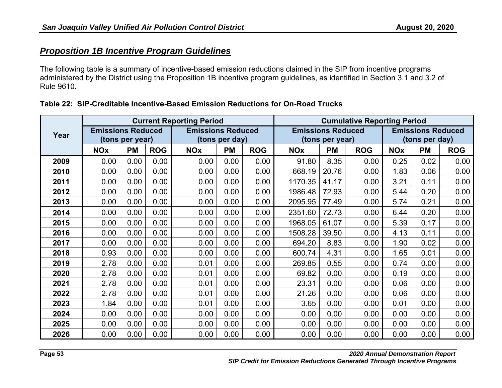### *Proposition 1B Incentive Program Guidelines*

The following table is a summary of incentive-based emission reductions claimed in the SIP from incentive programs administered by the District using the Proposition 1B incentive program guidelines, as identified in Section 3.1 and 3.2 of Rule 9610.

|      |                          |                 |            | <b>Current Reporting Period</b> |                | <b>Cumulative Reporting Period</b><br><b>Emissions Reduced</b><br><b>Emissions Reduced</b><br>(tons per year)<br>(tons per day)<br><b>ROG</b><br><b>NOx</b><br><b>PM</b><br><b>NO<sub>x</sub></b><br><b>PM</b><br><b>ROG</b><br>8.35<br>0.00<br>91.80<br>0.00<br>0.25<br>0.02<br>1.83<br>0.00<br>20.76<br>0.00<br>0.06<br>668.19<br>3.21<br>0.00<br>1170.35<br>41.17<br>0.00<br>0.11<br>72.93<br>0.00<br>1986.48<br>0.00<br>5.44<br>0.20<br>2095.95<br>77.49<br>0.00<br>5.74<br>0.21<br>0.00 |         |       |      |      |      |            |
|------|--------------------------|-----------------|------------|---------------------------------|----------------|----------------------------------------------------------------------------------------------------------------------------------------------------------------------------------------------------------------------------------------------------------------------------------------------------------------------------------------------------------------------------------------------------------------------------------------------------------------------------------------------|---------|-------|------|------|------|------------|
| Year | <b>Emissions Reduced</b> | (tons per year) |            | <b>Emissions Reduced</b>        | (tons per day) |                                                                                                                                                                                                                                                                                                                                                                                                                                                                                              |         |       |      |      |      |            |
|      | <b>NOx</b>               | <b>PM</b>       | <b>ROG</b> | <b>NOx</b>                      | <b>PM</b>      |                                                                                                                                                                                                                                                                                                                                                                                                                                                                                              |         |       |      |      |      | <b>ROG</b> |
| 2009 | 0.00                     | 0.00            | 0.00       | 0.00                            | 0.00           |                                                                                                                                                                                                                                                                                                                                                                                                                                                                                              |         |       |      |      |      | 0.00       |
| 2010 | 0.00                     | 0.00            | 0.00       | 0.00                            | 0.00           |                                                                                                                                                                                                                                                                                                                                                                                                                                                                                              |         |       |      |      |      | 0.00       |
| 2011 | 0.00                     | 0.00            | 0.00       | 0.00                            | 0.00           |                                                                                                                                                                                                                                                                                                                                                                                                                                                                                              |         |       |      |      |      | 0.00       |
| 2012 | 0.00                     | 0.00            | 0.00       | 0.00                            | 0.00           |                                                                                                                                                                                                                                                                                                                                                                                                                                                                                              |         |       |      |      |      | 0.00       |
| 2013 | 0.00                     | 0.00            | 0.00       | 0.00                            | 0.00           |                                                                                                                                                                                                                                                                                                                                                                                                                                                                                              |         |       |      |      |      | 0.00       |
| 2014 | 0.00                     | 0.00            | 0.00       | 0.00                            | 0.00           | 0.00                                                                                                                                                                                                                                                                                                                                                                                                                                                                                         | 2351.60 | 72.73 | 0.00 | 6.44 | 0.20 | 0.00       |
| 2015 | 0.00                     | 0.00            | 0.00       | 0.00                            | 0.00           | 0.00                                                                                                                                                                                                                                                                                                                                                                                                                                                                                         | 1968.05 | 61.07 | 0.00 | 5.39 | 0.17 | 0.00       |
| 2016 | 0.00                     | 0.00            | 0.00       | 0.00                            | 0.00           | 0.00                                                                                                                                                                                                                                                                                                                                                                                                                                                                                         | 1508.28 | 39.50 | 0.00 | 4.13 | 0.11 | 0.00       |
| 2017 | 0.00                     | 0.00            | 0.00       | 0.00                            | 0.00           | 0.00                                                                                                                                                                                                                                                                                                                                                                                                                                                                                         | 694.20  | 8.83  | 0.00 | 1.90 | 0.02 | 0.00       |
| 2018 | 0.93                     | 0.00            | 0.00       | 0.00                            | 0.00           | 0.00                                                                                                                                                                                                                                                                                                                                                                                                                                                                                         | 600.74  | 4.31  | 0.00 | 1.65 | 0.01 | 0.00       |
| 2019 | 2.78                     | 0.00            | 0.00       | 0.01                            | 0.00           | 0.00                                                                                                                                                                                                                                                                                                                                                                                                                                                                                         | 269.85  | 0.55  | 0.00 | 0.74 | 0.00 | 0.00       |
| 2020 | 2.78                     | 0.00            | 0.00       | 0.01                            | 0.00           | 0.00                                                                                                                                                                                                                                                                                                                                                                                                                                                                                         | 69.82   | 0.00  | 0.00 | 0.19 | 0.00 | 0.00       |
| 2021 | 2.78                     | 0.00            | 0.00       | 0.01                            | 0.00           | 0.00                                                                                                                                                                                                                                                                                                                                                                                                                                                                                         | 23.31   | 0.00  | 0.00 | 0.06 | 0.00 | 0.00       |
| 2022 | 2.78                     | 0.00            | 0.00       | 0.01                            | 0.00           | 0.00                                                                                                                                                                                                                                                                                                                                                                                                                                                                                         | 21.26   | 0.00  | 0.00 | 0.06 | 0.00 | 0.00       |
| 2023 | 1.84                     | 0.00            | 0.00       | 0.01                            | 0.00           | 0.00                                                                                                                                                                                                                                                                                                                                                                                                                                                                                         | 3.65    | 0.00  | 0.00 | 0.01 | 0.00 | 0.00       |
| 2024 | 0.00                     | 0.00            | 0.00       | 0.00                            | 0.00           | 0.00                                                                                                                                                                                                                                                                                                                                                                                                                                                                                         | 0.00    | 0.00  | 0.00 | 0.00 | 0.00 | 0.00       |
| 2025 | 0.00                     | 0.00            | 0.00       | 0.00                            | 0.00           | 0.00                                                                                                                                                                                                                                                                                                                                                                                                                                                                                         | 0.00    | 0.00  | 0.00 | 0.00 | 0.00 | 0.00       |
| 2026 | 0.00                     | 0.00            | 0.00       | 0.00                            | 0.00           | 0.00                                                                                                                                                                                                                                                                                                                                                                                                                                                                                         | 0.00    | 0.00  | 0.00 | 0.00 | 0.00 | 0.00       |

### **Table 22: SIP-Creditable Incentive-Based Emission Reductions for On-Road Trucks**

**Page 53** *2020 Annual Demonstration Report SIP Credit for Emission Reductions Generated Through Incentive Programs*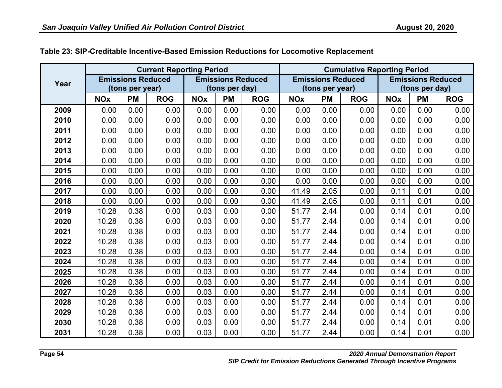| <b>Current Reporting Period</b><br><b>Cumulative Reporting Period</b><br><b>Emissions Reduced</b><br><b>Emissions Reduced</b><br><b>Emissions Reduced</b> |            |                 |            |            |                |            |            |                 |            |                       |                          |            |
|-----------------------------------------------------------------------------------------------------------------------------------------------------------|------------|-----------------|------------|------------|----------------|------------|------------|-----------------|------------|-----------------------|--------------------------|------------|
| Year                                                                                                                                                      |            |                 |            |            |                |            |            |                 |            |                       | <b>Emissions Reduced</b> |            |
|                                                                                                                                                           |            | (tons per year) |            |            | (tons per day) |            |            | (tons per year) |            |                       | (tons per day)           |            |
|                                                                                                                                                           | <b>NOx</b> | <b>PM</b>       | <b>ROG</b> | <b>NOx</b> | <b>PM</b>      | <b>ROG</b> | <b>NOx</b> | <b>PM</b>       | <b>ROG</b> | <b>NO<sub>x</sub></b> | <b>PM</b>                | <b>ROG</b> |
| 2009                                                                                                                                                      | 0.00       | 0.00            | 0.00       | 0.00       | 0.00           | 0.00       | 0.00       | 0.00            | 0.00       | 0.00                  | 0.00                     | 0.00       |
| 2010                                                                                                                                                      | 0.00       | 0.00            | 0.00       | 0.00       | 0.00           | 0.00       | 0.00       | 0.00            | 0.00       | 0.00                  | 0.00                     | 0.00       |
| 2011                                                                                                                                                      | 0.00       | 0.00            | 0.00       | 0.00       | 0.00           | 0.00       | 0.00       | 0.00            | 0.00       | 0.00                  | 0.00                     | 0.00       |
| 2012                                                                                                                                                      | 0.00       | 0.00            | 0.00       | 0.00       | 0.00           | 0.00       | 0.00       | 0.00            | 0.00       | 0.00                  | 0.00                     | 0.00       |
| 2013                                                                                                                                                      | 0.00       | 0.00            | 0.00       | 0.00       | 0.00           | 0.00       | 0.00       | 0.00            | 0.00       | 0.00                  | 0.00                     | 0.00       |
| 2014                                                                                                                                                      | 0.00       | 0.00            | 0.00       | 0.00       | 0.00           | 0.00       | 0.00       | 0.00            | 0.00       | 0.00                  | 0.00                     | 0.00       |
| 2015                                                                                                                                                      | 0.00       | 0.00            | 0.00       | 0.00       | 0.00           | 0.00       | 0.00       | 0.00            | 0.00       | 0.00                  | 0.00                     | 0.00       |
| 2016                                                                                                                                                      | 0.00       | 0.00            | 0.00       | 0.00       | 0.00           | 0.00       | 0.00       | 0.00            | 0.00       | 0.00                  | 0.00                     | 0.00       |
| 2017                                                                                                                                                      | 0.00       | 0.00            | 0.00       | 0.00       | 0.00           | 0.00       | 41.49      | 2.05            | 0.00       | 0.11                  | 0.01                     | 0.00       |
| 2018                                                                                                                                                      | 0.00       | 0.00            | 0.00       | 0.00       | 0.00           | 0.00       | 41.49      | 2.05            | 0.00       | 0.11                  | 0.01                     | 0.00       |
| 2019                                                                                                                                                      | 10.28      | 0.38            | 0.00       | 0.03       | 0.00           | 0.00       | 51.77      | 2.44            | 0.00       | 0.14                  | 0.01                     | 0.00       |
| 2020                                                                                                                                                      | 10.28      | 0.38            | 0.00       | 0.03       | 0.00           | 0.00       | 51.77      | 2.44            | 0.00       | 0.14                  | 0.01                     | 0.00       |
| 2021                                                                                                                                                      | 10.28      | 0.38            | 0.00       | 0.03       | 0.00           | 0.00       | 51.77      | 2.44            | 0.00       | 0.14                  | 0.01                     | 0.00       |
| 2022                                                                                                                                                      | 10.28      | 0.38            | 0.00       | 0.03       | 0.00           | 0.00       | 51.77      | 2.44            | 0.00       | 0.14                  | 0.01                     | 0.00       |
| 2023                                                                                                                                                      | 10.28      | 0.38            | 0.00       | 0.03       | 0.00           | 0.00       | 51.77      | 2.44            | 0.00       | 0.14                  | 0.01                     | 0.00       |
| 2024                                                                                                                                                      | 10.28      | 0.38            | 0.00       | 0.03       | 0.00           | 0.00       | 51.77      | 2.44            | 0.00       | 0.14                  | 0.01                     | 0.00       |
| 2025                                                                                                                                                      | 10.28      | 0.38            | 0.00       | 0.03       | 0.00           | 0.00       | 51.77      | 2.44            | 0.00       | 0.14                  | 0.01                     | 0.00       |
| 2026                                                                                                                                                      | 10.28      | 0.38            | 0.00       | 0.03       | 0.00           | 0.00       | 51.77      | 2.44            | 0.00       | 0.14                  | 0.01                     | 0.00       |
| 2027                                                                                                                                                      | 10.28      | 0.38            | 0.00       | 0.03       | 0.00           | 0.00       | 51.77      | 2.44            | 0.00       | 0.14                  | 0.01                     | 0.00       |
| 2028                                                                                                                                                      | 10.28      | 0.38            | 0.00       | 0.03       | 0.00           | 0.00       | 51.77      | 2.44            | 0.00       | 0.14                  | 0.01                     | 0.00       |
| 2029                                                                                                                                                      | 10.28      | 0.38            | 0.00       | 0.03       | 0.00           | 0.00       | 51.77      | 2.44            | 0.00       | 0.14                  | 0.01                     | 0.00       |
| 2030                                                                                                                                                      | 10.28      | 0.38            | 0.00       | 0.03       | 0.00           | 0.00       | 51.77      | 2.44            | 0.00       | 0.14                  | 0.01                     | 0.00       |
| 2031                                                                                                                                                      | 10.28      | 0.38            | 0.00       | 0.03       | 0.00           | 0.00       | 51.77      | 2.44            | 0.00       | 0.14                  | 0.01                     | 0.00       |

### **Table 23: SIP-Creditable Incentive-Based Emission Reductions for Locomotive Replacement**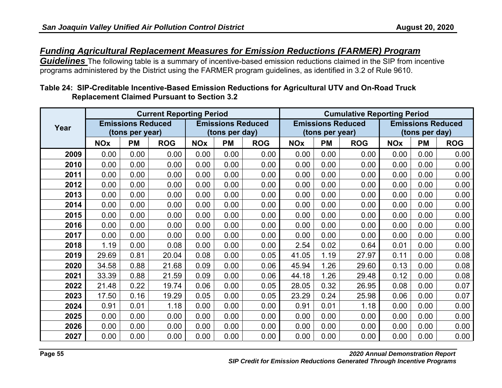### *Funding Agricultural Replacement Measures for Emission Reductions (FARMER) Program*

*Guidelines* The following table is a summary of incentive-based emission reductions claimed in the SIP from incentive programs administered by the District using the FARMER program guidelines, as identified in 3.2 of Rule 9610.

### **Table 24: SIP-Creditable Incentive-Based Emission Reductions for Agricultural UTV and On-Road Truck Replacement Claimed Pursuant to Section 3.2**

|      |            |                          | <b>Current Reporting Period</b> |            |                          |            |            |                 |                          |                                                                                                                                                                                                                                                                                                                                                                                             |      |            |
|------|------------|--------------------------|---------------------------------|------------|--------------------------|------------|------------|-----------------|--------------------------|---------------------------------------------------------------------------------------------------------------------------------------------------------------------------------------------------------------------------------------------------------------------------------------------------------------------------------------------------------------------------------------------|------|------------|
| Year |            | <b>Emissions Reduced</b> |                                 |            | <b>Emissions Reduced</b> |            |            |                 | <b>Emissions Reduced</b> |                                                                                                                                                                                                                                                                                                                                                                                             |      |            |
|      |            | (tons per year)          |                                 |            | (tons per day)           |            |            | (tons per year) |                          | <b>Cumulative Reporting Period</b><br><b>Emissions Reduced</b><br>(tons per day)<br><b>NOx</b><br><b>PM</b><br>0.00<br>0.00<br>0.00<br>0.00<br>0.00<br>0.00<br>0.00<br>0.00<br>0.00<br>0.00<br>0.00<br>0.00<br>0.00<br>0.00<br>0.00<br>0.00<br>0.00<br>0.00<br>0.00<br>0.01<br>0.11<br>0.00<br>0.00<br>0.13<br>0.12<br>0.00<br>0.08<br>0.00<br>0.00<br>0.06<br>0.00<br>0.00<br>0.00<br>0.00 |      |            |
|      | <b>NOx</b> | <b>PM</b>                | <b>ROG</b>                      | <b>NOx</b> | <b>PM</b>                | <b>ROG</b> | <b>NOx</b> | <b>PM</b>       | <b>ROG</b>               |                                                                                                                                                                                                                                                                                                                                                                                             |      | <b>ROG</b> |
| 2009 | 0.00       | 0.00                     | 0.00                            | 0.00       | 0.00                     | 0.00       | 0.00       | 0.00            | 0.00                     |                                                                                                                                                                                                                                                                                                                                                                                             |      | 0.00       |
| 2010 | 0.00       | 0.00                     | 0.00                            | 0.00       | 0.00                     | 0.00       | 0.00       | 0.00            | 0.00                     |                                                                                                                                                                                                                                                                                                                                                                                             |      | 0.00       |
| 2011 | 0.00       | 0.00                     | 0.00                            | 0.00       | 0.00                     | 0.00       | 0.00       | 0.00            | 0.00                     |                                                                                                                                                                                                                                                                                                                                                                                             |      | 0.00       |
| 2012 | 0.00       | 0.00                     | 0.00                            | 0.00       | 0.00                     | 0.00       | 0.00       | 0.00            | 0.00                     |                                                                                                                                                                                                                                                                                                                                                                                             |      | 0.00       |
| 2013 | 0.00       | 0.00                     | 0.00                            | 0.00       | 0.00                     | 0.00       | 0.00       | 0.00            | 0.00                     |                                                                                                                                                                                                                                                                                                                                                                                             |      | 0.00       |
| 2014 | 0.00       | 0.00                     | 0.00                            | 0.00       | 0.00                     | 0.00       | 0.00       | 0.00            | 0.00                     |                                                                                                                                                                                                                                                                                                                                                                                             |      | 0.00       |
| 2015 | 0.00       | 0.00                     | 0.00                            | 0.00       | 0.00                     | 0.00       | 0.00       | 0.00            | 0.00                     |                                                                                                                                                                                                                                                                                                                                                                                             |      | 0.00       |
| 2016 | 0.00       | 0.00                     | 0.00                            | 0.00       | 0.00                     | 0.00       | 0.00       | 0.00            | 0.00                     |                                                                                                                                                                                                                                                                                                                                                                                             |      | 0.00       |
| 2017 | 0.00       | 0.00                     | 0.00                            | 0.00       | 0.00                     | 0.00       | 0.00       | 0.00            | 0.00                     |                                                                                                                                                                                                                                                                                                                                                                                             |      | 0.00       |
| 2018 | 1.19       | 0.00                     | 0.08                            | 0.00       | 0.00                     | 0.00       | 2.54       | 0.02            | 0.64                     |                                                                                                                                                                                                                                                                                                                                                                                             |      | 0.00       |
| 2019 | 29.69      | 0.81                     | 20.04                           | 0.08       | 0.00                     | 0.05       | 41.05      | 1.19            | 27.97                    |                                                                                                                                                                                                                                                                                                                                                                                             |      | 0.08       |
| 2020 | 34.58      | 0.88                     | 21.68                           | 0.09       | 0.00                     | 0.06       | 45.94      | 1.26            | 29.60                    |                                                                                                                                                                                                                                                                                                                                                                                             |      | 0.08       |
| 2021 | 33.39      | 0.88                     | 21.59                           | 0.09       | 0.00                     | 0.06       | 44.18      | 1.26            | 29.48                    |                                                                                                                                                                                                                                                                                                                                                                                             |      | 0.08       |
| 2022 | 21.48      | 0.22                     | 19.74                           | 0.06       | 0.00                     | 0.05       | 28.05      | 0.32            | 26.95                    |                                                                                                                                                                                                                                                                                                                                                                                             |      | 0.07       |
| 2023 | 17.50      | 0.16                     | 19.29                           | 0.05       | 0.00                     | 0.05       | 23.29      | 0.24            | 25.98                    |                                                                                                                                                                                                                                                                                                                                                                                             |      | 0.07       |
| 2024 | 0.91       | 0.01                     | 1.18                            | 0.00       | 0.00                     | 0.00       | 0.91       | 0.01            | 1.18                     |                                                                                                                                                                                                                                                                                                                                                                                             |      | 0.00       |
| 2025 | 0.00       | 0.00                     | 0.00                            | 0.00       | 0.00                     | 0.00       | 0.00       | 0.00            | 0.00                     |                                                                                                                                                                                                                                                                                                                                                                                             |      | 0.00       |
| 2026 | 0.00       | 0.00                     | 0.00                            | 0.00       | 0.00                     | 0.00       | 0.00       | 0.00            | 0.00                     | 0.00                                                                                                                                                                                                                                                                                                                                                                                        | 0.00 | 0.00       |
| 2027 | 0.00       | 0.00                     | 0.00                            | 0.00       | 0.00                     | 0.00       | 0.00       | 0.00            | 0.00                     | 0.00                                                                                                                                                                                                                                                                                                                                                                                        | 0.00 | 0.00       |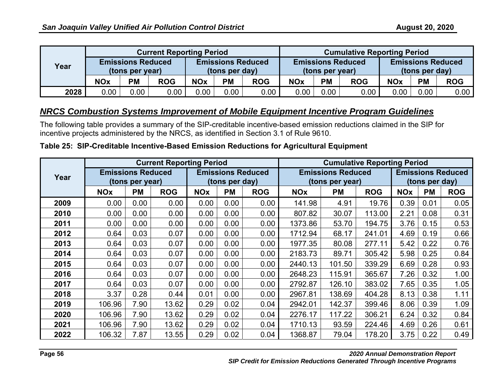|      |            |                                             | <b>Current Reporting Period</b> |            |                                            |            |              |                 |                                                                                                                                                                               |  |            |
|------|------------|---------------------------------------------|---------------------------------|------------|--------------------------------------------|------------|--------------|-----------------|-------------------------------------------------------------------------------------------------------------------------------------------------------------------------------|--|------------|
| Year |            | <b>Emissions Reduced</b><br>(tons per year) |                                 |            | <b>Emissions Reduced</b><br>(tons per day) |            |              | (tons per year) | <b>Cumulative Reporting Period</b><br><b>Emissions Reduced</b><br><b>Emissions Reduced</b><br>(tons per day)<br><b>ROG</b><br><b>PM</b><br><b>NOx</b><br>0.00<br>0.00<br>0.00 |  |            |
|      | <b>NOx</b> | <b>PM</b>                                   | <b>ROG</b>                      | <b>NOx</b> | <b>PM</b>                                  | <b>ROG</b> | <b>NOx</b>   | <b>PM</b>       |                                                                                                                                                                               |  | <b>ROG</b> |
| 2028 | $0.00\,$   | 0.00<br>0.00                                |                                 | $0.00\,$   | 0.00                                       | 0.00       | 0.00<br>0.00 |                 |                                                                                                                                                                               |  | 0.00       |

### *NRCS Combustion Systems Improvement of Mobile Equipment Incentive Program Guidelines*

The following table provides a summary of the SIP-creditable incentive-based emission reductions claimed in the SIP for incentive projects administered by the NRCS, as identified in Section 3.1 of Rule 9610.

### **Table 25: SIP-Creditable Incentive-Based Emission Reductions for Agricultural Equipment**

|      |                          |                 | <b>Current Reporting Period</b> |            |                |                          |            |                          | <b>Cumulative Reporting Period</b> |            |                |                          |
|------|--------------------------|-----------------|---------------------------------|------------|----------------|--------------------------|------------|--------------------------|------------------------------------|------------|----------------|--------------------------|
| Year | <b>Emissions Reduced</b> |                 |                                 |            |                | <b>Emissions Reduced</b> |            | <b>Emissions Reduced</b> |                                    |            |                | <b>Emissions Reduced</b> |
|      |                          | (tons per year) |                                 |            | (tons per day) |                          |            | (tons per year)          |                                    |            | (tons per day) |                          |
|      | <b>NOx</b>               | РM              | <b>ROG</b>                      | <b>NOx</b> | PМ             | <b>ROG</b>               | <b>NOx</b> | <b>PM</b>                | <b>ROG</b>                         | <b>NOx</b> | PМ             | <b>ROG</b>               |
| 2009 | 0.00                     | 0.00            | 0.00                            | 0.00       | 0.00           | 0.00                     | 141.98     | 4.91                     | 19.76                              | 0.39       | 0.01           | 0.05                     |
| 2010 | 0.00                     | 0.00            | 0.00                            | 0.00       | 0.00           | 0.00                     | 807.82     | 30.07                    | 113.00                             | 2.21       | 0.08           | 0.31                     |
| 2011 | 0.00                     | 0.00            | 0.00                            | 0.00       | 0.00           | 0.00                     | 1373.86    | 53.70                    | 194.75                             | 3.76       | 0.15           | 0.53                     |
| 2012 | 0.64                     | 0.03            | 0.07                            | 0.00       | 0.00           | 0.00                     | 1712.94    | 68.17                    | 241.01                             | 4.69       | 0.19           | 0.66                     |
| 2013 | 0.64                     | 0.03            | 0.07                            | 0.00       | 0.00           | 0.00                     | 1977.35    | 80.08                    | 277.11                             | 5.42       | 0.22           | 0.76                     |
| 2014 | 0.64                     | 0.03            | 0.07                            | 0.00       | 0.00           | 0.00                     | 2183.73    | 89.71                    | 305.42                             | 5.98       | 0.25           | 0.84                     |
| 2015 | 0.64                     | 0.03            | 0.07                            | 0.00       | 0.00           | 0.00                     | 2440.13    | 101.50                   | 339.29                             | 6.69       | 0.28           | 0.93                     |
| 2016 | 0.64                     | 0.03            | 0.07                            | 0.00       | 0.00           | 0.00                     | 2648.23    | 115.91                   | 365.67                             | 7.26       | 0.32           | 1.00                     |
| 2017 | 0.64                     | 0.03            | 0.07                            | 0.00       | 0.00           | 0.00                     | 2792.87    | 126.10                   | 383.02                             | 7.65       | 0.35           | 1.05                     |
| 2018 | 3.37                     | 0.28            | 0.44                            | 0.01       | 0.00           | 0.00                     | 2967.81    | 138.69                   | 404.28                             | 8.13       | 0.38           | 1.11                     |
| 2019 | 106.96                   | 7.90            | 13.62                           | 0.29       | 0.02           | 0.04                     | 2942.01    | 142.37                   | 399.46                             | 8.06       | 0.39           | 1.09                     |
| 2020 | 106.96                   | 7.90            | 13.62                           | 0.29       | 0.02           | 0.04                     | 2276.17    | 117.22                   | 306.21                             | 6.24       | 0.32           | 0.84                     |
| 2021 | 106.96                   | 7.90            | 13.62                           | 0.29       | 0.02           | 0.04                     | 1710.13    | 93.59                    | 224.46                             | 4.69       | 0.26           | 0.61                     |
| 2022 | 106.32                   | 7.87            | 13.55                           | 0.29       | 0.02           | 0.04                     | 1368.87    | 79.04                    | 178.20                             | 3.75       | 0.22           | 0.49                     |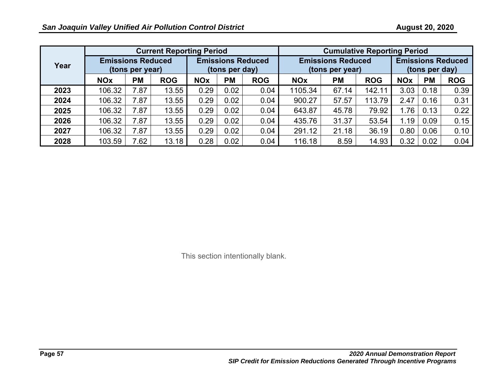|                                                     |            |                         | <b>Current Reporting Period</b> |                       |                |                          |            |                                             | <b>Cumulative Reporting Period</b> |                                            |           |            |
|-----------------------------------------------------|------------|-------------------------|---------------------------------|-----------------------|----------------|--------------------------|------------|---------------------------------------------|------------------------------------|--------------------------------------------|-----------|------------|
| <b>Emissions Reduced</b><br>Year<br>(tons per year) |            |                         |                                 |                       | (tons per day) | <b>Emissions Reduced</b> |            | <b>Emissions Reduced</b><br>(tons per year) |                                    | <b>Emissions Reduced</b><br>(tons per day) |           |            |
|                                                     | <b>NOx</b> | <b>PM</b><br><b>ROG</b> |                                 | <b>NO<sub>x</sub></b> | <b>PM</b>      | <b>ROG</b>               | <b>NOx</b> | <b>PM</b>                                   | <b>ROG</b>                         | <b>NO<sub>x</sub></b>                      | <b>PM</b> | <b>ROG</b> |
| 2023                                                | 106.32     | 7.87                    | 13.55                           | 0.29                  | 0.02           | 0.04                     | 1105.34    | 67.14                                       | 142.11                             | 3.03                                       | 0.18      | 0.39       |
| 2024                                                | 106.32     | 1.87                    | 13.55                           | 0.29                  | 0.02           | 0.04                     | 900.27     | 57.57                                       | 113.79                             | 2.47                                       | 0.16      | 0.31       |
| 2025                                                | 106.32     | 7.87                    | 13.55                           | 0.29                  | 0.02           | 0.04                     | 643.87     | 45.78                                       | 79.92                              | .76                                        | 0.13      | 0.22       |
| 2026                                                | 106.32     | .87                     | 13.55                           | 0.29                  | 0.02           | 0.04                     | 435.76     | 31.37                                       | 53.54                              | 1.19                                       | 0.09      | 0.15       |
| 2027                                                | 106.32     | $'$ .87                 | 13.55                           | 0.29                  | 0.02           | 0.04                     | 291.12     | 21.18                                       | 36.19                              | 0.80                                       | 0.06      | 0.10       |
| 2028                                                | 103.59     | .62                     | 13.18                           | 0.28                  | 0.02           | 0.04                     | 116.18     | 8.59                                        | 14.93                              | 0.32                                       | 0.02      | 0.04       |

This section intentionally blank.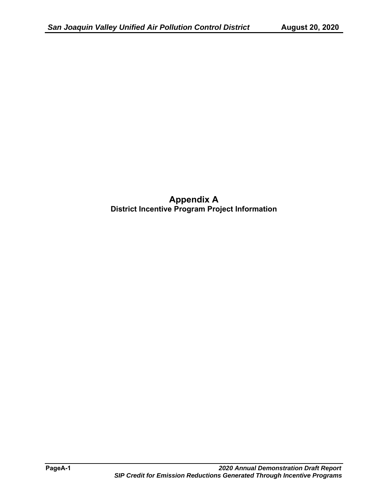**Appendix A District Incentive Program Project Information**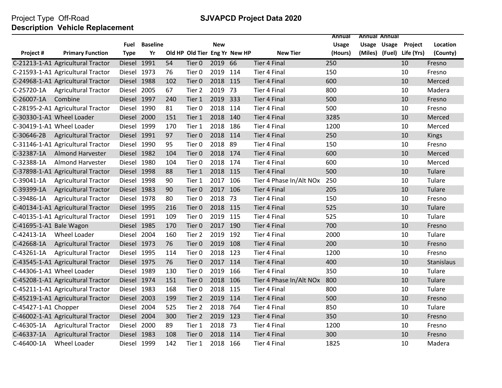|                         |                                   |             |                 |     |                   |            |                               |                         | Annual       | <b>Annual Annual</b> |                           |              |
|-------------------------|-----------------------------------|-------------|-----------------|-----|-------------------|------------|-------------------------------|-------------------------|--------------|----------------------|---------------------------|--------------|
|                         |                                   | <b>Fuel</b> | <b>Baseline</b> |     |                   | <b>New</b> |                               |                         | <b>Usage</b> |                      | Usage Usage Project       | Location     |
| Project#                | <b>Primary Function</b>           | Type        | Yr              |     |                   |            | Old HP Old Tier Eng Yr New HP | <b>New Tier</b>         | (Hours)      |                      | (Miles) (Fuel) Life (Yrs) | (County)     |
|                         | C-21213-1-A1 Agricultural Tractor | Diesel 1991 |                 | 54  | Tier <sub>0</sub> | 2019       | 66                            | Tier 4 Final            | 250          |                      | 10                        | Fresno       |
|                         | C-21593-1-A1 Agricultural Tractor | Diesel 1973 |                 | 76  | Tier 0            | 2019       | 114                           | Tier 4 Final            | 150          |                      | 10                        | Fresno       |
|                         | C-24968-1-A1 Agricultural Tractor | Diesel 1988 |                 | 102 | Tier <sub>0</sub> | 2018 115   |                               | Tier 4 Final            | 600          |                      | 10                        | Merced       |
| C-25720-1A              | <b>Agricultural Tractor</b>       | Diesel 2005 |                 | 67  | Tier 2            | 2019 73    |                               | Tier 4 Final            | 800          |                      | 10                        | Madera       |
| C-26007-1A              | Combine                           | Diesel 1997 |                 | 240 | Tier 1            | 2019       | 333                           | <b>Tier 4 Final</b>     | 500          |                      | 10                        | Fresno       |
|                         | C-28195-2-A1 Agricultural Tractor | Diesel 1990 |                 | 81  | Tier <sub>0</sub> | 2018       | 114                           | Tier 4 Final            | 500          |                      | 10                        | Fresno       |
|                         | C-30330-1-A1 Wheel Loader         | Diesel 2000 |                 | 151 | Tier 1            | 2018       | 140                           | Tier 4 Final            | 3285         |                      | 10                        | Merced       |
|                         | C-30419-1-A1 Wheel Loader         | Diesel 1999 |                 | 170 | Tier 1            | 2018       | 186                           | Tier 4 Final            | 1200         |                      | 10                        | Merced       |
| C-30646-2B              | <b>Agricultural Tractor</b>       | Diesel 1991 |                 | 97  | Tier <sub>0</sub> | 2018 114   |                               | Tier 4 Final            | 250          |                      | 10                        | <b>Kings</b> |
|                         | C-31146-1-A1 Agricultural Tractor | Diesel 1990 |                 | 95  | Tier <sub>0</sub> | 2018 89    |                               | Tier 4 Final            | 150          |                      | 10                        | Fresno       |
| C-32387-1A              | <b>Almond Harvester</b>           | Diesel 1982 |                 | 104 | Tier <sub>0</sub> | 2018 174   |                               | <b>Tier 4 Final</b>     | 600          |                      | 10                        | Merced       |
| C-32388-1A              | <b>Almond Harvester</b>           | Diesel 1980 |                 | 104 | Tier <sub>0</sub> | 2018       | 174                           | Tier 4 Final            | 600          |                      | 10                        | Merced       |
|                         | C-37898-1-A1 Agricultural Tractor | Diesel 1998 |                 | 88  | Tier 1            | 2018 115   |                               | Tier 4 Final            | 500          |                      | 10                        | Tulare       |
| C-39041-1A              | <b>Agricultural Tractor</b>       | Diesel 1998 |                 | 90  | Tier 1            | 2017       | 106                           | Tier 4 Phase In/Alt NOx | 250          |                      | 10                        | Tulare       |
| C-39399-1A              | <b>Agricultural Tractor</b>       | Diesel 1983 |                 | 90  | Tier <sub>0</sub> | 2017 106   |                               | <b>Tier 4 Final</b>     | 205          |                      | 10                        | Tulare       |
| C-39486-1A              | <b>Agricultural Tractor</b>       | Diesel 1978 |                 | 80  | Tier 0            | 2018 73    |                               | Tier 4 Final            | 150          |                      | 10                        | Fresno       |
|                         | C-40134-1-A1 Agricultural Tractor | Diesel 1995 |                 | 216 | Tier <sub>0</sub> | 2018 115   |                               | Tier 4 Final            | 525          |                      | 10                        | Tulare       |
|                         | C-40135-1-A1 Agricultural Tractor | Diesel 1991 |                 | 109 | Tier <sub>0</sub> | 2019       | 115                           | Tier 4 Final            | 525          |                      | 10                        | Tulare       |
| C-41695-1-A1 Bale Wagon |                                   | Diesel 1985 |                 | 170 | Tier 0            | 2017       | 190                           | Tier 4 Final            | 700          |                      | 10                        | Fresno       |
| C-42413-1A              | Wheel Loader                      | Diesel 2004 |                 | 160 | Tier 2            | 2019       | 192                           | Tier 4 Final            | 2000         |                      | 10                        | Tulare       |
| C-42668-1A              | <b>Agricultural Tractor</b>       | Diesel 1973 |                 | 76  | Tier <sub>0</sub> | 2019       | 108                           | Tier 4 Final            | 200          |                      | 10                        | Fresno       |
| C-43261-1A              | <b>Agricultural Tractor</b>       | Diesel 1995 |                 | 114 | Tier 0            | 2018       | 123                           | Tier 4 Final            | 1200         |                      | 10                        | Fresno       |
|                         | C-43545-1-A1 Agricultural Tractor | Diesel 1975 |                 | 76  | Tier <sub>0</sub> | 2017 114   |                               | Tier 4 Final            | 400          |                      | 10                        | Stanislaus   |
|                         | C-44306-1-A1 Wheel Loader         | Diesel 1989 |                 | 130 | Tier <sub>0</sub> | 2019       | 166                           | Tier 4 Final            | 350          |                      | 10                        | Tulare       |
|                         | C-45208-1-A1 Agricultural Tractor | Diesel 1974 |                 | 151 | Tier <sub>0</sub> | 2018       | 106                           | Tier 4 Phase In/Alt NOx | 800          |                      | 10                        | Tulare       |
|                         | C-45211-1-A1 Agricultural Tractor | Diesel 1983 |                 | 168 | Tier <sub>0</sub> | 2018       | 115                           | Tier 4 Final            | 800          |                      | 10                        | Tulare       |
|                         | C-45219-1-A1 Agricultural Tractor | Diesel 2003 |                 | 199 | Tier 2            | 2019       | 114                           | <b>Tier 4 Final</b>     | 500          |                      | 10                        | Fresno       |
| C-45427-1-A1 Chopper    |                                   | Diesel 2004 |                 | 525 | Tier 2            | 2018 764   |                               | Tier 4 Final            | 850          |                      | 10                        | Tulare       |
|                         | C-46002-1-A1 Agricultural Tractor | Diesel 2004 |                 | 300 | Tier 2            | 2019 123   |                               | Tier 4 Final            | 350          |                      | 10                        | Fresno       |
| C-46305-1A              | <b>Agricultural Tractor</b>       | Diesel 2000 |                 | 89  | Tier 1            | 2018 73    |                               | Tier 4 Final            | 1200         |                      | 10                        | Fresno       |
| C-46337-1A              | <b>Agricultural Tractor</b>       | Diesel 1983 |                 | 108 | Tier <sub>0</sub> | 2018       | 114                           | Tier 4 Final            | 300          |                      | 10                        | Fresno       |
| C-46400-1A              | Wheel Loader                      | Diesel 1999 |                 | 142 | Tier 1            | 2018       | 166                           | Tier 4 Final            | 1825         |                      | 10                        | Madera       |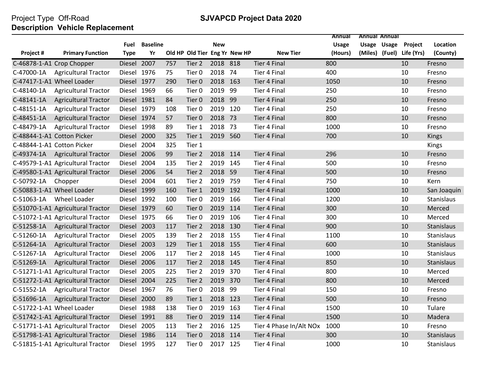|                    |                                   |             |                 |     |                   |            |                               |                         | Annual       | <b>Annual Annual</b> |                           |              |
|--------------------|-----------------------------------|-------------|-----------------|-----|-------------------|------------|-------------------------------|-------------------------|--------------|----------------------|---------------------------|--------------|
|                    |                                   | Fuel        | <b>Baseline</b> |     |                   | <b>New</b> |                               |                         | <b>Usage</b> |                      | Usage Usage Project       | Location     |
| <b>Project #</b>   | <b>Primary Function</b>           | <b>Type</b> | Yr              |     |                   |            | Old HP Old Tier Eng Yr New HP | <b>New Tier</b>         | (Hours)      |                      | (Miles) (Fuel) Life (Yrs) | (County)     |
|                    | C-46878-1-A1 Crop Chopper         | Diesel 2007 |                 | 757 | Tier 2            | 2018 818   |                               | <b>Tier 4 Final</b>     | 800          |                      | 10                        | Fresno       |
| C-47000-1A         | <b>Agricultural Tractor</b>       | Diesel 1976 |                 | 75  | Tier 0            | 2018 74    |                               | Tier 4 Final            | 400          |                      | 10                        | Fresno       |
|                    | C-47417-1-A1 Wheel Loader         | Diesel 1977 |                 | 290 | Tier <sub>0</sub> | 2018 163   |                               | <b>Tier 4 Final</b>     | 1050         |                      | 10                        | Fresno       |
| C-48140-1A         | <b>Agricultural Tractor</b>       | Diesel 1969 |                 | 66  | Tier 0            | 2019       | 99                            | Tier 4 Final            | 250          |                      | 10                        | Fresno       |
| C-48141-1A         | <b>Agricultural Tractor</b>       | Diesel 1981 |                 | 84  | Tier 0            | 2018 99    |                               | Tier 4 Final            | 250          |                      | 10                        | Fresno       |
| C-48151-1A         | <b>Agricultural Tractor</b>       | Diesel 1979 |                 | 108 | Tier 0            | 2019 120   |                               | Tier 4 Final            | 250          |                      | 10                        | Fresno       |
| C-48451-1A         | <b>Agricultural Tractor</b>       | Diesel 1974 |                 | 57  | Tier <sub>0</sub> | 2018 73    |                               | Tier 4 Final            | 800          |                      | 10                        | Fresno       |
| C-48479-1A         | <b>Agricultural Tractor</b>       | Diesel 1998 |                 | 89  | Tier 1            | 2018 73    |                               | Tier 4 Final            | 1000         |                      | 10                        | Fresno       |
|                    | C-48844-1-A1 Cotton Picker        | Diesel 2000 |                 | 325 | Tier 1            | 2019 560   |                               | Tier 4 Final            | 700          |                      | 10                        | <b>Kings</b> |
|                    | C-48844-1-A1 Cotton Picker        | Diesel      | 2004            | 325 | Tier 1            |            |                               |                         |              |                      |                           | Kings        |
|                    | C-49374-1A Agricultural Tractor   | Diesel 2006 |                 | 99  | Tier 2            | 2018 114   |                               | Tier 4 Final            | 296          |                      | 10                        | Fresno       |
|                    | C-49579-1-A1 Agricultural Tractor | Diesel 2004 |                 | 135 | Tier 2            | 2019 145   |                               | Tier 4 Final            | 500          |                      | 10                        | Fresno       |
|                    | C-49580-1-A1 Agricultural Tractor | Diesel 2006 |                 | 54  | Tier 2            | 2018 59    |                               | Tier 4 Final            | 500          |                      | 10                        | Fresno       |
| C-50792-1A Chopper |                                   | Diesel 2004 |                 | 601 | Tier 2            | 2019 759   |                               | Tier 4 Final            | 750          |                      | 10                        | Kern         |
|                    | C-50883-1-A1 Wheel Loader         | Diesel 1999 |                 | 160 | Tier 1            | 2019 192   |                               | Tier 4 Final            | 1000         |                      | 10                        | San Joaquin  |
|                    | C-51063-1A Wheel Loader           | Diesel 1992 |                 | 100 | Tier 0            | 2019 166   |                               | Tier 4 Final            | 1200         |                      | 10                        | Stanislaus   |
|                    | C-51070-1-A1 Agricultural Tractor | Diesel 1979 |                 | 60  | Tier 0            | 2019 114   |                               | Tier 4 Final            | 300          |                      | 10                        | Merced       |
|                    | C-51072-1-A1 Agricultural Tractor | Diesel 1975 |                 | 66  | Tier 0            | 2019       | 106                           | Tier 4 Final            | 300          |                      | 10                        | Merced       |
|                    | C-51258-1A Agricultural Tractor   | Diesel 2003 |                 | 117 | Tier <sub>2</sub> | 2018 130   |                               | Tier 4 Final            | 900          |                      | 10                        | Stanislaus   |
| C-51260-1A         | <b>Agricultural Tractor</b>       | Diesel 2005 |                 | 139 | Tier 2            | 2018 155   |                               | Tier 4 Final            | 1100         |                      | 10                        | Stanislaus   |
| C-51264-1A         | <b>Agricultural Tractor</b>       | Diesel 2003 |                 | 129 | Tier 1            | 2018 155   |                               | Tier 4 Final            | 600          |                      | 10                        | Stanislaus   |
| C-51267-1A         | <b>Agricultural Tractor</b>       | Diesel 2006 |                 | 117 | Tier 2            | 2018 145   |                               | Tier 4 Final            | 1000         |                      | 10                        | Stanislaus   |
| C-51269-1A         | <b>Agricultural Tractor</b>       | Diesel 2006 |                 | 117 | Tier 2            | 2018 145   |                               | Tier 4 Final            | 850          |                      | 10                        | Stanislaus   |
|                    | C-51271-1-A1 Agricultural Tractor | Diesel      | 2005            | 225 | Tier 2            | 2019       | 370                           | Tier 4 Final            | 800          |                      | 10                        | Merced       |
|                    | C-51272-1-A1 Agricultural Tractor | Diesel 2004 |                 | 225 | Tier 2            | 2019       | 370                           | Tier 4 Final            | 800          |                      | 10                        | Merced       |
|                    | C-51552-1A Agricultural Tractor   | Diesel 1967 |                 | 76  | Tier 0            | 2018 99    |                               | Tier 4 Final            | 150          |                      | 10                        | Fresno       |
| C-51696-1A         | <b>Agricultural Tractor</b>       | Diesel 2000 |                 | 89  | Tier 1            | 2018 123   |                               | Tier 4 Final            | 500          |                      | 10                        | Fresno       |
|                    | C-51722-1-A1 Wheel Loader         | Diesel 1988 |                 | 138 | Tier 0            | 2019 163   |                               | Tier 4 Final            | 1500         |                      | 10                        | Tulare       |
|                    | C-51742-1-A1 Agricultural Tractor | Diesel 1991 |                 | 88  | Tier <sub>0</sub> | 2019 114   |                               | Tier 4 Final            | 1500         |                      | 10                        | Madera       |
|                    | C-51771-1-A1 Agricultural Tractor | Diesel      | 2005            | 113 | Tier 2            | 2016       | 125                           | Tier 4 Phase In/Alt NOx | 1000         |                      | 10                        | Fresno       |
|                    | C-51798-1-A1 Agricultural Tractor | Diesel 1986 |                 | 114 | Tier 0            | 2018 114   |                               | Tier 4 Final            | 300          |                      | 10                        | Stanislaus   |
|                    | C-51815-1-A1 Agricultural Tractor | Diesel 1995 |                 | 127 | Tier 0            | 2017 125   |                               | <b>Tier 4 Final</b>     | 1000         |                      | 10                        | Stanislaus   |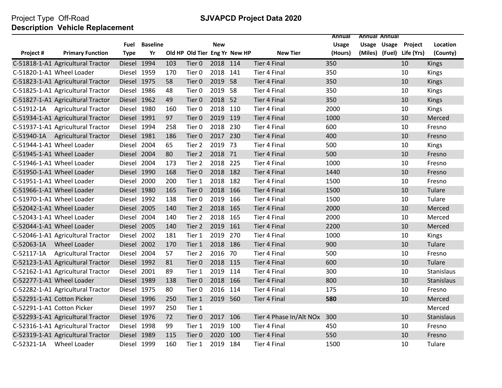|                            |                                   |             |                 |     |                   |            |                               |                         | Annual       | <b>Annual Annual</b> |                           |              |
|----------------------------|-----------------------------------|-------------|-----------------|-----|-------------------|------------|-------------------------------|-------------------------|--------------|----------------------|---------------------------|--------------|
|                            |                                   | <b>Fuel</b> | <b>Baseline</b> |     |                   | <b>New</b> |                               |                         | <b>Usage</b> |                      | Usage Usage Project       | Location     |
| Project #                  | <b>Primary Function</b>           | <b>Type</b> | Yr              |     |                   |            | Old HP Old Tier Eng Yr New HP | <b>New Tier</b>         | (Hours)      |                      | (Miles) (Fuel) Life (Yrs) | (County)     |
|                            | C-51818-1-A1 Agricultural Tractor | Diesel 1994 |                 | 103 | Tier <sub>0</sub> | 2018 114   |                               | Tier 4 Final            | 350          |                      | 10                        | <b>Kings</b> |
|                            | C-51820-1-A1 Wheel Loader         | Diesel 1959 |                 | 170 | Tier 0            | 2018       | 141                           | <b>Tier 4 Final</b>     | 350          |                      | 10                        | Kings        |
|                            | C-51823-1-A1 Agricultural Tractor | Diesel 1975 |                 | 58  | Tier <sub>0</sub> | 2019 58    |                               | Tier 4 Final            | 350          |                      | 10                        | <b>Kings</b> |
|                            | C-51825-1-A1 Agricultural Tractor | Diesel 1986 |                 | 48  | Tier <sub>0</sub> | 2019       | 58                            | Tier 4 Final            | 350          |                      | 10                        | Kings        |
|                            | C-51827-1-A1 Agricultural Tractor | Diesel 1962 |                 | 49  | Tier <sub>0</sub> | 2018 52    |                               | Tier 4 Final            | 350          |                      | 10                        | <b>Kings</b> |
|                            | C-51912-1A Agricultural Tractor   | Diesel 1980 |                 | 160 | Tier <sub>0</sub> | 2018       | 110                           | Tier 4 Final            | 2000         |                      | 10                        | Kings        |
|                            | C-51934-1-A1 Agricultural Tractor | Diesel 1991 |                 | 97  | Tier <sub>0</sub> | 2019       | 119                           | Tier 4 Final            | 1000         |                      | 10                        | Merced       |
|                            | C-51937-1-A1 Agricultural Tractor | Diesel 1994 |                 | 258 | Tier <sub>0</sub> | 2018       | 230                           | Tier 4 Final            | 600          |                      | 10                        | Fresno       |
|                            | C-51940-1A Agricultural Tractor   | Diesel 1981 |                 | 186 | Tier <sub>0</sub> | 2017 230   |                               | Tier 4 Final            | 400          |                      | 10                        | Fresno       |
|                            | C-51944-1-A1 Wheel Loader         | Diesel 2004 |                 | 65  | Tier 2            | 2019 73    |                               | Tier 4 Final            | 500          |                      | 10                        | Kings        |
|                            | C-51945-1-A1 Wheel Loader         | Diesel 2004 |                 | 80  | Tier 2            | 2018 71    |                               | Tier 4 Final            | 500          |                      | 10                        | Fresno       |
|                            | C-51946-1-A1 Wheel Loader         | Diesel 2004 |                 | 173 | Tier 2            | 2018       | 225                           | <b>Tier 4 Final</b>     | 1000         |                      | 10                        | Fresno       |
|                            | C-51950-1-A1 Wheel Loader         | Diesel 1990 |                 | 168 | Tier <sub>0</sub> | 2018 182   |                               | Tier 4 Final            | 1440         |                      | 10                        | Fresno       |
|                            | C-51951-1-A1 Wheel Loader         | Diesel 2000 |                 | 200 | Tier 1            | 2018       | 182                           | Tier 4 Final            | 1500         |                      | 10                        | Fresno       |
|                            | C-51966-1-A1 Wheel Loader         | Diesel 1980 |                 | 165 | Tier <sub>0</sub> | 2018 166   |                               | Tier 4 Final            | 1500         |                      | 10                        | Tulare       |
|                            | C-51970-1-A1 Wheel Loader         | Diesel 1992 |                 | 138 | Tier <sub>0</sub> | 2019       | 166                           | Tier 4 Final            | 1500         |                      | 10                        | Tulare       |
|                            | C-52042-1-A1 Wheel Loader         | Diesel 2005 |                 | 140 | Tier 2            | 2018 165   |                               | Tier 4 Final            | 2000         |                      | 10                        | Merced       |
|                            | C-52043-1-A1 Wheel Loader         | Diesel 2004 |                 | 140 | Tier 2            | 2018       | 165                           | Tier 4 Final            | 2000         |                      | 10                        | Merced       |
|                            | C-52044-1-A1 Wheel Loader         | Diesel 2005 |                 | 140 | Tier 2            | 2019       | 161                           | <b>Tier 4 Final</b>     | 2200         |                      | 10                        | Merced       |
|                            | C-52046-1-A1 Agricultural Tractor | Diesel 2002 |                 | 181 | Tier 1            | 2019       | 270                           | Tier 4 Final            | 1000         |                      | 10                        | Kings        |
| C-52063-1A                 | Wheel Loader                      | Diesel 2002 |                 | 170 | Tier 1            | 2018       | 186                           | <b>Tier 4 Final</b>     | 900          |                      | 10                        | Tulare       |
| C-52117-1A                 | <b>Agricultural Tractor</b>       | Diesel 2004 |                 | 57  | Tier 2            | 2016 70    |                               | Tier 4 Final            | 500          |                      | 10                        | Fresno       |
|                            | C-52123-1-A1 Agricultural Tractor | Diesel 1992 |                 | 81  | Tier <sub>0</sub> | 2018 115   |                               | Tier 4 Final            | 600          |                      | 10                        | Tulare       |
|                            | C-52162-1-A1 Agricultural Tractor | Diesel 2001 |                 | 89  | Tier 1            | 2019       | 114                           | Tier 4 Final            | 300          |                      | 10                        | Stanislaus   |
|                            | C-52277-1-A1 Wheel Loader         | Diesel 1989 |                 | 138 | Tier <sub>0</sub> | 2018       | 166                           | Tier 4 Final            | 800          |                      | 10                        | Stanislaus   |
|                            | C-52282-1-A1 Agricultural Tractor | Diesel 1975 |                 | 80  | Tier <sub>0</sub> | 2016       | 114                           | Tier 4 Final            | 175          |                      | 10                        | Fresno       |
| C-52291-1-A1 Cotton Picker |                                   | Diesel 1996 |                 | 250 | Tier 1            | 2019 560   |                               | Tier 4 Final            | 580          |                      | 10                        | Merced       |
| C-52291-1-A1 Cotton Picker |                                   | Diesel 1997 |                 | 250 | Tier 1            |            |                               |                         |              |                      |                           | Merced       |
|                            | C-52293-1-A1 Agricultural Tractor | Diesel 1976 |                 | 72  | Tier <sub>0</sub> | 2017       | 106                           | Tier 4 Phase In/Alt NOx | 300          |                      | 10                        | Stanislaus   |
|                            | C-52316-1-A1 Agricultural Tractor | Diesel 1998 |                 | 99  | Tier 1            | 2019       | 100                           | Tier 4 Final            | 450          |                      | 10                        | Fresno       |
|                            | C-52319-1-A1 Agricultural Tractor | Diesel 1989 |                 | 115 | Tier <sub>0</sub> | 2020       | 100                           | Tier 4 Final            | 550          |                      | 10                        | Fresno       |
|                            | C-52321-1A Wheel Loader           | Diesel 1999 |                 | 160 | Tier 1            | 2019       | 184                           | Tier 4 Final            | 1500         |                      | 10                        | Tulare       |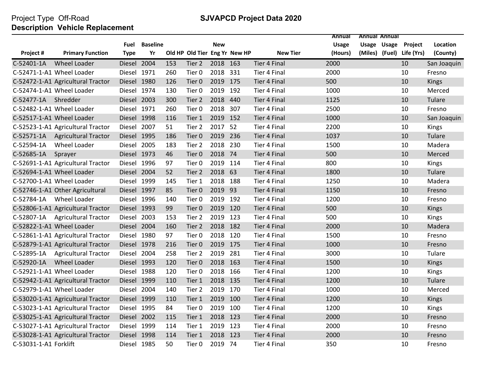|                       |                                   |             |                 |     |                               |            |     |                     | Annual       | <b>Annual Annual</b> |                           |               |
|-----------------------|-----------------------------------|-------------|-----------------|-----|-------------------------------|------------|-----|---------------------|--------------|----------------------|---------------------------|---------------|
|                       |                                   | <b>Fuel</b> | <b>Baseline</b> |     |                               | <b>New</b> |     |                     | <b>Usage</b> |                      | Usage Usage Project       | Location      |
| Project #             | <b>Primary Function</b>           | <b>Type</b> | Yr              |     | Old HP Old Tier Eng Yr New HP |            |     | <b>New Tier</b>     | (Hours)      |                      | (Miles) (Fuel) Life (Yrs) | (County)      |
| C-52401-1A            | <b>Wheel Loader</b>               | Diesel 2004 |                 | 153 | Tier 2                        | 2018 163   |     | Tier 4 Final        | 2000         |                      | 10                        | San Joaquin   |
|                       | C-52471-1-A1 Wheel Loader         | Diesel 1971 |                 | 260 | Tier 0                        | 2018 331   |     | Tier 4 Final        | 2000         |                      | 10                        | Fresno        |
|                       | C-52472-1-A1 Agricultural Tractor | Diesel 1980 |                 | 126 | Tier <sub>0</sub>             | 2019 175   |     | Tier 4 Final        | 500          |                      | 10                        | <b>Kings</b>  |
|                       | C-52474-1-A1 Wheel Loader         | Diesel 1974 |                 | 130 | Tier <sub>0</sub>             | 2019       | 192 | Tier 4 Final        | 1000         |                      | 10                        | Merced        |
| C-52477-1A Shredder   |                                   | Diesel 2003 |                 | 300 | Tier 2                        | 2018       | 440 | <b>Tier 4 Final</b> | 1125         |                      | 10                        | <b>Tulare</b> |
|                       | C-52482-1-A1 Wheel Loader         | Diesel 1971 |                 | 260 | Tier <sub>0</sub>             | 2018       | 307 | Tier 4 Final        | 2500         |                      | 10                        | Fresno        |
|                       | C-52517-1-A1 Wheel Loader         | Diesel 1998 |                 | 116 | Tier 1                        | 2019 152   |     | Tier 4 Final        | 1000         |                      | 10                        | San Joaquin   |
|                       | C-52523-1-A1 Agricultural Tractor | Diesel 2007 |                 | 51  | Tier 2                        | 2017 52    |     | Tier 4 Final        | 2200         |                      | 10                        | Kings         |
|                       | C-52571-1A Agricultural Tractor   | Diesel 1995 |                 | 186 | Tier 0                        | 2019 236   |     | Tier 4 Final        | 1037         |                      | 10                        | Tulare        |
| C-52594-1A            | Wheel Loader                      | Diesel 2005 |                 | 183 | Tier 2                        | 2018 230   |     | <b>Tier 4 Final</b> | 1500         |                      | 10                        | Madera        |
| C-52685-1A            | Sprayer                           | Diesel 1973 |                 | 46  | Tier <sub>0</sub>             | 2018       | 74  | Tier 4 Final        | 500          |                      | 10                        | Merced        |
|                       | C-52691-1-A1 Agricultural Tractor | Diesel 1996 |                 | 97  | Tier <sub>0</sub>             | 2019       | 114 | Tier 4 Final        | 800          |                      | 10                        | Kings         |
|                       | C-52694-1-A1 Wheel Loader         | Diesel 2004 |                 | 52  | Tier 2                        | 2018 63    |     | Tier 4 Final        | 1800         |                      | 10                        | Tulare        |
|                       | C-52700-1-A1 Wheel Loader         | Diesel 1999 |                 | 145 | Tier 1                        | 2018       | 188 | Tier 4 Final        | 1250         |                      | 10                        | Madera        |
|                       | C-52746-1-A1 Other Agricultural   | Diesel 1997 |                 | 85  | Tier <sub>0</sub>             | 2019 93    |     | <b>Tier 4 Final</b> | 1150         |                      | 10                        | Fresno        |
|                       | C-52784-1A Wheel Loader           | Diesel 1996 |                 | 140 | Tier <sub>0</sub>             | 2019 192   |     | <b>Tier 4 Final</b> | 1200         |                      | 10                        | Fresno        |
|                       | C-52806-1-A1 Agricultural Tractor | Diesel 1993 |                 | 99  | Tier <sub>0</sub>             | 2019 120   |     | Tier 4 Final        | 500          |                      | 10                        | <b>Kings</b>  |
|                       | C-52807-1A Agricultural Tractor   | Diesel 2003 |                 | 153 | Tier 2                        | 2019       | 123 | Tier 4 Final        | 500          |                      | 10                        | Kings         |
|                       | C-52822-1-A1 Wheel Loader         | Diesel 2004 |                 | 160 | Tier 2                        | 2018       | 182 | Tier 4 Final        | 2000         |                      | 10                        | Madera        |
|                       | C-52861-1-A1 Agricultural Tractor | Diesel 1980 |                 | 97  | Tier <sub>0</sub>             | 2018 120   |     | Tier 4 Final        | 1500         |                      | 10                        | Fresno        |
|                       | C-52879-1-A1 Agricultural Tractor | Diesel 1978 |                 | 216 | Tier 0                        | 2019 175   |     | Tier 4 Final        | 1000         |                      | 10                        | Fresno        |
| C-52895-1A            | <b>Agricultural Tractor</b>       | Diesel 2004 |                 | 258 | Tier <sub>2</sub>             | 2019       | 281 | <b>Tier 4 Final</b> | 3000         |                      | 10                        | Tulare        |
| C-52920-1A            | Wheel Loader                      | Diesel 1993 |                 | 120 | Tier 0                        | 2018 163   |     | <b>Tier 4 Final</b> | 1500         |                      | 10                        | <b>Kings</b>  |
|                       | C-52921-1-A1 Wheel Loader         | Diesel 1988 |                 | 120 | Tier 0                        | 2018       | 166 | Tier 4 Final        | 1200         |                      | 10                        | Kings         |
|                       | C-52942-1-A1 Agricultural Tractor | Diesel 1999 |                 | 110 | Tier 1                        | 2018       | 135 | <b>Tier 4 Final</b> | 1200         |                      | 10                        | Tulare        |
|                       | C-52979-1-A1 Wheel Loader         | Diesel 2004 |                 | 140 | Tier 2                        | 2019       | 170 | Tier 4 Final        | 1000         |                      | 10                        | Merced        |
|                       | C-53020-1-A1 Agricultural Tractor | Diesel 1999 |                 | 110 | Tier 1                        | 2019       | 100 | <b>Tier 4 Final</b> | 1200         |                      | 10                        | <b>Kings</b>  |
|                       | C-53023-1-A1 Agricultural Tractor | Diesel 1995 |                 | 84  | Tier <sub>0</sub>             | 2019       | 100 | <b>Tier 4 Final</b> | 1200         |                      | 10                        | Kings         |
|                       | C-53025-1-A1 Agricultural Tractor | Diesel 2002 |                 | 115 | Tier 1                        | 2018 123   |     | Tier 4 Final        | 2000         |                      | 10                        | Fresno        |
|                       | C-53027-1-A1 Agricultural Tractor | Diesel 1999 |                 | 114 | Tier 1                        | 2019       | 123 | Tier 4 Final        | 2000         |                      | 10                        | Fresno        |
|                       | C-53028-1-A1 Agricultural Tractor | Diesel 1998 |                 | 114 | Tier 1                        | 2018       | 123 | Tier 4 Final        | 2000         |                      | 10                        | Fresno        |
| C-53031-1-A1 Forklift |                                   | Diesel 1985 |                 | 50  | Tier <sub>0</sub>             | 2019 74    |     | Tier 4 Final        | 350          |                      | 10                        | Fresno        |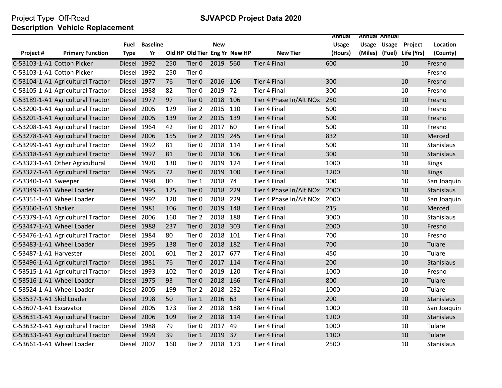|                            |                                   |             |                 |     |                   |            |                               |                         | Annual       | <b>Annual Annual</b> |                           |              |
|----------------------------|-----------------------------------|-------------|-----------------|-----|-------------------|------------|-------------------------------|-------------------------|--------------|----------------------|---------------------------|--------------|
|                            |                                   | Fuel        | <b>Baseline</b> |     |                   | <b>New</b> |                               |                         | <b>Usage</b> |                      | Usage Usage Project       | Location     |
| <b>Project #</b>           | <b>Primary Function</b>           | <b>Type</b> | Yr              |     |                   |            | Old HP Old Tier Eng Yr New HP | <b>New Tier</b>         | (Hours)      |                      | (Miles) (Fuel) Life (Yrs) | (County)     |
| C-53103-1-A1 Cotton Picker |                                   | Diesel 1992 |                 | 250 | Tier <sub>0</sub> | 2019 560   |                               | <b>Tier 4 Final</b>     | 600          |                      | 10                        | Fresno       |
| C-53103-1-A1 Cotton Picker |                                   | Diesel 1992 |                 | 250 | Tier <sub>0</sub> |            |                               |                         |              |                      |                           | Fresno       |
|                            | C-53104-1-A1 Agricultural Tractor | Diesel 1977 |                 | 76  | Tier 0            | 2016 106   |                               | Tier 4 Final            | 300          |                      | 10                        | Fresno       |
|                            | C-53105-1-A1 Agricultural Tractor | Diesel      | 1988            | 82  | Tier 0            | 2019       | 72                            | Tier 4 Final            | 300          |                      | 10                        | Fresno       |
|                            | C-53189-1-A1 Agricultural Tractor | Diesel 1977 |                 | 97  | Tier 0            | 2018 106   |                               | Tier 4 Phase In/Alt NOx | 250          |                      | 10                        | Fresno       |
|                            | C-53200-1-A1 Agricultural Tractor | Diesel 2005 |                 | 129 | Tier 2            | 2015 110   |                               | Tier 4 Final            | 500          |                      | 10                        | Fresno       |
|                            | C-53201-1-A1 Agricultural Tractor | Diesel 2005 |                 | 139 | Tier 2            | 2015 139   |                               | Tier 4 Final            | 500          |                      | 10                        | Fresno       |
|                            | C-53208-1-A1 Agricultural Tractor | Diesel 1964 |                 | 42  | Tier 0            | 2017 60    |                               | Tier 4 Final            | 500          |                      | 10                        | Fresno       |
|                            | C-53278-1-A1 Agricultural Tractor | Diesel 2006 |                 | 155 | Tier 2            | 2019 245   |                               | Tier 4 Final            | 832          |                      | 10                        | Merced       |
|                            | C-53299-1-A1 Agricultural Tractor | Diesel 1992 |                 | 81  | Tier <sub>0</sub> | 2018       | 114                           | Tier 4 Final            | 500          |                      | 10                        | Stanislaus   |
|                            | C-53318-1-A1 Agricultural Tractor | Diesel 1997 |                 | 81  | Tier 0            | 2018       | 106                           | <b>Tier 4 Final</b>     | 300          |                      | 10                        | Stanislaus   |
|                            | C-53323-1-A1 Other Agricultural   | Diesel 1970 |                 | 130 | Tier 0            | 2019       | 124                           | Tier 4 Final            | 1000         |                      | 10                        | Kings        |
|                            | C-53327-1-A1 Agricultural Tractor | Diesel 1995 |                 | 72  | Tier 0            | 2019 100   |                               | Tier 4 Final            | 1200         |                      | 10                        | <b>Kings</b> |
| C-53340-1-A1 Sweeper       |                                   | Diesel 1998 |                 | 80  | Tier 1            | 2018 74    |                               | Tier 4 Final            | 300          |                      | 10                        | San Joaquin  |
|                            | C-53349-1-A1 Wheel Loader         | Diesel 1995 |                 | 125 | Tier 0            | 2018 229   |                               | Tier 4 Phase In/Alt NOx | 2000         |                      | 10                        | Stanislaus   |
|                            | C-53351-1-A1 Wheel Loader         | Diesel 1992 |                 | 120 | Tier 0            | 2018 229   |                               | Tier 4 Phase In/Alt NOx | 2000         |                      | 10                        | San Joaquin  |
| C-53360-1-A1 Shaker        |                                   | Diesel 1981 |                 | 106 | Tier 0            | 2019       | 148                           | <b>Tier 4 Final</b>     | 215          |                      | 10                        | Merced       |
|                            | C-53379-1-A1 Agricultural Tractor | Diesel 2006 |                 | 160 | Tier 2            | 2018       | 188                           | Tier 4 Final            | 3000         |                      | 10                        | Stanislaus   |
|                            | C-53447-1-A1 Wheel Loader         | Diesel 1988 |                 | 237 | Tier 0            | 2018 303   |                               | Tier 4 Final            | 2000         |                      | 10                        | Fresno       |
|                            | C-53476-1-A1 Agricultural Tractor | Diesel 1984 |                 | 80  | Tier 0            | 2018       | 101                           | Tier 4 Final            | 700          |                      | 10                        | Fresno       |
|                            | C-53483-1-A1 Wheel Loader         | Diesel 1995 |                 | 138 | Tier 0            | 2018 182   |                               | Tier 4 Final            | 700          |                      | 10                        | Tulare       |
| C-53487-1-A1 Harvester     |                                   | Diesel 2001 |                 | 601 | Tier 2            | 2017 677   |                               | Tier 4 Final            | 450          |                      | 10                        | Tulare       |
|                            | C-53496-1-A1 Agricultural Tractor | Diesel 1981 |                 | 76  | Tier 0            | 2017 114   |                               | Tier 4 Final            | 200          |                      | 10                        | Stanislaus   |
|                            | C-53515-1-A1 Agricultural Tractor | Diesel      | 1993            | 102 | Tier 0            | 2019       | 120                           | Tier 4 Final            | 1000         |                      | 10                        | Fresno       |
|                            | C-53516-1-A1 Wheel Loader         | Diesel 1975 |                 | 93  | Tier 0            | 2018 166   |                               | Tier 4 Final            | 800          |                      | 10                        | Tulare       |
|                            | C-53524-1-A1 Wheel Loader         | Diesel 2005 |                 | 199 | Tier 2            | 2018 232   |                               | Tier 4 Final            | 1000         |                      | 10                        | Tulare       |
| C-53537-1-A1 Skid Loader   |                                   | Diesel 1998 |                 | 50  | Tier 1            | 2016 63    |                               | Tier 4 Final            | 200          |                      | 10                        | Stanislaus   |
| C-53607-1-A1 Excavator     |                                   | Diesel 2005 |                 | 173 | Tier 2            | 2018 188   |                               | Tier 4 Final            | 1000         |                      | 10                        | San Joaquin  |
|                            | C-53631-1-A1 Agricultural Tractor | Diesel 2006 |                 | 109 | Tier 2            | 2018 114   |                               | Tier 4 Final            | 1200         |                      | 10                        | Stanislaus   |
|                            | C-53632-1-A1 Agricultural Tractor | Diesel      | 1988            | 79  | Tier 0            | 2017       | 49                            | Tier 4 Final            | 1000         |                      | 10                        | Tulare       |
|                            | C-53633-1-A1 Agricultural Tractor | Diesel 1999 |                 | 39  | Tier 1            | 2019       | 37                            | <b>Tier 4 Final</b>     | 1100         |                      | 10                        | Tulare       |
|                            | C-53661-1-A1 Wheel Loader         | Diesel 2007 |                 | 160 | Tier 2            | 2018 173   |                               | Tier 4 Final            | 2500         |                      | 10                        | Stanislaus   |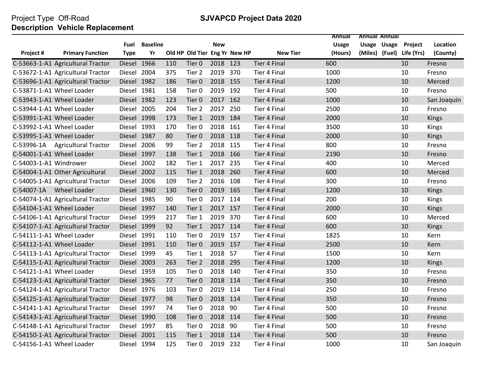|                           |                                   |             |                 |     |                   |            |                               |                     | Annual       | <b>Annual Annual</b> |                           |              |
|---------------------------|-----------------------------------|-------------|-----------------|-----|-------------------|------------|-------------------------------|---------------------|--------------|----------------------|---------------------------|--------------|
|                           |                                   | <b>Fuel</b> | <b>Baseline</b> |     |                   | <b>New</b> |                               |                     | <b>Usage</b> |                      | Usage Usage Project       | Location     |
| <b>Project #</b>          | <b>Primary Function</b>           | <b>Type</b> | Yr              |     |                   |            | Old HP Old Tier Eng Yr New HP | <b>New Tier</b>     | (Hours)      |                      | (Miles) (Fuel) Life (Yrs) | (County)     |
|                           | C-53663-1-A1 Agricultural Tractor | Diesel 1966 |                 | 110 | Tier <sub>0</sub> | 2018 123   |                               | Tier 4 Final        | 600          |                      | 10                        | Fresno       |
|                           | C-53672-1-A1 Agricultural Tractor | Diesel 2004 |                 | 375 | Tier 2            | 2019       | 370                           | Tier 4 Final        | 1000         |                      | 10                        | Fresno       |
|                           | C-53696-1-A1 Agricultural Tractor | Diesel 1982 |                 | 186 | Tier <sub>0</sub> | 2018 155   |                               | Tier 4 Final        | 1200         |                      | 10                        | Merced       |
|                           | C-53871-1-A1 Wheel Loader         | Diesel 1981 |                 | 158 | Tier <sub>0</sub> | 2019       | 192                           | Tier 4 Final        | 500          |                      | 10                        | Fresno       |
|                           | C-53943-1-A1 Wheel Loader         | Diesel 1982 |                 | 123 | Tier <sub>0</sub> | 2017       | 162                           | <b>Tier 4 Final</b> | 1000         |                      | 10                        | San Joaquin  |
|                           | C-53944-1-A1 Wheel Loader         | Diesel 2005 |                 | 204 | Tier 2            | 2017       | 250                           | Tier 4 Final        | 2500         |                      | 10                        | Fresno       |
|                           | C-53991-1-A1 Wheel Loader         | Diesel 1998 |                 | 173 | Tier 1            | 2019       | 184                           | Tier 4 Final        | 2000         |                      | 10                        | <b>Kings</b> |
|                           | C-53992-1-A1 Wheel Loader         | Diesel 1993 |                 | 170 | Tier <sub>0</sub> | 2018       | 161                           | Tier 4 Final        | 3500         |                      | 10                        | Kings        |
|                           | C-53995-1-A1 Wheel Loader         | Diesel 1987 |                 | 80  | Tier <sub>0</sub> | 2018 118   |                               | Tier 4 Final        | 2000         |                      | 10                        | <b>Kings</b> |
|                           | C-53996-1A Agricultural Tractor   | Diesel 2006 |                 | 99  | Tier <sub>2</sub> | 2018 115   |                               | Tier 4 Final        | 800          |                      | 10                        | Fresno       |
|                           | C-54001-1-A1 Wheel Loader         | Diesel 1997 |                 | 138 | Tier 1            | 2018       | 166                           | Tier 4 Final        | 2190         |                      | 10                        | Fresno       |
| C-54003-1-A1 Windrower    |                                   | Diesel 2002 |                 | 182 | Tier 1            | 2017       | 235                           | Tier 4 Final        | 400          |                      | 10                        | Merced       |
|                           | C-54004-1-A1 Other Agricultural   | Diesel 2002 |                 | 115 | Tier 1            | 2018 260   |                               | <b>Tier 4 Final</b> | 600          |                      | 10                        | Merced       |
|                           | C-54005-1-A1 Agricultural Tractor | Diesel 2006 |                 | 109 | Tier 2            | 2016       | 108                           | Tier 4 Final        | 300          |                      | 10                        | Fresno       |
| C-54007-1A Wheel Loader   |                                   | Diesel 1960 |                 | 130 | Tier <sub>0</sub> | 2019 165   |                               | <b>Tier 4 Final</b> | 1200         |                      | 10                        | <b>Kings</b> |
|                           | C-54074-1-A1 Agricultural Tractor | Diesel 1985 |                 | 90  | Tier <sub>0</sub> | 2017 114   |                               | Tier 4 Final        | 200          |                      | 10                        | <b>Kings</b> |
| C-54104-1-A1 Wheel Loader |                                   | Diesel 1997 |                 | 140 | Tier 1            | 2017 157   |                               | <b>Tier 4 Final</b> | 2000         |                      | 10                        | <b>Kings</b> |
|                           | C-54106-1-A1 Agricultural Tractor | Diesel 1999 |                 | 217 | Tier 1            | 2019       | 370                           | Tier 4 Final        | 600          |                      | 10                        | Merced       |
|                           | C-54107-1-A1 Agricultural Tractor | Diesel 1999 |                 | 92  | Tier 1            | 2017       | 114                           | Tier 4 Final        | 600          |                      | 10                        | <b>Kings</b> |
|                           | C-54111-1-A1 Wheel Loader         | Diesel 1991 |                 | 110 | Tier <sub>0</sub> | 2019       | 157                           | Tier 4 Final        | 1825         |                      | 10                        | Kern         |
| C-54112-1-A1 Wheel Loader |                                   | Diesel 1991 |                 | 110 | Tier <sub>0</sub> | 2019 157   |                               | <b>Tier 4 Final</b> | 2500         |                      | 10                        | Kern         |
|                           | C-54113-1-A1 Agricultural Tractor | Diesel 1999 |                 | 45  | Tier 1            | 2018 57    |                               | Tier 4 Final        | 1500         |                      | 10                        | Kern         |
|                           | C-54115-1-A1 Agricultural Tractor | Diesel 2003 |                 | 263 | Tier 2            | 2018 295   |                               | <b>Tier 4 Final</b> | 1200         |                      | 10                        | <b>Kings</b> |
|                           | C-54121-1-A1 Wheel Loader         | Diesel 1959 |                 | 105 | Tier <sub>0</sub> | 2018       | 140                           | Tier 4 Final        | 350          |                      | 10                        | Fresno       |
|                           | C-54123-1-A1 Agricultural Tractor | Diesel 1965 |                 | 77  | Tier <sub>0</sub> | 2018       | 114                           | <b>Tier 4 Final</b> | 350          |                      | 10                        | Fresno       |
|                           | C-54124-1-A1 Agricultural Tractor | Diesel 1976 |                 | 103 | Tier <sub>0</sub> | 2019       | 114                           | Tier 4 Final        | 250          |                      | 10                        | Fresno       |
|                           | C-54125-1-A1 Agricultural Tractor | Diesel 1977 |                 | 98  | Tier <sub>0</sub> | 2018 114   |                               | Tier 4 Final        | 350          |                      | 10                        | Fresno       |
|                           | C-54141-1-A1 Agricultural Tractor | Diesel 1997 |                 | 74  | Tier <sub>0</sub> | 2018 90    |                               | Tier 4 Final        | 500          |                      | 10                        | Fresno       |
|                           | C-54143-1-A1 Agricultural Tractor | Diesel 1990 |                 | 108 | Tier <sub>0</sub> | 2018 114   |                               | Tier 4 Final        | 500          |                      | 10                        | Fresno       |
|                           | C-54148-1-A1 Agricultural Tractor | Diesel 1997 |                 | 85  | Tier <sub>0</sub> | 2018       | 90                            | Tier 4 Final        | 500          |                      | 10                        | Fresno       |
|                           | C-54150-1-A1 Agricultural Tractor | Diesel 2001 |                 | 115 | Tier 1            | 2018       | 114                           | <b>Tier 4 Final</b> | 500          |                      | 10                        | Fresno       |
|                           | C-54156-1-A1 Wheel Loader         | Diesel 1994 |                 | 125 | Tier <sub>0</sub> | 2019 232   |                               | Tier 4 Final        | 1000         |                      | 10                        | San Joaquin  |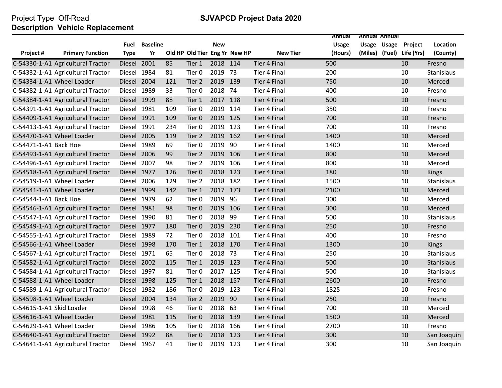|                           |                                   |             |                 |     |                               |            |     |                     | Annual       | <b>Annual Annual</b> |                           |              |
|---------------------------|-----------------------------------|-------------|-----------------|-----|-------------------------------|------------|-----|---------------------|--------------|----------------------|---------------------------|--------------|
|                           |                                   | Fuel        | <b>Baseline</b> |     |                               | <b>New</b> |     |                     | <b>Usage</b> |                      | Usage Usage Project       | Location     |
| <b>Project #</b>          | <b>Primary Function</b>           | <b>Type</b> | Yr              |     | Old HP Old Tier Eng Yr New HP |            |     | <b>New Tier</b>     | (Hours)      |                      | (Miles) (Fuel) Life (Yrs) | (County)     |
|                           | C-54330-1-A1 Agricultural Tractor | Diesel 2001 |                 | 85  | Tier 1                        | 2018 114   |     | Tier 4 Final        | 500          |                      | 10                        | Fresno       |
|                           | C-54332-1-A1 Agricultural Tractor | Diesel 1984 |                 | 81  | Tier 0                        | 2019 73    |     | Tier 4 Final        | 200          |                      | 10                        | Stanislaus   |
| C-54334-1-A1 Wheel Loader |                                   | Diesel 2004 |                 | 121 | Tier 2                        | 2019 139   |     | Tier 4 Final        | 750          |                      | 10                        | Merced       |
|                           | C-54382-1-A1 Agricultural Tractor | Diesel      | 1989            | 33  | Tier 0                        | 2018 74    |     | Tier 4 Final        | 400          |                      | 10                        | Fresno       |
|                           | C-54384-1-A1 Agricultural Tractor | Diesel 1999 |                 | 88  | Tier 1                        | 2017 118   |     | Tier 4 Final        | 500          |                      | 10                        | Fresno       |
|                           | C-54391-1-A1 Agricultural Tractor | Diesel 1981 |                 | 109 | Tier 0                        | 2019 114   |     | Tier 4 Final        | 350          |                      | 10                        | Fresno       |
|                           | C-54409-1-A1 Agricultural Tractor | Diesel 1991 |                 | 109 | Tier <sub>0</sub>             | 2019 125   |     | Tier 4 Final        | 700          |                      | 10                        | Fresno       |
|                           | C-54413-1-A1 Agricultural Tractor | Diesel 1991 |                 | 234 | Tier 0                        | 2019       | 123 | Tier 4 Final        | 700          |                      | 10                        | Fresno       |
| C-54470-1-A1 Wheel Loader |                                   | Diesel 2005 |                 | 119 | Tier <sub>2</sub>             | 2019 162   |     | Tier 4 Final        | 1400         |                      | 10                        | Merced       |
| C-54471-1-A1 Back Hoe     |                                   | Diesel 1989 |                 | 69  | Tier <sub>0</sub>             | 2019 90    |     | Tier 4 Final        | 1400         |                      | 10                        | Merced       |
|                           | C-54493-1-A1 Agricultural Tractor | Diesel 2006 |                 | 99  | Tier 2                        | 2019       | 106 | Tier 4 Final        | 800          |                      | 10                        | Merced       |
|                           | C-54496-1-A1 Agricultural Tractor | Diesel      | 2007            | 98  | Tier 2                        | 2019       | 106 | Tier 4 Final        | 800          |                      | 10                        | Merced       |
|                           | C-54518-1-A1 Agricultural Tractor | Diesel 1977 |                 | 126 | Tier <sub>0</sub>             | 2018 123   |     | Tier 4 Final        | 180          |                      | 10                        | <b>Kings</b> |
| C-54519-1-A1 Wheel Loader |                                   | Diesel 2006 |                 | 129 | Tier 2                        | 2018 182   |     | Tier 4 Final        | 1500         |                      | 10                        | Stanislaus   |
| C-54541-1-A1 Wheel Loader |                                   | Diesel 1999 |                 | 142 | Tier 1                        | 2017 173   |     | <b>Tier 4 Final</b> | 2100         |                      | 10                        | Merced       |
| C-54544-1-A1 Back Hoe     |                                   | Diesel 1979 |                 | 62  | Tier 0                        | 2019 96    |     | Tier 4 Final        | 300          |                      | 10                        | Merced       |
|                           | C-54546-1-A1 Agricultural Tractor | Diesel 1981 |                 | 98  | Tier 0                        | 2019       | 106 | <b>Tier 4 Final</b> | 300          |                      | 10                        | Merced       |
|                           | C-54547-1-A1 Agricultural Tractor | Diesel 1990 |                 | 81  | Tier 0                        | 2018       | 99  | Tier 4 Final        | 500          |                      | 10                        | Stanislaus   |
|                           | C-54549-1-A1 Agricultural Tractor | Diesel 1977 |                 | 180 | Tier 0                        | 2019 230   |     | Tier 4 Final        | 250          |                      | 10                        | Fresno       |
|                           | C-54555-1-A1 Agricultural Tractor | Diesel 1989 |                 | 72  | Tier 0                        | 2018       | 101 | Tier 4 Final        | 400          |                      | 10                        | Fresno       |
| C-54566-1-A1 Wheel Loader |                                   | Diesel 1998 |                 | 170 | Tier 1                        | 2018 170   |     | Tier 4 Final        | 1300         |                      | 10                        | Kings        |
|                           | C-54567-1-A1 Agricultural Tractor | Diesel 1971 |                 | 65  | Tier <sub>0</sub>             | 2018 73    |     | Tier 4 Final        | 250          |                      | 10                        | Stanislaus   |
|                           | C-54582-1-A1 Agricultural Tractor | Diesel 2002 |                 | 115 | Tier 1                        | 2019 123   |     | Tier 4 Final        | 500          |                      | 10                        | Stanislaus   |
|                           | C-54584-1-A1 Agricultural Tractor | Diesel      | 1997            | 81  | Tier <sub>0</sub>             | 2017       | 125 | Tier 4 Final        | 500          |                      | 10                        | Stanislaus   |
| C-54588-1-A1 Wheel Loader |                                   | Diesel 1998 |                 | 125 | Tier 1                        | 2018 157   |     | <b>Tier 4 Final</b> | 2600         |                      | 10                        | Fresno       |
|                           | C-54589-1-A1 Agricultural Tractor | Diesel 1982 |                 | 186 | Tier 0                        | 2019 123   |     | Tier 4 Final        | 1825         |                      | 10                        | Fresno       |
| C-54598-1-A1 Wheel Loader |                                   | Diesel 2004 |                 | 134 | Tier 2                        | 2019 90    |     | <b>Tier 4 Final</b> | 250          |                      | 10                        | Fresno       |
| C-54615-1-A1 Skid Loader  |                                   | Diesel 1998 |                 | 46  | Tier <sub>0</sub>             | 2018 63    |     | Tier 4 Final        | 700          |                      | 10                        | Merced       |
| C-54616-1-A1 Wheel Loader |                                   | Diesel 1981 |                 | 115 | Tier <sub>0</sub>             | 2018 139   |     | Tier 4 Final        | 1500         |                      | 10                        | Merced       |
| C-54629-1-A1 Wheel Loader |                                   | Diesel      | 1986            | 105 | Tier <sub>0</sub>             | 2018       | 166 | Tier 4 Final        | 2700         |                      | 10                        | Fresno       |
|                           | C-54640-1-A1 Agricultural Tractor | Diesel 1992 |                 | 88  | Tier <sub>0</sub>             | 2018       | 123 | Tier 4 Final        | 300          |                      | 10                        | San Joaquin  |
|                           | C-54641-1-A1 Agricultural Tractor | Diesel 1967 |                 | 41  | Tier <sub>0</sub>             | 2019 123   |     | Tier 4 Final        | 300          |                      | 10                        | San Joaquin  |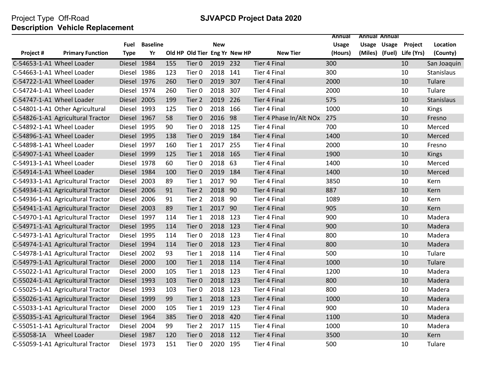|                           |                                   |             |                 |     |                               |            |     |                         | Annual       | <b>Annual Annual</b> |                           |              |
|---------------------------|-----------------------------------|-------------|-----------------|-----|-------------------------------|------------|-----|-------------------------|--------------|----------------------|---------------------------|--------------|
|                           |                                   | <b>Fuel</b> | <b>Baseline</b> |     |                               | <b>New</b> |     |                         | <b>Usage</b> |                      | Usage Usage Project       | Location     |
| Project #                 | <b>Primary Function</b>           | Type        | Yr              |     | Old HP Old Tier Eng Yr New HP |            |     | <b>New Tier</b>         | (Hours)      |                      | (Miles) (Fuel) Life (Yrs) | (County)     |
|                           | C-54653-1-A1 Wheel Loader         | Diesel 1984 |                 | 155 | Tier <sub>0</sub>             | 2019 232   |     | Tier 4 Final            | 300          |                      | 10                        | San Joaquin  |
|                           | C-54663-1-A1 Wheel Loader         | Diesel 1986 |                 | 123 | Tier 0                        | 2018 141   |     | Tier 4 Final            | 300          |                      | 10                        | Stanislaus   |
|                           | C-54722-1-A1 Wheel Loader         | Diesel 1976 |                 | 260 | Tier <sub>0</sub>             | 2019 307   |     | Tier 4 Final            | 2000         |                      | 10                        | Tulare       |
|                           | C-54724-1-A1 Wheel Loader         | Diesel      | 1974            | 260 | Tier 0                        | 2018       | 307 | Tier 4 Final            | 2000         |                      | 10                        | Tulare       |
|                           | C-54747-1-A1 Wheel Loader         | Diesel 2005 |                 | 199 | Tier 2                        | 2019       | 226 | Tier 4 Final            | 575          |                      | 10                        | Stanislaus   |
|                           | C-54801-1-A1 Other Agricultural   | Diesel 1993 |                 | 125 | Tier <sub>0</sub>             | 2018       | 166 | Tier 4 Final            | 1000         |                      | 10                        | Kings        |
|                           | C-54826-1-A1 Agricultural Tractor | Diesel 1967 |                 | 58  | Tier 0                        | 2016 98    |     | Tier 4 Phase In/Alt NOx | 275          |                      | 10                        | Fresno       |
|                           | C-54892-1-A1 Wheel Loader         | Diesel 1995 |                 | 90  | Tier 0                        | 2018 125   |     | Tier 4 Final            | 700          |                      | 10                        | Merced       |
|                           | C-54896-1-A1 Wheel Loader         | Diesel 1995 |                 | 138 | Tier <sub>0</sub>             | 2019 184   |     | <b>Tier 4 Final</b>     | 1400         |                      | 10                        | Merced       |
|                           | C-54898-1-A1 Wheel Loader         | Diesel      | 1997            | 160 | Tier 1                        | 2017       | 255 | Tier 4 Final            | 2000         |                      | 10                        | Fresno       |
| C-54907-1-A1 Wheel Loader |                                   | Diesel 1999 |                 | 125 | Tier 1                        | 2018       | 165 | Tier 4 Final            | 1900         |                      | 10                        | <b>Kings</b> |
|                           | C-54913-1-A1 Wheel Loader         | Diesel 1978 |                 | 60  | Tier 0                        | 2018 63    |     | Tier 4 Final            | 1400         |                      | 10                        | Merced       |
|                           | C-54914-1-A1 Wheel Loader         | Diesel 1984 |                 | 100 | Tier <sub>0</sub>             | 2019 184   |     | Tier 4 Final            | 1400         |                      | 10                        | Merced       |
|                           | C-54933-1-A1 Agricultural Tractor | Diesel 2003 |                 | 89  | Tier 1                        | 2017 90    |     | Tier 4 Final            | 3850         |                      | 10                        | Kern         |
|                           | C-54934-1-A1 Agricultural Tractor | Diesel 2006 |                 | 91  | Tier 2                        | 2018 90    |     | <b>Tier 4 Final</b>     | 887          |                      | 10                        | Kern         |
|                           | C-54936-1-A1 Agricultural Tractor | Diesel 2006 |                 | 91  | Tier 2                        | 2018 90    |     | Tier 4 Final            | 1089         |                      | 10                        | Kern         |
|                           | C-54941-1-A1 Agricultural Tractor | Diesel      | 2003            | 89  | Tier 1                        | 2017 90    |     | Tier 4 Final            | 905          |                      | 10                        | Kern         |
|                           | C-54970-1-A1 Agricultural Tractor | Diesel 1997 |                 | 114 | Tier 1                        | 2018 123   |     | Tier 4 Final            | 900          |                      | 10                        | Madera       |
|                           | C-54971-1-A1 Agricultural Tractor | Diesel 1995 |                 | 114 | Tier <sub>0</sub>             | 2018 123   |     | Tier 4 Final            | 900          |                      | 10                        | Madera       |
|                           | C-54973-1-A1 Agricultural Tractor | Diesel 1995 |                 | 114 | Tier 0                        | 2018       | 123 | Tier 4 Final            | 800          |                      | 10                        | Madera       |
|                           | C-54974-1-A1 Agricultural Tractor | Diesel 1994 |                 | 114 | Tier <sub>0</sub>             | 2018 123   |     | <b>Tier 4 Final</b>     | 800          |                      | 10                        | Madera       |
|                           | C-54978-1-A1 Agricultural Tractor | Diesel 2002 |                 | 93  | Tier 1                        | 2018 114   |     | Tier 4 Final            | 500          |                      | 10                        | Tulare       |
|                           | C-54979-1-A1 Agricultural Tractor | Diesel      | 2000            | 100 | Tier 1                        | 2018 114   |     | <b>Tier 4 Final</b>     | 1000         |                      | 10                        | Tulare       |
|                           | C-55022-1-A1 Agricultural Tractor | Diesel      | 2000            | 105 | Tier 1                        | 2018       | 123 | Tier 4 Final            | 1200         |                      | 10                        | Madera       |
|                           | C-55024-1-A1 Agricultural Tractor | Diesel 1993 |                 | 103 | Tier <sub>0</sub>             | 2018 123   |     | Tier 4 Final            | 800          |                      | 10                        | Madera       |
|                           | C-55025-1-A1 Agricultural Tractor | Diesel 1993 |                 | 103 | Tier 0                        | 2018 123   |     | Tier 4 Final            | 800          |                      | 10                        | Madera       |
|                           | C-55026-1-A1 Agricultural Tractor | Diesel 1999 |                 | 99  | Tier 1                        | 2018 123   |     | Tier 4 Final            | 1000         |                      | 10                        | Madera       |
|                           | C-55033-1-A1 Agricultural Tractor | Diesel 2000 |                 | 105 | Tier 1                        | 2019 123   |     | Tier 4 Final            | 900          |                      | 10                        | Madera       |
|                           | C-55035-1-A1 Agricultural Tractor | Diesel 1964 |                 | 385 | Tier <sub>0</sub>             | 2018 420   |     | Tier 4 Final            | 1100         |                      | 10                        | Madera       |
|                           | C-55051-1-A1 Agricultural Tractor | Diesel      | 2004            | 99  | Tier 2                        | 2017       | 115 | Tier 4 Final            | 1000         |                      | 10                        | Madera       |
|                           | C-55058-1A Wheel Loader           | Diesel 1987 |                 | 120 | Tier <sub>0</sub>             | 2018 112   |     | <b>Tier 4 Final</b>     | 3500         |                      | 10                        | Kern         |
|                           | C-55059-1-A1 Agricultural Tractor | Diesel 1973 |                 | 151 | Tier <sub>0</sub>             | 2020 195   |     | Tier 4 Final            | 500          |                      | 10                        | Tulare       |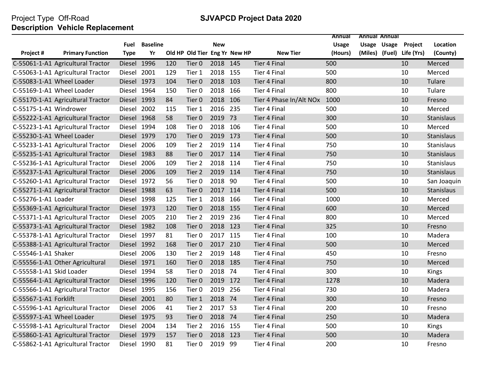|                          |                                   |             |                 |     |                   |            |                               |                         | Annual       | <b>Annual Annual</b> |                           |             |
|--------------------------|-----------------------------------|-------------|-----------------|-----|-------------------|------------|-------------------------------|-------------------------|--------------|----------------------|---------------------------|-------------|
|                          |                                   | Fuel        | <b>Baseline</b> |     |                   | <b>New</b> |                               |                         | <b>Usage</b> |                      | Usage Usage Project       | Location    |
| Project #                | <b>Primary Function</b>           | <b>Type</b> | Yr              |     |                   |            | Old HP Old Tier Eng Yr New HP | <b>New Tier</b>         | (Hours)      |                      | (Miles) (Fuel) Life (Yrs) | (County)    |
|                          | C-55061-1-A1 Agricultural Tractor | Diesel 1996 |                 | 120 | Tier 0            | 2018 145   |                               | Tier 4 Final            | 500          |                      | 10                        | Merced      |
|                          | C-55063-1-A1 Agricultural Tractor | Diesel 2001 |                 | 129 | Tier 1            | 2018 155   |                               | Tier 4 Final            | 500          |                      | 10                        | Merced      |
|                          | C-55083-1-A1 Wheel Loader         | Diesel 1973 |                 | 104 | Tier <sub>0</sub> | 2018 103   |                               | Tier 4 Final            | 800          |                      | 10                        | Tulare      |
|                          | C-55169-1-A1 Wheel Loader         | Diesel 1964 |                 | 150 | Tier <sub>0</sub> | 2018       | 166                           | Tier 4 Final            | 800          |                      | 10                        | Tulare      |
|                          | C-55170-1-A1 Agricultural Tractor | Diesel 1993 |                 | 84  | Tier 0            | 2018       | 106                           | Tier 4 Phase In/Alt NOx | 1000         |                      | 10                        | Fresno      |
| C-55175-1-A1 Windrower   |                                   | Diesel 2002 |                 | 115 | Tier 1            | 2016 235   |                               | Tier 4 Final            | 500          |                      | 10                        | Merced      |
|                          | C-55222-1-A1 Agricultural Tractor | Diesel 1968 |                 | 58  | Tier <sub>0</sub> | 2019 73    |                               | Tier 4 Final            | 300          |                      | 10                        | Stanislaus  |
|                          | C-55223-1-A1 Agricultural Tractor | Diesel 1994 |                 | 108 | Tier <sub>0</sub> | 2018       | 106                           | Tier 4 Final            | 500          |                      | 10                        | Merced      |
|                          | C-55230-1-A1 Wheel Loader         | Diesel 1979 |                 | 170 | Tier <sub>0</sub> | 2019 173   |                               | Tier 4 Final            | 500          |                      | 10                        | Stanislaus  |
|                          | C-55233-1-A1 Agricultural Tractor | Diesel 2006 |                 | 109 | Tier 2            | 2019 114   |                               | Tier 4 Final            | 750          |                      | 10                        | Stanislaus  |
|                          | C-55235-1-A1 Agricultural Tractor | Diesel 1983 |                 | 88  | Tier 0            | 2017       | 114                           | Tier 4 Final            | 750          |                      | 10                        | Stanislaus  |
|                          | C-55236-1-A1 Agricultural Tractor | Diesel 2006 |                 | 109 | Tier 2            | 2018       | 114                           | Tier 4 Final            | 750          |                      | 10                        | Stanislaus  |
|                          | C-55237-1-A1 Agricultural Tractor | Diesel 2006 |                 | 109 | Tier 2            | 2019 114   |                               | Tier 4 Final            | 750          |                      | 10                        | Stanislaus  |
|                          | C-55260-1-A1 Agricultural Tractor | Diesel 1972 |                 | 56  | Tier 0            | 2018 90    |                               | Tier 4 Final            | 500          |                      | 10                        | San Joaquin |
|                          | C-55271-1-A1 Agricultural Tractor | Diesel 1988 |                 | 63  | Tier <sub>0</sub> | 2017 114   |                               | Tier 4 Final            | 500          |                      | 10                        | Stanislaus  |
| C-55276-1-A1 Loader      |                                   | Diesel 1998 |                 | 125 | Tier 1            | 2018 166   |                               | Tier 4 Final            | 1000         |                      | 10                        | Merced      |
|                          | C-55369-1-A1 Agricultural Tractor | Diesel 1973 |                 | 120 | Tier 0            | 2018 155   |                               | Tier 4 Final            | 600          |                      | 10                        | Merced      |
|                          | C-55371-1-A1 Agricultural Tractor | Diesel 2005 |                 | 210 | Tier 2            | 2019       | 236                           | Tier 4 Final            | 800          |                      | 10                        | Merced      |
|                          | C-55373-1-A1 Agricultural Tractor | Diesel 1982 |                 | 108 | Tier <sub>0</sub> | 2018 123   |                               | Tier 4 Final            | 325          |                      | 10                        | Fresno      |
|                          | C-55378-1-A1 Agricultural Tractor | Diesel 1997 |                 | 81  | Tier 0            | 2017 115   |                               | Tier 4 Final            | 100          |                      | 10                        | Madera      |
|                          | C-55388-1-A1 Agricultural Tractor | Diesel 1992 |                 | 168 | Tier <sub>0</sub> | 2017 210   |                               | <b>Tier 4 Final</b>     | 500          |                      | 10                        | Merced      |
| C-55546-1-A1 Shaker      |                                   | Diesel 2006 |                 | 130 | Tier 2            | 2019       | 148                           | Tier 4 Final            | 450          |                      | 10                        | Fresno      |
|                          | C-55556-1-A1 Other Agricultural   | Diesel 1971 |                 | 160 | Tier <sub>0</sub> | 2018 185   |                               | <b>Tier 4 Final</b>     | 750          |                      | 10                        | Merced      |
| C-55558-1-A1 Skid Loader |                                   | Diesel 1994 |                 | 58  | Tier <sub>0</sub> | 2018       | 74                            | Tier 4 Final            | 300          |                      | 10                        | Kings       |
|                          | C-55564-1-A1 Agricultural Tractor | Diesel 1996 |                 | 120 | Tier <sub>0</sub> | 2019       | 172                           | Tier 4 Final            | 1278         |                      | 10                        | Madera      |
|                          | C-55566-1-A1 Agricultural Tractor | Diesel 1995 |                 | 156 | Tier <sub>0</sub> | 2019 256   |                               | Tier 4 Final            | 730          |                      | 10                        | Madera      |
| C-55567-1-A1 Forklift    |                                   | Diesel 2001 |                 | 80  | Tier 1            | 2018 74    |                               | Tier 4 Final            | 300          |                      | 10                        | Fresno      |
|                          | C-55596-1-A1 Agricultural Tractor | Diesel 2006 |                 | 41  | Tier 2            | 2017 53    |                               | Tier 4 Final            | 200          |                      | 10                        | Fresno      |
|                          | C-55597-1-A1 Wheel Loader         | Diesel 1975 |                 | 93  | Tier <sub>0</sub> | 2018 74    |                               | Tier 4 Final            | 250          |                      | 10                        | Madera      |
|                          | C-55598-1-A1 Agricultural Tractor | Diesel 2004 |                 | 134 | Tier 2            | 2016       | 155                           | Tier 4 Final            | 500          |                      | 10                        | Kings       |
|                          | C-55860-1-A1 Agricultural Tractor | Diesel 1979 |                 | 157 | Tier <sub>0</sub> | 2018       | 123                           | <b>Tier 4 Final</b>     | 500          |                      | 10                        | Madera      |
|                          | C-55862-1-A1 Agricultural Tractor | Diesel 1990 |                 | 81  | Tier <sub>0</sub> | 2019 99    |                               | Tier 4 Final            | 200          |                      | 10                        | Fresno      |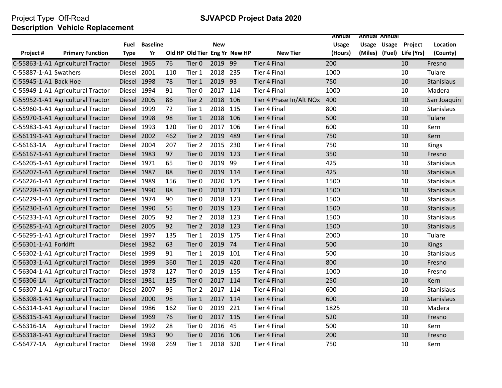|                       |                                   |             |                 |     |                   |            |                               |                         | Annual       | <b>Annual Annual</b> |                           |                   |
|-----------------------|-----------------------------------|-------------|-----------------|-----|-------------------|------------|-------------------------------|-------------------------|--------------|----------------------|---------------------------|-------------------|
|                       |                                   | Fuel        | <b>Baseline</b> |     |                   | <b>New</b> |                               |                         | <b>Usage</b> |                      | Usage Usage Project       | Location          |
| <b>Project #</b>      | <b>Primary Function</b>           | Type        | Yr              |     |                   |            | Old HP Old Tier Eng Yr New HP | <b>New Tier</b>         | (Hours)      |                      | (Miles) (Fuel) Life (Yrs) | (County)          |
|                       | C-55863-1-A1 Agricultural Tractor | Diesel 1965 |                 | 76  | Tier <sub>0</sub> | 2019 99    |                               | <b>Tier 4 Final</b>     | 200          |                      | 10                        | Fresno            |
| C-55887-1-A1 Swathers |                                   | Diesel 2001 |                 | 110 | Tier 1            | 2018 235   |                               | <b>Tier 4 Final</b>     | 1000         |                      | 10                        | Tulare            |
| C-55945-1-A1 Back Hoe |                                   | Diesel 1998 |                 | 78  | Tier 1            | 2019 93    |                               | Tier 4 Final            | 750          |                      | 10                        | <b>Stanislaus</b> |
|                       | C-55949-1-A1 Agricultural Tractor | Diesel 1994 |                 | 91  | Tier 0            | 2017       | 114                           | Tier 4 Final            | 1000         |                      | 10                        | Madera            |
|                       | C-55952-1-A1 Agricultural Tractor | Diesel 2005 |                 | 86  | Tier 2            | 2018       | 106                           | Tier 4 Phase In/Alt NOx | 400          |                      | 10                        | San Joaquin       |
|                       | C-55960-1-A1 Agricultural Tractor | Diesel 1999 |                 | 72  | Tier 1            | 2018 115   |                               | Tier 4 Final            | 800          |                      | 10                        | Stanislaus        |
|                       | C-55970-1-A1 Agricultural Tractor | Diesel 1998 |                 | 98  | Tier 1            | 2018 106   |                               | Tier 4 Final            | 500          |                      | 10                        | Tulare            |
|                       | C-55983-1-A1 Agricultural Tractor | Diesel 1993 |                 | 120 | Tier 0            | 2017       | 106                           | Tier 4 Final            | 600          |                      | 10                        | Kern              |
|                       | C-56119-1-A1 Agricultural Tractor | Diesel 2002 |                 | 462 | Tier 2            | 2019       | 489                           | Tier 4 Final            | 750          |                      | 10                        | Kern              |
|                       | C-56163-1A Agricultural Tractor   | Diesel      | 2004            | 207 | Tier 2            | 2015       | 230                           | Tier 4 Final            | 750          |                      | 10                        | Kings             |
|                       | C-56167-1-A1 Agricultural Tractor | Diesel 1983 |                 | 97  | Tier <sub>0</sub> | 2019       | 123                           | Tier 4 Final            | 350          |                      | 10                        | Fresno            |
|                       | C-56205-1-A1 Agricultural Tractor | Diesel 1971 |                 | 65  | Tier 0            | 2019       | 99                            | <b>Tier 4 Final</b>     | 425          |                      | 10                        | Stanislaus        |
|                       | C-56207-1-A1 Agricultural Tractor | Diesel 1987 |                 | 88  | Tier <sub>0</sub> | 2019 114   |                               | Tier 4 Final            | 425          |                      | 10                        | Stanislaus        |
|                       | C-56226-1-A1 Agricultural Tractor | Diesel 1989 |                 | 156 | Tier 0            | 2020       | 175                           | Tier 4 Final            | 1500         |                      | 10                        | Stanislaus        |
|                       | C-56228-1-A1 Agricultural Tractor | Diesel 1990 |                 | 88  | Tier <sub>0</sub> | 2018 123   |                               | <b>Tier 4 Final</b>     | 1500         |                      | 10                        | Stanislaus        |
|                       | C-56229-1-A1 Agricultural Tractor | Diesel 1974 |                 | 90  | Tier <sub>0</sub> | 2018 123   |                               | Tier 4 Final            | 1500         |                      | 10                        | Stanislaus        |
|                       | C-56230-1-A1 Agricultural Tractor | Diesel 1990 |                 | 55  | Tier 0            | 2019       | 123                           | <b>Tier 4 Final</b>     | 1500         |                      | 10                        | Stanislaus        |
|                       | C-56233-1-A1 Agricultural Tractor | Diesel      | 2005            | 92  | Tier 2            | 2018       | 123                           | Tier 4 Final            | 1500         |                      | 10                        | Stanislaus        |
|                       | C-56285-1-A1 Agricultural Tractor | Diesel 2005 |                 | 92  | Tier 2            | 2018 123   |                               | Tier 4 Final            | 1500         |                      | 10                        | Stanislaus        |
|                       | C-56295-1-A1 Agricultural Tractor | Diesel 1997 |                 | 135 | Tier 1            | 2019       | 175                           | Tier 4 Final            | 2000         |                      | 10                        | Tulare            |
| C-56301-1-A1 Forklift |                                   | Diesel 1982 |                 | 63  | Tier <sub>0</sub> | 2019 74    |                               | Tier 4 Final            | 500          |                      | 10                        | <b>Kings</b>      |
|                       | C-56302-1-A1 Agricultural Tractor | Diesel 1999 |                 | 91  | Tier 1            | 2019       | 101                           | Tier 4 Final            | 500          |                      | 10                        | Stanislaus        |
|                       | C-56303-1-A1 Agricultural Tractor | Diesel 1999 |                 | 360 | Tier 1            | 2019       | 420                           | Tier 4 Final            | 800          |                      | 10                        | Fresno            |
|                       | C-56304-1-A1 Agricultural Tractor | Diesel 1978 |                 | 127 | Tier 0            | 2019       | 155                           | Tier 4 Final            | 1000         |                      | 10                        | Fresno            |
|                       | C-56306-1A Agricultural Tractor   | Diesel 1981 |                 | 135 | Tier 0            | 2017       | 114                           | Tier 4 Final            | 250          |                      | 10                        | Kern              |
|                       | C-56307-1-A1 Agricultural Tractor | Diesel 2007 |                 | 95  | Tier 2            | 2017       | 114                           | Tier 4 Final            | 600          |                      | 10                        | Stanislaus        |
|                       | C-56308-1-A1 Agricultural Tractor | Diesel 2000 |                 | 98  | Tier 1            | 2017 114   |                               | Tier 4 Final            | 600          |                      | 10                        | Stanislaus        |
|                       | C-56314-1-A1 Agricultural Tractor | Diesel 1986 |                 | 162 | Tier <sub>0</sub> | 2019       | 221                           | Tier 4 Final            | 1825         |                      | 10                        | Madera            |
|                       | C-56315-1-A1 Agricultural Tractor | Diesel 1969 |                 | 76  | Tier <sub>0</sub> | 2017 115   |                               | Tier 4 Final            | 520          |                      | 10                        | Fresno            |
|                       | C-56316-1A Agricultural Tractor   | Diesel 1992 |                 | 28  | Tier <sub>0</sub> | 2016       | 45                            | Tier 4 Final            | 500          |                      | 10                        | Kern              |
|                       | C-56318-1-A1 Agricultural Tractor | Diesel 1983 |                 | 90  | Tier <sub>0</sub> | 2016       | 106                           | Tier 4 Final            | 200          |                      | 10                        | Fresno            |
|                       | C-56477-1A Agricultural Tractor   | Diesel 1998 |                 | 269 | Tier 1            | 2018       | 320                           | Tier 4 Final            | 750          |                      | 10                        | Kern              |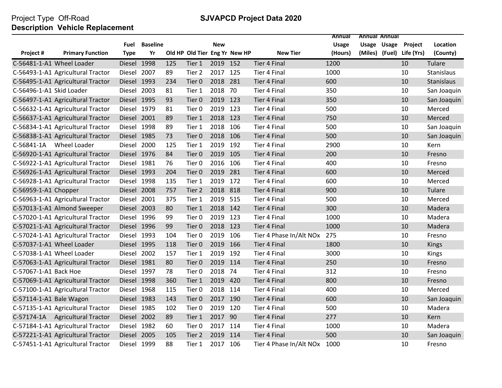|                          |                                   |             |                 |     |                               |            |     |                         | Annual       | <b>Annual Annual</b> |                           |             |
|--------------------------|-----------------------------------|-------------|-----------------|-----|-------------------------------|------------|-----|-------------------------|--------------|----------------------|---------------------------|-------------|
|                          |                                   | Fuel        | <b>Baseline</b> |     |                               | <b>New</b> |     |                         | <b>Usage</b> |                      | Usage Usage Project       | Location    |
| Project #                | <b>Primary Function</b>           | <b>Type</b> | Yr              |     | Old HP Old Tier Eng Yr New HP |            |     | <b>New Tier</b>         | (Hours)      |                      | (Miles) (Fuel) Life (Yrs) | (County)    |
|                          | C-56481-1-A1 Wheel Loader         | Diesel 1998 |                 | 125 | Tier 1                        | 2019 152   |     | Tier 4 Final            | 1200         |                      | 10                        | Tulare      |
|                          | C-56493-1-A1 Agricultural Tractor | Diesel 2007 |                 | 89  | Tier 2                        | 2017 125   |     | <b>Tier 4 Final</b>     | 1000         |                      | 10                        | Stanislaus  |
|                          | C-56495-1-A1 Agricultural Tractor | Diesel 1993 |                 | 234 | Tier 0                        | 2018 281   |     | Tier 4 Final            | 600          |                      | 10                        | Stanislaus  |
| C-56496-1-A1 Skid Loader |                                   | Diesel      | 2003            | 81  | Tier 1                        | 2018       | 70  | Tier 4 Final            | 350          |                      | 10                        | San Joaquin |
|                          | C-56497-1-A1 Agricultural Tractor | Diesel 1995 |                 | 93  | Tier 0                        | 2019       | 123 | Tier 4 Final            | 350          |                      | 10                        | San Joaquin |
|                          | C-56632-1-A1 Agricultural Tractor | Diesel 1979 |                 | 81  | Tier 0                        | 2019       | 123 | Tier 4 Final            | 500          |                      | 10                        | Merced      |
|                          | C-56637-1-A1 Agricultural Tractor | Diesel 2001 |                 | 89  | Tier 1                        | 2018 123   |     | Tier 4 Final            | 750          |                      | 10                        | Merced      |
|                          | C-56834-1-A1 Agricultural Tractor | Diesel 1998 |                 | 89  | Tier 1                        | 2018       | 106 | <b>Tier 4 Final</b>     | 500          |                      | 10                        | San Joaquin |
|                          | C-56838-1-A1 Agricultural Tractor | Diesel 1985 |                 | 73  | Tier <sub>0</sub>             | 2018 106   |     | Tier 4 Final            | 500          |                      | 10                        | San Joaquin |
|                          | C-56841-1A Wheel Loader           | Diesel 2000 |                 | 125 | Tier 1                        | 2019       | 192 | Tier 4 Final            | 2900         |                      | 10                        | Kern        |
|                          | C-56920-1-A1 Agricultural Tractor | Diesel 1976 |                 | 84  | Tier <sub>0</sub>             | 2019       | 105 | Tier 4 Final            | 200          |                      | 10                        | Fresno      |
|                          | C-56922-1-A1 Agricultural Tractor | Diesel 1981 |                 | 76  | Tier <sub>0</sub>             | 2016       | 106 | <b>Tier 4 Final</b>     | 400          |                      | 10                        | Fresno      |
|                          | C-56926-1-A1 Agricultural Tractor | Diesel 1993 |                 | 204 | Tier 0                        | 2019 281   |     | Tier 4 Final            | 600          |                      | 10                        | Merced      |
|                          | C-56928-1-A1 Agricultural Tractor | Diesel 1998 |                 | 135 | Tier 1                        | 2019       | 172 | Tier 4 Final            | 600          |                      | 10                        | Merced      |
| C-56959-1-A1 Chopper     |                                   | Diesel 2008 |                 | 757 | Tier 2                        | 2018 818   |     | <b>Tier 4 Final</b>     | 900          |                      | 10                        | Tulare      |
|                          | C-56963-1-A1 Agricultural Tractor | Diesel 2001 |                 | 375 | Tier 1                        | 2019 515   |     | Tier 4 Final            | 500          |                      | 10                        | Merced      |
|                          | C-57013-1-A1 Almond Sweeper       | Diesel 2003 |                 | 80  | Tier 1                        | 2018 142   |     | Tier 4 Final            | 300          |                      | 10                        | Madera      |
|                          | C-57020-1-A1 Agricultural Tractor | Diesel 1996 |                 | 99  | Tier 0                        | 2019       | 123 | Tier 4 Final            | 1000         |                      | 10                        | Madera      |
|                          | C-57021-1-A1 Agricultural Tractor | Diesel 1996 |                 | 99  | Tier <sub>0</sub>             | 2018       | 123 | Tier 4 Final            | 1000         |                      | 10                        | Madera      |
|                          | C-57024-1-A1 Agricultural Tractor | Diesel 1993 |                 | 104 | Tier 0                        | 2019       | 106 | Tier 4 Phase In/Alt NOx | 275          |                      | 10                        | Fresno      |
|                          | C-57037-1-A1 Wheel Loader         | Diesel 1995 |                 | 118 | Tier <sub>0</sub>             | 2019       | 166 | Tier 4 Final            | 1800         |                      | 10                        | Kings       |
|                          | C-57038-1-A1 Wheel Loader         | Diesel 2002 |                 | 157 | Tier 1                        | 2019 192   |     | Tier 4 Final            | 3000         |                      | 10                        | Kings       |
|                          | C-57063-1-A1 Agricultural Tractor | Diesel 1981 |                 | 80  | Tier <sub>0</sub>             | 2019 114   |     | Tier 4 Final            | 250          |                      | 10                        | Fresno      |
| C-57067-1-A1 Back Hoe    |                                   | Diesel 1997 |                 | 78  | Tier 0                        | 2018       | 74  | <b>Tier 4 Final</b>     | 312          |                      | 10                        | Fresno      |
|                          | C-57069-1-A1 Agricultural Tractor | Diesel 1998 |                 | 360 | Tier 1                        | 2019       | 420 | Tier 4 Final            | 800          |                      | 10                        | Fresno      |
|                          | C-57100-1-A1 Agricultural Tractor | Diesel 1968 |                 | 115 | Tier 0                        | 2018 114   |     | Tier 4 Final            | 400          |                      | 10                        | Merced      |
| C-57114-1-A1 Bale Wagon  |                                   | Diesel 1983 |                 | 143 | Tier <sub>0</sub>             | 2017 190   |     | Tier 4 Final            | 600          |                      | 10                        | San Joaquin |
|                          | C-57135-1-A1 Agricultural Tractor | Diesel 1985 |                 | 102 | Tier <sub>0</sub>             | 2019       | 120 | Tier 4 Final            | 500          |                      | 10                        | Madera      |
|                          | C-57174-1A Agricultural Tractor   | Diesel 2002 |                 | 89  | Tier 1                        | 2017       | 90  | Tier 4 Final            | 277          |                      | 10                        | Kern        |
|                          | C-57184-1-A1 Agricultural Tractor | Diesel      | 1982            | 60  | Tier 0                        | 2017       | 114 | Tier 4 Final            | 1000         |                      | 10                        | Madera      |
|                          | C-57221-1-A1 Agricultural Tractor | Diesel 2005 |                 | 105 | Tier 2                        | 2019       | 114 | Tier 4 Final            | 500          |                      | 10                        | San Joaquin |
|                          | C-57451-1-A1 Agricultural Tractor | Diesel 1999 |                 | 88  | Tier 1                        | 2017 106   |     | Tier 4 Phase In/Alt NOx | 1000         |                      | 10                        | Fresno      |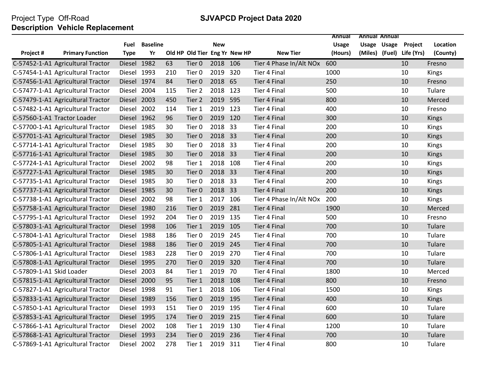|                          |                                   |             |                 |     |                   |            |                               |                         | Annual       | <b>Annual Annual</b> |                           |              |
|--------------------------|-----------------------------------|-------------|-----------------|-----|-------------------|------------|-------------------------------|-------------------------|--------------|----------------------|---------------------------|--------------|
|                          |                                   | Fuel        | <b>Baseline</b> |     |                   | <b>New</b> |                               |                         | <b>Usage</b> |                      | Usage Usage Project       | Location     |
| Project #                | <b>Primary Function</b>           | <b>Type</b> | Yr              |     |                   |            | Old HP Old Tier Eng Yr New HP | <b>New Tier</b>         | (Hours)      |                      | (Miles) (Fuel) Life (Yrs) | (County)     |
|                          | C-57452-1-A1 Agricultural Tractor | Diesel 1982 |                 | 63  | Tier <sub>0</sub> | 2018 106   |                               | Tier 4 Phase In/Alt NOx | 600          |                      | 10                        | Fresno       |
|                          | C-57454-1-A1 Agricultural Tractor | Diesel 1993 |                 | 210 | Tier 0            | 2019 320   |                               | Tier 4 Final            | 1000         |                      | 10                        | Kings        |
|                          | C-57456-1-A1 Agricultural Tractor | Diesel 1974 |                 | 84  | Tier 0            | 2018 65    |                               | Tier 4 Final            | 250          |                      | 10                        | Fresno       |
|                          | C-57477-1-A1 Agricultural Tractor | Diesel      | 2004            | 115 | Tier 2            | 2018       | 123                           | Tier 4 Final            | 500          |                      | 10                        | Tulare       |
|                          | C-57479-1-A1 Agricultural Tractor | Diesel 2003 |                 | 450 | Tier 2            | 2019       | 595                           | Tier 4 Final            | 800          |                      | 10                        | Merced       |
|                          | C-57482-1-A1 Agricultural Tractor | Diesel 2002 |                 | 114 | Tier 1            | 2019       | 123                           | Tier 4 Final            | 400          |                      | 10                        | Fresno       |
|                          | C-57560-1-A1 Tractor Loader       | Diesel 1962 |                 | 96  | Tier <sub>0</sub> | 2019       | 120                           | <b>Tier 4 Final</b>     | 300          |                      | 10                        | <b>Kings</b> |
|                          | C-57700-1-A1 Agricultural Tractor | Diesel 1985 |                 | 30  | Tier 0            | 2018 33    |                               | Tier 4 Final            | 200          |                      | 10                        | <b>Kings</b> |
|                          | C-57701-1-A1 Agricultural Tractor | Diesel 1985 |                 | 30  | Tier <sub>0</sub> | 2018 33    |                               | Tier 4 Final            | 200          |                      | 10                        | <b>Kings</b> |
|                          | C-57714-1-A1 Agricultural Tractor | Diesel      | 1985            | 30  | Tier <sub>0</sub> | 2018       | 33                            | Tier 4 Final            | 200          |                      | 10                        | Kings        |
|                          | C-57716-1-A1 Agricultural Tractor | Diesel 1985 |                 | 30  | Tier <sub>0</sub> | 2018 33    |                               | <b>Tier 4 Final</b>     | 200          |                      | 10                        | <b>Kings</b> |
|                          | C-57724-1-A1 Agricultural Tractor | Diesel 2002 |                 | 98  | Tier 1            | 2018 108   |                               | Tier 4 Final            | 200          |                      | 10                        | Kings        |
|                          | C-57727-1-A1 Agricultural Tractor | Diesel 1985 |                 | 30  | Tier <sub>0</sub> | 2018 33    |                               | Tier 4 Final            | 200          |                      | 10                        | <b>Kings</b> |
|                          | C-57735-1-A1 Agricultural Tractor | Diesel 1985 |                 | 30  | Tier 0            | 2018 33    |                               | Tier 4 Final            | 200          |                      | 10                        | Kings        |
|                          | C-57737-1-A1 Agricultural Tractor | Diesel 1985 |                 | 30  | Tier 0            | 2018 33    |                               | Tier 4 Final            | 200          |                      | 10                        | <b>Kings</b> |
|                          | C-57738-1-A1 Agricultural Tractor | Diesel 2002 |                 | 98  | Tier 1            | 2017       | 106                           | Tier 4 Phase In/Alt NOx | 200          |                      | 10                        | Kings        |
|                          | C-57758-1-A1 Agricultural Tractor | Diesel 1980 |                 | 216 | Tier 0            | 2019       | 281                           | Tier 4 Final            | 1900         |                      | 10                        | Merced       |
|                          | C-57795-1-A1 Agricultural Tractor | Diesel 1992 |                 | 204 | Tier 0            | 2019       | 135                           | Tier 4 Final            | 500          |                      | 10                        | Fresno       |
|                          | C-57803-1-A1 Agricultural Tractor | Diesel 1998 |                 | 106 | Tier 1            | 2019       | 105                           | Tier 4 Final            | 700          |                      | 10                        | Tulare       |
|                          | C-57804-1-A1 Agricultural Tractor | Diesel 1988 |                 | 186 | Tier 0            | 2019       | 245                           | Tier 4 Final            | 700          |                      | 10                        | Tulare       |
|                          | C-57805-1-A1 Agricultural Tractor | Diesel 1988 |                 | 186 | Tier 0            | 2019 245   |                               | Tier 4 Final            | 700          |                      | 10                        | Tulare       |
|                          | C-57806-1-A1 Agricultural Tractor | Diesel 1983 |                 | 228 | Tier <sub>0</sub> | 2019       | 270                           | Tier 4 Final            | 700          |                      | 10                        | Tulare       |
|                          | C-57808-1-A1 Agricultural Tractor | Diesel 1995 |                 | 270 | Tier <sub>0</sub> | 2019       | 320                           | Tier 4 Final            | 700          |                      | 10                        | Tulare       |
| C-57809-1-A1 Skid Loader |                                   | Diesel      | 2003            | 84  | Tier 1            | 2019       | 70                            | Tier 4 Final            | 1800         |                      | 10                        | Merced       |
|                          | C-57815-1-A1 Agricultural Tractor | Diesel 2000 |                 | 95  | Tier 1            | 2018       | 108                           | Tier 4 Final            | 800          |                      | 10                        | Fresno       |
|                          | C-57827-1-A1 Agricultural Tractor | Diesel 1998 |                 | 91  | Tier 1            | 2018       | 106                           | Tier 4 Final            | 1500         |                      | 10                        | Kings        |
|                          | C-57833-1-A1 Agricultural Tractor | Diesel 1989 |                 | 156 | Tier <sub>0</sub> | 2019 195   |                               | Tier 4 Final            | 400          |                      | 10                        | <b>Kings</b> |
|                          | C-57850-1-A1 Agricultural Tractor | Diesel 1993 |                 | 151 | Tier 0            | 2019       | 195                           | Tier 4 Final            | 600          |                      | 10                        | Tulare       |
|                          | C-57853-1-A1 Agricultural Tractor | Diesel 1995 |                 | 174 | Tier 0            | 2019 215   |                               | <b>Tier 4 Final</b>     | 600          |                      | 10                        | Tulare       |
|                          | C-57866-1-A1 Agricultural Tractor | Diesel      | 2002            | 108 | Tier 1            | 2019       | 130                           | Tier 4 Final            | 1200         |                      | 10                        | Tulare       |
|                          | C-57868-1-A1 Agricultural Tractor | Diesel 1993 |                 | 234 | Tier <sub>0</sub> | 2019       | 236                           | Tier 4 Final            | 700          |                      | 10                        | Tulare       |
|                          | C-57869-1-A1 Agricultural Tractor | Diesel 2002 |                 | 278 | Tier 1            | 2019       | 311                           | Tier 4 Final            | 800          |                      | 10                        | Tulare       |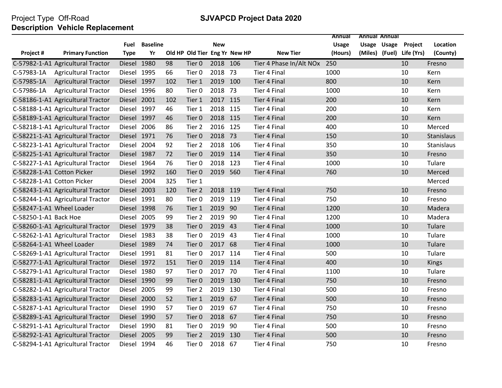|                       |                                   |             |                 |     |                   |            |                               |                         | Annual       | <b>Annual Annual</b> |                           |              |
|-----------------------|-----------------------------------|-------------|-----------------|-----|-------------------|------------|-------------------------------|-------------------------|--------------|----------------------|---------------------------|--------------|
|                       |                                   | Fuel        | <b>Baseline</b> |     |                   | <b>New</b> |                               |                         | <b>Usage</b> |                      | Usage Usage Project       | Location     |
| Project#              | <b>Primary Function</b>           | <b>Type</b> | Yr              |     |                   |            | Old HP Old Tier Eng Yr New HP | <b>New Tier</b>         | (Hours)      |                      | (Miles) (Fuel) Life (Yrs) | (County)     |
|                       | C-57982-1-A1 Agricultural Tractor | Diesel 1980 |                 | 98  | Tier 0            | 2018 106   |                               | Tier 4 Phase In/Alt NOx | 250          |                      | 10                        | Fresno       |
| C-57983-1A            | <b>Agricultural Tractor</b>       | Diesel 1995 |                 | 66  | Tier <sub>0</sub> | 2018 73    |                               | Tier 4 Final            | 1000         |                      | 10                        | Kern         |
| C-57985-1A            | <b>Agricultural Tractor</b>       | Diesel 1997 |                 | 102 | Tier 1            | 2019 100   |                               | Tier 4 Final            | 800          |                      | 10                        | Kern         |
| C-57986-1A            | <b>Agricultural Tractor</b>       | Diesel      | 1996            | 80  | Tier 0            | 2018 73    |                               | Tier 4 Final            | 1000         |                      | 10                        | Kern         |
|                       | C-58186-1-A1 Agricultural Tractor | Diesel 2001 |                 | 102 | Tier 1            | 2017 115   |                               | Tier 4 Final            | 200          |                      | 10                        | Kern         |
|                       | C-58188-1-A1 Agricultural Tractor | Diesel 1997 |                 | 46  | Tier 1            | 2018 115   |                               | Tier 4 Final            | 200          |                      | 10                        | Kern         |
|                       | C-58189-1-A1 Agricultural Tractor | Diesel 1997 |                 | 46  | Tier <sub>0</sub> | 2018 115   |                               | Tier 4 Final            | 200          |                      | 10                        | Kern         |
|                       | C-58218-1-A1 Agricultural Tractor | Diesel      | 2006            | 86  | Tier 2            | 2016 125   |                               | Tier 4 Final            | 400          |                      | 10                        | Merced       |
|                       | C-58221-1-A1 Agricultural Tractor | Diesel 1971 |                 | 76  | Tier 0            | 2018 73    |                               | Tier 4 Final            | 150          |                      | 10                        | Stanislaus   |
|                       | C-58223-1-A1 Agricultural Tractor | Diesel      | 2004            | 92  | Tier 2            | 2018       | 106                           | Tier 4 Final            | 350          |                      | 10                        | Stanislaus   |
|                       | C-58225-1-A1 Agricultural Tractor | Diesel 1987 |                 | 72  | Tier 0            | 2019 114   |                               | Tier 4 Final            | 350          |                      | 10                        | Fresno       |
|                       | C-58227-1-A1 Agricultural Tractor | Diesel 1964 |                 | 76  | Tier <sub>0</sub> | 2018 123   |                               | Tier 4 Final            | 1000         |                      | 10                        | Tulare       |
|                       | C-58228-1-A1 Cotton Picker        | Diesel 1992 |                 | 160 | Tier 0            | 2019 560   |                               | Tier 4 Final            | 760          |                      | 10                        | Merced       |
|                       | C-58228-1-A1 Cotton Picker        | Diesel 2004 |                 | 325 | Tier 1            |            |                               |                         |              |                      |                           | Merced       |
|                       | C-58243-1-A1 Agricultural Tractor | Diesel 2003 |                 | 120 | Tier 2            | 2018 119   |                               | Tier 4 Final            | 750          |                      | 10                        | Fresno       |
|                       | C-58244-1-A1 Agricultural Tractor | Diesel 1991 |                 | 80  | Tier 0            | 2019 119   |                               | Tier 4 Final            | 750          |                      | 10                        | Fresno       |
|                       | C-58247-1-A1 Wheel Loader         | Diesel 1998 |                 | 76  | Tier 1            | 2019 90    |                               | Tier 4 Final            | 1200         |                      | 10                        | Madera       |
| C-58250-1-A1 Back Hoe |                                   | Diesel 2005 |                 | 99  | Tier 2            | 2019 90    |                               | Tier 4 Final            | 1200         |                      | 10                        | Madera       |
|                       | C-58260-1-A1 Agricultural Tractor | Diesel 1979 |                 | 38  | Tier 0            | 2019 43    |                               | Tier 4 Final            | 1000         |                      | 10                        | Tulare       |
|                       | C-58262-1-A1 Agricultural Tractor | Diesel 1983 |                 | 38  | Tier 0            | 2019 43    |                               | Tier 4 Final            | 1000         |                      | 10                        | Tulare       |
|                       | C-58264-1-A1 Wheel Loader         | Diesel 1989 |                 | 74  | Tier <sub>0</sub> | 2017 68    |                               | Tier 4 Final            | 1000         |                      | 10                        | Tulare       |
|                       | C-58269-1-A1 Agricultural Tractor | Diesel 1991 |                 | 81  | Tier 0            | 2017 114   |                               | Tier 4 Final            | 500          |                      | 10                        | Tulare       |
|                       | C-58277-1-A1 Agricultural Tractor | Diesel 1972 |                 | 151 | Tier 0            | 2019 114   |                               | Tier 4 Final            | 400          |                      | 10                        | <b>Kings</b> |
|                       | C-58279-1-A1 Agricultural Tractor | Diesel 1980 |                 | 97  | Tier <sub>0</sub> | 2017 70    |                               | Tier 4 Final            | 1100         |                      | 10                        | Tulare       |
|                       | C-58281-1-A1 Agricultural Tractor | Diesel 1990 |                 | 99  | Tier 0            | 2019 130   |                               | Tier 4 Final            | 750          |                      | 10                        | Fresno       |
|                       | C-58282-1-A1 Agricultural Tractor | Diesel 2005 |                 | 99  | Tier 2            | 2019 130   |                               | Tier 4 Final            | 500          |                      | 10                        | Fresno       |
|                       | C-58283-1-A1 Agricultural Tractor | Diesel 2000 |                 | 52  | Tier 1            | 2019 67    |                               | <b>Tier 4 Final</b>     | 500          |                      | 10                        | Fresno       |
|                       | C-58287-1-A1 Agricultural Tractor | Diesel 1990 |                 | 57  | Tier 0            | 2019 67    |                               | Tier 4 Final            | 750          |                      | 10                        | Fresno       |
|                       | C-58289-1-A1 Agricultural Tractor | Diesel 1990 |                 | 57  | Tier 0            | 2018 67    |                               | Tier 4 Final            | 750          |                      | 10                        | Fresno       |
|                       | C-58291-1-A1 Agricultural Tractor | Diesel      | 1990            | 81  | Tier 0            | 2019 90    |                               | Tier 4 Final            | 500          |                      | 10                        | Fresno       |
|                       | C-58292-1-A1 Agricultural Tractor | Diesel      | 2005            | 99  | Tier 2            | 2019       | 130                           | Tier 4 Final            | 500          |                      | 10                        | Fresno       |
|                       | C-58294-1-A1 Agricultural Tractor | Diesel 1994 |                 | 46  | Tier 0            | 2018 67    |                               | Tier 4 Final            | 750          |                      | 10                        | Fresno       |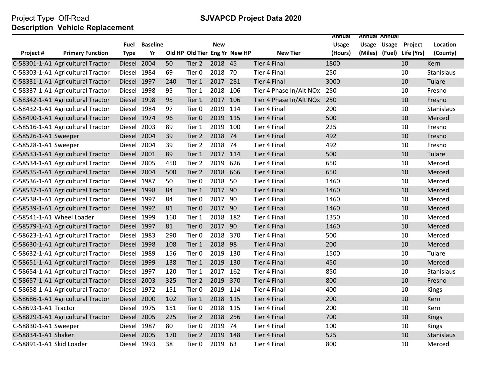|                           |                                   |             |                 |     |                   |            |                               |                         | Annual       | <b>Annual Annual</b> |                           |              |
|---------------------------|-----------------------------------|-------------|-----------------|-----|-------------------|------------|-------------------------------|-------------------------|--------------|----------------------|---------------------------|--------------|
|                           |                                   | <b>Fuel</b> | <b>Baseline</b> |     |                   | <b>New</b> |                               |                         | <b>Usage</b> |                      | Usage Usage Project       | Location     |
| <b>Project #</b>          | <b>Primary Function</b>           | <b>Type</b> | Yr              |     |                   |            | Old HP Old Tier Eng Yr New HP | <b>New Tier</b>         | (Hours)      |                      | (Miles) (Fuel) Life (Yrs) | (County)     |
|                           | C-58301-1-A1 Agricultural Tractor | Diesel 2004 |                 | 50  | Tier 2            | 2018 45    |                               | Tier 4 Final            | 1800         |                      | 10                        | Kern         |
|                           | C-58303-1-A1 Agricultural Tractor | Diesel 1984 |                 | 69  | Tier <sub>0</sub> | 2018 70    |                               | Tier 4 Final            | 250          |                      | 10                        | Stanislaus   |
|                           | C-58331-1-A1 Agricultural Tractor | Diesel 1997 |                 | 240 | Tier 1            | 2017 281   |                               | Tier 4 Final            | 3000         |                      | 10                        | Tulare       |
|                           | C-58337-1-A1 Agricultural Tractor | Diesel 1998 |                 | 95  | Tier 1            | 2018       | 106                           | Tier 4 Phase In/Alt NOx | 250          |                      | 10                        | Fresno       |
|                           | C-58342-1-A1 Agricultural Tractor | Diesel 1998 |                 | 95  | Tier 1            | 2017       | 106                           | Tier 4 Phase In/Alt NOx | 250          |                      | 10                        | Fresno       |
|                           | C-58432-1-A1 Agricultural Tractor | Diesel 1984 |                 | 97  | Tier 0            | 2019       | 114                           | Tier 4 Final            | 200          |                      | 10                        | Stanislaus   |
|                           | C-58490-1-A1 Agricultural Tractor | Diesel 1974 |                 | 96  | Tier <sub>0</sub> | 2019       | 115                           | Tier 4 Final            | 500          |                      | 10                        | Merced       |
|                           | C-58516-1-A1 Agricultural Tractor | Diesel 2003 |                 | 89  | Tier 1            | 2019       | 100                           | Tier 4 Final            | 225          |                      | 10                        | Fresno       |
| C-58526-1-A1 Sweeper      |                                   | Diesel 2004 |                 | 39  | Tier 2            | 2018 74    |                               | Tier 4 Final            | 492          |                      | 10                        | Fresno       |
| C-58528-1-A1 Sweeper      |                                   | Diesel 2004 |                 | 39  | Tier 2            | 2018 74    |                               | Tier 4 Final            | 492          |                      | 10                        | Fresno       |
|                           | C-58533-1-A1 Agricultural Tractor | Diesel 2001 |                 | 89  | Tier 1            | 2017       | 114                           | Tier 4 Final            | 500          |                      | 10                        | Tulare       |
|                           | C-58534-1-A1 Agricultural Tractor | Diesel      | 2005            | 450 | Tier 2            | 2019       | 626                           | <b>Tier 4 Final</b>     | 650          |                      | 10                        | Merced       |
|                           | C-58535-1-A1 Agricultural Tractor | Diesel 2004 |                 | 500 | Tier 2            | 2018       | 666                           | <b>Tier 4 Final</b>     | 650          |                      | 10                        | Merced       |
|                           | C-58536-1-A1 Agricultural Tractor | Diesel 1987 |                 | 50  | Tier 0            | 2018       | 50                            | Tier 4 Final            | 1460         |                      | 10                        | Merced       |
|                           | C-58537-1-A1 Agricultural Tractor | Diesel 1998 |                 | 84  | Tier 1            | 2017 90    |                               | <b>Tier 4 Final</b>     | 1460         |                      | 10                        | Merced       |
|                           | C-58538-1-A1 Agricultural Tractor | Diesel 1997 |                 | 84  | Tier 0            | 2017 90    |                               | Tier 4 Final            | 1460         |                      | 10                        | Merced       |
|                           | C-58539-1-A1 Agricultural Tractor | Diesel 1992 |                 | 81  | Tier 0            | 2017 90    |                               | <b>Tier 4 Final</b>     | 1460         |                      | 10                        | Merced       |
| C-58541-1-A1 Wheel Loader |                                   | Diesel 1999 |                 | 160 | Tier 1            | 2018       | 182                           | Tier 4 Final            | 1350         |                      | 10                        | Merced       |
|                           | C-58579-1-A1 Agricultural Tractor | Diesel 1997 |                 | 81  | Tier <sub>0</sub> | 2017       | 90                            | Tier 4 Final            | 1460         |                      | 10                        | Merced       |
|                           | C-58623-1-A1 Agricultural Tractor | Diesel 1983 |                 | 290 | Tier <sub>0</sub> | 2018       | 370                           | Tier 4 Final            | 500          |                      | 10                        | Merced       |
|                           | C-58630-1-A1 Agricultural Tractor | Diesel 1998 |                 | 108 | Tier 1            | 2018 98    |                               | <b>Tier 4 Final</b>     | 200          |                      | 10                        | Merced       |
|                           | C-58632-1-A1 Agricultural Tractor | Diesel 1989 |                 | 156 | Tier <sub>0</sub> | 2019       | 130                           | Tier 4 Final            | 1500         |                      | 10                        | Tulare       |
|                           | C-58651-1-A1 Agricultural Tractor | Diesel 1999 |                 | 138 | Tier 1            | 2019       | 130                           | <b>Tier 4 Final</b>     | 450          |                      | 10                        | Merced       |
|                           | C-58654-1-A1 Agricultural Tractor | Diesel 1997 |                 | 120 | Tier 1            | 2017       | 162                           | Tier 4 Final            | 850          |                      | 10                        | Stanislaus   |
|                           | C-58657-1-A1 Agricultural Tractor | Diesel 2003 |                 | 325 | Tier 2            | 2019       | 370                           | <b>Tier 4 Final</b>     | 800          |                      | 10                        | Fresno       |
|                           | C-58658-1-A1 Agricultural Tractor | Diesel 1972 |                 | 151 | Tier <sub>0</sub> | 2019       | 114                           | Tier 4 Final            | 400          |                      | 10                        | Kings        |
|                           | C-58686-1-A1 Agricultural Tractor | Diesel 2000 |                 | 102 | Tier 1            | 2018 115   |                               | Tier 4 Final            | 200          |                      | 10                        | Kern         |
| C-58693-1-A1 Tractor      |                                   | Diesel 1975 |                 | 151 | Tier <sub>0</sub> | 2018       | 115                           | Tier 4 Final            | 200          |                      | 10                        | Kern         |
|                           | C-58829-1-A1 Agricultural Tractor | Diesel 2005 |                 | 225 | Tier 2            | 2018 256   |                               | Tier 4 Final            | 700          |                      | 10                        | <b>Kings</b> |
| C-58830-1-A1 Sweeper      |                                   | Diesel 1987 |                 | 80  | Tier 0            | 2019       | 74                            | Tier 4 Final            | 100          |                      | 10                        | Kings        |
| C-58834-1-A1 Shaker       |                                   | Diesel 2005 |                 | 170 | Tier 2            | 2019       | 148                           | <b>Tier 4 Final</b>     | 525          |                      | 10                        | Stanislaus   |
| C-58891-1-A1 Skid Loader  |                                   | Diesel 1993 |                 | 38  | Tier <sub>0</sub> | 2019 63    |                               | Tier 4 Final            | 800          |                      | 10                        | Merced       |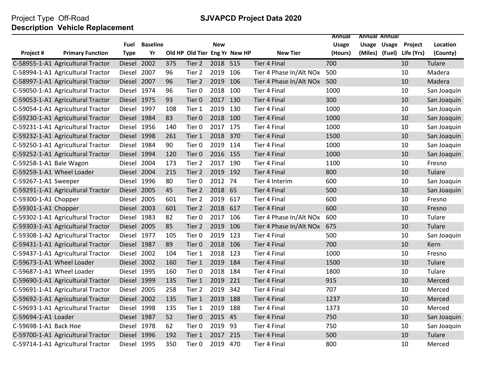|                         |                                   |             |                 |     |                               |            |     |                         | Annual       | Annual Annual |                           |             |
|-------------------------|-----------------------------------|-------------|-----------------|-----|-------------------------------|------------|-----|-------------------------|--------------|---------------|---------------------------|-------------|
|                         |                                   | <b>Fuel</b> | <b>Baseline</b> |     |                               | <b>New</b> |     |                         | <b>Usage</b> |               | Usage Usage Project       | Location    |
| <b>Project#</b>         | <b>Primary Function</b>           | <b>Type</b> | Yr              |     | Old HP Old Tier Eng Yr New HP |            |     | <b>New Tier</b>         | (Hours)      |               | (Miles) (Fuel) Life (Yrs) | (County)    |
|                         | C-58955-1-A1 Agricultural Tractor | Diesel 2002 |                 | 375 | Tier 2                        | 2018 515   |     | Tier 4 Final            | 700          |               | 10                        | Tulare      |
|                         | C-58994-1-A1 Agricultural Tractor | Diesel      | 2007            | 96  | Tier 2                        | 2019 106   |     | Tier 4 Phase In/Alt NOx | 500          |               | 10                        | Madera      |
|                         | C-58997-1-A1 Agricultural Tractor | Diesel 2007 |                 | 96  | Tier 2                        | 2019 106   |     | Tier 4 Phase In/Alt NOx | 500          |               | 10                        | Madera      |
|                         | C-59050-1-A1 Agricultural Tractor | Diesel 1974 |                 | 96  | Tier 0                        | 2018 100   |     | Tier 4 Final            | 1000         |               | 10                        | San Joaquin |
|                         | C-59053-1-A1 Agricultural Tractor | Diesel 1975 |                 | 93  | Tier 0                        | 2017 130   |     | Tier 4 Final            | 300          |               | 10                        | San Joaquin |
|                         | C-59054-1-A1 Agricultural Tractor | Diesel 1997 |                 | 108 | Tier 1                        | 2019       | 130 | Tier 4 Final            | 1000         |               | 10                        | San Joaquin |
|                         | C-59230-1-A1 Agricultural Tractor | Diesel 1984 |                 | 83  | Tier 0                        | 2018 100   |     | Tier 4 Final            | 1000         |               | 10                        | San Joaquin |
|                         | C-59231-1-A1 Agricultural Tractor | Diesel 1956 |                 | 140 | Tier 0                        | 2017 175   |     | Tier 4 Final            | 1000         |               | 10                        | San Joaquin |
|                         | C-59232-1-A1 Agricultural Tractor | Diesel 1998 |                 | 261 | Tier 1                        | 2018 370   |     | Tier 4 Final            | 1500         |               | 10                        | San Joaquin |
|                         | C-59250-1-A1 Agricultural Tractor | Diesel 1984 |                 | 90  | Tier <sub>0</sub>             | 2019 114   |     | Tier 4 Final            | 1000         |               | 10                        | San Joaquin |
|                         | C-59252-1-A1 Agricultural Tractor | Diesel 1994 |                 | 120 | Tier 0                        | 2016 155   |     | <b>Tier 4 Final</b>     | 1000         |               | 10                        | San Joaquin |
| C-59258-1-A1 Bale Wagon |                                   | Diesel 2004 |                 | 173 | Tier 2                        | 2017       | 190 | Tier 4 Final            | 1100         |               | 10                        | Fresno      |
|                         | C-59259-1-A1 Wheel Loader         | Diesel 2004 |                 | 215 | Tier 2                        | 2019 192   |     | Tier 4 Final            | 800          |               | 10                        | Tulare      |
| C-59267-1-A1 Sweeper    |                                   | Diesel 1996 |                 | 80  | Tier 0                        | 2012 74    |     | Tier 4 Interim          | 600          |               | 10                        | San Joaquin |
|                         | C-59291-1-A1 Agricultural Tractor | Diesel 2005 |                 | 45  | Tier 2                        | 2018 65    |     | <b>Tier 4 Final</b>     | 500          |               | 10                        | San Joaquin |
| C-59300-1-A1 Chopper    |                                   | Diesel 2005 |                 | 601 | Tier 2                        | 2019 617   |     | Tier 4 Final            | 600          |               | 10                        | Fresno      |
| C-59301-1-A1 Chopper    |                                   | Diesel 2003 |                 | 601 | Tier 2                        | 2018 617   |     | <b>Tier 4 Final</b>     | 600          |               | 10                        | Fresno      |
|                         | C-59302-1-A1 Agricultural Tractor | Diesel      | 1983            | 82  | Tier 0                        | 2017       | 106 | Tier 4 Phase In/Alt NOx | 600          |               | 10                        | Tulare      |
|                         | C-59303-1-A1 Agricultural Tractor | Diesel 2005 |                 | 85  | Tier 2                        | 2019 106   |     | Tier 4 Phase In/Alt NOx | 675          |               | 10                        | Tulare      |
|                         | C-59308-1-A2 Agricultural Tractor | Diesel 1977 |                 | 105 | Tier 0                        | 2019       | 123 | Tier 4 Final            | 500          |               | 10                        | San Joaquin |
|                         | C-59431-1-A1 Agricultural Tractor | Diesel 1987 |                 | 89  | Tier 0                        | 2018 106   |     | <b>Tier 4 Final</b>     | 700          |               | 10                        | Kern        |
|                         | C-59437-1-A1 Agricultural Tractor | Diesel 2002 |                 | 104 | Tier 1                        | 2018 123   |     | Tier 4 Final            | 1000         |               | 10                        | Fresno      |
|                         | C-59673-1-A1 Wheel Loader         | Diesel 2002 |                 | 160 | Tier 1                        | 2019 184   |     | <b>Tier 4 Final</b>     | 1500         |               | 10                        | Tulare      |
|                         | C-59687-1-A1 Wheel Loader         | Diesel      | 1995            | 160 | Tier 0                        | 2018       | 184 | Tier 4 Final            | 1800         |               | 10                        | Tulare      |
|                         | C-59690-1-A1 Agricultural Tractor | Diesel 1999 |                 | 135 | Tier 1                        | 2019       | 221 | Tier 4 Final            | 915          |               | 10                        | Merced      |
|                         | C-59691-1-A1 Agricultural Tractor | Diesel 2005 |                 | 258 | Tier 2                        | 2019       | 342 | Tier 4 Final            | 707          |               | 10                        | Merced      |
|                         | C-59692-1-A1 Agricultural Tractor | Diesel 2002 |                 | 135 | Tier 1                        | 2019 188   |     | Tier 4 Final            | 1237         |               | 10                        | Merced      |
|                         | C-59693-1-A1 Agricultural Tractor | Diesel 1998 |                 | 135 | Tier 1                        | 2019       | 188 | Tier 4 Final            | 1373         |               | 10                        | Merced      |
| C-59694-1-A1 Loader     |                                   | Diesel 1987 |                 | 52  | Tier <sub>0</sub>             | 2015 45    |     | <b>Tier 4 Final</b>     | 750          |               | 10                        | San Joaquin |
| C-59698-1-A1 Back Hoe   |                                   | Diesel 1978 |                 | 62  | Tier 0                        | 2019 93    |     | Tier 4 Final            | 750          |               | 10                        | San Joaquin |
|                         | C-59700-1-A1 Agricultural Tractor | Diesel 1996 |                 | 192 | Tier 1                        | 2017       | 215 | <b>Tier 4 Final</b>     | 500          |               | 10                        | Tulare      |
|                         | C-59714-1-A1 Agricultural Tractor | Diesel 1995 |                 | 350 | Tier 0                        | 2019 470   |     | Tier 4 Final            | 800          |               | 10                        | Merced      |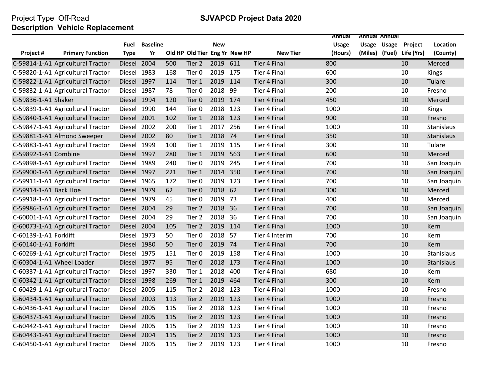|                       |                                   |             |                 |     |                               |            |     |                     | Annual       | <b>Annual Annual</b> |                           |              |
|-----------------------|-----------------------------------|-------------|-----------------|-----|-------------------------------|------------|-----|---------------------|--------------|----------------------|---------------------------|--------------|
|                       |                                   | Fuel        | <b>Baseline</b> |     |                               | <b>New</b> |     |                     | <b>Usage</b> |                      | Usage Usage Project       | Location     |
| <b>Project #</b>      | <b>Primary Function</b>           | <b>Type</b> | Yr              |     | Old HP Old Tier Eng Yr New HP |            |     | <b>New Tier</b>     | (Hours)      |                      | (Miles) (Fuel) Life (Yrs) | (County)     |
|                       | C-59814-1-A1 Agricultural Tractor | Diesel 2004 |                 | 500 | Tier 2                        | 2019 611   |     | Tier 4 Final        | 800          |                      | 10                        | Merced       |
|                       | C-59820-1-A1 Agricultural Tractor | Diesel 1983 |                 | 168 | Tier 0                        | 2019 175   |     | Tier 4 Final        | 600          |                      | 10                        | Kings        |
|                       | C-59822-1-A1 Agricultural Tractor | Diesel 1997 |                 | 114 | Tier 1                        | 2019 114   |     | Tier 4 Final        | 300          |                      | 10                        | Tulare       |
|                       | C-59832-1-A1 Agricultural Tractor | Diesel 1987 |                 | 78  | Tier 0                        | 2018       | 99  | Tier 4 Final        | 200          |                      | 10                        | Fresno       |
| C-59836-1-A1 Shaker   |                                   | Diesel 1994 |                 | 120 | Tier 0                        | 2019       | 174 | Tier 4 Final        | 450          |                      | 10                        | Merced       |
|                       | C-59839-1-A1 Agricultural Tractor | Diesel 1990 |                 | 144 | Tier 0                        | 2018       | 123 | Tier 4 Final        | 1000         |                      | 10                        | <b>Kings</b> |
|                       | C-59840-1-A1 Agricultural Tractor | Diesel 2001 |                 | 102 | Tier 1                        | 2018 123   |     | Tier 4 Final        | 900          |                      | 10                        | Fresno       |
|                       | C-59847-1-A1 Agricultural Tractor | Diesel 2002 |                 | 200 | Tier 1                        | 2017 256   |     | Tier 4 Final        | 1000         |                      | 10                        | Stanislaus   |
|                       | C-59881-1-A1 Almond Sweeper       | Diesel 2002 |                 | 80  | Tier 1                        | 2018 74    |     | Tier 4 Final        | 350          |                      | 10                        | Stanislaus   |
|                       | C-59883-1-A1 Agricultural Tractor | Diesel 1999 |                 | 100 | Tier 1                        | 2019 115   |     | Tier 4 Final        | 300          |                      | 10                        | Tulare       |
| C-59892-1-A1 Combine  |                                   | Diesel 1997 |                 | 280 | Tier 1                        | 2019       | 563 | <b>Tier 4 Final</b> | 600          |                      | 10                        | Merced       |
|                       | C-59898-1-A1 Agricultural Tractor | Diesel 1989 |                 | 240 | Tier 0                        | 2019       | 245 | Tier 4 Final        | 700          |                      | 10                        | San Joaquin  |
|                       | C-59900-1-A1 Agricultural Tractor | Diesel 1997 |                 | 221 | Tier 1                        | 2014 350   |     | Tier 4 Final        | 700          |                      | 10                        | San Joaquin  |
|                       | C-59911-1-A1 Agricultural Tractor | Diesel 1965 |                 | 172 | Tier 0                        | 2019       | 123 | Tier 4 Final        | 700          |                      | 10                        | San Joaquin  |
| C-59914-1-A1 Back Hoe |                                   | Diesel 1979 |                 | 62  | Tier 0                        | 2018 62    |     | <b>Tier 4 Final</b> | 300          |                      | 10                        | Merced       |
|                       | C-59918-1-A1 Agricultural Tractor | Diesel 1979 |                 | 45  | Tier 0                        | 2019 73    |     | Tier 4 Final        | 400          |                      | 10                        | Merced       |
|                       | C-59986-1-A1 Agricultural Tractor | Diesel 2004 |                 | 29  | Tier 2                        | 2018 36    |     | <b>Tier 4 Final</b> | 700          |                      | 10                        | San Joaquin  |
|                       | C-60001-1-A1 Agricultural Tractor | Diesel      | 2004            | 29  | Tier 2                        | 2018       | 36  | Tier 4 Final        | 700          |                      | 10                        | San Joaquin  |
|                       | C-60073-1-A1 Agricultural Tractor | Diesel 2004 |                 | 105 | Tier 2                        | 2019 114   |     | Tier 4 Final        | 1000         |                      | 10                        | Kern         |
| C-60139-1-A1 Forklift |                                   | Diesel 1973 |                 | 50  | Tier <sub>0</sub>             | 2018 57    |     | Tier 4 Interim      | 700          |                      | 10                        | Kern         |
| C-60140-1-A1 Forklift |                                   | Diesel 1980 |                 | 50  | Tier <sub>0</sub>             | 2019 74    |     | Tier 4 Final        | 700          |                      | 10                        | Kern         |
|                       | C-60269-1-A1 Agricultural Tractor | Diesel 1975 |                 | 151 | Tier 0                        | 2019 158   |     | Tier 4 Final        | 1000         |                      | 10                        | Stanislaus   |
|                       | C-60304-1-A1 Wheel Loader         | Diesel 1977 |                 | 95  | Tier <sub>0</sub>             | 2018 173   |     | <b>Tier 4 Final</b> | 1000         |                      | 10                        | Stanislaus   |
|                       | C-60337-1-A1 Agricultural Tractor | Diesel 1997 |                 | 330 | Tier 1                        | 2018       | 400 | Tier 4 Final        | 680          |                      | 10                        | Kern         |
|                       | C-60342-1-A1 Agricultural Tractor | Diesel 1998 |                 | 269 | Tier 1                        | 2019       | 464 | <b>Tier 4 Final</b> | 300          |                      | 10                        | Kern         |
|                       | C-60429-1-A1 Agricultural Tractor | Diesel 2005 |                 | 115 | Tier 2                        | 2018 123   |     | Tier 4 Final        | 1000         |                      | 10                        | Fresno       |
|                       | C-60434-1-A1 Agricultural Tractor | Diesel 2003 |                 | 113 | Tier 2                        | 2019 123   |     | Tier 4 Final        | 1000         |                      | 10                        | Fresno       |
|                       | C-60436-1-A1 Agricultural Tractor | Diesel 2005 |                 | 115 | Tier 2                        | 2018 123   |     | Tier 4 Final        | 1000         |                      | 10                        | Fresno       |
|                       | C-60437-1-A1 Agricultural Tractor | Diesel 2005 |                 | 115 | Tier 2                        | 2019 123   |     | Tier 4 Final        | 1000         |                      | 10                        | Fresno       |
|                       | C-60442-1-A1 Agricultural Tractor | Diesel      | 2005            | 115 | Tier 2                        | 2019       | 123 | Tier 4 Final        | 1000         |                      | 10                        | Fresno       |
|                       | C-60443-1-A1 Agricultural Tractor | Diesel 2004 |                 | 115 | Tier 2                        | 2019       | 123 | <b>Tier 4 Final</b> | 1000         |                      | 10                        | Fresno       |
|                       | C-60450-1-A1 Agricultural Tractor | Diesel 2005 |                 | 115 | Tier 2                        | 2019 123   |     | Tier 4 Final        | 1000         |                      | 10                        | Fresno       |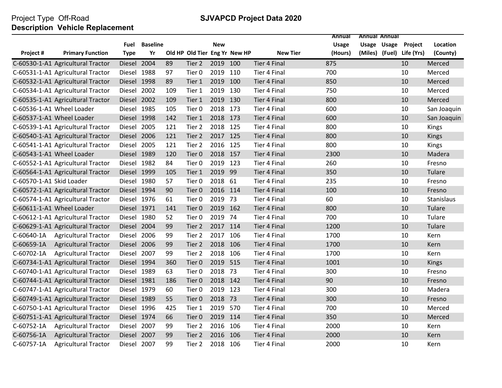|                           |                                   |             |                 |     |                   |            |                               |                     | Annual       | <b>Annual Annual</b> |                           |              |
|---------------------------|-----------------------------------|-------------|-----------------|-----|-------------------|------------|-------------------------------|---------------------|--------------|----------------------|---------------------------|--------------|
|                           |                                   | <b>Fuel</b> | <b>Baseline</b> |     |                   | <b>New</b> |                               |                     | <b>Usage</b> |                      | Usage Usage Project       | Location     |
| <b>Project #</b>          | <b>Primary Function</b>           | <b>Type</b> | Yr              |     |                   |            | Old HP Old Tier Eng Yr New HP | <b>New Tier</b>     | (Hours)      |                      | (Miles) (Fuel) Life (Yrs) | (County)     |
|                           | C-60530-1-A1 Agricultural Tractor | Diesel 2004 |                 | 89  | Tier 2            | 2019 100   |                               | Tier 4 Final        | 875          |                      | 10                        | Merced       |
|                           | C-60531-1-A1 Agricultural Tractor | Diesel 1988 |                 | 97  | Tier <sub>0</sub> | 2019       | 110                           | Tier 4 Final        | 700          |                      | 10                        | Merced       |
|                           | C-60532-1-A1 Agricultural Tractor | Diesel 1998 |                 | 89  | Tier 1            | 2019       | 100                           | Tier 4 Final        | 850          |                      | 10                        | Merced       |
|                           | C-60534-1-A1 Agricultural Tractor | Diesel      | 2002            | 109 | Tier 1            | 2019       | 130                           | Tier 4 Final        | 750          |                      | 10                        | Merced       |
|                           | C-60535-1-A1 Agricultural Tractor | Diesel 2002 |                 | 109 | Tier 1            | 2019       | 130                           | Tier 4 Final        | 800          |                      | 10                        | Merced       |
|                           | C-60536-1-A1 Wheel Loader         | Diesel 1985 |                 | 105 | Tier <sub>0</sub> | 2018 173   |                               | Tier 4 Final        | 600          |                      | 10                        | San Joaquin  |
|                           | C-60537-1-A1 Wheel Loader         | Diesel 1998 |                 | 142 | Tier 1            | 2018 173   |                               | Tier 4 Final        | 600          |                      | 10                        | San Joaquin  |
|                           | C-60539-1-A1 Agricultural Tractor | Diesel 2005 |                 | 121 | Tier 2            | 2018       | 125                           | Tier 4 Final        | 800          |                      | 10                        | Kings        |
|                           | C-60540-1-A1 Agricultural Tractor | Diesel 2006 |                 | 121 | Tier 2            | 2017 125   |                               | Tier 4 Final        | 800          |                      | 10                        | <b>Kings</b> |
|                           | C-60541-1-A1 Agricultural Tractor | Diesel 2005 |                 | 121 | Tier 2            | 2016 125   |                               | Tier 4 Final        | 800          |                      | 10                        | Kings        |
| C-60543-1-A1 Wheel Loader |                                   | Diesel 1989 |                 | 120 | Tier 0            | 2018 157   |                               | Tier 4 Final        | 2300         |                      | 10                        | Madera       |
|                           | C-60552-1-A1 Agricultural Tractor | Diesel 1982 |                 | 84  | Tier 0            | 2019       | 123                           | Tier 4 Final        | 260          |                      | 10                        | Fresno       |
|                           | C-60564-1-A1 Agricultural Tractor | Diesel 1999 |                 | 105 | Tier 1            | 2019 99    |                               | Tier 4 Final        | 350          |                      | 10                        | Tulare       |
| C-60570-1-A1 Skid Loader  |                                   | Diesel 1980 |                 | 57  | Tier 0            | 2018       | 61                            | Tier 4 Final        | 235          |                      | 10                        | Fresno       |
|                           | C-60572-1-A1 Agricultural Tractor | Diesel 1994 |                 | 90  | Tier <sub>0</sub> | 2016 114   |                               | <b>Tier 4 Final</b> | 100          |                      | 10                        | Fresno       |
|                           | C-60574-1-A1 Agricultural Tractor | Diesel 1976 |                 | 61  | Tier 0            | 2019 73    |                               | Tier 4 Final        | 60           |                      | 10                        | Stanislaus   |
|                           | C-60611-1-A1 Wheel Loader         | Diesel 1971 |                 | 141 | Tier <sub>0</sub> | 2019       | 162                           | <b>Tier 4 Final</b> | 800          |                      | 10                        | Tulare       |
|                           | C-60612-1-A1 Agricultural Tractor | Diesel 1980 |                 | 52  | Tier 0            | 2019       | 74                            | Tier 4 Final        | 700          |                      | 10                        | Tulare       |
|                           | C-60629-1-A1 Agricultural Tractor | Diesel 2004 |                 | 99  | Tier 2            | 2017       | 114                           | Tier 4 Final        | 1200         |                      | 10                        | Tulare       |
| C-60640-1A                | <b>Agricultural Tractor</b>       | Diesel 2006 |                 | 99  | Tier 2            | 2017       | 106                           | Tier 4 Final        | 1700         |                      | 10                        | Kern         |
| C-60659-1A                | <b>Agricultural Tractor</b>       | Diesel 2006 |                 | 99  | Tier 2            | 2018       | 106                           | <b>Tier 4 Final</b> | 1700         |                      | 10                        | Kern         |
| C-60702-1A                | <b>Agricultural Tractor</b>       | Diesel 2007 |                 | 99  | Tier 2            | 2018       | 106                           | Tier 4 Final        | 1700         |                      | 10                        | Kern         |
|                           | C-60734-1-A1 Agricultural Tractor | Diesel 1994 |                 | 360 | Tier <sub>0</sub> | 2019 515   |                               | <b>Tier 4 Final</b> | 1001         |                      | 10                        | <b>Kings</b> |
|                           | C-60740-1-A1 Agricultural Tractor | Diesel 1989 |                 | 63  | Tier 0            | 2018       | 73                            | Tier 4 Final        | 300          |                      | 10                        | Fresno       |
|                           | C-60744-1-A1 Agricultural Tractor | Diesel 1981 |                 | 186 | Tier <sub>0</sub> | 2018       | 142                           | <b>Tier 4 Final</b> | 90           |                      | 10                        | Fresno       |
|                           | C-60747-1-A1 Agricultural Tractor | Diesel 1979 |                 | 60  | Tier <sub>0</sub> | 2019 123   |                               | Tier 4 Final        | 300          |                      | 10                        | Madera       |
|                           | C-60749-1-A1 Agricultural Tractor | Diesel 1989 |                 | 55  | Tier <sub>0</sub> | 2018 73    |                               | Tier 4 Final        | 300          |                      | 10                        | Fresno       |
|                           | C-60750-1-A1 Agricultural Tractor | Diesel 1996 |                 | 425 | Tier 1            | 2019 570   |                               | Tier 4 Final        | 700          |                      | 10                        | Merced       |
|                           | C-60751-1-A1 Agricultural Tractor | Diesel 1974 |                 | 66  | Tier <sub>0</sub> | 2019 114   |                               | Tier 4 Final        | 350          |                      | 10                        | Merced       |
| C-60752-1A                | <b>Agricultural Tractor</b>       | Diesel      | 2007            | 99  | Tier 2            | 2016       | 106                           | Tier 4 Final        | 2000         |                      | 10                        | Kern         |
| C-60756-1A                | <b>Agricultural Tractor</b>       | Diesel      | 2007            | 99  | Tier 2            | 2016       | 106                           | <b>Tier 4 Final</b> | 2000         |                      | 10                        | Kern         |
| C-60757-1A                | <b>Agricultural Tractor</b>       | Diesel 2007 |                 | 99  | Tier 2            | 2018 106   |                               | Tier 4 Final        | 2000         |                      | 10                        | Kern         |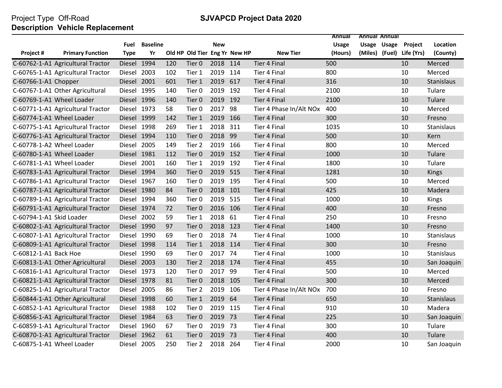|                           |                                   |             |                 |     |                               |            |     |                         | Annual       | <b>Annual Annual</b> |                           |              |
|---------------------------|-----------------------------------|-------------|-----------------|-----|-------------------------------|------------|-----|-------------------------|--------------|----------------------|---------------------------|--------------|
|                           |                                   | <b>Fuel</b> | <b>Baseline</b> |     |                               | <b>New</b> |     |                         | <b>Usage</b> |                      | Usage Usage Project       | Location     |
| <b>Project #</b>          | <b>Primary Function</b>           | <b>Type</b> | Yr              |     | Old HP Old Tier Eng Yr New HP |            |     | <b>New Tier</b>         | (Hours)      |                      | (Miles) (Fuel) Life (Yrs) | (County)     |
|                           | C-60762-1-A1 Agricultural Tractor | Diesel 1994 |                 | 120 | Tier 0                        | 2018 114   |     | Tier 4 Final            | 500          |                      | 10                        | Merced       |
|                           | C-60765-1-A1 Agricultural Tractor | Diesel 2003 |                 | 102 | Tier 1                        | 2019       | 114 | Tier 4 Final            | 800          |                      | 10                        | Merced       |
| C-60766-1-A1 Chopper      |                                   | Diesel 2001 |                 | 601 | Tier 1                        | 2019 617   |     | <b>Tier 4 Final</b>     | 316          |                      | 10                        | Stanislaus   |
|                           | C-60767-1-A1 Other Agricultural   | Diesel 1995 |                 | 140 | Tier 0                        | 2019       | 192 | Tier 4 Final            | 2100         |                      | 10                        | Tulare       |
| C-60769-1-A1 Wheel Loader |                                   | Diesel 1996 |                 | 140 | Tier <sub>0</sub>             | 2019       | 192 | Tier 4 Final            | 2100         |                      | 10                        | Tulare       |
|                           | C-60771-1-A1 Agricultural Tractor | Diesel 1973 |                 | 58  | Tier 0                        | 2017       | 98  | Tier 4 Phase In/Alt NOx | 400          |                      | 10                        | Merced       |
|                           | C-60774-1-A1 Wheel Loader         | Diesel 1999 |                 | 142 | Tier 1                        | 2019       | 166 | Tier 4 Final            | 300          |                      | 10                        | Fresno       |
|                           | C-60775-1-A1 Agricultural Tractor | Diesel 1998 |                 | 269 | Tier 1                        | 2018       | 311 | Tier 4 Final            | 1035         |                      | 10                        | Stanislaus   |
|                           | C-60776-1-A1 Agricultural Tractor | Diesel 1994 |                 | 110 | Tier <sub>0</sub>             | 2018 99    |     | Tier 4 Final            | 500          |                      | 10                        | Kern         |
|                           | C-60778-1-A2 Wheel Loader         | Diesel 2005 |                 | 149 | Tier 2                        | 2019       | 166 | Tier 4 Final            | 800          |                      | 10                        | Merced       |
| C-60780-1-A1 Wheel Loader |                                   | Diesel 1981 |                 | 112 | Tier <sub>0</sub>             | 2019       | 152 | <b>Tier 4 Final</b>     | 1000         |                      | 10                        | Tulare       |
|                           | C-60781-1-A1 Wheel Loader         | Diesel 2001 |                 | 160 | Tier 1                        | 2019       | 192 | <b>Tier 4 Final</b>     | 1800         |                      | 10                        | Tulare       |
|                           | C-60783-1-A1 Agricultural Tractor | Diesel 1994 |                 | 360 | Tier <sub>0</sub>             | 2019 515   |     | <b>Tier 4 Final</b>     | 1281         |                      | 10                        | <b>Kings</b> |
|                           | C-60786-1-A1 Agricultural Tractor | Diesel 1967 |                 | 160 | Tier 0                        | 2019       | 195 | Tier 4 Final            | 500          |                      | 10                        | Merced       |
|                           | C-60787-1-A1 Agricultural Tractor | Diesel 1980 |                 | 84  | Tier <sub>0</sub>             | 2018       | 101 | <b>Tier 4 Final</b>     | 425          |                      | 10                        | Madera       |
|                           | C-60789-1-A1 Agricultural Tractor | Diesel 1994 |                 | 360 | Tier 0                        | 2019 515   |     | Tier 4 Final            | 1000         |                      | 10                        | Kings        |
|                           | C-60791-1-A1 Agricultural Tractor | Diesel 1974 |                 | 72  | Tier 0                        | 2016       | 106 | <b>Tier 4 Final</b>     | 400          |                      | 10                        | Fresno       |
| C-60794-1-A1 Skid Loader  |                                   | Diesel 2002 |                 | 59  | Tier 1                        | 2018       | 61  | Tier 4 Final            | 250          |                      | 10                        | Fresno       |
|                           | C-60802-1-A1 Agricultural Tractor | Diesel 1990 |                 | 97  | Tier <sub>0</sub>             | 2018 123   |     | Tier 4 Final            | 1400         |                      | 10                        | Fresno       |
|                           | C-60807-1-A1 Agricultural Tractor | Diesel 1990 |                 | 69  | Tier 0                        | 2018 74    |     | Tier 4 Final            | 1000         |                      | 10                        | Stanislaus   |
|                           | C-60809-1-A1 Agricultural Tractor | Diesel 1998 |                 | 114 | Tier 1                        | 2018 114   |     | Tier 4 Final            | 300          |                      | 10                        | Fresno       |
| C-60812-1-A1 Back Hoe     |                                   | Diesel 1990 |                 | 69  | Tier 0                        | 2017 74    |     | Tier 4 Final            | 1000         |                      | 10                        | Stanislaus   |
|                           | C-60813-1-A1 Other Agricultural   | Diesel 2003 |                 | 130 | Tier 2                        | 2018 174   |     | <b>Tier 4 Final</b>     | 455          |                      | 10                        | San Joaquin  |
|                           | C-60816-1-A1 Agricultural Tractor | Diesel 1973 |                 | 120 | Tier 0                        | 2017       | 99  | Tier 4 Final            | 500          |                      | 10                        | Merced       |
|                           | C-60821-1-A1 Agricultural Tractor | Diesel 1978 |                 | 81  | Tier <sub>0</sub>             | 2018 105   |     | <b>Tier 4 Final</b>     | 300          |                      | 10                        | Merced       |
|                           | C-60825-1-A1 Agricultural Tractor | Diesel 2005 |                 | 86  | Tier 2                        | 2019       | 106 | Tier 4 Phase In/Alt NOx | 700          |                      | 10                        | Fresno       |
|                           | C-60844-1-A1 Other Agricultural   | Diesel 1998 |                 | 60  | Tier 1                        | 2019       | 64  | <b>Tier 4 Final</b>     | 650          |                      | 10                        | Stanislaus   |
|                           | C-60852-1-A1 Agricultural Tractor | Diesel 1988 |                 | 102 | Tier 0                        | 2019       | 115 | Tier 4 Final            | 910          |                      | 10                        | Madera       |
|                           | C-60856-1-A1 Agricultural Tractor | Diesel 1984 |                 | 63  | Tier <sub>0</sub>             | 2019 73    |     | Tier 4 Final            | 225          |                      | 10                        | San Joaquin  |
|                           | C-60859-1-A1 Agricultural Tractor | Diesel      | 1960            | 67  | Tier <sub>0</sub>             | 2019 73    |     | Tier 4 Final            | 300          |                      | 10                        | Tulare       |
|                           | C-60870-1-A1 Agricultural Tractor | Diesel 1962 |                 | 61  | Tier <sub>0</sub>             | 2019       | 73  | <b>Tier 4 Final</b>     | 400          |                      | 10                        | Tulare       |
| C-60875-1-A1 Wheel Loader |                                   | Diesel 2005 |                 | 250 | Tier 2                        | 2018 264   |     | Tier 4 Final            | 2000         |                      | 10                        | San Joaquin  |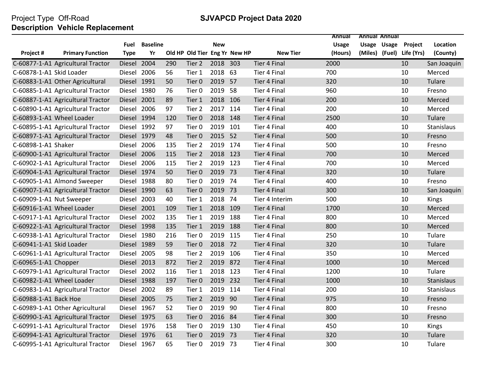|                          |                                   |             |                 |     |                   |            |                               |                     | Annual       | <b>Annual Annual</b> |                           |             |
|--------------------------|-----------------------------------|-------------|-----------------|-----|-------------------|------------|-------------------------------|---------------------|--------------|----------------------|---------------------------|-------------|
|                          |                                   | Fuel        | <b>Baseline</b> |     |                   | <b>New</b> |                               |                     | <b>Usage</b> |                      | Usage Usage Project       | Location    |
| <b>Project #</b>         | <b>Primary Function</b>           | <b>Type</b> | Yr              |     |                   |            | Old HP Old Tier Eng Yr New HP | <b>New Tier</b>     | (Hours)      |                      | (Miles) (Fuel) Life (Yrs) | (County)    |
|                          | C-60877-1-A1 Agricultural Tractor | Diesel 2004 |                 | 290 | Tier 2            | 2018 303   |                               | Tier 4 Final        | 2000         |                      | 10                        | San Joaquin |
| C-60878-1-A1 Skid Loader |                                   | Diesel 2006 |                 | 56  | Tier 1            | 2018       | 63                            | Tier 4 Final        | 700          |                      | 10                        | Merced      |
|                          | C-60883-1-A1 Other Agricultural   | Diesel 1991 |                 | 50  | Tier <sub>0</sub> | 2019 57    |                               | <b>Tier 4 Final</b> | 320          |                      | 10                        | Tulare      |
|                          | C-60885-1-A1 Agricultural Tractor | Diesel 1980 |                 | 76  | Tier <sub>0</sub> | 2019       | 58                            | Tier 4 Final        | 960          |                      | 10                        | Fresno      |
|                          | C-60887-1-A1 Agricultural Tractor | Diesel 2001 |                 | 89  | Tier 1            | 2018       | 106                           | Tier 4 Final        | 200          |                      | 10                        | Merced      |
|                          | C-60890-1-A1 Agricultural Tractor | Diesel 2006 |                 | 97  | Tier 2            | 2017       | 114                           | Tier 4 Final        | 200          |                      | 10                        | Merced      |
|                          | C-60893-1-A1 Wheel Loader         | Diesel 1994 |                 | 120 | Tier <sub>0</sub> | 2018 148   |                               | Tier 4 Final        | 2500         |                      | 10                        | Tulare      |
|                          | C-60895-1-A1 Agricultural Tractor | Diesel 1992 |                 | 97  | Tier <sub>0</sub> | 2019       | 101                           | Tier 4 Final        | 400          |                      | 10                        | Stanislaus  |
|                          | C-60897-1-A1 Agricultural Tractor | Diesel 1979 |                 | 48  | Tier <sub>0</sub> | 2015 52    |                               | Tier 4 Final        | 500          |                      | 10                        | Fresno      |
| C-60898-1-A1 Shaker      |                                   | Diesel 2006 |                 | 135 | Tier 2            | 2019       | 174                           | Tier 4 Final        | 500          |                      | 10                        | Fresno      |
|                          | C-60900-1-A1 Agricultural Tractor | Diesel 2006 |                 | 115 | Tier 2            | 2018       | 123                           | Tier 4 Final        | 700          |                      | 10                        | Merced      |
|                          | C-60902-1-A1 Agricultural Tractor | Diesel 2006 |                 | 115 | Tier 2            | 2019       | 123                           | Tier 4 Final        | 700          |                      | 10                        | Merced      |
|                          | C-60904-1-A1 Agricultural Tractor | Diesel 1974 |                 | 50  | Tier <sub>0</sub> | 2019 73    |                               | <b>Tier 4 Final</b> | 320          |                      | 10                        | Tulare      |
|                          | C-60905-1-A1 Almond Sweeper       | Diesel 1988 |                 | 80  | Tier 0            | 2019 74    |                               | Tier 4 Final        | 400          |                      | 10                        | Fresno      |
|                          | C-60907-1-A1 Agricultural Tractor | Diesel 1990 |                 | 63  | Tier <sub>0</sub> | 2019 73    |                               | <b>Tier 4 Final</b> | 300          |                      | 10                        | San Joaquin |
| C-60909-1-A1 Nut Sweeper |                                   | Diesel 2003 |                 | 40  | Tier 1            | 2018 74    |                               | Tier 4 Interim      | 500          |                      | 10                        | Kings       |
|                          | C-60916-1-A1 Wheel Loader         | Diesel 2001 |                 | 109 | Tier 1            | 2018 109   |                               | Tier 4 Final        | 1700         |                      | 10                        | Merced      |
|                          | C-60917-1-A1 Agricultural Tractor | Diesel 2002 |                 | 135 | Tier 1            | 2019       | 188                           | Tier 4 Final        | 800          |                      | 10                        | Merced      |
|                          | C-60922-1-A1 Agricultural Tractor | Diesel 1998 |                 | 135 | Tier 1            | 2019       | 188                           | Tier 4 Final        | 800          |                      | 10                        | Merced      |
|                          | C-60938-1-A1 Agricultural Tractor | Diesel 1980 |                 | 216 | Tier 0            | 2019       | 115                           | Tier 4 Final        | 250          |                      | 10                        | Tulare      |
| C-60941-1-A1 Skid Loader |                                   | Diesel 1989 |                 | 59  | Tier <sub>0</sub> | 2018 72    |                               | <b>Tier 4 Final</b> | 320          |                      | 10                        | Tulare      |
|                          | C-60961-1-A1 Agricultural Tractor | Diesel 2005 |                 | 98  | Tier 2            | 2019 106   |                               | Tier 4 Final        | 350          |                      | 10                        | Merced      |
| C-60965-1-A1 Chopper     |                                   | Diesel 2013 |                 | 872 | Tier 2            | 2019 872   |                               | <b>Tier 4 Final</b> | 1000         |                      | 10                        | Merced      |
|                          | C-60979-1-A1 Agricultural Tractor | Diesel 2002 |                 | 116 | Tier 1            | 2018       | 123                           | Tier 4 Final        | 1200         |                      | 10                        | Tulare      |
|                          | C-60982-1-A1 Wheel Loader         | Diesel 1988 |                 | 197 | Tier 0            | 2019       | 232                           | Tier 4 Final        | 1000         |                      | 10                        | Stanislaus  |
|                          | C-60983-1-A1 Agricultural Tractor | Diesel 2002 |                 | 89  | Tier 1            | 2019       | 114                           | Tier 4 Final        | 200          |                      | 10                        | Stanislaus  |
| C-60988-1-A1 Back Hoe    |                                   | Diesel 2005 |                 | 75  | Tier 2            | 2019       | 90                            | <b>Tier 4 Final</b> | 975          |                      | 10                        | Fresno      |
|                          | C-60989-1-A1 Other Agricultural   | Diesel 1967 |                 | 52  | Tier 0            | 2019 90    |                               | Tier 4 Final        | 800          |                      | 10                        | Fresno      |
|                          | C-60990-1-A1 Agricultural Tractor | Diesel 1975 |                 | 63  | Tier <sub>0</sub> | 2016 84    |                               | Tier 4 Final        | 300          |                      | 10                        | Fresno      |
|                          | C-60991-1-A1 Agricultural Tractor | Diesel 1976 |                 | 158 | Tier <sub>0</sub> | 2019       | 130                           | Tier 4 Final        | 450          |                      | 10                        | Kings       |
|                          | C-60994-1-A1 Agricultural Tractor | Diesel 1976 |                 | 61  | Tier <sub>0</sub> | 2019       | 73                            | <b>Tier 4 Final</b> | 320          |                      | 10                        | Tulare      |
|                          | C-60995-1-A1 Agricultural Tractor | Diesel 1967 |                 | 65  | Tier <sub>0</sub> | 2019       | 73                            | Tier 4 Final        | 300          |                      | 10                        | Tulare      |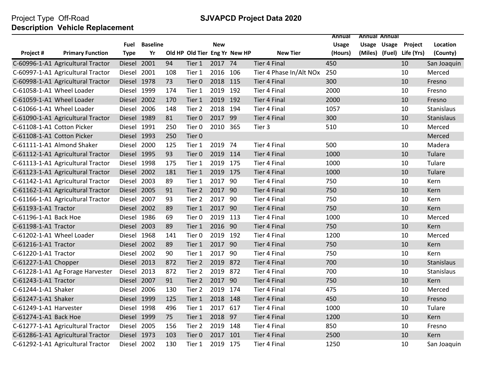|                            |                                   |             |                 |     |                   |            |                               |                         | Annual       | <b>Annual Annual</b> |                           |             |
|----------------------------|-----------------------------------|-------------|-----------------|-----|-------------------|------------|-------------------------------|-------------------------|--------------|----------------------|---------------------------|-------------|
|                            |                                   | <b>Fuel</b> | <b>Baseline</b> |     |                   | <b>New</b> |                               |                         | <b>Usage</b> |                      | Usage Usage Project       | Location    |
| <b>Project #</b>           | <b>Primary Function</b>           | <b>Type</b> | Yr              |     |                   |            | Old HP Old Tier Eng Yr New HP | <b>New Tier</b>         | (Hours)      |                      | (Miles) (Fuel) Life (Yrs) | (County)    |
|                            | C-60996-1-A1 Agricultural Tractor | Diesel 2001 |                 | 94  | Tier 1            | 2017 74    |                               | Tier 4 Final            | 450          |                      | 10                        | San Joaquin |
|                            | C-60997-1-A1 Agricultural Tractor | Diesel 2001 |                 | 108 | Tier 1            | 2016 106   |                               | Tier 4 Phase In/Alt NOx | 250          |                      | 10                        | Merced      |
|                            | C-60998-1-A1 Agricultural Tractor | Diesel 1978 |                 | 73  | Tier <sub>0</sub> | 2018 115   |                               | Tier 4 Final            | 300          |                      | 10                        | Fresno      |
|                            | C-61058-1-A1 Wheel Loader         | Diesel 1999 |                 | 174 | Tier 1            | 2019       | 192                           | Tier 4 Final            | 2000         |                      | 10                        | Fresno      |
|                            | C-61059-1-A1 Wheel Loader         | Diesel 2002 |                 | 170 | Tier 1            | 2019       | 192                           | <b>Tier 4 Final</b>     | 2000         |                      | 10                        | Fresno      |
|                            | C-61066-1-A1 Wheel Loader         | Diesel 2006 |                 | 148 | Tier 2            | 2018 194   |                               | Tier 4 Final            | 1057         |                      | 10                        | Stanislaus  |
|                            | C-61090-1-A1 Agricultural Tractor | Diesel 1989 |                 | 81  | Tier 0            | 2017 99    |                               | Tier 4 Final            | 300          |                      | 10                        | Stanislaus  |
| C-61108-1-A1 Cotton Picker |                                   | Diesel 1991 |                 | 250 | Tier 0            | 2010 365   |                               | Tier 3                  | 510          |                      | 10                        | Merced      |
| C-61108-1-A1 Cotton Picker |                                   | Diesel 1993 |                 | 250 | Tier <sub>0</sub> |            |                               |                         |              |                      |                           | Merced      |
|                            | C-61111-1-A1 Almond Shaker        | Diesel 2000 |                 | 125 | Tier 1            | 2019 74    |                               | Tier 4 Final            | 500          |                      | 10                        | Madera      |
|                            | C-61112-1-A1 Agricultural Tractor | Diesel 1995 |                 | 93  | Tier <sub>0</sub> | 2019       | 114                           | Tier 4 Final            | 1000         |                      | 10                        | Tulare      |
|                            | C-61113-1-A1 Agricultural Tractor | Diesel 1998 |                 | 175 | Tier 1            | 2019       | 175                           | Tier 4 Final            | 1000         |                      | 10                        | Tulare      |
|                            | C-61123-1-A1 Agricultural Tractor | Diesel 2002 |                 | 181 | Tier 1            | 2019 175   |                               | Tier 4 Final            | 1000         |                      | 10                        | Tulare      |
|                            | C-61142-1-A1 Agricultural Tractor | Diesel 2003 |                 | 89  | Tier 1            | 2017 90    |                               | Tier 4 Final            | 750          |                      | 10                        | Kern        |
|                            | C-61162-1-A1 Agricultural Tractor | Diesel 2005 |                 | 91  | Tier 2            | 2017 90    |                               | <b>Tier 4 Final</b>     | 750          |                      | 10                        | Kern        |
|                            | C-61166-1-A1 Agricultural Tractor | Diesel 2007 |                 | 93  | Tier 2            | 2017 90    |                               | Tier 4 Final            | 750          |                      | 10                        | Kern        |
| C-61193-1-A1 Tractor       |                                   | Diesel 2002 |                 | 89  | Tier 1            | 2017 90    |                               | Tier 4 Final            | 750          |                      | 10                        | Kern        |
| C-61196-1-A1 Back Hoe      |                                   | Diesel 1986 |                 | 69  | Tier 0            | 2019       | 113                           | Tier 4 Final            | 1000         |                      | 10                        | Merced      |
| C-61198-1-A1 Tractor       |                                   | Diesel 2003 |                 | 89  | Tier 1            | 2016 90    |                               | Tier 4 Final            | 750          |                      | 10                        | Kern        |
|                            | C-61202-1-A1 Wheel Loader         | Diesel 1968 |                 | 141 | Tier 0            | 2019 192   |                               | Tier 4 Final            | 1200         |                      | 10                        | Merced      |
| C-61216-1-A1 Tractor       |                                   | Diesel 2002 |                 | 89  | Tier 1            | 2017 90    |                               | <b>Tier 4 Final</b>     | 750          |                      | 10                        | Kern        |
| C-61220-1-A1 Tractor       |                                   | Diesel 2002 |                 | 90  | Tier 1            | 2017 90    |                               | Tier 4 Final            | 750          |                      | 10                        | Kern        |
| C-61227-1-A1 Chopper       |                                   | Diesel 2013 |                 | 872 | Tier 2            | 2019 872   |                               | Tier 4 Final            | 700          |                      | 10                        | Stanislaus  |
|                            | C-61228-1-A1 Ag Forage Harvester  | Diesel      | 2013            | 872 | Tier 2            | 2019       | 872                           | Tier 4 Final            | 700          |                      | 10                        | Stanislaus  |
| C-61243-1-A1 Tractor       |                                   | Diesel 2007 |                 | 91  | Tier 2            | 2017 90    |                               | Tier 4 Final            | 750          |                      | 10                        | Kern        |
| C-61244-1-A1 Shaker        |                                   | Diesel 2006 |                 | 130 | Tier 2            | 2019 174   |                               | Tier 4 Final            | 475          |                      | 10                        | Merced      |
| C-61247-1-A1 Shaker        |                                   | Diesel 1999 |                 | 125 | Tier 1            | 2018 148   |                               | Tier 4 Final            | 450          |                      | 10                        | Fresno      |
| C-61249-1-A1 Harvester     |                                   | Diesel 1998 |                 | 496 | Tier 1            | 2017 617   |                               | Tier 4 Final            | 1000         |                      | 10                        | Tulare      |
| C-61274-1-A1 Back Hoe      |                                   | Diesel 1999 |                 | 75  | Tier 1            | 2018 97    |                               | Tier 4 Final            | 1200         |                      | 10                        | Kern        |
|                            | C-61277-1-A1 Agricultural Tractor | Diesel 2005 |                 | 156 | Tier 2            | 2019       | 148                           | Tier 4 Final            | 850          |                      | 10                        | Fresno      |
|                            | C-61286-1-A1 Agricultural Tractor | Diesel 1973 |                 | 103 | Tier <sub>0</sub> | 2017       | 101                           | <b>Tier 4 Final</b>     | 2500         |                      | 10                        | Kern        |
|                            | C-61292-1-A1 Agricultural Tractor | Diesel 2002 |                 | 130 | Tier 1            | 2019 175   |                               | Tier 4 Final            | 1250         |                      | 10                        | San Joaquin |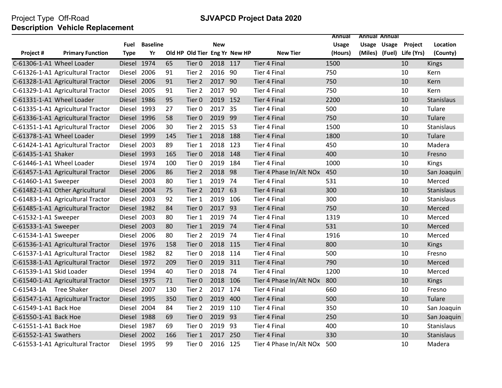|                          |                                   |             |                 |     |                   |            |                               |                         | Annual       | <b>Annual Annual</b> |                           |              |
|--------------------------|-----------------------------------|-------------|-----------------|-----|-------------------|------------|-------------------------------|-------------------------|--------------|----------------------|---------------------------|--------------|
|                          |                                   | Fuel        | <b>Baseline</b> |     |                   | <b>New</b> |                               |                         | <b>Usage</b> |                      | Usage Usage Project       | Location     |
| Project#                 | <b>Primary Function</b>           | <b>Type</b> | Yr              |     |                   |            | Old HP Old Tier Eng Yr New HP | <b>New Tier</b>         | (Hours)      |                      | (Miles) (Fuel) Life (Yrs) | (County)     |
|                          | C-61306-1-A1 Wheel Loader         | Diesel 1974 |                 | 65  | Tier <sub>0</sub> | 2018 117   |                               | Tier 4 Final            | 1500         |                      | 10                        | <b>Kings</b> |
|                          | C-61326-1-A1 Agricultural Tractor | Diesel 2006 |                 | 91  | Tier 2            | 2016 90    |                               | Tier 4 Final            | 750          |                      | 10                        | Kern         |
|                          | C-61328-1-A1 Agricultural Tractor | Diesel 2006 |                 | 91  | Tier 2            | 2017 90    |                               | Tier 4 Final            | 750          |                      | 10                        | Kern         |
|                          | C-61329-1-A1 Agricultural Tractor | Diesel 2005 |                 | 91  | Tier 2            | 2017 90    |                               | Tier 4 Final            | 750          |                      | 10                        | Kern         |
|                          | C-61331-1-A1 Wheel Loader         | Diesel 1986 |                 | 95  | Tier <sub>0</sub> | 2019 152   |                               | Tier 4 Final            | 2200         |                      | 10                        | Stanislaus   |
|                          | C-61335-1-A1 Agricultural Tractor | Diesel 1993 |                 | 27  | Tier 0            | 2017 35    |                               | Tier 4 Final            | 500          |                      | 10                        | Tulare       |
|                          | C-61336-1-A1 Agricultural Tractor | Diesel 1996 |                 | 58  | Tier <sub>0</sub> | 2019 99    |                               | Tier 4 Final            | 750          |                      | 10                        | Tulare       |
|                          | C-61351-1-A1 Agricultural Tractor | Diesel 2006 |                 | 30  | Tier 2            | 2015 53    |                               | Tier 4 Final            | 1500         |                      | 10                        | Stanislaus   |
|                          | C-61378-1-A1 Wheel Loader         | Diesel 1999 |                 | 145 | Tier 1            | 2018 188   |                               | Tier 4 Final            | 1800         |                      | 10                        | Tulare       |
|                          | C-61424-1-A1 Agricultural Tractor | Diesel 2003 |                 | 89  | Tier 1            | 2018 123   |                               | Tier 4 Final            | 450          |                      | 10                        | Madera       |
| C-61435-1-A1 Shaker      |                                   | Diesel 1993 |                 | 165 | Tier <sub>0</sub> | 2018       | 148                           | <b>Tier 4 Final</b>     | 400          |                      | 10                        | Fresno       |
|                          | C-61446-1-A1 Wheel Loader         | Diesel 1974 |                 | 100 | Tier 0            | 2019       | 184                           | Tier 4 Final            | 1000         |                      | 10                        | <b>Kings</b> |
|                          | C-61457-1-A1 Agricultural Tractor | Diesel 2006 |                 | 86  | Tier 2            | 2018 98    |                               | Tier 4 Phase In/Alt NOx | 450          |                      | 10                        | San Joaquin  |
| C-61460-1-A1 Sweeper     |                                   | Diesel 2003 |                 | 80  | Tier 1            | 2019 74    |                               | Tier 4 Final            | 531          |                      | 10                        | Merced       |
|                          | C-61482-1-A1 Other Agricultural   | Diesel 2004 |                 | 75  | Tier 2            | 2017 63    |                               | Tier 4 Final            | 300          |                      | 10                        | Stanislaus   |
|                          | C-61483-1-A1 Agricultural Tractor | Diesel 2003 |                 | 92  | Tier 1            | 2019 106   |                               | Tier 4 Final            | 300          |                      | 10                        | Stanislaus   |
|                          | C-61485-1-A1 Agricultural Tractor | Diesel 1982 |                 | 84  | Tier 0            | 2017 93    |                               | Tier 4 Final            | 750          |                      | 10                        | Merced       |
| C-61532-1-A1 Sweeper     |                                   | Diesel 2003 |                 | 80  | Tier 1            | 2019 74    |                               | Tier 4 Final            | 1319         |                      | 10                        | Merced       |
| C-61533-1-A1 Sweeper     |                                   | Diesel 2003 |                 | 80  | Tier 1            | 2019 74    |                               | Tier 4 Final            | 531          |                      | 10                        | Merced       |
| C-61534-1-A1 Sweeper     |                                   | Diesel 2006 |                 | 80  | Tier 2            | 2019 74    |                               | <b>Tier 4 Final</b>     | 1916         |                      | 10                        | Merced       |
|                          | C-61536-1-A1 Agricultural Tractor | Diesel 1976 |                 | 158 | Tier <sub>0</sub> | 2018 115   |                               | <b>Tier 4 Final</b>     | 800          |                      | 10                        | <b>Kings</b> |
|                          | C-61537-1-A1 Agricultural Tractor | Diesel 1982 |                 | 82  | Tier <sub>0</sub> | 2018 114   |                               | Tier 4 Final            | 500          |                      | 10                        | Fresno       |
|                          | C-61538-1-A1 Agricultural Tractor | Diesel 1972 |                 | 209 | Tier <sub>0</sub> | 2019 311   |                               | Tier 4 Final            | 790          |                      | 10                        | Merced       |
| C-61539-1-A1 Skid Loader |                                   | Diesel 1994 |                 | 40  | Tier <sub>0</sub> | 2018       | 74                            | <b>Tier 4 Final</b>     | 1200         |                      | 10                        | Merced       |
|                          | C-61540-1-A1 Agricultural Tractor | Diesel 1975 |                 | 71  | Tier <sub>0</sub> | 2018 106   |                               | Tier 4 Phase In/Alt NOx | 800          |                      | 10                        | <b>Kings</b> |
| C-61543-1A Tree Shaker   |                                   | Diesel 2007 |                 | 130 | Tier 2            | 2017       | 174                           | <b>Tier 4 Final</b>     | 660          |                      | 10                        | Fresno       |
|                          | C-61547-1-A1 Agricultural Tractor | Diesel 1995 |                 | 350 | Tier 0            | 2019       | 400                           | Tier 4 Final            | 500          |                      | 10                        | Tulare       |
| C-61549-1-A1 Back Hoe    |                                   | Diesel 2004 |                 | 84  | Tier 2            | 2019       | 110                           | Tier 4 Final            | 350          |                      | 10                        | San Joaquin  |
| C-61550-1-A1 Back Hoe    |                                   | Diesel 1988 |                 | 69  | Tier <sub>0</sub> | 2019 93    |                               | Tier 4 Final            | 250          |                      | 10                        | San Joaquin  |
| C-61551-1-A1 Back Hoe    |                                   | Diesel 1987 |                 | 69  | Tier 0            | 2019 93    |                               | Tier 4 Final            | 400          |                      | 10                        | Stanislaus   |
| C-61552-1-A1 Swathers    |                                   | Diesel 2002 |                 | 166 | Tier 1            | 2017 250   |                               | <b>Tier 4 Final</b>     | 330          |                      | 10                        | Stanislaus   |
|                          | C-61553-1-A1 Agricultural Tractor | Diesel 1995 |                 | 99  | Tier <sub>0</sub> | 2016 125   |                               | Tier 4 Phase In/Alt NOx | 500          |                      | 10                        | Madera       |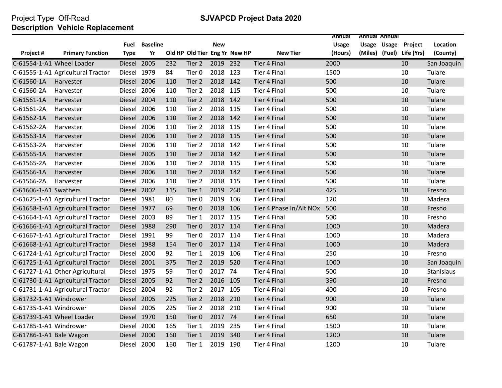|                         |                                   |             |                 |     |                               |            |     |                         | Annual  | <b>Annual Annual</b> |                           |             |
|-------------------------|-----------------------------------|-------------|-----------------|-----|-------------------------------|------------|-----|-------------------------|---------|----------------------|---------------------------|-------------|
|                         |                                   | Fuel        | <b>Baseline</b> |     |                               | <b>New</b> |     |                         | Usage   |                      | Usage Usage Project       | Location    |
| Project#                | <b>Primary Function</b>           | <b>Type</b> | Yr              |     | Old HP Old Tier Eng Yr New HP |            |     | <b>New Tier</b>         | (Hours) |                      | (Miles) (Fuel) Life (Yrs) | (County)    |
|                         | C-61554-1-A1 Wheel Loader         | Diesel 2005 |                 | 232 | Tier 2                        | 2019 232   |     | Tier 4 Final            | 2000    |                      | 10                        | San Joaquin |
|                         | C-61555-1-A1 Agricultural Tractor | Diesel 1979 |                 | 84  | Tier <sub>0</sub>             | 2018 123   |     | Tier 4 Final            | 1500    |                      | 10                        | Tulare      |
| C-61560-1A              | Harvester                         | Diesel 2006 |                 | 110 | Tier 2                        | 2018 142   |     | <b>Tier 4 Final</b>     | 500     |                      | 10                        | Tulare      |
| C-61560-2A              | Harvester                         | Diesel      | 2006            | 110 | Tier 2                        | 2018       | 115 | Tier 4 Final            | 500     |                      | 10                        | Tulare      |
| C-61561-1A              | Harvester                         | Diesel 2004 |                 | 110 | Tier 2                        | 2018 142   |     | Tier 4 Final            | 500     |                      | 10                        | Tulare      |
| C-61561-2A              | Harvester                         | Diesel 2006 |                 | 110 | Tier 2                        | 2018 115   |     | Tier 4 Final            | 500     |                      | 10                        | Tulare      |
| C-61562-1A              | Harvester                         | Diesel 2006 |                 | 110 | Tier 2                        | 2018 142   |     | <b>Tier 4 Final</b>     | 500     |                      | 10                        | Tulare      |
| C-61562-2A              | Harvester                         | Diesel      | 2006            | 110 | Tier 2                        | 2018 115   |     | Tier 4 Final            | 500     |                      | 10                        | Tulare      |
| C-61563-1A              | Harvester                         | Diesel 2006 |                 | 110 | Tier 2                        | 2018 115   |     | <b>Tier 4 Final</b>     | 500     |                      | 10                        | Tulare      |
| C-61563-2A              | Harvester                         | Diesel      | 2006            | 110 | Tier 2                        | 2018 142   |     | Tier 4 Final            | 500     |                      | 10                        | Tulare      |
| C-61565-1A              | Harvester                         | Diesel 2005 |                 | 110 | Tier 2                        | 2018 142   |     | <b>Tier 4 Final</b>     | 500     |                      | 10                        | Tulare      |
| C-61565-2A              | Harvester                         | Diesel      | 2006            | 110 | Tier 2                        | 2018 115   |     | Tier 4 Final            | 500     |                      | 10                        | Tulare      |
| C-61566-1A              | Harvester                         | Diesel 2006 |                 | 110 | Tier 2                        | 2018 142   |     | Tier 4 Final            | 500     |                      | 10                        | Tulare      |
| C-61566-2A              | Harvester                         | Diesel      | 2006            | 110 | Tier 2                        | 2018 115   |     | Tier 4 Final            | 500     |                      | 10                        | Tulare      |
| C-61606-1-A1 Swathers   |                                   | Diesel 2002 |                 | 115 | Tier 1                        | 2019 260   |     | Tier 4 Final            | 425     |                      | 10                        | Fresno      |
|                         | C-61625-1-A1 Agricultural Tractor | Diesel 1981 |                 | 80  | Tier <sub>0</sub>             | 2019 106   |     | Tier 4 Final            | 120     |                      | 10                        | Madera      |
|                         | C-61658-1-A1 Agricultural Tractor | Diesel 1977 |                 | 69  | Tier <sub>0</sub>             | 2018 106   |     | Tier 4 Phase In/Alt NOx | 500     |                      | 10                        | Fresno      |
|                         | C-61664-1-A1 Agricultural Tractor | Diesel      | 2003            | 89  | Tier 1                        | 2017       | 115 | Tier 4 Final            | 500     |                      | 10                        | Fresno      |
|                         | C-61666-1-A1 Agricultural Tractor | Diesel 1988 |                 | 290 | Tier <sub>0</sub>             | 2017 114   |     | Tier 4 Final            | 1000    |                      | 10                        | Madera      |
|                         | C-61667-1-A1 Agricultural Tractor | Diesel 1991 |                 | 99  | Tier <sub>0</sub>             | 2017       | 114 | Tier 4 Final            | 1000    |                      | 10                        | Madera      |
|                         | C-61668-1-A1 Agricultural Tractor | Diesel 1988 |                 | 154 | Tier <sub>0</sub>             | 2017 114   |     | Tier 4 Final            | 1000    |                      | 10                        | Madera      |
|                         | C-61724-1-A1 Agricultural Tractor | Diesel 2000 |                 | 92  | Tier 1                        | 2019       | 106 | Tier 4 Final            | 250     |                      | 10                        | Fresno      |
|                         | C-61725-1-A1 Agricultural Tractor | Diesel 2001 |                 | 375 | Tier 2                        | 2019 520   |     | Tier 4 Final            | 1000    |                      | 10                        | San Joaquin |
|                         | C-61727-1-A1 Other Agricultural   | Diesel      | 1975            | 59  | Tier <sub>0</sub>             | 2017 74    |     | Tier 4 Final            | 500     |                      | 10                        | Stanislaus  |
|                         | C-61730-1-A1 Agricultural Tractor | Diesel 2005 |                 | 92  | Tier 2                        | 2016 105   |     | Tier 4 Final            | 390     |                      | 10                        | Fresno      |
|                         | C-61731-1-A1 Agricultural Tractor | Diesel 2004 |                 | 92  | Tier 2                        | 2017 105   |     | Tier 4 Final            | 400     |                      | 10                        | Fresno      |
| C-61732-1-A1 Windrower  |                                   | Diesel 2005 |                 | 225 | Tier 2                        | 2018 210   |     | Tier 4 Final            | 900     |                      | 10                        | Tulare      |
| C-61735-1-A1 Windrower  |                                   | Diesel 2005 |                 | 225 | Tier 2                        | 2018       | 210 | Tier 4 Final            | 900     |                      | 10                        | Tulare      |
|                         | C-61739-1-A1 Wheel Loader         | Diesel 1970 |                 | 150 | Tier <sub>0</sub>             | 2017 74    |     | <b>Tier 4 Final</b>     | 650     |                      | 10                        | Tulare      |
| C-61785-1-A1 Windrower  |                                   | Diesel 2000 |                 | 165 | Tier 1                        | 2019 235   |     | Tier 4 Final            | 1500    |                      | 10                        | Tulare      |
| C-61786-1-A1 Bale Wagon |                                   | Diesel      | 2000            | 160 | Tier 1                        | 2019       | 340 | Tier 4 Final            | 1200    |                      | 10                        | Tulare      |
| C-61787-1-A1 Bale Wagon |                                   | Diesel 2000 |                 | 160 | Tier 1                        | 2019       | 190 | Tier 4 Final            | 1200    |                      | 10                        | Tulare      |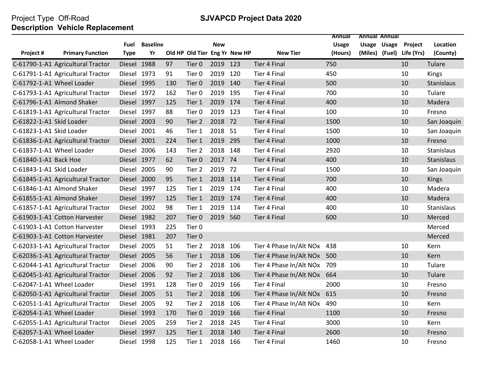|                          |                                   |             |                 |     |                   |            |                               |                             | Annual       | <b>Annual Annual</b> |                           |                   |
|--------------------------|-----------------------------------|-------------|-----------------|-----|-------------------|------------|-------------------------------|-----------------------------|--------------|----------------------|---------------------------|-------------------|
|                          |                                   | <b>Fuel</b> | <b>Baseline</b> |     |                   | <b>New</b> |                               |                             | <b>Usage</b> |                      | Usage Usage Project       | Location          |
| <b>Project#</b>          | <b>Primary Function</b>           | <b>Type</b> | Yr              |     |                   |            | Old HP Old Tier Eng Yr New HP | <b>New Tier</b>             | (Hours)      |                      | (Miles) (Fuel) Life (Yrs) | (County)          |
|                          | C-61790-1-A1 Agricultural Tractor | Diesel 1988 |                 | 97  | Tier 0            | 2019 123   |                               | Tier 4 Final                | 750          |                      | 10                        | Tulare            |
|                          | C-61791-1-A1 Agricultural Tractor | Diesel      | 1973            | 91  | Tier <sub>0</sub> | 2019       | 120                           | Tier 4 Final                | 450          |                      | 10                        | Kings             |
|                          | C-61792-1-A1 Wheel Loader         | Diesel 1995 |                 | 130 | Tier 0            | 2019 140   |                               | Tier 4 Final                | 500          |                      | 10                        | Stanislaus        |
|                          | C-61793-1-A1 Agricultural Tractor | Diesel 1972 |                 | 162 | Tier 0            | 2019       | 195                           | Tier 4 Final                | 700          |                      | 10                        | Tulare            |
|                          | C-61796-1-A1 Almond Shaker        | Diesel 1997 |                 | 125 | Tier 1            | 2019 174   |                               | Tier 4 Final                | 400          |                      | 10                        | Madera            |
|                          | C-61819-1-A1 Agricultural Tractor | Diesel 1997 |                 | 88  | Tier 0            | 2019       | 123                           | Tier 4 Final                | 100          |                      | 10                        | Fresno            |
| C-61822-1-A1 Skid Loader |                                   | Diesel 2003 |                 | 90  | Tier 2            | 2018 72    |                               | Tier 4 Final                | 1500         |                      | 10                        | San Joaquin       |
| C-61823-1-A1 Skid Loader |                                   | Diesel 2001 |                 | 46  | Tier 1            | 2018 51    |                               | Tier 4 Final                | 1500         |                      | 10                        | San Joaquin       |
|                          | C-61836-1-A1 Agricultural Tractor | Diesel 2001 |                 | 224 | Tier 1            | 2019       | 295                           | Tier 4 Final                | 1000         |                      | 10                        | Fresno            |
|                          | C-61837-1-A1 Wheel Loader         | Diesel 2006 |                 | 143 | Tier 2            | 2018 148   |                               | Tier 4 Final                | 2920         |                      | 10                        | <b>Stanislaus</b> |
| C-61840-1-A1 Back Hoe    |                                   | Diesel 1977 |                 | 62  | Tier <sub>0</sub> | 2017 74    |                               | Tier 4 Final                | 400          |                      | 10                        | Stanislaus        |
| C-61843-1-A1 Skid Loader |                                   | Diesel      | 2005            | 90  | Tier 2            | 2019 72    |                               | Tier 4 Final                | 1500         |                      | 10                        | San Joaquin       |
|                          | C-61845-1-A1 Agricultural Tractor | Diesel 2000 |                 | 95  | Tier 1            | 2018 114   |                               | Tier 4 Final                | 700          |                      | 10                        | <b>Kings</b>      |
|                          | C-61846-1-A1 Almond Shaker        | Diesel 1997 |                 | 125 | Tier 1            | 2019 174   |                               | Tier 4 Final                | 400          |                      | 10                        | Madera            |
|                          | C-61855-1-A1 Almond Shaker        | Diesel 1997 |                 | 125 | Tier 1            | 2019 174   |                               | Tier 4 Final                | 400          |                      | 10                        | Madera            |
|                          | C-61857-1-A1 Agricultural Tractor | Diesel 2002 |                 | 98  | Tier 1            | 2019       | 114                           | Tier 4 Final                | 400          |                      | 10                        | <b>Stanislaus</b> |
|                          | C-61903-1-A1 Cotton Harvester     | Diesel 1982 |                 | 207 | Tier <sub>0</sub> | 2019 560   |                               | Tier 4 Final                | 600          |                      | 10                        | Merced            |
|                          | C-61903-1-A1 Cotton Harvester     | Diesel 1993 |                 | 225 | Tier <sub>0</sub> |            |                               |                             |              |                      |                           | Merced            |
|                          | C-61903-1-A1 Cotton Harvester     | Diesel 1981 |                 | 207 | Tier 0            |            |                               |                             |              |                      |                           | Merced            |
|                          | C-62033-1-A1 Agricultural Tractor | Diesel 2005 |                 | 51  | Tier 2            | 2018 106   |                               | Tier 4 Phase In/Alt NOx 438 |              |                      | 10                        | Kern              |
|                          | C-62036-1-A1 Agricultural Tractor | Diesel 2005 |                 | 56  | Tier 1            | 2018 106   |                               | Tier 4 Phase In/Alt NOx 500 |              |                      | 10                        | Kern              |
|                          | C-62044-1-A1 Agricultural Tractor | Diesel 2006 |                 | 90  | Tier 2            | 2018 106   |                               | Tier 4 Phase In/Alt NOx 709 |              |                      | 10                        | Tulare            |
|                          | C-62045-1-A1 Agricultural Tractor | Diesel 2006 |                 | 92  | Tier 2            | 2018       | 106                           | Tier 4 Phase In/Alt NOx     | 664          |                      | 10                        | Tulare            |
|                          | C-62047-1-A1 Wheel Loader         | Diesel 1991 |                 | 128 | Tier 0            | 2019       | 166                           | Tier 4 Final                | 2000         |                      | 10                        | Fresno            |
|                          | C-62050-1-A1 Agricultural Tractor | Diesel 2005 |                 | 51  | Tier 2            | 2018 106   |                               | Tier 4 Phase In/Alt NOx     | 615          |                      | 10                        | Fresno            |
|                          | C-62051-1-A1 Agricultural Tractor | Diesel      | 2005            | 92  | Tier 2            | 2018       | 106                           | Tier 4 Phase In/Alt NOx     | 490          |                      | 10                        | Kern              |
|                          | C-62054-1-A1 Wheel Loader         | Diesel 1993 |                 | 170 | Tier 0            | 2019 166   |                               | Tier 4 Final                | 1100         |                      | 10                        | Fresno            |
|                          | C-62055-1-A1 Agricultural Tractor | Diesel 2005 |                 | 259 | Tier 2            | 2018 245   |                               | Tier 4 Final                | 3000         |                      | 10                        | Kern              |
|                          | C-62057-1-A1 Wheel Loader         | Diesel 1997 |                 | 125 | Tier 1            | 2018 140   |                               | Tier 4 Final                | 2600         |                      | 10                        | Fresno            |
|                          | C-62058-1-A1 Wheel Loader         | Diesel 1998 |                 | 125 | Tier 1            | 2018 166   |                               | Tier 4 Final                | 1460         |                      | 10                        | Fresno            |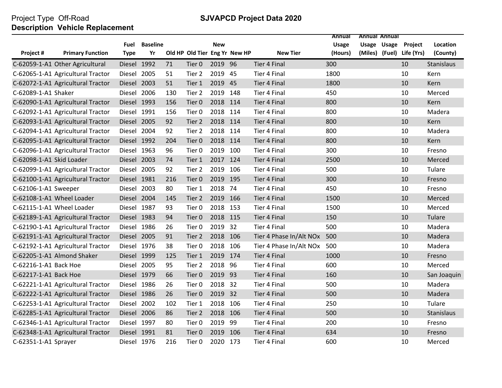|                          |                                   |             |                 |     |                   |            |                               |                         | Annual       | <b>Annual Annual</b> |                           |             |
|--------------------------|-----------------------------------|-------------|-----------------|-----|-------------------|------------|-------------------------------|-------------------------|--------------|----------------------|---------------------------|-------------|
|                          |                                   | <b>Fuel</b> | <b>Baseline</b> |     |                   | <b>New</b> |                               |                         | <b>Usage</b> |                      | Usage Usage Project       | Location    |
| Project #                | <b>Primary Function</b>           | <b>Type</b> | Yr              |     |                   |            | Old HP Old Tier Eng Yr New HP | <b>New Tier</b>         | (Hours)      |                      | (Miles) (Fuel) Life (Yrs) | (County)    |
|                          | C-62059-1-A1 Other Agricultural   | Diesel 1992 |                 | 71  | Tier 0            | 2019 96    |                               | <b>Tier 4 Final</b>     | 300          |                      | 10                        | Stanislaus  |
|                          | C-62065-1-A1 Agricultural Tractor | Diesel      | 2005            | 51  | Tier 2            | 2019 45    |                               | Tier 4 Final            | 1800         |                      | 10                        | Kern        |
|                          | C-62072-1-A1 Agricultural Tractor | Diesel 2003 |                 | 51  | Tier 1            | 2019 45    |                               | Tier 4 Final            | 1800         |                      | 10                        | Kern        |
| C-62089-1-A1 Shaker      |                                   | Diesel 2006 |                 | 130 | Tier 2            | 2019 148   |                               | Tier 4 Final            | 450          |                      | 10                        | Merced      |
|                          | C-62090-1-A1 Agricultural Tractor | Diesel 1993 |                 | 156 | Tier 0            | 2018 114   |                               | Tier 4 Final            | 800          |                      | 10                        | Kern        |
|                          | C-62092-1-A1 Agricultural Tractor | Diesel 1991 |                 | 156 | Tier 0            | 2018 114   |                               | Tier 4 Final            | 800          |                      | 10                        | Madera      |
|                          | C-62093-1-A1 Agricultural Tractor | Diesel 2005 |                 | 92  | Tier 2            | 2018 114   |                               | Tier 4 Final            | 800          |                      | 10                        | Kern        |
|                          | C-62094-1-A1 Agricultural Tractor | Diesel 2004 |                 | 92  | Tier 2            | 2018 114   |                               | Tier 4 Final            | 800          |                      | 10                        | Madera      |
|                          | C-62095-1-A1 Agricultural Tractor | Diesel 1992 |                 | 204 | Tier 0            | 2018 114   |                               | Tier 4 Final            | 800          |                      | 10                        | Kern        |
|                          | C-62096-1-A1 Agricultural Tractor | Diesel 1963 |                 | 96  | Tier 0            | 2019 100   |                               | Tier 4 Final            | 300          |                      | 10                        | Fresno      |
| C-62098-1-A1 Skid Loader |                                   | Diesel 2003 |                 | 74  | Tier 1            | 2017 124   |                               | Tier 4 Final            | 2500         |                      | 10                        | Merced      |
|                          | C-62099-1-A1 Agricultural Tractor | Diesel      | 2005            | 92  | Tier 2            | 2019       | 106                           | Tier 4 Final            | 500          |                      | 10                        | Tulare      |
|                          | C-62100-1-A1 Agricultural Tractor | Diesel 1981 |                 | 216 | Tier 0            | 2019 195   |                               | Tier 4 Final            | 300          |                      | 10                        | Fresno      |
| C-62106-1-A1 Sweeper     |                                   | Diesel 2003 |                 | 80  | Tier 1            | 2018 74    |                               | Tier 4 Final            | 450          |                      | 10                        | Fresno      |
|                          | C-62108-1-A1 Wheel Loader         | Diesel 2004 |                 | 145 | Tier 2            | 2019 166   |                               | Tier 4 Final            | 1500         |                      | 10                        | Merced      |
|                          | C-62115-1-A1 Wheel Loader         | Diesel 1987 |                 | 93  | Tier 0            | 2018 153   |                               | Tier 4 Final            | 1500         |                      | 10                        | Merced      |
|                          | C-62189-1-A1 Agricultural Tractor | Diesel 1983 |                 | 94  | Tier 0            | 2018 115   |                               | Tier 4 Final            | 150          |                      | 10                        | Tulare      |
|                          | C-62190-1-A1 Agricultural Tractor | Diesel 1986 |                 | 26  | Tier 0            | 2019 32    |                               | <b>Tier 4 Final</b>     | 500          |                      | 10                        | Madera      |
|                          | C-62191-1-A1 Agricultural Tractor | Diesel 2005 |                 | 91  | Tier 2            | 2018       | 106                           | Tier 4 Phase In/Alt NOx | 500          |                      | 10                        | Madera      |
|                          | C-62192-1-A1 Agricultural Tractor | Diesel 1976 |                 | 38  | Tier 0            | 2018 106   |                               | Tier 4 Phase In/Alt NOx | 500          |                      | 10                        | Madera      |
|                          | C-62205-1-A1 Almond Shaker        | Diesel 1999 |                 | 125 | Tier 1            | 2019 174   |                               | <b>Tier 4 Final</b>     | 1000         |                      | 10                        | Fresno      |
| C-62216-1-A1 Back Hoe    |                                   | Diesel 2005 |                 | 95  | Tier 2            | 2018 96    |                               | Tier 4 Final            | 600          |                      | 10                        | Merced      |
| C-62217-1-A1 Back Hoe    |                                   | Diesel 1979 |                 | 66  | Tier 0            | 2019 93    |                               | Tier 4 Final            | 160          |                      | 10                        | San Joaquin |
|                          | C-62221-1-A1 Agricultural Tractor | Diesel 1986 |                 | 26  | Tier 0            | 2018 32    |                               | Tier 4 Final            | 500          |                      | 10                        | Madera      |
|                          | C-62222-1-A1 Agricultural Tractor | Diesel 1986 |                 | 26  | Tier 0            | 2019 32    |                               | Tier 4 Final            | 500          |                      | 10                        | Madera      |
|                          | C-62253-1-A1 Agricultural Tractor | Diesel 2002 |                 | 102 | Tier 1            | 2018       | 106                           | Tier 4 Final            | 250          |                      | 10                        | Tulare      |
|                          | C-62285-1-A1 Agricultural Tractor | Diesel 2006 |                 | 86  | Tier 2            | 2018 106   |                               | Tier 4 Final            | 500          |                      | 10                        | Stanislaus  |
|                          | C-62346-1-A1 Agricultural Tractor | Diesel 1997 |                 | 80  | Tier 0            | 2019 99    |                               | Tier 4 Final            | 200          |                      | 10                        | Fresno      |
|                          | C-62348-1-A1 Agricultural Tractor | Diesel 1991 |                 | 81  | Tier <sub>0</sub> | 2019       | 106                           | Tier 4 Final            | 634          |                      | 10                        | Fresno      |
| C-62351-1-A1 Sprayer     |                                   | Diesel 1976 |                 | 216 | Tier 0            | 2020 173   |                               | Tier 4 Final            | 600          |                      | 10                        | Merced      |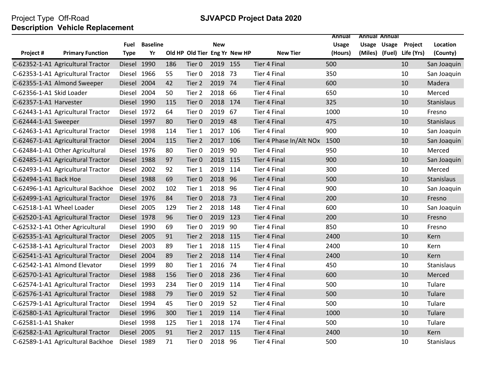|                          |                                   |             |                 |     |        |            |                               |                         | Annual       | <b>Annual Annual</b> |                           |             |
|--------------------------|-----------------------------------|-------------|-----------------|-----|--------|------------|-------------------------------|-------------------------|--------------|----------------------|---------------------------|-------------|
|                          |                                   | Fuel        | <b>Baseline</b> |     |        | <b>New</b> |                               |                         | <b>Usage</b> |                      | Usage Usage Project       | Location    |
| Project #                | <b>Primary Function</b>           | <b>Type</b> | Yr              |     |        |            | Old HP Old Tier Eng Yr New HP | <b>New Tier</b>         | (Hours)      |                      | (Miles) (Fuel) Life (Yrs) | (County)    |
|                          | C-62352-1-A1 Agricultural Tractor | Diesel 1990 |                 | 186 | Tier 0 | 2019 155   |                               | Tier 4 Final            | 500          |                      | 10                        | San Joaquin |
|                          | C-62353-1-A1 Agricultural Tractor | Diesel      | 1966            | 55  | Tier 0 | 2018 73    |                               | Tier 4 Final            | 350          |                      | 10                        | San Joaquin |
|                          | C-62355-1-A1 Almond Sweeper       | Diesel 2004 |                 | 42  | Tier 2 | 2019 74    |                               | Tier 4 Final            | 600          |                      | 10                        | Madera      |
| C-62356-1-A1 Skid Loader |                                   | Diesel 2004 |                 | 50  | Tier 2 | 2018 66    |                               | Tier 4 Final            | 650          |                      | 10                        | Merced      |
| C-62357-1-A1 Harvester   |                                   | Diesel 1990 |                 | 115 | Tier 0 | 2018 174   |                               | Tier 4 Final            | 325          |                      | 10                        | Stanislaus  |
|                          | C-62443-1-A1 Agricultural Tractor | Diesel 1972 |                 | 64  | Tier 0 | 2019 67    |                               | Tier 4 Final            | 1000         |                      | 10                        | Fresno      |
| C-62444-1-A1 Sweeper     |                                   | Diesel 1997 |                 | 80  | Tier 0 | 2019 48    |                               | <b>Tier 4 Final</b>     | 475          |                      | 10                        | Stanislaus  |
|                          | C-62463-1-A1 Agricultural Tractor | Diesel 1998 |                 | 114 | Tier 1 | 2017 106   |                               | Tier 4 Final            | 900          |                      | 10                        | San Joaquin |
|                          | C-62467-1-A1 Agricultural Tractor | Diesel 2004 |                 | 115 | Tier 2 | 2017 106   |                               | Tier 4 Phase In/Alt NOx | 1500         |                      | 10                        | San Joaquin |
|                          | C-62484-1-A1 Other Agricultural   | Diesel 1976 |                 | 80  | Tier 0 | 2019 90    |                               | Tier 4 Final            | 950          |                      | 10                        | Merced      |
|                          | C-62485-1-A1 Agricultural Tractor | Diesel 1988 |                 | 97  | Tier 0 | 2018 115   |                               | <b>Tier 4 Final</b>     | 900          |                      | 10                        | San Joaquin |
|                          | C-62493-1-A1 Agricultural Tractor | Diesel      | 2002            | 92  | Tier 1 | 2019       | 114                           | Tier 4 Final            | 300          |                      | 10                        | Merced      |
| C-62494-1-A1 Back Hoe    |                                   | Diesel 1988 |                 | 69  | Tier 0 | 2018 96    |                               | Tier 4 Final            | 500          |                      | 10                        | Stanislaus  |
|                          | C-62496-1-A1 Agricultural Backhoe | Diesel 2002 |                 | 102 | Tier 1 | 2018 96    |                               | Tier 4 Final            | 900          |                      | 10                        | San Joaquin |
|                          | C-62499-1-A1 Agricultural Tractor | Diesel 1976 |                 | 84  | Tier 0 | 2018 73    |                               | Tier 4 Final            | 200          |                      | 10                        | Fresno      |
|                          | C-62518-1-A1 Wheel Loader         | Diesel 2005 |                 | 129 | Tier 2 | 2018       | 148                           | Tier 4 Final            | 600          |                      | 10                        | San Joaquin |
|                          | C-62520-1-A1 Agricultural Tractor | Diesel 1978 |                 | 96  | Tier 0 | 2019 123   |                               | Tier 4 Final            | 200          |                      | 10                        | Fresno      |
|                          | C-62532-1-A1 Other Agricultural   | Diesel 1990 |                 | 69  | Tier 0 | 2019 90    |                               | Tier 4 Final            | 850          |                      | 10                        | Fresno      |
|                          | C-62535-1-A1 Agricultural Tractor | Diesel 2005 |                 | 91  | Tier 2 | 2018 115   |                               | Tier 4 Final            | 2400         |                      | 10                        | Kern        |
|                          | C-62538-1-A1 Agricultural Tractor | Diesel 2003 |                 | 89  | Tier 1 | 2018 115   |                               | Tier 4 Final            | 2400         |                      | 10                        | Kern        |
|                          | C-62541-1-A1 Agricultural Tractor | Diesel 2004 |                 | 89  | Tier 2 | 2018 114   |                               | Tier 4 Final            | 2400         |                      | 10                        | Kern        |
|                          | C-62542-1-A1 Almond Elevator      | Diesel 1999 |                 | 80  | Tier 1 | 2016 74    |                               | Tier 4 Final            | 450          |                      | 10                        | Stanislaus  |
|                          | C-62570-1-A1 Agricultural Tractor | Diesel 1988 |                 | 156 | Tier 0 | 2018 236   |                               | Tier 4 Final            | 600          |                      | 10                        | Merced      |
|                          | C-62574-1-A1 Agricultural Tractor | Diesel 1993 |                 | 234 | Tier 0 | 2019 114   |                               | Tier 4 Final            | 500          |                      | 10                        | Tulare      |
|                          | C-62576-1-A1 Agricultural Tractor | Diesel 1988 |                 | 79  | Tier 0 | 2019 52    |                               | Tier 4 Final            | 500          |                      | 10                        | Tulare      |
|                          | C-62579-1-A1 Agricultural Tractor | Diesel 1994 |                 | 45  | Tier 0 | 2019       | 52                            | Tier 4 Final            | 500          |                      | 10                        | Tulare      |
|                          | C-62580-1-A1 Agricultural Tractor | Diesel 1996 |                 | 300 | Tier 1 | 2019 114   |                               | Tier 4 Final            | 1000         |                      | 10                        | Tulare      |
| C-62581-1-A1 Shaker      |                                   | Diesel 1998 |                 | 125 | Tier 1 | 2018 174   |                               | Tier 4 Final            | 500          |                      | 10                        | Tulare      |
|                          | C-62582-1-A1 Agricultural Tractor | Diesel 2005 |                 | 91  | Tier 2 | 2017 115   |                               | Tier 4 Final            | 2400         |                      | 10                        | Kern        |
|                          | C-62589-1-A1 Agricultural Backhoe | Diesel 1989 |                 | 71  | Tier 0 | 2018 96    |                               | Tier 4 Final            | 500          |                      | 10                        | Stanislaus  |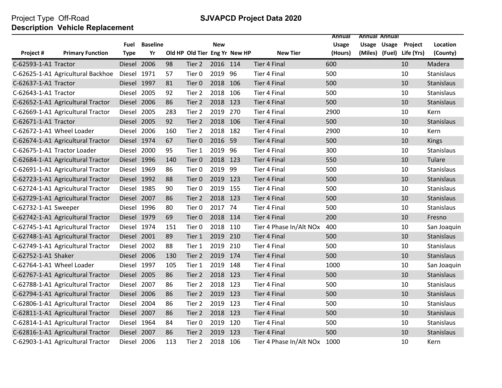|                      |                                   |             |                 |     |                   |            |                               |                         | Annual       | <b>Annual Annual</b> |                           |                   |
|----------------------|-----------------------------------|-------------|-----------------|-----|-------------------|------------|-------------------------------|-------------------------|--------------|----------------------|---------------------------|-------------------|
|                      |                                   | Fuel        | <b>Baseline</b> |     |                   | <b>New</b> |                               |                         | <b>Usage</b> |                      | Usage Usage Project       | Location          |
| Project #            | <b>Primary Function</b>           | <b>Type</b> | Yr              |     |                   |            | Old HP Old Tier Eng Yr New HP | <b>New Tier</b>         | (Hours)      |                      | (Miles) (Fuel) Life (Yrs) | (County)          |
| C-62593-1-A1 Tractor |                                   | Diesel 2006 |                 | 98  | Tier 2            | 2016 114   |                               | <b>Tier 4 Final</b>     | 600          |                      | 10                        | Madera            |
|                      | C-62625-1-A1 Agricultural Backhoe | Diesel 1971 |                 | 57  | Tier <sub>0</sub> | 2019 96    |                               | Tier 4 Final            | 500          |                      | 10                        | Stanislaus        |
| C-62637-1-A1 Tractor |                                   | Diesel 1997 |                 | 81  | Tier 0            | 2018 106   |                               | Tier 4 Final            | 500          |                      | 10                        | Stanislaus        |
| C-62643-1-A1 Tractor |                                   | Diesel 2005 |                 | 92  | Tier 2            | 2018 106   |                               | <b>Tier 4 Final</b>     | 500          |                      | 10                        | Stanislaus        |
|                      | C-62652-1-A1 Agricultural Tractor | Diesel 2006 |                 | 86  | Tier 2            | 2018 123   |                               | <b>Tier 4 Final</b>     | 500          |                      | 10                        | Stanislaus        |
|                      | C-62669-1-A1 Agricultural Tractor | Diesel 2005 |                 | 283 | Tier 2            | 2019 270   |                               | Tier 4 Final            | 2900         |                      | 10                        | Kern              |
| C-62671-1-A1 Tractor |                                   | Diesel 2005 |                 | 92  | Tier 2            | 2018 106   |                               | Tier 4 Final            | 500          |                      | 10                        | <b>Stanislaus</b> |
|                      | C-62672-1-A1 Wheel Loader         | Diesel 2006 |                 | 160 | Tier 2            | 2018 182   |                               | <b>Tier 4 Final</b>     | 2900         |                      | 10                        | Kern              |
|                      | C-62674-1-A1 Agricultural Tractor | Diesel 1974 |                 | 67  | Tier <sub>0</sub> | 2016 59    |                               | Tier 4 Final            | 500          |                      | 10                        | <b>Kings</b>      |
|                      | C-62675-1-A1 Tractor Loader       | Diesel 2000 |                 | 95  | Tier 1            | 2019 96    |                               | Tier 4 Final            | 300          |                      | 10                        | Stanislaus        |
|                      | C-62684-1-A1 Agricultural Tractor | Diesel 1996 |                 | 140 | Tier 0            | 2018 123   |                               | Tier 4 Final            | 550          |                      | 10                        | Tulare            |
|                      | C-62691-1-A1 Agricultural Tractor | Diesel 1969 |                 | 86  | Tier <sub>0</sub> | 2019 99    |                               | Tier 4 Final            | 500          |                      | 10                        | Stanislaus        |
|                      | C-62723-1-A1 Agricultural Tractor | Diesel 1992 |                 | 88  | Tier 0            | 2019 123   |                               | Tier 4 Final            | 500          |                      | 10                        | Stanislaus        |
|                      | C-62724-1-A1 Agricultural Tractor | Diesel 1985 |                 | 90  | Tier 0            | 2019 155   |                               | Tier 4 Final            | 500          |                      | 10                        | Stanislaus        |
|                      | C-62729-1-A1 Agricultural Tractor | Diesel 2007 |                 | 86  | Tier 2            | 2018 123   |                               | <b>Tier 4 Final</b>     | 500          |                      | 10                        | Stanislaus        |
| C-62732-1-A1 Sweeper |                                   | Diesel 1996 |                 | 80  | Tier 0            | 2017 74    |                               | Tier 4 Final            | 500          |                      | 10                        | Stanislaus        |
|                      | C-62742-1-A1 Agricultural Tractor | Diesel 1979 |                 | 69  | Tier <sub>0</sub> | 2018 114   |                               | Tier 4 Final            | 200          |                      | 10                        | Fresno            |
|                      | C-62745-1-A1 Agricultural Tractor | Diesel 1974 |                 | 151 | Tier 0            | 2018 110   |                               | Tier 4 Phase In/Alt NOx | 400          |                      | 10                        | San Joaquin       |
|                      | C-62748-1-A1 Agricultural Tractor | Diesel 2001 |                 | 89  | Tier 1            | 2019 210   |                               | Tier 4 Final            | 500          |                      | 10                        | <b>Stanislaus</b> |
|                      | C-62749-1-A1 Agricultural Tractor | Diesel 2002 |                 | 88  | Tier 1            | 2019 210   |                               | Tier 4 Final            | 500          |                      | 10                        | Stanislaus        |
| C-62752-1-A1 Shaker  |                                   | Diesel 2006 |                 | 130 | Tier 2            | 2019 174   |                               | Tier 4 Final            | 500          |                      | 10                        | Stanislaus        |
|                      | C-62764-1-A1 Wheel Loader         | Diesel 1997 |                 | 105 | Tier 1            | 2019 148   |                               | <b>Tier 4 Final</b>     | 1000         |                      | 10                        | San Joaquin       |
|                      | C-62767-1-A1 Agricultural Tractor | Diesel 2005 |                 | 86  | Tier 2            | 2018 123   |                               | Tier 4 Final            | 500          |                      | 10                        | Stanislaus        |
|                      | C-62788-1-A1 Agricultural Tractor | Diesel 2007 |                 | 86  | Tier 2            | 2018 123   |                               | Tier 4 Final            | 500          |                      | 10                        | <b>Stanislaus</b> |
|                      | C-62794-1-A1 Agricultural Tractor | Diesel 2006 |                 | 86  | Tier 2            | 2019 123   |                               | Tier 4 Final            | 500          |                      | 10                        | Stanislaus        |
|                      | C-62806-1-A1 Agricultural Tractor | Diesel 2004 |                 | 86  | Tier 2            | 2019 123   |                               | Tier 4 Final            | 500          |                      | 10                        | Stanislaus        |
|                      | C-62811-1-A1 Agricultural Tractor | Diesel 2007 |                 | 86  | Tier 2            | 2018 123   |                               | Tier 4 Final            | 500          |                      | 10                        | Stanislaus        |
|                      | C-62814-1-A1 Agricultural Tractor | Diesel 1964 |                 | 84  | Tier <sub>0</sub> | 2019 120   |                               | Tier 4 Final            | 500          |                      | 10                        | Stanislaus        |
|                      | C-62816-1-A1 Agricultural Tractor | Diesel 2007 |                 | 86  | Tier 2            | 2019 123   |                               | Tier 4 Final            | 500          |                      | 10                        | Stanislaus        |
|                      | C-62903-1-A1 Agricultural Tractor | Diesel 2006 |                 | 113 | Tier 2            | 2018 106   |                               | Tier 4 Phase In/Alt NOx | 1000         |                      | 10                        | Kern              |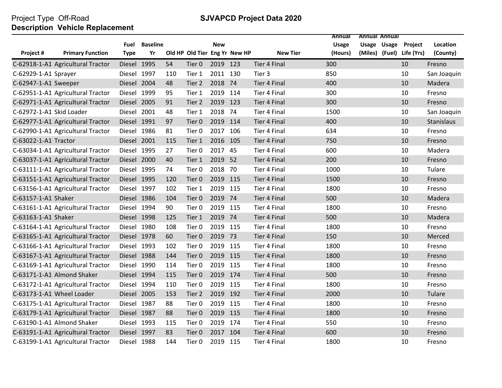|                          |                                   |             |                 |     |                   |            |                               |                 | Annual       | <b>Annual Annual</b> |                           |                   |
|--------------------------|-----------------------------------|-------------|-----------------|-----|-------------------|------------|-------------------------------|-----------------|--------------|----------------------|---------------------------|-------------------|
|                          |                                   | <b>Fuel</b> | <b>Baseline</b> |     |                   | <b>New</b> |                               |                 | <b>Usage</b> |                      | Usage Usage Project       | Location          |
| Project#                 | <b>Primary Function</b>           | <b>Type</b> | Yr              |     |                   |            | Old HP Old Tier Eng Yr New HP | <b>New Tier</b> | (Hours)      |                      | (Miles) (Fuel) Life (Yrs) | (County)          |
|                          | C-62918-1-A1 Agricultural Tractor | Diesel 1995 |                 | 54  | Tier 0            | 2019 123   |                               | Tier 4 Final    | 300          |                      | 10                        | Fresno            |
| C-62929-1-A1 Sprayer     |                                   | Diesel 1997 |                 | 110 | Tier 1            | 2011       | 130                           | Tier 3          | 850          |                      | 10                        | San Joaquin       |
| C-62947-1-A1 Sweeper     |                                   | Diesel 2004 |                 | 48  | Tier 2            | 2018 74    |                               | Tier 4 Final    | 400          |                      | 10                        | Madera            |
|                          | C-62951-1-A1 Agricultural Tractor | Diesel 1999 |                 | 95  | Tier 1            | 2019 114   |                               | Tier 4 Final    | 300          |                      | 10                        | Fresno            |
|                          | C-62971-1-A1 Agricultural Tractor | Diesel 2005 |                 | 91  | Tier 2            | 2019 123   |                               | Tier 4 Final    | 300          |                      | 10                        | Fresno            |
| C-62972-1-A1 Skid Loader |                                   | Diesel 2001 |                 | 48  | Tier 1            | 2018 74    |                               | Tier 4 Final    | 1500         |                      | 10                        | San Joaquin       |
|                          | C-62977-1-A1 Agricultural Tractor | Diesel 1991 |                 | 97  | Tier 0            | 2019 114   |                               | Tier 4 Final    | 400          |                      | 10                        | <b>Stanislaus</b> |
|                          | C-62990-1-A1 Agricultural Tractor | Diesel 1986 |                 | 81  | Tier 0            | 2017 106   |                               | Tier 4 Final    | 634          |                      | 10                        | Fresno            |
| C-63022-1-A1 Tractor     |                                   | Diesel 2001 |                 | 115 | Tier 1            | 2016 105   |                               | Tier 4 Final    | 750          |                      | 10                        | Fresno            |
|                          | C-63034-1-A1 Agricultural Tractor | Diesel 1995 |                 | 27  | Tier 0            | 2017 45    |                               | Tier 4 Final    | 600          |                      | 10                        | Madera            |
|                          | C-63037-1-A1 Agricultural Tractor | Diesel 2000 |                 | 40  | Tier 1            | 2019 52    |                               | Tier 4 Final    | 200          |                      | 10                        | Fresno            |
|                          | C-63111-1-A1 Agricultural Tractor | Diesel 1995 |                 | 74  | Tier 0            | 2018 70    |                               | Tier 4 Final    | 1000         |                      | 10                        | Tulare            |
|                          | C-63151-1-A1 Agricultural Tractor | Diesel 1995 |                 | 120 | Tier 0            | 2019 115   |                               | Tier 4 Final    | 1500         |                      | 10                        | Fresno            |
|                          | C-63156-1-A1 Agricultural Tractor | Diesel 1997 |                 | 102 | Tier 1            | 2019 115   |                               | Tier 4 Final    | 1800         |                      | 10                        | Fresno            |
| C-63157-1-A1 Shaker      |                                   | Diesel 1986 |                 | 104 | Tier 0            | 2019 74    |                               | Tier 4 Final    | 500          |                      | 10                        | Madera            |
|                          | C-63161-1-A1 Agricultural Tractor | Diesel 1994 |                 | 90  | Tier 0            | 2019 115   |                               | Tier 4 Final    | 1800         |                      | 10                        | Fresno            |
| C-63163-1-A1 Shaker      |                                   | Diesel 1998 |                 | 125 | Tier 1            | 2019 74    |                               | Tier 4 Final    | 500          |                      | 10                        | Madera            |
|                          | C-63164-1-A1 Agricultural Tractor | Diesel 1980 |                 | 108 | Tier 0            | 2019 115   |                               | Tier 4 Final    | 1800         |                      | 10                        | Fresno            |
|                          | C-63165-1-A1 Agricultural Tractor | Diesel 1978 |                 | 60  | Tier 0            | 2019 73    |                               | Tier 4 Final    | 150          |                      | 10                        | Merced            |
|                          | C-63166-1-A1 Agricultural Tractor | Diesel 1993 |                 | 102 | Tier 0            | 2019 115   |                               | Tier 4 Final    | 1800         |                      | 10                        | Fresno            |
|                          | C-63167-1-A1 Agricultural Tractor | Diesel 1988 |                 | 144 | Tier 0            | 2019 115   |                               | Tier 4 Final    | 1800         |                      | 10                        | Fresno            |
|                          | C-63169-1-A1 Agricultural Tractor | Diesel 1990 |                 | 114 | Tier 0            | 2019       | 115                           | Tier 4 Final    | 1800         |                      | 10                        | Fresno            |
|                          | C-63171-1-A1 Almond Shaker        | Diesel 1994 |                 | 115 | Tier 0            | 2019 174   |                               | Tier 4 Final    | 500          |                      | 10                        | Fresno            |
|                          | C-63172-1-A1 Agricultural Tractor | Diesel 1994 |                 | 110 | Tier 0            | 2019 115   |                               | Tier 4 Final    | 1800         |                      | 10                        | Fresno            |
|                          | C-63173-1-A1 Wheel Loader         | Diesel 2005 |                 | 153 | Tier 2            | 2019 192   |                               | Tier 4 Final    | 2000         |                      | 10                        | Tulare            |
|                          | C-63175-1-A1 Agricultural Tractor | Diesel 1987 |                 | 88  | Tier 0            | 2019 115   |                               | Tier 4 Final    | 1800         |                      | 10                        | Fresno            |
|                          | C-63179-1-A1 Agricultural Tractor | Diesel 1987 |                 | 88  | Tier <sub>0</sub> | 2019 115   |                               | Tier 4 Final    | 1800         |                      | 10                        | Fresno            |
|                          | C-63190-1-A1 Almond Shaker        | Diesel 1993 |                 | 115 | Tier 0            | 2019 174   |                               | Tier 4 Final    | 550          |                      | 10                        | Fresno            |
|                          | C-63191-1-A1 Agricultural Tractor | Diesel 1997 |                 | 83  | Tier 0            | 2017 104   |                               | Tier 4 Final    | 600          |                      | 10                        | Fresno            |
|                          | C-63199-1-A1 Agricultural Tractor | Diesel 1988 |                 | 144 | Tier 0            | 2019 115   |                               | Tier 4 Final    | 1800         |                      | 10                        | Fresno            |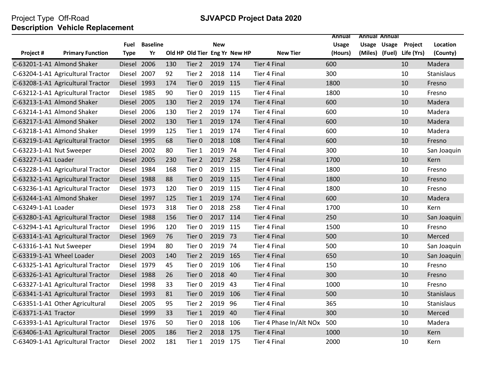|                          |                                   |             |                 |     |                   |            |                               |                         | Annual       | <b>Annual Annual</b> |                           |             |
|--------------------------|-----------------------------------|-------------|-----------------|-----|-------------------|------------|-------------------------------|-------------------------|--------------|----------------------|---------------------------|-------------|
|                          |                                   | Fuel        | <b>Baseline</b> |     |                   | <b>New</b> |                               |                         | <b>Usage</b> |                      | Usage Usage Project       | Location    |
| Project #                | <b>Primary Function</b>           | <b>Type</b> | Yr              |     |                   |            | Old HP Old Tier Eng Yr New HP | <b>New Tier</b>         | (Hours)      |                      | (Miles) (Fuel) Life (Yrs) | (County)    |
|                          | C-63201-1-A1 Almond Shaker        | Diesel 2006 |                 | 130 | Tier 2            | 2019 174   |                               | Tier 4 Final            | 600          |                      | 10                        | Madera      |
|                          | C-63204-1-A1 Agricultural Tractor | Diesel      | 2007            | 92  | Tier 2            | 2018 114   |                               | Tier 4 Final            | 300          |                      | 10                        | Stanislaus  |
|                          | C-63208-1-A1 Agricultural Tractor | Diesel 1993 |                 | 174 | Tier 0            | 2019 115   |                               | Tier 4 Final            | 1800         |                      | 10                        | Fresno      |
|                          | C-63212-1-A1 Agricultural Tractor | Diesel 1985 |                 | 90  | Tier 0            | 2019 115   |                               | Tier 4 Final            | 1800         |                      | 10                        | Fresno      |
|                          | C-63213-1-A1 Almond Shaker        | Diesel      | 2005            | 130 | Tier 2            | 2019 174   |                               | <b>Tier 4 Final</b>     | 600          |                      | 10                        | Madera      |
|                          | C-63214-1-A1 Almond Shaker        | Diesel 2006 |                 | 130 | Tier 2            | 2019 174   |                               | Tier 4 Final            | 600          |                      | 10                        | Madera      |
|                          | C-63217-1-A1 Almond Shaker        | Diesel 2002 |                 | 130 | Tier 1            | 2019 174   |                               | Tier 4 Final            | 600          |                      | 10                        | Madera      |
|                          | C-63218-1-A1 Almond Shaker        | Diesel 1999 |                 | 125 | Tier 1            | 2019 174   |                               | Tier 4 Final            | 600          |                      | 10                        | Madera      |
|                          | C-63219-1-A1 Agricultural Tractor | Diesel 1995 |                 | 68  | Tier <sub>0</sub> | 2018 108   |                               | Tier 4 Final            | 600          |                      | 10                        | Fresno      |
| C-63223-1-A1 Nut Sweeper |                                   | Diesel 2002 |                 | 80  | Tier 1            | 2019 74    |                               | Tier 4 Final            | 300          |                      | 10                        | San Joaquin |
| C-63227-1-A1 Loader      |                                   | Diesel 2005 |                 | 230 | Tier 2            | 2017 258   |                               | <b>Tier 4 Final</b>     | 1700         |                      | 10                        | Kern        |
|                          | C-63228-1-A1 Agricultural Tractor | Diesel      | 1984            | 168 | Tier 0            | 2019       | 115                           | Tier 4 Final            | 1800         |                      | 10                        | Fresno      |
|                          | C-63232-1-A1 Agricultural Tractor | Diesel 1988 |                 | 88  | Tier 0            | 2019 115   |                               | Tier 4 Final            | 1800         |                      | 10                        | Fresno      |
|                          | C-63236-1-A1 Agricultural Tractor | Diesel 1973 |                 | 120 | Tier 0            | 2019 115   |                               | Tier 4 Final            | 1800         |                      | 10                        | Fresno      |
|                          | C-63244-1-A1 Almond Shaker        | Diesel 1997 |                 | 125 | Tier 1            | 2019 174   |                               | Tier 4 Final            | 600          |                      | 10                        | Madera      |
| C-63249-1-A1 Loader      |                                   | Diesel 1973 |                 | 318 | Tier 0            | 2018       | 258                           | Tier 4 Final            | 1700         |                      | 10                        | Kern        |
|                          | C-63280-1-A1 Agricultural Tractor | Diesel 1988 |                 | 156 | Tier 0            | 2017 114   |                               | Tier 4 Final            | 250          |                      | 10                        | San Joaquin |
|                          | C-63294-1-A1 Agricultural Tractor | Diesel 1996 |                 | 120 | Tier <sub>0</sub> | 2019 115   |                               | Tier 4 Final            | 1500         |                      | 10                        | Fresno      |
|                          | C-63314-1-A1 Agricultural Tractor | Diesel 1969 |                 | 76  | Tier 0            | 2019 73    |                               | Tier 4 Final            | 500          |                      | 10                        | Merced      |
| C-63316-1-A1 Nut Sweeper |                                   | Diesel 1994 |                 | 80  | Tier 0            | 2019 74    |                               | Tier 4 Final            | 500          |                      | 10                        | San Joaquin |
|                          | C-63319-1-A1 Wheel Loader         | Diesel 2003 |                 | 140 | Tier 2            | 2019 165   |                               | <b>Tier 4 Final</b>     | 650          |                      | 10                        | San Joaquin |
|                          | C-63325-1-A1 Agricultural Tractor | Diesel 1979 |                 | 45  | Tier 0            | 2019 106   |                               | Tier 4 Final            | 150          |                      | 10                        | Fresno      |
|                          | C-63326-1-A1 Agricultural Tractor | Diesel 1988 |                 | 26  | Tier 0            | 2018 40    |                               | Tier 4 Final            | 300          |                      | 10                        | Fresno      |
|                          | C-63327-1-A1 Agricultural Tractor | Diesel 1998 |                 | 33  | Tier 0            | 2019 43    |                               | Tier 4 Final            | 1000         |                      | 10                        | Fresno      |
|                          | C-63341-1-A1 Agricultural Tractor | Diesel 1993 |                 | 81  | Tier 0            | 2019 106   |                               | Tier 4 Final            | 500          |                      | 10                        | Stanislaus  |
|                          | C-63351-1-A1 Other Agricultural   | Diesel      | 2005            | 95  | Tier 2            | 2019       | 96                            | Tier 4 Final            | 365          |                      | 10                        | Stanislaus  |
| C-63371-1-A1 Tractor     |                                   | Diesel 1999 |                 | 33  | Tier 1            | 2019 40    |                               | Tier 4 Final            | 300          |                      | 10                        | Merced      |
|                          | C-63393-1-A1 Agricultural Tractor | Diesel 1976 |                 | 50  | Tier 0            | 2018 106   |                               | Tier 4 Phase In/Alt NOx | 500          |                      | 10                        | Madera      |
|                          | C-63406-1-A1 Agricultural Tractor | Diesel      | 2005            | 186 | Tier 2            | 2018 175   |                               | Tier 4 Final            | 1000         |                      | 10                        | Kern        |
|                          | C-63409-1-A1 Agricultural Tractor | Diesel 2002 |                 | 181 | Tier 1            | 2019 175   |                               | Tier 4 Final            | 2000         |                      | 10                        | Kern        |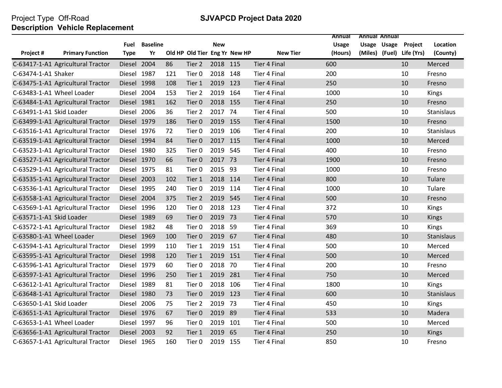|                          |                                   |             |                 |     |                   |            |                               |                     | Annual       | <b>Annual Annual</b> |                           |              |
|--------------------------|-----------------------------------|-------------|-----------------|-----|-------------------|------------|-------------------------------|---------------------|--------------|----------------------|---------------------------|--------------|
|                          |                                   | Fuel        | <b>Baseline</b> |     |                   | <b>New</b> |                               |                     | <b>Usage</b> |                      | Usage Usage Project       | Location     |
| Project #                | <b>Primary Function</b>           | <b>Type</b> | Yr              |     |                   |            | Old HP Old Tier Eng Yr New HP | <b>New Tier</b>     | (Hours)      |                      | (Miles) (Fuel) Life (Yrs) | (County)     |
|                          | C-63417-1-A1 Agricultural Tractor | Diesel 2004 |                 | 86  | Tier 2            | 2018 115   |                               | Tier 4 Final        | 600          |                      | 10                        | Merced       |
| C-63474-1-A1 Shaker      |                                   | Diesel 1987 |                 | 121 | Tier 0            | 2018       | 148                           | Tier 4 Final        | 200          |                      | 10                        | Fresno       |
|                          | C-63475-1-A1 Agricultural Tractor | Diesel 1998 |                 | 108 | Tier 1            | 2019 123   |                               | Tier 4 Final        | 250          |                      | 10                        | Fresno       |
|                          | C-63483-1-A1 Wheel Loader         | Diesel 2004 |                 | 153 | Tier 2            | 2019 164   |                               | Tier 4 Final        | 1000         |                      | 10                        | Kings        |
|                          | C-63484-1-A1 Agricultural Tractor | Diesel 1981 |                 | 162 | Tier 0            | 2018 155   |                               | Tier 4 Final        | 250          |                      | 10                        | Fresno       |
| C-63491-1-A1 Skid Loader |                                   | Diesel 2006 |                 | 36  | Tier 2            | 2017 74    |                               | Tier 4 Final        | 500          |                      | 10                        | Stanislaus   |
|                          | C-63499-1-A1 Agricultural Tractor | Diesel 1979 |                 | 186 | Tier <sub>0</sub> | 2019 155   |                               | Tier 4 Final        | 1500         |                      | 10                        | Fresno       |
|                          | C-63516-1-A1 Agricultural Tractor | Diesel 1976 |                 | 72  | Tier 0            | 2019 106   |                               | Tier 4 Final        | 200          |                      | 10                        | Stanislaus   |
|                          | C-63519-1-A1 Agricultural Tractor | Diesel 1994 |                 | 84  | Tier 0            | 2017 115   |                               | Tier 4 Final        | 1000         |                      | 10                        | Merced       |
|                          | C-63523-1-A1 Agricultural Tractor | Diesel 1980 |                 | 325 | Tier 0            | 2019 545   |                               | Tier 4 Final        | 400          |                      | 10                        | Fresno       |
|                          | C-63527-1-A1 Agricultural Tractor | Diesel 1970 |                 | 66  | Tier 0            | 2017 73    |                               | Tier 4 Final        | 1900         |                      | 10                        | Fresno       |
|                          | C-63529-1-A1 Agricultural Tractor | Diesel 1975 |                 | 81  | Tier 0            | 2015 93    |                               | Tier 4 Final        | 1000         |                      | 10                        | Fresno       |
|                          | C-63535-1-A1 Agricultural Tractor | Diesel 2003 |                 | 102 | Tier 1            | 2018 114   |                               | Tier 4 Final        | 800          |                      | 10                        | Tulare       |
|                          | C-63536-1-A1 Agricultural Tractor | Diesel 1995 |                 | 240 | Tier 0            | 2019 114   |                               | Tier 4 Final        | 1000         |                      | 10                        | Tulare       |
|                          | C-63558-1-A1 Agricultural Tractor | Diesel 2004 |                 | 375 | Tier <sub>2</sub> | 2019 545   |                               | Tier 4 Final        | 500          |                      | 10                        | Fresno       |
|                          | C-63569-1-A1 Agricultural Tractor | Diesel 1996 |                 | 120 | Tier 0            | 2018 123   |                               | Tier 4 Final        | 372          |                      | 10                        | <b>Kings</b> |
| C-63571-1-A1 Skid Loader |                                   | Diesel 1989 |                 | 69  | Tier 0            | 2019 73    |                               | Tier 4 Final        | 570          |                      | 10                        | <b>Kings</b> |
|                          | C-63572-1-A1 Agricultural Tractor | Diesel 1982 |                 | 48  | Tier 0            | 2018 59    |                               | Tier 4 Final        | 369          |                      | 10                        | <b>Kings</b> |
|                          | C-63580-1-A1 Wheel Loader         | Diesel 1969 |                 | 100 | Tier 0            | 2019 67    |                               | <b>Tier 4 Final</b> | 480          |                      | 10                        | Stanislaus   |
|                          | C-63594-1-A1 Agricultural Tractor | Diesel 1999 |                 | 110 | Tier 1            | 2019 151   |                               | Tier 4 Final        | 500          |                      | 10                        | Merced       |
|                          | C-63595-1-A1 Agricultural Tractor | Diesel 1998 |                 | 120 | Tier 1            | 2019 151   |                               | Tier 4 Final        | 500          |                      | 10                        | Merced       |
|                          | C-63596-1-A1 Agricultural Tractor | Diesel 1979 |                 | 60  | Tier 0            | 2018 70    |                               | Tier 4 Final        | 200          |                      | 10                        | Fresno       |
|                          | C-63597-1-A1 Agricultural Tractor | Diesel 1996 |                 | 250 | Tier 1            | 2019       | 281                           | Tier 4 Final        | 750          |                      | 10                        | Merced       |
|                          | C-63612-1-A1 Agricultural Tractor | Diesel 1989 |                 | 81  | Tier 0            | 2018 106   |                               | Tier 4 Final        | 1800         |                      | 10                        | <b>Kings</b> |
|                          | C-63648-1-A1 Agricultural Tractor | Diesel 1980 |                 | 73  | Tier 0            | 2019 123   |                               | Tier 4 Final        | 600          |                      | 10                        | Stanislaus   |
| C-63650-1-A1 Skid Loader |                                   | Diesel 2006 |                 | 75  | Tier 2            | 2019 73    |                               | Tier 4 Final        | 450          |                      | 10                        | Kings        |
|                          | C-63651-1-A1 Agricultural Tractor | Diesel 1976 |                 | 67  | Tier 0            | 2019 89    |                               | Tier 4 Final        | 533          |                      | 10                        | Madera       |
|                          | C-63653-1-A1 Wheel Loader         | Diesel 1997 |                 | 96  | Tier 0            | 2019 101   |                               | Tier 4 Final        | 500          |                      | 10                        | Merced       |
|                          | C-63656-1-A1 Agricultural Tractor | Diesel      | 2003            | 92  | Tier 1            | 2019 65    |                               | Tier 4 Final        | 250          |                      | 10                        | <b>Kings</b> |
|                          | C-63657-1-A1 Agricultural Tractor | Diesel 1965 |                 | 160 | Tier 0            | 2019 155   |                               | Tier 4 Final        | 850          |                      | 10                        | Fresno       |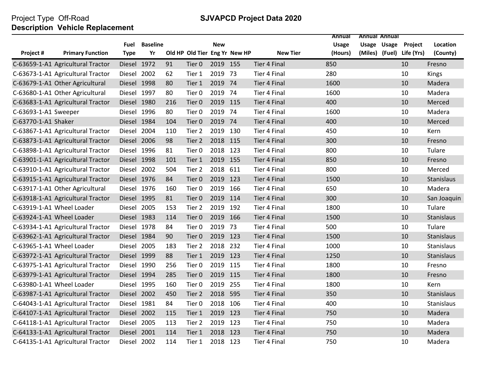|                      |                                   |             |                 |     |        |            |                               |                     | Annual       | <b>Annual Annual</b> |                           |             |
|----------------------|-----------------------------------|-------------|-----------------|-----|--------|------------|-------------------------------|---------------------|--------------|----------------------|---------------------------|-------------|
|                      |                                   | <b>Fuel</b> | <b>Baseline</b> |     |        | <b>New</b> |                               |                     | <b>Usage</b> |                      | Usage Usage Project       | Location    |
| <b>Project #</b>     | <b>Primary Function</b>           | <b>Type</b> | Yr              |     |        |            | Old HP Old Tier Eng Yr New HP | <b>New Tier</b>     | (Hours)      |                      | (Miles) (Fuel) Life (Yrs) | (County)    |
|                      | C-63659-1-A1 Agricultural Tractor | Diesel 1972 |                 | 91  | Tier 0 | 2019 155   |                               | Tier 4 Final        | 850          |                      | 10                        | Fresno      |
|                      | C-63673-1-A1 Agricultural Tractor | Diesel      | 2002            | 62  | Tier 1 | 2019 73    |                               | Tier 4 Final        | 280          |                      | 10                        | Kings       |
|                      | C-63679-1-A1 Other Agricultural   | Diesel 1998 |                 | 80  | Tier 1 | 2019 74    |                               | Tier 4 Final        | 1600         |                      | 10                        | Madera      |
|                      | C-63680-1-A1 Other Agricultural   | Diesel 1997 |                 | 80  | Tier 0 | 2019 74    |                               | Tier 4 Final        | 1600         |                      | 10                        | Madera      |
|                      | C-63683-1-A1 Agricultural Tractor | Diesel 1980 |                 | 216 | Tier 0 | 2019 115   |                               | Tier 4 Final        | 400          |                      | 10                        | Merced      |
| C-63693-1-A1 Sweeper |                                   | Diesel 1996 |                 | 80  | Tier 0 | 2019 74    |                               | Tier 4 Final        | 1600         |                      | 10                        | Madera      |
| C-63770-1-A1 Shaker  |                                   | Diesel 1984 |                 | 104 | Tier 0 | 2019 74    |                               | <b>Tier 4 Final</b> | 400          |                      | 10                        | Merced      |
|                      | C-63867-1-A1 Agricultural Tractor | Diesel 2004 |                 | 110 | Tier 2 | 2019 130   |                               | Tier 4 Final        | 450          |                      | 10                        | Kern        |
|                      | C-63873-1-A1 Agricultural Tractor | Diesel 2006 |                 | 98  | Tier 2 | 2018 115   |                               | Tier 4 Final        | 300          |                      | 10                        | Fresno      |
|                      | C-63898-1-A1 Agricultural Tractor | Diesel 1996 |                 | 81  | Tier 0 | 2018 123   |                               | Tier 4 Final        | 800          |                      | 10                        | Tulare      |
|                      | C-63901-1-A1 Agricultural Tractor | Diesel 1998 |                 | 101 | Tier 1 | 2019 155   |                               | Tier 4 Final        | 850          |                      | 10                        | Fresno      |
|                      | C-63910-1-A1 Agricultural Tractor | Diesel      | 2002            | 504 | Tier 2 | 2018 611   |                               | Tier 4 Final        | 800          |                      | 10                        | Merced      |
|                      | C-63915-1-A1 Agricultural Tractor | Diesel 1976 |                 | 84  | Tier 0 | 2019 123   |                               | Tier 4 Final        | 1500         |                      | 10                        | Stanislaus  |
|                      | C-63917-1-A1 Other Agricultural   | Diesel 1976 |                 | 160 | Tier 0 | 2019 166   |                               | Tier 4 Final        | 650          |                      | 10                        | Madera      |
|                      | C-63918-1-A1 Agricultural Tractor | Diesel 1995 |                 | 81  | Tier 0 | 2019 114   |                               | Tier 4 Final        | 300          |                      | 10                        | San Joaquin |
|                      | C-63919-1-A1 Wheel Loader         | Diesel 2005 |                 | 153 | Tier 2 | 2019       | 192                           | Tier 4 Final        | 1800         |                      | 10                        | Tulare      |
|                      | C-63924-1-A1 Wheel Loader         | Diesel 1983 |                 | 114 | Tier 0 | 2019 166   |                               | <b>Tier 4 Final</b> | 1500         |                      | 10                        | Stanislaus  |
|                      | C-63934-1-A1 Agricultural Tractor | Diesel 1978 |                 | 84  | Tier 0 | 2019 73    |                               | Tier 4 Final        | 500          |                      | 10                        | Tulare      |
|                      | C-63962-1-A1 Agricultural Tractor | Diesel 1984 |                 | 90  | Tier 0 | 2019 123   |                               | Tier 4 Final        | 1500         |                      | 10                        | Stanislaus  |
|                      | C-63965-1-A1 Wheel Loader         | Diesel 2005 |                 | 183 | Tier 2 | 2018 232   |                               | Tier 4 Final        | 1000         |                      | 10                        | Stanislaus  |
|                      | C-63972-1-A1 Agricultural Tractor | Diesel 1999 |                 | 88  | Tier 1 | 2019 123   |                               | <b>Tier 4 Final</b> | 1250         |                      | 10                        | Stanislaus  |
|                      | C-63975-1-A1 Agricultural Tractor | Diesel 1990 |                 | 256 | Tier 0 | 2019 115   |                               | Tier 4 Final        | 1800         |                      | 10                        | Fresno      |
|                      | C-63979-1-A1 Agricultural Tractor | Diesel 1994 |                 | 285 | Tier 0 | 2019 115   |                               | Tier 4 Final        | 1800         |                      | 10                        | Fresno      |
|                      | C-63980-1-A1 Wheel Loader         | Diesel 1995 |                 | 160 | Tier 0 | 2019 255   |                               | Tier 4 Final        | 1800         |                      | 10                        | Kern        |
|                      | C-63987-1-A1 Agricultural Tractor | Diesel 2002 |                 | 450 | Tier 2 | 2018 595   |                               | Tier 4 Final        | 350          |                      | 10                        | Stanislaus  |
|                      | C-64043-1-A1 Agricultural Tractor | Diesel 1981 |                 | 84  | Tier 0 | 2018       | 106                           | Tier 4 Final        | 400          |                      | 10                        | Stanislaus  |
|                      | C-64107-1-A1 Agricultural Tractor | Diesel 2002 |                 | 115 | Tier 1 | 2019 123   |                               | Tier 4 Final        | 750          |                      | 10                        | Madera      |
|                      | C-64118-1-A1 Agricultural Tractor | Diesel      | 2005            | 113 | Tier 2 | 2019 123   |                               | Tier 4 Final        | 750          |                      | 10                        | Madera      |
|                      | C-64133-1-A1 Agricultural Tractor | Diesel      | 2001            | 114 | Tier 1 | 2018 123   |                               | Tier 4 Final        | 750          |                      | 10                        | Madera      |
|                      | C-64135-1-A1 Agricultural Tractor | Diesel 2002 |                 | 114 | Tier 1 | 2018 123   |                               | Tier 4 Final        | 750          |                      | 10                        | Madera      |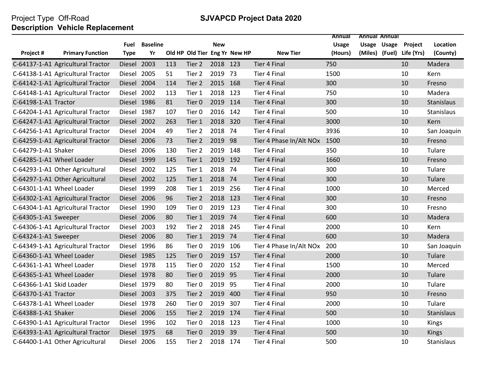|                          |                                   |             |                 |     |                   |            |                               |                         | Annual       | <b>Annual Annual</b> |                           |                   |
|--------------------------|-----------------------------------|-------------|-----------------|-----|-------------------|------------|-------------------------------|-------------------------|--------------|----------------------|---------------------------|-------------------|
|                          |                                   | <b>Fuel</b> | <b>Baseline</b> |     |                   | <b>New</b> |                               |                         | <b>Usage</b> |                      | Usage Usage Project       | Location          |
| Project #                | <b>Primary Function</b>           | <b>Type</b> | Yr              |     |                   |            | Old HP Old Tier Eng Yr New HP | <b>New Tier</b>         | (Hours)      |                      | (Miles) (Fuel) Life (Yrs) | (County)          |
|                          | C-64137-1-A1 Agricultural Tractor | Diesel 2003 |                 | 113 | Tier 2            | 2018 123   |                               | <b>Tier 4 Final</b>     | 750          |                      | 10                        | Madera            |
|                          | C-64138-1-A1 Agricultural Tractor | Diesel      | 2005            | 51  | Tier 2            | 2019 73    |                               | Tier 4 Final            | 1500         |                      | 10                        | Kern              |
|                          | C-64142-1-A1 Agricultural Tractor | Diesel 2004 |                 | 114 | Tier 2            | 2015 168   |                               | Tier 4 Final            | 300          |                      | 10                        | Fresno            |
|                          | C-64148-1-A1 Agricultural Tractor | Diesel 2002 |                 | 113 | Tier 1            | 2018 123   |                               | Tier 4 Final            | 750          |                      | 10                        | Madera            |
| C-64198-1-A1 Tractor     |                                   | Diesel 1986 |                 | 81  | Tier <sub>0</sub> | 2019 114   |                               | <b>Tier 4 Final</b>     | 300          |                      | 10                        | <b>Stanislaus</b> |
|                          | C-64204-1-A1 Agricultural Tractor | Diesel 1987 |                 | 107 | Tier 0            | 2016 142   |                               | <b>Tier 4 Final</b>     | 500          |                      | 10                        | <b>Stanislaus</b> |
|                          | C-64247-1-A1 Agricultural Tractor | Diesel 2002 |                 | 263 | Tier 1            | 2018 320   |                               | Tier 4 Final            | 3000         |                      | 10                        | Kern              |
|                          | C-64256-1-A1 Agricultural Tractor | Diesel 2004 |                 | 49  | Tier 2            | 2018 74    |                               | <b>Tier 4 Final</b>     | 3936         |                      | 10                        | San Joaquin       |
|                          | C-64259-1-A1 Agricultural Tractor | Diesel 2006 |                 | 73  | Tier 2            | 2019 98    |                               | Tier 4 Phase In/Alt NOx | 1500         |                      | 10                        | Fresno            |
| C-64279-1-A1 Shaker      |                                   | Diesel 2006 |                 | 130 | Tier 2            | 2019 148   |                               | Tier 4 Final            | 350          |                      | 10                        | Tulare            |
|                          | C-64285-1-A1 Wheel Loader         | Diesel 1999 |                 | 145 | Tier 1            | 2019 192   |                               | <b>Tier 4 Final</b>     | 1660         |                      | 10                        | Fresno            |
|                          | C-64293-1-A1 Other Agricultural   | Diesel      | 2002            | 125 | Tier 1            | 2018 74    |                               | <b>Tier 4 Final</b>     | 300          |                      | 10                        | Tulare            |
|                          | C-64297-1-A1 Other Agricultural   | Diesel 2002 |                 | 125 | Tier 1            | 2018 74    |                               | <b>Tier 4 Final</b>     | 300          |                      | 10                        | Tulare            |
|                          | C-64301-1-A1 Wheel Loader         | Diesel 1999 |                 | 208 | Tier 1            | 2019 256   |                               | Tier 4 Final            | 1000         |                      | 10                        | Merced            |
|                          | C-64302-1-A1 Agricultural Tractor | Diesel 2006 |                 | 96  | Tier 2            | 2018 123   |                               | Tier 4 Final            | 300          |                      | 10                        | Fresno            |
|                          | C-64304-1-A1 Agricultural Tractor | Diesel 1990 |                 | 109 | Tier 0            | 2019       | 123                           | Tier 4 Final            | 300          |                      | 10                        | Fresno            |
| C-64305-1-A1 Sweeper     |                                   | Diesel 2006 |                 | 80  | Tier 1            | 2019 74    |                               | <b>Tier 4 Final</b>     | 600          |                      | 10                        | Madera            |
|                          | C-64306-1-A1 Agricultural Tractor | Diesel      | 2003            | 192 | Tier 2            | 2018 245   |                               | Tier 4 Final            | 2000         |                      | 10                        | Kern              |
| C-64324-1-A1 Sweeper     |                                   | Diesel 2006 |                 | 80  | Tier 1            | 2019 74    |                               | <b>Tier 4 Final</b>     | 600          |                      | 10                        | Madera            |
|                          | C-64349-1-A1 Agricultural Tractor | Diesel 1996 |                 | 86  | Tier <sub>0</sub> | 2019       | 106                           | Tier 4 Phase In/Alt NOx | 200          |                      | 10                        | San Joaquin       |
|                          | C-64360-1-A1 Wheel Loader         | Diesel 1985 |                 | 125 | Tier 0            | 2019 157   |                               | <b>Tier 4 Final</b>     | 2000         |                      | 10                        | Tulare            |
|                          | C-64361-1-A1 Wheel Loader         | Diesel 1978 |                 | 115 | Tier <sub>0</sub> | 2020 152   |                               | Tier 4 Final            | 1500         |                      | 10                        | Merced            |
|                          | C-64365-1-A1 Wheel Loader         | Diesel 1978 |                 | 80  | Tier <sub>0</sub> | 2019 95    |                               | Tier 4 Final            | 2000         |                      | 10                        | Tulare            |
| C-64366-1-A1 Skid Loader |                                   | Diesel 1979 |                 | 80  | Tier <sub>0</sub> | 2019 95    |                               | <b>Tier 4 Final</b>     | 2000         |                      | 10                        | Tulare            |
| C-64370-1-A1 Tractor     |                                   | Diesel 2003 |                 | 375 | Tier 2            | 2019 400   |                               | <b>Tier 4 Final</b>     | 950          |                      | 10                        | Fresno            |
|                          | C-64378-1-A1 Wheel Loader         | Diesel 1978 |                 | 260 | Tier 0            | 2019       | 307                           | <b>Tier 4 Final</b>     | 2000         |                      | 10                        | Tulare            |
| C-64388-1-A1 Shaker      |                                   | Diesel 2006 |                 | 155 | Tier 2            | 2019 174   |                               | <b>Tier 4 Final</b>     | 500          |                      | 10                        | <b>Stanislaus</b> |
|                          | C-64390-1-A1 Agricultural Tractor | Diesel 1996 |                 | 102 | Tier 0            | 2018 123   |                               | Tier 4 Final            | 1000         |                      | 10                        | Kings             |
|                          | C-64393-1-A1 Agricultural Tractor | Diesel 1975 |                 | 68  | Tier <sub>0</sub> | 2019 39    |                               | <b>Tier 4 Final</b>     | 500          |                      | 10                        | <b>Kings</b>      |
|                          | C-64400-1-A1 Other Agricultural   | Diesel 2006 |                 | 155 | Tier 2            | 2018 174   |                               | Tier 4 Final            | 500          |                      | 10                        | Stanislaus        |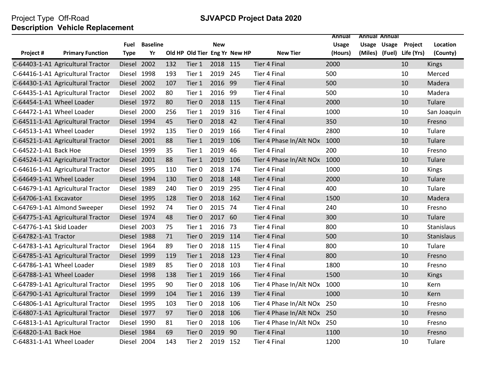|                          |                                   |             |                 |     |                   |            |                               |                             | Annual       | <b>Annual Annual</b> |                           |              |
|--------------------------|-----------------------------------|-------------|-----------------|-----|-------------------|------------|-------------------------------|-----------------------------|--------------|----------------------|---------------------------|--------------|
|                          |                                   | Fuel        | <b>Baseline</b> |     |                   | <b>New</b> |                               |                             | <b>Usage</b> |                      | Usage Usage Project       | Location     |
| Project #                | <b>Primary Function</b>           | <b>Type</b> | Yr              |     |                   |            | Old HP Old Tier Eng Yr New HP | <b>New Tier</b>             | (Hours)      |                      | (Miles) (Fuel) Life (Yrs) | (County)     |
|                          | C-64403-1-A1 Agricultural Tractor | Diesel      | 2002            | 132 | Tier 1            | 2018 115   |                               | <b>Tier 4 Final</b>         | 2000         |                      | 10                        | <b>Kings</b> |
|                          | C-64416-1-A1 Agricultural Tractor | Diesel      | 1998            | 193 | Tier 1            | 2019       | 245                           | Tier 4 Final                | 500          |                      | 10                        | Merced       |
|                          | C-64430-1-A1 Agricultural Tractor | Diesel 2002 |                 | 107 | Tier 1            | 2016 99    |                               | Tier 4 Final                | 500          |                      | 10                        | Madera       |
|                          | C-64435-1-A1 Agricultural Tractor | Diesel 2002 |                 | 80  | Tier 1            | 2016 99    |                               | Tier 4 Final                | 500          |                      | 10                        | Madera       |
|                          | C-64454-1-A1 Wheel Loader         | Diesel 1972 |                 | 80  | Tier 0            | 2018 115   |                               | Tier 4 Final                | 2000         |                      | 10                        | Tulare       |
|                          | C-64472-1-A1 Wheel Loader         | Diesel      | 2000            | 256 | Tier 1            | 2019       | 316                           | <b>Tier 4 Final</b>         | 1000         |                      | 10                        | San Joaquin  |
|                          | C-64511-1-A1 Agricultural Tractor | Diesel 1994 |                 | 45  | Tier 0            | 2018 42    |                               | Tier 4 Final                | 350          |                      | 10                        | Fresno       |
|                          | C-64513-1-A1 Wheel Loader         | Diesel 1992 |                 | 135 | Tier <sub>0</sub> | 2019 166   |                               | Tier 4 Final                | 2800         |                      | 10                        | Tulare       |
|                          | C-64521-1-A1 Agricultural Tractor | Diesel 2001 |                 | 88  | Tier 1            | 2019       | 106                           | Tier 4 Phase In/Alt NOx     | 1000         |                      | 10                        | Tulare       |
| C-64522-1-A1 Back Hoe    |                                   | Diesel 1999 |                 | 35  | Tier 1            | 2019 46    |                               | Tier 4 Final                | 200          |                      | 10                        | Fresno       |
|                          | C-64524-1-A1 Agricultural Tractor | Diesel 2001 |                 | 88  | Tier 1            | 2019 106   |                               | Tier 4 Phase In/Alt NOx     | 1000         |                      | 10                        | Tulare       |
|                          | C-64616-1-A1 Agricultural Tractor | Diesel      | 1995            | 110 | Tier 0            | 2018       | 174                           | Tier 4 Final                | 1000         |                      | 10                        | Kings        |
|                          | C-64649-1-A1 Wheel Loader         | Diesel 1994 |                 | 130 | Tier 0            | 2018 148   |                               | Tier 4 Final                | 2000         |                      | 10                        | Tulare       |
|                          | C-64679-1-A1 Agricultural Tractor | Diesel 1989 |                 | 240 | Tier 0            | 2019 295   |                               | Tier 4 Final                | 400          |                      | 10                        | Tulare       |
| C-64706-1-A1 Excavator   |                                   | Diesel 1995 |                 | 128 | Tier 0            | 2018 162   |                               | Tier 4 Final                | 1500         |                      | 10                        | Madera       |
|                          | C-64769-1-A1 Almond Sweeper       | Diesel 1992 |                 | 74  | Tier 0            | 2015 74    |                               | Tier 4 Final                | 240          |                      | 10                        | Fresno       |
|                          | C-64775-1-A1 Agricultural Tractor | Diesel 1974 |                 | 48  | Tier 0            | 2017 60    |                               | Tier 4 Final                | 300          |                      | 10                        | Tulare       |
| C-64776-1-A1 Skid Loader |                                   | Diesel 2003 |                 | 75  | Tier 1            | 2016 73    |                               | <b>Tier 4 Final</b>         | 800          |                      | 10                        | Stanislaus   |
| C-64782-1-A1 Tractor     |                                   | Diesel 1988 |                 | 71  | Tier 0            | 2019 114   |                               | Tier 4 Final                | 500          |                      | 10                        | Stanislaus   |
|                          | C-64783-1-A1 Agricultural Tractor | Diesel 1964 |                 | 89  | Tier 0            | 2018 115   |                               | Tier 4 Final                | 800          |                      | 10                        | Tulare       |
|                          | C-64785-1-A1 Agricultural Tractor | Diesel 1999 |                 | 119 | Tier 1            | 2018 123   |                               | <b>Tier 4 Final</b>         | 800          |                      | 10                        | Fresno       |
|                          | C-64786-1-A1 Wheel Loader         | Diesel 1989 |                 | 85  | Tier 0            | 2018 103   |                               | Tier 4 Final                | 1800         |                      | 10                        | Fresno       |
|                          | C-64788-1-A1 Wheel Loader         | Diesel 1998 |                 | 138 | Tier 1            | 2019       | 166                           | Tier 4 Final                | 1500         |                      | 10                        | <b>Kings</b> |
|                          | C-64789-1-A1 Agricultural Tractor | Diesel 1995 |                 | 90  | Tier 0            | 2018       | 106                           | Tier 4 Phase In/Alt NOx     | 1000         |                      | 10                        | Kern         |
|                          | C-64790-1-A1 Agricultural Tractor | Diesel 1999 |                 | 104 | Tier 1            | 2016 139   |                               | Tier 4 Final                | 1000         |                      | 10                        | Kern         |
|                          | C-64806-1-A1 Agricultural Tractor | Diesel 1995 |                 | 103 | Tier 0            | 2018       | 106                           | Tier 4 Phase In/Alt NOx     | 250          |                      | 10                        | Fresno       |
|                          | C-64807-1-A1 Agricultural Tractor | Diesel 1977 |                 | 97  | Tier 0            | 2018 106   |                               | Tier 4 Phase In/Alt NOx 250 |              |                      | 10                        | Fresno       |
|                          | C-64813-1-A1 Agricultural Tractor | Diesel 1990 |                 | 81  | Tier 0            | 2018 106   |                               | Tier 4 Phase In/Alt NOx 250 |              |                      | 10                        | Fresno       |
| C-64820-1-A1 Back Hoe    |                                   | Diesel 1984 |                 | 69  | Tier 0            | 2019 90    |                               | Tier 4 Final                | 1100         |                      | 10                        | Fresno       |
|                          | C-64831-1-A1 Wheel Loader         | Diesel 2004 |                 | 143 | Tier 2            | 2019 152   |                               | Tier 4 Final                | 1200         |                      | 10                        | Tulare       |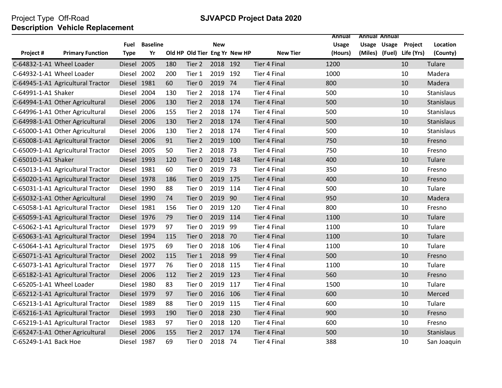|                       |                                   |             |                 |     |                   |            |                               |                     | Annual       | <b>Annual Annual</b> |                           |             |
|-----------------------|-----------------------------------|-------------|-----------------|-----|-------------------|------------|-------------------------------|---------------------|--------------|----------------------|---------------------------|-------------|
|                       |                                   | <b>Fuel</b> | <b>Baseline</b> |     |                   | <b>New</b> |                               |                     | <b>Usage</b> |                      | Usage Usage Project       | Location    |
| <b>Project #</b>      | <b>Primary Function</b>           | <b>Type</b> | Yr              |     |                   |            | Old HP Old Tier Eng Yr New HP | <b>New Tier</b>     | (Hours)      |                      | (Miles) (Fuel) Life (Yrs) | (County)    |
|                       | C-64832-1-A1 Wheel Loader         | Diesel 2005 |                 | 180 | Tier 2            | 2018 192   |                               | Tier 4 Final        | 1200         |                      | 10                        | Tulare      |
|                       | C-64932-1-A1 Wheel Loader         | Diesel 2002 |                 | 200 | Tier 1            | 2019       | 192                           | Tier 4 Final        | 1000         |                      | 10                        | Madera      |
|                       | C-64945-1-A1 Agricultural Tractor | Diesel 1981 |                 | 60  | Tier 0            | 2019 74    |                               | Tier 4 Final        | 800          |                      | 10                        | Madera      |
| C-64991-1-A1 Shaker   |                                   | Diesel 2004 |                 | 130 | Tier 2            | 2018 174   |                               | Tier 4 Final        | 500          |                      | 10                        | Stanislaus  |
|                       | C-64994-1-A1 Other Agricultural   | Diesel 2006 |                 | 130 | Tier 2            | 2018 174   |                               | Tier 4 Final        | 500          |                      | 10                        | Stanislaus  |
|                       | C-64996-1-A1 Other Agricultural   | Diesel 2006 |                 | 155 | Tier 2            | 2018 174   |                               | Tier 4 Final        | 500          |                      | 10                        | Stanislaus  |
|                       | C-64998-1-A1 Other Agricultural   | Diesel 2006 |                 | 130 | Tier 2            | 2018 174   |                               | Tier 4 Final        | 500          |                      | 10                        | Stanislaus  |
|                       | C-65000-1-A1 Other Agricultural   | Diesel 2006 |                 | 130 | Tier 2            | 2018 174   |                               | Tier 4 Final        | 500          |                      | 10                        | Stanislaus  |
|                       | C-65008-1-A1 Agricultural Tractor | Diesel 2006 |                 | 91  | Tier 2            | 2019 100   |                               | Tier 4 Final        | 750          |                      | 10                        | Fresno      |
|                       | C-65009-1-A1 Agricultural Tractor | Diesel 2005 |                 | 50  | Tier 2            | 2018 73    |                               | Tier 4 Final        | 750          |                      | 10                        | Fresno      |
| C-65010-1-A1 Shaker   |                                   | Diesel 1993 |                 | 120 | Tier 0            | 2019 148   |                               | Tier 4 Final        | 400          |                      | 10                        | Tulare      |
|                       | C-65013-1-A1 Agricultural Tractor | Diesel 1981 |                 | 60  | Tier 0            | 2019       | 73                            | Tier 4 Final        | 350          |                      | 10                        | Fresno      |
|                       | C-65020-1-A1 Agricultural Tractor | Diesel 1978 |                 | 186 | Tier 0            | 2019 175   |                               | Tier 4 Final        | 400          |                      | 10                        | Fresno      |
|                       | C-65031-1-A1 Agricultural Tractor | Diesel 1990 |                 | 88  | Tier 0            | 2019 114   |                               | <b>Tier 4 Final</b> | 500          |                      | 10                        | Tulare      |
|                       | C-65032-1-A1 Other Agricultural   | Diesel 1990 |                 | 74  | Tier 0            | 2019 90    |                               | Tier 4 Final        | 950          |                      | 10                        | Madera      |
|                       | C-65058-1-A1 Agricultural Tractor | Diesel 1981 |                 | 156 | Tier 0            | 2019       | 120                           | Tier 4 Final        | 800          |                      | 10                        | Fresno      |
|                       | C-65059-1-A1 Agricultural Tractor | Diesel 1976 |                 | 79  | Tier 0            | 2019 114   |                               | Tier 4 Final        | 1100         |                      | 10                        | Tulare      |
|                       | C-65062-1-A1 Agricultural Tractor | Diesel 1979 |                 | 97  | Tier <sub>0</sub> | 2019 99    |                               | Tier 4 Final        | 1100         |                      | 10                        | Tulare      |
|                       | C-65063-1-A1 Agricultural Tractor | Diesel 1994 |                 | 115 | Tier <sub>0</sub> | 2018 70    |                               | Tier 4 Final        | 1100         |                      | 10                        | Tulare      |
|                       | C-65064-1-A1 Agricultural Tractor | Diesel 1975 |                 | 69  | Tier 0            | 2018 106   |                               | Tier 4 Final        | 1100         |                      | 10                        | Tulare      |
|                       | C-65071-1-A1 Agricultural Tractor | Diesel 2002 |                 | 115 | Tier 1            | 2018 99    |                               | <b>Tier 4 Final</b> | 500          |                      | 10                        | Fresno      |
|                       | C-65073-1-A1 Agricultural Tractor | Diesel 1977 |                 | 76  | Tier 0            | 2018 115   |                               | Tier 4 Final        | 1100         |                      | 10                        | Tulare      |
|                       | C-65182-1-A1 Agricultural Tractor | Diesel 2006 |                 | 112 | Tier 2            | 2019 123   |                               | Tier 4 Final        | 560          |                      | 10                        | Fresno      |
|                       | C-65205-1-A1 Wheel Loader         | Diesel 1980 |                 | 83  | Tier 0            | 2019 117   |                               | Tier 4 Final        | 1500         |                      | 10                        | Tulare      |
|                       | C-65212-1-A1 Agricultural Tractor | Diesel 1979 |                 | 97  | Tier 0            | 2016 106   |                               | Tier 4 Final        | 600          |                      | 10                        | Merced      |
|                       | C-65213-1-A1 Agricultural Tractor | Diesel 1989 |                 | 88  | Tier 0            | 2019       | 115                           | <b>Tier 4 Final</b> | 600          |                      | 10                        | Tulare      |
|                       | C-65216-1-A1 Agricultural Tractor | Diesel 1993 |                 | 190 | Tier 0            | 2018 230   |                               | Tier 4 Final        | 900          |                      | 10                        | Fresno      |
|                       | C-65219-1-A1 Agricultural Tractor | Diesel 1983 |                 | 97  | Tier 0            | 2018 120   |                               | Tier 4 Final        | 600          |                      | 10                        | Fresno      |
|                       | C-65247-1-A1 Other Agricultural   | Diesel      | 2006            | 155 | Tier 2            | 2017 174   |                               | Tier 4 Final        | 500          |                      | 10                        | Stanislaus  |
| C-65249-1-A1 Back Hoe |                                   | Diesel 1987 |                 | 69  | Tier 0            | 2018 74    |                               | Tier 4 Final        | 388          |                      | 10                        | San Joaquin |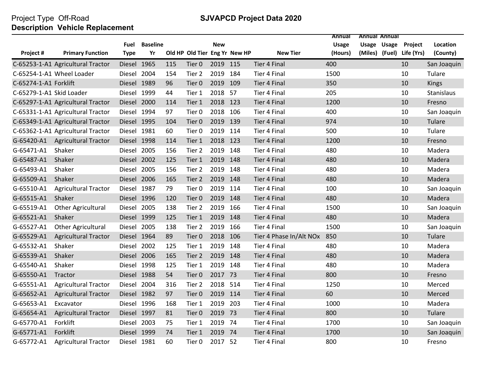|                          |                                   |             |                 |     |                   |            |                               |                         | Annual       | <b>Annual Annual</b> |                           |                   |
|--------------------------|-----------------------------------|-------------|-----------------|-----|-------------------|------------|-------------------------------|-------------------------|--------------|----------------------|---------------------------|-------------------|
|                          |                                   | Fuel        | <b>Baseline</b> |     |                   | <b>New</b> |                               |                         | <b>Usage</b> |                      | Usage Usage Project       | Location          |
| Project#                 | <b>Primary Function</b>           | <b>Type</b> | Yr              |     |                   |            | Old HP Old Tier Eng Yr New HP | <b>New Tier</b>         | (Hours)      |                      | (Miles) (Fuel) Life (Yrs) | (County)          |
|                          | C-65253-1-A1 Agricultural Tractor | Diesel 1965 |                 | 115 | Tier 0            | 2019 115   |                               | Tier 4 Final            | 400          |                      | 10                        | San Joaquin       |
|                          | C-65254-1-A1 Wheel Loader         | Diesel      | 2004            | 154 | Tier 2            | 2019       | 184                           | Tier 4 Final            | 1500         |                      | 10                        | Tulare            |
| C-65274-1-A1 Forklift    |                                   | Diesel 1989 |                 | 96  | Tier <sub>0</sub> | 2019       | 109                           | Tier 4 Final            | 350          |                      | 10                        | <b>Kings</b>      |
| C-65279-1-A1 Skid Loader |                                   | Diesel 1999 |                 | 44  | Tier 1            | 2018 57    |                               | Tier 4 Final            | 205          |                      | 10                        | <b>Stanislaus</b> |
|                          | C-65297-1-A1 Agricultural Tractor | Diesel 2000 |                 | 114 | Tier 1            | 2018 123   |                               | Tier 4 Final            | 1200         |                      | 10                        | Fresno            |
|                          | C-65331-1-A1 Agricultural Tractor | Diesel 1994 |                 | 97  | Tier <sub>0</sub> | 2018       | 106                           | Tier 4 Final            | 400          |                      | 10                        | San Joaquin       |
|                          | C-65349-1-A1 Agricultural Tractor | Diesel 1995 |                 | 104 | Tier 0            | 2019       | 139                           | Tier 4 Final            | 974          |                      | 10                        | Tulare            |
|                          | C-65362-1-A1 Agricultural Tractor | Diesel 1981 |                 | 60  | Tier <sub>0</sub> | 2019       | 114                           | Tier 4 Final            | 500          |                      | 10                        | Tulare            |
|                          | G-65420-A1 Agricultural Tractor   | Diesel 1998 |                 | 114 | Tier 1            | 2018       | 123                           | Tier 4 Final            | 1200         |                      | 10                        | Fresno            |
| G-65471-A1               | Shaker                            | Diesel 2005 |                 | 156 | Tier 2            | 2019       | 148                           | Tier 4 Final            | 480          |                      | 10                        | Madera            |
| G-65487-A1               | Shaker                            | Diesel 2002 |                 | 125 | Tier 1            | 2019 148   |                               | Tier 4 Final            | 480          |                      | 10                        | Madera            |
| G-65493-A1               | Shaker                            | Diesel      | 2005            | 156 | Tier 2            | 2019       | 148                           | Tier 4 Final            | 480          |                      | 10                        | Madera            |
| G-65509-A1               | Shaker                            | Diesel 2006 |                 | 165 | Tier <sub>2</sub> | 2019 148   |                               | Tier 4 Final            | 480          |                      | 10                        | Madera            |
| G-65510-A1               | <b>Agricultural Tractor</b>       | Diesel 1987 |                 | 79  | Tier 0            | 2019       | 114                           | Tier 4 Final            | 100          |                      | 10                        | San Joaquin       |
| G-65515-A1               | Shaker                            | Diesel 1996 |                 | 120 | Tier 0            | 2019 148   |                               | Tier 4 Final            | 480          |                      | 10                        | Madera            |
| G-65519-A1               | Other Agricultural                | Diesel 2005 |                 | 138 | Tier 2            | 2019       | 166                           | Tier 4 Final            | 1500         |                      | 10                        | San Joaquin       |
| G-65521-A1               | Shaker                            | Diesel 1999 |                 | 125 | Tier 1            | 2019       | 148                           | Tier 4 Final            | 480          |                      | 10                        | Madera            |
| G-65527-A1               | Other Agricultural                | Diesel 2005 |                 | 138 | Tier 2            | 2019       | 166                           | Tier 4 Final            | 1500         |                      | 10                        | San Joaquin       |
| G-65529-A1               | <b>Agricultural Tractor</b>       | Diesel 1964 |                 | 89  | Tier 0            | 2018       | 106                           | Tier 4 Phase In/Alt NOx | 850          |                      | 10                        | Tulare            |
| G-65532-A1               | Shaker                            | Diesel 2002 |                 | 125 | Tier 1            | 2019       | 148                           | Tier 4 Final            | 480          |                      | 10                        | Madera            |
| G-65539-A1               | Shaker                            | Diesel 2006 |                 | 165 | Tier 2            | 2019 148   |                               | Tier 4 Final            | 480          |                      | 10                        | Madera            |
| G-65540-A1               | Shaker                            | Diesel 1998 |                 | 125 | Tier 1            | 2019 148   |                               | Tier 4 Final            | 480          |                      | 10                        | Madera            |
| G-65550-A1               | Tractor                           | Diesel 1988 |                 | 54  | Tier 0            | 2017 73    |                               | <b>Tier 4 Final</b>     | 800          |                      | 10                        | Fresno            |
| G-65551-A1               | <b>Agricultural Tractor</b>       | Diesel 2004 |                 | 316 | Tier 2            | 2018 514   |                               | Tier 4 Final            | 1250         |                      | 10                        | Merced            |
| G-65652-A1               | <b>Agricultural Tractor</b>       | Diesel 1982 |                 | 97  | Tier 0            | 2019 114   |                               | Tier 4 Final            | 60           |                      | 10                        | Merced            |
| G-65653-A1               | Excavator                         | Diesel 1996 |                 | 168 | Tier 1            | 2019       | 203                           | Tier 4 Final            | 1000         |                      | 10                        | Madera            |
| G-65654-A1               | <b>Agricultural Tractor</b>       | Diesel 1997 |                 | 81  | Tier 0            | 2019 73    |                               | Tier 4 Final            | 800          |                      | 10                        | Tulare            |
| G-65770-A1               | Forklift                          | Diesel 2003 |                 | 75  | Tier 1            | 2019 74    |                               | Tier 4 Final            | 1700         |                      | 10                        | San Joaquin       |
| G-65771-A1               | Forklift                          | Diesel 1999 |                 | 74  | Tier 1            | 2019 74    |                               | Tier 4 Final            | 1700         |                      | 10                        | San Joaquin       |
| G-65772-A1               | <b>Agricultural Tractor</b>       | Diesel 1981 |                 | 60  | Tier 0            | 2017 52    |                               | Tier 4 Final            | 800          |                      | 10                        | Fresno            |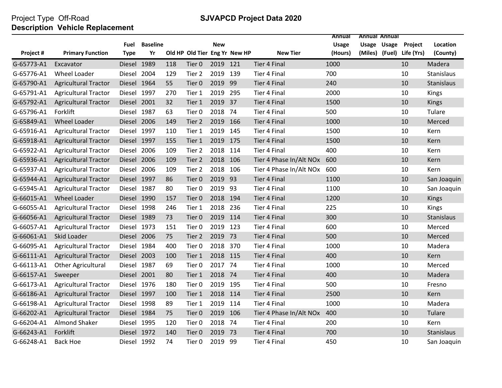|            |                             |             |                 |     |                   |            |                               |                         | Annual       | <b>Annual Annual</b> |                           |              |
|------------|-----------------------------|-------------|-----------------|-----|-------------------|------------|-------------------------------|-------------------------|--------------|----------------------|---------------------------|--------------|
|            |                             | Fuel        | <b>Baseline</b> |     |                   | <b>New</b> |                               |                         | <b>Usage</b> |                      | Usage Usage Project       | Location     |
| Project #  | <b>Primary Function</b>     | <b>Type</b> | Yr              |     |                   |            | Old HP Old Tier Eng Yr New HP | <b>New Tier</b>         | (Hours)      |                      | (Miles) (Fuel) Life (Yrs) | (County)     |
| G-65773-A1 | Excavator                   | Diesel 1989 |                 | 118 | Tier 0            | 2019 121   |                               | Tier 4 Final            | 1000         |                      | 10                        | Madera       |
| G-65776-A1 | Wheel Loader                | Diesel      | 2004            | 129 | Tier 2            | 2019       | 139                           | Tier 4 Final            | 700          |                      | 10                        | Stanislaus   |
| G-65790-A1 | <b>Agricultural Tractor</b> | Diesel 1964 |                 | 55  | Tier 0            | 2019 99    |                               | Tier 4 Final            | 240          |                      | 10                        | Stanislaus   |
| G-65791-A1 | <b>Agricultural Tractor</b> | Diesel 1997 |                 | 270 | Tier 1            | 2019 295   |                               | Tier 4 Final            | 2000         |                      | 10                        | <b>Kings</b> |
| G-65792-A1 | <b>Agricultural Tractor</b> | Diesel 2001 |                 | 32  | Tier 1            | 2019 37    |                               | Tier 4 Final            | 1500         |                      | 10                        | <b>Kings</b> |
| G-65796-A1 | Forklift                    | Diesel 1987 |                 | 63  | Tier 0            | 2018 74    |                               | Tier 4 Final            | 500          |                      | 10                        | Tulare       |
| G-65849-A1 | <b>Wheel Loader</b>         | Diesel 2006 |                 | 149 | Tier 2            | 2019 166   |                               | <b>Tier 4 Final</b>     | 1000         |                      | 10                        | Merced       |
| G-65916-A1 | <b>Agricultural Tractor</b> | Diesel 1997 |                 | 110 | Tier 1            | 2019 145   |                               | Tier 4 Final            | 1500         |                      | 10                        | Kern         |
| G-65918-A1 | <b>Agricultural Tractor</b> | Diesel 1997 |                 | 155 | Tier 1            | 2019       | 175                           | Tier 4 Final            | 1500         |                      | 10                        | Kern         |
| G-65922-A1 | <b>Agricultural Tractor</b> | Diesel 2006 |                 | 109 | Tier 2            | 2018       | 114                           | Tier 4 Final            | 400          |                      | 10                        | Kern         |
| G-65936-A1 | <b>Agricultural Tractor</b> | Diesel 2006 |                 | 109 | Tier 2            | 2018 106   |                               | Tier 4 Phase In/Alt NOx | 600          |                      | 10                        | Kern         |
| G-65937-A1 | <b>Agricultural Tractor</b> | Diesel      | 2006            | 109 | Tier 2            | 2018       | 106                           | Tier 4 Phase In/Alt NOx | 600          |                      | 10                        | Kern         |
| G-65944-A1 | <b>Agricultural Tractor</b> | Diesel 1997 |                 | 86  | Tier <sub>0</sub> | 2019 93    |                               | Tier 4 Final            | 1100         |                      | 10                        | San Joaquin  |
| G-65945-A1 | <b>Agricultural Tractor</b> | Diesel 1987 |                 | 80  | Tier 0            | 2019 93    |                               | Tier 4 Final            | 1100         |                      | 10                        | San Joaquin  |
| G-66015-A1 | <b>Wheel Loader</b>         | Diesel 1990 |                 | 157 | Tier <sub>0</sub> | 2018 194   |                               | Tier 4 Final            | 1200         |                      | 10                        | <b>Kings</b> |
| G-66055-A1 | <b>Agricultural Tractor</b> | Diesel 1998 |                 | 246 | Tier 1            | 2018       | 236                           | Tier 4 Final            | 225          |                      | 10                        | Kings        |
| G-66056-A1 | <b>Agricultural Tractor</b> | Diesel 1989 |                 | 73  | Tier 0            | 2019       | 114                           | Tier 4 Final            | 300          |                      | 10                        | Stanislaus   |
| G-66057-A1 | <b>Agricultural Tractor</b> | Diesel 1973 |                 | 151 | Tier 0            | 2019 123   |                               | Tier 4 Final            | 600          |                      | 10                        | Merced       |
| G-66061-A1 | Skid Loader                 | Diesel 2006 |                 | 75  | Tier 2            | 2019       | 73                            | <b>Tier 4 Final</b>     | 500          |                      | 10                        | Merced       |
| G-66095-A1 | <b>Agricultural Tractor</b> | Diesel 1984 |                 | 400 | Tier 0            | 2018 370   |                               | Tier 4 Final            | 1000         |                      | 10                        | Madera       |
| G-66111-A1 | <b>Agricultural Tractor</b> | Diesel 2003 |                 | 100 | Tier 1            | 2018 115   |                               | Tier 4 Final            | 400          |                      | 10                        | Kern         |
| G-66113-A1 | Other Agricultural          | Diesel 1987 |                 | 69  | Tier 0            | 2017 74    |                               | Tier 4 Final            | 1000         |                      | 10                        | Merced       |
| G-66157-A1 | Sweeper                     | Diesel 2001 |                 | 80  | Tier 1            | 2018 74    |                               | <b>Tier 4 Final</b>     | 400          |                      | 10                        | Madera       |
| G-66173-A1 | <b>Agricultural Tractor</b> | Diesel 1976 |                 | 180 | Tier 0            | 2019       | 195                           | Tier 4 Final            | 500          |                      | 10                        | Fresno       |
| G-66186-A1 | <b>Agricultural Tractor</b> | Diesel 1997 |                 | 100 | Tier 1            | 2018 114   |                               | Tier 4 Final            | 2500         |                      | 10                        | Kern         |
| G-66198-A1 | <b>Agricultural Tractor</b> | Diesel      | 1998            | 89  | Tier 1            | 2019       | 114                           | Tier 4 Final            | 1000         |                      | 10                        | Madera       |
| G-66202-A1 | <b>Agricultural Tractor</b> | Diesel 1984 |                 | 75  | Tier 0            | 2019       | 106                           | Tier 4 Phase In/Alt NOx | 400          |                      | 10                        | Tulare       |
| G-66204-A1 | Almond Shaker               | Diesel 1995 |                 | 120 | Tier <sub>0</sub> | 2018 74    |                               | Tier 4 Final            | 200          |                      | 10                        | Kern         |
| G-66243-A1 | Forklift                    | Diesel 1972 |                 | 140 | Tier <sub>0</sub> | 2019 73    |                               | Tier 4 Final            | 700          |                      | 10                        | Stanislaus   |
| G-66248-A1 | <b>Back Hoe</b>             | Diesel 1992 |                 | 74  | Tier 0            | 2019 99    |                               | <b>Tier 4 Final</b>     | 450          |                      | 10                        | San Joaquin  |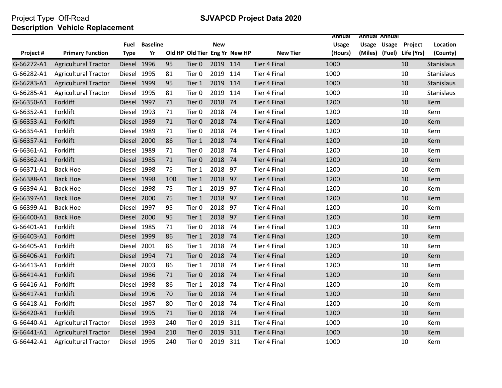|            |                                 |             |                 |     |                   |            |                               |                     | Annual       | <b>Annual Annual</b> |                           |            |
|------------|---------------------------------|-------------|-----------------|-----|-------------------|------------|-------------------------------|---------------------|--------------|----------------------|---------------------------|------------|
|            |                                 | Fuel        | <b>Baseline</b> |     |                   | <b>New</b> |                               |                     | <b>Usage</b> |                      | Usage Usage Project       | Location   |
| Project #  | <b>Primary Function</b>         | <b>Type</b> | Yr              |     |                   |            | Old HP Old Tier Eng Yr New HP | <b>New Tier</b>     | (Hours)      |                      | (Miles) (Fuel) Life (Yrs) | (County)   |
| G-66272-A1 | <b>Agricultural Tractor</b>     | Diesel 1996 |                 | 95  | Tier 0            | 2019 114   |                               | Tier 4 Final        | 1000         |                      | 10                        | Stanislaus |
| G-66282-A1 | <b>Agricultural Tractor</b>     | Diesel 1995 |                 | 81  | Tier <sub>0</sub> | 2019       | 114                           | Tier 4 Final        | 1000         |                      | 10                        | Stanislaus |
| G-66283-A1 | <b>Agricultural Tractor</b>     | Diesel 1999 |                 | 95  | Tier 1            | 2019 114   |                               | Tier 4 Final        | 1000         |                      | 10                        | Stanislaus |
| G-66285-A1 | <b>Agricultural Tractor</b>     | Diesel 1995 |                 | 81  | Tier 0            | 2019 114   |                               | Tier 4 Final        | 1000         |                      | 10                        | Stanislaus |
| G-66350-A1 | Forklift                        | Diesel 1997 |                 | 71  | Tier <sub>0</sub> | 2018 74    |                               | Tier 4 Final        | 1200         |                      | 10                        | Kern       |
| G-66352-A1 | Forklift                        | Diesel 1993 |                 | 71  | Tier 0            | 2018 74    |                               | Tier 4 Final        | 1200         |                      | 10                        | Kern       |
| G-66353-A1 | Forklift                        | Diesel 1989 |                 | 71  | Tier 0            | 2018 74    |                               | <b>Tier 4 Final</b> | 1200         |                      | 10                        | Kern       |
| G-66354-A1 | Forklift                        | Diesel 1989 |                 | 71  | Tier <sub>0</sub> | 2018 74    |                               | Tier 4 Final        | 1200         |                      | 10                        | Kern       |
| G-66357-A1 | Forklift                        | Diesel 2000 |                 | 86  | Tier 1            | 2018 74    |                               | Tier 4 Final        | 1200         |                      | 10                        | Kern       |
| G-66361-A1 | Forklift                        | Diesel 1989 |                 | 71  | Tier 0            | 2018 74    |                               | Tier 4 Final        | 1200         |                      | 10                        | Kern       |
| G-66362-A1 | Forklift                        | Diesel 1985 |                 | 71  | Tier <sub>0</sub> | 2018 74    |                               | Tier 4 Final        | 1200         |                      | 10                        | Kern       |
| G-66371-A1 | <b>Back Hoe</b>                 | Diesel 1998 |                 | 75  | Tier 1            | 2018 97    |                               | Tier 4 Final        | 1200         |                      | 10                        | Kern       |
| G-66388-A1 | <b>Back Hoe</b>                 | Diesel 1998 |                 | 100 | Tier 1            | 2018 97    |                               | Tier 4 Final        | 1200         |                      | 10                        | Kern       |
| G-66394-A1 | <b>Back Hoe</b>                 | Diesel 1998 |                 | 75  | Tier 1            | 2019 97    |                               | Tier 4 Final        | 1200         |                      | 10                        | Kern       |
| G-66397-A1 | <b>Back Hoe</b>                 | Diesel 2000 |                 | 75  | Tier 1            | 2018 97    |                               | Tier 4 Final        | 1200         |                      | 10                        | Kern       |
| G-66399-A1 | <b>Back Hoe</b>                 | Diesel 1997 |                 | 95  | Tier 0            | 2018 97    |                               | Tier 4 Final        | 1200         |                      | 10                        | Kern       |
| G-66400-A1 | <b>Back Hoe</b>                 | Diesel 2000 |                 | 95  | Tier 1            | 2018 97    |                               | Tier 4 Final        | 1200         |                      | 10                        | Kern       |
| G-66401-A1 | Forklift                        | Diesel 1985 |                 | 71  | Tier <sub>0</sub> | 2018 74    |                               | Tier 4 Final        | 1200         |                      | 10                        | Kern       |
| G-66403-A1 | Forklift                        | Diesel 1999 |                 | 86  | Tier 1            | 2018 74    |                               | <b>Tier 4 Final</b> | 1200         |                      | 10                        | Kern       |
| G-66405-A1 | Forklift                        | Diesel 2001 |                 | 86  | Tier 1            | 2018 74    |                               | Tier 4 Final        | 1200         |                      | 10                        | Kern       |
| G-66406-A1 | Forklift                        | Diesel 1994 |                 | 71  | Tier 0            | 2018 74    |                               | Tier 4 Final        | 1200         |                      | 10                        | Kern       |
| G-66413-A1 | Forklift                        | Diesel      | 2003            | 86  | Tier 1            | 2018 74    |                               | Tier 4 Final        | 1200         |                      | 10                        | Kern       |
| G-66414-A1 | Forklift                        | Diesel 1986 |                 | 71  | Tier <sub>0</sub> | 2018 74    |                               | Tier 4 Final        | 1200         |                      | 10                        | Kern       |
| G-66416-A1 | Forklift                        | Diesel 1998 |                 | 86  | Tier 1            | 2018 74    |                               | Tier 4 Final        | 1200         |                      | 10                        | Kern       |
| G-66417-A1 | Forklift                        | Diesel 1996 |                 | 70  | Tier <sub>0</sub> | 2018 74    |                               | Tier 4 Final        | 1200         |                      | 10                        | Kern       |
| G-66418-A1 | Forklift                        | Diesel 1987 |                 | 80  | Tier <sub>0</sub> | 2018 74    |                               | Tier 4 Final        | 1200         |                      | 10                        | Kern       |
| G-66420-A1 | Forklift                        | Diesel 1995 |                 | 71  | Tier <sub>0</sub> | 2018 74    |                               | Tier 4 Final        | 1200         |                      | 10                        | Kern       |
| G-66440-A1 | <b>Agricultural Tractor</b>     | Diesel 1993 |                 | 240 | Tier <sub>0</sub> | 2019 311   |                               | Tier 4 Final        | 1000         |                      | 10                        | Kern       |
|            | G-66441-A1 Agricultural Tractor | Diesel 1994 |                 | 210 | Tier <sub>0</sub> | 2019       | 311                           | Tier 4 Final        | 1000         |                      | 10                        | Kern       |
| G-66442-A1 | <b>Agricultural Tractor</b>     | Diesel 1995 |                 | 240 | Tier 0            | 2019 311   |                               | Tier 4 Final        | 1000         |                      | 10                        | Kern       |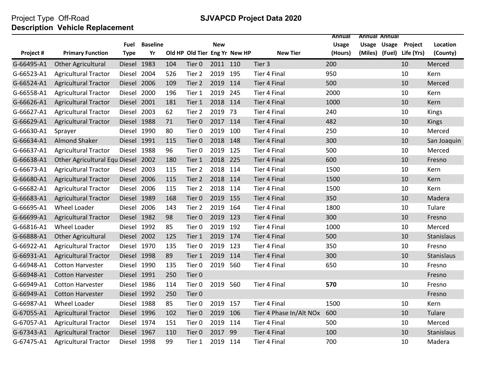|            |                                    |             |                 |     |                   |            |                               |                         | Annual       | <b>Annual Annual</b> |                           |              |
|------------|------------------------------------|-------------|-----------------|-----|-------------------|------------|-------------------------------|-------------------------|--------------|----------------------|---------------------------|--------------|
|            |                                    | <b>Fuel</b> | <b>Baseline</b> |     |                   | <b>New</b> |                               |                         | <b>Usage</b> |                      | Usage Usage Project       | Location     |
| Project #  | <b>Primary Function</b>            | <b>Type</b> | Yr              |     |                   |            | Old HP Old Tier Eng Yr New HP | <b>New Tier</b>         | (Hours)      |                      | (Miles) (Fuel) Life (Yrs) | (County)     |
| G-66495-A1 | <b>Other Agricultural</b>          | Diesel 1983 |                 | 104 | Tier <sub>0</sub> | 2011 110   |                               | Tier 3                  | 200          |                      | 10                        | Merced       |
| G-66523-A1 | <b>Agricultural Tractor</b>        | Diesel      | 2004            | 526 | Tier 2            | 2019       | 195                           | Tier 4 Final            | 950          |                      | 10                        | Kern         |
| G-66524-A1 | <b>Agricultural Tractor</b>        | Diesel 2006 |                 | 109 | Tier 2            | 2019 114   |                               | Tier 4 Final            | 500          |                      | 10                        | Merced       |
| G-66558-A1 | <b>Agricultural Tractor</b>        | Diesel      | 2000            | 196 | Tier 1            | 2019 245   |                               | Tier 4 Final            | 2000         |                      | 10                        | Kern         |
| G-66626-A1 | <b>Agricultural Tractor</b>        | Diesel      | 2001            | 181 | Tier 1            | 2018 114   |                               | <b>Tier 4 Final</b>     | 1000         |                      | 10                        | Kern         |
| G-66627-A1 | <b>Agricultural Tractor</b>        | Diesel 2003 |                 | 62  | Tier 2            | 2019 73    |                               | Tier 4 Final            | 240          |                      | 10                        | Kings        |
| G-66629-A1 | <b>Agricultural Tractor</b>        | Diesel 1988 |                 | 71  | Tier 0            | 2017 114   |                               | Tier 4 Final            | 482          |                      | 10                        | <b>Kings</b> |
| G-66630-A1 | Sprayer                            | Diesel 1990 |                 | 80  | Tier <sub>0</sub> | 2019 100   |                               | Tier 4 Final            | 250          |                      | 10                        | Merced       |
| G-66634-A1 | <b>Almond Shaker</b>               | Diesel 1991 |                 | 115 | Tier <sub>0</sub> | 2018 148   |                               | <b>Tier 4 Final</b>     | 300          |                      | 10                        | San Joaquin  |
| G-66637-A1 | <b>Agricultural Tractor</b>        | Diesel 1988 |                 | 96  | Tier 0            | 2019 125   |                               | Tier 4 Final            | 500          |                      | 10                        | Merced       |
| G-66638-A1 | Other Agricultural Equ Diesel 2002 |             |                 | 180 | Tier 1            | 2018 225   |                               | Tier 4 Final            | 600          |                      | 10                        | Fresno       |
| G-66673-A1 | <b>Agricultural Tractor</b>        | Diesel      | 2003            | 115 | Tier 2            | 2018       | 114                           | Tier 4 Final            | 1500         |                      | 10                        | Kern         |
| G-66680-A1 | <b>Agricultural Tractor</b>        | Diesel 2006 |                 | 115 | Tier 2            | 2018 114   |                               | Tier 4 Final            | 1500         |                      | 10                        | Kern         |
| G-66682-A1 | <b>Agricultural Tractor</b>        | Diesel 2006 |                 | 115 | Tier 2            | 2018 114   |                               | Tier 4 Final            | 1500         |                      | 10                        | Kern         |
| G-66683-A1 | <b>Agricultural Tractor</b>        | Diesel 1989 |                 | 168 | Tier <sub>0</sub> | 2019 155   |                               | Tier 4 Final            | 350          |                      | 10                        | Madera       |
| G-66695-A1 | Wheel Loader                       | Diesel 2006 |                 | 143 | Tier 2            | 2019       | 164                           | Tier 4 Final            | 1800         |                      | 10                        | Tulare       |
| G-66699-A1 | <b>Agricultural Tractor</b>        | Diesel 1982 |                 | 98  | Tier <sub>0</sub> | 2019       | 123                           | Tier 4 Final            | 300          |                      | 10                        | Fresno       |
| G-66816-A1 | Wheel Loader                       | Diesel 1992 |                 | 85  | Tier <sub>0</sub> | 2019 192   |                               | Tier 4 Final            | 1000         |                      | 10                        | Merced       |
| G-66888-A1 | Other Agricultural                 | Diesel 2002 |                 | 125 | Tier 1            | 2019       | 174                           | <b>Tier 4 Final</b>     | 500          |                      | 10                        | Stanislaus   |
| G-66922-A1 | <b>Agricultural Tractor</b>        | Diesel 1970 |                 | 135 | Tier <sub>0</sub> | 2019 123   |                               | Tier 4 Final            | 350          |                      | 10                        | Fresno       |
| G-66931-A1 | <b>Agricultural Tractor</b>        | Diesel 1998 |                 | 89  | Tier 1            | 2019 114   |                               | <b>Tier 4 Final</b>     | 300          |                      | 10                        | Stanislaus   |
| G-66948-A1 | <b>Cotton Harvester</b>            | Diesel 1990 |                 | 135 | Tier <sub>0</sub> | 2019 560   |                               | Tier 4 Final            | 650          |                      | 10                        | Fresno       |
| G-66948-A1 | <b>Cotton Harvester</b>            | Diesel 1991 |                 | 250 | Tier <sub>0</sub> |            |                               |                         |              |                      |                           | Fresno       |
| G-66949-A1 | <b>Cotton Harvester</b>            | Diesel 1986 |                 | 114 | Tier <sub>0</sub> | 2019 560   |                               | <b>Tier 4 Final</b>     | 570          |                      | 10                        | Fresno       |
| G-66949-A1 | <b>Cotton Harvester</b>            | Diesel 1992 |                 | 250 | Tier <sub>0</sub> |            |                               |                         |              |                      |                           | Fresno       |
| G-66987-A1 | Wheel Loader                       | Diesel 1988 |                 | 85  | Tier 0            | 2019       | 157                           | <b>Tier 4 Final</b>     | 1500         |                      | 10                        | Kern         |
| G-67055-A1 | <b>Agricultural Tractor</b>        | Diesel 1996 |                 | 102 | Tier <sub>0</sub> | 2019 106   |                               | Tier 4 Phase In/Alt NOx | 600          |                      | 10                        | Tulare       |
| G-67057-A1 | <b>Agricultural Tractor</b>        | Diesel 1974 |                 | 151 | Tier 0            | 2019       | 114                           | Tier 4 Final            | 500          |                      | 10                        | Merced       |
| G-67343-A1 | <b>Agricultural Tractor</b>        | Diesel 1967 |                 | 110 | Tier <sub>0</sub> | 2017       | 99                            | Tier 4 Final            | 100          |                      | 10                        | Stanislaus   |
| G-67475-A1 | <b>Agricultural Tractor</b>        | Diesel 1998 |                 | 99  | Tier 1            | 2019 114   |                               | Tier 4 Final            | 700          |                      | 10                        | Madera       |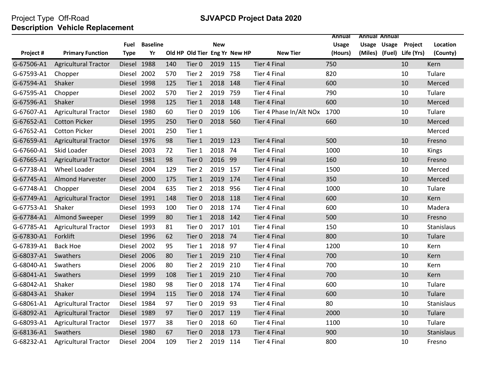|            |                             |             |                 |     |                   |            |                               |                         | Annual       | <b>Annual Annual</b> |                           |                   |
|------------|-----------------------------|-------------|-----------------|-----|-------------------|------------|-------------------------------|-------------------------|--------------|----------------------|---------------------------|-------------------|
|            |                             | <b>Fuel</b> | <b>Baseline</b> |     |                   | <b>New</b> |                               |                         | <b>Usage</b> |                      | Usage Usage Project       | Location          |
| Project #  | <b>Primary Function</b>     | <b>Type</b> | Yr              |     |                   |            | Old HP Old Tier Eng Yr New HP | <b>New Tier</b>         | (Hours)      |                      | (Miles) (Fuel) Life (Yrs) | (County)          |
| G-67506-A1 | <b>Agricultural Tractor</b> | Diesel 1988 |                 | 140 | Tier 0            | 2019 115   |                               | Tier 4 Final            | 750          |                      | 10                        | Kern              |
| G-67593-A1 | Chopper                     | Diesel      | 2002            | 570 | Tier 2            | 2019       | 758                           | Tier 4 Final            | 820          |                      | 10                        | Tulare            |
| G-67594-A1 | Shaker                      | Diesel 1998 |                 | 125 | Tier 1            | 2018 148   |                               | Tier 4 Final            | 600          |                      | 10                        | Merced            |
| G-67595-A1 | Chopper                     | Diesel 2002 |                 | 570 | Tier 2            | 2019 759   |                               | Tier 4 Final            | 790          |                      | 10                        | Tulare            |
| G-67596-A1 | Shaker                      | Diesel 1998 |                 | 125 | Tier 1            | 2018       | 148                           | <b>Tier 4 Final</b>     | 600          |                      | 10                        | Merced            |
| G-67607-A1 | <b>Agricultural Tractor</b> | Diesel 1980 |                 | 60  | Tier 0            | 2019       | 106                           | Tier 4 Phase In/Alt NOx | 1700         |                      | 10                        | Tulare            |
| G-67652-A1 | <b>Cotton Picker</b>        | Diesel 1995 |                 | 250 | Tier 0            | 2018 560   |                               | <b>Tier 4 Final</b>     | 660          |                      | 10                        | Merced            |
| G-67652-A1 | <b>Cotton Picker</b>        | Diesel 2001 |                 | 250 | Tier 1            |            |                               |                         |              |                      |                           | Merced            |
| G-67659-A1 | <b>Agricultural Tractor</b> | Diesel 1976 |                 | 98  | Tier 1            | 2019       | 123                           | <b>Tier 4 Final</b>     | 500          |                      | 10                        | Fresno            |
| G-67660-A1 | Skid Loader                 | Diesel 2003 |                 | 72  | Tier 1            | 2018 74    |                               | Tier 4 Final            | 1000         |                      | 10                        | Kings             |
| G-67665-A1 | <b>Agricultural Tractor</b> | Diesel 1981 |                 | 98  | Tier 0            | 2016 99    |                               | <b>Tier 4 Final</b>     | 160          |                      | 10                        | Fresno            |
| G-67738-A1 | Wheel Loader                | Diesel      | 2004            | 129 | Tier 2            | 2019       | 157                           | Tier 4 Final            | 1500         |                      | 10                        | Merced            |
| G-67745-A1 | <b>Almond Harvester</b>     | Diesel 2000 |                 | 175 | Tier 1            | 2019 174   |                               | Tier 4 Final            | 350          |                      | 10                        | Merced            |
| G-67748-A1 | Chopper                     | Diesel 2004 |                 | 635 | Tier 2            | 2018 956   |                               | Tier 4 Final            | 1000         |                      | 10                        | Tulare            |
| G-67749-A1 | <b>Agricultural Tractor</b> | Diesel 1991 |                 | 148 | Tier <sub>0</sub> | 2018 118   |                               | Tier 4 Final            | 600          |                      | 10                        | Kern              |
| G-67753-A1 | Shaker                      | Diesel 1993 |                 | 100 | Tier 0            | 2018       | 174                           | Tier 4 Final            | 600          |                      | 10                        | Madera            |
| G-67784-A1 | <b>Almond Sweeper</b>       | Diesel 1999 |                 | 80  | Tier 1            | 2018 142   |                               | Tier 4 Final            | 500          |                      | 10                        | Fresno            |
| G-67785-A1 | <b>Agricultural Tractor</b> | Diesel 1993 |                 | 81  | Tier <sub>0</sub> | 2017 101   |                               | Tier 4 Final            | 150          |                      | 10                        | Stanislaus        |
| G-67830-A1 | Forklift                    | Diesel 1996 |                 | 62  | Tier <sub>0</sub> | 2018 74    |                               | <b>Tier 4 Final</b>     | 800          |                      | 10                        | Tulare            |
| G-67839-A1 | <b>Back Hoe</b>             | Diesel 2002 |                 | 95  | Tier 1            | 2018 97    |                               | Tier 4 Final            | 1200         |                      | 10                        | Kern              |
| G-68037-A1 | Swathers                    | Diesel 2006 |                 | 80  | Tier 1            | 2019 210   |                               | <b>Tier 4 Final</b>     | 700          |                      | 10                        | Kern              |
| G-68040-A1 | Swathers                    | Diesel 2006 |                 | 80  | Tier 2            | 2019       | 210                           | Tier 4 Final            | 700          |                      | 10                        | Kern              |
| G-68041-A1 | Swathers                    | Diesel 1999 |                 | 108 | Tier 1            | 2019       | 210                           | <b>Tier 4 Final</b>     | 700          |                      | 10                        | Kern              |
| G-68042-A1 | Shaker                      | Diesel 1980 |                 | 98  | Tier 0            | 2018       | 174                           | Tier 4 Final            | 600          |                      | 10                        | Tulare            |
| G-68043-A1 | Shaker                      | Diesel 1994 |                 | 115 | Tier <sub>0</sub> | 2018 174   |                               | Tier 4 Final            | 600          |                      | 10                        | Tulare            |
| G-68061-A1 | <b>Agricultural Tractor</b> | Diesel 1984 |                 | 97  | Tier 0            | 2019       | 93                            | Tier 4 Final            | 80           |                      | 10                        | <b>Stanislaus</b> |
| G-68092-A1 | <b>Agricultural Tractor</b> | Diesel 1989 |                 | 97  | Tier <sub>0</sub> | 2017 119   |                               | Tier 4 Final            | 2000         |                      | 10                        | Tulare            |
| G-68093-A1 | <b>Agricultural Tractor</b> | Diesel 1977 |                 | 38  | Tier 0            | 2018 60    |                               | Tier 4 Final            | 1100         |                      | 10                        | Tulare            |
| G-68136-A1 | Swathers                    | Diesel 1980 |                 | 67  | Tier <sub>0</sub> | 2018 173   |                               | <b>Tier 4 Final</b>     | 900          |                      | 10                        | Stanislaus        |
| G-68232-A1 | <b>Agricultural Tractor</b> | Diesel 2004 |                 | 109 | Tier 2            | 2019 114   |                               | Tier 4 Final            | 800          |                      | 10                        | Fresno            |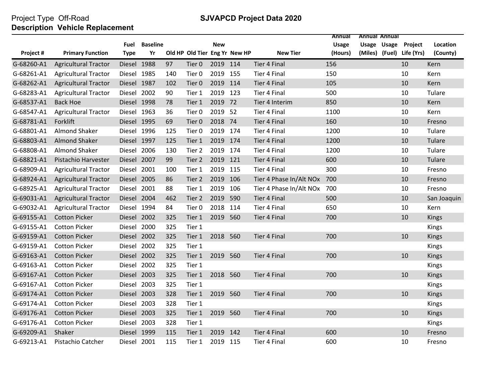|            |                             |             |                 |     |                   |            |                               |                         | Annual       | <b>Annual Annual</b> |                           |              |
|------------|-----------------------------|-------------|-----------------|-----|-------------------|------------|-------------------------------|-------------------------|--------------|----------------------|---------------------------|--------------|
|            |                             | <b>Fuel</b> | <b>Baseline</b> |     |                   | <b>New</b> |                               |                         | <b>Usage</b> |                      | Usage Usage Project       | Location     |
| Project #  | <b>Primary Function</b>     | <b>Type</b> | Yr              |     |                   |            | Old HP Old Tier Eng Yr New HP | <b>New Tier</b>         | (Hours)      |                      | (Miles) (Fuel) Life (Yrs) | (County)     |
| G-68260-A1 | <b>Agricultural Tractor</b> | Diesel 1988 |                 | 97  | Tier <sub>0</sub> | 2019 114   |                               | <b>Tier 4 Final</b>     | 156          |                      | 10                        | Kern         |
| G-68261-A1 | <b>Agricultural Tractor</b> | Diesel      | 1985            | 140 | Tier <sub>0</sub> | 2019       | 155                           | Tier 4 Final            | 150          |                      | 10                        | Kern         |
| G-68262-A1 | <b>Agricultural Tractor</b> | Diesel 1987 |                 | 102 | Tier 0            | 2019       | 114                           | Tier 4 Final            | 105          |                      | 10                        | Kern         |
| G-68283-A1 | <b>Agricultural Tractor</b> | Diesel 2002 |                 | 90  | Tier 1            | 2019       | 123                           | Tier 4 Final            | 500          |                      | 10                        | Tulare       |
| G-68537-A1 | <b>Back Hoe</b>             | Diesel 1998 |                 | 78  | Tier 1            | 2019 72    |                               | Tier 4 Interim          | 850          |                      | 10                        | Kern         |
| G-68547-A1 | <b>Agricultural Tractor</b> | Diesel 1963 |                 | 36  | Tier 0            | 2019 52    |                               | Tier 4 Final            | 1100         |                      | 10                        | Kern         |
| G-68781-A1 | Forklift                    | Diesel 1995 |                 | 69  | Tier <sub>0</sub> | 2018 74    |                               | Tier 4 Final            | 160          |                      | 10                        | Fresno       |
| G-68801-A1 | Almond Shaker               | Diesel 1996 |                 | 125 | Tier 0            | 2019 174   |                               | Tier 4 Final            | 1200         |                      | 10                        | Tulare       |
| G-68803-A1 | <b>Almond Shaker</b>        | Diesel 1997 |                 | 125 | Tier 1            | 2019       | 174                           | Tier 4 Final            | 1200         |                      | 10                        | Tulare       |
| G-68808-A1 | Almond Shaker               | Diesel 2006 |                 | 130 | Tier 2            | 2019       | 174                           | Tier 4 Final            | 1200         |                      | 10                        | Tulare       |
| G-68821-A1 | Pistachio Harvester         | Diesel 2007 |                 | 99  | Tier 2            | 2019 121   |                               | Tier 4 Final            | 600          |                      | 10                        | Tulare       |
| G-68909-A1 | <b>Agricultural Tractor</b> | Diesel      | 2001            | 100 | Tier 1            | 2019       | 115                           | Tier 4 Final            | 300          |                      | 10                        | Fresno       |
| G-68924-A1 | <b>Agricultural Tractor</b> | Diesel 2005 |                 | 86  | Tier 2            | 2019       | 106                           | Tier 4 Phase In/Alt NOx | 700          |                      | 10                        | Fresno       |
| G-68925-A1 | <b>Agricultural Tractor</b> | Diesel 2001 |                 | 88  | Tier 1            | 2019       | 106                           | Tier 4 Phase In/Alt NOx | 700          |                      | 10                        | Fresno       |
| G-69031-A1 | <b>Agricultural Tractor</b> | Diesel 2004 |                 | 462 | Tier 2            | 2019       | 590                           | Tier 4 Final            | 500          |                      | 10                        | San Joaquin  |
| G-69032-A1 | <b>Agricultural Tractor</b> | Diesel      | 1994            | 84  | Tier 0            | 2018       | 114                           | Tier 4 Final            | 650          |                      | 10                        | Kern         |
| G-69155-A1 | <b>Cotton Picker</b>        | Diesel 2002 |                 | 325 | Tier 1            | 2019 560   |                               | Tier 4 Final            | 700          |                      | 10                        | <b>Kings</b> |
| G-69155-A1 | <b>Cotton Picker</b>        | Diesel 2000 |                 | 325 | Tier 1            |            |                               |                         |              |                      |                           | <b>Kings</b> |
| G-69159-A1 | <b>Cotton Picker</b>        | Diesel 2002 |                 | 325 | Tier 1            | 2018 560   |                               | <b>Tier 4 Final</b>     | 700          |                      | 10                        | <b>Kings</b> |
| G-69159-A1 | <b>Cotton Picker</b>        | Diesel 2002 |                 | 325 | Tier 1            |            |                               |                         |              |                      |                           | Kings        |
| G-69163-A1 | <b>Cotton Picker</b>        | Diesel 2002 |                 | 325 | Tier 1            | 2019 560   |                               | Tier 4 Final            | 700          |                      | 10                        | Kings        |
| G-69163-A1 | <b>Cotton Picker</b>        | Diesel 2002 |                 | 325 | Tier 1            |            |                               |                         |              |                      |                           | <b>Kings</b> |
| G-69167-A1 | <b>Cotton Picker</b>        | Diesel 2003 |                 | 325 | Tier 1            | 2018 560   |                               | <b>Tier 4 Final</b>     | 700          |                      | 10                        | <b>Kings</b> |
| G-69167-A1 | <b>Cotton Picker</b>        | Diesel 2003 |                 | 325 | Tier 1            |            |                               |                         |              |                      |                           | Kings        |
| G-69174-A1 | <b>Cotton Picker</b>        | Diesel 2003 |                 | 328 | Tier 1            | 2019 560   |                               | Tier 4 Final            | 700          |                      | 10                        | Kings        |
| G-69174-A1 | <b>Cotton Picker</b>        | Diesel      | 2003            | 328 | Tier 1            |            |                               |                         |              |                      |                           | <b>Kings</b> |
| G-69176-A1 | <b>Cotton Picker</b>        | Diesel 2003 |                 | 325 | Tier 1            | 2019 560   |                               | Tier 4 Final            | 700          |                      | 10                        | <b>Kings</b> |
| G-69176-A1 | <b>Cotton Picker</b>        | Diesel 2003 |                 | 328 | Tier 1            |            |                               |                         |              |                      |                           | Kings        |
| G-69209-A1 | Shaker                      | Diesel 1999 |                 | 115 | Tier 1            | 2019 142   |                               | <b>Tier 4 Final</b>     | 600          |                      | 10                        | Fresno       |
| G-69213-A1 | Pistachio Catcher           | Diesel 2001 |                 | 115 | Tier 1            | 2019       | 115                           | Tier 4 Final            | 600          |                      | 10                        | Fresno       |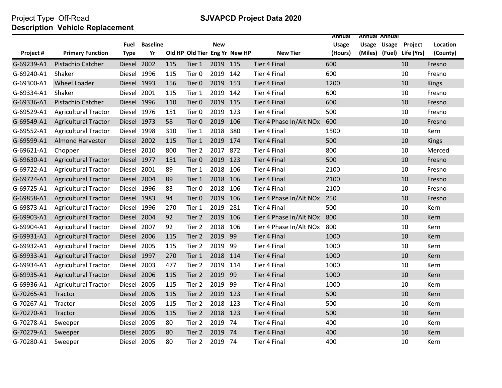|            |                             |             |                 |     |                   |            |                               |                         | Annual       | <b>Annual Annual</b> |                           |              |
|------------|-----------------------------|-------------|-----------------|-----|-------------------|------------|-------------------------------|-------------------------|--------------|----------------------|---------------------------|--------------|
|            |                             | Fuel        | <b>Baseline</b> |     |                   | <b>New</b> |                               |                         | <b>Usage</b> |                      | Usage Usage Project       | Location     |
| Project #  | <b>Primary Function</b>     | <b>Type</b> | Yr              |     |                   |            | Old HP Old Tier Eng Yr New HP | <b>New Tier</b>         | (Hours)      |                      | (Miles) (Fuel) Life (Yrs) | (County)     |
| G-69239-A1 | Pistachio Catcher           | Diesel 2002 |                 | 115 | Tier 1            | 2019 115   |                               | Tier 4 Final            | 600          |                      | 10                        | Fresno       |
| G-69240-A1 | Shaker                      | Diesel 1996 |                 | 115 | Tier <sub>0</sub> | 2019       | 142                           | Tier 4 Final            | 600          |                      | 10                        | Fresno       |
| G-69300-A1 | <b>Wheel Loader</b>         | Diesel 1993 |                 | 156 | Tier <sub>0</sub> | 2019       | 153                           | Tier 4 Final            | 1200         |                      | 10                        | <b>Kings</b> |
| G-69334-A1 | Shaker                      | Diesel 2001 |                 | 115 | Tier 1            | 2019       | 142                           | Tier 4 Final            | 600          |                      | 10                        | Fresno       |
| G-69336-A1 | Pistachio Catcher           | Diesel 1996 |                 | 110 | Tier <sub>0</sub> | 2019       | 115                           | Tier 4 Final            | 600          |                      | 10                        | Fresno       |
| G-69529-A1 | <b>Agricultural Tractor</b> | Diesel 1976 |                 | 151 | Tier 0            | 2019       | 123                           | Tier 4 Final            | 500          |                      | 10                        | Fresno       |
| G-69549-A1 | <b>Agricultural Tractor</b> | Diesel 1973 |                 | 58  | Tier <sub>0</sub> | 2019 106   |                               | Tier 4 Phase In/Alt NOx | 600          |                      | 10                        | Fresno       |
| G-69552-A1 | <b>Agricultural Tractor</b> | Diesel 1998 |                 | 310 | Tier 1            | 2018       | 380                           | Tier 4 Final            | 1500         |                      | 10                        | Kern         |
| G-69599-A1 | <b>Almond Harvester</b>     | Diesel 2002 |                 | 115 | Tier 1            | 2019       | 174                           | <b>Tier 4 Final</b>     | 500          |                      | 10                        | <b>Kings</b> |
| G-69621-A1 | Chopper                     | Diesel 2010 |                 | 800 | Tier 2            | 2017 872   |                               | Tier 4 Final            | 800          |                      | 10                        | Merced       |
| G-69630-A1 | <b>Agricultural Tractor</b> | Diesel 1977 |                 | 151 | Tier <sub>0</sub> | 2019 123   |                               | Tier 4 Final            | 500          |                      | 10                        | Fresno       |
| G-69722-A1 | <b>Agricultural Tractor</b> | Diesel      | 2001            | 89  | Tier 1            | 2018       | 106                           | Tier 4 Final            | 2100         |                      | 10                        | Fresno       |
| G-69724-A1 | <b>Agricultural Tractor</b> | Diesel 2004 |                 | 89  | Tier 1            | 2018 106   |                               | Tier 4 Final            | 2100         |                      | 10                        | Fresno       |
| G-69725-A1 | <b>Agricultural Tractor</b> | Diesel 1996 |                 | 83  | Tier 0            | 2018       | 106                           | <b>Tier 4 Final</b>     | 2100         |                      | 10                        | Fresno       |
| G-69858-A1 | <b>Agricultural Tractor</b> | Diesel 1983 |                 | 94  | Tier 0            | 2019       | 106                           | Tier 4 Phase In/Alt NOx | 250          |                      | 10                        | Fresno       |
| G-69873-A1 | <b>Agricultural Tractor</b> | Diesel 1996 |                 | 270 | Tier 1            | 2019       | 281                           | Tier 4 Final            | 500          |                      | 10                        | Kern         |
| G-69903-A1 | <b>Agricultural Tractor</b> | Diesel 2004 |                 | 92  | Tier 2            | 2019       | 106                           | Tier 4 Phase In/Alt NOx | 800          |                      | 10                        | Kern         |
| G-69904-A1 | <b>Agricultural Tractor</b> | Diesel 2007 |                 | 92  | Tier 2            | 2018 106   |                               | Tier 4 Phase In/Alt NOx | 800          |                      | 10                        | Kern         |
| G-69931-A1 | <b>Agricultural Tractor</b> | Diesel 2006 |                 | 115 | Tier 2            | 2019 99    |                               | Tier 4 Final            | 1000         |                      | 10                        | Kern         |
| G-69932-A1 | <b>Agricultural Tractor</b> | Diesel 2005 |                 | 115 | Tier 2            | 2019 99    |                               | Tier 4 Final            | 1000         |                      | 10                        | Kern         |
| G-69933-A1 | <b>Agricultural Tractor</b> | Diesel 1997 |                 | 270 | Tier 1            | 2018 114   |                               | Tier 4 Final            | 1000         |                      | 10                        | Kern         |
| G-69934-A1 | <b>Agricultural Tractor</b> | Diesel 2003 |                 | 477 | Tier 2            | 2019 114   |                               | Tier 4 Final            | 1000         |                      | 10                        | Kern         |
| G-69935-A1 | <b>Agricultural Tractor</b> | Diesel 2006 |                 | 115 | Tier 2            | 2019 99    |                               | Tier 4 Final            | 1000         |                      | 10                        | Kern         |
| G-69936-A1 | <b>Agricultural Tractor</b> | Diesel 2005 |                 | 115 | Tier 2            | 2019 99    |                               | Tier 4 Final            | 1000         |                      | 10                        | Kern         |
| G-70265-A1 | Tractor                     | Diesel 2005 |                 | 115 | Tier 2            | 2019 123   |                               | Tier 4 Final            | 500          |                      | 10                        | Kern         |
| G-70267-A1 | Tractor                     | Diesel 2005 |                 | 115 | Tier 2            | 2018       | 123                           | Tier 4 Final            | 500          |                      | 10                        | Kern         |
| G-70270-A1 | Tractor                     | Diesel 2005 |                 | 115 | Tier 2            | 2018 123   |                               | Tier 4 Final            | 500          |                      | 10                        | Kern         |
| G-70278-A1 | Sweeper                     | Diesel 2005 |                 | 80  | Tier 2            | 2019 74    |                               | Tier 4 Final            | 400          |                      | 10                        | Kern         |
| G-70279-A1 | Sweeper                     | Diesel      | 2005            | 80  | Tier 2            | 2019 74    |                               | Tier 4 Final            | 400          |                      | 10                        | Kern         |
| G-70280-A1 | Sweeper                     | Diesel 2005 |                 | 80  | Tier 2            | 2019 74    |                               | <b>Tier 4 Final</b>     | 400          |                      | 10                        | Kern         |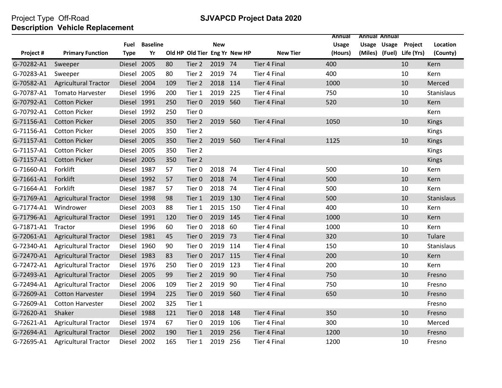|            |                             |             |                 |     |                               |            |     |                     | Annual       | <b>Annual Annual</b> |                           |              |
|------------|-----------------------------|-------------|-----------------|-----|-------------------------------|------------|-----|---------------------|--------------|----------------------|---------------------------|--------------|
|            |                             | Fuel        | <b>Baseline</b> |     |                               | <b>New</b> |     |                     | <b>Usage</b> |                      | Usage Usage Project       | Location     |
| Project #  | <b>Primary Function</b>     | <b>Type</b> | Yr              |     | Old HP Old Tier Eng Yr New HP |            |     | <b>New Tier</b>     | (Hours)      |                      | (Miles) (Fuel) Life (Yrs) | (County)     |
| G-70282-A1 | Sweeper                     | Diesel 2005 |                 | 80  | Tier 2                        | 2019 74    |     | Tier 4 Final        | 400          |                      | 10                        | Kern         |
| G-70283-A1 | Sweeper                     | Diesel 2005 |                 | 80  | Tier 2                        | 2019 74    |     | Tier 4 Final        | 400          |                      | 10                        | Kern         |
| G-70582-A1 | <b>Agricultural Tractor</b> | Diesel 2004 |                 | 109 | Tier 2                        | 2018 114   |     | Tier 4 Final        | 1000         |                      | 10                        | Merced       |
| G-70787-A1 | <b>Tomato Harvester</b>     | Diesel 1996 |                 | 200 | Tier 1                        | 2019 225   |     | Tier 4 Final        | 750          |                      | 10                        | Stanislaus   |
| G-70792-A1 | <b>Cotton Picker</b>        | Diesel 1991 |                 | 250 | Tier 0                        | 2019 560   |     | Tier 4 Final        | 520          |                      | 10                        | Kern         |
| G-70792-A1 | <b>Cotton Picker</b>        | Diesel 1992 |                 | 250 | Tier 0                        |            |     |                     |              |                      |                           | Kern         |
| G-71156-A1 | <b>Cotton Picker</b>        | Diesel 2005 |                 | 350 | Tier 2                        | 2019 560   |     | Tier 4 Final        | 1050         |                      | 10                        | Kings        |
| G-71156-A1 | <b>Cotton Picker</b>        | Diesel      | 2005            | 350 | Tier <sub>2</sub>             |            |     |                     |              |                      |                           | Kings        |
| G-71157-A1 | <b>Cotton Picker</b>        | Diesel 2005 |                 | 350 | Tier 2                        | 2019 560   |     | Tier 4 Final        | 1125         |                      | 10                        | <b>Kings</b> |
| G-71157-A1 | <b>Cotton Picker</b>        | Diesel 2005 |                 | 350 | Tier 2                        |            |     |                     |              |                      |                           | <b>Kings</b> |
| G-71157-A1 | <b>Cotton Picker</b>        | Diesel 2005 |                 | 350 | Tier 2                        |            |     |                     |              |                      |                           | <b>Kings</b> |
| G-71660-A1 | Forklift                    | Diesel 1987 |                 | 57  | Tier 0                        | 2018 74    |     | <b>Tier 4 Final</b> | 500          |                      | 10                        | Kern         |
| G-71661-A1 | Forklift                    | Diesel 1992 |                 | 57  | Tier <sub>0</sub>             | 2018 74    |     | Tier 4 Final        | 500          |                      | 10                        | Kern         |
| G-71664-A1 | Forklift                    | Diesel 1987 |                 | 57  | Tier <sub>0</sub>             | 2018 74    |     | Tier 4 Final        | 500          |                      | 10                        | Kern         |
| G-71769-A1 | <b>Agricultural Tractor</b> | Diesel 1998 |                 | 98  | Tier 1                        | 2019 130   |     | Tier 4 Final        | 500          |                      | 10                        | Stanislaus   |
| G-71774-A1 | Windrower                   | Diesel 2003 |                 | 88  | Tier 1                        | 2015       | 150 | Tier 4 Final        | 400          |                      | 10                        | Kern         |
| G-71796-A1 | <b>Agricultural Tractor</b> | Diesel 1991 |                 | 120 | Tier 0                        | 2019 145   |     | Tier 4 Final        | 1000         |                      | 10                        | Kern         |
| G-71871-A1 | Tractor                     | Diesel 1996 |                 | 60  | Tier 0                        | 2018 60    |     | Tier 4 Final        | 1000         |                      | 10                        | Kern         |
| G-72061-A1 | <b>Agricultural Tractor</b> | Diesel 1981 |                 | 45  | Tier <sub>0</sub>             | 2019 73    |     | Tier 4 Final        | 320          |                      | 10                        | Tulare       |
| G-72340-A1 | <b>Agricultural Tractor</b> | Diesel 1960 |                 | 90  | Tier 0                        | 2019 114   |     | Tier 4 Final        | 150          |                      | 10                        | Stanislaus   |
| G-72470-A1 | <b>Agricultural Tractor</b> | Diesel 1983 |                 | 83  | Tier 0                        | 2017 115   |     | <b>Tier 4 Final</b> | 200          |                      | 10                        | Kern         |
| G-72472-A1 | <b>Agricultural Tractor</b> | Diesel 1976 |                 | 250 | Tier 0                        | 2019 123   |     | Tier 4 Final        | 200          |                      | 10                        | Kern         |
| G-72493-A1 | <b>Agricultural Tractor</b> | Diesel 2005 |                 | 99  | Tier 2                        | 2019       | 90  | Tier 4 Final        | 750          |                      | 10                        | Fresno       |
| G-72494-A1 | <b>Agricultural Tractor</b> | Diesel 2006 |                 | 109 | Tier 2                        | 2019 90    |     | Tier 4 Final        | 750          |                      | 10                        | Fresno       |
| G-72609-A1 | <b>Cotton Harvester</b>     | Diesel 1994 |                 | 225 | Tier 0                        | 2019 560   |     | Tier 4 Final        | 650          |                      | 10                        | Fresno       |
| G-72609-A1 | <b>Cotton Harvester</b>     | Diesel      | 2002            | 325 | Tier 1                        |            |     |                     |              |                      |                           | Fresno       |
| G-72620-A1 | Shaker                      | Diesel 1988 |                 | 121 | Tier <sub>0</sub>             | 2018 148   |     | Tier 4 Final        | 350          |                      | 10                        | Fresno       |
| G-72621-A1 | <b>Agricultural Tractor</b> | Diesel 1974 |                 | 67  | Tier 0                        | 2019       | 106 | Tier 4 Final        | 300          |                      | 10                        | Merced       |
| G-72694-A1 | <b>Agricultural Tractor</b> | Diesel 2002 |                 | 190 | Tier 1                        | 2019       | 256 | Tier 4 Final        | 1200         |                      | 10                        | Fresno       |
| G-72695-A1 | <b>Agricultural Tractor</b> | Diesel 2002 |                 | 165 | Tier 1                        | 2019       | 256 | Tier 4 Final        | 1200         |                      | 10                        | Fresno       |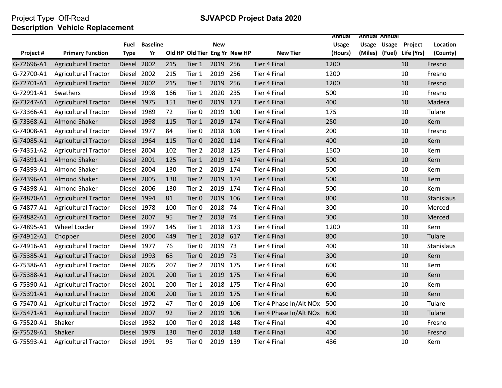|            |                             |             |                 |     |                   |            |                               |                         | Annual       | <b>Annual Annual</b> |                           |                   |
|------------|-----------------------------|-------------|-----------------|-----|-------------------|------------|-------------------------------|-------------------------|--------------|----------------------|---------------------------|-------------------|
|            |                             | Fuel        | <b>Baseline</b> |     |                   | <b>New</b> |                               |                         | <b>Usage</b> |                      | Usage Usage Project       | Location          |
| Project #  | <b>Primary Function</b>     | <b>Type</b> | Yr              |     |                   |            | Old HP Old Tier Eng Yr New HP | <b>New Tier</b>         | (Hours)      |                      | (Miles) (Fuel) Life (Yrs) | (County)          |
| G-72696-A1 | <b>Agricultural Tractor</b> | Diesel 2002 |                 | 215 | Tier 1            | 2019 256   |                               | Tier 4 Final            | 1200         |                      | 10                        | Fresno            |
| G-72700-A1 | <b>Agricultural Tractor</b> | Diesel      | 2002            | 215 | Tier 1            | 2019       | 256                           | Tier 4 Final            | 1200         |                      | 10                        | Fresno            |
| G-72701-A1 | <b>Agricultural Tractor</b> | Diesel 2002 |                 | 215 | Tier 1            | 2019 256   |                               | Tier 4 Final            | 1200         |                      | 10                        | Fresno            |
| G-72991-A1 | Swathers                    | Diesel 1998 |                 | 166 | Tier 1            | 2020 235   |                               | Tier 4 Final            | 500          |                      | 10                        | Fresno            |
| G-73247-A1 | <b>Agricultural Tractor</b> | Diesel 1975 |                 | 151 | Tier <sub>0</sub> | 2019       | 123                           | Tier 4 Final            | 400          |                      | 10                        | Madera            |
| G-73366-A1 | <b>Agricultural Tractor</b> | Diesel 1989 |                 | 72  | Tier 0            | 2019       | 100                           | Tier 4 Final            | 175          |                      | 10                        | Tulare            |
| G-73368-A1 | <b>Almond Shaker</b>        | Diesel 1998 |                 | 115 | Tier 1            | 2019 174   |                               | Tier 4 Final            | 250          |                      | 10                        | Kern              |
| G-74008-A1 | <b>Agricultural Tractor</b> | Diesel 1977 |                 | 84  | Tier <sub>0</sub> | 2018 108   |                               | Tier 4 Final            | 200          |                      | 10                        | Fresno            |
| G-74085-A1 | <b>Agricultural Tractor</b> | Diesel 1964 |                 | 115 | Tier <sub>0</sub> | 2020       | 114                           | Tier 4 Final            | 400          |                      | 10                        | Kern              |
| G-74351-A2 | <b>Agricultural Tractor</b> | Diesel 2004 |                 | 102 | Tier 2            | 2018 125   |                               | Tier 4 Final            | 1500         |                      | 10                        | Kern              |
| G-74391-A1 | <b>Almond Shaker</b>        | Diesel 2001 |                 | 125 | Tier 1            | 2019 174   |                               | Tier 4 Final            | 500          |                      | 10                        | Kern              |
| G-74393-A1 | <b>Almond Shaker</b>        | Diesel      | 2004            | 130 | Tier 2            | 2019       | 174                           | <b>Tier 4 Final</b>     | 500          |                      | 10                        | Kern              |
| G-74396-A1 | <b>Almond Shaker</b>        | Diesel 2005 |                 | 130 | Tier 2            | 2019 174   |                               | Tier 4 Final            | 500          |                      | 10                        | Kern              |
| G-74398-A1 | Almond Shaker               | Diesel 2006 |                 | 130 | Tier 2            | 2019       | 174                           | Tier 4 Final            | 500          |                      | 10                        | Kern              |
| G-74870-A1 | <b>Agricultural Tractor</b> | Diesel 1994 |                 | 81  | Tier <sub>0</sub> | 2019       | 106                           | Tier 4 Final            | 800          |                      | 10                        | <b>Stanislaus</b> |
| G-74877-A1 | <b>Agricultural Tractor</b> | Diesel 1978 |                 | 100 | Tier 0            | 2018 74    |                               | Tier 4 Final            | 300          |                      | 10                        | Merced            |
| G-74882-A1 | <b>Agricultural Tractor</b> | Diesel 2007 |                 | 95  | Tier 2            | 2018 74    |                               | Tier 4 Final            | 300          |                      | 10                        | Merced            |
| G-74895-A1 | Wheel Loader                | Diesel 1997 |                 | 145 | Tier 1            | 2018 173   |                               | Tier 4 Final            | 1200         |                      | 10                        | Kern              |
| G-74912-A1 | Chopper                     | Diesel 2000 |                 | 449 | Tier 1            | 2018       | 617                           | Tier 4 Final            | 800          |                      | 10                        | Tulare            |
| G-74916-A1 | <b>Agricultural Tractor</b> | Diesel 1977 |                 | 76  | Tier 0            | 2019 73    |                               | Tier 4 Final            | 400          |                      | 10                        | Stanislaus        |
| G-75385-A1 | <b>Agricultural Tractor</b> | Diesel 1993 |                 | 68  | Tier <sub>0</sub> | 2019 73    |                               | Tier 4 Final            | 300          |                      | 10                        | Kern              |
| G-75386-A1 | <b>Agricultural Tractor</b> | Diesel 2005 |                 | 207 | Tier 2            | 2019 175   |                               | Tier 4 Final            | 600          |                      | 10                        | Kern              |
| G-75388-A1 | <b>Agricultural Tractor</b> | Diesel 2001 |                 | 200 | Tier 1            | 2019       | 175                           | Tier 4 Final            | 600          |                      | 10                        | Kern              |
| G-75390-A1 | <b>Agricultural Tractor</b> | Diesel 2001 |                 | 200 | Tier 1            | 2018       | 175                           | Tier 4 Final            | 600          |                      | 10                        | Kern              |
| G-75391-A1 | <b>Agricultural Tractor</b> | Diesel 2000 |                 | 200 | Tier 1            | 2019 175   |                               | Tier 4 Final            | 600          |                      | 10                        | Kern              |
| G-75470-A1 | <b>Agricultural Tractor</b> | Diesel      | 1972            | 47  | Tier 0            | 2019       | 106                           | Tier 4 Phase In/Alt NOx | 500          |                      | 10                        | Tulare            |
| G-75471-A1 | <b>Agricultural Tractor</b> | Diesel 2007 |                 | 92  | Tier 2            | 2019       | 106                           | Tier 4 Phase In/Alt NOx | 600          |                      | 10                        | Tulare            |
| G-75520-A1 | Shaker                      | Diesel 1982 |                 | 100 | Tier 0            | 2018       | 148                           | Tier 4 Final            | 400          |                      | 10                        | Fresno            |
| G-75528-A1 | Shaker                      | Diesel 1979 |                 | 130 | Tier <sub>0</sub> | 2018       | 148                           | Tier 4 Final            | 400          |                      | 10                        | Fresno            |
| G-75593-A1 | <b>Agricultural Tractor</b> | Diesel 1991 |                 | 95  | Tier 0            | 2019       | 139                           | <b>Tier 4 Final</b>     | 486          |                      | 10                        | Kern              |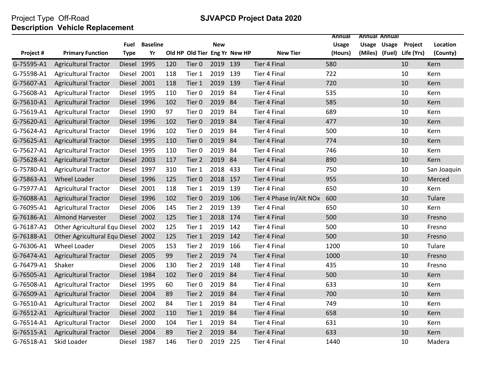|            |                                    |             |                 |     |                   |            |                               |                         | Annual       | <b>Annual Annual</b> |                           |             |
|------------|------------------------------------|-------------|-----------------|-----|-------------------|------------|-------------------------------|-------------------------|--------------|----------------------|---------------------------|-------------|
|            |                                    | Fuel        | <b>Baseline</b> |     |                   | <b>New</b> |                               |                         | <b>Usage</b> |                      | Usage Usage Project       | Location    |
| Project #  | <b>Primary Function</b>            | <b>Type</b> | Yr              |     |                   |            | Old HP Old Tier Eng Yr New HP | <b>New Tier</b>         | (Hours)      |                      | (Miles) (Fuel) Life (Yrs) | (County)    |
| G-75595-A1 | <b>Agricultural Tractor</b>        | Diesel 1995 |                 | 120 | Tier 0            | 2019 139   |                               | Tier 4 Final            | 580          |                      | 10                        | Kern        |
| G-75598-A1 | <b>Agricultural Tractor</b>        | Diesel      | 2001            | 118 | Tier 1            | 2019       | 139                           | Tier 4 Final            | 722          |                      | 10                        | Kern        |
| G-75607-A1 | <b>Agricultural Tractor</b>        | Diesel 2001 |                 | 118 | Tier 1            | 2019       | 139                           | Tier 4 Final            | 720          |                      | 10                        | Kern        |
| G-75608-A1 | <b>Agricultural Tractor</b>        | Diesel 1995 |                 | 110 | Tier 0            | 2019       | 84                            | Tier 4 Final            | 535          |                      | 10                        | Kern        |
| G-75610-A1 | <b>Agricultural Tractor</b>        | Diesel 1996 |                 | 102 | Tier 0            | 2019       | 84                            | Tier 4 Final            | 585          |                      | 10                        | Kern        |
| G-75619-A1 | <b>Agricultural Tractor</b>        | Diesel 1990 |                 | 97  | Tier 0            | 2019 84    |                               | Tier 4 Final            | 689          |                      | 10                        | Kern        |
| G-75620-A1 | <b>Agricultural Tractor</b>        | Diesel 1996 |                 | 102 | Tier 0            | 2019 84    |                               | Tier 4 Final            | 477          |                      | 10                        | Kern        |
| G-75624-A1 | <b>Agricultural Tractor</b>        | Diesel 1996 |                 | 102 | Tier 0            | 2019 84    |                               | Tier 4 Final            | 500          |                      | 10                        | Kern        |
| G-75625-A1 | <b>Agricultural Tractor</b>        | Diesel 1995 |                 | 110 | Tier 0            | 2019       | 84                            | Tier 4 Final            | 774          |                      | 10                        | Kern        |
| G-75627-A1 | <b>Agricultural Tractor</b>        | Diesel 1995 |                 | 110 | Tier 0            | 2019 84    |                               | Tier 4 Final            | 746          |                      | 10                        | Kern        |
| G-75628-A1 | <b>Agricultural Tractor</b>        | Diesel 2003 |                 | 117 | Tier 2            | 2019 84    |                               | Tier 4 Final            | 890          |                      | 10                        | Kern        |
| G-75780-A1 | <b>Agricultural Tractor</b>        | Diesel 1997 |                 | 310 | Tier 1            | 2018       | 433                           | Tier 4 Final            | 750          |                      | 10                        | San Joaquin |
| G-75863-A1 | Wheel Loader                       | Diesel 1996 |                 | 125 | Tier 0            | 2018 157   |                               | Tier 4 Final            | 955          |                      | 10                        | Merced      |
| G-75977-A1 | <b>Agricultural Tractor</b>        | Diesel 2001 |                 | 118 | Tier 1            | 2019       | 139                           | Tier 4 Final            | 650          |                      | 10                        | Kern        |
| G-76088-A1 | <b>Agricultural Tractor</b>        | Diesel 1996 |                 | 102 | Tier 0            | 2019       | 106                           | Tier 4 Phase In/Alt NOx | 600          |                      | 10                        | Tulare      |
| G-76095-A1 | <b>Agricultural Tractor</b>        | Diesel      | 2006            | 145 | Tier 2            | 2019       | 139                           | Tier 4 Final            | 650          |                      | 10                        | Kern        |
| G-76186-A1 | <b>Almond Harvester</b>            | Diesel 2002 |                 | 125 | Tier 1            | 2018 174   |                               | <b>Tier 4 Final</b>     | 500          |                      | 10                        | Fresno      |
| G-76187-A1 | Other Agricultural Equ Diesel 2002 |             |                 | 125 | Tier 1            | 2019 142   |                               | Tier 4 Final            | 500          |                      | 10                        | Fresno      |
| G-76188-A1 | Other Agricultural Equ Diesel 2002 |             |                 | 125 | Tier 1            | 2019       | 142                           | Tier 4 Final            | 500          |                      | 10                        | Fresno      |
| G-76306-A1 | Wheel Loader                       | Diesel 2005 |                 | 153 | Tier 2            | 2019 166   |                               | Tier 4 Final            | 1200         |                      | 10                        | Tulare      |
| G-76474-A1 | <b>Agricultural Tractor</b>        | Diesel 2005 |                 | 99  | Tier 2            | 2019 74    |                               | Tier 4 Final            | 1000         |                      | 10                        | Fresno      |
| G-76479-A1 | Shaker                             | Diesel      | 2006            | 130 | Tier 2            | 2019       | 148                           | Tier 4 Final            | 435          |                      | 10                        | Fresno      |
| G-76505-A1 | <b>Agricultural Tractor</b>        | Diesel 1984 |                 | 102 | Tier 0            | 2019       | 84                            | Tier 4 Final            | 500          |                      | 10                        | Kern        |
| G-76508-A1 | <b>Agricultural Tractor</b>        | Diesel 1995 |                 | 60  | Tier 0            | 2019 84    |                               | Tier 4 Final            | 633          |                      | 10                        | Kern        |
| G-76509-A1 | <b>Agricultural Tractor</b>        | Diesel 2004 |                 | 89  | Tier 2            | 2019 84    |                               | Tier 4 Final            | 700          |                      | 10                        | Kern        |
| G-76510-A1 | <b>Agricultural Tractor</b>        | Diesel      | 2002            | 84  | Tier 1            | 2019       | 84                            | Tier 4 Final            | 749          |                      | 10                        | Kern        |
| G-76512-A1 | <b>Agricultural Tractor</b>        | Diesel 2002 |                 | 110 | Tier 1            | 2019 84    |                               | Tier 4 Final            | 658          |                      | 10                        | Kern        |
| G-76514-A1 | <b>Agricultural Tractor</b>        | Diesel      | 2000            | 104 | Tier 1            | 2019 84    |                               | Tier 4 Final            | 631          |                      | 10                        | Kern        |
| G-76515-A1 | <b>Agricultural Tractor</b>        | Diesel      | 2004            | 89  | Tier 2            | 2019       | 84                            | Tier 4 Final            | 633          |                      | 10                        | Kern        |
| G-76518-A1 | Skid Loader                        | Diesel 1987 |                 | 146 | Tier <sub>0</sub> | 2019 225   |                               | <b>Tier 4 Final</b>     | 1440         |                      | 10                        | Madera      |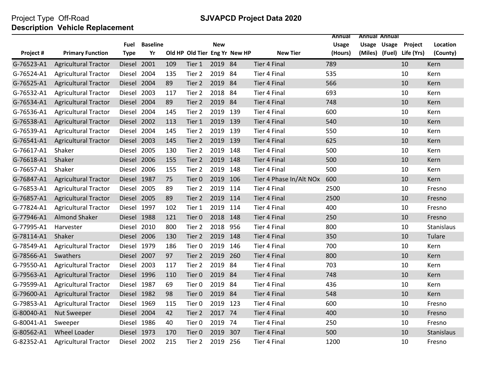|            |                             |             |                 |     |        |            |                               |                         | Annual       | <b>Annual Annual</b> |                           |                   |
|------------|-----------------------------|-------------|-----------------|-----|--------|------------|-------------------------------|-------------------------|--------------|----------------------|---------------------------|-------------------|
|            |                             | <b>Fuel</b> | <b>Baseline</b> |     |        | <b>New</b> |                               |                         | <b>Usage</b> |                      | Usage Usage Project       | Location          |
| Project #  | <b>Primary Function</b>     | <b>Type</b> | Yr              |     |        |            | Old HP Old Tier Eng Yr New HP | <b>New Tier</b>         | (Hours)      |                      | (Miles) (Fuel) Life (Yrs) | (County)          |
| G-76523-A1 | <b>Agricultural Tractor</b> | Diesel 2001 |                 | 109 | Tier 1 | 2019 84    |                               | Tier 4 Final            | 789          |                      | 10                        | Kern              |
| G-76524-A1 | <b>Agricultural Tractor</b> | Diesel      | 2004            | 135 | Tier 2 | 2019       | 84                            | Tier 4 Final            | 535          |                      | 10                        | Kern              |
| G-76525-A1 | <b>Agricultural Tractor</b> | Diesel 2004 |                 | 89  | Tier 2 | 2019 84    |                               | Tier 4 Final            | 566          |                      | 10                        | Kern              |
| G-76532-A1 | <b>Agricultural Tractor</b> | Diesel 2003 |                 | 117 | Tier 2 | 2018 84    |                               | Tier 4 Final            | 693          |                      | 10                        | Kern              |
| G-76534-A1 | <b>Agricultural Tractor</b> | Diesel 2004 |                 | 89  | Tier 2 | 2019       | 84                            | Tier 4 Final            | 748          |                      | 10                        | Kern              |
| G-76536-A1 | <b>Agricultural Tractor</b> | Diesel 2004 |                 | 145 | Tier 2 | 2019       | 139                           | Tier 4 Final            | 600          |                      | 10                        | Kern              |
| G-76538-A1 | <b>Agricultural Tractor</b> | Diesel 2002 |                 | 113 | Tier 1 | 2019 139   |                               | Tier 4 Final            | 540          |                      | 10                        | Kern              |
| G-76539-A1 | <b>Agricultural Tractor</b> | Diesel 2004 |                 | 145 | Tier 2 | 2019 139   |                               | Tier 4 Final            | 550          |                      | 10                        | Kern              |
| G-76541-A1 | <b>Agricultural Tractor</b> | Diesel 2003 |                 | 145 | Tier 2 | 2019       | 139                           | Tier 4 Final            | 625          |                      | 10                        | Kern              |
| G-76617-A1 | Shaker                      | Diesel 2005 |                 | 130 | Tier 2 | 2019       | 148                           | Tier 4 Final            | 500          |                      | 10                        | Kern              |
| G-76618-A1 | Shaker                      | Diesel 2006 |                 | 155 | Tier 2 | 2019 148   |                               | Tier 4 Final            | 500          |                      | 10                        | Kern              |
| G-76657-A1 | Shaker                      | Diesel      | 2006            | 155 | Tier 2 | 2019       | 148                           | Tier 4 Final            | 500          |                      | 10                        | Kern              |
| G-76847-A1 | <b>Agricultural Tractor</b> | Diesel 1987 |                 | 75  | Tier 0 | 2019 106   |                               | Tier 4 Phase In/Alt NOx | 600          |                      | 10                        | Kern              |
| G-76853-A1 | <b>Agricultural Tractor</b> | Diesel 2005 |                 | 89  | Tier 2 | 2019       | 114                           | Tier 4 Final            | 2500         |                      | 10                        | Fresno            |
| G-76857-A1 | <b>Agricultural Tractor</b> | Diesel 2005 |                 | 89  | Tier 2 | 2019       | 114                           | Tier 4 Final            | 2500         |                      | 10                        | Fresno            |
| G-77824-A1 | <b>Agricultural Tractor</b> | Diesel 1997 |                 | 102 | Tier 1 | 2019       | 114                           | Tier 4 Final            | 400          |                      | 10                        | Fresno            |
| G-77946-A1 | <b>Almond Shaker</b>        | Diesel 1988 |                 | 121 | Tier 0 | 2018 148   |                               | Tier 4 Final            | 250          |                      | 10                        | Fresno            |
| G-77995-A1 | Harvester                   | Diesel 2010 |                 | 800 | Tier 2 | 2018 956   |                               | Tier 4 Final            | 800          |                      | 10                        | <b>Stanislaus</b> |
| G-78114-A1 | Shaker                      | Diesel 2006 |                 | 130 | Tier 2 | 2019       | 148                           | <b>Tier 4 Final</b>     | 350          |                      | 10                        | Tulare            |
| G-78549-A1 | <b>Agricultural Tractor</b> | Diesel 1979 |                 | 186 | Tier 0 | 2019       | 146                           | Tier 4 Final            | 700          |                      | 10                        | Kern              |
| G-78566-A1 | Swathers                    | Diesel 2007 |                 | 97  | Tier 2 | 2019 260   |                               | <b>Tier 4 Final</b>     | 800          |                      | 10                        | Kern              |
| G-79550-A1 | <b>Agricultural Tractor</b> | Diesel 2003 |                 | 117 | Tier 2 | 2019 84    |                               | Tier 4 Final            | 703          |                      | 10                        | Kern              |
| G-79563-A1 | <b>Agricultural Tractor</b> | Diesel 1996 |                 | 110 | Tier 0 | 2019 84    |                               | Tier 4 Final            | 748          |                      | 10                        | Kern              |
| G-79599-A1 | <b>Agricultural Tractor</b> | Diesel 1987 |                 | 69  | Tier 0 | 2019 84    |                               | Tier 4 Final            | 436          |                      | 10                        | Kern              |
| G-79600-A1 | <b>Agricultural Tractor</b> | Diesel 1982 |                 | 98  | Tier 0 | 2019 84    |                               | Tier 4 Final            | 548          |                      | 10                        | Kern              |
| G-79853-A1 | <b>Agricultural Tractor</b> | Diesel 1969 |                 | 115 | Tier 0 | 2019       | 123                           | Tier 4 Final            | 600          |                      | 10                        | Fresno            |
| G-80040-A1 | <b>Nut Sweeper</b>          | Diesel 2004 |                 | 42  | Tier 2 | 2017 74    |                               | <b>Tier 4 Final</b>     | 400          |                      | 10                        | Fresno            |
| G-80041-A1 | Sweeper                     | Diesel 1986 |                 | 40  | Tier 0 | 2019 74    |                               | Tier 4 Final            | 250          |                      | 10                        | Fresno            |
| G-80562-A1 | Wheel Loader                | Diesel 1973 |                 | 170 | Tier 0 | 2019       | 307                           | Tier 4 Final            | 500          |                      | 10                        | Stanislaus        |
| G-82352-A1 | <b>Agricultural Tractor</b> | Diesel 2002 |                 | 215 | Tier 2 | 2019 256   |                               | <b>Tier 4 Final</b>     | 1200         |                      | 10                        | Fresno            |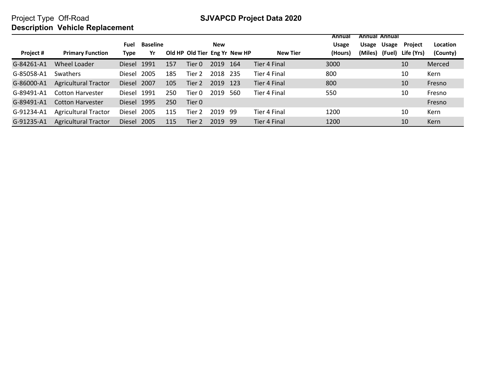|                  |                             |               |                 |     |        |            |                               |                 | Annual       | <b>Annual Annual</b> |             |            |                 |
|------------------|-----------------------------|---------------|-----------------|-----|--------|------------|-------------------------------|-----------------|--------------|----------------------|-------------|------------|-----------------|
|                  |                             | Fuel          | <b>Baseline</b> |     |        | <b>New</b> |                               |                 | <b>Usage</b> |                      | Usage Usage | Project    | <b>Location</b> |
| <b>Project #</b> | <b>Primary Function</b>     | Type          | Yr              |     |        |            | Old HP Old Tier Eng Yr New HP | <b>New Tier</b> | (Hours)      | (Miles)              | (Fuel)      | Life (Yrs) | (County)        |
| G-84261-A1       | Wheel Loader                | <b>Diesel</b> | 1991            | 157 | Tier 0 | 2019 164   |                               | Tier 4 Final    | 3000         |                      |             | 10         | Merced          |
| G-85058-A1       | <b>Swathers</b>             | Diesel        | 2005            | 185 | Tier 2 | 2018       | - 235                         | Tier 4 Final    | 800          |                      |             | 10         | Kern            |
| G-86000-A1       | <b>Agricultural Tractor</b> | <b>Diesel</b> | 2007            | 105 | Tier 2 | 2019       | - 123                         | Tier 4 Final    | 800          |                      |             | 10         | Fresno          |
| G-89491-A1       | Cotton Harvester            | Diesel 1991   |                 | 250 | Tier 0 | 2019       | 560                           | Tier 4 Final    | 550          |                      |             | 10         | Fresno          |
| G-89491-A1       | <b>Cotton Harvester</b>     | <b>Diesel</b> | 1995            | 250 | Tier 0 |            |                               |                 |              |                      |             |            | Fresno          |
| G-91234-A1       | <b>Agricultural Tractor</b> | Diesel 2005   |                 | 115 | Tier 2 | 2019 99    |                               | Tier 4 Final    | 1200         |                      |             | 10         | Kern            |
| G-91235-A1       | <b>Agricultural Tractor</b> | <b>Diesel</b> | 2005            | 115 | Tier 2 | 2019 99    |                               | Tier 4 Final    | 1200         |                      |             | 10         | Kern            |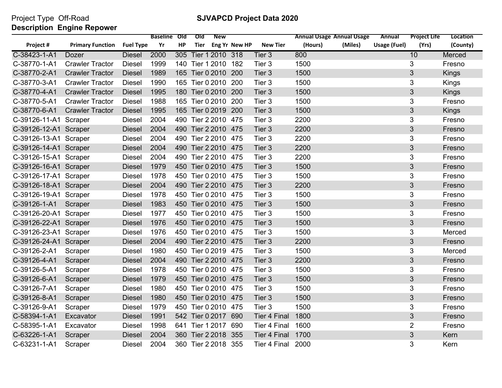### Project Type Off-Road **Description Engine Repower**

|                       |                         |                  | <b>Baseline</b> | -old      | <b>Old</b>      | <b>New</b>          |               |                     | <b>Annual Usage Annual Usage</b> |         | <b>Annual</b>       | <b>Project Life</b> | Location     |
|-----------------------|-------------------------|------------------|-----------------|-----------|-----------------|---------------------|---------------|---------------------|----------------------------------|---------|---------------------|---------------------|--------------|
| Project #             | <b>Primary Function</b> | <b>Fuel Type</b> | Yr              | <b>HP</b> | <b>Tier</b>     |                     | Eng Yr New HP | <b>New Tier</b>     | (Hours)                          | (Miles) | <b>Usage (Fuel)</b> | (Yrs)               | (County)     |
| C-38423-1-A1          | Dozer                   | <b>Diesel</b>    | 2000            | 305       |                 | Tier 1 2010 318     |               | Tier <sub>3</sub>   | 800                              |         |                     | 10                  | Merced       |
| C-38770-1-A1          | <b>Crawler Tractor</b>  | <b>Diesel</b>    | 1999            | 140       |                 | Tier 1 2010 182     |               | Tier <sub>3</sub>   | 1500                             |         |                     | 3                   | Fresno       |
| C-38770-2-A1          | <b>Crawler Tractor</b>  | <b>Diesel</b>    | 1989            | 165       |                 | Tier 0 2010 200     |               | Tier <sub>3</sub>   | 1500                             |         |                     | 3                   | <b>Kings</b> |
| C-38770-3-A1          | <b>Crawler Tractor</b>  | <b>Diesel</b>    | 1990            | 165       |                 | Tier 0 2010 200     |               | Tier 3              | 1500                             |         |                     | 3                   | Kings        |
| C-38770-4-A1          | <b>Crawler Tractor</b>  | <b>Diesel</b>    | 1995            | 180       |                 | Tier 0 2010         | 200           | Tier 3              | 1500                             |         |                     | 3                   | <b>Kings</b> |
| C-38770-5-A1          | <b>Crawler Tractor</b>  | <b>Diesel</b>    | 1988            | 165       |                 | Tier 0 2010         | 200           | Tier <sub>3</sub>   | 1500                             |         |                     | 3                   | Fresno       |
| C-38770-6-A1          | <b>Crawler Tractor</b>  | <b>Diesel</b>    | 1995            | 165       |                 | Tier 0 2019 200     |               | Tier <sub>3</sub>   | 1500                             |         |                     | 3                   | <b>Kings</b> |
| C-39126-11-A1         | Scraper                 | <b>Diesel</b>    | 2004            | 490       |                 | Tier 2 2010         | 475           | Tier <sub>3</sub>   | 2200                             |         |                     | 3                   | Fresno       |
| C-39126-12-A1 Scraper |                         | <b>Diesel</b>    | 2004            | 490       |                 | Tier 2 2010 475     |               | Tier <sub>3</sub>   | 2200                             |         |                     | 3                   | Fresno       |
| C-39126-13-A1 Scraper |                         | <b>Diesel</b>    | 2004            | 490       |                 | Tier 2 2010         | 475           | Tier <sub>3</sub>   | 2200                             |         |                     | 3                   | Fresno       |
| C-39126-14-A1 Scraper |                         | <b>Diesel</b>    | 2004            | 490       |                 | Tier 2 2010 475     |               | Tier <sub>3</sub>   | 2200                             |         |                     | 3                   | Fresno       |
| C-39126-15-A1 Scraper |                         | <b>Diesel</b>    | 2004            | 490       |                 | Tier 2 2010 475     |               | Tier <sub>3</sub>   | 2200                             |         |                     | 3                   | Fresno       |
| C-39126-16-A1 Scraper |                         | <b>Diesel</b>    | 1979            | 450       |                 | Tier 0 2010 475     |               | Tier 3              | 1500                             |         |                     | 3                   | Fresno       |
| C-39126-17-A1 Scraper |                         | <b>Diesel</b>    | 1978            | 450       |                 | Tier 0 2010         | 475           | Tier <sub>3</sub>   | 1500                             |         |                     | 3                   | Fresno       |
| C-39126-18-A1 Scraper |                         | <b>Diesel</b>    | 2004            | 490       |                 | Tier 2 2010 475     |               | Tier <sub>3</sub>   | 2200                             |         |                     | 3                   | Fresno       |
| C-39126-19-A1 Scraper |                         | <b>Diesel</b>    | 1978            | 450       |                 | Tier 0 2010 475     |               | Tier <sub>3</sub>   | 1500                             |         |                     | 3                   | Fresno       |
| C-39126-1-A1          | Scraper                 | <b>Diesel</b>    | 1983            | 450       |                 | Tier 0 2010 475     |               | Tier <sub>3</sub>   | 1500                             |         |                     | 3                   | Fresno       |
| C-39126-20-A1         | Scraper                 | <b>Diesel</b>    | 1977            | 450       |                 | Tier 0 2010 475     |               | Tier <sub>3</sub>   | 1500                             |         |                     | 3                   | Fresno       |
| C-39126-22-A1 Scraper |                         | <b>Diesel</b>    | 1976            | 450       |                 | Tier 0 2010 475     |               | Tier <sub>3</sub>   | 1500                             |         |                     | $\mathbf{3}$        | Fresno       |
| C-39126-23-A1 Scraper |                         | <b>Diesel</b>    | 1976            |           |                 | 450 Tier 0 2010 475 |               | Tier <sub>3</sub>   | 1500                             |         |                     | 3                   | Merced       |
| C-39126-24-A1 Scraper |                         | <b>Diesel</b>    | 2004            | 490       |                 | Tier 2 2010 475     |               | Tier <sub>3</sub>   | 2200                             |         |                     | 3                   | Fresno       |
| C-39126-2-A1          | Scraper                 | <b>Diesel</b>    | 1980            |           |                 | 450 Tier 0 2019 475 |               | Tier 3              | 1500                             |         |                     | 3                   | Merced       |
| C-39126-4-A1          | Scraper                 | <b>Diesel</b>    | 2004            | 490       |                 | Tier 2 2010 475     |               | Tier <sub>3</sub>   | 2200                             |         |                     | 3                   | Fresno       |
| C-39126-5-A1          | Scraper                 | <b>Diesel</b>    | 1978            | 450       |                 | Tier 0 2010         | 475           | Tier 3              | 1500                             |         |                     | 3                   | Fresno       |
| C-39126-6-A1          | Scraper                 | <b>Diesel</b>    | 1979            | 450       |                 | Tier 0 2010 475     |               | Tier <sub>3</sub>   | 1500                             |         |                     | 3                   | Fresno       |
| C-39126-7-A1          | Scraper                 | <b>Diesel</b>    | 1980            | 450       |                 | Tier 0 2010 475     |               | Tier <sub>3</sub>   | 1500                             |         |                     | 3                   | Fresno       |
| C-39126-8-A1          | Scraper                 | <b>Diesel</b>    | 1980            | 450       |                 | Tier 0 2010 475     |               | Tier <sub>3</sub>   | 1500                             |         |                     | 3                   | Fresno       |
| C-39126-9-A1          | Scraper                 | <b>Diesel</b>    | 1979            | 450       |                 | Tier 0 2010         | 475           | Tier <sub>3</sub>   | 1500                             |         |                     | 3                   | Fresno       |
| C-58394-1-A1          | Excavator               | <b>Diesel</b>    | 1991            | 542       | Tier 0 2017     |                     | 690           | <b>Tier 4 Final</b> | 1800                             |         |                     | 3                   | Fresno       |
| C-58395-1-A1          | Excavator               | <b>Diesel</b>    | 1998            |           | 641 Tier 1 2017 |                     | 690           | <b>Tier 4 Final</b> | 1600                             |         |                     | $\overline{2}$      | Fresno       |
| C-63226-1-A1          | Scraper                 | <b>Diesel</b>    | 2004            | 360       |                 | Tier 2 2018         | 355           | <b>Tier 4 Final</b> | 1700                             |         |                     | 3                   | Kern         |
| C-63231-1-A1          | Scraper                 | <b>Diesel</b>    | 2004            | 360       |                 | Tier 2 2018         | 355           | <b>Tier 4 Final</b> | 2000                             |         |                     | 3                   | Kern         |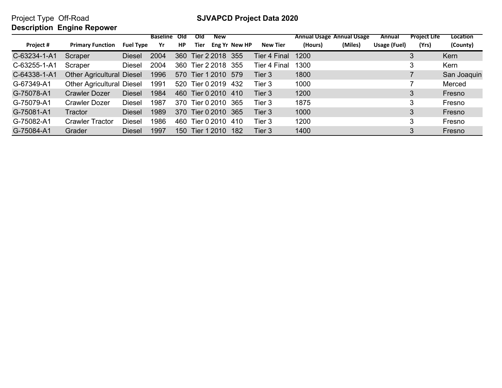### Project Type Off-Road **Description Engine Repower**

|              |                                  |                  | <b>Baseline</b> | old.       | old. | <b>New</b>          |               |                     | <b>Annual Usage Annual Usage</b> |         | Annual       | <b>Project Life</b> | Location    |
|--------------|----------------------------------|------------------|-----------------|------------|------|---------------------|---------------|---------------------|----------------------------------|---------|--------------|---------------------|-------------|
| Project #    | <b>Primary Function</b>          | <b>Fuel Type</b> | Yr              | HP         | Tier |                     | Eng Yr New HP | <b>New Tier</b>     | (Hours)                          | (Miles) | Usage (Fuel) | (Yrs)               | (County)    |
| C-63234-1-A1 | Scraper                          | <b>Diesel</b>    | 2004            | <b>360</b> |      | Tier 2 2018 355     |               | <b>Tier 4 Final</b> | 1200                             |         |              | 3                   | Kern        |
| C-63255-1-A1 | Scraper                          | <b>Diesel</b>    | 2004            | 360        |      | Tier 2 2018         | 355           | Tier 4 Final        | 1300                             |         |              | 3                   | Kern        |
| C-64338-1-A1 | <b>Other Agricultural Diesel</b> |                  | 1996            | 570        |      | Tier 1 2010         | 579           | Tier 3              | 1800                             |         |              |                     | San Joaquin |
| G-67349-A1   | <b>Other Agricultural Diesel</b> |                  | 1991            | 520        |      | Tier 0 2019 432     |               | Tier 3              | 1000                             |         |              |                     | Merced      |
| G-75078-A1   | <b>Crawler Dozer</b>             | <b>Diesel</b>    | 1984            |            |      | 460 Tier 0 2010 410 |               | Tier 3              | 1200                             |         |              | 3                   | Fresno      |
| G-75079-A1   | <b>Crawler Dozer</b>             | <b>Diesel</b>    | 1987            | 370        |      | Tier 0 2010         | -365          | Tier 3              | 1875                             |         |              | 3                   | Fresno      |
| G-75081-A1   | Tractor                          | <b>Diesel</b>    | 1989            |            |      | 370 Tier 0 2010 365 |               | Tier 3              | 1000                             |         |              | 3                   | Fresno      |
| G-75082-A1   | <b>Crawler Tractor</b>           | Diesel           | 1986            | 460        |      | Tier 0 2010         | 410           | Tier 3              | 1200                             |         |              | 3                   | Fresno      |
| G-75084-A1   | Grader                           | <b>Diesel</b>    | 1997            | 150        |      | Tier 1 2010         | 182           | Tier 3              | 1400                             |         |              | 3                   | Fresno      |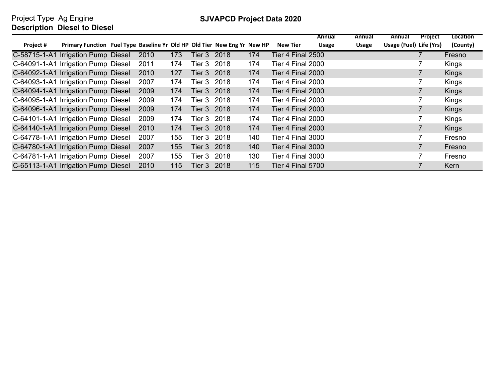### Project Type Ag Engine **Description Diesel to Diesel**

|           |                                                                          |      |     |             |      |     |                   | Annual       | Annual       | Annual                  | <b>Project</b> | Location |
|-----------|--------------------------------------------------------------------------|------|-----|-------------|------|-----|-------------------|--------------|--------------|-------------------------|----------------|----------|
| Project # | Primary Function Fuel Type Baseline Yr Old HP Old Tier New Eng Yr New HP |      |     |             |      |     | <b>New Tier</b>   | <b>Usage</b> | <b>Usage</b> | Usage (Fuel) Life (Yrs) |                | (County) |
|           | C-58715-1-A1 Irrigation Pump Diesel                                      | 2010 | 173 | Tier 3 2018 |      | 174 | Tier 4 Final 2500 |              |              |                         |                | Fresno   |
|           | C-64091-1-A1 Irrigation Pump Diesel                                      | 2011 | 174 | Tier 3      | 2018 | 174 | Tier 4 Final 2000 |              |              |                         |                | Kings    |
|           | C-64092-1-A1 Irrigation Pump Diesel                                      | 2010 | 127 | Tier 3 2018 |      | 174 | Tier 4 Final 2000 |              |              |                         |                | Kings    |
|           | C-64093-1-A1 Irrigation Pump Diesel                                      | 2007 | 174 | Tier 3 2018 |      | 174 | Tier 4 Final 2000 |              |              |                         |                | Kings    |
|           | C-64094-1-A1 Irrigation Pump Diesel                                      | 2009 | 174 | Tier 3 2018 |      | 174 | Tier 4 Final 2000 |              |              |                         |                | Kings    |
|           | C-64095-1-A1 Irrigation Pump Diesel                                      | 2009 | 174 | Tier 3 2018 |      | 174 | Tier 4 Final 2000 |              |              |                         |                | Kings    |
|           | C-64096-1-A1 Irrigation Pump Diesel                                      | 2009 | 174 | Tier 3 2018 |      | 174 | Tier 4 Final 2000 |              |              |                         |                | Kings    |
|           | C-64101-1-A1 Irrigation Pump Diesel                                      | 2009 | 174 | Tier 3      | 2018 | 174 | Tier 4 Final 2000 |              |              |                         |                | Kings    |
|           | C-64140-1-A1 Irrigation Pump Diesel                                      | 2010 | 174 | Tier 3 2018 |      | 174 | Tier 4 Final 2000 |              |              |                         |                | Kings    |
|           | C-64778-1-A1 Irrigation Pump Diesel                                      | 2007 | 155 | Tier 3      | 2018 | 140 | Tier 4 Final 3000 |              |              |                         |                | Fresno   |
|           | C-64780-1-A1 Irrigation Pump Diesel                                      | 2007 | 155 | Tier 3 2018 |      | 140 | Tier 4 Final 3000 |              |              |                         |                | Fresno   |
|           | C-64781-1-A1 Irrigation Pump Diesel                                      | 2007 | 155 | Tier 3      | 2018 | 130 | Tier 4 Final 3000 |              |              |                         |                | Fresno   |
|           | C-65113-1-A1 Irrigation Pump Diesel                                      | 2010 | 115 | Tier 3 2018 |      | 115 | Tier 4 Final 5700 |              |              |                         |                | Kern     |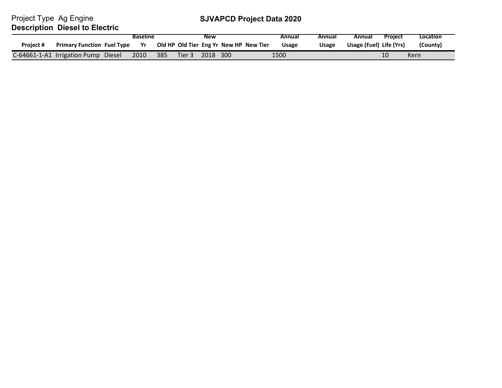# Project Type Ag Engine

# **SJVAPCD Project Data 2020**

### **Description Diesel to Electric**

|                  |                                   |        | <b>Baseline</b> |     |        | New  |     |                                        | Annual       | Annual       | Annual                  | Proiect | Location |
|------------------|-----------------------------------|--------|-----------------|-----|--------|------|-----|----------------------------------------|--------------|--------------|-------------------------|---------|----------|
| <b>Project #</b> | <b>Primary Function Fuel Type</b> |        | Yr              |     |        |      |     | Old HP Old Tier Eng Yr New HP New Tier | <b>Usage</b> | <b>Usage</b> | Usage (Fuel) Life (Yrs) |         | (County) |
|                  | C-64661-1-A1 Irrigation Pump      | Diesel | 2010            | 385 | Tier 3 | 2018 | 300 |                                        | 1500         |              |                         |         | Kern     |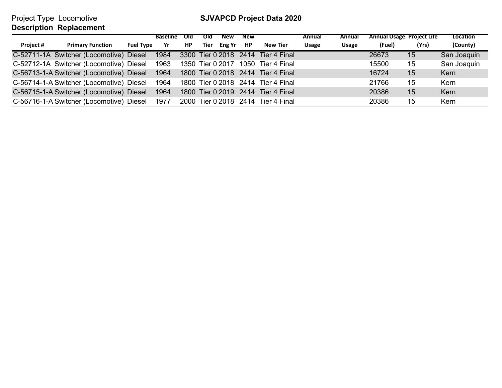### Project Type Locomotive **Description Replacement**

|                  |                                                                                  |                  | <b>Baseline</b> | Old | Old. | <b>New</b> | <b>New</b> |                                    | Annual       | Annual       | <b>Annual Usage Project Life</b> |       | Location    |
|------------------|----------------------------------------------------------------------------------|------------------|-----------------|-----|------|------------|------------|------------------------------------|--------------|--------------|----------------------------------|-------|-------------|
| <b>Project #</b> | <b>Primary Function</b>                                                          | <b>Fuel Type</b> | Yr              | HP  | Tier | Eng Yr HP  |            | <b>New Tier</b>                    | <b>Usage</b> | <b>Usage</b> | (Fuel)                           | (Yrs) | (County)    |
|                  | C-52711-1A Switcher (Locomotive) Diesel 1984 3300 Tier 0 2018 2414 Tier 4 Final  |                  |                 |     |      |            |            |                                    |              |              | 26673                            | 15    | San Joaquin |
|                  | C-52712-1A Switcher (Locomotive) Diesel 1963 1350 Tier 0 2017 1050 Tier 4 Final  |                  |                 |     |      |            |            |                                    |              |              | 15500                            | 15    | San Joaquin |
|                  | C-56713-1-A Switcher (Locomotive) Diesel 1964 1800 Tier 0 2018 2414 Tier 4 Final |                  |                 |     |      |            |            |                                    |              |              | 16724                            | 15    | Kern        |
|                  | C-56714-1-A Switcher (Locomotive) Diesel 1964 1800 Tier 0 2018 2414 Tier 4 Final |                  |                 |     |      |            |            |                                    |              |              | 21766                            | 15    | Kern        |
|                  | C-56715-1-A Switcher (Locomotive) Diesel 1964 1800 Tier 0 2019 2414 Tier 4 Final |                  |                 |     |      |            |            |                                    |              |              | 20386                            | 15    | Kern        |
|                  | C-56716-1-A Switcher (Locomotive) Diesel 1977                                    |                  |                 |     |      |            |            | 2000 Tier 0 2018 2414 Tier 4 Final |              |              | 20386                            | 15    | Kern        |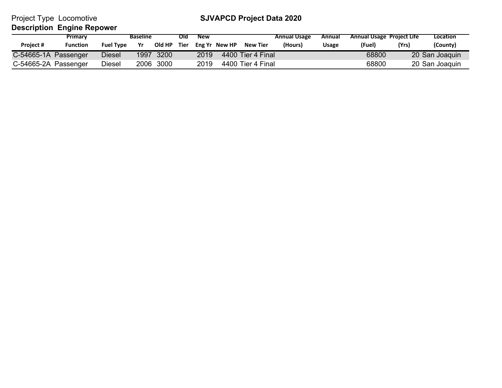Project Type Locomotive

### **SJVAPCD Project Data 2020**

### **Description Engine Repower**

|                      | Primary         |                  | <b>Baseline</b> |           | Old  | <b>New</b> |               |                   | <b>Annual Usage</b> | Annual       | <b>Annual Usage Project Life</b> |       | Location       |
|----------------------|-----------------|------------------|-----------------|-----------|------|------------|---------------|-------------------|---------------------|--------------|----------------------------------|-------|----------------|
| <b>Project #</b>     | <b>Function</b> | <b>Fuel Type</b> | Vr.             | Old HP    | Tier |            | Eng Yr New HP | New Tier          | (Hours)             | <b>Usage</b> | (Fuel)                           | (Yrs) | (County)       |
| C-54665-1A Passenger |                 | <b>Diesel</b>    |                 | 1997 3200 |      | 2019       |               | 4400 Tier 4 Final |                     |              | 68800                            |       | 20 San Joaquin |
| C-54665-2A Passenger |                 | Diesel           |                 | 2006 3000 |      | 2019       |               | 4400 Tier 4 Final |                     |              | 68800                            |       | 20 San Joaquin |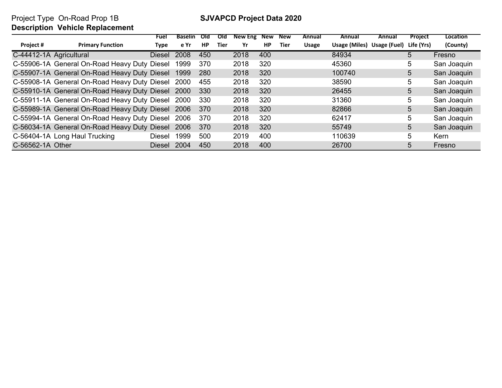### Project Type On-Road Prop 1B **Description Vehicle Replacement**

|                         |                                                   | Fuel          | <b>Baselin</b> | Old | Old  | New Eng | <b>New</b> | <b>New</b> | Annual       | Annual        | Annual       | <b>Project</b> | Location    |
|-------------------------|---------------------------------------------------|---------------|----------------|-----|------|---------|------------|------------|--------------|---------------|--------------|----------------|-------------|
| <b>Project #</b>        | <b>Primary Function</b>                           | Type          | e Yr           | HP  | Tier | Yr      | <b>HP</b>  | Tier       | <b>Usage</b> | Usage (Miles) | Usage (Fuel) | Life (Yrs)     | (County)    |
| C-44412-1A Agricultural |                                                   | <b>Diesel</b> | 2008           | 450 |      | 2018    | 400        |            |              | 84934         |              | 5              | Fresno      |
|                         | C-55906-1A General On-Road Heavy Duty Diesel      |               | 1999           | 370 |      | 2018    | 320        |            |              | 45360         |              | 5              | San Joaquin |
|                         | C-55907-1A General On-Road Heavy Duty Diesel      |               | 1999           | 280 |      | 2018    | 320        |            |              | 100740        |              | 5              | San Joaquin |
|                         | C-55908-1A General On-Road Heavy Duty Diesel      |               | 2000           | 455 |      | 2018    | 320        |            |              | 38590         |              | 5              | San Joaquin |
|                         | C-55910-1A General On-Road Heavy Duty Diesel 2000 |               |                | 330 |      | 2018    | 320        |            |              | 26455         |              | 5              | San Joaquin |
|                         | C-55911-1A General On-Road Heavy Duty Diesel      |               | 2000           | 330 |      | 2018    | 320        |            |              | 31360         |              | 5              | San Joaquin |
|                         | C-55989-1A General On-Road Heavy Duty Diesel      |               | 2006           | 370 |      | 2018    | 320        |            |              | 82866         |              | 5              | San Joaquin |
|                         | C-55994-1A General On-Road Heavy Duty Diesel      |               | 2006           | 370 |      | 2018    | 320        |            |              | 62417         |              | 5              | San Joaquin |
|                         | C-56034-1A General On-Road Heavy Duty Diesel      |               | 2006           | 370 |      | 2018    | 320        |            |              | 55749         |              | 5              | San Joaquin |
|                         | C-56404-1A Long Haul Trucking                     | <b>Diesel</b> | 1999           | 500 |      | 2019    | 400        |            |              | 110639        |              | 5              | Kern        |
| C-56562-1A Other        |                                                   | <b>Diesel</b> | 2004           | 450 |      | 2018    | 400        |            |              | 26700         |              | 5              | Fresno      |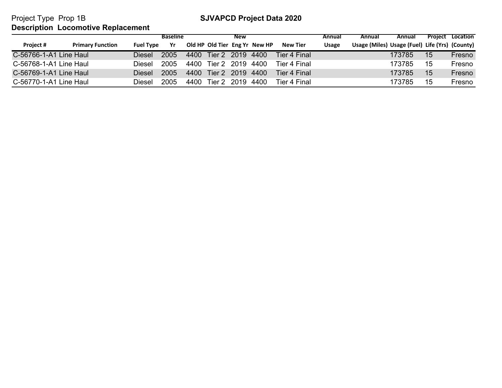### **SJVAPCD Project Data 2020**

### Project Type Prop 1B **Description Locomotive Replacement**

|                        |                         |                  | <b>Baseline</b> |      |             | New |                               |                 | Annual | Annual                                         | Annual |    | <b>Project Location</b> |
|------------------------|-------------------------|------------------|-----------------|------|-------------|-----|-------------------------------|-----------------|--------|------------------------------------------------|--------|----|-------------------------|
| Project#               | <b>Primary Function</b> | <b>Fuel Type</b> | Yr              |      |             |     | Old HP Old Tier Eng Yr New HP | <b>New Tier</b> | Usage  | Usage (Miles) Usage (Fuel) Life (Yrs) (County) |        |    |                         |
| C-56766-1-A1 Line Haul |                         | Diesel           | 2005            | 4400 | Tier 2 2019 |     | 4400                          | Tier 4 Final    |        |                                                | 173785 | 15 | Fresno                  |
| C-56768-1-A1 Line Haul |                         | Diesel           | 2005            | 4400 | Tier 2 2019 |     | 4400                          | Tier 4 Final    |        |                                                | 173785 | 15 | Fresno                  |
| C-56769-1-A1 Line Haul |                         | Diesel           | 2005            | 4400 | Tier 2 2019 |     | 4400                          | Tier 4 Final    |        |                                                | 173785 | 15 | Fresno                  |
| C-56770-1-A1 Line Haul |                         | Diesel           | 2005            | 4400 | Tier 2 2019 |     | 4400                          | Tier 4 Final    |        |                                                | 173785 | 15 | Fresno                  |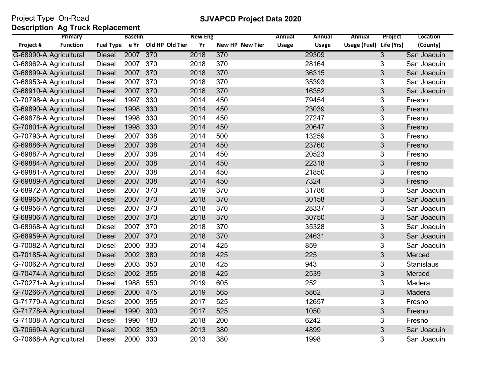|  |  |  | <b>Description Ag Truck Replacement</b> |
|--|--|--|-----------------------------------------|
|--|--|--|-----------------------------------------|

|                        | <b>Primary</b>         |                  | <b>Baselin</b> |                 | <b>New Eng</b> |                 | Annual       | Annual       | <b>Annual</b> | Project        | <b>Location</b>   |
|------------------------|------------------------|------------------|----------------|-----------------|----------------|-----------------|--------------|--------------|---------------|----------------|-------------------|
| Project #              | <b>Function</b>        | <b>Fuel Type</b> | e Yr           | Old HP Old Tier | Yr             | New HP New Tier | <b>Usage</b> | <b>Usage</b> | Usage (Fuel)  | Life (Yrs)     | (County)          |
| G-68990-A Agricultural |                        | <b>Diesel</b>    | 2007           | 370             | 2018           | 370             |              | 29309        |               | 3              | San Joaquin       |
| G-68962-A Agricultural |                        | <b>Diesel</b>    | 2007           | 370             | 2018           | 370             |              | 28164        |               | 3              | San Joaquin       |
| G-68899-A Agricultural |                        | <b>Diesel</b>    | 2007           | 370             | 2018           | 370             |              | 36315        |               | 3              | San Joaquin       |
| G-68953-A Agricultural |                        | <b>Diesel</b>    | 2007           | 370             | 2018           | 370             |              | 35393        |               | 3              | San Joaquin       |
| G-68910-A Agricultural |                        | <b>Diesel</b>    | 2007           | 370             | 2018           | 370             |              | 16352        |               | 3              | San Joaquin       |
| G-70798-A Agricultural |                        | <b>Diesel</b>    | 1997           | 330             | 2014           | 450             |              | 79454        |               | 3              | Fresno            |
| G-69890-A Agricultural |                        | <b>Diesel</b>    | 1998           | 330             | 2014           | 450             |              | 23039        |               | 3              | Fresno            |
| G-69878-A Agricultural |                        | <b>Diesel</b>    | 1998           | 330             | 2014           | 450             |              | 27247        |               | 3              | Fresno            |
|                        | G-70801-A Agricultural | <b>Diesel</b>    | 1998           | 330             | 2014           | 450             |              | 20647        |               | 3              | Fresno            |
| G-70793-A Agricultural |                        | <b>Diesel</b>    | 2007           | 338             | 2014           | 500             |              | 13259        |               | 3              | Fresno            |
|                        | G-69886-A Agricultural | <b>Diesel</b>    | 2007           | 338             | 2014           | 450             |              | 23760        |               | 3              | Fresno            |
| G-69887-A Agricultural |                        | <b>Diesel</b>    | 2007           | 338             | 2014           | 450             |              | 20523        |               | 3              | Fresno            |
| G-69884-A Agricultural |                        | <b>Diesel</b>    | 2007           | 338             | 2014           | 450             |              | 22318        |               | 3              | Fresno            |
| G-69881-A Agricultural |                        | <b>Diesel</b>    | 2007           | 338             | 2014           | 450             |              | 21850        |               | 3              | Fresno            |
| G-69889-A Agricultural |                        | <b>Diesel</b>    | 2007           | 338             | 2014           | 450             |              | 7324         |               | $\mathfrak{S}$ | Fresno            |
| G-68972-A Agricultural |                        | <b>Diesel</b>    | 2007           | 370             | 2019           | 370             |              | 31786        |               | 3              | San Joaquin       |
| G-68965-A Agricultural |                        | <b>Diesel</b>    | 2007           | 370             | 2018           | 370             |              | 30158        |               | $\mathfrak{S}$ | San Joaquin       |
| G-68956-A Agricultural |                        | <b>Diesel</b>    | 2007           | 370             | 2018           | 370             |              | 28337        |               | 3              | San Joaquin       |
| G-68906-A Agricultural |                        | <b>Diesel</b>    | 2007           | 370             | 2018           | 370             |              | 30750        |               | 3              | San Joaquin       |
|                        | G-68968-A Agricultural | <b>Diesel</b>    | 2007           | 370             | 2018           | 370             |              | 35328        |               | 3              | San Joaquin       |
|                        | G-68959-A Agricultural | <b>Diesel</b>    | 2007           | 370             | 2018           | 370             |              | 24631        |               | 3              | San Joaquin       |
| G-70082-A Agricultural |                        | <b>Diesel</b>    | 2000           | 330             | 2014           | 425             |              | 859          |               | 3              | San Joaquin       |
| G-70185-A Agricultural |                        | <b>Diesel</b>    | 2002           | 380             | 2018           | 425             |              | 225          |               | 3              | Merced            |
| G-70062-A Agricultural |                        | <b>Diesel</b>    | 2003           | 350             | 2018           | 425             |              | 943          |               | 3              | <b>Stanislaus</b> |
| G-70474-A Agricultural |                        | <b>Diesel</b>    | 2002           | 355             | 2018           | 425             |              | 2539         |               | 3              | Merced            |
| G-70271-A Agricultural |                        | <b>Diesel</b>    | 1988           | 550             | 2019           | 605             |              | 252          |               | 3              | Madera            |
| G-70266-A Agricultural |                        | <b>Diesel</b>    | 2000           | 475             | 2019           | 565             |              | 5862         |               | 3              | Madera            |
| G-71779-A Agricultural |                        | <b>Diesel</b>    | 2000           | 355             | 2017           | 525             |              | 12657        |               | 3              | Fresno            |
| G-71778-A Agricultural |                        | <b>Diesel</b>    | 1990           | 300             | 2017           | 525             |              | 1050         |               | 3              | Fresno            |
| G-71008-A Agricultural |                        | <b>Diesel</b>    | 1990           | 180             | 2018           | 200             |              | 6242         |               | 3              | Fresno            |
| G-70669-A Agricultural |                        | <b>Diesel</b>    | 2002           | 350             | 2013           | 380             |              | 4899         |               | 3              | San Joaquin       |
| G-70668-A Agricultural |                        | <b>Diesel</b>    | 2000           | 330             | 2013           | 380             |              | 1998         |               | 3              | San Joaquin       |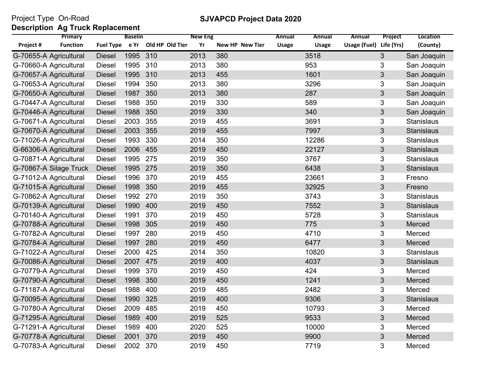|  |  |  | <b>Description Ag Truck Replacement</b> |
|--|--|--|-----------------------------------------|
|--|--|--|-----------------------------------------|

|                        | Primary                |                  | <b>Baselin</b> |                 | <b>New Eng</b> |                 | <b>Annual</b> | <b>Annual</b> | <b>Annual</b>           | Project        | <b>Location</b>   |
|------------------------|------------------------|------------------|----------------|-----------------|----------------|-----------------|---------------|---------------|-------------------------|----------------|-------------------|
| Project #              | <b>Function</b>        | <b>Fuel Type</b> | e Yr           | Old HP Old Tier | Yr             | New HP New Tier | <b>Usage</b>  | <b>Usage</b>  | Usage (Fuel) Life (Yrs) |                | (County)          |
| G-70655-A Agricultural |                        | <b>Diesel</b>    | 1995           | 310             | 2013           | 380             |               | 3518          |                         | 3              | San Joaquin       |
| G-70660-A Agricultural |                        | <b>Diesel</b>    | 1995           | 310             | 2013           | 380             |               | 953           |                         | 3              | San Joaquin       |
| G-70657-A Agricultural |                        | <b>Diesel</b>    | 1995           | 310             | 2013           | 455             |               | 1601          |                         | 3              | San Joaquin       |
| G-70653-A Agricultural |                        | <b>Diesel</b>    | 1994           | 350             | 2013           | 380             |               | 3296          |                         | 3              | San Joaquin       |
| G-70650-A Agricultural |                        | <b>Diesel</b>    | 1987           | 350             | 2013           | 380             |               | 287           |                         | 3              | San Joaquin       |
| G-70447-A Agricultural |                        | <b>Diesel</b>    | 1988           | 350             | 2019           | 330             |               | 589           |                         | $\mathfrak{S}$ | San Joaquin       |
| G-70446-A Agricultural |                        | <b>Diesel</b>    | 1988           | 350             | 2019           | 330             |               | 340           |                         | $\mathfrak{S}$ | San Joaquin       |
| G-70671-A Agricultural |                        | <b>Diesel</b>    | 2003           | 355             | 2019           | 455             |               | 3691          |                         | 3              | <b>Stanislaus</b> |
| G-70670-A Agricultural |                        | <b>Diesel</b>    | 2003           | 355             | 2019           | 455             |               | 7997          |                         | 3              | <b>Stanislaus</b> |
| G-71026-A Agricultural |                        | <b>Diesel</b>    | 1993           | 330             | 2014           | 350             |               | 12286         |                         | 3              | Stanislaus        |
| G-66306-A Agricultural |                        | <b>Diesel</b>    | 2006           | 455             | 2019           | 450             |               | 22127         |                         | 3              | <b>Stanislaus</b> |
| G-70871-A Agricultural |                        | <b>Diesel</b>    | 1995           | 275             | 2019           | 350             |               | 3767          |                         | 3              | <b>Stanislaus</b> |
|                        | G-70867-A Silage Truck | <b>Diesel</b>    | 1995           | 275             | 2019           | 350             |               | 6438          |                         | 3              | <b>Stanislaus</b> |
| G-71012-A Agricultural |                        | <b>Diesel</b>    | 1996           | 370             | 2019           | 455             |               | 23661         |                         | 3              | Fresno            |
| G-71015-A Agricultural |                        | <b>Diesel</b>    | 1998           | 350             | 2019           | 455             |               | 32925         |                         | 3              | Fresno            |
| G-70862-A Agricultural |                        | <b>Diesel</b>    | 1992           | 270             | 2019           | 350             |               | 3743          |                         | 3              | <b>Stanislaus</b> |
| G-70139-A Agricultural |                        | <b>Diesel</b>    | 1990           | 400             | 2019           | 450             |               | 7552          |                         | 3              | <b>Stanislaus</b> |
| G-70140-A Agricultural |                        | <b>Diesel</b>    | 1991           | 370             | 2019           | 450             |               | 5728          |                         | 3              | <b>Stanislaus</b> |
| G-70788-A Agricultural |                        | <b>Diesel</b>    | 1998           | 305             | 2019           | 450             |               | 775           |                         | $\mathfrak{S}$ | Merced            |
| G-70782-A Agricultural |                        | <b>Diesel</b>    | 1997           | 280             | 2019           | 450             |               | 4710          |                         | 3              | Merced            |
| G-70784-A Agricultural |                        | <b>Diesel</b>    | 1997           | 280             | 2019           | 450             |               | 6477          |                         | 3              | Merced            |
| G-71022-A Agricultural |                        | <b>Diesel</b>    | 2000           | 425             | 2014           | 350             |               | 10820         |                         | 3              | <b>Stanislaus</b> |
| G-70086-A Agricultural |                        | <b>Diesel</b>    | 2007           | 475             | 2019           | 400             |               | 4037          |                         | 3              | <b>Stanislaus</b> |
| G-70779-A Agricultural |                        | <b>Diesel</b>    | 1999           | 370             | 2019           | 450             |               | 424           |                         | 3              | Merced            |
| G-70790-A Agricultural |                        | <b>Diesel</b>    | 1998           | 350             | 2019           | 450             |               | 1241          |                         | 3              | Merced            |
| G-71187-A Agricultural |                        | <b>Diesel</b>    | 1988           | 400             | 2019           | 485             |               | 2482          |                         | 3              | Merced            |
| G-70095-A Agricultural |                        | <b>Diesel</b>    | 1990           | 325             | 2019           | 400             |               | 9306          |                         | 3              | <b>Stanislaus</b> |
| G-70780-A Agricultural |                        | <b>Diesel</b>    | 2009           | 485             | 2019           | 450             |               | 10793         |                         | 3              | Merced            |
| G-71295-A Agricultural |                        | <b>Diesel</b>    | 1989           | 400             | 2019           | 525             |               | 9533          |                         | 3              | Merced            |
| G-71291-A Agricultural |                        | <b>Diesel</b>    | 1989           | 400             | 2020           | 525             |               | 10000         |                         | 3              | Merced            |
| G-70778-A Agricultural |                        | <b>Diesel</b>    | 2001           | 370             | 2019           | 450             |               | 9900          |                         | 3              | Merced            |
| G-70783-A Agricultural |                        | <b>Diesel</b>    | 2002           | 370             | 2019           | 450             |               | 7719          |                         | 3              | Merced            |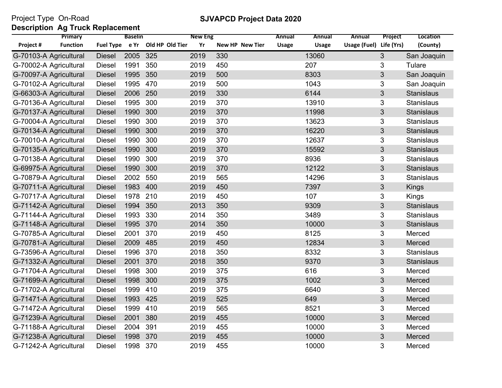| <b>Description Ag Truck Replacement</b> |
|-----------------------------------------|
|-----------------------------------------|

|                        | <b>Primary</b>  |                | <b>Baselin</b> |                 | <b>New Eng</b> |                 | <b>Annual</b> | <b>Annual</b> | Annual                  | Project        | <b>Location</b>   |
|------------------------|-----------------|----------------|----------------|-----------------|----------------|-----------------|---------------|---------------|-------------------------|----------------|-------------------|
| Project #              | <b>Function</b> | Fuel Type e Yr |                | Old HP Old Tier | Yr             | New HP New Tier | <b>Usage</b>  | <b>Usage</b>  | Usage (Fuel) Life (Yrs) |                | (County)          |
| G-70103-A Agricultural |                 | <b>Diesel</b>  | 2005           | 325             | 2019           | 330             |               | 13060         |                         | 3              | San Joaquin       |
| G-70002-A Agricultural |                 | <b>Diesel</b>  | 1991           | 350             | 2019           | 450             |               | 207           |                         | 3              | <b>Tulare</b>     |
| G-70097-A Agricultural |                 | <b>Diesel</b>  | 1995           | 350             | 2019           | 500             |               | 8303          |                         | 3              | San Joaquin       |
| G-70102-A Agricultural |                 | <b>Diesel</b>  | 1995           | 470             | 2019           | 500             |               | 1043          |                         | 3              | San Joaquin       |
| G-66303-A Agricultural |                 | <b>Diesel</b>  | 2006           | 250             | 2019           | 330             |               | 6144          |                         | 3              | Stanislaus        |
| G-70136-A Agricultural |                 | <b>Diesel</b>  | 1995           | 300             | 2019           | 370             |               | 13910         |                         | 3              | <b>Stanislaus</b> |
| G-70137-A Agricultural |                 | <b>Diesel</b>  | 1990           | 300             | 2019           | 370             |               | 11998         |                         | $\sqrt{3}$     | Stanislaus        |
| G-70004-A Agricultural |                 | <b>Diesel</b>  | 1990           | 300             | 2019           | 370             |               | 13623         |                         | 3              | <b>Stanislaus</b> |
| G-70134-A Agricultural |                 | <b>Diesel</b>  | 1990           | 300             | 2019           | 370             |               | 16220         |                         | $\mathfrak{S}$ | <b>Stanislaus</b> |
| G-70010-A Agricultural |                 | <b>Diesel</b>  | 1990           | 300             | 2019           | 370             |               | 12637         |                         | 3              | <b>Stanislaus</b> |
| G-70135-A Agricultural |                 | <b>Diesel</b>  | 1990           | 300             | 2019           | 370             |               | 15592         |                         | 3              | <b>Stanislaus</b> |
| G-70138-A Agricultural |                 | <b>Diesel</b>  | 1990           | 300             | 2019           | 370             |               | 8936          |                         | $\mathfrak{S}$ | <b>Stanislaus</b> |
| G-69975-A Agricultural |                 | <b>Diesel</b>  | 1990           | 300             | 2019           | 370             |               | 12122         |                         | 3              | <b>Stanislaus</b> |
| G-70879-A Agricultural |                 | <b>Diesel</b>  | 2002           | 550             | 2019           | 565             |               | 14296         |                         | $\mathfrak{S}$ | <b>Stanislaus</b> |
| G-70711-A Agricultural |                 | <b>Diesel</b>  | 1983           | 400             | 2019           | 450             |               | 7397          |                         | 3              | <b>Kings</b>      |
| G-70717-A Agricultural |                 | <b>Diesel</b>  | 1978           | 210             | 2019           | 450             |               | 107           |                         | 3              | Kings             |
| G-71142-A Agricultural |                 | <b>Diesel</b>  | 1994           | 350             | 2013           | 350             |               | 9309          |                         | 3              | <b>Stanislaus</b> |
| G-71144-A Agricultural |                 | <b>Diesel</b>  | 1993           | 330             | 2014           | 350             |               | 3489          |                         | 3              | <b>Stanislaus</b> |
| G-71148-A Agricultural |                 | <b>Diesel</b>  | 1995           | 370             | 2014           | 350             |               | 10000         |                         | 3              | <b>Stanislaus</b> |
| G-70785-A Agricultural |                 | <b>Diesel</b>  | 2001           | 370             | 2019           | 450             |               | 8125          |                         | 3              | Merced            |
| G-70781-A Agricultural |                 | <b>Diesel</b>  | 2009           | 485             | 2019           | 450             |               | 12834         |                         | 3              | Merced            |
| G-73596-A Agricultural |                 | <b>Diesel</b>  | 1996           | 370             | 2018           | 350             |               | 8332          |                         | $\mathfrak{B}$ | <b>Stanislaus</b> |
| G-71332-A Agricultural |                 | <b>Diesel</b>  | 2001           | 370             | 2018           | 350             |               | 9370          |                         | 3              | Stanislaus        |
| G-71704-A Agricultural |                 | <b>Diesel</b>  | 1998           | 300             | 2019           | 375             |               | 616           |                         | $\mathfrak{B}$ | Merced            |
| G-71699-A Agricultural |                 | <b>Diesel</b>  | 1998           | 300             | 2019           | 375             |               | 1002          |                         | 3              | Merced            |
| G-71702-A Agricultural |                 | <b>Diesel</b>  | 1999           | 410             | 2019           | 375             |               | 6640          |                         | $\mathfrak{S}$ | Merced            |
| G-71471-A Agricultural |                 | <b>Diesel</b>  | 1993           | 425             | 2019           | 525             |               | 649           |                         | $\mathfrak{S}$ | Merced            |
| G-71472-A Agricultural |                 | <b>Diesel</b>  | 1999           | 410             | 2019           | 565             |               | 8521          |                         | 3              | Merced            |
| G-71239-A Agricultural |                 | <b>Diesel</b>  | 2001           | 380             | 2019           | 455             |               | 10000         |                         | 3              | Merced            |
| G-71188-A Agricultural |                 | <b>Diesel</b>  | 2004           | 391             | 2019           | 455             |               | 10000         |                         | 3              | Merced            |
| G-71238-A Agricultural |                 | <b>Diesel</b>  | 1998           | 370             | 2019           | 455             |               | 10000         |                         | 3              | Merced            |
| G-71242-A Agricultural |                 | <b>Diesel</b>  | 1998           | 370             | 2019           | 455             |               | 10000         |                         | 3              | Merced            |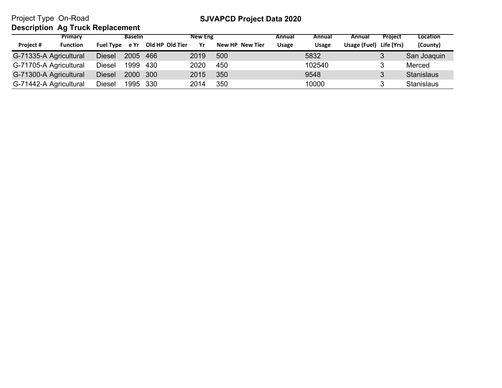# **SJVAPCD Project Data 2020**

|           | Primary                |                  | <b>Baselin</b> |                 | New Eng |                        | Annual       | Annual       | Annual       | <b>Project</b> | <b>Location</b>   |
|-----------|------------------------|------------------|----------------|-----------------|---------|------------------------|--------------|--------------|--------------|----------------|-------------------|
| Project # | <b>Function</b>        | <b>Fuel Type</b> | e Yr           | Old HP Old Tier | Yr      | <b>New HP New Tier</b> | <b>Usage</b> | <b>Usage</b> | Usage (Fuel) | Life (Yrs)     | (County)          |
|           | G-71335-A Agricultural | Diesel           | 2005           | 466             | 2019    | 500                    |              | 5832         |              | J              | San Joaquin       |
|           | G-71705-A Agricultural | Diesel           | 1999           | 430             | 2020    | 450                    |              | 102540       |              |                | Merced            |
|           | G-71300-A Agricultural | Diesel           | 2000           | 300             | 2015    | 350                    |              | 9548         |              |                | <b>Stanislaus</b> |
|           | G-71442-A Agricultural | Diesel           | 1995           | 330             | 2014    | 350                    |              | 10000        |              |                | <b>Stanislaus</b> |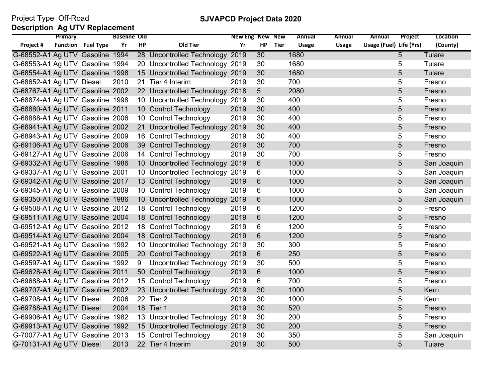# **SJVAPCD Project Data 2020**

|                                 | <b>Primary</b> |                           | <b>Baseline Old</b> |    |                                 | <b>New Eng New New</b> |                |             | Annual       | Annual       | Annual                  | Project        | Location      |
|---------------------------------|----------------|---------------------------|---------------------|----|---------------------------------|------------------------|----------------|-------------|--------------|--------------|-------------------------|----------------|---------------|
| <b>Project #</b>                |                | <b>Function</b> Fuel Type | Yr                  | HP | Old Tier                        | Yr                     | <b>HP</b>      | <b>Tier</b> | <b>Usage</b> | <b>Usage</b> | Usage (Fuel) Life (Yrs) |                | (County)      |
| G-68552-A1 Ag UTV Gasoline 1994 |                |                           |                     |    | 28 Uncontrolled Technology 2019 |                        | 30             |             | 1680         |              |                         | $\overline{5}$ | Tulare        |
| G-68553-A1 Ag UTV Gasoline 1994 |                |                           |                     |    | 20 Uncontrolled Technology 2019 |                        | 30             |             | 1680         |              |                         | 5              | Tulare        |
| G-68554-A1 Ag UTV Gasoline 1998 |                |                           |                     |    | 15 Uncontrolled Technology 2019 |                        | 30             |             | 1680         |              |                         | 5              | <b>Tulare</b> |
| G-68652-A1 Ag UTV Diesel        |                |                           | 2010                |    | 21 Tier 4 Interim               | 2019                   | 30             |             | 700          |              |                         | 5              | Fresno        |
| G-68767-A1 Ag UTV Gasoline 2002 |                |                           |                     |    | 22 Uncontrolled Technology 2018 |                        | 5 <sup>5</sup> |             | 2080         |              |                         | 5              | Fresno        |
| G-68874-A1 Ag UTV Gasoline 1998 |                |                           |                     |    | 10 Uncontrolled Technology 2019 |                        | 30             |             | 400          |              |                         | 5              | Fresno        |
| G-68880-A1 Ag UTV Gasoline 2011 |                |                           |                     |    | 10 Control Technology           | 2019                   | 30             |             | 400          |              |                         | 5              | Fresno        |
| G-68888-A1 Ag UTV Gasoline 2006 |                |                           |                     |    | 10 Control Technology           | 2019                   | 30             |             | 400          |              |                         | 5              | Fresno        |
| G-68941-A1 Ag UTV Gasoline 2002 |                |                           |                     |    | 21 Uncontrolled Technology      | 2019                   | 30             |             | 400          |              |                         | 5              | Fresno        |
| G-68943-A1 Ag UTV Gasoline 2009 |                |                           |                     |    | 16 Control Technology           | 2019                   | 30             |             | 400          |              |                         | 5              | Fresno        |
| G-69106-A1 Ag UTV Gasoline 2006 |                |                           |                     |    | 39 Control Technology           | 2019                   | 30             |             | 700          |              |                         | 5              | Fresno        |
| G-69127-A1 Ag UTV Gasoline 2006 |                |                           |                     |    | 14 Control Technology           | 2019                   | 30             |             | 700          |              |                         | 5              | Fresno        |
| G-69332-A1 Ag UTV Gasoline 1986 |                |                           |                     |    | 10 Uncontrolled Technology      | 2019                   | $6\phantom{1}$ |             | 1000         |              |                         | 5              | San Joaquin   |
| G-69337-A1 Ag UTV Gasoline 2001 |                |                           |                     |    | 10 Uncontrolled Technology 2019 |                        | 6              |             | 1000         |              |                         | 5              | San Joaquin   |
| G-69342-A1 Ag UTV Gasoline 2017 |                |                           |                     |    | 13 Control Technology           | 2019                   | $6\phantom{1}$ |             | 1000         |              |                         | 5              | San Joaquin   |
| G-69345-A1 Ag UTV Gasoline 2009 |                |                           |                     |    | 10 Control Technology           | 2019                   | 6              |             | 1000         |              |                         | 5              | San Joaquin   |
| G-69350-A1 Ag UTV Gasoline 1986 |                |                           |                     |    | 10 Uncontrolled Technology      | 2019                   | $6\phantom{1}$ |             | 1000         |              |                         | 5              | San Joaquin   |
| G-69508-A1 Ag UTV Gasoline 2012 |                |                           |                     |    | 18 Control Technology           | 2019                   | 6              |             | 1200         |              |                         | 5              | Fresno        |
| G-69511-A1 Ag UTV Gasoline 2004 |                |                           |                     |    | 18 Control Technology           | 2019                   | $6\phantom{1}$ |             | 1200         |              |                         | 5              | Fresno        |
| G-69512-A1 Ag UTV Gasoline 2012 |                |                           |                     |    | 18 Control Technology           | 2019                   | 6              |             | 1200         |              |                         | 5              | Fresno        |
| G-69514-A1 Ag UTV Gasoline 2004 |                |                           |                     |    | 18 Control Technology           | 2019                   | $\,6\,$        |             | 1200         |              |                         | 5              | Fresno        |
| G-69521-A1 Ag UTV Gasoline 1992 |                |                           |                     |    | 10 Uncontrolled Technology      | 2019                   | 30             |             | 300          |              |                         | 5              | Fresno        |
| G-69522-A1 Ag UTV Gasoline 2005 |                |                           |                     |    | 20 Control Technology           | 2019                   | $6\phantom{1}$ |             | 250          |              |                         | 5              | Fresno        |
| G-69597-A1 Ag UTV Gasoline 1992 |                |                           |                     | 9  | Uncontrolled Technology         | 2019                   | 30             |             | 500          |              |                         | 5              | Fresno        |
| G-69628-A1 Ag UTV Gasoline 2011 |                |                           |                     |    | 50 Control Technology           | 2019                   | $6\phantom{1}$ |             | 1000         |              |                         | 5              | Fresno        |
| G-69688-A1 Ag UTV Gasoline 2012 |                |                           |                     |    | 15 Control Technology           | 2019                   | 6              |             | 700          |              |                         | 5              | Fresno        |
| G-69707-A1 Ag UTV Gasoline 2002 |                |                           |                     |    | 23 Uncontrolled Technology      | 2019                   | 30             |             | 1000         |              |                         | 5              | Kern          |
| G-69708-A1 Ag UTV Diesel        |                |                           | 2006                |    | 22 Tier 2                       | 2019                   | 30             |             | 1000         |              |                         | 5              | Kern          |
| G-69788-A1 Ag UTV Diesel        |                |                           | 2004                |    | 18 Tier 1                       | 2019                   | 30             |             | 520          |              |                         | 5              | Fresno        |
| G-69906-A1 Ag UTV Gasoline 1982 |                |                           |                     |    | 13 Uncontrolled Technology 2019 |                        | 30             |             | 200          |              |                         | 5              | Fresno        |
| G-69913-A1 Ag UTV Gasoline 1992 |                |                           |                     |    | 15 Uncontrolled Technology 2019 |                        | 30             |             | 200          |              |                         | 5              | Fresno        |
| G-70077-A1 Ag UTV Gasoline 2013 |                |                           |                     |    | 15 Control Technology           | 2019                   | 30             |             | 350          |              |                         | 5              | San Joaquin   |
| G-70131-A1 Ag UTV Diesel        |                |                           | 2013                |    | 22 Tier 4 Interim               | 2019                   | 30             |             | 500          |              |                         | 5              | Tulare        |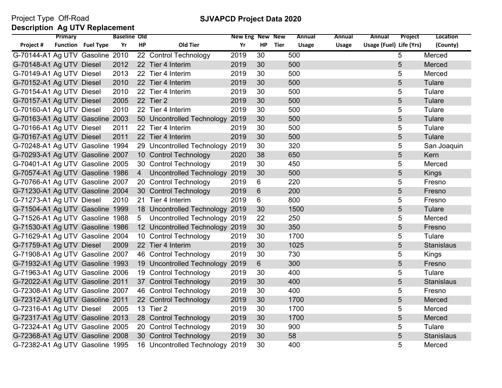# **SJVAPCD Project Data 2020**

|                                 | <b>Primary</b> |                           | <b>Baseline Old</b> |                |                                 | <b>New Eng New New</b> |                |             | Annual       | <b>Annual</b> | Annual                  | Project | Location          |
|---------------------------------|----------------|---------------------------|---------------------|----------------|---------------------------------|------------------------|----------------|-------------|--------------|---------------|-------------------------|---------|-------------------|
| <b>Project #</b>                |                | <b>Function</b> Fuel Type | Yr                  | <b>HP</b>      | Old Tier                        | Yr                     | <b>HP</b>      | <b>Tier</b> | <b>Usage</b> | <b>Usage</b>  | Usage (Fuel) Life (Yrs) |         | (County)          |
| G-70144-A1 Ag UTV Gasoline 2010 |                |                           |                     |                | 22 Control Technology           | 2019                   | 30             |             | 500          |               |                         | 5       | Merced            |
| G-70148-A1 Ag UTV Diesel        |                |                           | 2012                |                | 22 Tier 4 Interim               | 2019                   | 30             |             | 500          |               |                         | 5       | Merced            |
| G-70149-A1 Ag UTV Diesel        |                |                           | 2013                |                | 22 Tier 4 Interim               | 2019                   | 30             |             | 500          |               |                         | 5       | Merced            |
| G-70152-A1 Ag UTV Diesel        |                |                           | 2010                |                | 22 Tier 4 Interim               | 2019                   | 30             |             | 500          |               |                         | 5       | Tulare            |
| G-70154-A1 Ag UTV Diesel        |                |                           | 2010                |                | 22 Tier 4 Interim               | 2019                   | 30             |             | 500          |               |                         | 5       | Tulare            |
| G-70157-A1 Ag UTV Diesel        |                |                           | 2005                |                | 22 Tier 2                       | 2019                   | 30             |             | 500          |               |                         | 5       | Tulare            |
| G-70160-A1 Ag UTV Diesel        |                |                           | 2010                |                | 22 Tier 4 Interim               | 2019                   | 30             |             | 500          |               |                         | 5       | Tulare            |
| G-70163-A1 Ag UTV Gasoline 2003 |                |                           |                     |                | 50 Uncontrolled Technology      | 2019                   | 30             |             | 500          |               |                         | 5       | Tulare            |
| G-70166-A1 Ag UTV Diesel        |                |                           | 2011                |                | 22 Tier 4 Interim               | 2019                   | 30             |             | 500          |               |                         | 5       | Tulare            |
| G-70167-A1 Ag UTV Diesel        |                |                           | 2011                |                | 22 Tier 4 Interim               | 2019                   | 30             |             | 500          |               |                         | 5       | Tulare            |
| G-70248-A1 Ag UTV Gasoline 1994 |                |                           |                     |                | 29 Uncontrolled Technology      | 2019                   | 30             |             | 320          |               |                         | 5       | San Joaquin       |
| G-70293-A1 Ag UTV Gasoline 2007 |                |                           |                     |                | 10 Control Technology           | 2020                   | 38             |             | 650          |               |                         | 5       | Kern              |
| G-70401-A1 Ag UTV Gasoline 2005 |                |                           |                     |                | 30 Control Technology           | 2019                   | 30             |             | 450          |               |                         | 5       | Merced            |
| G-70574-A1 Ag UTV Gasoline 1986 |                |                           |                     |                | 4 Uncontrolled Technology       | 2019                   | 30             |             | 500          |               |                         | 5       | <b>Kings</b>      |
| G-70766-A1 Ag UTV Gasoline 2007 |                |                           |                     |                | 20 Control Technology           | 2019                   | 6              |             | 220          |               |                         | 5       | Fresno            |
| G-71230-A1 Ag UTV Gasoline 2004 |                |                           |                     |                | 30 Control Technology           | 2019                   | $6\phantom{1}$ |             | 200          |               |                         | 5       | Fresno            |
| G-71273-A1 Ag UTV Diesel        |                |                           | 2010                |                | 21 Tier 4 Interim               | 2019                   | 6              |             | 800          |               |                         | 5       | Fresno            |
| G-71504-A1 Ag UTV Gasoline 1999 |                |                           |                     |                | 18 Uncontrolled Technology 2019 |                        | 30             |             | 1500         |               |                         | 5       | Tulare            |
| G-71526-A1 Ag UTV Gasoline 1988 |                |                           |                     | 5 <sup>5</sup> | Uncontrolled Technology 2019    |                        | 22             |             | 250          |               |                         | 5       | Merced            |
| G-71530-A1 Ag UTV Gasoline 1986 |                |                           |                     |                | 12 Uncontrolled Technology 2019 |                        | 30             |             | 350          |               |                         | 5       | Fresno            |
| G-71629-A1 Ag UTV Gasoline 2004 |                |                           |                     |                | 10 Control Technology           | 2019                   | 30             |             | 1700         |               |                         | 5       | Tulare            |
| G-71759-A1 Ag UTV Diesel        |                |                           | 2009                |                | 22 Tier 4 Interim               | 2019                   | 30             |             | 1025         |               |                         | 5       | Stanislaus        |
| G-71908-A1 Ag UTV Gasoline 2007 |                |                           |                     |                | 46 Control Technology           | 2019                   | 30             |             | 730          |               |                         | 5       | Kings             |
| G-71932-A1 Ag UTV Gasoline 1993 |                |                           |                     |                | 19 Uncontrolled Technology      | 2019                   | $6\phantom{.}$ |             | 300          |               |                         | 5       | Fresno            |
| G-71963-A1 Ag UTV Gasoline 2006 |                |                           |                     |                | 19 Control Technology           | 2019                   | 30             |             | 400          |               |                         | 5       | Tulare            |
| G-72022-A1 Ag UTV Gasoline 2011 |                |                           |                     |                | 37 Control Technology           | 2019                   | 30             |             | 400          |               |                         | 5       | <b>Stanislaus</b> |
| G-72308-A1 Ag UTV Gasoline 2007 |                |                           |                     |                | 46 Control Technology           | 2019                   | 30             |             | 400          |               |                         | 5       | Fresno            |
| G-72312-A1 Ag UTV Gasoline 2011 |                |                           |                     |                | 22 Control Technology           | 2019                   | 30             |             | 1700         |               |                         | 5       | Merced            |
| G-72316-A1 Ag UTV Diesel        |                |                           | 2005                |                | 13 Tier 2                       | 2019                   | 30             |             | 1700         |               |                         | 5       | Merced            |
| G-72317-A1 Ag UTV Gasoline 2013 |                |                           |                     |                | 28 Control Technology           | 2019                   | 30             |             | 1700         |               |                         | 5       | Merced            |
| G-72324-A1 Ag UTV Gasoline 2005 |                |                           |                     |                | 20 Control Technology           | 2019                   | 30             |             | 900          |               |                         | 5       | Tulare            |
| G-72368-A1 Ag UTV Gasoline 2008 |                |                           |                     |                | 30 Control Technology           | 2019                   | 30             |             | 58           |               |                         | 5       | <b>Stanislaus</b> |
| G-72382-A1 Ag UTV Gasoline 1995 |                |                           |                     |                | 16 Uncontrolled Technology      | 2019                   | 30             |             | 400          |               |                         | 5       | Merced            |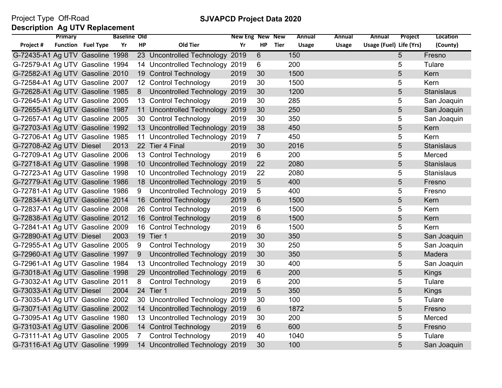# **SJVAPCD Project Data 2020**

|                                 | Primary |                           | <b>Baseline Old</b> |                |                                 | New Eng New New |                  |             | <b>Annual</b> | Annual       | <b>Annual</b>           | Project | Location          |
|---------------------------------|---------|---------------------------|---------------------|----------------|---------------------------------|-----------------|------------------|-------------|---------------|--------------|-------------------------|---------|-------------------|
| Project #                       |         | <b>Function</b> Fuel Type | Yr                  | HP             | Old Tier                        | Yr              | <b>HP</b>        | <b>Tier</b> | <b>Usage</b>  | <b>Usage</b> | Usage (Fuel) Life (Yrs) |         | (County)          |
| G-72435-A1 Ag UTV Gasoline 1998 |         |                           |                     |                | 23 Uncontrolled Technology 2019 |                 | $6 \overline{6}$ |             | 150           |              |                         | 5       | Fresno            |
| G-72579-A1 Ag UTV Gasoline 1994 |         |                           |                     |                | 14 Uncontrolled Technology 2019 |                 | 6                |             | 200           |              |                         | 5       | Tulare            |
| G-72582-A1 Ag UTV Gasoline 2010 |         |                           |                     |                | 19 Control Technology           | 2019            | 30               |             | 1500          |              |                         | 5       | Kern              |
| G-72584-A1 Ag UTV Gasoline 2007 |         |                           |                     |                | 12 Control Technology           | 2019            | 30               |             | 1500          |              |                         | 5       | Kern              |
| G-72628-A1 Ag UTV Gasoline 1985 |         |                           |                     |                | 8 Uncontrolled Technology 2019  |                 | 30               |             | 1200          |              |                         | 5       | <b>Stanislaus</b> |
| G-72645-A1 Ag UTV Gasoline 2005 |         |                           |                     |                | 13 Control Technology           | 2019            | 30               |             | 285           |              |                         | 5       | San Joaquin       |
| G-72655-A1 Ag UTV Gasoline 1987 |         |                           |                     |                | 11 Uncontrolled Technology 2019 |                 | 30               |             | 250           |              |                         | 5       | San Joaquin       |
| G-72657-A1 Ag UTV Gasoline 2005 |         |                           |                     |                | 30 Control Technology           | 2019            | 30               |             | 350           |              |                         | 5       | San Joaquin       |
| G-72703-A1 Ag UTV Gasoline 1992 |         |                           |                     |                | 13 Uncontrolled Technology 2019 |                 | 38               |             | 450           |              |                         | 5       | Kern              |
| G-72706-A1 Ag UTV Gasoline 1985 |         |                           |                     |                | 11 Uncontrolled Technology 2019 |                 | $7^{\circ}$      |             | 450           |              |                         | 5       | Kern              |
| G-72708-A2 Ag UTV Diesel        |         |                           | 2013                |                | 22 Tier 4 Final                 | 2019            | 30               |             | 2016          |              |                         | 5       | <b>Stanislaus</b> |
| G-72709-A1 Ag UTV Gasoline 2006 |         |                           |                     |                | 13 Control Technology           | 2019            | 6                |             | 200           |              |                         | 5       | Merced            |
| G-72718-A1 Ag UTV Gasoline 1998 |         |                           |                     |                | 10 Uncontrolled Technology 2019 |                 | 22               |             | 2080          |              |                         | 5       | <b>Stanislaus</b> |
| G-72723-A1 Ag UTV Gasoline 1998 |         |                           |                     |                | 10 Uncontrolled Technology 2019 |                 | 22               |             | 2080          |              |                         | 5       | <b>Stanislaus</b> |
| G-72779-A1 Ag UTV Gasoline 1986 |         |                           |                     |                | 18 Uncontrolled Technology 2019 |                 | 5                |             | 400           |              |                         | 5       | Fresno            |
| G-72781-A1 Ag UTV Gasoline 1986 |         |                           |                     | 9              | Uncontrolled Technology 2019    |                 | 5                |             | 400           |              |                         | 5       | Fresno            |
| G-72834-A1 Ag UTV Gasoline 2014 |         |                           |                     |                | 16 Control Technology           | 2019            | $6\phantom{1}$   |             | 1500          |              |                         | 5       | Kern              |
| G-72837-A1 Ag UTV Gasoline 2008 |         |                           |                     |                | 26 Control Technology           | 2019            | 6                |             | 1500          |              |                         | 5       | Kern              |
| G-72838-A1 Ag UTV Gasoline 2012 |         |                           |                     |                | 16 Control Technology           | 2019            | $6\phantom{1}$   |             | 1500          |              |                         | 5       | Kern              |
| G-72841-A1 Ag UTV Gasoline 2009 |         |                           |                     |                | 16 Control Technology           | 2019            | 6                |             | 1500          |              |                         | 5       | Kern              |
| G-72890-A1 Ag UTV Diesel        |         |                           | 2003                |                | 19 Tier 1                       | 2019            | 30               |             | 350           |              |                         | 5       | San Joaquin       |
| G-72955-A1 Ag UTV Gasoline 2005 |         |                           |                     | 9              | <b>Control Technology</b>       | 2019            | 30               |             | 250           |              |                         | 5       | San Joaquin       |
| G-72960-A1 Ag UTV Gasoline 1997 |         |                           |                     | $9^{\circ}$    | Uncontrolled Technology 2019    |                 | 30               |             | 350           |              |                         | 5       | Madera            |
| G-72961-A1 Ag UTV Gasoline 1984 |         |                           |                     |                | 13 Uncontrolled Technology 2019 |                 | 30               |             | 400           |              |                         | 5       | San Joaquin       |
| G-73018-A1 Ag UTV Gasoline 1998 |         |                           |                     |                | 29 Uncontrolled Technology 2019 |                 | 6                |             | 200           |              |                         | 5       | <b>Kings</b>      |
| G-73032-A1 Ag UTV Gasoline 2011 |         |                           |                     | 8              | <b>Control Technology</b>       | 2019            | 6                |             | 200           |              |                         | 5       | Tulare            |
| G-73033-A1 Ag UTV Diesel        |         |                           | 2004                |                | 24 Tier 1                       | 2019            | $\sqrt{5}$       |             | 350           |              |                         | 5       | <b>Kings</b>      |
| G-73035-A1 Ag UTV Gasoline 2002 |         |                           |                     |                | 30 Uncontrolled Technology 2019 |                 | 30               |             | 100           |              |                         | 5       | Tulare            |
| G-73071-A1 Ag UTV Gasoline 2002 |         |                           |                     |                | 14 Uncontrolled Technology 2019 |                 | $6 \overline{6}$ |             | 1872          |              |                         | 5       | Fresno            |
| G-73095-A1 Ag UTV Gasoline 1980 |         |                           |                     |                | 13 Uncontrolled Technology 2019 |                 | 30               |             | 200           |              |                         | 5       | Merced            |
| G-73103-A1 Ag UTV Gasoline 2006 |         |                           |                     |                | 14 Control Technology           | 2019            | 6                |             | 600           |              |                         | 5       | Fresno            |
| G-73111-A1 Ag UTV Gasoline 2005 |         |                           |                     | 7 <sup>7</sup> | <b>Control Technology</b>       | 2019            | 40               |             | 1040          |              |                         | 5       | Tulare            |
| G-73116-A1 Ag UTV Gasoline 1999 |         |                           |                     |                | 14 Uncontrolled Technology 2019 |                 | 30               |             | 100           |              |                         | 5       | San Joaquin       |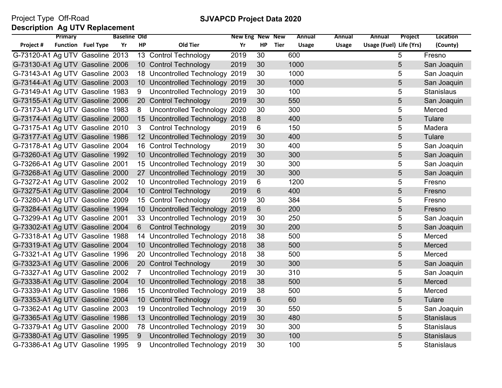# **SJVAPCD Project Data 2020**

|                                 | Primary |                           | <b>Baseline Old</b> |                |                                 | <b>New Eng New New</b> |                |             | <b>Annual</b> | <b>Annual</b> | <b>Annual</b>           | <b>Project</b> | Location          |
|---------------------------------|---------|---------------------------|---------------------|----------------|---------------------------------|------------------------|----------------|-------------|---------------|---------------|-------------------------|----------------|-------------------|
| <b>Project #</b>                |         | <b>Function</b> Fuel Type | Yr                  | <b>HP</b>      | Old Tier                        | Yr                     | <b>HP</b>      | <b>Tier</b> | <b>Usage</b>  | <b>Usage</b>  | Usage (Fuel) Life (Yrs) |                | (County)          |
| G-73120-A1 Ag UTV Gasoline 2013 |         |                           |                     |                | 13 Control Technology           | 2019                   | 30             |             | 600           |               |                         | 5              | Fresno            |
| G-73130-A1 Ag UTV Gasoline 2006 |         |                           |                     |                | 10 Control Technology           | 2019                   | 30             |             | 1000          |               |                         | 5              | San Joaquin       |
| G-73143-A1 Ag UTV Gasoline 2003 |         |                           |                     |                | 18 Uncontrolled Technology 2019 |                        | 30             |             | 1000          |               |                         | 5              | San Joaquin       |
| G-73144-A1 Ag UTV Gasoline 2003 |         |                           |                     |                | 10 Uncontrolled Technology 2019 |                        | 30             |             | 1000          |               |                         | 5              | San Joaquin       |
| G-73149-A1 Ag UTV Gasoline 1983 |         |                           |                     | 9              | Uncontrolled Technology 2019    |                        | 30             |             | 100           |               |                         | 5              | <b>Stanislaus</b> |
| G-73155-A1 Ag UTV Gasoline 2006 |         |                           |                     |                | 20 Control Technology           | 2019                   | 30             |             | 550           |               |                         | $\sqrt{5}$     | San Joaquin       |
| G-73173-A1 Ag UTV Gasoline 1983 |         |                           |                     | 8              | Uncontrolled Technology 2020    |                        | 30             |             | 300           |               |                         | 5              | Merced            |
| G-73174-A1 Ag UTV Gasoline 2000 |         |                           |                     |                | 15 Uncontrolled Technology 2018 |                        | 8              |             | 400           |               |                         | 5              | Tulare            |
| G-73175-A1 Ag UTV Gasoline 2010 |         |                           |                     | 3              | <b>Control Technology</b>       | 2019                   | 6              |             | 150           |               |                         | 5              | Madera            |
| G-73177-A1 Ag UTV Gasoline 1986 |         |                           |                     |                | 12 Uncontrolled Technology      | 2019                   | 30             |             | 400           |               |                         | 5              | Tulare            |
| G-73178-A1 Ag UTV Gasoline 2004 |         |                           |                     |                | 16 Control Technology           | 2019                   | 30             |             | 400           |               |                         | 5              | San Joaquin       |
| G-73260-A1 Ag UTV Gasoline 1992 |         |                           |                     |                | 10 Uncontrolled Technology 2019 |                        | 30             |             | 300           |               |                         | 5              | San Joaquin       |
| G-73266-A1 Ag UTV Gasoline 2001 |         |                           |                     |                | 15 Uncontrolled Technology 2019 |                        | 30             |             | 300           |               |                         | 5              | San Joaquin       |
| G-73268-A1 Ag UTV Gasoline 2000 |         |                           |                     |                | 27 Uncontrolled Technology 2019 |                        | 30             |             | 300           |               |                         | 5              | San Joaquin       |
| G-73272-A1 Ag UTV Gasoline 2002 |         |                           |                     |                | 10 Uncontrolled Technology 2019 |                        | 6              |             | 1200          |               |                         | 5              | Fresno            |
| G-73275-A1 Ag UTV Gasoline 2004 |         |                           |                     |                | 10 Control Technology           | 2019                   | $6\phantom{1}$ |             | 400           |               |                         | 5              | Fresno            |
| G-73280-A1 Ag UTV Gasoline 2009 |         |                           |                     |                | 15 Control Technology           | 2019                   | 30             |             | 384           |               |                         | 5              | Fresno            |
| G-73284-A1 Ag UTV Gasoline 1994 |         |                           |                     |                | 10 Uncontrolled Technology      | 2019                   | $6\phantom{1}$ |             | 200           |               |                         | 5              | Fresno            |
| G-73299-A1 Ag UTV Gasoline 2001 |         |                           |                     |                | 33 Uncontrolled Technology 2019 |                        | 30             |             | 250           |               |                         | 5              | San Joaquin       |
| G-73302-A1 Ag UTV Gasoline 2004 |         |                           |                     |                | 6 Control Technology            | 2019                   | 30             |             | 200           |               |                         | $\sqrt{5}$     | San Joaquin       |
| G-73318-A1 Ag UTV Gasoline 1988 |         |                           |                     |                | 14 Uncontrolled Technology 2018 |                        | 38             |             | 500           |               |                         | 5              | Merced            |
| G-73319-A1 Ag UTV Gasoline 2004 |         |                           |                     |                | 10 Uncontrolled Technology 2018 |                        | 38             |             | 500           |               |                         | 5              | Merced            |
| G-73321-A1 Ag UTV Gasoline 1996 |         |                           |                     |                | 20 Uncontrolled Technology 2018 |                        | 38             |             | 500           |               |                         | 5              | Merced            |
| G-73323-A1 Ag UTV Gasoline 2006 |         |                           |                     |                | 20 Control Technology           | 2019                   | 30             |             | 300           |               |                         | $\sqrt{5}$     | San Joaquin       |
| G-73327-A1 Ag UTV Gasoline 2002 |         |                           |                     | 7 <sup>1</sup> | Uncontrolled Technology 2019    |                        | 30             |             | 310           |               |                         | 5              | San Joaquin       |
| G-73338-A1 Ag UTV Gasoline 2004 |         |                           |                     |                | 10 Uncontrolled Technology 2018 |                        | 38             |             | 500           |               |                         | 5              | Merced            |
| G-73339-A1 Ag UTV Gasoline 1986 |         |                           |                     |                | 15 Uncontrolled Technology 2019 |                        | 38             |             | 500           |               |                         | 5              | Merced            |
| G-73353-A1 Ag UTV Gasoline 2004 |         |                           |                     |                | 10 Control Technology           | 2019                   | $6\phantom{.}$ |             | 60            |               |                         | $\overline{5}$ | Tulare            |
| G-73362-A1 Ag UTV Gasoline 2003 |         |                           |                     |                | 19 Uncontrolled Technology 2019 |                        | 30             |             | 550           |               |                         | 5              | San Joaquin       |
| G-73365-A1 Ag UTV Gasoline 1986 |         |                           |                     |                | 13 Uncontrolled Technology 2019 |                        | 30             |             | 480           |               |                         | 5              | <b>Stanislaus</b> |
| G-73379-A1 Ag UTV Gasoline 2000 |         |                           |                     |                | 78 Uncontrolled Technology 2019 |                        | 30             |             | 300           |               |                         | 5              | <b>Stanislaus</b> |
| G-73380-A1 Ag UTV Gasoline 1995 |         |                           |                     | $9^{\circ}$    | Uncontrolled Technology 2019    |                        | 30             |             | 100           |               |                         | 5              | <b>Stanislaus</b> |
| G-73386-A1 Ag UTV Gasoline 1995 |         |                           |                     | 9              | Uncontrolled Technology 2019    |                        | 30             |             | 100           |               |                         | 5              | Stanislaus        |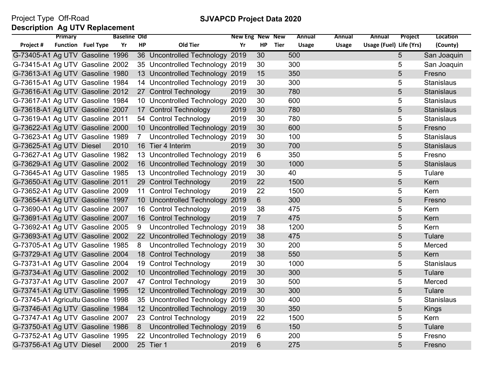# **Description Ag UTV Replacement**

|                                    | Primary |                           | <b>Baseline Old</b> |                |                                 | New Eng New New |                |      | Annual       | Annual       | Annual                  | Project        | Location          |
|------------------------------------|---------|---------------------------|---------------------|----------------|---------------------------------|-----------------|----------------|------|--------------|--------------|-------------------------|----------------|-------------------|
| Project #                          |         | <b>Function</b> Fuel Type | Yr                  | HP             | Old Tier                        | Yr              | HP             | Tier | <b>Usage</b> | <b>Usage</b> | Usage (Fuel) Life (Yrs) |                | (County)          |
| G-73405-A1 Ag UTV Gasoline 1996    |         |                           |                     |                | 36 Uncontrolled Technology 2019 |                 | 30             |      | 500          |              |                         | 5 <sup>5</sup> | San Joaquin       |
| G-73415-A1 Ag UTV Gasoline 2002    |         |                           |                     |                | 35 Uncontrolled Technology 2019 |                 | 30             |      | 300          |              |                         | 5              | San Joaquin       |
| G-73613-A1 Ag UTV Gasoline 1980    |         |                           |                     |                | 13 Uncontrolled Technology 2019 |                 | 15             |      | 350          |              |                         | 5              | Fresno            |
| G-73615-A1 Ag UTV Gasoline 1984    |         |                           |                     |                | 14 Uncontrolled Technology 2019 |                 | 30             |      | 300          |              |                         | 5              | Stanislaus        |
| G-73616-A1 Ag UTV Gasoline 2012    |         |                           |                     |                | 27 Control Technology           | 2019            | 30             |      | 780          |              |                         | 5              | <b>Stanislaus</b> |
| G-73617-A1 Ag UTV Gasoline 1984    |         |                           |                     |                | 10 Uncontrolled Technology      | 2020            | 30             |      | 600          |              |                         | 5              | <b>Stanislaus</b> |
| G-73618-A1 Ag UTV Gasoline 2007    |         |                           |                     |                | 17 Control Technology           | 2019            | 30             |      | 780          |              |                         | 5              | <b>Stanislaus</b> |
| G-73619-A1 Ag UTV Gasoline 2011    |         |                           |                     |                | 54 Control Technology           | 2019            | 30             |      | 780          |              |                         | 5              | Stanislaus        |
| G-73622-A1 Ag UTV Gasoline 2000    |         |                           |                     |                | 10 Uncontrolled Technology 2019 |                 | 30             |      | 600          |              |                         | 5              | Fresno            |
| G-73623-A1 Ag UTV Gasoline 1989    |         |                           |                     | 7              | Uncontrolled Technology 2019    |                 | 30             |      | 100          |              |                         | 5              | <b>Stanislaus</b> |
| G-73625-A1 Ag UTV Diesel           |         |                           | 2010                |                | 16 Tier 4 Interim               | 2019            | 30             |      | 700          |              |                         | 5              | <b>Stanislaus</b> |
| G-73627-A1 Ag UTV Gasoline 1982    |         |                           |                     |                | 13 Uncontrolled Technology 2019 |                 | 6              |      | 350          |              |                         | 5              | Fresno            |
| G-73629-A1 Ag UTV Gasoline 2002    |         |                           |                     |                | 16 Uncontrolled Technology 2019 |                 | 30             |      | 1000         |              |                         | $\sqrt{5}$     | Stanislaus        |
| G-73645-A1 Ag UTV Gasoline 1985    |         |                           |                     |                | 13 Uncontrolled Technology 2019 |                 | 30             |      | 40           |              |                         | 5              | Tulare            |
| G-73650-A1 Ag UTV Gasoline 2011    |         |                           |                     |                | 29 Control Technology           | 2019            | 22             |      | 1500         |              |                         | 5              | Kern              |
| G-73652-A1 Ag UTV Gasoline 2009    |         |                           |                     |                | 11 Control Technology           | 2019            | 22             |      | 1500         |              |                         | 5              | Kern              |
| G-73654-A1 Ag UTV Gasoline 1997    |         |                           |                     |                | 10 Uncontrolled Technology      | 2019            | 6              |      | 300          |              |                         | 5              | Fresno            |
| G-73690-A1 Ag UTV Gasoline 2007    |         |                           |                     |                | 16 Control Technology           | 2019            | 38             |      | 475          |              |                         | 5              | Kern              |
| G-73691-A1 Ag UTV Gasoline 2007    |         |                           |                     |                | 16 Control Technology           | 2019            | $\overline{7}$ |      | 475          |              |                         | 5              | Kern              |
| G-73692-A1 Ag UTV Gasoline 2005    |         |                           |                     | 9              | Uncontrolled Technology 2019    |                 | 38             |      | 1200         |              |                         | 5              | Kern              |
| G-73693-A1 Ag UTV Gasoline 2002    |         |                           |                     |                | 22 Uncontrolled Technology 2019 |                 | 38             |      | 475          |              |                         | $\sqrt{5}$     | Tulare            |
| G-73705-A1 Ag UTV Gasoline 1985    |         |                           |                     | 8              | Uncontrolled Technology 2019    |                 | 30             |      | 200          |              |                         | 5              | Merced            |
| G-73729-A1 Ag UTV Gasoline 2004    |         |                           |                     |                | 18 Control Technology           | 2019            | 38             |      | 550          |              |                         | $\sqrt{5}$     | Kern              |
| G-73731-A1 Ag UTV Gasoline 2004    |         |                           |                     |                | 19 Control Technology           | 2019            | 30             |      | 1000         |              |                         | 5              | <b>Stanislaus</b> |
| G-73734-A1 Ag UTV Gasoline 2002    |         |                           |                     |                | 10 Uncontrolled Technology      | 2019            | 30             |      | 300          |              |                         | 5              | Tulare            |
| G-73737-A1 Ag UTV Gasoline 2007    |         |                           |                     |                | 47 Control Technology           | 2019            | 30             |      | 500          |              |                         | 5              | Merced            |
| G-73741-A1 Ag UTV Gasoline 1995    |         |                           |                     |                | 12 Uncontrolled Technology 2019 |                 | 30             |      | 300          |              |                         | 5              | Tulare            |
| G-73745-A1 Agricultu Gasoline 1998 |         |                           |                     |                | 35 Uncontrolled Technology 2019 |                 | 30             |      | 400          |              |                         | 5              | Stanislaus        |
| G-73746-A1 Ag UTV Gasoline 1984    |         |                           |                     |                | 12 Uncontrolled Technology 2019 |                 | 30             |      | 350          |              |                         | 5              | <b>Kings</b>      |
| G-73747-A1 Ag UTV Gasoline 2007    |         |                           |                     |                | 23 Control Technology           | 2019            | 22             |      | 1500         |              |                         | 5              | Kern              |
| G-73750-A1 Ag UTV Gasoline 1986    |         |                           |                     | 8 <sup>1</sup> | Uncontrolled Technology 2019    |                 | $6\phantom{1}$ |      | 150          |              |                         | 5              | Tulare            |
| G-73752-A1 Ag UTV Gasoline 1995    |         |                           |                     |                | 22 Uncontrolled Technology 2019 |                 | 6              |      | 200          |              |                         | 5              | Fresno            |
| G-73756-A1 Ag UTV Diesel           |         |                           | 2000                |                | 25 Tier 1                       | 2019            | $6\phantom{1}$ |      | 275          |              |                         | 5              | Fresno            |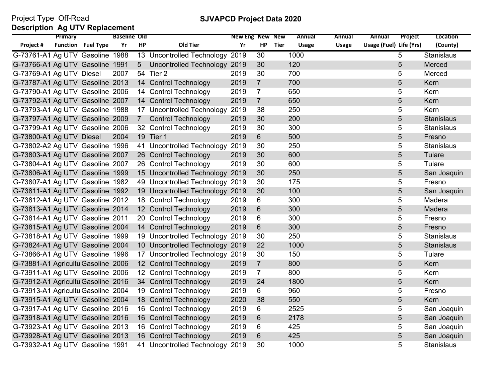# **SJVAPCD Project Data 2020**

|                                    | <b>Primary</b> |                           | <b>Baseline Old</b> |                |                                 | New Eng New New |                |      | Annual       | Annual | Annual                  | Project    | Location          |
|------------------------------------|----------------|---------------------------|---------------------|----------------|---------------------------------|-----------------|----------------|------|--------------|--------|-------------------------|------------|-------------------|
| Project #                          |                | <b>Function</b> Fuel Type | Yr                  | HP             | Old Tier                        | Yr              | HP             | Tier | <b>Usage</b> | Usage  | Usage (Fuel) Life (Yrs) |            | (County)          |
| G-73761-A1 Ag UTV Gasoline 1988    |                |                           |                     |                | 13 Uncontrolled Technology 2019 |                 | 30             |      | 1000         |        |                         | 5          | <b>Stanislaus</b> |
| G-73766-A1 Ag UTV Gasoline 1991    |                |                           |                     | $5^{\circ}$    | Uncontrolled Technology 2019    |                 | 30             |      | 120          |        |                         | 5          | Merced            |
| G-73769-A1 Ag UTV Diesel           |                |                           | 2007                |                | 54 Tier 2                       | 2019            | 30             |      | 700          |        |                         | 5          | Merced            |
| G-73787-A1 Ag UTV Gasoline 2013    |                |                           |                     |                | 14 Control Technology           | 2019            | 7 <sup>1</sup> |      | 700          |        |                         | 5          | Kern              |
| G-73790-A1 Ag UTV Gasoline 2006    |                |                           |                     |                | 14 Control Technology           | 2019            | $\overline{7}$ |      | 650          |        |                         | 5          | Kern              |
| G-73792-A1 Ag UTV Gasoline 2007    |                |                           |                     |                | 14 Control Technology           | 2019            | $\overline{7}$ |      | 650          |        |                         | 5          | Kern              |
| G-73793-A1 Ag UTV Gasoline 1988    |                |                           |                     |                | 17 Uncontrolled Technology      | 2019            | 38             |      | 250          |        |                         | 5          | Kern              |
| G-73797-A1 Ag UTV Gasoline 2009    |                |                           |                     | 7 <sup>7</sup> | <b>Control Technology</b>       | 2019            | 30             |      | 200          |        |                         | 5          | <b>Stanislaus</b> |
| G-73799-A1 Ag UTV Gasoline 2006    |                |                           |                     |                | 32 Control Technology           | 2019            | 30             |      | 300          |        |                         | 5          | Stanislaus        |
| G-73800-A1 Ag UTV Diesel           |                |                           | 2004                |                | 19 Tier 1                       | 2019            | 6              |      | 500          |        |                         | $\sqrt{5}$ | Fresno            |
| G-73802-A2 Ag UTV Gasoline 1996    |                |                           |                     |                | 41 Uncontrolled Technology      | 2019            | 30             |      | 250          |        |                         | 5          | <b>Stanislaus</b> |
| G-73803-A1 Ag UTV Gasoline 2007    |                |                           |                     |                | 26 Control Technology           | 2019            | 30             |      | 600          |        |                         | 5          | Tulare            |
| G-73804-A1 Ag UTV Gasoline 2007    |                |                           |                     |                | 26 Control Technology           | 2019            | 30             |      | 600          |        |                         | 5          | Tulare            |
| G-73806-A1 Ag UTV Gasoline 1999    |                |                           |                     |                | 15 Uncontrolled Technology 2019 |                 | 30             |      | 250          |        |                         | 5          | San Joaquin       |
| G-73807-A1 Ag UTV Gasoline 1982    |                |                           |                     |                | 49 Uncontrolled Technology 2019 |                 | 30             |      | 175          |        |                         | 5          | Fresno            |
| G-73811-A1 Ag UTV Gasoline 1992    |                |                           |                     |                | 19 Uncontrolled Technology 2019 |                 | 30             |      | 100          |        |                         | 5          | San Joaquin       |
| G-73812-A1 Ag UTV Gasoline 2012    |                |                           |                     |                | 18 Control Technology           | 2019            | 6              |      | 300          |        |                         | 5          | Madera            |
| G-73813-A1 Ag UTV Gasoline 2014    |                |                           |                     |                | 12 Control Technology           | 2019            | $\,6$          |      | 300          |        |                         | 5          | Madera            |
| G-73814-A1 Ag UTV Gasoline 2011    |                |                           |                     |                | 20 Control Technology           | 2019            | 6              |      | 300          |        |                         | 5          | Fresno            |
| G-73815-A1 Ag UTV Gasoline 2004    |                |                           |                     |                | 14 Control Technology           | 2019            | $6\phantom{1}$ |      | 300          |        |                         | 5          | Fresno            |
| G-73818-A1 Ag UTV Gasoline 1999    |                |                           |                     |                | 19 Uncontrolled Technology 2019 |                 | 30             |      | 250          |        |                         | 5          | <b>Stanislaus</b> |
| G-73824-A1 Ag UTV Gasoline 2004    |                |                           |                     |                | 10 Uncontrolled Technology 2019 |                 | 22             |      | 1000         |        |                         | 5          | <b>Stanislaus</b> |
| G-73866-A1 Ag UTV Gasoline 1996    |                |                           |                     |                | 17 Uncontrolled Technology 2019 |                 | 30             |      | 150          |        |                         | 5          | Tulare            |
| G-73881-A1 Agricultu Gasoline 2006 |                |                           |                     |                | 12 Control Technology           | 2019            | $\overline{7}$ |      | 800          |        |                         | $\sqrt{5}$ | Kern              |
| G-73911-A1 Ag UTV Gasoline 2006    |                |                           |                     |                | 12 Control Technology           | 2019            | $\overline{7}$ |      | 800          |        |                         | 5          | Kern              |
| G-73912-A1 Agricultu Gasoline 2016 |                |                           |                     |                | 34 Control Technology           | 2019            | 24             |      | 1800         |        |                         | 5          | Kern              |
| G-73913-A1 Agricultu Gasoline 2004 |                |                           |                     |                | 19 Control Technology           | 2019            | 6              |      | 960          |        |                         | 5          | Fresno            |
| G-73915-A1 Ag UTV Gasoline 2004    |                |                           |                     |                | 18 Control Technology           | 2020            | 38             |      | 550          |        |                         | 5          | Kern              |
| G-73917-A1 Ag UTV Gasoline 2016    |                |                           |                     |                | 16 Control Technology           | 2019            | 6              |      | 2525         |        |                         | 5          | San Joaquin       |
| G-73918-A1 Ag UTV Gasoline 2016    |                |                           |                     |                | 16 Control Technology           | 2019            | 6              |      | 2178         |        |                         | 5          | San Joaquin       |
| G-73923-A1 Ag UTV Gasoline 2013    |                |                           |                     |                | 16 Control Technology           | 2019            | 6              |      | 425          |        |                         | 5          | San Joaquin       |
| G-73928-A1 Ag UTV Gasoline 2013    |                |                           |                     |                | 16 Control Technology           | 2019            | 6              |      | 425          |        |                         | $\sqrt{5}$ | San Joaquin       |
| G-73932-A1 Ag UTV Gasoline 1991    |                |                           |                     |                | 41 Uncontrolled Technology      | 2019            | 30             |      | 1000         |        |                         | 5          | <b>Stanislaus</b> |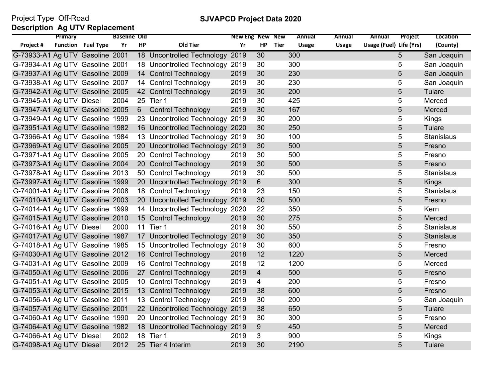# **Description Ag UTV Replacement**

|                                 | <b>Primary</b> |                           | <b>Baseline Old</b> |           |                                 | <b>New Eng New New</b> |                | <b>Annual</b> | <b>Annual</b> | Annual                  | <b>Project</b> | <b>Location</b>   |
|---------------------------------|----------------|---------------------------|---------------------|-----------|---------------------------------|------------------------|----------------|---------------|---------------|-------------------------|----------------|-------------------|
| Project#                        |                | <b>Function</b> Fuel Type | Yr                  | <b>HP</b> | Old Tier                        | Yr                     | HP Tier        | <b>Usage</b>  | <b>Usage</b>  | Usage (Fuel) Life (Yrs) |                | (County)          |
| G-73933-A1 Ag UTV Gasoline 2001 |                |                           |                     |           | 18 Uncontrolled Technology 2019 |                        | 30             | 300           |               |                         | 5              | San Joaquin       |
| G-73934-A1 Ag UTV Gasoline 2001 |                |                           |                     |           | 18 Uncontrolled Technology 2019 |                        | 30             | 300           |               |                         | 5              | San Joaquin       |
| G-73937-A1 Ag UTV Gasoline 2009 |                |                           |                     |           | 14 Control Technology           | 2019                   | 30             | 230           |               |                         | 5              | San Joaquin       |
| G-73938-A1 Ag UTV Gasoline 2007 |                |                           |                     |           | 14 Control Technology           | 2019                   | 30             | 230           |               |                         | 5              | San Joaquin       |
| G-73942-A1 Ag UTV Gasoline 2005 |                |                           |                     |           | 42 Control Technology           | 2019                   | 30             | 200           |               |                         | 5              | Tulare            |
| G-73945-A1 Ag UTV Diesel        |                |                           | 2004                |           | 25 Tier 1                       | 2019                   | 30             | 425           |               |                         | 5              | Merced            |
| G-73947-A1 Ag UTV Gasoline 2005 |                |                           |                     |           | 6 Control Technology            | 2019                   | 30             | 167           |               |                         | 5              | Merced            |
| G-73949-A1 Ag UTV Gasoline 1999 |                |                           |                     |           | 23 Uncontrolled Technology 2019 |                        | 30             | 200           |               |                         | 5              | Kings             |
| G-73951-A1 Ag UTV Gasoline 1982 |                |                           |                     |           | 16 Uncontrolled Technology 2020 |                        | 30             | 250           |               |                         | 5              | Tulare            |
| G-73966-A1 Ag UTV Gasoline 1984 |                |                           |                     |           | 13 Uncontrolled Technology 2019 |                        | 30             | 100           |               |                         | 5              | Stanislaus        |
| G-73969-A1 Ag UTV Gasoline 2005 |                |                           |                     |           | 20 Uncontrolled Technology 2019 |                        | 30             | 500           |               |                         | 5              | Fresno            |
| G-73971-A1 Ag UTV Gasoline 2005 |                |                           |                     |           | 20 Control Technology           | 2019                   | 30             | 500           |               |                         | 5              | Fresno            |
| G-73973-A1 Ag UTV Gasoline 2004 |                |                           |                     |           | 20 Control Technology           | 2019                   | 30             | 500           |               |                         | 5              | Fresno            |
| G-73978-A1 Ag UTV Gasoline 2013 |                |                           |                     |           | 50 Control Technology           | 2019                   | 30             | 500           |               |                         | 5              | Stanislaus        |
| G-73997-A1 Ag UTV Gasoline 1999 |                |                           |                     |           | 20 Uncontrolled Technology 2019 |                        | $6^{\circ}$    | 300           |               |                         | 5              | <b>Kings</b>      |
| G-74001-A1 Ag UTV Gasoline 2008 |                |                           |                     |           | 18 Control Technology           | 2019                   | 23             | 150           |               |                         | 5              | <b>Stanislaus</b> |
| G-74010-A1 Ag UTV Gasoline 2003 |                |                           |                     |           | 20 Uncontrolled Technology 2019 |                        | 30             | 500           |               |                         | 5              | Fresno            |
| G-74014-A1 Ag UTV Gasoline 1999 |                |                           |                     |           | 14 Uncontrolled Technology 2020 |                        | 22             | 350           |               |                         | 5              | Kern              |
| G-74015-A1 Ag UTV Gasoline 2010 |                |                           |                     |           | 15 Control Technology           | 2019                   | 30             | 275           |               |                         | 5              | Merced            |
| G-74016-A1 Ag UTV Diesel        |                |                           | 2000                |           | 11 Tier 1                       | 2019                   | 30             | 550           |               |                         | 5              | <b>Stanislaus</b> |
| G-74017-A1 Ag UTV Gasoline 1987 |                |                           |                     |           | 17 Uncontrolled Technology 2019 |                        | 30             | 350           |               |                         | 5              | <b>Stanislaus</b> |
| G-74018-A1 Ag UTV Gasoline 1985 |                |                           |                     |           | 15 Uncontrolled Technology 2019 |                        | 30             | 600           |               |                         | 5              | Fresno            |
| G-74030-A1 Ag UTV Gasoline 2012 |                |                           |                     |           | 16 Control Technology           | 2018                   | 12             | 1220          |               |                         | 5              | Merced            |
| G-74031-A1 Ag UTV Gasoline 2009 |                |                           |                     |           | 16 Control Technology           | 2018                   | 12             | 1200          |               |                         | 5              | Merced            |
| G-74050-A1 Ag UTV Gasoline 2006 |                |                           |                     |           | 27 Control Technology           | 2019                   | $\overline{4}$ | 500           |               |                         | 5              | Fresno            |
| G-74051-A1 Ag UTV Gasoline 2005 |                |                           |                     |           | 10 Control Technology           | 2019                   | 4              | 200           |               |                         | 5              | Fresno            |
| G-74053-A1 Ag UTV Gasoline 2015 |                |                           |                     |           | 13 Control Technology           | 2019                   | 38             | 600           |               |                         | 5              | Fresno            |
| G-74056-A1 Ag UTV Gasoline 2011 |                |                           |                     |           | 13 Control Technology           | 2019                   | 30             | 200           |               |                         | 5              | San Joaquin       |
| G-74057-A1 Ag UTV Gasoline 2001 |                |                           |                     |           | 22 Uncontrolled Technology 2019 |                        | 38             | 650           |               |                         | 5              | Tulare            |
| G-74060-A1 Ag UTV Gasoline 1990 |                |                           |                     |           | 20 Uncontrolled Technology 2019 |                        | 30             | 300           |               |                         | 5              | Fresno            |
| G-74064-A1 Ag UTV Gasoline 1982 |                |                           |                     |           | 18 Uncontrolled Technology 2019 |                        | 9              | 450           |               |                         | 5              | Merced            |
| G-74066-A1 Ag UTV Diesel        |                |                           | 2002                |           | 18 Tier 1                       | 2019                   | 3              | 900           |               |                         | 5              | Kings             |
| G-74098-A1 Ag UTV Diesel        |                |                           | 2012                |           | 25 Tier 4 Interim               | 2019                   | 30             | 2190          |               |                         | 5              | Tulare            |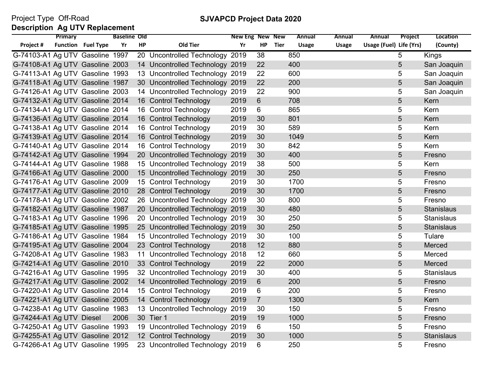# **SJVAPCD Project Data 2020**

|                                 | <b>Primary</b> |                           | <b>Baseline Old</b> |    |                                 | New Eng New New |                 |             | Annual       | Annual       | Annual                  | Project | Location          |
|---------------------------------|----------------|---------------------------|---------------------|----|---------------------------------|-----------------|-----------------|-------------|--------------|--------------|-------------------------|---------|-------------------|
| Project #                       |                | <b>Function</b> Fuel Type | Yr                  | HP | Old Tier                        | Yr              | HP              | <b>Tier</b> | <b>Usage</b> | <b>Usage</b> | Usage (Fuel) Life (Yrs) |         | (County)          |
| G-74103-A1 Ag UTV Gasoline 1997 |                |                           |                     |    | 20 Uncontrolled Technology 2019 |                 | 38              |             | 850          |              |                         | 5       | Kings             |
| G-74108-A1 Ag UTV Gasoline 2003 |                |                           |                     |    | 14 Uncontrolled Technology 2019 |                 | 22              |             | 400          |              |                         | 5       | San Joaquin       |
| G-74113-A1 Ag UTV Gasoline 1993 |                |                           |                     |    | 13 Uncontrolled Technology 2019 |                 | 22              |             | 600          |              |                         | 5       | San Joaquin       |
| G-74118-A1 Ag UTV Gasoline 1987 |                |                           |                     |    | 30 Uncontrolled Technology 2019 |                 | 22              |             | 200          |              |                         | 5       | San Joaquin       |
| G-74126-A1 Ag UTV Gasoline 2003 |                |                           |                     |    | 14 Uncontrolled Technology 2019 |                 | 22              |             | 900          |              |                         | 5       | San Joaquin       |
| G-74132-A1 Ag UTV Gasoline 2014 |                |                           |                     |    | 16 Control Technology           | 2019            | $6\phantom{1}$  |             | 708          |              |                         | 5       | Kern              |
| G-74134-A1 Ag UTV Gasoline 2014 |                |                           |                     |    | 16 Control Technology           | 2019            | 6               |             | 865          |              |                         | 5       | Kern              |
| G-74136-A1 Ag UTV Gasoline 2014 |                |                           |                     |    | 16 Control Technology           | 2019            | 30              |             | 801          |              |                         | 5       | Kern              |
| G-74138-A1 Ag UTV Gasoline 2014 |                |                           |                     |    | 16 Control Technology           | 2019            | 30              |             | 589          |              |                         | 5       | Kern              |
| G-74139-A1 Ag UTV Gasoline 2014 |                |                           |                     |    | 16 Control Technology           | 2019            | 30              |             | 1049         |              |                         | 5       | Kern              |
| G-74140-A1 Ag UTV Gasoline 2014 |                |                           |                     |    | 16 Control Technology           | 2019            | 30              |             | 842          |              |                         | 5       | Kern              |
| G-74142-A1 Ag UTV Gasoline 1994 |                |                           |                     |    | 20 Uncontrolled Technology 2019 |                 | 30              |             | 400          |              |                         | 5       | Fresno            |
| G-74144-A1 Ag UTV Gasoline 1988 |                |                           |                     |    | 15 Uncontrolled Technology 2019 |                 | 38              |             | 500          |              |                         | 5       | Kern              |
| G-74166-A1 Ag UTV Gasoline 2000 |                |                           |                     |    | 15 Uncontrolled Technology 2019 |                 | 30              |             | 250          |              |                         | 5       | Fresno            |
| G-74176-A1 Ag UTV Gasoline 2009 |                |                           |                     |    | 15 Control Technology           | 2019            | 30              |             | 1700         |              |                         | 5       | Fresno            |
| G-74177-A1 Ag UTV Gasoline 2010 |                |                           |                     |    | 28 Control Technology           | 2019            | 30              |             | 1700         |              |                         | 5       | Fresno            |
| G-74178-A1 Ag UTV Gasoline 2002 |                |                           |                     |    | 26 Uncontrolled Technology 2019 |                 | 30              |             | 800          |              |                         | 5       | Fresno            |
| G-74182-A1 Ag UTV Gasoline 1987 |                |                           |                     |    | 20 Uncontrolled Technology 2019 |                 | 30              |             | 480          |              |                         | 5       | <b>Stanislaus</b> |
| G-74183-A1 Ag UTV Gasoline 1996 |                |                           |                     |    | 20 Uncontrolled Technology 2019 |                 | 30              |             | 250          |              |                         | 5       | <b>Stanislaus</b> |
| G-74185-A1 Ag UTV Gasoline 1995 |                |                           |                     |    | 25 Uncontrolled Technology 2019 |                 | 30              |             | 250          |              |                         | 5       | <b>Stanislaus</b> |
| G-74186-A1 Ag UTV Gasoline 1984 |                |                           |                     |    | 15 Uncontrolled Technology 2019 |                 | 30              |             | 100          |              |                         | 5       | Tulare            |
| G-74195-A1 Ag UTV Gasoline 2004 |                |                           |                     |    | 23 Control Technology           | 2018            | 12              |             | 880          |              |                         | 5       | Merced            |
| G-74208-A1 Ag UTV Gasoline 1983 |                |                           |                     |    | 11 Uncontrolled Technology 2018 |                 | 12              |             | 660          |              |                         | 5       | Merced            |
| G-74214-A1 Ag UTV Gasoline 2010 |                |                           |                     |    | 33 Control Technology           | 2019            | 22              |             | 2000         |              |                         | 5       | Merced            |
| G-74216-A1 Ag UTV Gasoline 1995 |                |                           |                     |    | 32 Uncontrolled Technology 2019 |                 | 30              |             | 400          |              |                         | 5       | <b>Stanislaus</b> |
| G-74217-A1 Ag UTV Gasoline 2002 |                |                           |                     |    | 14 Uncontrolled Technology 2019 |                 | $6\phantom{1}$  |             | 200          |              |                         | 5       | Fresno            |
| G-74220-A1 Ag UTV Gasoline 2014 |                |                           |                     |    | 15 Control Technology           | 2019            | 6               |             | 200          |              |                         | 5       | Fresno            |
| G-74221-A1 Ag UTV Gasoline 2005 |                |                           |                     |    | 14 Control Technology           | 2019            | $\overline{7}$  |             | 1300         |              |                         | 5       | Kern              |
| G-74238-A1 Ag UTV Gasoline 1983 |                |                           |                     |    | 13 Uncontrolled Technology 2019 |                 | 30              |             | 150          |              |                         | 5       | Fresno            |
| G-74244-A1 Ag UTV Diesel        |                |                           | 2006                |    | 30 Tier 1                       | 2019            | 19              |             | 1000         |              |                         | 5       | Fresno            |
| G-74250-A1 Ag UTV Gasoline 1993 |                |                           |                     |    | 19 Uncontrolled Technology 2019 |                 | $6\overline{6}$ |             | 150          |              |                         | 5       | Fresno            |
| G-74255-A1 Ag UTV Gasoline 2012 |                |                           |                     |    | 12 Control Technology           | 2019            | 30              |             | 1000         |              |                         | 5       | <b>Stanislaus</b> |
| G-74266-A1 Ag UTV Gasoline 1995 |                |                           |                     |    | 23 Uncontrolled Technology 2019 |                 | 6               |             | 250          |              |                         | 5       | Fresno            |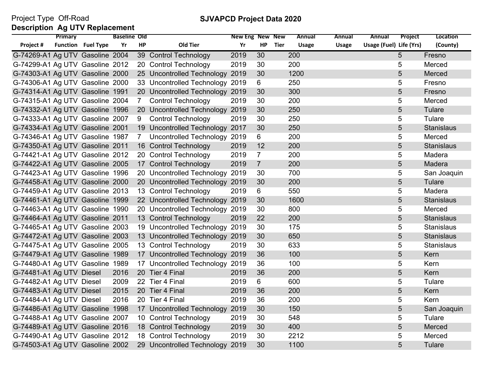# **SJVAPCD Project Data 2020**

|                                 | <b>Primary</b> |                           | <b>Baseline Old</b> |                |                                 | <b>New Eng New New</b> |                |             | <b>Annual</b> | Annual       | <b>Annual</b>           | Project | Location          |
|---------------------------------|----------------|---------------------------|---------------------|----------------|---------------------------------|------------------------|----------------|-------------|---------------|--------------|-------------------------|---------|-------------------|
| <b>Project #</b>                |                | <b>Function</b> Fuel Type | Yr                  | <b>HP</b>      | Old Tier                        | Yr                     | <b>HP</b>      | <b>Tier</b> | <b>Usage</b>  | <b>Usage</b> | Usage (Fuel) Life (Yrs) |         | (County)          |
| G-74269-A1 Ag UTV Gasoline 2004 |                |                           |                     |                | 39 Control Technology           | 2019                   | 30             |             | 200           |              |                         | 5       | Fresno            |
| G-74299-A1 Ag UTV Gasoline 2012 |                |                           |                     |                | 20 Control Technology           | 2019                   | 30             |             | 200           |              |                         | 5       | Merced            |
| G-74303-A1 Ag UTV Gasoline 2000 |                |                           |                     |                | 25 Uncontrolled Technology 2019 |                        | 30             |             | 1200          |              |                         | 5       | Merced            |
| G-74306-A1 Ag UTV Gasoline 2000 |                |                           |                     |                | 33 Uncontrolled Technology 2019 |                        | 6              |             | 250           |              |                         | 5       | Fresno            |
| G-74314-A1 Ag UTV Gasoline 1991 |                |                           |                     |                | 20 Uncontrolled Technology 2019 |                        | 30             |             | 300           |              |                         | 5       | Fresno            |
| G-74315-A1 Ag UTV Gasoline 2004 |                |                           |                     | 7 <sup>7</sup> | <b>Control Technology</b>       | 2019                   | 30             |             | 200           |              |                         | 5       | Merced            |
| G-74332-A1 Ag UTV Gasoline 1996 |                |                           |                     |                | 20 Uncontrolled Technology 2019 |                        | 30             |             | 250           |              |                         | 5       | Tulare            |
| G-74333-A1 Ag UTV Gasoline 2007 |                |                           |                     | 9              | <b>Control Technology</b>       | 2019                   | 30             |             | 250           |              |                         | 5       | Tulare            |
| G-74334-A1 Ag UTV Gasoline 2001 |                |                           |                     |                | 19 Uncontrolled Technology 2017 |                        | 30             |             | 250           |              |                         | 5       | <b>Stanislaus</b> |
| G-74346-A1 Ag UTV Gasoline 1987 |                |                           |                     | 7 <sup>7</sup> | Uncontrolled Technology 2019    |                        | 6              |             | 200           |              |                         | 5       | Merced            |
| G-74350-A1 Ag UTV Gasoline 2011 |                |                           |                     |                | 16 Control Technology           | 2019                   | 12             |             | 200           |              |                         | 5       | <b>Stanislaus</b> |
| G-74421-A1 Ag UTV Gasoline 2012 |                |                           |                     |                | 20 Control Technology           | 2019                   | $\overline{7}$ |             | 200           |              |                         | 5       | Madera            |
| G-74422-A1 Ag UTV Gasoline 2005 |                |                           |                     |                | 17 Control Technology           | 2019                   | $\overline{7}$ |             | 200           |              |                         | 5       | Madera            |
| G-74423-A1 Ag UTV Gasoline 1996 |                |                           |                     |                | 20 Uncontrolled Technology 2019 |                        | 30             |             | 700           |              |                         | 5       | San Joaquin       |
| G-74458-A1 Ag UTV Gasoline 2000 |                |                           |                     |                | 20 Uncontrolled Technology 2019 |                        | 30             |             | 200           |              |                         | 5       | Tulare            |
| G-74459-A1 Ag UTV Gasoline 2013 |                |                           |                     |                | 13 Control Technology           | 2019                   | $6\phantom{1}$ |             | 550           |              |                         | 5       | Madera            |
| G-74461-A1 Ag UTV Gasoline 1999 |                |                           |                     |                | 22 Uncontrolled Technology 2019 |                        | 30             |             | 1600          |              |                         | 5       | <b>Stanislaus</b> |
| G-74463-A1 Ag UTV Gasoline 1990 |                |                           |                     |                | 20 Uncontrolled Technology 2019 |                        | 30             |             | 800           |              |                         | 5       | Merced            |
| G-74464-A1 Ag UTV Gasoline 2011 |                |                           |                     |                | 13 Control Technology           | 2019                   | 22             |             | 200           |              |                         | 5       | <b>Stanislaus</b> |
| G-74465-A1 Ag UTV Gasoline 2003 |                |                           |                     |                | 19 Uncontrolled Technology 2019 |                        | 30             |             | 175           |              |                         | 5       | <b>Stanislaus</b> |
| G-74472-A1 Ag UTV Gasoline 2003 |                |                           |                     |                | 13 Uncontrolled Technology 2019 |                        | 30             |             | 650           |              |                         | 5       | <b>Stanislaus</b> |
| G-74475-A1 Ag UTV Gasoline 2005 |                |                           |                     |                | 13 Control Technology           | 2019                   | 30             |             | 633           |              |                         | 5       | <b>Stanislaus</b> |
| G-74479-A1 Ag UTV Gasoline 1989 |                |                           |                     |                | 17 Uncontrolled Technology 2019 |                        | 36             |             | 100           |              |                         | 5       | Kern              |
| G-74480-A1 Ag UTV Gasoline 1989 |                |                           |                     |                | 17 Uncontrolled Technology 2019 |                        | 36             |             | 100           |              |                         | 5       | Kern              |
| G-74481-A1 Ag UTV Diesel        |                |                           | 2016                |                | 20 Tier 4 Final                 | 2019                   | 36             |             | 200           |              |                         | 5       | Kern              |
| G-74482-A1 Ag UTV Diesel        |                |                           | 2009                |                | 22 Tier 4 Final                 | 2019                   | 6              |             | 600           |              |                         | 5       | Tulare            |
| G-74483-A1 Ag UTV Diesel        |                |                           | 2015                |                | 20 Tier 4 Final                 | 2019                   | 36             |             | 200           |              |                         | 5       | Kern              |
| G-74484-A1 Ag UTV Diesel        |                |                           | 2016                |                | 20 Tier 4 Final                 | 2019                   | 36             |             | 200           |              |                         | 5       | Kern              |
| G-74486-A1 Ag UTV Gasoline 1998 |                |                           |                     |                | 17 Uncontrolled Technology      | 2019                   | 30             |             | 150           |              |                         | 5       | San Joaquin       |
| G-74488-A1 Ag UTV Gasoline 2007 |                |                           |                     |                | 10 Control Technology           | 2019                   | 30             |             | 548           |              |                         | 5       | Tulare            |
| G-74489-A1 Ag UTV Gasoline 2016 |                |                           |                     |                | 18 Control Technology           | 2019                   | 30             |             | 400           |              |                         | 5       | Merced            |
| G-74490-A1 Ag UTV Gasoline 2012 |                |                           |                     |                | 18 Control Technology           | 2019                   | 30             |             | 2212          |              |                         | 5       | Merced            |
| G-74503-A1 Ag UTV Gasoline 2002 |                |                           |                     |                | 29 Uncontrolled Technology 2019 |                        | 30             |             | 1100          |              |                         | 5       | Tulare            |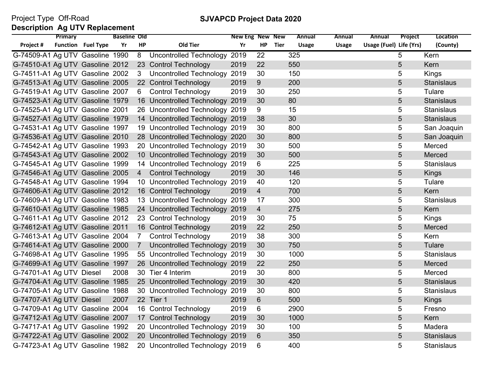# **SJVAPCD Project Data 2020**

|                                 | <b>Primary</b> |                           | <b>Baseline Old</b> |                 |                                 | New Eng New New |                |             | Annual       | Annual       | Annual                  | Project | Location          |
|---------------------------------|----------------|---------------------------|---------------------|-----------------|---------------------------------|-----------------|----------------|-------------|--------------|--------------|-------------------------|---------|-------------------|
| Project #                       |                | <b>Function</b> Fuel Type | Yr                  | HP              | Old Tier                        | Yr              | HP             | <b>Tier</b> | <b>Usage</b> | <b>Usage</b> | Usage (Fuel) Life (Yrs) |         | (County)          |
| G-74509-A1 Ag UTV Gasoline 1990 |                |                           |                     | 8               | Uncontrolled Technology 2019    |                 | 22             |             | 325          |              |                         | 5       | Kern              |
| G-74510-A1 Ag UTV Gasoline 2012 |                |                           |                     |                 | 23 Control Technology           | 2019            | 22             |             | 550          |              |                         | 5       | Kern              |
| G-74511-A1 Ag UTV Gasoline 2002 |                |                           |                     | 3               | Uncontrolled Technology 2019    |                 | 30             |             | 150          |              |                         | 5       | Kings             |
| G-74513-A1 Ag UTV Gasoline 2005 |                |                           |                     |                 | 22 Control Technology           | 2019            | 9              |             | 200          |              |                         | 5       | <b>Stanislaus</b> |
| G-74519-A1 Ag UTV Gasoline 2007 |                |                           |                     | $6\overline{6}$ | <b>Control Technology</b>       | 2019            | 30             |             | 250          |              |                         | 5       | Tulare            |
| G-74523-A1 Ag UTV Gasoline 1979 |                |                           |                     |                 | 16 Uncontrolled Technology 2019 |                 | 30             |             | 80           |              |                         | 5       | <b>Stanislaus</b> |
| G-74525-A1 Ag UTV Gasoline 2001 |                |                           |                     |                 | 26 Uncontrolled Technology 2019 |                 | 9              |             | 15           |              |                         | 5       | <b>Stanislaus</b> |
| G-74527-A1 Ag UTV Gasoline 1979 |                |                           |                     |                 | 14 Uncontrolled Technology 2019 |                 | 38             |             | 30           |              |                         | 5       | <b>Stanislaus</b> |
| G-74531-A1 Ag UTV Gasoline 1997 |                |                           |                     |                 | 19 Uncontrolled Technology 2019 |                 | 30             |             | 800          |              |                         | 5       | San Joaquin       |
| G-74536-A1 Ag UTV Gasoline 2010 |                |                           |                     |                 | 28 Uncontrolled Technology 2020 |                 | 30             |             | 800          |              |                         | 5       | San Joaquin       |
| G-74542-A1 Ag UTV Gasoline 1993 |                |                           |                     |                 | 20 Uncontrolled Technology 2019 |                 | 30             |             | 500          |              |                         | 5       | Merced            |
| G-74543-A1 Ag UTV Gasoline 2002 |                |                           |                     |                 | 10 Uncontrolled Technology 2019 |                 | 30             |             | 500          |              |                         | 5       | Merced            |
| G-74545-A1 Ag UTV Gasoline 1999 |                |                           |                     |                 | 14 Uncontrolled Technology 2019 |                 | 6              |             | 225          |              |                         | 5       | <b>Stanislaus</b> |
| G-74546-A1 Ag UTV Gasoline 2005 |                |                           |                     |                 | 4 Control Technology            | 2019            | 30             |             | 146          |              |                         | 5       | <b>Kings</b>      |
| G-74548-A1 Ag UTV Gasoline 1994 |                |                           |                     |                 | 10 Uncontrolled Technology 2019 |                 | 40             |             | 120          |              |                         | 5       | Tulare            |
| G-74606-A1 Ag UTV Gasoline 2012 |                |                           |                     |                 | 16 Control Technology           | 2019            | $\overline{4}$ |             | 700          |              |                         | 5       | Kern              |
| G-74609-A1 Ag UTV Gasoline 1983 |                |                           |                     |                 | 13 Uncontrolled Technology 2019 |                 | 17             |             | 300          |              |                         | 5       | <b>Stanislaus</b> |
| G-74610-A1 Ag UTV Gasoline 1985 |                |                           |                     |                 | 24 Uncontrolled Technology 2019 |                 | $\overline{4}$ |             | 275          |              |                         | 5       | Kern              |
| G-74611-A1 Ag UTV Gasoline 2012 |                |                           |                     |                 | 23 Control Technology           | 2019            | 30             |             | 75           |              |                         | 5       | Kings             |
| G-74612-A1 Ag UTV Gasoline 2011 |                |                           |                     |                 | 16 Control Technology           | 2019            | 22             |             | 250          |              |                         | 5       | Merced            |
| G-74613-A1 Ag UTV Gasoline 2004 |                |                           |                     |                 | 7 Control Technology            | 2019            | 38             |             | 300          |              |                         | 5       | Kern              |
| G-74614-A1 Ag UTV Gasoline 2000 |                |                           |                     | $7\overline{ }$ | Uncontrolled Technology 2019    |                 | 30             |             | 750          |              |                         | 5       | Tulare            |
| G-74698-A1 Ag UTV Gasoline 1995 |                |                           |                     |                 | 55 Uncontrolled Technology 2019 |                 | 30             |             | 1000         |              |                         | 5       | <b>Stanislaus</b> |
| G-74699-A1 Ag UTV Gasoline 1997 |                |                           |                     |                 | 26 Uncontrolled Technology 2019 |                 | 22             |             | 250          |              |                         | 5       | Merced            |
| G-74701-A1 Ag UTV Diesel        |                |                           | 2008                |                 | 30 Tier 4 Interim               | 2019            | 30             |             | 800          |              |                         | 5       | Merced            |
| G-74704-A1 Ag UTV Gasoline 1985 |                |                           |                     |                 | 25 Uncontrolled Technology 2019 |                 | 30             |             | 420          |              |                         | 5       | <b>Stanislaus</b> |
| G-74705-A1 Ag UTV Gasoline 1988 |                |                           |                     |                 | 30 Uncontrolled Technology 2019 |                 | 30             |             | 800          |              |                         | 5       | <b>Stanislaus</b> |
| G-74707-A1 Ag UTV Diesel        |                |                           | 2007                |                 | 22 Tier 1                       | 2019            | 6              |             | 500          |              |                         | 5       | <b>Kings</b>      |
| G-74709-A1 Ag UTV Gasoline 2004 |                |                           |                     |                 | 16 Control Technology           | 2019            | 6              |             | 2900         |              |                         | 5       | Fresno            |
| G-74712-A1 Ag UTV Gasoline 2007 |                |                           |                     |                 | 17 Control Technology           | 2019            | 30             |             | 1000         |              |                         | 5       | Kern              |
| G-74717-A1 Ag UTV Gasoline 1992 |                |                           |                     |                 | 20 Uncontrolled Technology 2019 |                 | 30             |             | 100          |              |                         | 5       | Madera            |
| G-74722-A1 Ag UTV Gasoline 2002 |                |                           |                     |                 | 20 Uncontrolled Technology 2019 |                 | 6              |             | 350          |              |                         | 5       | <b>Stanislaus</b> |
| G-74723-A1 Ag UTV Gasoline 1982 |                |                           |                     |                 | 20 Uncontrolled Technology 2019 |                 | 6              |             | 400          |              |                         | 5       | <b>Stanislaus</b> |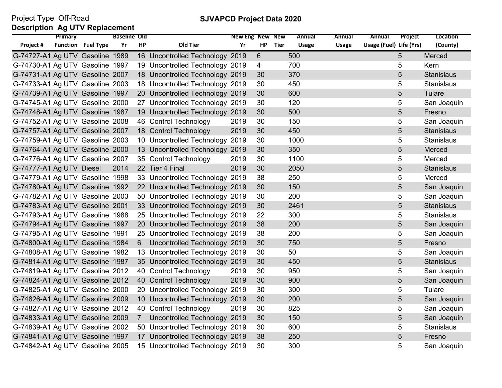# **SJVAPCD Project Data 2020**

|                                 | Primary |                           | <b>Baseline Old</b> |                |                                 | <b>New Eng New New</b> |     |             | <b>Annual</b> | Annual       | Annual                  | Project | Location          |
|---------------------------------|---------|---------------------------|---------------------|----------------|---------------------------------|------------------------|-----|-------------|---------------|--------------|-------------------------|---------|-------------------|
| Project #                       |         | <b>Function</b> Fuel Type | Yr                  | HP             | Old Tier                        | Yr                     | HP. | <b>Tier</b> | Usage         | <b>Usage</b> | Usage (Fuel) Life (Yrs) |         | (County)          |
| G-74727-A1 Ag UTV Gasoline 1989 |         |                           |                     |                | 16 Uncontrolled Technology 2019 |                        | 6   |             | 500           |              |                         | 5.      | Merced            |
| G-74730-A1 Ag UTV Gasoline 1997 |         |                           |                     |                | 19 Uncontrolled Technology 2019 |                        | 4   |             | 700           |              |                         | 5       | Kern              |
| G-74731-A1 Ag UTV Gasoline 2007 |         |                           |                     |                | 18 Uncontrolled Technology 2019 |                        | 30  |             | 370           |              |                         | 5       | <b>Stanislaus</b> |
| G-74733-A1 Ag UTV Gasoline 2003 |         |                           |                     |                | 18 Uncontrolled Technology 2019 |                        | 30  |             | 450           |              |                         | 5       | <b>Stanislaus</b> |
| G-74739-A1 Ag UTV Gasoline 1997 |         |                           |                     |                | 20 Uncontrolled Technology 2019 |                        | 30  |             | 600           |              |                         | 5       | Tulare            |
| G-74745-A1 Ag UTV Gasoline 2000 |         |                           |                     |                | 27 Uncontrolled Technology 2019 |                        | 30  |             | 120           |              |                         | 5       | San Joaquin       |
| G-74748-A1 Ag UTV Gasoline 1987 |         |                           |                     |                | 19 Uncontrolled Technology 2019 |                        | 30  |             | 500           |              |                         | 5       | Fresno            |
| G-74752-A1 Ag UTV Gasoline 2008 |         |                           |                     |                | 46 Control Technology           | 2019                   | 30  |             | 150           |              |                         | 5       | San Joaquin       |
| G-74757-A1 Ag UTV Gasoline 2007 |         |                           |                     |                | 18 Control Technology           | 2019                   | 30  |             | 450           |              |                         | 5       | <b>Stanislaus</b> |
| G-74759-A1 Ag UTV Gasoline 2003 |         |                           |                     |                | 10 Uncontrolled Technology 2019 |                        | 30  |             | 1000          |              |                         | 5       | <b>Stanislaus</b> |
| G-74764-A1 Ag UTV Gasoline 2000 |         |                           |                     |                | 13 Uncontrolled Technology 2019 |                        | 30  |             | 350           |              |                         | 5       | Merced            |
| G-74776-A1 Ag UTV Gasoline 2007 |         |                           |                     |                | 35 Control Technology           | 2019                   | 30  |             | 1100          |              |                         | 5       | Merced            |
| G-74777-A1 Ag UTV Diesel        |         |                           | 2014                |                | 22 Tier 4 Final                 | 2019                   | 30  |             | 2050          |              |                         | 5       | <b>Stanislaus</b> |
| G-74779-A1 Ag UTV Gasoline 1998 |         |                           |                     |                | 33 Uncontrolled Technology 2019 |                        | 38  |             | 250           |              |                         | 5       | Merced            |
| G-74780-A1 Ag UTV Gasoline 1992 |         |                           |                     |                | 22 Uncontrolled Technology 2019 |                        | 30  |             | 150           |              |                         | 5       | San Joaquin       |
| G-74782-A1 Ag UTV Gasoline 2003 |         |                           |                     |                | 50 Uncontrolled Technology 2019 |                        | 30  |             | 200           |              |                         | 5       | San Joaquin       |
| G-74783-A1 Ag UTV Gasoline 2001 |         |                           |                     |                | 33 Uncontrolled Technology 2019 |                        | 30  |             | 2461          |              |                         | 5       | <b>Stanislaus</b> |
| G-74793-A1 Ag UTV Gasoline 1988 |         |                           |                     |                | 25 Uncontrolled Technology 2019 |                        | 22  |             | 300           |              |                         | 5       | <b>Stanislaus</b> |
| G-74794-A1 Ag UTV Gasoline 1997 |         |                           |                     |                | 20 Uncontrolled Technology 2019 |                        | 38  |             | 200           |              |                         | 5       | San Joaquin       |
| G-74795-A1 Ag UTV Gasoline 1991 |         |                           |                     |                | 25 Uncontrolled Technology 2019 |                        | 38  |             | 200           |              |                         | 5       | San Joaquin       |
| G-74800-A1 Ag UTV Gasoline 1984 |         |                           |                     | 6 <sup>1</sup> | Uncontrolled Technology 2019    |                        | 30  |             | 750           |              |                         | 5       | Fresno            |
| G-74808-A1 Ag UTV Gasoline 1982 |         |                           |                     |                | 13 Uncontrolled Technology 2019 |                        | 30  |             | 50            |              |                         | 5       | San Joaquin       |
| G-74814-A1 Ag UTV Gasoline 1987 |         |                           |                     |                | 35 Uncontrolled Technology 2019 |                        | 30  |             | 450           |              |                         | 5       | <b>Stanislaus</b> |
| G-74819-A1 Ag UTV Gasoline 2012 |         |                           |                     |                | 40 Control Technology           | 2019                   | 30  |             | 950           |              |                         | 5       | San Joaquin       |
| G-74824-A1 Ag UTV Gasoline 2012 |         |                           |                     |                | 40 Control Technology           | 2019                   | 30  |             | 900           |              |                         | 5       | San Joaquin       |
| G-74825-A1 Ag UTV Gasoline 2000 |         |                           |                     |                | 20 Uncontrolled Technology 2019 |                        | 30  |             | 300           |              |                         | 5       | Tulare            |
| G-74826-A1 Ag UTV Gasoline 2009 |         |                           |                     |                | 10 Uncontrolled Technology 2019 |                        | 30  |             | 200           |              |                         | 5       | San Joaquin       |
| G-74827-A1 Ag UTV Gasoline 2012 |         |                           |                     |                | 40 Control Technology           | 2019                   | 30  |             | 825           |              |                         | 5       | San Joaquin       |
| G-74833-A1 Ag UTV Gasoline 2009 |         |                           |                     | $7^{\circ}$    | Uncontrolled Technology 2019    |                        | 30  |             | 150           |              |                         | 5       | San Joaquin       |
| G-74839-A1 Ag UTV Gasoline 2002 |         |                           |                     |                | 50 Uncontrolled Technology 2019 |                        | 30  |             | 600           |              |                         | 5       | <b>Stanislaus</b> |
| G-74841-A1 Ag UTV Gasoline 1997 |         |                           |                     |                | 17 Uncontrolled Technology 2019 |                        | 38  |             | 250           |              |                         | 5       | Fresno            |
| G-74842-A1 Ag UTV Gasoline 2005 |         |                           |                     |                | 15 Uncontrolled Technology 2019 |                        | 30  |             | 300           |              |                         | 5       | San Joaquin       |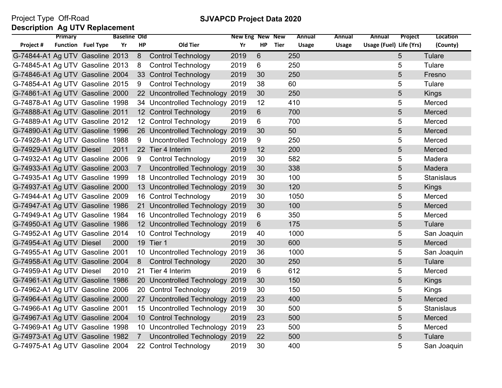# **SJVAPCD Project Data 2020**

|                                 | <b>Primary</b> |                           | <b>Baseline Old</b> |                |                                 | New Eng New New |                |      | Annual       | <b>Annual</b> | Annual                  | <b>Project</b> | Location          |
|---------------------------------|----------------|---------------------------|---------------------|----------------|---------------------------------|-----------------|----------------|------|--------------|---------------|-------------------------|----------------|-------------------|
| Project #                       |                | <b>Function</b> Fuel Type | Yr                  | <b>HP</b>      | Old Tier                        | Yr              | <b>HP</b>      | Tier | <b>Usage</b> | <b>Usage</b>  | Usage (Fuel) Life (Yrs) |                | (County)          |
| G-74844-A1 Ag UTV Gasoline 2013 |                |                           |                     | 8 <sup>1</sup> | <b>Control Technology</b>       | 2019            | $6\phantom{.}$ |      | 250          |               |                         | 5              | Tulare            |
| G-74845-A1 Ag UTV Gasoline 2013 |                |                           |                     | 8              | <b>Control Technology</b>       | 2019            | 6              |      | 250          |               |                         | 5              | Tulare            |
| G-74846-A1 Ag UTV Gasoline 2004 |                |                           |                     |                | 33 Control Technology           | 2019            | 30             |      | 250          |               |                         | 5              | Fresno            |
| G-74854-A1 Ag UTV Gasoline 2015 |                |                           |                     | 9              | <b>Control Technology</b>       | 2019            | 38             |      | 60           |               |                         | 5              | Tulare            |
| G-74861-A1 Ag UTV Gasoline 2000 |                |                           |                     |                | 22 Uncontrolled Technology      | 2019            | 30             |      | 250          |               |                         | 5              | <b>Kings</b>      |
| G-74878-A1 Ag UTV Gasoline 1998 |                |                           |                     |                | 34 Uncontrolled Technology      | 2019            | 12             |      | 410          |               |                         | 5              | Merced            |
| G-74888-A1 Ag UTV Gasoline 2011 |                |                           |                     |                | 12 Control Technology           | 2019            | 6              |      | 700          |               |                         | 5              | Merced            |
| G-74889-A1 Ag UTV Gasoline 2012 |                |                           |                     |                | 12 Control Technology           | 2019            | 6              |      | 700          |               |                         | 5              | Merced            |
| G-74890-A1 Ag UTV Gasoline 1996 |                |                           |                     |                | 26 Uncontrolled Technology 2019 |                 | 30             |      | 50           |               |                         | 5              | Merced            |
| G-74928-A1 Ag UTV Gasoline 1988 |                |                           |                     | 9              | Uncontrolled Technology 2019    |                 | 9              |      | 250          |               |                         | 5              | Merced            |
| G-74929-A1 Ag UTV Diesel        |                |                           | 2011                |                | 22 Tier 4 Interim               | 2019            | 12             |      | 200          |               |                         | 5              | Merced            |
| G-74932-A1 Ag UTV Gasoline 2006 |                |                           |                     | 9              | <b>Control Technology</b>       | 2019            | 30             |      | 582          |               |                         | 5              | Madera            |
| G-74933-A1 Ag UTV Gasoline 2003 |                |                           |                     |                | 7 Uncontrolled Technology 2019  |                 | 30             |      | 338          |               |                         | 5              | Madera            |
| G-74935-A1 Ag UTV Gasoline 1999 |                |                           |                     |                | 18 Uncontrolled Technology 2019 |                 | 30             |      | 100          |               |                         | 5              | <b>Stanislaus</b> |
| G-74937-A1 Ag UTV Gasoline 2000 |                |                           |                     |                | 13 Uncontrolled Technology 2019 |                 | 30             |      | 120          |               |                         | 5              | <b>Kings</b>      |
| G-74944-A1 Ag UTV Gasoline 2009 |                |                           |                     |                | 16 Control Technology           | 2019            | 30             |      | 1050         |               |                         | 5              | Merced            |
| G-74947-A1 Ag UTV Gasoline 1986 |                |                           |                     |                | 21 Uncontrolled Technology 2019 |                 | 30             |      | 100          |               |                         | 5              | Merced            |
| G-74949-A1 Ag UTV Gasoline 1984 |                |                           |                     |                | 16 Uncontrolled Technology 2019 |                 | 6              |      | 350          |               |                         | 5              | Merced            |
| G-74950-A1 Ag UTV Gasoline 1986 |                |                           |                     |                | 12 Uncontrolled Technology 2019 |                 | 6              |      | 175          |               |                         | 5              | Tulare            |
| G-74952-A1 Ag UTV Gasoline 2014 |                |                           |                     |                | 10 Control Technology           | 2019            | 40             |      | 1000         |               |                         | 5              | San Joaquin       |
| G-74954-A1 Ag UTV Diesel        |                |                           | 2000                |                | 19 Tier 1                       | 2019            | 30             |      | 600          |               |                         | 5              | Merced            |
| G-74955-A1 Ag UTV Gasoline 2001 |                |                           |                     |                | 10 Uncontrolled Technology      | 2019            | 36             |      | 1000         |               |                         | 5              | San Joaquin       |
| G-74958-A1 Ag UTV Gasoline 2004 |                |                           |                     |                | 8 Control Technology            | 2020            | 30             |      | 250          |               |                         | 5              | Tulare            |
| G-74959-A1 Ag UTV Diesel        |                |                           | 2010                |                | 21 Tier 4 Interim               | 2019            | 6              |      | 612          |               |                         | 5              | Merced            |
| G-74961-A1 Ag UTV Gasoline 1986 |                |                           |                     |                | 20 Uncontrolled Technology 2019 |                 | 30             |      | 150          |               |                         | 5              | <b>Kings</b>      |
| G-74962-A1 Ag UTV Gasoline 2006 |                |                           |                     |                | 20 Control Technology           | 2019            | 30             |      | 150          |               |                         | 5              | Kings             |
| G-74964-A1 Ag UTV Gasoline 2000 |                |                           |                     |                | 27 Uncontrolled Technology 2019 |                 | 23             |      | 400          |               |                         | 5              | Merced            |
| G-74966-A1 Ag UTV Gasoline 2001 |                |                           |                     |                | 15 Uncontrolled Technology 2019 |                 | 30             |      | 500          |               |                         | 5              | <b>Stanislaus</b> |
| G-74967-A1 Ag UTV Gasoline 2004 |                |                           |                     |                | 10 Control Technology           | 2019            | 23             |      | 500          |               |                         | 5              | Merced            |
| G-74969-A1 Ag UTV Gasoline 1998 |                |                           |                     |                | 10 Uncontrolled Technology 2019 |                 | 23             |      | 500          |               |                         | 5              | Merced            |
| G-74973-A1 Ag UTV Gasoline 1982 |                |                           |                     | $7^{\circ}$    | Uncontrolled Technology 2019    |                 | 22             |      | 500          |               |                         | 5              | Tulare            |
| G-74975-A1 Ag UTV Gasoline 2004 |                |                           |                     |                | 22 Control Technology           | 2019            | 30             |      | 400          |               |                         | 5              | San Joaquin       |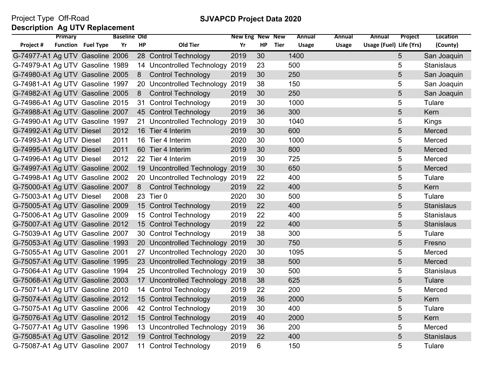# **SJVAPCD Project Data 2020**

|                                 | <b>Primary</b> |                           | <b>Baseline Old</b> |                |                                 | <b>New Eng New New</b> |           |      | <b>Annual</b> | <b>Annual</b> | Annual                  | Project    | <b>Location</b>   |
|---------------------------------|----------------|---------------------------|---------------------|----------------|---------------------------------|------------------------|-----------|------|---------------|---------------|-------------------------|------------|-------------------|
| <b>Project #</b>                |                | <b>Function</b> Fuel Type | Yr                  | <b>HP</b>      | Old Tier                        | Yr                     | <b>HP</b> | Tier | <b>Usage</b>  | <b>Usage</b>  | Usage (Fuel) Life (Yrs) |            | (County)          |
| G-74977-A1 Ag UTV Gasoline 2006 |                |                           |                     |                | 28 Control Technology           | 2019                   | 30        |      | 1400          |               |                         | 5          | San Joaquin       |
| G-74979-A1 Ag UTV Gasoline 1989 |                |                           |                     |                | 14 Uncontrolled Technology      | 2019                   | 23        |      | 500           |               |                         | 5          | <b>Stanislaus</b> |
| G-74980-A1 Ag UTV Gasoline 2005 |                |                           |                     | 8 <sup>8</sup> | <b>Control Technology</b>       | 2019                   | 30        |      | 250           |               |                         | 5          | San Joaquin       |
| G-74981-A1 Ag UTV Gasoline 1997 |                |                           |                     |                | 20 Uncontrolled Technology      | 2019                   | 38        |      | 150           |               |                         | 5          | San Joaquin       |
| G-74982-A1 Ag UTV Gasoline 2005 |                |                           |                     | 8 <sup>°</sup> | <b>Control Technology</b>       | 2019                   | 30        |      | 250           |               |                         | 5          | San Joaquin       |
| G-74986-A1 Ag UTV Gasoline 2015 |                |                           |                     |                | 31 Control Technology           | 2019                   | 30        |      | 1000          |               |                         | 5          | Tulare            |
| G-74988-A1 Ag UTV Gasoline 2007 |                |                           |                     |                | 45 Control Technology           | 2019                   | 36        |      | 300           |               |                         | 5          | Kern              |
| G-74990-A1 Ag UTV Gasoline 1997 |                |                           |                     |                | 21 Uncontrolled Technology      | 2019                   | 30        |      | 1040          |               |                         | 5          | Kings             |
| G-74992-A1 Ag UTV Diesel        |                |                           | 2012                |                | 16 Tier 4 Interim               | 2019                   | 30        |      | 600           |               |                         | 5          | Merced            |
| G-74993-A1 Ag UTV Diesel        |                |                           | 2011                |                | 16 Tier 4 Interim               | 2020                   | 30        |      | 1000          |               |                         | 5          | Merced            |
| G-74995-A1 Ag UTV Diesel        |                |                           | 2011                |                | 60 Tier 4 Interim               | 2019                   | 30        |      | 800           |               |                         | 5          | Merced            |
| G-74996-A1 Ag UTV Diesel        |                |                           | 2012                |                | 22 Tier 4 Interim               | 2019                   | 30        |      | 725           |               |                         | 5          | Merced            |
| G-74997-A1 Ag UTV Gasoline 2002 |                |                           |                     |                | 19 Uncontrolled Technology      | 2019                   | 30        |      | 650           |               |                         | 5          | Merced            |
| G-74998-A1 Ag UTV Gasoline 2002 |                |                           |                     |                | 20 Uncontrolled Technology 2019 |                        | 22        |      | 400           |               |                         | 5          | Tulare            |
| G-75000-A1 Ag UTV Gasoline 2007 |                |                           |                     | 8              | <b>Control Technology</b>       | 2019                   | 22        |      | 400           |               |                         | 5          | Kern              |
| G-75003-A1 Ag UTV Diesel        |                |                           | 2008                |                | 23 Tier 0                       | 2020                   | 30        |      | 500           |               |                         | 5          | Tulare            |
| G-75005-A1 Ag UTV Gasoline 2009 |                |                           |                     |                | 15 Control Technology           | 2019                   | 22        |      | 400           |               |                         | 5          | <b>Stanislaus</b> |
| G-75006-A1 Ag UTV Gasoline 2009 |                |                           |                     |                | 15 Control Technology           | 2019                   | 22        |      | 400           |               |                         | 5          | <b>Stanislaus</b> |
| G-75007-A1 Ag UTV Gasoline 2012 |                |                           |                     |                | 15 Control Technology           | 2019                   | 22        |      | 400           |               |                         | 5          | <b>Stanislaus</b> |
| G-75039-A1 Ag UTV Gasoline 2007 |                |                           |                     |                | 30 Control Technology           | 2019                   | 38        |      | 300           |               |                         | 5          | Tulare            |
| G-75053-A1 Ag UTV Gasoline 1993 |                |                           |                     |                | 20 Uncontrolled Technology 2019 |                        | 30        |      | 750           |               |                         | 5          | Fresno            |
| G-75055-A1 Ag UTV Gasoline 2001 |                |                           |                     |                | 27 Uncontrolled Technology 2020 |                        | 30        |      | 1095          |               |                         | 5          | Merced            |
| G-75057-A1 Ag UTV Gasoline 1995 |                |                           |                     |                | 23 Uncontrolled Technology 2019 |                        | 38        |      | 500           |               |                         | 5          | Merced            |
| G-75064-A1 Ag UTV Gasoline 1994 |                |                           |                     |                | 25 Uncontrolled Technology 2019 |                        | 30        |      | 500           |               |                         | 5          | <b>Stanislaus</b> |
| G-75068-A1 Ag UTV Gasoline 2003 |                |                           |                     |                | 17 Uncontrolled Technology 2018 |                        | 38        |      | 625           |               |                         | 5          | Tulare            |
| G-75071-A1 Ag UTV Gasoline 2010 |                |                           |                     |                | 14 Control Technology           | 2019                   | 22        |      | 200           |               |                         | 5          | Merced            |
| G-75074-A1 Ag UTV Gasoline 2012 |                |                           |                     |                | 15 Control Technology           | 2019                   | 36        |      | 2000          |               |                         | $\sqrt{5}$ | Kern              |
| G-75075-A1 Ag UTV Gasoline 2006 |                |                           |                     |                | 42 Control Technology           | 2019                   | 30        |      | 400           |               |                         | 5          | Tulare            |
| G-75076-A1 Ag UTV Gasoline 2012 |                |                           |                     |                | 15 Control Technology           | 2019                   | 40        |      | 2000          |               |                         | 5          | Kern              |
| G-75077-A1 Ag UTV Gasoline 1996 |                |                           |                     |                | 13 Uncontrolled Technology      | 2019                   | 36        |      | 200           |               |                         | 5          | Merced            |
| G-75085-A1 Ag UTV Gasoline 2012 |                |                           |                     |                | 19 Control Technology           | 2019                   | 22        |      | 400           |               |                         | 5          | <b>Stanislaus</b> |
| G-75087-A1 Ag UTV Gasoline 2007 |                |                           |                     |                | 11 Control Technology           | 2019                   | 6         |      | 150           |               |                         | 5          | Tulare            |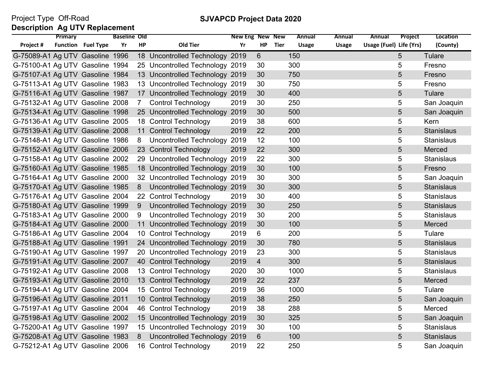# **SJVAPCD Project Data 2020**

|                                 | <b>Primary</b> |                           | <b>Baseline Old</b> |             |                                 | New Eng New New |                  |             | <b>Annual</b> | <b>Annual</b> | Annual                  | Project | Location          |
|---------------------------------|----------------|---------------------------|---------------------|-------------|---------------------------------|-----------------|------------------|-------------|---------------|---------------|-------------------------|---------|-------------------|
| Project #                       |                | <b>Function</b> Fuel Type | Yr                  | HP          | Old Tier                        | Yr              | <b>HP</b>        | <b>Tier</b> | Usage         | <b>Usage</b>  | Usage (Fuel) Life (Yrs) |         | (County)          |
| G-75089-A1 Ag UTV Gasoline 1996 |                |                           |                     |             | 18 Uncontrolled Technology 2019 |                 | $6 \overline{6}$ |             | 150           |               |                         | 5       | <b>Tulare</b>     |
| G-75100-A1 Ag UTV Gasoline 1994 |                |                           |                     |             | 25 Uncontrolled Technology 2019 |                 | 30               |             | 300           |               |                         | 5       | Fresno            |
| G-75107-A1 Ag UTV Gasoline 1984 |                |                           |                     |             | 13 Uncontrolled Technology 2019 |                 | 30               |             | 750           |               |                         | 5       | Fresno            |
| G-75113-A1 Ag UTV Gasoline 1983 |                |                           |                     |             | 13 Uncontrolled Technology 2019 |                 | 30               |             | 750           |               |                         | 5       | Fresno            |
| G-75116-A1 Ag UTV Gasoline 1987 |                |                           |                     |             | 17 Uncontrolled Technology 2019 |                 | 30               |             | 400           |               |                         | 5       | Tulare            |
| G-75132-A1 Ag UTV Gasoline 2008 |                |                           |                     | $7^{\circ}$ | <b>Control Technology</b>       | 2019            | 30               |             | 250           |               |                         | 5       | San Joaquin       |
| G-75134-A1 Ag UTV Gasoline 1998 |                |                           |                     |             | 25 Uncontrolled Technology      | 2019            | 30               |             | 500           |               |                         | 5       | San Joaquin       |
| G-75136-A1 Ag UTV Gasoline 2005 |                |                           |                     |             | 18 Control Technology           | 2019            | 38               |             | 600           |               |                         | 5       | Kern              |
| G-75139-A1 Ag UTV Gasoline 2008 |                |                           |                     |             | 11 Control Technology           | 2019            | 22               |             | 200           |               |                         | 5       | <b>Stanislaus</b> |
| G-75148-A1 Ag UTV Gasoline 1986 |                |                           |                     | 8           | Uncontrolled Technology 2019    |                 | 12               |             | 100           |               |                         | 5       | <b>Stanislaus</b> |
| G-75152-A1 Ag UTV Gasoline 2006 |                |                           |                     |             | 23 Control Technology           | 2019            | 22               |             | 300           |               |                         | 5       | Merced            |
| G-75158-A1 Ag UTV Gasoline 2002 |                |                           |                     |             | 29 Uncontrolled Technology 2019 |                 | 22               |             | 300           |               |                         | 5       | <b>Stanislaus</b> |
| G-75160-A1 Ag UTV Gasoline 1985 |                |                           |                     |             | 18 Uncontrolled Technology 2019 |                 | 30               |             | 100           |               |                         | 5       | Fresno            |
| G-75164-A1 Ag UTV Gasoline 2000 |                |                           |                     |             | 32 Uncontrolled Technology 2019 |                 | 30               |             | 300           |               |                         | 5       | San Joaquin       |
| G-75170-A1 Ag UTV Gasoline 1985 |                |                           |                     | 8           | Uncontrolled Technology 2019    |                 | 30               |             | 300           |               |                         | 5       | <b>Stanislaus</b> |
| G-75176-A1 Ag UTV Gasoline 2004 |                |                           |                     |             | 22 Control Technology           | 2019            | 30               |             | 400           |               |                         | 5       | <b>Stanislaus</b> |
| G-75180-A1 Ag UTV Gasoline 1999 |                |                           |                     | 9           | Uncontrolled Technology 2019    |                 | 30               |             | 250           |               |                         | 5       | <b>Stanislaus</b> |
| G-75183-A1 Ag UTV Gasoline 2000 |                |                           |                     | 9           | Uncontrolled Technology 2019    |                 | 30               |             | 200           |               |                         | 5       | <b>Stanislaus</b> |
| G-75184-A1 Ag UTV Gasoline 2000 |                |                           |                     |             | 11 Uncontrolled Technology 2019 |                 | 30               |             | 100           |               |                         | 5       | Merced            |
| G-75186-A1 Ag UTV Gasoline 2004 |                |                           |                     |             | 10 Control Technology           | 2019            | 6                |             | 200           |               |                         | 5       | Tulare            |
| G-75188-A1 Ag UTV Gasoline 1991 |                |                           |                     |             | 24 Uncontrolled Technology 2019 |                 | 30               |             | 780           |               |                         | 5       | <b>Stanislaus</b> |
| G-75190-A1 Ag UTV Gasoline 1997 |                |                           |                     |             | 20 Uncontrolled Technology 2019 |                 | 23               |             | 300           |               |                         | 5       | <b>Stanislaus</b> |
| G-75191-A1 Ag UTV Gasoline 2007 |                |                           |                     |             | 40 Control Technology           | 2019            | $\overline{4}$   |             | 300           |               |                         | 5       | <b>Stanislaus</b> |
| G-75192-A1 Ag UTV Gasoline 2008 |                |                           |                     |             | 13 Control Technology           | 2020            | 30               |             | 1000          |               |                         | 5       | Stanislaus        |
| G-75193-A1 Ag UTV Gasoline 2010 |                |                           |                     |             | 13 Control Technology           | 2019            | 22               |             | 237           |               |                         | 5       | Merced            |
| G-75194-A1 Ag UTV Gasoline 2004 |                |                           |                     |             | 15 Control Technology           | 2019            | 36               |             | 1000          |               |                         | 5       | Tulare            |
| G-75196-A1 Ag UTV Gasoline 2011 |                |                           |                     |             | 10 Control Technology           | 2019            | 38               |             | 250           |               |                         | 5       | San Joaquin       |
| G-75197-A1 Ag UTV Gasoline 2004 |                |                           |                     |             | 46 Control Technology           | 2019            | 38               |             | 288           |               |                         | 5       | Merced            |
| G-75198-A1 Ag UTV Gasoline 2002 |                |                           |                     |             | 15 Uncontrolled Technology 2019 |                 | 30               |             | 325           |               |                         | 5       | San Joaquin       |
| G-75200-A1 Ag UTV Gasoline 1997 |                |                           |                     |             | 15 Uncontrolled Technology 2019 |                 | 30               |             | 100           |               |                         | 5       | <b>Stanislaus</b> |
| G-75208-A1 Ag UTV Gasoline 1983 |                |                           |                     | 8           | Uncontrolled Technology 2019    |                 | 6                |             | 100           |               |                         | 5       | <b>Stanislaus</b> |
| G-75212-A1 Ag UTV Gasoline 2006 |                |                           |                     |             | 16 Control Technology           | 2019            | 22               |             | 250           |               |                         | 5       | San Joaquin       |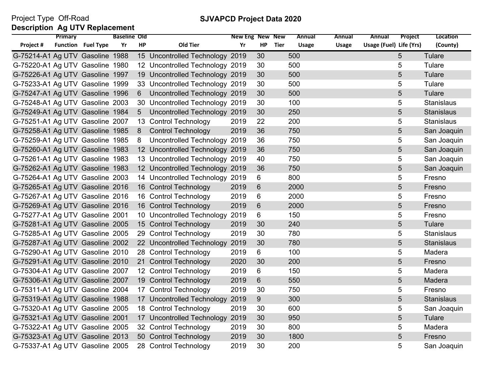# **SJVAPCD Project Data 2020**

|                                 | <b>Primary</b> |                           | <b>Baseline Old</b> |                |                                 | New Eng New New |                |             | Annual       | <b>Annual</b> | <b>Annual</b>           | Project | Location          |
|---------------------------------|----------------|---------------------------|---------------------|----------------|---------------------------------|-----------------|----------------|-------------|--------------|---------------|-------------------------|---------|-------------------|
| Project #                       |                | <b>Function</b> Fuel Type | Yr                  | HP             | Old Tier                        | Yr              | <b>HP</b>      | <b>Tier</b> | <b>Usage</b> | <b>Usage</b>  | Usage (Fuel) Life (Yrs) |         | (County)          |
| G-75214-A1 Ag UTV Gasoline 1988 |                |                           |                     |                | 15 Uncontrolled Technology 2019 |                 | 30             |             | 500          |               |                         | 5       | Tulare            |
| G-75220-A1 Ag UTV Gasoline 1980 |                |                           |                     |                | 12 Uncontrolled Technology 2019 |                 | 30             |             | 500          |               |                         | 5       | Tulare            |
| G-75226-A1 Ag UTV Gasoline 1997 |                |                           |                     |                | 19 Uncontrolled Technology 2019 |                 | 30             |             | 500          |               |                         | 5       | Tulare            |
| G-75233-A1 Ag UTV Gasoline 1999 |                |                           |                     |                | 33 Uncontrolled Technology 2019 |                 | 30             |             | 500          |               |                         | 5       | Tulare            |
| G-75247-A1 Ag UTV Gasoline 1996 |                |                           |                     | 6              | Uncontrolled Technology 2019    |                 | 30             |             | 500          |               |                         | 5       | Tulare            |
| G-75248-A1 Ag UTV Gasoline 2003 |                |                           |                     |                | 30 Uncontrolled Technology 2019 |                 | 30             |             | 100          |               |                         | 5       | <b>Stanislaus</b> |
| G-75249-A1 Ag UTV Gasoline 1984 |                |                           |                     | 5 <sup>5</sup> | Uncontrolled Technology 2019    |                 | 30             |             | 250          |               |                         | 5       | <b>Stanislaus</b> |
| G-75251-A1 Ag UTV Gasoline 2007 |                |                           |                     |                | 13 Control Technology           | 2019            | 22             |             | 200          |               |                         | 5       | <b>Stanislaus</b> |
| G-75258-A1 Ag UTV Gasoline 1985 |                |                           |                     | 8              | <b>Control Technology</b>       | 2019            | 36             |             | 750          |               |                         | 5       | San Joaquin       |
| G-75259-A1 Ag UTV Gasoline 1985 |                |                           |                     | 8              | Uncontrolled Technology 2019    |                 | 36             |             | 750          |               |                         | 5       | San Joaquin       |
| G-75260-A1 Ag UTV Gasoline 1983 |                |                           |                     |                | 12 Uncontrolled Technology 2019 |                 | 36             |             | 750          |               |                         | 5       | San Joaquin       |
| G-75261-A1 Ag UTV Gasoline 1983 |                |                           |                     |                | 13 Uncontrolled Technology 2019 |                 | 40             |             | 750          |               |                         | 5       | San Joaquin       |
| G-75262-A1 Ag UTV Gasoline 1983 |                |                           |                     |                | 12 Uncontrolled Technology 2019 |                 | 36             |             | 750          |               |                         | 5       | San Joaquin       |
| G-75264-A1 Ag UTV Gasoline 2003 |                |                           |                     |                | 14 Uncontrolled Technology 2019 |                 | 6              |             | 800          |               |                         | 5       | Fresno            |
| G-75265-A1 Ag UTV Gasoline 2016 |                |                           |                     |                | 16 Control Technology           | 2019            | $6\phantom{1}$ |             | 2000         |               |                         | 5       | Fresno            |
| G-75267-A1 Ag UTV Gasoline 2016 |                |                           |                     |                | 16 Control Technology           | 2019            | 6              |             | 2000         |               |                         | 5       | Fresno            |
| G-75269-A1 Ag UTV Gasoline 2016 |                |                           |                     |                | 16 Control Technology           | 2019            | 6              |             | 2000         |               |                         | 5       | Fresno            |
| G-75277-A1 Ag UTV Gasoline 2001 |                |                           |                     |                | 10 Uncontrolled Technology      | 2019            | 6              |             | 150          |               |                         | 5       | Fresno            |
| G-75281-A1 Ag UTV Gasoline 2005 |                |                           |                     |                | 15 Control Technology           | 2019            | 30             |             | 240          |               |                         | 5       | Tulare            |
| G-75285-A1 Ag UTV Gasoline 2005 |                |                           |                     |                | 29 Control Technology           | 2019            | 30             |             | 780          |               |                         | 5       | <b>Stanislaus</b> |
| G-75287-A1 Ag UTV Gasoline 2002 |                |                           |                     |                | 22 Uncontrolled Technology      | 2019            | 30             |             | 780          |               |                         | 5       | <b>Stanislaus</b> |
| G-75290-A1 Ag UTV Gasoline 2010 |                |                           |                     |                | 28 Control Technology           | 2019            | 6              |             | 100          |               |                         | 5       | Madera            |
| G-75291-A1 Ag UTV Gasoline 2010 |                |                           |                     |                | 21 Control Technology           | 2020            | 30             |             | 200          |               |                         | 5       | Fresno            |
| G-75304-A1 Ag UTV Gasoline 2007 |                |                           |                     |                | 12 Control Technology           | 2019            | 6              |             | 150          |               |                         | 5       | Madera            |
| G-75306-A1 Ag UTV Gasoline 2007 |                |                           |                     |                | 19 Control Technology           | 2019            | 6              |             | 550          |               |                         | 5       | Madera            |
| G-75311-A1 Ag UTV Gasoline 2004 |                |                           |                     |                | 17 Control Technology           | 2019            | 30             |             | 750          |               |                         | 5       | Fresno            |
| G-75319-A1 Ag UTV Gasoline 1988 |                |                           |                     |                | 17 Uncontrolled Technology      | 2019            | 9              |             | 300          |               |                         | 5       | <b>Stanislaus</b> |
| G-75320-A1 Ag UTV Gasoline 2005 |                |                           |                     |                | 18 Control Technology           | 2019            | 30             |             | 600          |               |                         | 5       | San Joaquin       |
| G-75321-A1 Ag UTV Gasoline 2001 |                |                           |                     |                | 17 Uncontrolled Technology      | 2019            | 30             |             | 950          |               |                         | 5       | Tulare            |
| G-75322-A1 Ag UTV Gasoline 2005 |                |                           |                     |                | 32 Control Technology           | 2019            | 30             |             | 800          |               |                         | 5       | Madera            |
| G-75323-A1 Ag UTV Gasoline 2013 |                |                           |                     |                | 50 Control Technology           | 2019            | 30             |             | 1800         |               |                         | 5       | Fresno            |
| G-75337-A1 Ag UTV Gasoline 2005 |                |                           |                     |                | 28 Control Technology           | 2019            | 30             |             | 200          |               |                         | 5       | San Joaquin       |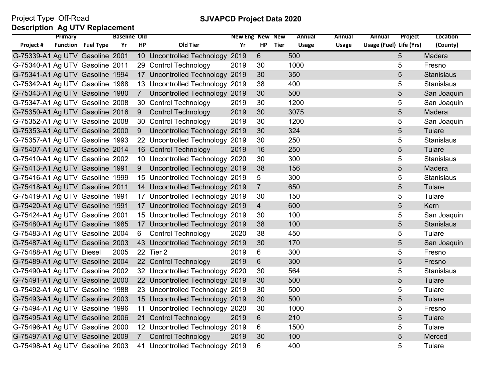# **SJVAPCD Project Data 2020**

|                                 | Primary |                           | <b>Baseline Old</b> |             |                                 | New Eng New New |                |      | Annual       | <b>Annual</b> | Annual                  | Project | <b>Location</b>   |
|---------------------------------|---------|---------------------------|---------------------|-------------|---------------------------------|-----------------|----------------|------|--------------|---------------|-------------------------|---------|-------------------|
| Project #                       |         | <b>Function</b> Fuel Type | Yr                  | HP          | Old Tier                        | Yr              | <b>HP</b>      | Tier | <b>Usage</b> | <b>Usage</b>  | Usage (Fuel) Life (Yrs) |         | (County)          |
| G-75339-A1 Ag UTV Gasoline 2001 |         |                           |                     |             | 10 Uncontrolled Technology 2019 |                 | $6^{\circ}$    |      | 500          |               |                         | 5       | Madera            |
| G-75340-A1 Ag UTV Gasoline 2011 |         |                           |                     |             | 29 Control Technology           | 2019            | 30             |      | 1000         |               |                         | 5       | Fresno            |
| G-75341-A1 Ag UTV Gasoline 1994 |         |                           |                     |             | 17 Uncontrolled Technology 2019 |                 | 30             |      | 350          |               |                         | 5       | <b>Stanislaus</b> |
| G-75342-A1 Ag UTV Gasoline 1988 |         |                           |                     |             | 13 Uncontrolled Technology 2019 |                 | 38             |      | 400          |               |                         | 5       | Stanislaus        |
| G-75343-A1 Ag UTV Gasoline 1980 |         |                           |                     | $7^{\circ}$ | Uncontrolled Technology 2019    |                 | 30             |      | 500          |               |                         | 5       | San Joaquin       |
| G-75347-A1 Ag UTV Gasoline 2008 |         |                           |                     |             | 30 Control Technology           | 2019            | 30             |      | 1200         |               |                         | 5       | San Joaquin       |
| G-75350-A1 Ag UTV Gasoline 2016 |         |                           |                     | 9           | <b>Control Technology</b>       | 2019            | 30             |      | 3075         |               |                         | 5       | Madera            |
| G-75352-A1 Ag UTV Gasoline 2008 |         |                           |                     |             | 30 Control Technology           | 2019            | 30             |      | 1200         |               |                         | 5       | San Joaquin       |
| G-75353-A1 Ag UTV Gasoline 2000 |         |                           |                     | $9^{\circ}$ | Uncontrolled Technology 2019    |                 | 30             |      | 324          |               |                         | 5       | Tulare            |
| G-75357-A1 Ag UTV Gasoline 1993 |         |                           |                     |             | 22 Uncontrolled Technology 2019 |                 | 30             |      | 250          |               |                         | 5       | Stanislaus        |
| G-75407-A1 Ag UTV Gasoline 2014 |         |                           |                     |             | 16 Control Technology           | 2019            | 16             |      | 250          |               |                         | 5       | <b>Tulare</b>     |
| G-75410-A1 Ag UTV Gasoline 2002 |         |                           |                     |             | 10 Uncontrolled Technology 2020 |                 | 30             |      | 300          |               |                         | 5       | <b>Stanislaus</b> |
| G-75413-A1 Ag UTV Gasoline 1991 |         |                           |                     |             | 9 Uncontrolled Technology 2019  |                 | 38             |      | 156          |               |                         | 5       | Madera            |
| G-75416-A1 Ag UTV Gasoline 1999 |         |                           |                     |             | 15 Uncontrolled Technology 2019 |                 | 5              |      | 300          |               |                         | 5       | <b>Stanislaus</b> |
| G-75418-A1 Ag UTV Gasoline 2011 |         |                           |                     |             | 14 Uncontrolled Technology 2019 |                 | $\overline{7}$ |      | 650          |               |                         | 5       | Tulare            |
| G-75419-A1 Ag UTV Gasoline 1991 |         |                           |                     |             | 17 Uncontrolled Technology 2019 |                 | 30             |      | 150          |               |                         | 5       | Tulare            |
| G-75420-A1 Ag UTV Gasoline 1991 |         |                           |                     |             | 17 Uncontrolled Technology 2019 |                 | $\overline{4}$ |      | 600          |               |                         | 5       | Kern              |
| G-75424-A1 Ag UTV Gasoline 2001 |         |                           |                     |             | 15 Uncontrolled Technology 2019 |                 | 30             |      | 100          |               |                         | 5       | San Joaquin       |
| G-75480-A1 Ag UTV Gasoline 1985 |         |                           |                     |             | 17 Uncontrolled Technology 2019 |                 | 38             |      | 100          |               |                         | 5       | <b>Stanislaus</b> |
| G-75483-A1 Ag UTV Gasoline 2004 |         |                           |                     | 6.          | <b>Control Technology</b>       | 2020            | 38             |      | 450          |               |                         | 5       | Tulare            |
| G-75487-A1 Ag UTV Gasoline 2003 |         |                           |                     |             | 43 Uncontrolled Technology 2019 |                 | 30             |      | 170          |               |                         | 5       | San Joaquin       |
| G-75488-A1 Ag UTV Diesel        |         |                           | 2005                |             | 22 Tier 2                       | 2019            | 6              |      | 300          |               |                         | 5       | Fresno            |
| G-75489-A1 Ag UTV Gasoline 2004 |         |                           |                     |             | 22 Control Technology           | 2019            | $\,6\,$        |      | 300          |               |                         | 5       | Fresno            |
| G-75490-A1 Ag UTV Gasoline 2002 |         |                           |                     |             | 32 Uncontrolled Technology 2020 |                 | 30             |      | 564          |               |                         | 5       | Stanislaus        |
| G-75491-A1 Ag UTV Gasoline 2000 |         |                           |                     |             | 22 Uncontrolled Technology 2019 |                 | 30             |      | 500          |               |                         | 5       | Tulare            |
| G-75492-A1 Ag UTV Gasoline 1988 |         |                           |                     |             | 23 Uncontrolled Technology 2019 |                 | 30             |      | 500          |               |                         | 5       | Tulare            |
| G-75493-A1 Ag UTV Gasoline 2003 |         |                           |                     |             | 15 Uncontrolled Technology 2019 |                 | 30             |      | 500          |               |                         | 5       | Tulare            |
| G-75494-A1 Ag UTV Gasoline 1996 |         |                           |                     |             | 11 Uncontrolled Technology 2020 |                 | 30             |      | 1000         |               |                         | 5       | Fresno            |
| G-75495-A1 Ag UTV Gasoline 2006 |         |                           |                     |             | 21 Control Technology           | 2019            | 6              |      | 210          |               |                         | 5       | Tulare            |
| G-75496-A1 Ag UTV Gasoline 2000 |         |                           |                     |             | 12 Uncontrolled Technology 2019 |                 | 6              |      | 1500         |               |                         | 5       | Tulare            |
| G-75497-A1 Ag UTV Gasoline 2009 |         |                           |                     | $7^{\circ}$ | <b>Control Technology</b>       | 2019            | 30             |      | 100          |               |                         | 5       | Merced            |
| G-75498-A1 Ag UTV Gasoline 2003 |         |                           |                     |             | 41 Uncontrolled Technology 2019 |                 | 6              |      | 400          |               |                         | 5       | Tulare            |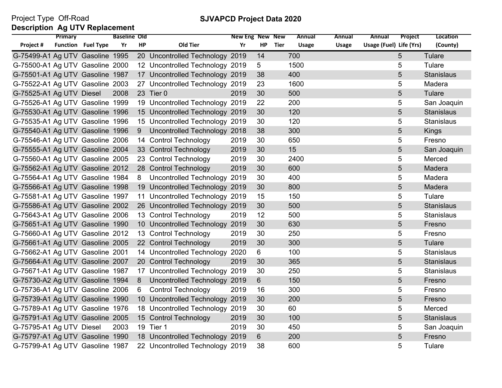# **SJVAPCD Project Data 2020**

|                                 | <b>Primary</b> |                           | <b>Baseline Old</b> |           |                                 | New Eng New New |                |      | Annual       | Annual       | Annual                  | <b>Project</b> | <b>Location</b>   |
|---------------------------------|----------------|---------------------------|---------------------|-----------|---------------------------------|-----------------|----------------|------|--------------|--------------|-------------------------|----------------|-------------------|
| Project #                       |                | <b>Function</b> Fuel Type | Yr                  | <b>HP</b> | Old Tier                        | Yr              | HP             | Tier | <b>Usage</b> | <b>Usage</b> | Usage (Fuel) Life (Yrs) |                | (County)          |
| G-75499-A1 Ag UTV Gasoline 1995 |                |                           |                     |           | 20 Uncontrolled Technology 2019 |                 | 14             |      | 700          |              |                         | 5              | Tulare            |
| G-75500-A1 Ag UTV Gasoline 2000 |                |                           |                     |           | 12 Uncontrolled Technology 2019 |                 | 5              |      | 1500         |              |                         | 5              | Tulare            |
| G-75501-A1 Ag UTV Gasoline 1987 |                |                           |                     |           | 17 Uncontrolled Technology 2019 |                 | 38             |      | 400          |              |                         | 5              | <b>Stanislaus</b> |
| G-75522-A1 Ag UTV Gasoline 2003 |                |                           |                     |           | 27 Uncontrolled Technology 2019 |                 | 23             |      | 1600         |              |                         | 5              | Madera            |
| G-75525-A1 Ag UTV Diesel        |                |                           | 2008                |           | 23 Tier 0                       | 2019            | 30             |      | 500          |              |                         | 5              | Tulare            |
| G-75526-A1 Ag UTV Gasoline 1999 |                |                           |                     |           | 19 Uncontrolled Technology 2019 |                 | 22             |      | 200          |              |                         | 5              | San Joaquin       |
| G-75530-A1 Ag UTV Gasoline 1996 |                |                           |                     |           | 15 Uncontrolled Technology 2019 |                 | 30             |      | 120          |              |                         | 5              | Stanislaus        |
| G-75535-A1 Ag UTV Gasoline 1996 |                |                           |                     |           | 15 Uncontrolled Technology 2019 |                 | 30             |      | 120          |              |                         | 5              | <b>Stanislaus</b> |
| G-75540-A1 Ag UTV Gasoline 1996 |                |                           |                     |           | 9 Uncontrolled Technology 2018  |                 | 38             |      | 300          |              |                         | 5              | Kings             |
| G-75546-A1 Ag UTV Gasoline 2006 |                |                           |                     |           | 14 Control Technology           | 2019            | 30             |      | 650          |              |                         | 5              | Fresno            |
| G-75555-A1 Ag UTV Gasoline 2004 |                |                           |                     |           | 33 Control Technology           | 2019            | 30             |      | 15           |              |                         | 5              | San Joaquin       |
| G-75560-A1 Ag UTV Gasoline 2005 |                |                           |                     |           | 23 Control Technology           | 2019            | 30             |      | 2400         |              |                         | 5              | Merced            |
| G-75562-A1 Ag UTV Gasoline 2012 |                |                           |                     |           | 28 Control Technology           | 2019            | 30             |      | 600          |              |                         | 5              | Madera            |
| G-75564-A1 Ag UTV Gasoline 1984 |                |                           |                     |           | 8 Uncontrolled Technology 2019  |                 | 30             |      | 400          |              |                         | 5              | Madera            |
| G-75566-A1 Ag UTV Gasoline 1998 |                |                           |                     |           | 19 Uncontrolled Technology 2019 |                 | 30             |      | 800          |              |                         | 5              | Madera            |
| G-75581-A1 Ag UTV Gasoline 1997 |                |                           |                     |           | 11 Uncontrolled Technology 2019 |                 | 15             |      | 150          |              |                         | 5              | Tulare            |
| G-75586-A1 Ag UTV Gasoline 2002 |                |                           |                     |           | 26 Uncontrolled Technology 2019 |                 | 30             |      | 500          |              |                         | 5              | <b>Stanislaus</b> |
| G-75643-A1 Ag UTV Gasoline 2006 |                |                           |                     |           | 13 Control Technology           | 2019            | 12             |      | 500          |              |                         | 5              | <b>Stanislaus</b> |
| G-75651-A1 Ag UTV Gasoline 1990 |                |                           |                     |           | 10 Uncontrolled Technology 2019 |                 | 30             |      | 630          |              |                         | 5              | Fresno            |
| G-75660-A1 Ag UTV Gasoline 2012 |                |                           |                     |           | 13 Control Technology           | 2019            | 30             |      | 250          |              |                         | 5              | Fresno            |
| G-75661-A1 Ag UTV Gasoline 2005 |                |                           |                     |           | 22 Control Technology           | 2019            | 30             |      | 300          |              |                         | 5              | Tulare            |
| G-75662-A1 Ag UTV Gasoline 2001 |                |                           |                     |           | 14 Uncontrolled Technology      | 2020            | 6              |      | 100          |              |                         | 5              | <b>Stanislaus</b> |
| G-75664-A1 Ag UTV Gasoline 2007 |                |                           |                     |           | 20 Control Technology           | 2019            | 30             |      | 365          |              |                         | 5              | <b>Stanislaus</b> |
| G-75671-A1 Ag UTV Gasoline 1987 |                |                           |                     |           | 17 Uncontrolled Technology 2019 |                 | 30             |      | 250          |              |                         | 5              | <b>Stanislaus</b> |
| G-75730-A2 Ag UTV Gasoline 1994 |                |                           |                     | 8         | Uncontrolled Technology 2019    |                 | $6\phantom{1}$ |      | 150          |              |                         | 5              | Fresno            |
| G-75736-A1 Ag UTV Gasoline 2006 |                |                           |                     | 6         | <b>Control Technology</b>       | 2019            | 16             |      | 300          |              |                         | 5              | Fresno            |
| G-75739-A1 Ag UTV Gasoline 1990 |                |                           |                     |           | 10 Uncontrolled Technology 2019 |                 | 30             |      | 200          |              |                         | 5              | Fresno            |
| G-75789-A1 Ag UTV Gasoline 1976 |                |                           |                     |           | 18 Uncontrolled Technology 2019 |                 | 30             |      | 60           |              |                         | 5              | Merced            |
| G-75791-A1 Ag UTV Gasoline 2005 |                |                           |                     |           | 15 Control Technology           | 2019            | 30             |      | 100          |              |                         | 5              | <b>Stanislaus</b> |
| G-75795-A1 Ag UTV Diesel        |                |                           | 2003                |           | 19 Tier 1                       | 2019            | 30             |      | 450          |              |                         | 5              | San Joaquin       |
| G-75797-A1 Ag UTV Gasoline 1990 |                |                           |                     |           | 18 Uncontrolled Technology 2019 |                 | $6^{\circ}$    |      | 200          |              |                         | 5              | Fresno            |
| G-75799-A1 Ag UTV Gasoline 1987 |                |                           |                     |           | 22 Uncontrolled Technology 2019 |                 | 38             |      | 600          |              |                         | 5              | Tulare            |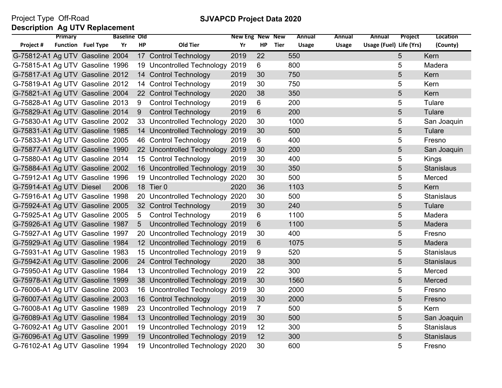# **SJVAPCD Project Data 2020**

|                                 | Primary |                           | <b>Baseline Old</b> |                |                                 | New Eng New New |                |             | <b>Annual</b> | <b>Annual</b> | <b>Annual</b>           | Project | Location          |
|---------------------------------|---------|---------------------------|---------------------|----------------|---------------------------------|-----------------|----------------|-------------|---------------|---------------|-------------------------|---------|-------------------|
| Project #                       |         | <b>Function</b> Fuel Type | Yr                  | HP             | Old Tier                        | Yr              | <b>HP</b>      | <b>Tier</b> | <b>Usage</b>  | <b>Usage</b>  | Usage (Fuel) Life (Yrs) |         | (County)          |
| G-75812-A1 Ag UTV Gasoline 2004 |         |                           |                     |                | 17 Control Technology           | 2019            | 22             |             | 550           |               |                         | 5       | Kern              |
| G-75815-A1 Ag UTV Gasoline 1996 |         |                           |                     |                | 19 Uncontrolled Technology      | 2019            | 6              |             | 800           |               |                         | 5       | Madera            |
| G-75817-A1 Ag UTV Gasoline 2012 |         |                           |                     |                | 14 Control Technology           | 2019            | 30             |             | 750           |               |                         | 5       | Kern              |
| G-75819-A1 Ag UTV Gasoline 2012 |         |                           |                     |                | 14 Control Technology           | 2019            | 30             |             | 750           |               |                         | 5       | Kern              |
| G-75821-A1 Ag UTV Gasoline 2004 |         |                           |                     |                | 22 Control Technology           | 2020            | 38             |             | 350           |               |                         | 5       | Kern              |
| G-75828-A1 Ag UTV Gasoline 2013 |         |                           |                     | 9              | <b>Control Technology</b>       | 2019            | 6              |             | 200           |               |                         | 5       | Tulare            |
| G-75829-A1 Ag UTV Gasoline 2014 |         |                           |                     | 9              | <b>Control Technology</b>       | 2019            | $6\phantom{1}$ |             | 200           |               |                         | 5       | Tulare            |
| G-75830-A1 Ag UTV Gasoline 2002 |         |                           |                     |                | 33 Uncontrolled Technology 2020 |                 | 30             |             | 1000          |               |                         | 5       | San Joaquin       |
| G-75831-A1 Ag UTV Gasoline 1985 |         |                           |                     |                | 14 Uncontrolled Technology 2019 |                 | 30             |             | 500           |               |                         | 5       | Tulare            |
| G-75833-A1 Ag UTV Gasoline 2005 |         |                           |                     |                | 46 Control Technology           | 2019            | 6              |             | 400           |               |                         | 5       | Fresno            |
| G-75877-A1 Ag UTV Gasoline 1990 |         |                           |                     |                | 22 Uncontrolled Technology 2019 |                 | 30             |             | 200           |               |                         | 5       | San Joaquin       |
| G-75880-A1 Ag UTV Gasoline 2014 |         |                           |                     |                | 15 Control Technology           | 2019            | 30             |             | 400           |               |                         | 5       | Kings             |
| G-75884-A1 Ag UTV Gasoline 2002 |         |                           |                     |                | 16 Uncontrolled Technology 2019 |                 | 30             |             | 350           |               |                         | 5       | <b>Stanislaus</b> |
| G-75912-A1 Ag UTV Gasoline 1996 |         |                           |                     |                | 19 Uncontrolled Technology 2020 |                 | 30             |             | 500           |               |                         | 5       | Merced            |
| G-75914-A1 Ag UTV Diesel        |         |                           | 2006                |                | 18 Tier 0                       | 2020            | 36             |             | 1103          |               |                         | 5       | Kern              |
| G-75916-A1 Ag UTV Gasoline 1998 |         |                           |                     |                | 20 Uncontrolled Technology 2020 |                 | 30             |             | 500           |               |                         | 5       | <b>Stanislaus</b> |
| G-75924-A1 Ag UTV Gasoline 2005 |         |                           |                     |                | 32 Control Technology           | 2019            | 30             |             | 240           |               |                         | 5       | Tulare            |
| G-75925-A1 Ag UTV Gasoline 2005 |         |                           |                     | 5              | <b>Control Technology</b>       | 2019            | 6              |             | 1100          |               |                         | 5       | Madera            |
| G-75926-A1 Ag UTV Gasoline 1987 |         |                           |                     | 5 <sup>5</sup> | Uncontrolled Technology 2019    |                 | $\,6\,$        |             | 1100          |               |                         | 5       | Madera            |
| G-75927-A1 Ag UTV Gasoline 1997 |         |                           |                     |                | 20 Uncontrolled Technology 2019 |                 | 30             |             | 400           |               |                         | 5       | Fresno            |
| G-75929-A1 Ag UTV Gasoline 1984 |         |                           |                     |                | 12 Uncontrolled Technology 2019 |                 | 6              |             | 1075          |               |                         | 5       | Madera            |
| G-75931-A1 Ag UTV Gasoline 1983 |         |                           |                     |                | 15 Uncontrolled Technology 2019 |                 | 9              |             | 520           |               |                         | 5       | <b>Stanislaus</b> |
| G-75942-A1 Ag UTV Gasoline 2006 |         |                           |                     |                | 24 Control Technology           | 2020            | 38             |             | 300           |               |                         | 5       | <b>Stanislaus</b> |
| G-75950-A1 Ag UTV Gasoline 1984 |         |                           |                     |                | 13 Uncontrolled Technology 2019 |                 | 22             |             | 300           |               |                         | 5       | Merced            |
| G-75978-A1 Ag UTV Gasoline 1999 |         |                           |                     |                | 38 Uncontrolled Technology 2019 |                 | 30             |             | 1560          |               |                         | 5       | Merced            |
| G-76006-A1 Ag UTV Gasoline 2003 |         |                           |                     |                | 16 Uncontrolled Technology 2019 |                 | 30             |             | 2000          |               |                         | 5       | Fresno            |
| G-76007-A1 Ag UTV Gasoline 2003 |         |                           |                     |                | 16 Control Technology           | 2019            | 30             |             | 2000          |               |                         | 5       | Fresno            |
| G-76008-A1 Ag UTV Gasoline 1989 |         |                           |                     |                | 23 Uncontrolled Technology 2019 |                 | $\overline{7}$ |             | 500           |               |                         | 5       | Kern              |
| G-76089-A1 Ag UTV Gasoline 1984 |         |                           |                     |                | 13 Uncontrolled Technology 2019 |                 | 30             |             | 500           |               |                         | 5       | San Joaquin       |
| G-76092-A1 Ag UTV Gasoline 2001 |         |                           |                     |                | 19 Uncontrolled Technology 2019 |                 | 12             |             | 300           |               |                         | 5       | <b>Stanislaus</b> |
| G-76096-A1 Ag UTV Gasoline 1999 |         |                           |                     |                | 19 Uncontrolled Technology 2019 |                 | 12             |             | 300           |               |                         | 5       | Stanislaus        |
| G-76102-A1 Ag UTV Gasoline 1994 |         |                           |                     |                | 19 Uncontrolled Technology 2020 |                 | 30             |             | 600           |               |                         | 5       | Fresno            |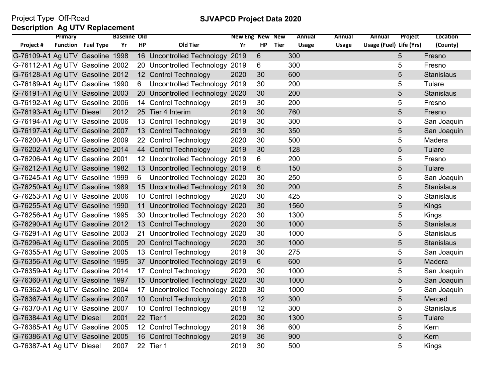# **SJVAPCD Project Data 2020**

|                                 | <b>Primary</b> |                           | <b>Baseline Old</b> |           |                                 | New Eng New New |                |      | Annual       | Annual       | Annual                  | <b>Project</b> | <b>Location</b>   |
|---------------------------------|----------------|---------------------------|---------------------|-----------|---------------------------------|-----------------|----------------|------|--------------|--------------|-------------------------|----------------|-------------------|
| Project #                       |                | <b>Function</b> Fuel Type | Yr                  | <b>HP</b> | Old Tier                        | Yr              | HP             | Tier | <b>Usage</b> | <b>Usage</b> | Usage (Fuel) Life (Yrs) |                | (County)          |
| G-76109-A1 Ag UTV Gasoline 1998 |                |                           |                     |           | 16 Uncontrolled Technology 2019 |                 | $6\phantom{.}$ |      | 300          |              |                         | 5              | Fresno            |
| G-76112-A1 Ag UTV Gasoline 2002 |                |                           |                     |           | 20 Uncontrolled Technology 2019 |                 | 6              |      | 300          |              |                         | 5              | Fresno            |
| G-76128-A1 Ag UTV Gasoline 2012 |                |                           |                     |           | 12 Control Technology           | 2020            | 30             |      | 600          |              |                         | 5              | <b>Stanislaus</b> |
| G-76189-A1 Ag UTV Gasoline 1990 |                |                           |                     |           | 6 Uncontrolled Technology 2019  |                 | 30             |      | 200          |              |                         | 5              | Tulare            |
| G-76191-A1 Ag UTV Gasoline 2003 |                |                           |                     |           | 20 Uncontrolled Technology 2020 |                 | 30             |      | 200          |              |                         | 5              | <b>Stanislaus</b> |
| G-76192-A1 Ag UTV Gasoline 2006 |                |                           |                     |           | 14 Control Technology           | 2019            | 30             |      | 200          |              |                         | 5              | Fresno            |
| G-76193-A1 Ag UTV Diesel        |                |                           | 2012                |           | 25 Tier 4 Interim               | 2019            | 30             |      | 760          |              |                         | 5              | Fresno            |
| G-76194-A1 Ag UTV Gasoline 2006 |                |                           |                     |           | 13 Control Technology           | 2019            | 30             |      | 300          |              |                         | 5              | San Joaquin       |
| G-76197-A1 Ag UTV Gasoline 2007 |                |                           |                     |           | 13 Control Technology           | 2019            | 30             |      | 350          |              |                         | 5              | San Joaquin       |
| G-76200-A1 Ag UTV Gasoline 2009 |                |                           |                     |           | 22 Control Technology           | 2020            | 30             |      | 500          |              |                         | 5              | Madera            |
| G-76202-A1 Ag UTV Gasoline 2014 |                |                           |                     |           | 44 Control Technology           | 2019            | 30             |      | 128          |              |                         | 5              | Tulare            |
| G-76206-A1 Ag UTV Gasoline 2001 |                |                           |                     |           | 12 Uncontrolled Technology 2019 |                 | 6              |      | 200          |              |                         | 5              | Fresno            |
| G-76212-A1 Ag UTV Gasoline 1982 |                |                           |                     |           | 13 Uncontrolled Technology 2019 |                 | 6              |      | 150          |              |                         | 5              | Tulare            |
| G-76245-A1 Ag UTV Gasoline 1999 |                |                           |                     | 6         | Uncontrolled Technology 2020    |                 | 30             |      | 250          |              |                         | 5              | San Joaquin       |
| G-76250-A1 Ag UTV Gasoline 1989 |                |                           |                     |           | 15 Uncontrolled Technology 2019 |                 | 30             |      | 200          |              |                         | 5              | <b>Stanislaus</b> |
| G-76253-A1 Ag UTV Gasoline 2006 |                |                           |                     |           | 10 Control Technology           | 2020            | 30             |      | 425          |              |                         | 5              | <b>Stanislaus</b> |
| G-76255-A1 Ag UTV Gasoline 1990 |                |                           |                     |           | 11 Uncontrolled Technology      | 2020            | 30             |      | 1560         |              |                         | 5              | <b>Kings</b>      |
| G-76256-A1 Ag UTV Gasoline 1995 |                |                           |                     |           | 30 Uncontrolled Technology 2020 |                 | 30             |      | 1300         |              |                         | 5              | Kings             |
| G-76290-A1 Ag UTV Gasoline 2012 |                |                           |                     |           | 13 Control Technology           | 2020            | 30             |      | 1000         |              |                         | 5              | <b>Stanislaus</b> |
| G-76291-A1 Ag UTV Gasoline 2003 |                |                           |                     |           | 21 Uncontrolled Technology 2020 |                 | 30             |      | 1000         |              |                         | 5              | <b>Stanislaus</b> |
| G-76296-A1 Ag UTV Gasoline 2005 |                |                           |                     |           | 20 Control Technology           | 2020            | 30             |      | 1000         |              |                         | 5              | <b>Stanislaus</b> |
| G-76355-A1 Ag UTV Gasoline 2005 |                |                           |                     |           | 13 Control Technology           | 2019            | 30             |      | 275          |              |                         | 5              | San Joaquin       |
| G-76356-A1 Ag UTV Gasoline 1995 |                |                           |                     |           | 37 Uncontrolled Technology      | 2019            | $6\phantom{1}$ |      | 600          |              |                         | 5              | Madera            |
| G-76359-A1 Ag UTV Gasoline 2014 |                |                           |                     |           | 17 Control Technology           | 2020            | 30             |      | 1000         |              |                         | 5              | San Joaquin       |
| G-76360-A1 Ag UTV Gasoline 1997 |                |                           |                     |           | 15 Uncontrolled Technology      | 2020            | 30             |      | 1000         |              |                         | 5              | San Joaquin       |
| G-76362-A1 Ag UTV Gasoline 2004 |                |                           |                     |           | 17 Uncontrolled Technology      | 2020            | 30             |      | 1000         |              |                         | 5              | San Joaquin       |
| G-76367-A1 Ag UTV Gasoline 2007 |                |                           |                     |           | 10 Control Technology           | 2018            | 12             |      | 300          |              |                         | 5              | Merced            |
| G-76370-A1 Ag UTV Gasoline 2007 |                |                           |                     |           | 10 Control Technology           | 2018            | 12             |      | 300          |              |                         | 5              | <b>Stanislaus</b> |
| G-76384-A1 Ag UTV Diesel        |                |                           | 2001                |           | 22 Tier 1                       | 2020            | 30             |      | 1300         |              |                         | 5              | Tulare            |
| G-76385-A1 Ag UTV Gasoline 2005 |                |                           |                     |           | 12 Control Technology           | 2019            | 36             |      | 600          |              |                         | 5              | Kern              |
| G-76386-A1 Ag UTV Gasoline 2005 |                |                           |                     |           | 16 Control Technology           | 2019            | 36             |      | 900          |              |                         | 5              | Kern              |
| G-76387-A1 Ag UTV Diesel        |                |                           | 2007                |           | 22 Tier 1                       | 2019            | 30             |      | 500          |              |                         | 5              | Kings             |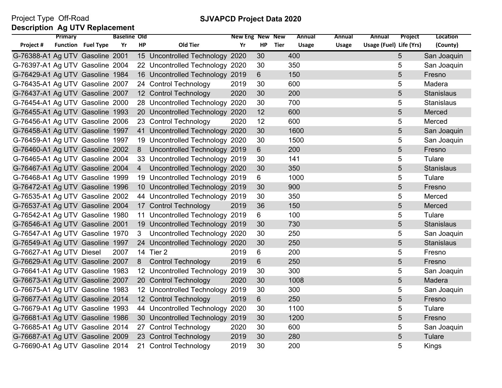# **SJVAPCD Project Data 2020**

|                                 | Primary |                           | <b>Baseline Old</b> |    |                                 | New Eng New New |             |      | <b>Annual</b> | <b>Annual</b> | <b>Annual</b>           | Project | Location          |
|---------------------------------|---------|---------------------------|---------------------|----|---------------------------------|-----------------|-------------|------|---------------|---------------|-------------------------|---------|-------------------|
| Project #                       |         | <b>Function</b> Fuel Type | Yr                  | HP | Old Tier                        | Yr              | <b>HP</b>   | Tier | <b>Usage</b>  | <b>Usage</b>  | Usage (Fuel) Life (Yrs) |         | (County)          |
| G-76388-A1 Ag UTV Gasoline 2001 |         |                           |                     |    | 15 Uncontrolled Technology 2020 |                 | 30          |      | 400           |               |                         | 5       | San Joaquin       |
| G-76397-A1 Ag UTV Gasoline 2004 |         |                           |                     |    | 22 Uncontrolled Technology 2020 |                 | 30          |      | 350           |               |                         | 5       | San Joaquin       |
| G-76429-A1 Ag UTV Gasoline 1984 |         |                           |                     |    | 16 Uncontrolled Technology 2019 |                 | 6           |      | 150           |               |                         | 5       | Fresno            |
| G-76435-A1 Ag UTV Gasoline 2007 |         |                           |                     |    | 24 Control Technology           | 2019            | 30          |      | 600           |               |                         | 5       | Madera            |
| G-76437-A1 Ag UTV Gasoline 2007 |         |                           |                     |    | 12 Control Technology           | 2020            | 30          |      | 200           |               |                         | 5       | <b>Stanislaus</b> |
| G-76454-A1 Ag UTV Gasoline 2000 |         |                           |                     |    | 28 Uncontrolled Technology 2020 |                 | 30          |      | 700           |               |                         | 5       | <b>Stanislaus</b> |
| G-76455-A1 Ag UTV Gasoline 1993 |         |                           |                     |    | 20 Uncontrolled Technology 2020 |                 | 12          |      | 600           |               |                         | 5       | Merced            |
| G-76456-A1 Ag UTV Gasoline 2006 |         |                           |                     |    | 23 Control Technology           | 2020            | 12          |      | 600           |               |                         | 5       | Merced            |
| G-76458-A1 Ag UTV Gasoline 1997 |         |                           |                     |    | 41 Uncontrolled Technology 2020 |                 | 30          |      | 1600          |               |                         | 5       | San Joaquin       |
| G-76459-A1 Ag UTV Gasoline 1997 |         |                           |                     |    | 19 Uncontrolled Technology 2020 |                 | 30          |      | 1500          |               |                         | 5       | San Joaquin       |
| G-76460-A1 Ag UTV Gasoline 2002 |         |                           |                     | 8  | Uncontrolled Technology 2019    |                 | $6^{\circ}$ |      | 200           |               |                         | 5       | Fresno            |
| G-76465-A1 Ag UTV Gasoline 2004 |         |                           |                     |    | 33 Uncontrolled Technology 2019 |                 | 30          |      | 141           |               |                         | 5       | Tulare            |
| G-76467-A1 Ag UTV Gasoline 2004 |         |                           |                     |    | 4 Uncontrolled Technology 2020  |                 | 30          |      | 350           |               |                         | 5       | <b>Stanislaus</b> |
| G-76468-A1 Ag UTV Gasoline 1999 |         |                           |                     |    | 19 Uncontrolled Technology 2019 |                 | 6           |      | 1000          |               |                         | 5       | Tulare            |
| G-76472-A1 Ag UTV Gasoline 1996 |         |                           |                     |    | 10 Uncontrolled Technology 2019 |                 | 30          |      | 900           |               |                         | 5       | Fresno            |
| G-76535-A1 Ag UTV Gasoline 2002 |         |                           |                     |    | 44 Uncontrolled Technology 2019 |                 | 30          |      | 350           |               |                         | 5       | Merced            |
| G-76537-A1 Ag UTV Gasoline 2004 |         |                           |                     |    | 17 Control Technology           | 2019            | 36          |      | 150           |               |                         | 5       | Merced            |
| G-76542-A1 Ag UTV Gasoline 1980 |         |                           |                     |    | 11 Uncontrolled Technology 2019 |                 | 6           |      | 100           |               |                         | 5       | Tulare            |
| G-76546-A1 Ag UTV Gasoline 2001 |         |                           |                     |    | 19 Uncontrolled Technology 2019 |                 | 30          |      | 730           |               |                         | 5       | <b>Stanislaus</b> |
| G-76547-A1 Ag UTV Gasoline 1970 |         |                           |                     | 3  | Uncontrolled Technology 2020    |                 | 30          |      | 250           |               |                         | 5       | San Joaquin       |
| G-76549-A1 Ag UTV Gasoline 1997 |         |                           |                     |    | 24 Uncontrolled Technology 2020 |                 | 30          |      | 250           |               |                         | 5       | <b>Stanislaus</b> |
| G-76627-A1 Ag UTV Diesel        |         |                           | 2007                |    | 14 Tier 2                       | 2019            | 6           |      | 200           |               |                         | 5       | Fresno            |
| G-76629-A1 Ag UTV Gasoline 2007 |         |                           |                     |    | 8 Control Technology            | 2019            | 6           |      | 250           |               |                         | 5       | Fresno            |
| G-76641-A1 Ag UTV Gasoline 1983 |         |                           |                     |    | 12 Uncontrolled Technology      | 2019            | 30          |      | 300           |               |                         | 5       | San Joaquin       |
| G-76673-A1 Ag UTV Gasoline 2007 |         |                           |                     |    | 20 Control Technology           | 2020            | 30          |      | 1008          |               |                         | 5       | Madera            |
| G-76675-A1 Ag UTV Gasoline 1983 |         |                           |                     |    | 12 Uncontrolled Technology      | 2019            | 30          |      | 300           |               |                         | 5       | San Joaquin       |
| G-76677-A1 Ag UTV Gasoline 2014 |         |                           |                     |    | 12 Control Technology           | 2019            | 6           |      | 250           |               |                         | 5       | Fresno            |
| G-76679-A1 Ag UTV Gasoline 1993 |         |                           |                     |    | 44 Uncontrolled Technology 2020 |                 | 30          |      | 1100          |               |                         | 5       | Tulare            |
| G-76681-A1 Ag UTV Gasoline 1986 |         |                           |                     |    | 30 Uncontrolled Technology 2019 |                 | 30          |      | 1200          |               |                         | 5       | Fresno            |
| G-76685-A1 Ag UTV Gasoline 2014 |         |                           |                     |    | 27 Control Technology           | 2020            | 30          |      | 600           |               |                         | 5       | San Joaquin       |
| G-76687-A1 Ag UTV Gasoline 2009 |         |                           |                     |    | 23 Control Technology           | 2019            | 30          |      | 280           |               |                         | 5       | Tulare            |
| G-76690-A1 Ag UTV Gasoline 2014 |         |                           |                     |    | 21 Control Technology           | 2019            | 30          |      | 200           |               |                         | 5       | Kings             |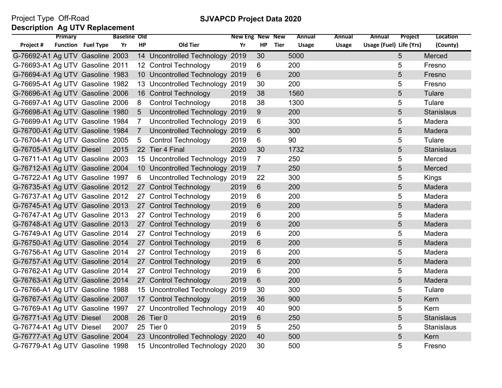# **SJVAPCD Project Data 2020**

|                                 | <b>Primary</b> |                           | <b>Baseline Old</b> |                |                                 | New Eng New New |                 |             | <b>Annual</b> | <b>Annual</b> | Annual                  | Project         | Location          |
|---------------------------------|----------------|---------------------------|---------------------|----------------|---------------------------------|-----------------|-----------------|-------------|---------------|---------------|-------------------------|-----------------|-------------------|
| Project #                       |                | <b>Function</b> Fuel Type | Yr                  | HP             | Old Tier                        | Yr              | <b>HP</b>       | <b>Tier</b> | <b>Usage</b>  | <b>Usage</b>  | Usage (Fuel) Life (Yrs) |                 | (County)          |
| G-76692-A1 Ag UTV Gasoline 2003 |                |                           |                     |                | 14 Uncontrolled Technology 2019 |                 | 30              |             | 5000          |               |                         | 5               | Merced            |
| G-76693-A1 Ag UTV Gasoline 2011 |                |                           |                     |                | 12 Control Technology           | 2019            | 6               |             | 200           |               |                         | 5               | Fresno            |
| G-76694-A1 Ag UTV Gasoline 1983 |                |                           |                     |                | 10 Uncontrolled Technology 2019 |                 | $6\phantom{1}$  |             | 200           |               |                         | 5               | Fresno            |
| G-76695-A1 Ag UTV Gasoline 1982 |                |                           |                     |                | 13 Uncontrolled Technology 2019 |                 | 30              |             | 200           |               |                         | 5               | Fresno            |
| G-76696-A1 Ag UTV Gasoline 2006 |                |                           |                     |                | 16 Control Technology           | 2019            | 38              |             | 1560          |               |                         | 5               | Tulare            |
| G-76697-A1 Ag UTV Gasoline 2006 |                |                           |                     | 8              | <b>Control Technology</b>       | 2018            | 38              |             | 1300          |               |                         | 5               | Tulare            |
| G-76698-A1 Ag UTV Gasoline 1980 |                |                           |                     | $5^{\circ}$    | Uncontrolled Technology 2019    |                 | 9               |             | 200           |               |                         | 5               | <b>Stanislaus</b> |
| G-76699-A1 Ag UTV Gasoline 1984 |                |                           |                     | $\overline{7}$ | Uncontrolled Technology 2019    |                 | 6               |             | 300           |               |                         | 5               | Madera            |
| G-76700-A1 Ag UTV Gasoline 1984 |                |                           |                     | $\overline{7}$ | Uncontrolled Technology 2019    |                 | $6\phantom{1}$  |             | 300           |               |                         | 5               | Madera            |
| G-76704-A1 Ag UTV Gasoline 2005 |                |                           |                     | 5              | <b>Control Technology</b>       | 2019            | 6               |             | 90            |               |                         | 5               | Tulare            |
| G-76705-A1 Ag UTV Diesel        |                |                           | 2015                |                | 22 Tier 4 Final                 | 2020            | 30              |             | 1732          |               |                         | 5               | <b>Stanislaus</b> |
| G-76711-A1 Ag UTV Gasoline 2003 |                |                           |                     |                | 15 Uncontrolled Technology 2019 |                 | $7\overline{ }$ |             | 250           |               |                         | 5               | Merced            |
| G-76712-A1 Ag UTV Gasoline 2004 |                |                           |                     |                | 10 Uncontrolled Technology 2019 |                 | $\overline{7}$  |             | 250           |               |                         | 5               | Merced            |
| G-76722-A1 Ag UTV Gasoline 1997 |                |                           |                     |                | 6 Uncontrolled Technology 2019  |                 | 22              |             | 300           |               |                         | 5               | Kings             |
| G-76735-A1 Ag UTV Gasoline 2012 |                |                           |                     |                | 27 Control Technology           | 2019            | $6\phantom{1}$  |             | 200           |               |                         | 5               | Madera            |
| G-76737-A1 Ag UTV Gasoline 2012 |                |                           |                     |                | 27 Control Technology           | 2019            | 6               |             | 200           |               |                         | 5               | Madera            |
| G-76745-A1 Ag UTV Gasoline 2013 |                |                           |                     |                | 27 Control Technology           | 2019            | $6\,$           |             | 200           |               |                         | 5               | Madera            |
| G-76747-A1 Ag UTV Gasoline 2013 |                |                           |                     |                | 27 Control Technology           | 2019            | 6               |             | 200           |               |                         | 5               | Madera            |
| G-76748-A1 Ag UTV Gasoline 2013 |                |                           |                     |                | 27 Control Technology           | 2019            | $6\phantom{1}$  |             | 200           |               |                         | 5               | Madera            |
| G-76749-A1 Ag UTV Gasoline 2014 |                |                           |                     |                | 27 Control Technology           | 2019            | 6               |             | 200           |               |                         | 5               | Madera            |
| G-76750-A1 Ag UTV Gasoline 2014 |                |                           |                     |                | 27 Control Technology           | 2019            | $\,6\,$         |             | 200           |               |                         | 5               | Madera            |
| G-76756-A1 Ag UTV Gasoline 2014 |                |                           |                     |                | 27 Control Technology           | 2019            | $\,6$           |             | 200           |               |                         | 5               | Madera            |
| G-76757-A1 Ag UTV Gasoline 2014 |                |                           |                     |                | 27 Control Technology           | 2019            | $\,6$           |             | 200           |               |                         | 5               | Madera            |
| G-76762-A1 Ag UTV Gasoline 2014 |                |                           |                     |                | 27 Control Technology           | 2019            | 6               |             | 200           |               |                         | 5               | Madera            |
| G-76763-A1 Ag UTV Gasoline 2014 |                |                           |                     |                | 27 Control Technology           | 2019            | 6               |             | 200           |               |                         | 5               | Madera            |
| G-76766-A1 Ag UTV Gasoline 1988 |                |                           |                     |                | 15 Uncontrolled Technology      | 2019            | 30              |             | 300           |               |                         | 5               | Tulare            |
| G-76767-A1 Ag UTV Gasoline 2007 |                |                           |                     |                | 17 Control Technology           | 2019            | 36              |             | 900           |               |                         | 5               | Kern              |
| G-76769-A1 Ag UTV Gasoline 1997 |                |                           |                     |                | 27 Uncontrolled Technology      | 2019            | 40              |             | 900           |               |                         | 5               | Kern              |
| G-76771-A1 Ag UTV Diesel        |                |                           | 2008                |                | 26 Tier 0                       | 2019            | 6               |             | 250           |               |                         | 5               | <b>Stanislaus</b> |
| G-76774-A1 Ag UTV Diesel        |                |                           | 2007                |                | 25 Tier 0                       | 2019            | 5               |             | 250           |               |                         | 5               | <b>Stanislaus</b> |
| G-76777-A1 Ag UTV Gasoline 2004 |                |                           |                     |                | 23 Uncontrolled Technology 2020 |                 | 40              |             | 500           |               |                         | $5\phantom{.0}$ | Kern              |
| G-76779-A1 Ag UTV Gasoline 1998 |                |                           |                     |                | 15 Uncontrolled Technology 2020 |                 | 30              |             | 500           |               |                         | 5               | Fresno            |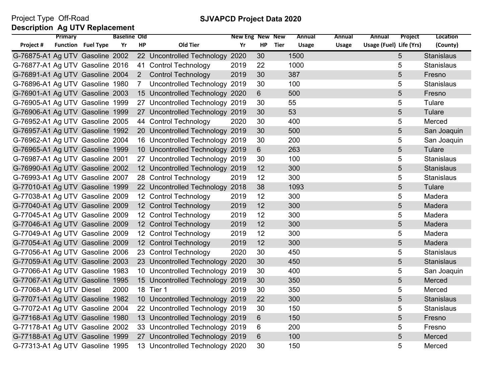# **SJVAPCD Project Data 2020**

|                                 | Primary |                           | <b>Baseline Old</b> |                |                                 | New Eng New New |             |      | Annual       | Annual       | Annual                  | <b>Project</b> | Location          |
|---------------------------------|---------|---------------------------|---------------------|----------------|---------------------------------|-----------------|-------------|------|--------------|--------------|-------------------------|----------------|-------------------|
| Project #                       |         | <b>Function</b> Fuel Type | Yr                  | HP             | Old Tier                        | Yr              | <b>HP</b>   | Tier | <b>Usage</b> | <b>Usage</b> | Usage (Fuel) Life (Yrs) |                | (County)          |
| G-76875-A1 Ag UTV Gasoline 2002 |         |                           |                     |                | 22 Uncontrolled Technology 2020 |                 | 30          |      | 1500         |              |                         | 5              | <b>Stanislaus</b> |
| G-76877-A1 Ag UTV Gasoline 2016 |         |                           |                     |                | 41 Control Technology           | 2019            | 22          |      | 1000         |              |                         | 5              | <b>Stanislaus</b> |
| G-76891-A1 Ag UTV Gasoline 2004 |         |                           |                     |                | 2 Control Technology            | 2019            | 30          |      | 387          |              |                         | 5              | Fresno            |
| G-76896-A1 Ag UTV Gasoline 1980 |         |                           |                     | 7 <sup>7</sup> | Uncontrolled Technology 2019    |                 | 30          |      | 100          |              |                         | 5              | Stanislaus        |
| G-76901-A1 Ag UTV Gasoline 2003 |         |                           |                     |                | 15 Uncontrolled Technology 2020 |                 | 6           |      | 500          |              |                         | 5              | Fresno            |
| G-76905-A1 Ag UTV Gasoline 1999 |         |                           |                     |                | 27 Uncontrolled Technology 2019 |                 | 30          |      | 55           |              |                         | 5              | Tulare            |
| G-76906-A1 Ag UTV Gasoline 1999 |         |                           |                     |                | 27 Uncontrolled Technology 2019 |                 | 30          |      | 53           |              |                         | 5              | Tulare            |
| G-76952-A1 Ag UTV Gasoline 2005 |         |                           |                     |                | 44 Control Technology           | 2020            | 30          |      | 400          |              |                         | 5              | Merced            |
| G-76957-A1 Ag UTV Gasoline 1992 |         |                           |                     |                | 20 Uncontrolled Technology 2019 |                 | 30          |      | 500          |              |                         | 5              | San Joaquin       |
| G-76962-A1 Ag UTV Gasoline 2004 |         |                           |                     |                | 16 Uncontrolled Technology 2019 |                 | 30          |      | 200          |              |                         | 5              | San Joaquin       |
| G-76965-A1 Ag UTV Gasoline 1999 |         |                           |                     |                | 10 Uncontrolled Technology 2019 |                 | $6^{\circ}$ |      | 263          |              |                         | 5              | Tulare            |
| G-76987-A1 Ag UTV Gasoline 2001 |         |                           |                     |                | 27 Uncontrolled Technology 2019 |                 | 30          |      | 100          |              |                         | 5              | Stanislaus        |
| G-76990-A1 Ag UTV Gasoline 2002 |         |                           |                     |                | 12 Uncontrolled Technology 2019 |                 | 12          |      | 300          |              |                         | 5              | <b>Stanislaus</b> |
| G-76993-A1 Ag UTV Gasoline 2007 |         |                           |                     |                | 28 Control Technology           | 2019            | 12          |      | 300          |              |                         | 5              | <b>Stanislaus</b> |
| G-77010-A1 Ag UTV Gasoline 1999 |         |                           |                     |                | 22 Uncontrolled Technology      | 2018            | 38          |      | 1093         |              |                         | 5              | Tulare            |
| G-77038-A1 Ag UTV Gasoline 2009 |         |                           |                     |                | 12 Control Technology           | 2019            | 12          |      | 300          |              |                         | 5              | Madera            |
| G-77040-A1 Ag UTV Gasoline 2009 |         |                           |                     |                | 12 Control Technology           | 2019            | 12          |      | 300          |              |                         | 5              | Madera            |
| G-77045-A1 Ag UTV Gasoline 2009 |         |                           |                     |                | 12 Control Technology           | 2019            | 12          |      | 300          |              |                         | 5              | Madera            |
| G-77046-A1 Ag UTV Gasoline 2009 |         |                           |                     |                | 12 Control Technology           | 2019            | 12          |      | 300          |              |                         | 5              | Madera            |
| G-77049-A1 Ag UTV Gasoline 2009 |         |                           |                     |                | 12 Control Technology           | 2019            | 12          |      | 300          |              |                         | 5              | Madera            |
| G-77054-A1 Ag UTV Gasoline 2009 |         |                           |                     |                | 12 Control Technology           | 2019            | 12          |      | 300          |              |                         | 5              | Madera            |
| G-77056-A1 Ag UTV Gasoline 2006 |         |                           |                     |                | 23 Control Technology           | 2020            | 30          |      | 450          |              |                         | 5              | <b>Stanislaus</b> |
| G-77059-A1 Ag UTV Gasoline 2003 |         |                           |                     |                | 23 Uncontrolled Technology 2020 |                 | 30          |      | 450          |              |                         | 5              | <b>Stanislaus</b> |
| G-77066-A1 Ag UTV Gasoline 1983 |         |                           |                     |                | 10 Uncontrolled Technology 2019 |                 | 30          |      | 400          |              |                         | 5              | San Joaquin       |
| G-77067-A1 Ag UTV Gasoline 1995 |         |                           |                     |                | 15 Uncontrolled Technology 2019 |                 | 30          |      | 350          |              |                         | 5              | Merced            |
| G-77068-A1 Ag UTV Diesel        |         |                           | 2000                |                | 18 Tier 1                       | 2019            | 30          |      | 350          |              |                         | 5              | Merced            |
| G-77071-A1 Ag UTV Gasoline 1982 |         |                           |                     |                | 10 Uncontrolled Technology 2019 |                 | 22          |      | 300          |              |                         | 5              | <b>Stanislaus</b> |
| G-77072-A1 Ag UTV Gasoline 2004 |         |                           |                     |                | 22 Uncontrolled Technology 2019 |                 | 30          |      | 150          |              |                         | 5              | <b>Stanislaus</b> |
| G-77168-A1 Ag UTV Gasoline 1980 |         |                           |                     |                | 13 Uncontrolled Technology 2019 |                 | 6           |      | 150          |              |                         | 5              | Fresno            |
| G-77178-A1 Ag UTV Gasoline 2002 |         |                           |                     |                | 33 Uncontrolled Technology 2019 |                 | 6           |      | 200          |              |                         | 5              | Fresno            |
| G-77188-A1 Ag UTV Gasoline 1999 |         |                           |                     |                | 27 Uncontrolled Technology 2019 |                 | 6           |      | 100          |              |                         | 5              | Merced            |
| G-77313-A1 Ag UTV Gasoline 1995 |         |                           |                     |                | 13 Uncontrolled Technology 2020 |                 | 30          |      | 150          |              |                         | 5              | Merced            |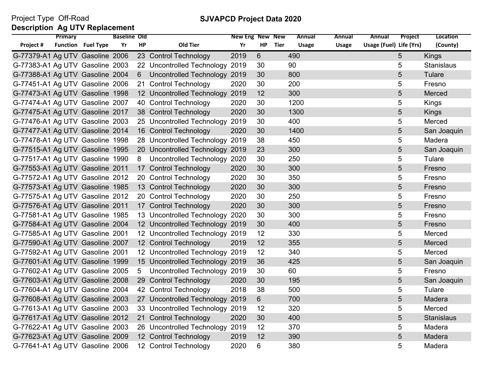# **SJVAPCD Project Data 2020**

|                                 | Primary |                           | <b>Baseline Old</b> |    |                                 | New Eng New New |                |             | <b>Annual</b> | <b>Annual</b> | <b>Annual</b>           | Project | Location          |
|---------------------------------|---------|---------------------------|---------------------|----|---------------------------------|-----------------|----------------|-------------|---------------|---------------|-------------------------|---------|-------------------|
| Project #                       |         | <b>Function</b> Fuel Type | Yr                  | HP | Old Tier                        | Yr              | <b>HP</b>      | <b>Tier</b> | <b>Usage</b>  | <b>Usage</b>  | Usage (Fuel) Life (Yrs) |         | (County)          |
| G-77379-A1 Ag UTV Gasoline 2006 |         |                           |                     |    | 23 Control Technology           | 2019            | $6\phantom{1}$ |             | 490           |               |                         | 5       | <b>Kings</b>      |
| G-77383-A1 Ag UTV Gasoline 2003 |         |                           |                     |    | 22 Uncontrolled Technology      | 2019            | 30             |             | 90            |               |                         | 5       | <b>Stanislaus</b> |
| G-77388-A1 Ag UTV Gasoline 2004 |         |                           |                     |    | 6 Uncontrolled Technology 2019  |                 | 30             |             | 800           |               |                         | 5       | Tulare            |
| G-77451-A1 Ag UTV Gasoline 2006 |         |                           |                     |    | 21 Control Technology           | 2020            | 30             |             | 200           |               |                         | 5       | Fresno            |
| G-77473-A1 Ag UTV Gasoline 1998 |         |                           |                     |    | 12 Uncontrolled Technology      | 2019            | 12             |             | 300           |               |                         | 5       | Merced            |
| G-77474-A1 Ag UTV Gasoline 2007 |         |                           |                     |    | 40 Control Technology           | 2020            | 30             |             | 1200          |               |                         | 5       | Kings             |
| G-77475-A1 Ag UTV Gasoline 2017 |         |                           |                     |    | 38 Control Technology           | 2020            | 30             |             | 1300          |               |                         | 5       | <b>Kings</b>      |
| G-77476-A1 Ag UTV Gasoline 2003 |         |                           |                     |    | 25 Uncontrolled Technology      | 2019            | 30             |             | 400           |               |                         | 5       | Merced            |
| G-77477-A1 Ag UTV Gasoline 2014 |         |                           |                     |    | 16 Control Technology           | 2020            | 30             |             | 1400          |               |                         | 5       | San Joaquin       |
| G-77478-A1 Ag UTV Gasoline 1998 |         |                           |                     |    | 28 Uncontrolled Technology 2019 |                 | 38             |             | 450           |               |                         | 5       | Madera            |
| G-77515-A1 Ag UTV Gasoline 1995 |         |                           |                     |    | 20 Uncontrolled Technology 2019 |                 | 23             |             | 300           |               |                         | 5       | San Joaquin       |
| G-77517-A1 Ag UTV Gasoline 1990 |         |                           |                     | 8  | Uncontrolled Technology 2020    |                 | 30             |             | 250           |               |                         | 5       | Tulare            |
| G-77553-A1 Ag UTV Gasoline 2011 |         |                           |                     |    | 17 Control Technology           | 2020            | 30             |             | 300           |               |                         | 5       | Fresno            |
| G-77572-A1 Ag UTV Gasoline 2012 |         |                           |                     |    | 20 Control Technology           | 2020            | 30             |             | 350           |               |                         | 5       | Fresno            |
| G-77573-A1 Ag UTV Gasoline 1985 |         |                           |                     |    | 13 Control Technology           | 2020            | 30             |             | 300           |               |                         | 5       | Fresno            |
| G-77575-A1 Ag UTV Gasoline 2012 |         |                           |                     |    | 20 Control Technology           | 2020            | 30             |             | 250           |               |                         | 5       | Fresno            |
| G-77576-A1 Ag UTV Gasoline 2011 |         |                           |                     |    | 17 Control Technology           | 2020            | 30             |             | 300           |               |                         | 5       | Fresno            |
| G-77581-A1 Ag UTV Gasoline 1985 |         |                           |                     |    | 13 Uncontrolled Technology 2020 |                 | 30             |             | 300           |               |                         | 5       | Fresno            |
| G-77584-A1 Ag UTV Gasoline 2004 |         |                           |                     |    | 12 Uncontrolled Technology 2019 |                 | 30             |             | 400           |               |                         | 5       | Fresno            |
| G-77585-A1 Ag UTV Gasoline 2001 |         |                           |                     |    | 12 Uncontrolled Technology 2019 |                 | 12             |             | 330           |               |                         | 5       | Merced            |
| G-77590-A1 Ag UTV Gasoline 2007 |         |                           |                     |    | 12 Control Technology           | 2019            | 12             |             | 355           |               |                         | 5       | Merced            |
| G-77592-A1 Ag UTV Gasoline 2001 |         |                           |                     |    | 12 Uncontrolled Technology 2019 |                 | 12             |             | 340           |               |                         | 5       | Merced            |
| G-77601-A1 Ag UTV Gasoline 1999 |         |                           |                     |    | 15 Uncontrolled Technology 2019 |                 | 36             |             | 425           |               |                         | 5       | San Joaquin       |
| G-77602-A1 Ag UTV Gasoline 2005 |         |                           |                     | 5  | Uncontrolled Technology 2019    |                 | 30             |             | 60            |               |                         | 5       | Fresno            |
| G-77603-A1 Ag UTV Gasoline 2008 |         |                           |                     |    | 29 Control Technology           | 2020            | 30             |             | 195           |               |                         | 5       | San Joaquin       |
| G-77604-A1 Ag UTV Gasoline 2004 |         |                           |                     |    | 42 Control Technology           | 2018            | 38             |             | 500           |               |                         | 5       | Tulare            |
| G-77608-A1 Ag UTV Gasoline 2003 |         |                           |                     |    | 27 Uncontrolled Technology      | 2019            | 6              |             | 700           |               |                         | 5       | Madera            |
| G-77613-A1 Ag UTV Gasoline 2003 |         |                           |                     |    | 33 Uncontrolled Technology 2019 |                 | 12             |             | 320           |               |                         | 5       | Merced            |
| G-77617-A1 Ag UTV Gasoline 2012 |         |                           |                     |    | 21 Control Technology           | 2020            | 30             |             | 400           |               |                         | 5       | <b>Stanislaus</b> |
| G-77622-A1 Ag UTV Gasoline 2003 |         |                           |                     |    | 26 Uncontrolled Technology 2019 |                 | 12             |             | 370           |               |                         | 5       | Madera            |
| G-77623-A1 Ag UTV Gasoline 2009 |         |                           |                     |    | 12 Control Technology           | 2019            | 12             |             | 390           |               |                         | 5       | Madera            |
| G-77641-A1 Ag UTV Gasoline 2006 |         |                           |                     |    | 12 Control Technology           | 2020            | 6              |             | 380           |               |                         | 5       | Madera            |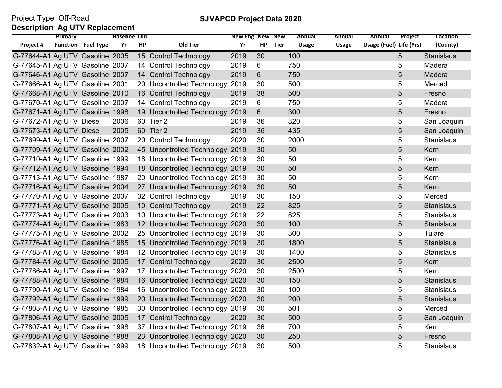# **SJVAPCD Project Data 2020**

|                                 | <b>Primary</b> |                           | <b>Baseline Old</b> |    |                                 | New Eng New New |                |             | Annual       | <b>Annual</b> | <b>Annual</b>           | Project | Location          |
|---------------------------------|----------------|---------------------------|---------------------|----|---------------------------------|-----------------|----------------|-------------|--------------|---------------|-------------------------|---------|-------------------|
| Project #                       |                | <b>Function</b> Fuel Type | Yr                  | HP | Old Tier                        | Yr              | <b>HP</b>      | <b>Tier</b> | <b>Usage</b> | <b>Usage</b>  | Usage (Fuel) Life (Yrs) |         | (County)          |
| G-77644-A1 Ag UTV Gasoline 2005 |                |                           |                     |    | 15 Control Technology           | 2019            | 30             |             | 100          |               |                         | 5       | <b>Stanislaus</b> |
| G-77645-A1 Ag UTV Gasoline 2007 |                |                           |                     |    | 14 Control Technology           | 2019            | 6              |             | 750          |               |                         | 5       | Madera            |
| G-77646-A1 Ag UTV Gasoline 2007 |                |                           |                     |    | 14 Control Technology           | 2019            | $6\phantom{1}$ |             | 750          |               |                         | 5       | Madera            |
| G-77666-A1 Ag UTV Gasoline 2001 |                |                           |                     |    | 20 Uncontrolled Technology      | 2019            | 30             |             | 500          |               |                         | 5       | Merced            |
| G-77668-A1 Ag UTV Gasoline 2010 |                |                           |                     |    | 16 Control Technology           | 2019            | 38             |             | 500          |               |                         | 5       | Fresno            |
| G-77670-A1 Ag UTV Gasoline 2007 |                |                           |                     |    | 14 Control Technology           | 2019            | 6              |             | 750          |               |                         | 5       | Madera            |
| G-77671-A1 Ag UTV Gasoline 1998 |                |                           |                     |    | 19 Uncontrolled Technology      | 2019            | 6              |             | 300          |               |                         | 5       | Fresno            |
| G-77672-A1 Ag UTV Diesel        |                |                           | 2006                |    | 60 Tier 2                       | 2019            | 36             |             | 320          |               |                         | 5       | San Joaquin       |
| G-77673-A1 Ag UTV Diesel        |                |                           | 2005                |    | 60 Tier 2                       | 2019            | 36             |             | 435          |               |                         | 5       | San Joaquin       |
| G-77699-A1 Ag UTV Gasoline 2007 |                |                           |                     |    | 20 Control Technology           | 2020            | 30             |             | 2000         |               |                         | 5       | <b>Stanislaus</b> |
| G-77709-A1 Ag UTV Gasoline 2002 |                |                           |                     |    | 45 Uncontrolled Technology 2019 |                 | 30             |             | 50           |               |                         | 5       | Kern              |
| G-77710-A1 Ag UTV Gasoline 1999 |                |                           |                     |    | 18 Uncontrolled Technology 2019 |                 | 30             |             | 50           |               |                         | 5       | Kern              |
| G-77712-A1 Ag UTV Gasoline 1994 |                |                           |                     |    | 18 Uncontrolled Technology 2019 |                 | 30             |             | 50           |               |                         | 5       | Kern              |
| G-77713-A1 Ag UTV Gasoline 1987 |                |                           |                     |    | 20 Uncontrolled Technology 2019 |                 | 30             |             | 50           |               |                         | 5       | Kern              |
| G-77716-A1 Ag UTV Gasoline 2004 |                |                           |                     |    | 27 Uncontrolled Technology 2019 |                 | 30             |             | 50           |               |                         | 5       | Kern              |
| G-77770-A1 Ag UTV Gasoline 2007 |                |                           |                     |    | 32 Control Technology           | 2019            | 30             |             | 150          |               |                         | 5       | Merced            |
| G-77771-A1 Ag UTV Gasoline 2005 |                |                           |                     |    | 10 Control Technology           | 2019            | 22             |             | 825          |               |                         | 5       | <b>Stanislaus</b> |
| G-77773-A1 Ag UTV Gasoline 2003 |                |                           |                     |    | 10 Uncontrolled Technology 2019 |                 | 22             |             | 825          |               |                         | 5       | <b>Stanislaus</b> |
| G-77774-A1 Ag UTV Gasoline 1983 |                |                           |                     |    | 12 Uncontrolled Technology 2020 |                 | 30             |             | 100          |               |                         | 5       | <b>Stanislaus</b> |
| G-77775-A1 Ag UTV Gasoline 2002 |                |                           |                     |    | 25 Uncontrolled Technology 2019 |                 | 30             |             | 300          |               |                         | 5       | Tulare            |
| G-77776-A1 Ag UTV Gasoline 1985 |                |                           |                     |    | 15 Uncontrolled Technology 2019 |                 | 30             |             | 1800         |               |                         | 5       | <b>Stanislaus</b> |
| G-77783-A1 Ag UTV Gasoline 1984 |                |                           |                     |    | 12 Uncontrolled Technology 2019 |                 | 30             |             | 1400         |               |                         | 5       | <b>Stanislaus</b> |
| G-77784-A1 Ag UTV Gasoline 2005 |                |                           |                     |    | 17 Control Technology           | 2020            | 30             |             | 2500         |               |                         | 5       | Kern              |
| G-77786-A1 Ag UTV Gasoline 1997 |                |                           |                     |    | 17 Uncontrolled Technology 2020 |                 | 30             |             | 2500         |               |                         | 5       | Kern              |
| G-77788-A1 Ag UTV Gasoline 1984 |                |                           |                     |    | 16 Uncontrolled Technology 2020 |                 | 30             |             | 150          |               |                         | 5       | <b>Stanislaus</b> |
| G-77790-A1 Ag UTV Gasoline 1984 |                |                           |                     |    | 16 Uncontrolled Technology 2020 |                 | 30             |             | 100          |               |                         | 5       | <b>Stanislaus</b> |
| G-77792-A1 Ag UTV Gasoline 1999 |                |                           |                     |    | 20 Uncontrolled Technology 2020 |                 | 30             |             | 200          |               |                         | 5       | <b>Stanislaus</b> |
| G-77803-A1 Ag UTV Gasoline 1985 |                |                           |                     |    | 30 Uncontrolled Technology 2019 |                 | 30             |             | 501          |               |                         | 5       | Merced            |
| G-77806-A1 Ag UTV Gasoline 2005 |                |                           |                     |    | 17 Control Technology           | 2020            | 30             |             | 500          |               |                         | 5       | San Joaquin       |
| G-77807-A1 Ag UTV Gasoline 1998 |                |                           |                     |    | 37 Uncontrolled Technology 2019 |                 | 36             |             | 700          |               |                         | 5       | Kern              |
| G-77808-A1 Ag UTV Gasoline 1988 |                |                           |                     |    | 23 Uncontrolled Technology 2020 |                 | 30             |             | 250          |               |                         | 5       | Fresno            |
| G-77832-A1 Ag UTV Gasoline 1999 |                |                           |                     |    | 18 Uncontrolled Technology 2019 |                 | 30             |             | 500          |               |                         | 5       | <b>Stanislaus</b> |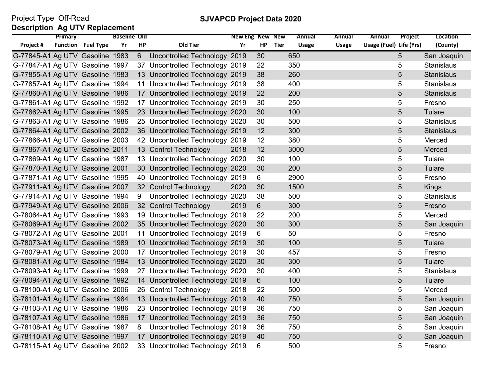# **SJVAPCD Project Data 2020**

|                                 | Primary |                           | <b>Baseline Old</b> |    |                                 | New Eng New New |                |             | Annual | <b>Annual</b> | <b>Annual</b>           | Project | Location          |
|---------------------------------|---------|---------------------------|---------------------|----|---------------------------------|-----------------|----------------|-------------|--------|---------------|-------------------------|---------|-------------------|
| Project #                       |         | <b>Function</b> Fuel Type | Yr                  | HP | Old Tier                        | Yr              | HP             | <b>Tier</b> | Usage  | <b>Usage</b>  | Usage (Fuel) Life (Yrs) |         | (County)          |
| G-77845-A1 Ag UTV Gasoline 1983 |         |                           |                     |    | 6 Uncontrolled Technology 2019  |                 | 30             |             | 650    |               |                         | 5       | San Joaquin       |
| G-77847-A1 Ag UTV Gasoline 1997 |         |                           |                     |    | 37 Uncontrolled Technology 2019 |                 | 22             |             | 350    |               |                         | 5       | Stanislaus        |
| G-77855-A1 Ag UTV Gasoline 1983 |         |                           |                     |    | 13 Uncontrolled Technology 2019 |                 | 38             |             | 260    |               |                         | 5       | <b>Stanislaus</b> |
| G-77857-A1 Ag UTV Gasoline 1994 |         |                           |                     |    | 11 Uncontrolled Technology 2019 |                 | 38             |             | 400    |               |                         | 5       | <b>Stanislaus</b> |
| G-77860-A1 Ag UTV Gasoline 1986 |         |                           |                     |    | 17 Uncontrolled Technology 2019 |                 | 22             |             | 200    |               |                         | 5       | <b>Stanislaus</b> |
| G-77861-A1 Ag UTV Gasoline 1992 |         |                           |                     |    | 17 Uncontrolled Technology 2019 |                 | 30             |             | 250    |               |                         | 5       | Fresno            |
| G-77862-A1 Ag UTV Gasoline 1995 |         |                           |                     |    | 23 Uncontrolled Technology 2020 |                 | 30             |             | 100    |               |                         | 5       | Tulare            |
| G-77863-A1 Ag UTV Gasoline 1986 |         |                           |                     |    | 25 Uncontrolled Technology 2020 |                 | 30             |             | 500    |               |                         | 5       | <b>Stanislaus</b> |
| G-77864-A1 Ag UTV Gasoline 2002 |         |                           |                     |    | 36 Uncontrolled Technology 2019 |                 | 12             |             | 300    |               |                         | 5       | <b>Stanislaus</b> |
| G-77866-A1 Ag UTV Gasoline 2003 |         |                           |                     |    | 42 Uncontrolled Technology 2019 |                 | 12             |             | 380    |               |                         | 5       | Merced            |
| G-77867-A1 Ag UTV Gasoline 2011 |         |                           |                     |    | 13 Control Technology           | 2018            | 12             |             | 3000   |               |                         | 5       | Merced            |
| G-77869-A1 Ag UTV Gasoline 1987 |         |                           |                     |    | 13 Uncontrolled Technology 2020 |                 | 30             |             | 100    |               |                         | 5       | Tulare            |
| G-77870-A1 Ag UTV Gasoline 2001 |         |                           |                     |    | 30 Uncontrolled Technology 2020 |                 | 30             |             | 200    |               |                         | 5       | Tulare            |
| G-77871-A1 Ag UTV Gasoline 1995 |         |                           |                     |    | 40 Uncontrolled Technology 2019 |                 | 6              |             | 2900   |               |                         | 5       | Fresno            |
| G-77911-A1 Ag UTV Gasoline 2007 |         |                           |                     |    | 32 Control Technology           | 2020            | 30             |             | 1500   |               |                         | 5       | <b>Kings</b>      |
| G-77914-A1 Ag UTV Gasoline 1994 |         |                           |                     | 9  | Uncontrolled Technology 2020    |                 | 38             |             | 500    |               |                         | 5       | <b>Stanislaus</b> |
| G-77949-A1 Ag UTV Gasoline 2006 |         |                           |                     |    | 32 Control Technology           | 2019            | 6              |             | 300    |               |                         | 5       | Fresno            |
| G-78064-A1 Ag UTV Gasoline 1993 |         |                           |                     |    | 19 Uncontrolled Technology 2019 |                 | 22             |             | 200    |               |                         | 5       | Merced            |
| G-78069-A1 Ag UTV Gasoline 2002 |         |                           |                     |    | 35 Uncontrolled Technology 2020 |                 | 30             |             | 300    |               |                         | 5       | San Joaquin       |
| G-78072-A1 Ag UTV Gasoline 2001 |         |                           |                     |    | 11 Uncontrolled Technology 2019 |                 | 6              |             | 50     |               |                         | 5       | Fresno            |
| G-78073-A1 Ag UTV Gasoline 1989 |         |                           |                     |    | 10 Uncontrolled Technology 2019 |                 | 30             |             | 100    |               |                         | 5       | <b>Tulare</b>     |
| G-78079-A1 Ag UTV Gasoline 2000 |         |                           |                     |    | 17 Uncontrolled Technology 2019 |                 | 30             |             | 457    |               |                         | 5       | Fresno            |
| G-78081-A1 Ag UTV Gasoline 1984 |         |                           |                     |    | 13 Uncontrolled Technology 2020 |                 | 30             |             | 300    |               |                         | 5       | Tulare            |
| G-78093-A1 Ag UTV Gasoline 1999 |         |                           |                     |    | 27 Uncontrolled Technology 2020 |                 | 30             |             | 400    |               |                         | 5       | <b>Stanislaus</b> |
| G-78094-A1 Ag UTV Gasoline 1992 |         |                           |                     |    | 14 Uncontrolled Technology 2019 |                 | $6\phantom{1}$ |             | 100    |               |                         | 5       | Tulare            |
| G-78100-A1 Ag UTV Gasoline 2006 |         |                           |                     |    | 26 Control Technology           | 2018            | 22             |             | 500    |               |                         | 5       | Merced            |
| G-78101-A1 Ag UTV Gasoline 1984 |         |                           |                     |    | 13 Uncontrolled Technology 2019 |                 | 40             |             | 750    |               |                         | 5       | San Joaquin       |
| G-78103-A1 Ag UTV Gasoline 1986 |         |                           |                     |    | 23 Uncontrolled Technology 2019 |                 | 36             |             | 750    |               |                         | 5       | San Joaquin       |
| G-78107-A1 Ag UTV Gasoline 1986 |         |                           |                     |    | 17 Uncontrolled Technology 2019 |                 | 36             |             | 750    |               |                         | 5       | San Joaquin       |
| G-78108-A1 Ag UTV Gasoline 1987 |         |                           |                     | 8  | Uncontrolled Technology 2019    |                 | 36             |             | 750    |               |                         | 5       | San Joaquin       |
| G-78110-A1 Ag UTV Gasoline 1997 |         |                           |                     |    | 17 Uncontrolled Technology 2019 |                 | 40             |             | 750    |               |                         | 5       | San Joaquin       |
| G-78115-A1 Ag UTV Gasoline 2002 |         |                           |                     |    | 33 Uncontrolled Technology 2019 |                 | 6              |             | 500    |               |                         | 5       | Fresno            |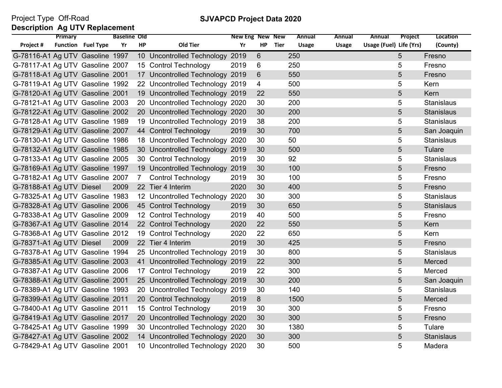# **SJVAPCD Project Data 2020**

|                                 | Primary |                           | <b>Baseline Old</b> |            |                                 | New Eng New New |                |      | Annual       | <b>Annual</b> | Annual                  | Project | Location          |
|---------------------------------|---------|---------------------------|---------------------|------------|---------------------------------|-----------------|----------------|------|--------------|---------------|-------------------------|---------|-------------------|
| Project #                       |         | <b>Function</b> Fuel Type | Yr                  | HP         | Old Tier                        | Yr              | <b>HP</b>      | Tier | <b>Usage</b> | <b>Usage</b>  | Usage (Fuel) Life (Yrs) |         | (County)          |
| G-78116-A1 Ag UTV Gasoline 1997 |         |                           |                     |            | 10 Uncontrolled Technology 2019 |                 | $6\phantom{1}$ |      | 250          |               |                         | 5       | Fresno            |
| G-78117-A1 Ag UTV Gasoline 2007 |         |                           |                     |            | 15 Control Technology           | 2019            | 6              |      | 250          |               |                         | 5       | Fresno            |
| G-78118-A1 Ag UTV Gasoline 2001 |         |                           |                     |            | 17 Uncontrolled Technology 2019 |                 | 6              |      | 550          |               |                         | 5       | Fresno            |
| G-78119-A1 Ag UTV Gasoline 1992 |         |                           |                     |            | 22 Uncontrolled Technology 2019 |                 | 4              |      | 500          |               |                         | 5       | Kern              |
| G-78120-A1 Ag UTV Gasoline 2001 |         |                           |                     |            | 19 Uncontrolled Technology 2019 |                 | 22             |      | 550          |               |                         | 5       | Kern              |
| G-78121-A1 Ag UTV Gasoline 2003 |         |                           |                     |            | 20 Uncontrolled Technology 2020 |                 | 30             |      | 200          |               |                         | 5       | <b>Stanislaus</b> |
| G-78122-A1 Ag UTV Gasoline 2002 |         |                           |                     |            | 20 Uncontrolled Technology 2020 |                 | 30             |      | 200          |               |                         | 5       | <b>Stanislaus</b> |
| G-78128-A1 Ag UTV Gasoline 1989 |         |                           |                     |            | 19 Uncontrolled Technology 2019 |                 | 38             |      | 200          |               |                         | 5       | <b>Stanislaus</b> |
| G-78129-A1 Ag UTV Gasoline 2007 |         |                           |                     |            | 44 Control Technology           | 2019            | 30             |      | 700          |               |                         | 5       | San Joaquin       |
| G-78130-A1 Ag UTV Gasoline 1986 |         |                           |                     |            | 18 Uncontrolled Technology 2020 |                 | 30             |      | 50           |               |                         | 5       | <b>Stanislaus</b> |
| G-78132-A1 Ag UTV Gasoline 1985 |         |                           |                     |            | 30 Uncontrolled Technology 2019 |                 | 30             |      | 500          |               |                         | 5       | Tulare            |
| G-78133-A1 Ag UTV Gasoline 2005 |         |                           |                     |            | 30 Control Technology           | 2019            | 30             |      | 92           |               |                         | 5       | <b>Stanislaus</b> |
| G-78169-A1 Ag UTV Gasoline 1997 |         |                           |                     |            | 19 Uncontrolled Technology 2019 |                 | 30             |      | 100          |               |                         | 5       | Fresno            |
| G-78182-A1 Ag UTV Gasoline 2007 |         |                           |                     | $7\degree$ | <b>Control Technology</b>       | 2019            | 30             |      | 100          |               |                         | 5       | Fresno            |
| G-78188-A1 Ag UTV Diesel        |         |                           | 2009                |            | 22 Tier 4 Interim               | 2020            | 30             |      | 400          |               |                         | 5       | Fresno            |
| G-78325-A1 Ag UTV Gasoline 1983 |         |                           |                     |            | 12 Uncontrolled Technology      | 2020            | 30             |      | 300          |               |                         | 5       | <b>Stanislaus</b> |
| G-78328-A1 Ag UTV Gasoline 2006 |         |                           |                     |            | 45 Control Technology           | 2019            | 30             |      | 650          |               |                         | 5       | <b>Stanislaus</b> |
| G-78338-A1 Ag UTV Gasoline 2009 |         |                           |                     |            | 12 Control Technology           | 2019            | 40             |      | 500          |               |                         | 5       | Fresno            |
| G-78367-A1 Ag UTV Gasoline 2014 |         |                           |                     |            | 22 Control Technology           | 2020            | 22             |      | 550          |               |                         | 5       | Kern              |
| G-78368-A1 Ag UTV Gasoline 2012 |         |                           |                     |            | 19 Control Technology           | 2020            | 22             |      | 650          |               |                         | 5       | Kern              |
| G-78371-A1 Ag UTV Diesel        |         |                           | 2009                |            | 22 Tier 4 Interim               | 2019            | 30             |      | 425          |               |                         | 5       | Fresno            |
| G-78378-A1 Ag UTV Gasoline 1994 |         |                           |                     |            | 25 Uncontrolled Technology 2019 |                 | 30             |      | 800          |               |                         | 5       | <b>Stanislaus</b> |
| G-78385-A1 Ag UTV Gasoline 2003 |         |                           |                     |            | 41 Uncontrolled Technology 2019 |                 | 22             |      | 300          |               |                         | 5       | Merced            |
| G-78387-A1 Ag UTV Gasoline 2006 |         |                           |                     |            | 17 Control Technology           | 2019            | 22             |      | 300          |               |                         | 5       | Merced            |
| G-78388-A1 Ag UTV Gasoline 2001 |         |                           |                     |            | 25 Uncontrolled Technology 2019 |                 | 30             |      | 200          |               |                         | 5       | San Joaquin       |
| G-78389-A1 Ag UTV Gasoline 1993 |         |                           |                     |            | 20 Uncontrolled Technology 2019 |                 | 30             |      | 140          |               |                         | 5       | <b>Stanislaus</b> |
| G-78399-A1 Ag UTV Gasoline 2011 |         |                           |                     |            | 20 Control Technology           | 2019            | 8              |      | 1500         |               |                         | 5       | Merced            |
| G-78400-A1 Ag UTV Gasoline 2011 |         |                           |                     |            | 15 Control Technology           | 2019            | 30             |      | 300          |               |                         | 5       | Fresno            |
| G-78419-A1 Ag UTV Gasoline 2017 |         |                           |                     |            | 20 Uncontrolled Technology 2020 |                 | 30             |      | 300          |               |                         | 5       | Fresno            |
| G-78425-A1 Ag UTV Gasoline 1999 |         |                           |                     |            | 30 Uncontrolled Technology 2020 |                 | 30             |      | 1380         |               |                         | 5       | Tulare            |
| G-78427-A1 Ag UTV Gasoline 2002 |         |                           |                     |            | 14 Uncontrolled Technology 2020 |                 | 30             |      | 300          |               |                         | 5       | <b>Stanislaus</b> |
| G-78429-A1 Ag UTV Gasoline 2001 |         |                           |                     |            | 10 Uncontrolled Technology 2020 |                 | 30             |      | 500          |               |                         | 5       | Madera            |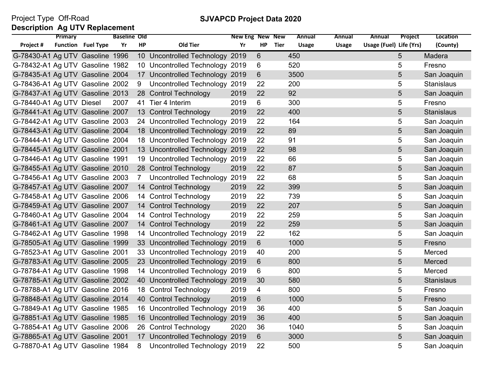# **SJVAPCD Project Data 2020**

|                                 | <b>Primary</b> |                           | <b>Baseline Old</b> |                |                                 | New Eng New New |                  |      | Annual       | Annual       | Annual                  | <b>Project</b> | Location          |
|---------------------------------|----------------|---------------------------|---------------------|----------------|---------------------------------|-----------------|------------------|------|--------------|--------------|-------------------------|----------------|-------------------|
| Project #                       |                | <b>Function</b> Fuel Type | Yr                  | HP             | Old Tier                        | Yr              | HP               | Tier | <b>Usage</b> | <b>Usage</b> | Usage (Fuel) Life (Yrs) |                | (County)          |
| G-78430-A1 Ag UTV Gasoline 1996 |                |                           |                     |                | 10 Uncontrolled Technology 2019 |                 | $6 \overline{6}$ |      | 450          |              |                         | 5.             | Madera            |
| G-78432-A1 Ag UTV Gasoline 1982 |                |                           |                     |                | 10 Uncontrolled Technology 2019 |                 | 6                |      | 520          |              |                         | 5              | Fresno            |
| G-78435-A1 Ag UTV Gasoline 2004 |                |                           |                     |                | 17 Uncontrolled Technology 2019 |                 | 6                |      | 3500         |              |                         | 5              | San Joaquin       |
| G-78436-A1 Ag UTV Gasoline 2002 |                |                           |                     | 9              | Uncontrolled Technology 2019    |                 | 22               |      | 200          |              |                         | 5              | <b>Stanislaus</b> |
| G-78437-A1 Ag UTV Gasoline 2013 |                |                           |                     |                | 28 Control Technology           | 2019            | 22               |      | 92           |              |                         | 5              | San Joaquin       |
| G-78440-A1 Ag UTV Diesel        |                |                           | 2007                |                | 41 Tier 4 Interim               | 2019            | 6                |      | 300          |              |                         | 5              | Fresno            |
| G-78441-A1 Ag UTV Gasoline 2007 |                |                           |                     |                | 13 Control Technology           | 2019            | 22               |      | 400          |              |                         | 5              | <b>Stanislaus</b> |
| G-78442-A1 Ag UTV Gasoline 2003 |                |                           |                     |                | 24 Uncontrolled Technology 2019 |                 | 22               |      | 164          |              |                         | 5              | San Joaquin       |
| G-78443-A1 Ag UTV Gasoline 2004 |                |                           |                     |                | 18 Uncontrolled Technology 2019 |                 | 22               |      | 89           |              |                         | 5              | San Joaquin       |
| G-78444-A1 Ag UTV Gasoline 2004 |                |                           |                     |                | 18 Uncontrolled Technology 2019 |                 | 22               |      | 91           |              |                         | 5              | San Joaquin       |
| G-78445-A1 Ag UTV Gasoline 2001 |                |                           |                     |                | 13 Uncontrolled Technology 2019 |                 | 22               |      | 98           |              |                         | 5              | San Joaquin       |
| G-78446-A1 Ag UTV Gasoline 1991 |                |                           |                     |                | 19 Uncontrolled Technology 2019 |                 | 22               |      | 66           |              |                         | 5              | San Joaquin       |
| G-78455-A1 Ag UTV Gasoline 2010 |                |                           |                     |                | 28 Control Technology           | 2019            | 22               |      | 87           |              |                         | 5              | San Joaquin       |
| G-78456-A1 Ag UTV Gasoline 2003 |                |                           |                     | 7 <sup>7</sup> | Uncontrolled Technology         | 2019            | 22               |      | 68           |              |                         | 5              | San Joaquin       |
| G-78457-A1 Ag UTV Gasoline 2007 |                |                           |                     |                | 14 Control Technology           | 2019            | 22               |      | 399          |              |                         | 5              | San Joaquin       |
| G-78458-A1 Ag UTV Gasoline 2006 |                |                           |                     |                | 14 Control Technology           | 2019            | 22               |      | 739          |              |                         | 5              | San Joaquin       |
| G-78459-A1 Ag UTV Gasoline 2007 |                |                           |                     |                | 14 Control Technology           | 2019            | 22               |      | 207          |              |                         | 5              | San Joaquin       |
| G-78460-A1 Ag UTV Gasoline 2004 |                |                           |                     |                | 14 Control Technology           | 2019            | 22               |      | 259          |              |                         | 5              | San Joaquin       |
| G-78461-A1 Ag UTV Gasoline 2007 |                |                           |                     |                | 14 Control Technology           | 2019            | 22               |      | 259          |              |                         | 5              | San Joaquin       |
| G-78462-A1 Ag UTV Gasoline 1998 |                |                           |                     |                | 14 Uncontrolled Technology 2019 |                 | 22               |      | 162          |              |                         | 5              | San Joaquin       |
| G-78505-A1 Ag UTV Gasoline 1999 |                |                           |                     |                | 33 Uncontrolled Technology 2019 |                 | $6 \overline{6}$ |      | 1000         |              |                         | 5              | Fresno            |
| G-78523-A1 Ag UTV Gasoline 2001 |                |                           |                     |                | 33 Uncontrolled Technology 2019 |                 | 40               |      | 200          |              |                         | 5              | Merced            |
| G-78783-A1 Ag UTV Gasoline 2005 |                |                           |                     |                | 23 Uncontrolled Technology 2019 |                 | $6\phantom{.}6$  |      | 800          |              |                         | 5              | Merced            |
| G-78784-A1 Ag UTV Gasoline 1998 |                |                           |                     |                | 14 Uncontrolled Technology 2019 |                 | 6                |      | 800          |              |                         | 5              | Merced            |
| G-78785-A1 Ag UTV Gasoline 2002 |                |                           |                     |                | 40 Uncontrolled Technology 2019 |                 | 30               |      | 580          |              |                         | 5              | <b>Stanislaus</b> |
| G-78788-A1 Ag UTV Gasoline 2016 |                |                           |                     |                | 18 Control Technology           | 2019            | 4                |      | 800          |              |                         | 5              | Fresno            |
| G-78848-A1 Ag UTV Gasoline 2014 |                |                           |                     |                | 40 Control Technology           | 2019            | $\,6$            |      | 1000         |              |                         | 5              | Fresno            |
| G-78849-A1 Ag UTV Gasoline 1985 |                |                           |                     |                | 16 Uncontrolled Technology 2019 |                 | 36               |      | 400          |              |                         | 5              | San Joaquin       |
| G-78851-A1 Ag UTV Gasoline 1985 |                |                           |                     |                | 16 Uncontrolled Technology 2019 |                 | 36               |      | 400          |              |                         | 5              | San Joaquin       |
| G-78854-A1 Ag UTV Gasoline 2006 |                |                           |                     |                | 26 Control Technology           | 2020            | 36               |      | 1040         |              |                         | 5              | San Joaquin       |
| G-78865-A1 Ag UTV Gasoline 2001 |                |                           |                     |                | 17 Uncontrolled Technology 2019 |                 | $6\phantom{1}$   |      | 3000         |              |                         | 5              | San Joaquin       |
| G-78870-A1 Ag UTV Gasoline 1984 |                |                           |                     | 8              | Uncontrolled Technology 2019    |                 | 22               |      | 500          |              |                         | 5              | San Joaquin       |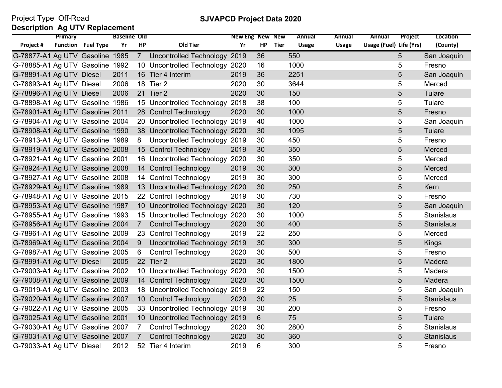# **SJVAPCD Project Data 2020**

|                                 | <b>Primary</b> |                           | <b>Baseline Old</b> |                 |                                 | <b>New Eng New New</b> |                |      | <b>Annual</b> | Annual       | Annual                  | Project | <b>Location</b>   |
|---------------------------------|----------------|---------------------------|---------------------|-----------------|---------------------------------|------------------------|----------------|------|---------------|--------------|-------------------------|---------|-------------------|
| Project #                       |                | <b>Function</b> Fuel Type | Yr                  | HP              | <b>Old Tier</b>                 | Yr                     | HP             | Tier | <b>Usage</b>  | <b>Usage</b> | Usage (Fuel) Life (Yrs) |         | (County)          |
| G-78877-A1 Ag UTV Gasoline 1985 |                |                           |                     |                 | 7 Uncontrolled Technology 2019  |                        | 36             |      | 550           |              |                         | 5       | San Joaquin       |
| G-78885-A1 Ag UTV Gasoline 1992 |                |                           |                     |                 | 10 Uncontrolled Technology 2020 |                        | 16             |      | 1000          |              |                         | 5       | Fresno            |
| G-78891-A1 Ag UTV Diesel        |                |                           | 2011                |                 | 16 Tier 4 Interim               | 2019                   | 36             |      | 2251          |              |                         | 5       | San Joaquin       |
| G-78893-A1 Ag UTV Diesel        |                |                           | 2006                |                 | 18 Tier 2                       | 2020                   | 30             |      | 3644          |              |                         | 5       | Merced            |
| G-78896-A1 Ag UTV Diesel        |                |                           | 2006                |                 | 21 Tier 2                       | 2020                   | 30             |      | 150           |              |                         | 5       | Tulare            |
| G-78898-A1 Ag UTV Gasoline 1986 |                |                           |                     |                 | 15 Uncontrolled Technology 2018 |                        | 38             |      | 100           |              |                         | 5       | Tulare            |
| G-78901-A1 Ag UTV Gasoline 2011 |                |                           |                     |                 | 28 Control Technology           | 2020                   | 30             |      | 1000          |              |                         | 5       | Fresno            |
| G-78904-A1 Ag UTV Gasoline 2004 |                |                           |                     |                 | 20 Uncontrolled Technology 2019 |                        | 40             |      | 1000          |              |                         | 5       | San Joaquin       |
| G-78908-A1 Ag UTV Gasoline 1990 |                |                           |                     |                 | 38 Uncontrolled Technology 2020 |                        | 30             |      | 1095          |              |                         | 5       | Tulare            |
| G-78913-A1 Ag UTV Gasoline 1989 |                |                           |                     |                 | 8 Uncontrolled Technology 2019  |                        | 30             |      | 450           |              |                         | 5       | Fresno            |
| G-78919-A1 Ag UTV Gasoline 2008 |                |                           |                     |                 | 15 Control Technology           | 2019                   | 30             |      | 350           |              |                         | 5       | Merced            |
| G-78921-A1 Ag UTV Gasoline 2001 |                |                           |                     |                 | 16 Uncontrolled Technology      | 2020                   | 30             |      | 350           |              |                         | 5       | Merced            |
| G-78924-A1 Ag UTV Gasoline 2008 |                |                           |                     |                 | 14 Control Technology           | 2019                   | 30             |      | 300           |              |                         | 5       | Merced            |
| G-78927-A1 Ag UTV Gasoline 2008 |                |                           |                     |                 | 14 Control Technology           | 2019                   | 30             |      | 300           |              |                         | 5       | Merced            |
| G-78929-A1 Ag UTV Gasoline 1989 |                |                           |                     |                 | 13 Uncontrolled Technology      | 2020                   | 30             |      | 250           |              |                         | 5       | Kern              |
| G-78948-A1 Ag UTV Gasoline 2015 |                |                           |                     |                 | 22 Control Technology           | 2019                   | 30             |      | 730           |              |                         | 5       | Fresno            |
| G-78953-A1 Ag UTV Gasoline 1987 |                |                           |                     |                 | 10 Uncontrolled Technology      | 2020                   | 30             |      | 120           |              |                         | 5       | San Joaquin       |
| G-78955-A1 Ag UTV Gasoline 1993 |                |                           |                     |                 | 15 Uncontrolled Technology 2020 |                        | 30             |      | 1000          |              |                         | 5       | Stanislaus        |
| G-78956-A1 Ag UTV Gasoline 2004 |                |                           |                     | $7\overline{ }$ | <b>Control Technology</b>       | 2020                   | 30             |      | 400           |              |                         | 5       | <b>Stanislaus</b> |
| G-78961-A1 Ag UTV Gasoline 2009 |                |                           |                     |                 | 23 Control Technology           | 2019                   | 22             |      | 250           |              |                         | 5       | Merced            |
| G-78969-A1 Ag UTV Gasoline 2004 |                |                           |                     | 9               | Uncontrolled Technology         | 2019                   | 30             |      | 300           |              |                         | 5       | <b>Kings</b>      |
| G-78987-A1 Ag UTV Gasoline 2005 |                |                           |                     | 6               | <b>Control Technology</b>       | 2020                   | 30             |      | 500           |              |                         | 5       | Fresno            |
| G-78991-A1 Ag UTV Diesel        |                |                           | 2005                |                 | 22 Tier 2                       | 2020                   | 30             |      | 1800          |              |                         | 5       | Madera            |
| G-79003-A1 Ag UTV Gasoline 2002 |                |                           |                     |                 | 10 Uncontrolled Technology      | 2020                   | 30             |      | 1500          |              |                         | 5       | Madera            |
| G-79008-A1 Ag UTV Gasoline 2009 |                |                           |                     |                 | 14 Control Technology           | 2020                   | 30             |      | 1500          |              |                         | 5       | Madera            |
| G-79019-A1 Ag UTV Gasoline 2003 |                |                           |                     |                 | 18 Uncontrolled Technology 2019 |                        | 22             |      | 150           |              |                         | 5       | San Joaquin       |
| G-79020-A1 Ag UTV Gasoline 2007 |                |                           |                     |                 | 10 Control Technology           | 2020                   | 30             |      | 25            |              |                         | 5       | <b>Stanislaus</b> |
| G-79022-A1 Ag UTV Gasoline 2005 |                |                           |                     |                 | 33 Uncontrolled Technology 2019 |                        | 30             |      | 200           |              |                         | 5       | Fresno            |
| G-79025-A1 Ag UTV Gasoline 2001 |                |                           |                     |                 | 10 Uncontrolled Technology 2019 |                        | $6\phantom{.}$ |      | 75            |              |                         | 5       | Tulare            |
| G-79030-A1 Ag UTV Gasoline 2007 |                |                           |                     | 7 <sup>1</sup>  | <b>Control Technology</b>       | 2020                   | 30             |      | 2800          |              |                         | 5       | Stanislaus        |
| G-79031-A1 Ag UTV Gasoline 2007 |                |                           |                     | $7^{\circ}$     | <b>Control Technology</b>       | 2020                   | 30             |      | 360           |              |                         | 5       | <b>Stanislaus</b> |
| G-79033-A1 Ag UTV Diesel        |                |                           | 2012                |                 | 52 Tier 4 Interim               | 2019                   | 6              |      | 300           |              |                         | 5       | Fresno            |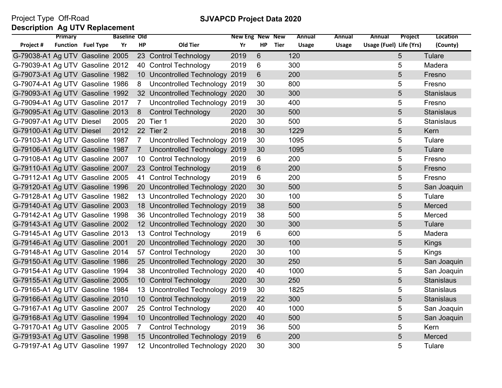# **SJVAPCD Project Data 2020**

|                                 | <b>Primary</b> |                           | <b>Baseline Old</b> |                |                                 | New Eng New New |                 |      | Annual       | <b>Annual</b> | Annual                  | Project | <b>Location</b>   |
|---------------------------------|----------------|---------------------------|---------------------|----------------|---------------------------------|-----------------|-----------------|------|--------------|---------------|-------------------------|---------|-------------------|
| Project #                       |                | <b>Function</b> Fuel Type | Yr                  | HP             | Old Tier                        | Yr              | <b>HP</b>       | Tier | <b>Usage</b> | <b>Usage</b>  | Usage (Fuel) Life (Yrs) |         | (County)          |
| G-79038-A1 Ag UTV Gasoline 2005 |                |                           |                     |                | 23 Control Technology           | 2019            | $6\phantom{.}$  |      | 120          |               |                         | 5       | Tulare            |
| G-79039-A1 Ag UTV Gasoline 2012 |                |                           |                     |                | 40 Control Technology           | 2019            | $\,6$           |      | 300          |               |                         | 5       | Madera            |
| G-79073-A1 Ag UTV Gasoline 1982 |                |                           |                     |                | 10 Uncontrolled Technology 2019 |                 | 6               |      | 200          |               |                         | 5       | Fresno            |
| G-79074-A1 Ag UTV Gasoline 1986 |                |                           |                     | 8              | Uncontrolled Technology 2019    |                 | 30              |      | 800          |               |                         | 5       | Fresno            |
| G-79093-A1 Ag UTV Gasoline 1992 |                |                           |                     |                | 32 Uncontrolled Technology 2020 |                 | 30              |      | 300          |               |                         | 5       | <b>Stanislaus</b> |
| G-79094-A1 Ag UTV Gasoline 2017 |                |                           |                     | $7^{\circ}$    | Uncontrolled Technology 2019    |                 | 30              |      | 400          |               |                         | 5       | Fresno            |
| G-79095-A1 Ag UTV Gasoline 2013 |                |                           |                     | 8              | <b>Control Technology</b>       | 2020            | 30              |      | 500          |               |                         | 5       | Stanislaus        |
| G-79097-A1 Ag UTV Diesel        |                |                           | 2005                | 20             | Tier 1                          | 2020            | 30              |      | 500          |               |                         | 5       | <b>Stanislaus</b> |
| G-79100-A1 Ag UTV Diesel        |                |                           | 2012                |                | 22 Tier 2                       | 2018            | 30              |      | 1229         |               |                         | 5       | Kern              |
| G-79103-A1 Ag UTV Gasoline 1987 |                |                           |                     | 7 <sup>7</sup> | Uncontrolled Technology 2019    |                 | 30              |      | 1095         |               |                         | 5       | Tulare            |
| G-79106-A1 Ag UTV Gasoline 1987 |                |                           |                     | $7^{\circ}$    | Uncontrolled Technology 2019    |                 | 30              |      | 1095         |               |                         | 5       | Tulare            |
| G-79108-A1 Ag UTV Gasoline 2007 |                |                           |                     |                | 10 Control Technology           | 2019            | 6               |      | 200          |               |                         | 5       | Fresno            |
| G-79110-A1 Ag UTV Gasoline 2007 |                |                           |                     |                | 23 Control Technology           | 2019            | 6               |      | 200          |               |                         | 5       | Fresno            |
| G-79112-A1 Ag UTV Gasoline 2005 |                |                           |                     |                | 41 Control Technology           | 2019            | 6               |      | 200          |               |                         | 5       | Fresno            |
| G-79120-A1 Ag UTV Gasoline 1996 |                |                           |                     |                | 20 Uncontrolled Technology 2020 |                 | 30              |      | 500          |               |                         | 5       | San Joaquin       |
| G-79128-A1 Ag UTV Gasoline 1982 |                |                           |                     |                | 13 Uncontrolled Technology 2020 |                 | 30              |      | 100          |               |                         | 5       | Tulare            |
| G-79140-A1 Ag UTV Gasoline 2003 |                |                           |                     |                | 18 Uncontrolled Technology 2019 |                 | 38              |      | 500          |               |                         | 5       | Merced            |
| G-79142-A1 Ag UTV Gasoline 1998 |                |                           |                     |                | 36 Uncontrolled Technology 2019 |                 | 38              |      | 500          |               |                         | 5       | Merced            |
| G-79143-A1 Ag UTV Gasoline 2002 |                |                           |                     |                | 12 Uncontrolled Technology 2020 |                 | 30              |      | 300          |               |                         | 5       | Tulare            |
| G-79145-A1 Ag UTV Gasoline 2013 |                |                           |                     |                | 13 Control Technology           | 2019            | $6\overline{6}$ |      | 600          |               |                         | 5       | Madera            |
| G-79146-A1 Ag UTV Gasoline 2001 |                |                           |                     |                | 20 Uncontrolled Technology 2020 |                 | 30              |      | 100          |               |                         | 5       | <b>Kings</b>      |
| G-79148-A1 Ag UTV Gasoline 2014 |                |                           |                     |                | 57 Control Technology           | 2020            | 30              |      | 100          |               |                         | 5       | Kings             |
| G-79150-A1 Ag UTV Gasoline 1986 |                |                           |                     |                | 25 Uncontrolled Technology 2020 |                 | 30              |      | 250          |               |                         | 5       | San Joaquin       |
| G-79154-A1 Ag UTV Gasoline 1994 |                |                           |                     |                | 38 Uncontrolled Technology 2020 |                 | 40              |      | 1000         |               |                         | 5       | San Joaquin       |
| G-79155-A1 Ag UTV Gasoline 2005 |                |                           |                     |                | 10 Control Technology           | 2020            | 30              |      | 250          |               |                         | 5       | <b>Stanislaus</b> |
| G-79165-A1 Ag UTV Gasoline 1984 |                |                           |                     |                | 13 Uncontrolled Technology      | 2019            | 30              |      | 1825         |               |                         | 5       | <b>Stanislaus</b> |
| G-79166-A1 Ag UTV Gasoline 2010 |                |                           |                     |                | 10 Control Technology           | 2019            | 22              |      | 300          |               |                         | 5       | <b>Stanislaus</b> |
| G-79167-A1 Ag UTV Gasoline 2007 |                |                           |                     |                | 25 Control Technology           | 2020            | 40              |      | 1000         |               |                         | 5       | San Joaquin       |
| G-79168-A1 Ag UTV Gasoline 1994 |                |                           |                     |                | 10 Uncontrolled Technology 2020 |                 | 40              |      | 500          |               |                         | 5       | San Joaquin       |
| G-79170-A1 Ag UTV Gasoline 2005 |                |                           |                     | $7^{\circ}$    | <b>Control Technology</b>       | 2019            | 36              |      | 500          |               |                         | 5       | Kern              |
| G-79193-A1 Ag UTV Gasoline 1998 |                |                           |                     |                | 15 Uncontrolled Technology 2019 |                 | $6^{\circ}$     |      | 200          |               |                         | 5       | Merced            |
| G-79197-A1 Ag UTV Gasoline 1997 |                |                           |                     |                | 12 Uncontrolled Technology 2020 |                 | 30              |      | 300          |               |                         | 5       | Tulare            |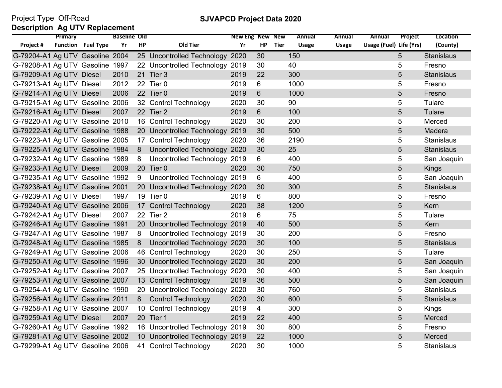### Project Type Off-Road

# **SJVAPCD Project Data 2020**

#### **Description Ag UTV Replacement**

|                                 | Primary |                           | <b>Baseline Old</b> |    |                                 | <b>New Eng New New</b> |                |      | <b>Annual</b> | <b>Annual</b> | Annual                  | Project | <b>Location</b>   |
|---------------------------------|---------|---------------------------|---------------------|----|---------------------------------|------------------------|----------------|------|---------------|---------------|-------------------------|---------|-------------------|
| <b>Project #</b>                |         | <b>Function</b> Fuel Type | Yr                  | HP | Old Tier                        | Yr                     | HP             | Tier | <b>Usage</b>  | <b>Usage</b>  | Usage (Fuel) Life (Yrs) |         | (County)          |
| G-79204-A1 Ag UTV Gasoline 2004 |         |                           |                     |    | 25 Uncontrolled Technology 2020 |                        | 30             |      | 150           |               |                         | 5       | <b>Stanislaus</b> |
| G-79208-A1 Ag UTV Gasoline 1997 |         |                           |                     |    | 22 Uncontrolled Technology 2019 |                        | 30             |      | 40            |               |                         | 5       | Fresno            |
| G-79209-A1 Ag UTV Diesel        |         |                           | 2010                |    | 21 Tier 3                       | 2019                   | 22             |      | 300           |               |                         | 5       | <b>Stanislaus</b> |
| G-79213-A1 Ag UTV Diesel        |         |                           | 2012                |    | 22 Tier 0                       | 2019                   | 6              |      | 1000          |               |                         | 5       | Fresno            |
| G-79214-A1 Ag UTV Diesel        |         |                           | 2006                |    | 22 Tier 0                       | 2019                   | $6\phantom{1}$ |      | 1000          |               |                         | 5       | Fresno            |
| G-79215-A1 Ag UTV Gasoline 2006 |         |                           |                     |    | 32 Control Technology           | 2020                   | 30             |      | 90            |               |                         | 5       | Tulare            |
| G-79216-A1 Ag UTV Diesel        |         |                           | 2007                |    | 22 Tier 2                       | 2019                   | $6\phantom{.}$ |      | 100           |               |                         | 5       | Tulare            |
| G-79220-A1 Ag UTV Gasoline 2010 |         |                           |                     |    | 16 Control Technology           | 2020                   | 30             |      | 200           |               |                         | 5       | Merced            |
| G-79222-A1 Ag UTV Gasoline 1988 |         |                           |                     |    | 20 Uncontrolled Technology      | 2019                   | 30             |      | 500           |               |                         | 5       | Madera            |
| G-79223-A1 Ag UTV Gasoline 2005 |         |                           |                     |    | 17 Control Technology           | 2020                   | 36             |      | 2190          |               |                         | 5       | <b>Stanislaus</b> |
| G-79225-A1 Ag UTV Gasoline 1984 |         |                           |                     | 8  | Uncontrolled Technology 2020    |                        | 30             |      | 25            |               |                         | 5       | <b>Stanislaus</b> |
| G-79232-A1 Ag UTV Gasoline 1989 |         |                           |                     | 8  | Uncontrolled Technology 2019    |                        | 6              |      | 400           |               |                         | 5       | San Joaquin       |
| G-79233-A1 Ag UTV Diesel        |         |                           | 2009                |    | 20 Tier 0                       | 2020                   | 30             |      | 750           |               |                         | 5       | Kings             |
| G-79235-A1 Ag UTV Gasoline 1992 |         |                           |                     | 9  | Uncontrolled Technology 2019    |                        | 6              |      | 400           |               |                         | 5       | San Joaquin       |
| G-79238-A1 Ag UTV Gasoline 2001 |         |                           |                     |    | 20 Uncontrolled Technology 2020 |                        | 30             |      | 300           |               |                         | 5       | <b>Stanislaus</b> |
| G-79239-A1 Ag UTV Diesel        |         |                           | 1997                |    | 19 Tier 0                       | 2019                   | 6              |      | 800           |               |                         | 5       | Fresno            |
| G-79240-A1 Ag UTV Gasoline 2006 |         |                           |                     |    | 17 Control Technology           | 2020                   | 38             |      | 1200          |               |                         | 5       | Kern              |
| G-79242-A1 Ag UTV Diesel        |         |                           | 2007                |    | 22 Tier 2                       | 2019                   | 6              |      | 75            |               |                         | 5       | Tulare            |
| G-79246-A1 Ag UTV Gasoline 1991 |         |                           |                     |    | 20 Uncontrolled Technology 2019 |                        | 40             |      | 500           |               |                         | 5       | Kern              |
| G-79247-A1 Ag UTV Gasoline 1987 |         |                           |                     | 8  | Uncontrolled Technology 2019    |                        | 30             |      | 200           |               |                         | 5       | Fresno            |
| G-79248-A1 Ag UTV Gasoline 1985 |         |                           |                     | 8  | Uncontrolled Technology 2020    |                        | 30             |      | 100           |               |                         | 5       | <b>Stanislaus</b> |
| G-79249-A1 Ag UTV Gasoline 2006 |         |                           |                     |    | 46 Control Technology           | 2020                   | 30             |      | 250           |               |                         | 5       | Tulare            |
| G-79250-A1 Ag UTV Gasoline 1996 |         |                           |                     |    | 30 Uncontrolled Technology 2020 |                        | 30             |      | 200           |               |                         | 5       | San Joaquin       |
| G-79252-A1 Ag UTV Gasoline 2007 |         |                           |                     |    | 25 Uncontrolled Technology 2020 |                        | 30             |      | 400           |               |                         | 5       | San Joaquin       |
| G-79253-A1 Ag UTV Gasoline 2007 |         |                           |                     |    | 13 Control Technology           | 2019                   | 36             |      | 500           |               |                         | 5       | San Joaquin       |
| G-79254-A1 Ag UTV Gasoline 1990 |         |                           |                     |    | 20 Uncontrolled Technology      | 2020                   | 30             |      | 760           |               |                         | 5       | <b>Stanislaus</b> |
| G-79256-A1 Ag UTV Gasoline 2011 |         |                           |                     | 8  | <b>Control Technology</b>       | 2020                   | 30             |      | 600           |               |                         | 5       | <b>Stanislaus</b> |
| G-79258-A1 Ag UTV Gasoline 2007 |         |                           |                     |    | 10 Control Technology           | 2019                   | $\overline{4}$ |      | 300           |               |                         | 5       | Kings             |
| G-79259-A1 Ag UTV Diesel        |         |                           | 2007                |    | 20 Tier 1                       | 2019                   | 22             |      | 400           |               |                         | 5       | Merced            |
| G-79260-A1 Ag UTV Gasoline 1992 |         |                           |                     |    | 16 Uncontrolled Technology 2019 |                        | 30             |      | 800           |               |                         | 5       | Fresno            |
| G-79281-A1 Ag UTV Gasoline 2002 |         |                           |                     |    | 10 Uncontrolled Technology 2019 |                        | 22             |      | 1000          |               |                         | 5       | Merced            |
| G-79299-A1 Ag UTV Gasoline 2006 |         |                           |                     |    | 41 Control Technology           | 2020                   | 30             |      | 1000          |               |                         | 5       | <b>Stanislaus</b> |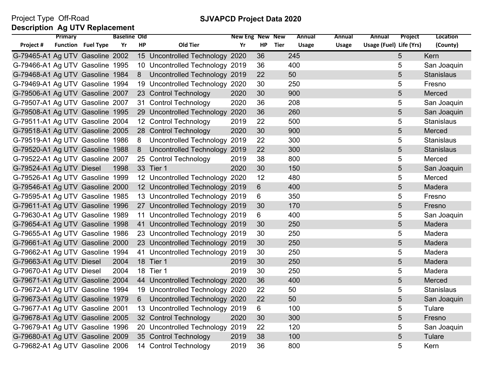### Project Type Off-Road

# **SJVAPCD Project Data 2020**

#### **Description Ag UTV Replacement**

|                                 | Primary |                           | <b>Baseline Old</b> |                |                                 | New Eng New New |           |      | Annual       | <b>Annual</b> | <b>Annual</b>           | Project | <b>Location</b>   |
|---------------------------------|---------|---------------------------|---------------------|----------------|---------------------------------|-----------------|-----------|------|--------------|---------------|-------------------------|---------|-------------------|
| Project #                       |         | <b>Function</b> Fuel Type | Yr                  | HP             | Old Tier                        | Yr              | <b>HP</b> | Tier | <b>Usage</b> | <b>Usage</b>  | Usage (Fuel) Life (Yrs) |         | (County)          |
| G-79465-A1 Ag UTV Gasoline 2002 |         |                           |                     |                | 15 Uncontrolled Technology 2020 |                 | 36        |      | 245          |               |                         | 5       | Kern              |
| G-79466-A1 Ag UTV Gasoline 1995 |         |                           |                     |                | 10 Uncontrolled Technology 2019 |                 | 36        |      | 400          |               |                         | 5       | San Joaquin       |
| G-79468-A1 Ag UTV Gasoline 1984 |         |                           |                     | 8 <sup>1</sup> | Uncontrolled Technology 2019    |                 | 22        |      | 50           |               |                         | 5       | <b>Stanislaus</b> |
| G-79469-A1 Ag UTV Gasoline 1994 |         |                           |                     |                | 19 Uncontrolled Technology 2020 |                 | 30        |      | 250          |               |                         | 5       | Fresno            |
| G-79506-A1 Ag UTV Gasoline 2007 |         |                           |                     |                | 23 Control Technology           | 2020            | 30        |      | 900          |               |                         | 5       | Merced            |
| G-79507-A1 Ag UTV Gasoline 2007 |         |                           |                     |                | 31 Control Technology           | 2020            | 36        |      | 208          |               |                         | 5       | San Joaquin       |
| G-79508-A1 Ag UTV Gasoline 1995 |         |                           |                     |                | 29 Uncontrolled Technology      | 2020            | 36        |      | 260          |               |                         | 5       | San Joaquin       |
| G-79511-A1 Ag UTV Gasoline 2004 |         |                           |                     |                | 12 Control Technology           | 2019            | 22        |      | 500          |               |                         | 5       | <b>Stanislaus</b> |
| G-79518-A1 Ag UTV Gasoline 2005 |         |                           |                     |                | 28 Control Technology           | 2020            | 30        |      | 900          |               |                         | 5       | Merced            |
| G-79519-A1 Ag UTV Gasoline 1986 |         |                           |                     | 8              | Uncontrolled Technology 2019    |                 | 22        |      | 300          |               |                         | 5       | <b>Stanislaus</b> |
| G-79520-A1 Ag UTV Gasoline 1988 |         |                           |                     | 8              | Uncontrolled Technology 2019    |                 | 22        |      | 300          |               |                         | 5       | <b>Stanislaus</b> |
| G-79522-A1 Ag UTV Gasoline 2007 |         |                           |                     |                | 25 Control Technology           | 2019            | 38        |      | 800          |               |                         | 5       | Merced            |
| G-79524-A1 Ag UTV Diesel        |         |                           | 1998                |                | 33 Tier 1                       | 2020            | 30        |      | 150          |               |                         | 5       | San Joaquin       |
| G-79526-A1 Ag UTV Gasoline 1999 |         |                           |                     |                | 12 Uncontrolled Technology 2020 |                 | 12        |      | 480          |               |                         | 5       | Merced            |
| G-79546-A1 Ag UTV Gasoline 2000 |         |                           |                     |                | 12 Uncontrolled Technology 2019 |                 | 6         |      | 400          |               |                         | 5       | Madera            |
| G-79595-A1 Ag UTV Gasoline 1985 |         |                           |                     |                | 13 Uncontrolled Technology 2019 |                 | 6         |      | 350          |               |                         | 5       | Fresno            |
| G-79611-A1 Ag UTV Gasoline 1996 |         |                           |                     |                | 27 Uncontrolled Technology 2019 |                 | 30        |      | 170          |               |                         | 5       | Fresno            |
| G-79630-A1 Ag UTV Gasoline 1989 |         |                           |                     |                | 11 Uncontrolled Technology 2019 |                 | 6         |      | 400          |               |                         | 5       | San Joaquin       |
| G-79654-A1 Ag UTV Gasoline 1998 |         |                           |                     |                | 41 Uncontrolled Technology 2019 |                 | 30        |      | 250          |               |                         | 5       | Madera            |
| G-79655-A1 Ag UTV Gasoline 1986 |         |                           |                     |                | 23 Uncontrolled Technology 2019 |                 | 30        |      | 250          |               |                         | 5       | Madera            |
| G-79661-A1 Ag UTV Gasoline 2000 |         |                           |                     |                | 23 Uncontrolled Technology 2019 |                 | 30        |      | 250          |               |                         | 5       | Madera            |
| G-79662-A1 Ag UTV Gasoline 1994 |         |                           |                     |                | 41 Uncontrolled Technology 2019 |                 | 30        |      | 250          |               |                         | 5       | Madera            |
| G-79663-A1 Ag UTV Diesel        |         |                           | 2004                |                | 18 Tier 1                       | 2019            | 30        |      | 250          |               |                         | 5       | Madera            |
| G-79670-A1 Ag UTV Diesel        |         |                           | 2004                |                | 18 Tier 1                       | 2019            | 30        |      | 250          |               |                         | 5       | Madera            |
| G-79671-A1 Ag UTV Gasoline 2004 |         |                           |                     |                | 44 Uncontrolled Technology 2020 |                 | 36        |      | 400          |               |                         | 5       | Merced            |
| G-79672-A1 Ag UTV Gasoline 1994 |         |                           |                     |                | 19 Uncontrolled Technology 2020 |                 | 22        |      | 50           |               |                         | 5       | Stanislaus        |
| G-79673-A1 Ag UTV Gasoline 1979 |         |                           |                     | 6 <sup>1</sup> | Uncontrolled Technology 2020    |                 | 22        |      | 50           |               |                         | 5       | San Joaquin       |
| G-79677-A1 Ag UTV Gasoline 2001 |         |                           |                     |                | 13 Uncontrolled Technology 2019 |                 | 6         |      | 100          |               |                         | 5       | Tulare            |
| G-79678-A1 Ag UTV Gasoline 2005 |         |                           |                     |                | 32 Control Technology           | 2020            | 30        |      | 300          |               |                         | 5       | Fresno            |
| G-79679-A1 Ag UTV Gasoline 1996 |         |                           |                     |                | 20 Uncontrolled Technology 2019 |                 | 22        |      | 120          |               |                         | 5       | San Joaquin       |
| G-79680-A1 Ag UTV Gasoline 2009 |         |                           |                     |                | 35 Control Technology           | 2019            | 38        |      | 100          |               |                         | 5       | Tulare            |
| G-79682-A1 Ag UTV Gasoline 2006 |         |                           |                     |                | 14 Control Technology           | 2019            | 36        |      | 800          |               |                         | 5       | Kern              |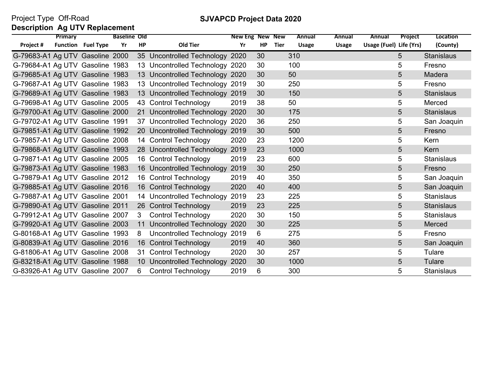### Project Type Off-Road

# **SJVAPCD Project Data 2020**

#### **Description Ag UTV Replacement**

|                                 | Primary |                           | <b>Baseline Old</b> |           |                                 | <b>New Eng New New</b> |    |      | Annual       | Annual       | Annual                  | Project        | Location          |
|---------------------------------|---------|---------------------------|---------------------|-----------|---------------------------------|------------------------|----|------|--------------|--------------|-------------------------|----------------|-------------------|
| Project #                       |         | <b>Function</b> Fuel Type | Yr                  | <b>HP</b> | Old Tier                        | Yr                     | HP | Tier | <b>Usage</b> | <b>Usage</b> | Usage (Fuel) Life (Yrs) |                | (County)          |
| G-79683-A1 Ag UTV Gasoline 2000 |         |                           |                     |           | 35 Uncontrolled Technology 2020 |                        | 30 |      | 310          |              |                         | 5              | <b>Stanislaus</b> |
| G-79684-A1 Ag UTV Gasoline 1983 |         |                           |                     |           | 13 Uncontrolled Technology 2020 |                        | 30 |      | 100          |              |                         | 5              | Fresno            |
| G-79685-A1 Ag UTV Gasoline 1983 |         |                           |                     |           | 13 Uncontrolled Technology 2020 |                        | 30 |      | 50           |              |                         | 5 <sup>5</sup> | Madera            |
| G-79687-A1 Ag UTV Gasoline 1983 |         |                           |                     |           | 13 Uncontrolled Technology 2019 |                        | 30 |      | 250          |              |                         | 5              | Fresno            |
| G-79689-A1 Ag UTV Gasoline 1983 |         |                           |                     |           | 13 Uncontrolled Technology 2019 |                        | 30 |      | 150          |              |                         | 5              | <b>Stanislaus</b> |
| G-79698-A1 Ag UTV Gasoline 2005 |         |                           |                     |           | 43 Control Technology           | 2019                   | 38 |      | 50           |              |                         | 5              | Merced            |
| G-79700-A1 Ag UTV Gasoline 2000 |         |                           |                     |           | 21 Uncontrolled Technology 2020 |                        | 30 |      | 175          |              |                         | 5              | <b>Stanislaus</b> |
| G-79702-A1 Ag UTV Gasoline 1991 |         |                           |                     |           | 37 Uncontrolled Technology 2020 |                        | 36 |      | 250          |              |                         | 5              | San Joaquin       |
| G-79851-A1 Ag UTV Gasoline 1992 |         |                           |                     |           | 20 Uncontrolled Technology 2019 |                        | 30 |      | 500          |              |                         | 5              | Fresno            |
| G-79857-A1 Ag UTV Gasoline 2008 |         |                           |                     |           | 14 Control Technology           | 2020                   | 23 |      | 1200         |              |                         | 5              | Kern              |
| G-79868-A1 Ag UTV Gasoline 1993 |         |                           |                     |           | 28 Uncontrolled Technology      | 2019                   | 23 |      | 1000         |              |                         | 5 <sup>5</sup> | Kern              |
| G-79871-A1 Ag UTV Gasoline 2005 |         |                           |                     |           | 16 Control Technology           | 2019                   | 23 |      | 600          |              |                         | 5              | <b>Stanislaus</b> |
| G-79873-A1 Ag UTV Gasoline 1983 |         |                           |                     |           | 16 Uncontrolled Technology      | 2019                   | 30 |      | 250          |              |                         | 5 <sup>5</sup> | Fresno            |
| G-79879-A1 Ag UTV Gasoline 2012 |         |                           |                     |           | 16 Control Technology           | 2019                   | 40 |      | 350          |              |                         | 5              | San Joaquin       |
| G-79885-A1 Ag UTV Gasoline 2016 |         |                           |                     |           | 16 Control Technology           | 2020                   | 40 |      | 400          |              |                         | 5 <sup>5</sup> | San Joaquin       |
| G-79887-A1 Ag UTV Gasoline 2001 |         |                           |                     |           | 14 Uncontrolled Technology      | 2019                   | 23 |      | 225          |              |                         | 5              | <b>Stanislaus</b> |
| G-79890-A1 Ag UTV Gasoline 2011 |         |                           |                     |           | 26 Control Technology           | 2019                   | 23 |      | 225          |              |                         | 5              | <b>Stanislaus</b> |
| G-79912-A1 Ag UTV Gasoline 2007 |         |                           |                     | 3         | <b>Control Technology</b>       | 2020                   | 30 |      | 150          |              |                         | 5              | <b>Stanislaus</b> |
| G-79920-A1 Ag UTV Gasoline 2003 |         |                           |                     |           | 11 Uncontrolled Technology      | 2020                   | 30 |      | 225          |              |                         | 5              | Merced            |
| G-80168-A1 Ag UTV Gasoline 1993 |         |                           |                     | 8         | Uncontrolled Technology         | 2019                   | 6  |      | 275          |              |                         | 5              | Fresno            |
| G-80839-A1 Ag UTV Gasoline 2016 |         |                           |                     |           | 16 Control Technology           | 2019                   | 40 |      | 360          |              |                         | 5              | San Joaquin       |
| G-81806-A1 Ag UTV Gasoline 2008 |         |                           |                     |           | 31 Control Technology           | 2020                   | 30 |      | 257          |              |                         | 5              | Tulare            |
| G-83218-A1 Ag UTV Gasoline 1988 |         |                           |                     |           | 10 Uncontrolled Technology      | 2020                   | 30 |      | 1000         |              |                         | 5 <sup>5</sup> | <b>Tulare</b>     |
| G-83926-A1 Ag UTV Gasoline 2007 |         |                           |                     | 6.        | <b>Control Technology</b>       | 2019                   | 6  |      | 300          |              |                         | 5              | <b>Stanislaus</b> |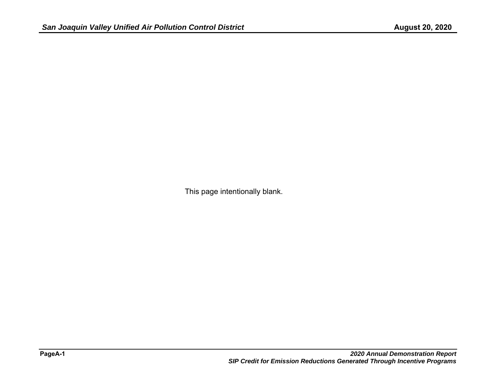This page intentionally blank.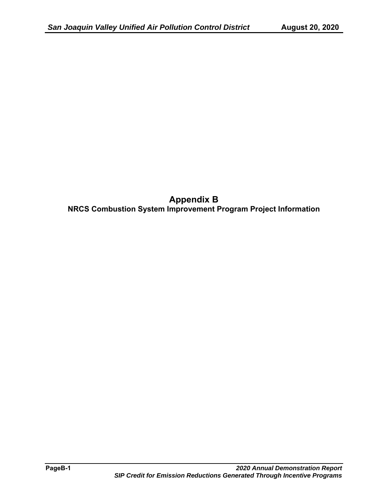**Appendix B NRCS Combustion System Improvement Program Project Information**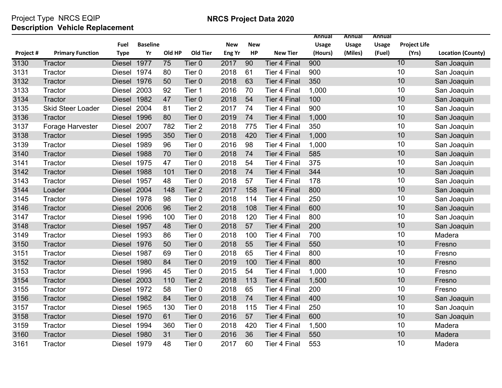# Project Type NRCS EQIP

### **NRCS Project Data 2020**

|           | <b>Description Vehicle Replacement</b> |                     |                       |        |                   |                      |                  |                     |                                          |                                   |                                         |                              |                          |
|-----------|----------------------------------------|---------------------|-----------------------|--------|-------------------|----------------------|------------------|---------------------|------------------------------------------|-----------------------------------|-----------------------------------------|------------------------------|--------------------------|
| Project # | <b>Primary Function</b>                | Fuel<br><b>Type</b> | <b>Baseline</b><br>Yr | Old HP | Old Tier          | <b>New</b><br>Eng Yr | <b>New</b><br>HP | <b>New Tier</b>     | <b>Annual</b><br><b>Usage</b><br>(Hours) | Annual<br><b>Usage</b><br>(Miles) | <b>Annual</b><br><b>Usage</b><br>(Fuel) | <b>Project Life</b><br>(Yrs) | <b>Location (County)</b> |
| 3130      | Tractor                                | <b>Diesel</b>       | 1977                  | 75     | Tier <sub>0</sub> | 2017                 | 90               | <b>Tier 4 Final</b> | 900                                      |                                   |                                         | 10                           | San Joaquin              |
| 3131      | Tractor                                | Diesel 1974         |                       | 80     | Tier <sub>0</sub> | 2018                 | 61               | <b>Tier 4 Final</b> | 900                                      |                                   |                                         | 10                           | San Joaquin              |
| 3132      | Tractor                                | Diesel 1976         |                       | 50     | Tier <sub>0</sub> | 2018                 | 63               | <b>Tier 4 Final</b> | 350                                      |                                   |                                         | 10                           | San Joaquin              |
| 3133      | Tractor                                | Diesel              | 2003                  | 92     | Tier 1            | 2016                 | 70               | <b>Tier 4 Final</b> | 1,000                                    |                                   |                                         | 10                           | San Joaquin              |
| 3134      | Tractor                                | Diesel 1982         |                       | 47     | Tier <sub>0</sub> | 2018                 | 54               | <b>Tier 4 Final</b> | 100                                      |                                   |                                         | 10                           | San Joaquin              |
| 3135      | <b>Skid Steer Loader</b>               | Diesel              | 2004                  | 81     | Tier <sub>2</sub> | 2017                 | 74               | <b>Tier 4 Final</b> | 900                                      |                                   |                                         | 10                           | San Joaquin              |
| 3136      | Tractor                                | <b>Diesel</b>       | 1996                  | 80     | Tier <sub>0</sub> | 2019                 | 74               | <b>Tier 4 Final</b> | 1,000                                    |                                   |                                         | 10                           | San Joaquin              |
| 3137      | Forage Harvester                       | Diesel              | 2007                  | 782    | Tier <sub>2</sub> | 2018                 | 775              | <b>Tier 4 Final</b> | 350                                      |                                   |                                         | 10                           | San Joaquin              |
| 3138      | Tractor                                | Diesel 1995         |                       | 350    | Tier <sub>0</sub> | 2018                 | 420              | <b>Tier 4 Final</b> | 1,000                                    |                                   |                                         | 10                           | San Joaquin              |
| 3139      | Tractor                                | Diesel              | 1989                  | 96     | Tier <sub>0</sub> | 2016                 | 98               | <b>Tier 4 Final</b> | 1,000                                    |                                   |                                         | 10                           | San Joaquin              |
| 3140      | Tractor                                | Diesel              | 1988                  | 70     | Tier <sub>0</sub> | 2018                 | 74               | <b>Tier 4 Final</b> | 585                                      |                                   |                                         | 10                           | San Joaquin              |
| 3141      | Tractor                                | Diesel 1975         |                       | 47     | Tier <sub>0</sub> | 2018                 | 54               | <b>Tier 4 Final</b> | 375                                      |                                   |                                         | 10                           | San Joaquin              |
| 3142      | Tractor                                | Diesel 1988         |                       | 101    | Tier <sub>0</sub> | 2018                 | 74               | <b>Tier 4 Final</b> | 344                                      |                                   |                                         | 10                           | San Joaquin              |
| 3143      | Tractor                                | Diesel 1957         |                       | 48     | Tier <sub>0</sub> | 2018                 | 57               | <b>Tier 4 Final</b> | 178                                      |                                   |                                         | 10                           | San Joaquin              |
| 3144      | Loader                                 | Diesel 2004         |                       | 148    | Tier 2            | 2017                 | 158              | <b>Tier 4 Final</b> | 800                                      |                                   |                                         | 10                           | San Joaquin              |
| 3145      | Tractor                                | Diesel 1978         |                       | 98     | Tier <sub>0</sub> | 2018                 | 114              | <b>Tier 4 Final</b> | 250                                      |                                   |                                         | 10                           | San Joaquin              |
| 3146      | Tractor                                | Diesel 2006         |                       | 96     | Tier 2            | 2018                 | 108              | <b>Tier 4 Final</b> | 600                                      |                                   |                                         | 10                           | San Joaquin              |
| 3147      | Tractor                                | Diesel              | 1996                  | 100    | Tier <sub>0</sub> | 2018                 | 120              | <b>Tier 4 Final</b> | 800                                      |                                   |                                         | 10                           | San Joaquin              |
| 3148      | Tractor                                | Diesel 1957         |                       | 48     | Tier <sub>0</sub> | 2018                 | 57               | <b>Tier 4 Final</b> | 200                                      |                                   |                                         | 10                           | San Joaquin              |
| 3149      | Tractor                                | Diesel 1993         |                       | 86     | Tier <sub>0</sub> | 2018                 | 100              | <b>Tier 4 Final</b> | 700                                      |                                   |                                         | 10                           | Madera                   |
| 3150      | Tractor                                | Diesel 1976         |                       | 50     | Tier <sub>0</sub> | 2018                 | 55               | <b>Tier 4 Final</b> | 550                                      |                                   |                                         | 10                           | Fresno                   |
| 3151      | Tractor                                | Diesel 1987         |                       | 69     | Tier <sub>0</sub> | 2018                 | 65               | <b>Tier 4 Final</b> | 800                                      |                                   |                                         | 10                           | Fresno                   |
| 3152      | Tractor                                | Diesel 1980         |                       | 84     | Tier <sub>0</sub> | 2019                 | 100              | <b>Tier 4 Final</b> | 800                                      |                                   |                                         | 10                           | Fresno                   |
| 3153      | Tractor                                | Diesel              | 1996                  | 45     | Tier <sub>0</sub> | 2015                 | 54               | <b>Tier 4 Final</b> | 1,000                                    |                                   |                                         | 10                           | Fresno                   |
| 3154      | Tractor                                | <b>Diesel</b>       | 2003                  | 110    | Tier <sub>2</sub> | 2018                 | 113              | <b>Tier 4 Final</b> | 1,500                                    |                                   |                                         | 10                           | Fresno                   |
| 3155      | Tractor                                | Diesel 1972         |                       | 58     | Tier <sub>0</sub> | 2018                 | 65               | <b>Tier 4 Final</b> | 200                                      |                                   |                                         | 10                           | Fresno                   |
| 3156      | Tractor                                | Diesel 1982         |                       | 84     | Tier <sub>0</sub> | 2018                 | 74               | <b>Tier 4 Final</b> | 400                                      |                                   |                                         | 10                           | San Joaquin              |
| 3157      | Tractor                                | <b>Diesel</b>       | 1965                  | 130    | Tier <sub>0</sub> | 2018                 | 115              | <b>Tier 4 Final</b> | 250                                      |                                   |                                         | 10                           | San Joaquin              |
| 3158      | Tractor                                | Diesel 1970         |                       | 61     | Tier <sub>0</sub> | 2016                 | 57               | <b>Tier 4 Final</b> | 600                                      |                                   |                                         | 10                           | San Joaquin              |

3159 Tractor Diesel 1994 360 Tier 0 2018 420 Tier 4 Final 1,500 10 Madera 3160 Tractor Diesel 1980 31 Tier 0 2016 36 Tier 4 Final 550 10 Madera 3161 Tractor Diesel 1979 48 Tier 0 2017 60 Tier 4 Final 553 10 Madera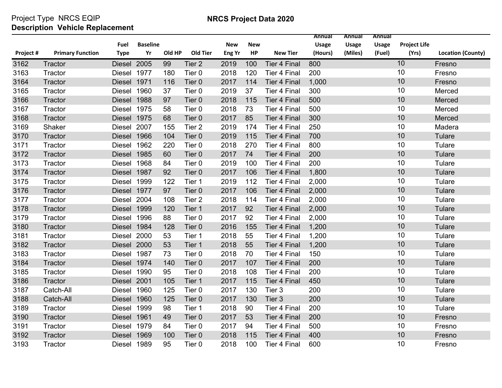|           |                         |               |                 |        |                   |        |            |                     | Annual       | Annual  | Annual       |                     |                          |
|-----------|-------------------------|---------------|-----------------|--------|-------------------|--------|------------|---------------------|--------------|---------|--------------|---------------------|--------------------------|
|           |                         | Fuel          | <b>Baseline</b> |        |                   | New    | <b>New</b> |                     | <b>Usage</b> | Usage   | <b>Usage</b> | <b>Project Life</b> |                          |
| Project # | <b>Primary Function</b> | <b>Type</b>   | Yr              | Old HP | <b>Old Tier</b>   | Eng Yr | HP         | <b>New Tier</b>     | (Hours)      | (Miles) | (Fuel)       | (Yrs)               | <b>Location (County)</b> |
| 3162      | Tractor                 | Diesel 2005   |                 | 99     | Tier <sub>2</sub> | 2019   | 100        | <b>Tier 4 Final</b> | 800          |         |              | 10                  | Fresno                   |
| 3163      | Tractor                 | Diesel 1977   |                 | 180    | Tier <sub>0</sub> | 2018   | 120        | <b>Tier 4 Final</b> | 200          |         |              | 10                  | Fresno                   |
| 3164      | Tractor                 | Diesel 1971   |                 | 116    | Tier <sub>0</sub> | 2017   | 114        | <b>Tier 4 Final</b> | 1,000        |         |              | 10                  | Fresno                   |
| 3165      | Tractor                 | Diesel 1960   |                 | 37     | Tier <sub>0</sub> | 2019   | 37         | <b>Tier 4 Final</b> | 300          |         |              | 10                  | Merced                   |
| 3166      | Tractor                 | <b>Diesel</b> | 1988            | 97     | Tier <sub>0</sub> | 2018   | 115        | <b>Tier 4 Final</b> | 500          |         |              | 10                  | Merced                   |
| 3167      | Tractor                 | <b>Diesel</b> | 1975            | 58     | Tier <sub>0</sub> | 2018   | 73         | <b>Tier 4 Final</b> | 500          |         |              | 10                  | Merced                   |
| 3168      | Tractor                 | <b>Diesel</b> | 1975            | 68     | Tier <sub>0</sub> | 2017   | 85         | <b>Tier 4 Final</b> | 300          |         |              | 10                  | Merced                   |
| 3169      | Shaker                  | Diesel        | 2007            | 155    | Tier <sub>2</sub> | 2019   | 174        | <b>Tier 4 Final</b> | 250          |         |              | 10                  | Madera                   |
| 3170      | <b>Tractor</b>          | Diesel 1966   |                 | 104    | Tier <sub>0</sub> | 2019   | 115        | <b>Tier 4 Final</b> | 700          |         |              | 10                  | Tulare                   |
| 3171      | Tractor                 | <b>Diesel</b> | 1962            | 220    | Tier <sub>0</sub> | 2018   | 270        | <b>Tier 4 Final</b> | 800          |         |              | 10                  | Tulare                   |
| 3172      | Tractor                 | <b>Diesel</b> | 1985            | 60     | Tier <sub>0</sub> | 2017   | 74         | <b>Tier 4 Final</b> | 200          |         |              | 10                  | Tulare                   |
| 3173      | Tractor                 | Diesel        | 1968            | 84     | Tier 0            | 2019   | 100        | <b>Tier 4 Final</b> | 200          |         |              | 10                  | Tulare                   |
| 3174      | Tractor                 | <b>Diesel</b> | 1987            | 92     | Tier <sub>0</sub> | 2017   | 106        | <b>Tier 4 Final</b> | 1,800        |         |              | 10                  | <b>Tulare</b>            |
| 3175      | Tractor                 | Diesel 1999   |                 | 122    | Tier 1            | 2019   | 112        | <b>Tier 4 Final</b> | 2,000        |         |              | 10                  | Tulare                   |
| 3176      | <b>Tractor</b>          | Diesel 1977   |                 | 97     | Tier <sub>0</sub> | 2017   | 106        | <b>Tier 4 Final</b> | 2,000        |         |              | 10                  | Tulare                   |
| 3177      | Tractor                 | Diesel        | 2004            | 108    | Tier <sub>2</sub> | 2018   | 114        | <b>Tier 4 Final</b> | 2,000        |         |              | 10                  | Tulare                   |
| 3178      | Tractor                 | <b>Diesel</b> | 1999            | 120    | Tier 1            | 2017   | 92         | <b>Tier 4 Final</b> | 2,000        |         |              | 10                  | Tulare                   |
| 3179      | Tractor                 | Diesel        | 1996            | 88     | Tier <sub>0</sub> | 2017   | 92         | <b>Tier 4 Final</b> | 2,000        |         |              | 10                  | Tulare                   |
| 3180      | Tractor                 | <b>Diesel</b> | 1984            | 128    | Tier <sub>0</sub> | 2016   | 155        | <b>Tier 4 Final</b> | 1,200        |         |              | 10                  | Tulare                   |
| 3181      | Tractor                 | Diesel        | 2000            | 53     | Tier 1            | 2018   | 55         | <b>Tier 4 Final</b> | 1,200        |         |              | 10                  | Tulare                   |
| 3182      | <b>Tractor</b>          | Diesel 2000   |                 | 53     | Tier 1            | 2018   | 55         | <b>Tier 4 Final</b> | 1,200        |         |              | 10                  | Tulare                   |
| 3183      | Tractor                 | Diesel 1987   |                 | 73     | Tier <sub>0</sub> | 2018   | 70         | <b>Tier 4 Final</b> | 150          |         |              | 10                  | Tulare                   |
| 3184      | Tractor                 | <b>Diesel</b> | 1974            | 140    | Tier <sub>0</sub> | 2017   | 107        | <b>Tier 4 Final</b> | 200          |         |              | 10                  | Tulare                   |
| 3185      | Tractor                 | <b>Diesel</b> | 1990            | 95     | Tier <sub>0</sub> | 2018   | 108        | <b>Tier 4 Final</b> | 200          |         |              | 10                  | Tulare                   |
| 3186      | Tractor                 | <b>Diesel</b> | 2001            | 105    | Tier 1            | 2017   | 115        | <b>Tier 4 Final</b> | 450          |         |              | 10                  | Tulare                   |
| 3187      | Catch-All               | Diesel 1960   |                 | 125    | Tier <sub>0</sub> | 2017   | 130        | Tier 3              | 200          |         |              | 10                  | Tulare                   |
| 3188      | Catch-All               | Diesel 1960   |                 | 125    | Tier <sub>0</sub> | 2017   | 130        | Tier 3              | 200          |         |              | 10                  | Tulare                   |
| 3189      | Tractor                 | Diesel 1999   |                 | 98     | Tier 1            | 2018   | 90         | <b>Tier 4 Final</b> | 200          |         |              | 10                  | Tulare                   |
| 3190      | Tractor                 | <b>Diesel</b> | 1961            | 49     | Tier <sub>0</sub> | 2017   | 53         | <b>Tier 4 Final</b> | 200          |         |              | 10                  | Fresno                   |
| 3191      | Tractor                 | Diesel        | 1979            | 84     | Tier <sub>0</sub> | 2017   | 94         | Tier 4 Final        | 500          |         |              | 10                  | Fresno                   |
| 3192      | Tractor                 | <b>Diesel</b> | 1969            | 100    | Tier <sub>0</sub> | 2018   | 115        | <b>Tier 4 Final</b> | 400          |         |              | 10                  | Fresno                   |
| 3193      | Tractor                 | Diesel        | 1989            | 95     | Tier <sub>0</sub> | 2018   | 100        | <b>Tier 4 Final</b> | 600          |         |              | 10                  | Fresno                   |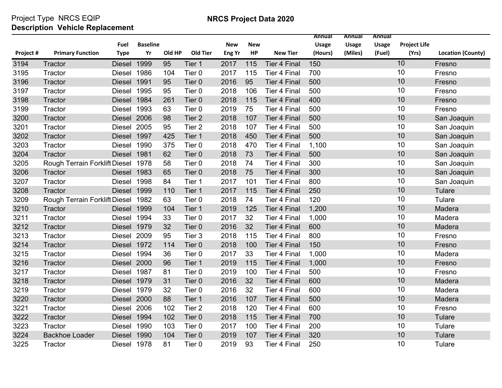|           |                               |               |                 |        |                   |            |     |                     | Annual  | Annual  | <b>Annual</b> |                     |                          |
|-----------|-------------------------------|---------------|-----------------|--------|-------------------|------------|-----|---------------------|---------|---------|---------------|---------------------|--------------------------|
|           |                               | Fuel          | <b>Baseline</b> |        |                   | <b>New</b> | New |                     | Usage   | Usage   | <b>Usage</b>  | <b>Project Life</b> |                          |
| Project # | <b>Primary Function</b>       | <b>Type</b>   | Yr              | Old HP | Old Tier          | Eng Yr     | HP  | <b>New Tier</b>     | (Hours) | (Miles) | (Fuel)        | (Yrs)               | <b>Location (County)</b> |
| 3194      | Tractor                       | Diesel 1999   |                 | 95     | Tier 1            | 2017       | 115 | <b>Tier 4 Final</b> | 150     |         |               | 10                  | Fresno                   |
| 3195      | Tractor                       | Diesel 1986   |                 | 104    | Tier <sub>0</sub> | 2017       | 115 | <b>Tier 4 Final</b> | 700     |         |               | 10                  | Fresno                   |
| 3196      | Tractor                       | Diesel        | 1991            | 95     | Tier <sub>0</sub> | 2016       | 95  | <b>Tier 4 Final</b> | 500     |         |               | 10                  | Fresno                   |
| 3197      | Tractor                       | <b>Diesel</b> | 1995            | 95     | Tier <sub>0</sub> | 2018       | 106 | <b>Tier 4 Final</b> | 500     |         |               | 10                  | Fresno                   |
| 3198      | Tractor                       | Diesel        | 1984            | 261    | Tier <sub>0</sub> | 2018       | 115 | <b>Tier 4 Final</b> | 400     |         |               | 10                  | Fresno                   |
| 3199      | Tractor                       | <b>Diesel</b> | 1993            | 63     | Tier <sub>0</sub> | 2019       | 75  | <b>Tier 4 Final</b> | 500     |         |               | 10                  | Fresno                   |
| 3200      | Tractor                       | Diesel 2006   |                 | 98     | Tier 2            | 2018       | 107 | <b>Tier 4 Final</b> | 500     |         |               | 10                  | San Joaquin              |
| 3201      | Tractor                       | Diesel        | 2005            | 95     | Tier <sub>2</sub> | 2018       | 107 | <b>Tier 4 Final</b> | 500     |         |               | 10                  | San Joaquin              |
| 3202      | Tractor                       | Diesel        | 1997            | 425    | Tier 1            | 2018       | 450 | <b>Tier 4 Final</b> | 500     |         |               | 10                  | San Joaquin              |
| 3203      | Tractor                       | <b>Diesel</b> | 1990            | 375    | Tier <sub>0</sub> | 2018       | 470 | <b>Tier 4 Final</b> | 1,100   |         |               | 10                  | San Joaquin              |
| 3204      | Tractor                       | <b>Diesel</b> | 1981            | 62     | Tier <sub>0</sub> | 2018       | 73  | <b>Tier 4 Final</b> | 500     |         |               | 10                  | San Joaquin              |
| 3205      | Rough Terrain Forklift Diesel |               | 1978            | 58     | Tier <sub>0</sub> | 2018       | 74  | <b>Tier 4 Final</b> | 300     |         |               | 10                  | San Joaquin              |
| 3206      | Tractor                       | Diesel 1983   |                 | 65     | Tier <sub>0</sub> | 2018       | 75  | <b>Tier 4 Final</b> | 300     |         |               | 10                  | San Joaquin              |
| 3207      | Tractor                       | Diesel 1998   |                 | 84     | Tier 1            | 2017       | 101 | <b>Tier 4 Final</b> | 800     |         |               | 10                  | San Joaquin              |
| 3208      | Tractor                       | Diesel        | 1999            | 110    | Tier 1            | 2017       | 115 | <b>Tier 4 Final</b> | 250     |         |               | 10                  | Tulare                   |
| 3209      | Rough Terrain Forklift Diesel |               | 1982            | 63     | Tier <sub>0</sub> | 2018       | 74  | <b>Tier 4 Final</b> | 120     |         |               | 10                  | Tulare                   |
| 3210      | Tractor                       | <b>Diesel</b> | 1999            | 104    | Tier 1            | 2019       | 125 | <b>Tier 4 Final</b> | 1,200   |         |               | 10                  | Madera                   |
| 3211      | Tractor                       | <b>Diesel</b> | 1994            | 33     | Tier <sub>0</sub> | 2017       | 32  | <b>Tier 4 Final</b> | 1,000   |         |               | 10                  | Madera                   |
| 3212      | Tractor                       | Diesel 1979   |                 | 32     | Tier <sub>0</sub> | 2016       | 32  | <b>Tier 4 Final</b> | 600     |         |               | 10                  | Madera                   |
| 3213      | Tractor                       | Diesel 2009   |                 | 95     | Tier 3            | 2018       | 115 | <b>Tier 4 Final</b> | 800     |         |               | 10                  | Fresno                   |
| 3214      | Tractor                       | Diesel        | 1972            | 114    | Tier <sub>0</sub> | 2018       | 100 | <b>Tier 4 Final</b> | 150     |         |               | 10                  | Fresno                   |
| 3215      | Tractor                       | Diesel        | 1994            | 36     | Tier <sub>0</sub> | 2017       | 33  | <b>Tier 4 Final</b> | 1,000   |         |               | 10                  | Madera                   |
| 3216      | Tractor                       | Diesel        | 2000            | 96     | Tier 1            | 2019       | 115 | <b>Tier 4 Final</b> | 1,000   |         |               | 10                  | Fresno                   |
| 3217      | Tractor                       | Diesel        | 1987            | 81     | Tier 0            | 2019       | 100 | <b>Tier 4 Final</b> | 500     |         |               | 10                  | Fresno                   |
| 3218      | Tractor                       | Diesel 1979   |                 | 31     | Tier <sub>0</sub> | 2016       | 32  | <b>Tier 4 Final</b> | 600     |         |               | 10                  | Madera                   |
| 3219      | Tractor                       | Diesel        | 1979            | 32     | Tier <sub>0</sub> | 2016       | 32  | <b>Tier 4 Final</b> | 600     |         |               | 10                  | Madera                   |
| 3220      | Tractor                       | Diesel 2000   |                 | 88     | Tier 1            | 2016       | 107 | <b>Tier 4 Final</b> | 500     |         |               | 10                  | Madera                   |
| 3221      | Tractor                       | Diesel 2006   |                 | 102    | Tier 2            | 2018       | 120 | <b>Tier 4 Final</b> | 600     |         |               | 10                  | Fresno                   |
| 3222      | Tractor                       | Diesel        | 1994            | 102    | Tier <sub>0</sub> | 2018       | 115 | <b>Tier 4 Final</b> | 700     |         |               | 10                  | Tulare                   |
| 3223      | Tractor                       | <b>Diesel</b> | 1990            | 103    | Tier <sub>0</sub> | 2017       | 100 | <b>Tier 4 Final</b> | 200     |         |               | 10                  | Tulare                   |
| 3224      | <b>Backhoe Loader</b>         | <b>Diesel</b> | 1990            | 104    | Tier <sub>0</sub> | 2019       | 107 | <b>Tier 4 Final</b> | 320     |         |               | 10                  | Tulare                   |
| 3225      | Tractor                       | <b>Diesel</b> | 1978            | 81     | Tier <sub>0</sub> | 2019       | 93  | <b>Tier 4 Final</b> | 250     |         |               | 10                  | Tulare                   |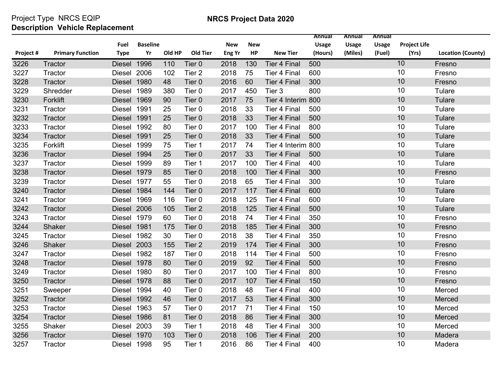|          |                         |               |                 |        |                   |            |            |                     | Annual       | Annual  | Annual       |                     |                          |
|----------|-------------------------|---------------|-----------------|--------|-------------------|------------|------------|---------------------|--------------|---------|--------------|---------------------|--------------------------|
|          |                         | Fuel          | <b>Baseline</b> |        |                   | <b>New</b> | <b>New</b> |                     | <b>Usage</b> | Usage   | <b>Usage</b> | <b>Project Life</b> |                          |
| Project# | <b>Primary Function</b> | <b>Type</b>   | Yr              | Old HP | Old Tier          | Eng Yr     | <b>HP</b>  | <b>New Tier</b>     | (Hours)      | (Miles) | (Fuel)       | (Yrs)               | <b>Location (County)</b> |
| 3226     | Tractor                 | Diesel 1996   |                 | 110    | Tier <sub>0</sub> | 2018       | 130        | <b>Tier 4 Final</b> | 500          |         |              | 10                  | Fresno                   |
| 3227     | Tractor                 | Diesel 2006   |                 | 102    | Tier 2            | 2018       | 75         | <b>Tier 4 Final</b> | 600          |         |              | 10                  | Fresno                   |
| 3228     | Tractor                 | Diesel 1980   |                 | 48     | Tier <sub>0</sub> | 2016       | 60         | <b>Tier 4 Final</b> | 300          |         |              | 10                  | Fresno                   |
| 3229     | Shredder                | Diesel        | 1989            | 380    | Tier <sub>0</sub> | 2017       | 450        | Tier <sub>3</sub>   | 800          |         |              | 10                  | Tulare                   |
| 3230     | Forklift                | <b>Diesel</b> | 1969            | 90     | Tier <sub>0</sub> | 2017       | 75         | Tier 4 Interim 800  |              |         |              | 10                  | Tulare                   |
| 3231     | Tractor                 | <b>Diesel</b> | 1991            | 25     | Tier <sub>0</sub> | 2018       | 33         | <b>Tier 4 Final</b> | 500          |         |              | 10                  | Tulare                   |
| 3232     | Tractor                 | Diesel 1991   |                 | 25     | Tier <sub>0</sub> | 2018       | 33         | <b>Tier 4 Final</b> | 500          |         |              | 10                  | Tulare                   |
| 3233     | Tractor                 | <b>Diesel</b> | 1992            | 80     | Tier <sub>0</sub> | 2017       | 100        | <b>Tier 4 Final</b> | 800          |         |              | 10                  | Tulare                   |
| 3234     | Tractor                 | Diesel 1991   |                 | 25     | Tier <sub>0</sub> | 2018       | 33         | <b>Tier 4 Final</b> | 500          |         |              | 10                  | Tulare                   |
| 3235     | Forklift                | <b>Diesel</b> | 1999            | 75     | Tier 1            | 2017       | 74         | Tier 4 Interim 800  |              |         |              | 10                  | Tulare                   |
| 3236     | Tractor                 | <b>Diesel</b> | 1994            | 25     | Tier <sub>0</sub> | 2017       | 33         | <b>Tier 4 Final</b> | 500          |         |              | 10                  | Tulare                   |
| 3237     | Tractor                 | <b>Diesel</b> | 1999            | 89     | Tier 1            | 2017       | 100        | <b>Tier 4 Final</b> | 400          |         |              | 10                  | Tulare                   |
| 3238     | Tractor                 | <b>Diesel</b> | 1979            | 85     | Tier <sub>0</sub> | 2018       | 100        | <b>Tier 4 Final</b> | 300          |         |              | $10$                | Fresno                   |
| 3239     | Tractor                 | Diesel 1977   |                 | 55     | Tier <sub>0</sub> | 2018       | 65         | <b>Tier 4 Final</b> | 300          |         |              | 10                  | Tulare                   |
| 3240     | Tractor                 | Diesel 1984   |                 | 144    | Tier <sub>0</sub> | 2017       | 117        | <b>Tier 4 Final</b> | 600          |         |              | 10                  | Tulare                   |
| 3241     | Tractor                 | <b>Diesel</b> | 1969            | 116    | Tier <sub>0</sub> | 2018       | 125        | <b>Tier 4 Final</b> | 600          |         |              | 10                  | Tulare                   |
| 3242     | Tractor                 | Diesel        | 2006            | 105    | Tier <sub>2</sub> | 2018       | 125        | <b>Tier 4 Final</b> | 500          |         |              | 10                  | Tulare                   |
| 3243     | Tractor                 | Diesel        | 1979            | 60     | Tier <sub>0</sub> | 2018       | 74         | <b>Tier 4 Final</b> | 350          |         |              | 10                  | Fresno                   |
| 3244     | Shaker                  | <b>Diesel</b> | 1981            | 175    | Tier <sub>0</sub> | 2018       | 185        | <b>Tier 4 Final</b> | 300          |         |              | 10                  | Fresno                   |
| 3245     | Tractor                 | Diesel 1982   |                 | 30     | Tier <sub>0</sub> | 2018       | 38         | <b>Tier 4 Final</b> | 350          |         |              | 10                  | Fresno                   |
| 3246     | <b>Shaker</b>           | Diesel 2003   |                 | 155    | Tier <sub>2</sub> | 2019       | 174        | <b>Tier 4 Final</b> | 300          |         |              | 10                  | Fresno                   |
| 3247     | Tractor                 | <b>Diesel</b> | 1982            | 187    | Tier <sub>0</sub> | 2018       | 114        | <b>Tier 4 Final</b> | 500          |         |              | 10                  | Fresno                   |
| 3248     | Tractor                 | Diesel 1978   |                 | 80     | Tier <sub>0</sub> | 2019       | 92         | <b>Tier 4 Final</b> | 500          |         |              | 10                  | Fresno                   |
| 3249     | Tractor                 | Diesel        | 1980            | 80     | Tier <sub>0</sub> | 2017       | 100        | <b>Tier 4 Final</b> | 800          |         |              | 10                  | Fresno                   |
| 3250     | Tractor                 | <b>Diesel</b> | 1978            | 88     | Tier <sub>0</sub> | 2017       | 107        | <b>Tier 4 Final</b> | 150          |         |              | 10                  | Fresno                   |
| 3251     | Sweeper                 | Diesel 1994   |                 | 40     | Tier <sub>0</sub> | 2018       | 48         | <b>Tier 4 Final</b> | 400          |         |              | 10                  | Merced                   |
| 3252     | Tractor                 | Diesel 1992   |                 | 46     | Tier <sub>0</sub> | 2017       | 53         | <b>Tier 4 Final</b> | 300          |         |              | 10                  | Merced                   |
| 3253     | Tractor                 | <b>Diesel</b> | 1963            | 57     | Tier <sub>0</sub> | 2017       | 71         | <b>Tier 4 Final</b> | 150          |         |              | 10                  | Merced                   |
| 3254     | Tractor                 | Diesel 1986   |                 | 81     | Tier <sub>0</sub> | 2018       | 86         | <b>Tier 4 Final</b> | 300          |         |              | 10                  | Merced                   |
| 3255     | Shaker                  | <b>Diesel</b> | 2003            | 39     | Tier 1            | 2018       | 48         | <b>Tier 4 Final</b> | 300          |         |              | 10                  | Merced                   |
| 3256     | Tractor                 | <b>Diesel</b> | 1970            | 103    | Tier <sub>0</sub> | 2018       | 106        | <b>Tier 4 Final</b> | 200          |         |              | 10                  | Madera                   |
| 3257     | Tractor                 | Diesel        | 1998            | 95     | Tier 1            | 2016       | 86         | <b>Tier 4 Final</b> | 400          |         |              | 10                  | Madera                   |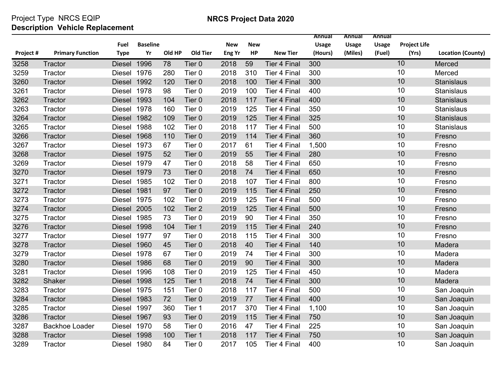|           |                         |               |                 |        |                   |            |            |                     | Annual       | <b>Annual</b> | Annual       |                     |                          |
|-----------|-------------------------|---------------|-----------------|--------|-------------------|------------|------------|---------------------|--------------|---------------|--------------|---------------------|--------------------------|
|           |                         | Fuel          | <b>Baseline</b> |        |                   | <b>New</b> | <b>New</b> |                     | <b>Usage</b> | <b>Usage</b>  | <b>Usage</b> | <b>Project Life</b> |                          |
| Project # | <b>Primary Function</b> | <b>Type</b>   | Yr              | Old HP | Old Tier          | Eng Yr     | <b>HP</b>  | <b>New Tier</b>     | (Hours)      | (Miles)       | (Fuel)       | (Yrs)               | <b>Location (County)</b> |
| 3258      | Tractor                 | <b>Diesel</b> | 1996            | 78     | Tier <sub>0</sub> | 2018       | 59         | <b>Tier 4 Final</b> | 300          |               |              | 10                  | Merced                   |
| 3259      | Tractor                 | Diesel        | 1976            | 280    | Tier <sub>0</sub> | 2018       | 310        | <b>Tier 4 Final</b> | 300          |               |              | 10                  | Merced                   |
| 3260      | Tractor                 | <b>Diesel</b> | 1992            | 120    | Tier <sub>0</sub> | 2018       | 100        | <b>Tier 4 Final</b> | 300          |               |              | 10                  | <b>Stanislaus</b>        |
| 3261      | Tractor                 | <b>Diesel</b> | 1978            | 98     | Tier <sub>0</sub> | 2019       | 100        | <b>Tier 4 Final</b> | 400          |               |              | 10                  | <b>Stanislaus</b>        |
| 3262      | Tractor                 | <b>Diesel</b> | 1993            | 104    | Tier <sub>0</sub> | 2018       | 117        | <b>Tier 4 Final</b> | 400          |               |              | 10                  | <b>Stanislaus</b>        |
| 3263      | Tractor                 | <b>Diesel</b> | 1978            | 160    | Tier <sub>0</sub> | 2019       | 125        | <b>Tier 4 Final</b> | 350          |               |              | 10                  | <b>Stanislaus</b>        |
| 3264      | Tractor                 | Diesel        | 1982            | 109    | Tier <sub>0</sub> | 2019       | 125        | <b>Tier 4 Final</b> | 325          |               |              | 10                  | <b>Stanislaus</b>        |
| 3265      | Tractor                 | <b>Diesel</b> | 1988            | 102    | Tier <sub>0</sub> | 2018       | 117        | <b>Tier 4 Final</b> | 500          |               |              | 10                  | <b>Stanislaus</b>        |
| 3266      | Tractor                 | <b>Diesel</b> | 1968            | 110    | Tier <sub>0</sub> | 2019       | 114        | <b>Tier 4 Final</b> | 360          |               |              | 10                  | Fresno                   |
| 3267      | Tractor                 | <b>Diesel</b> | 1973            | 67     | Tier <sub>0</sub> | 2017       | 61         | <b>Tier 4 Final</b> | 1,500        |               |              | 10                  | Fresno                   |
| 3268      | Tractor                 | <b>Diesel</b> | 1975            | 52     | Tier <sub>0</sub> | 2019       | 55         | <b>Tier 4 Final</b> | 280          |               |              | 10                  | Fresno                   |
| 3269      | Tractor                 | Diesel        | 1979            | 47     | Tier <sub>0</sub> | 2018       | 58         | <b>Tier 4 Final</b> | 650          |               |              | 10                  | Fresno                   |
| 3270      | Tractor                 | Diesel        | 1979            | 73     | Tier <sub>0</sub> | 2018       | 74         | <b>Tier 4 Final</b> | 650          |               |              | 10                  | Fresno                   |
| 3271      | Tractor                 | <b>Diesel</b> | 1985            | 102    | Tier <sub>0</sub> | 2018       | 107        | <b>Tier 4 Final</b> | 800          |               |              | 10                  | Fresno                   |
| 3272      | Tractor                 | <b>Diesel</b> | 1981            | 97     | Tier <sub>0</sub> | 2019       | 115        | <b>Tier 4 Final</b> | 250          |               |              | 10                  | Fresno                   |
| 3273      | Tractor                 | <b>Diesel</b> | 1975            | 102    | Tier <sub>0</sub> | 2019       | 125        | <b>Tier 4 Final</b> | 500          |               |              | 10                  | Fresno                   |
| 3274      | Tractor                 | <b>Diesel</b> | 2005            | 102    | Tier <sub>2</sub> | 2019       | 125        | <b>Tier 4 Final</b> | 500          |               |              | 10                  | Fresno                   |
| 3275      | Tractor                 | <b>Diesel</b> | 1985            | 73     | Tier <sub>0</sub> | 2019       | 90         | <b>Tier 4 Final</b> | 350          |               |              | 10                  | Fresno                   |
| 3276      | Tractor                 | <b>Diesel</b> | 1998            | 104    | Tier 1            | 2019       | 115        | <b>Tier 4 Final</b> | 240          |               |              | 10                  | Fresno                   |
| 3277      | Tractor                 | <b>Diesel</b> | 1977            | 97     | Tier <sub>0</sub> | 2018       | 115        | <b>Tier 4 Final</b> | 300          |               |              | 10                  | Fresno                   |
| 3278      | Tractor                 | Diesel        | 1960            | 45     | Tier <sub>0</sub> | 2018       | 40         | <b>Tier 4 Final</b> | 140          |               |              | 10                  | Madera                   |
| 3279      | Tractor                 | <b>Diesel</b> | 1978            | 67     | Tier <sub>0</sub> | 2019       | 74         | <b>Tier 4 Final</b> | 300          |               |              | 10                  | Madera                   |
| 3280      | Tractor                 | <b>Diesel</b> | 1986            | 68     | Tier <sub>0</sub> | 2019       | 90         | <b>Tier 4 Final</b> | 300          |               |              | 10                  | Madera                   |
| 3281      | Tractor                 | <b>Diesel</b> | 1996            | 108    | Tier <sub>0</sub> | 2019       | 125        | <b>Tier 4 Final</b> | 450          |               |              | 10                  | Madera                   |
| 3282      | Shaker                  | <b>Diesel</b> | 1998            | 125    | Tier 1            | 2018       | 74         | <b>Tier 4 Final</b> | 300          |               |              | 10                  | Madera                   |
| 3283      | Tractor                 | <b>Diesel</b> | 1975            | 151    | Tier <sub>0</sub> | 2018       | 117        | <b>Tier 4 Final</b> | 500          |               |              | 10                  | San Joaquin              |
| 3284      | Tractor                 | <b>Diesel</b> | 1983            | 72     | Tier <sub>0</sub> | 2019       | 77         | <b>Tier 4 Final</b> | 400          |               |              | 10                  | San Joaquin              |
| 3285      | Tractor                 | <b>Diesel</b> | 1997            | 360    | Tier 1            | 2017       | 370        | <b>Tier 4 Final</b> | 1,100        |               |              | 10                  | San Joaquin              |
| 3286      | Tractor                 | <b>Diesel</b> | 1967            | 93     | Tier <sub>0</sub> | 2019       | 115        | <b>Tier 4 Final</b> | 750          |               |              | 10                  | San Joaquin              |
| 3287      | <b>Backhoe Loader</b>   | <b>Diesel</b> | 1970            | 58     | Tier <sub>0</sub> | 2016       | 47         | <b>Tier 4 Final</b> | 225          |               |              | 10                  | San Joaquin              |
| 3288      | Tractor                 | <b>Diesel</b> | 1998            | 100    | Tier 1            | 2018       | 117        | <b>Tier 4 Final</b> | 750          |               |              | 10                  | San Joaquin              |
| 3289      | Tractor                 | <b>Diesel</b> | 1980            | 84     | Tier <sub>0</sub> | 2017       | 105        | <b>Tier 4 Final</b> | 400          |               |              | 10                  | San Joaquin              |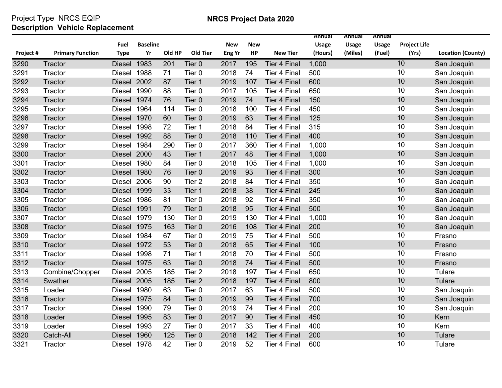|           |                         |               |                 |        |                   |               |            |                     | Annual       | Annual  | Annual       |                     |                          |
|-----------|-------------------------|---------------|-----------------|--------|-------------------|---------------|------------|---------------------|--------------|---------|--------------|---------------------|--------------------------|
|           |                         | Fuel          | <b>Baseline</b> |        |                   | <b>New</b>    | <b>New</b> |                     | <b>Usage</b> | Usage   | <b>Usage</b> | <b>Project Life</b> |                          |
| Project # | <b>Primary Function</b> | <b>Type</b>   | Yr              | Old HP | Old Tier          | <b>Eng Yr</b> | HP         | <b>New Tier</b>     | (Hours)      | (Miles) | (Fuel)       | (Yrs)               | <b>Location (County)</b> |
| 3290      | Tractor                 | Diesel 1983   |                 | 201    | Tier <sub>0</sub> | 2017          | 195        | <b>Tier 4 Final</b> | 1,000        |         |              | 10                  | San Joaquin              |
| 3291      | Tractor                 | Diesel        | 1988            | 71     | Tier <sub>0</sub> | 2018          | 74         | <b>Tier 4 Final</b> | 500          |         |              | 10                  | San Joaquin              |
| 3292      | Tractor                 | <b>Diesel</b> | 2002            | 87     | Tier 1            | 2019          | 107        | <b>Tier 4 Final</b> | 600          |         |              | 10                  | San Joaquin              |
| 3293      | Tractor                 | Diesel        | 1990            | 88     | Tier <sub>0</sub> | 2017          | 105        | <b>Tier 4 Final</b> | 650          |         |              | 10                  | San Joaquin              |
| 3294      | Tractor                 | <b>Diesel</b> | 1974            | 76     | Tier <sub>0</sub> | 2019          | 74         | <b>Tier 4 Final</b> | 150          |         |              | 10                  | San Joaquin              |
| 3295      | Tractor                 | <b>Diesel</b> | 1964            | 114    | Tier <sub>0</sub> | 2018          | 100        | <b>Tier 4 Final</b> | 450          |         |              | 10                  | San Joaquin              |
| 3296      | Tractor                 | <b>Diesel</b> | 1970            | 60     | Tier <sub>0</sub> | 2019          | 63         | <b>Tier 4 Final</b> | 125          |         |              | 10                  | San Joaquin              |
| 3297      | Tractor                 | Diesel        | 1998            | 72     | Tier 1            | 2018          | 84         | <b>Tier 4 Final</b> | 315          |         |              | 10                  | San Joaquin              |
| 3298      | <b>Tractor</b>          | <b>Diesel</b> | 1992            | 88     | Tier <sub>0</sub> | 2018          | 110        | <b>Tier 4 Final</b> | 400          |         |              | 10                  | San Joaquin              |
| 3299      | Tractor                 | <b>Diesel</b> | 1984            | 290    | Tier <sub>0</sub> | 2017          | 360        | <b>Tier 4 Final</b> | 1,000        |         |              | 10                  | San Joaquin              |
| 3300      | Tractor                 | <b>Diesel</b> | 2000            | 43     | Tier 1            | 2017          | 48         | <b>Tier 4 Final</b> | 1,000        |         |              | 10                  | San Joaquin              |
| 3301      | Tractor                 | <b>Diesel</b> | 1980            | 84     | Tier <sub>0</sub> | 2018          | 105        | <b>Tier 4 Final</b> | 1,000        |         |              | 10                  | San Joaquin              |
| 3302      | Tractor                 | <b>Diesel</b> | 1980            | 76     | Tier <sub>0</sub> | 2019          | 93         | <b>Tier 4 Final</b> | 300          |         |              | 10                  | San Joaquin              |
| 3303      | Tractor                 | Diesel        | 2006            | 90     | Tier 2            | 2018          | 84         | <b>Tier 4 Final</b> | 350          |         |              | 10                  | San Joaquin              |
| 3304      | <b>Tractor</b>          | Diesel 1999   |                 | 33     | Tier 1            | 2018          | 38         | <b>Tier 4 Final</b> | 245          |         |              | 10                  | San Joaquin              |
| 3305      | Tractor                 | Diesel        | 1986            | 81     | Tier <sub>0</sub> | 2018          | 92         | <b>Tier 4 Final</b> | 350          |         |              | 10                  | San Joaquin              |
| 3306      | Tractor                 | <b>Diesel</b> | 1991            | 79     | Tier <sub>0</sub> | 2018          | 95         | <b>Tier 4 Final</b> | 500          |         |              | 10                  | San Joaquin              |
| 3307      | Tractor                 | Diesel        | 1979            | 130    | Tier <sub>0</sub> | 2019          | 130        | <b>Tier 4 Final</b> | 1,000        |         |              | 10                  | San Joaquin              |
| 3308      | Tractor                 | <b>Diesel</b> | 1975            | 163    | Tier <sub>0</sub> | 2016          | 108        | <b>Tier 4 Final</b> | 200          |         |              | 10                  | San Joaquin              |
| 3309      | Tractor                 | Diesel        | 1984            | 67     | Tier <sub>0</sub> | 2019          | 75         | <b>Tier 4 Final</b> | 500          |         |              | 10                  | Fresno                   |
| 3310      | <b>Tractor</b>          | Diesel 1972   |                 | 53     | Tier <sub>0</sub> | 2018          | 65         | <b>Tier 4 Final</b> | 100          |         |              | 10                  | Fresno                   |
| 3311      | Tractor                 | <b>Diesel</b> | 1998            | 71     | Tier 1            | 2018          | 70         | <b>Tier 4 Final</b> | 500          |         |              | 10                  | Fresno                   |
| 3312      | Tractor                 | <b>Diesel</b> | 1975            | 63     | Tier <sub>0</sub> | 2018          | 74         | <b>Tier 4 Final</b> | 500          |         |              | 10                  | Fresno                   |
| 3313      | Combine/Chopper         | <b>Diesel</b> | 2005            | 185    | Tier <sub>2</sub> | 2018          | 197        | <b>Tier 4 Final</b> | 650          |         |              | 10                  | Tulare                   |
| 3314      | Swather                 | <b>Diesel</b> | 2005            | 185    | Tier 2            | 2018          | 197        | <b>Tier 4 Final</b> | 800          |         |              | 10                  | <b>Tulare</b>            |
| 3315      | Loader                  | Diesel 1980   |                 | 63     | Tier <sub>0</sub> | 2017          | 63         | <b>Tier 4 Final</b> | 500          |         |              | 10                  | San Joaquin              |
| 3316      | <b>Tractor</b>          | Diesel 1975   |                 | 84     | Tier <sub>0</sub> | 2019          | 99         | <b>Tier 4 Final</b> | 700          |         |              | 10                  | San Joaquin              |
| 3317      | Tractor                 | <b>Diesel</b> | 1990            | 79     | Tier <sub>0</sub> | 2019          | 74         | <b>Tier 4 Final</b> | 200          |         |              | 10                  | San Joaquin              |
| 3318      | Loader                  | <b>Diesel</b> | 1995            | 83     | Tier <sub>0</sub> | 2017          | 90         | <b>Tier 4 Final</b> | 450          |         |              | 10                  | Kern                     |
| 3319      | Loader                  | <b>Diesel</b> | 1993            | 27     | Tier <sub>0</sub> | 2017          | 33         | <b>Tier 4 Final</b> | 400          |         |              | 10                  | Kern                     |
| 3320      | Catch-All               | <b>Diesel</b> | 1960            | 125    | Tier <sub>0</sub> | 2018          | 142        | <b>Tier 4 Final</b> | 200          |         |              | 10                  | <b>Tulare</b>            |
| 3321      | Tractor                 | Diesel 1978   |                 | 42     | Tier <sub>0</sub> | 2019          | 52         | <b>Tier 4 Final</b> | 600          |         |              | 10                  | Tulare                   |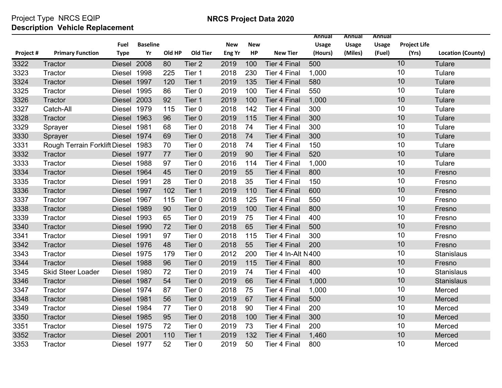|          |                               |               |                 |        |                   |            |            |                     | Annual       | Annual  | Annual       |                     |                          |
|----------|-------------------------------|---------------|-----------------|--------|-------------------|------------|------------|---------------------|--------------|---------|--------------|---------------------|--------------------------|
|          |                               | Fuel          | <b>Baseline</b> |        |                   | <b>New</b> | <b>New</b> |                     | <b>Usage</b> | Usage   | <b>Usage</b> | <b>Project Life</b> |                          |
| Project# | <b>Primary Function</b>       | <b>Type</b>   | Yr              | Old HP | Old Tier          | Eng Yr     | <b>HP</b>  | <b>New Tier</b>     | (Hours)      | (Miles) | (Fuel)       | (Yrs)               | <b>Location (County)</b> |
| 3322     | Tractor                       | Diesel 2008   |                 | 80     | Tier <sub>2</sub> | 2019       | 100        | <b>Tier 4 Final</b> | 500          |         |              | 10                  | Tulare                   |
| 3323     | Tractor                       | Diesel 1998   |                 | 225    | Tier 1            | 2018       | 230        | <b>Tier 4 Final</b> | 1,000        |         |              | 10                  | Tulare                   |
| 3324     | Tractor                       | Diesel 1997   |                 | 120    | Tier 1            | 2019       | 135        | <b>Tier 4 Final</b> | 580          |         |              | 10                  | Tulare                   |
| 3325     | Tractor                       | Diesel 1995   |                 | 86     | Tier <sub>0</sub> | 2019       | 100        | <b>Tier 4 Final</b> | 550          |         |              | 10                  | Tulare                   |
| 3326     | Tractor                       | Diesel 2003   |                 | 92     | Tier 1            | 2019       | 100        | <b>Tier 4 Final</b> | 1,000        |         |              | 10                  | Tulare                   |
| 3327     | Catch-All                     | <b>Diesel</b> | 1979            | 115    | Tier <sub>0</sub> | 2018       | 142        | <b>Tier 4 Final</b> | 300          |         |              | 10                  | Tulare                   |
| 3328     | Tractor                       | Diesel 1963   |                 | 96     | Tier <sub>0</sub> | 2019       | 115        | <b>Tier 4 Final</b> | 300          |         |              | $10$                | Tulare                   |
| 3329     | Sprayer                       | <b>Diesel</b> | 1981            | 68     | Tier <sub>0</sub> | 2018       | 74         | <b>Tier 4 Final</b> | 300          |         |              | 10                  | Tulare                   |
| 3330     | Sprayer                       | Diesel 1974   |                 | 69     | Tier <sub>0</sub> | 2018       | 74         | <b>Tier 4 Final</b> | 300          |         |              | 10                  | Tulare                   |
| 3331     | Rough Terrain Forklift Diesel |               | 1983            | 70     | Tier <sub>0</sub> | 2018       | 74         | <b>Tier 4 Final</b> | 150          |         |              | 10                  | Tulare                   |
| 3332     | Tractor                       | <b>Diesel</b> | 1977            | 77     | Tier <sub>0</sub> | 2019       | 90         | <b>Tier 4 Final</b> | 520          |         |              | 10                  | Tulare                   |
| 3333     | Tractor                       | Diesel        | 1988            | 97     | Tier <sub>0</sub> | 2016       | 114        | <b>Tier 4 Final</b> | 1,000        |         |              | 10                  | Tulare                   |
| 3334     | Tractor                       | Diesel 1964   |                 | 45     | Tier <sub>0</sub> | 2019       | 55         | <b>Tier 4 Final</b> | 800          |         |              | 10                  | Fresno                   |
| 3335     | Tractor                       | Diesel 1991   |                 | 28     | Tier <sub>0</sub> | 2018       | 35         | <b>Tier 4 Final</b> | 150          |         |              | 10                  | Fresno                   |
| 3336     | <b>Tractor</b>                | Diesel 1997   |                 | 102    | Tier 1            | 2019       | 110        | <b>Tier 4 Final</b> | 600          |         |              | 10                  | Fresno                   |
| 3337     | Tractor                       | <b>Diesel</b> | 1967            | 115    | Tier <sub>0</sub> | 2018       | 125        | <b>Tier 4 Final</b> | 550          |         |              | 10                  | Fresno                   |
| 3338     | Tractor                       | <b>Diesel</b> | 1989            | 90     | Tier <sub>0</sub> | 2019       | 100        | <b>Tier 4 Final</b> | 800          |         |              | 10                  | Fresno                   |
| 3339     | Tractor                       | <b>Diesel</b> | 1993            | 65     | Tier <sub>0</sub> | 2019       | 75         | <b>Tier 4 Final</b> | 400          |         |              | 10                  | Fresno                   |
| 3340     | Tractor                       | <b>Diesel</b> | 1990            | 72     | Tier <sub>0</sub> | 2018       | 65         | <b>Tier 4 Final</b> | 500          |         |              | 10                  | Fresno                   |
| 3341     | Tractor                       | Diesel 1991   |                 | 97     | Tier <sub>0</sub> | 2018       | 115        | <b>Tier 4 Final</b> | 300          |         |              | 10                  | Fresno                   |
| 3342     | Tractor                       | Diesel 1976   |                 | 48     | Tier <sub>0</sub> | 2018       | 55         | <b>Tier 4 Final</b> | 200          |         |              | 10                  | Fresno                   |
| 3343     | Tractor                       | <b>Diesel</b> | 1975            | 179    | Tier <sub>0</sub> | 2012       | 200        | Tier 4 In-Alt N400  |              |         |              | 10                  | <b>Stanislaus</b>        |
| 3344     | Tractor                       | Diesel        | 1988            | 96     | Tier <sub>0</sub> | 2019       | 115        | <b>Tier 4 Final</b> | 800          |         |              | 10                  | Fresno                   |
| 3345     | <b>Skid Steer Loader</b>      | <b>Diesel</b> | 1980            | 72     | Tier <sub>0</sub> | 2019       | 74         | <b>Tier 4 Final</b> | 400          |         |              | 10                  | <b>Stanislaus</b>        |
| 3346     | Tractor                       | <b>Diesel</b> | 1987            | 54     | Tier <sub>0</sub> | 2019       | 66         | <b>Tier 4 Final</b> | 1,000        |         |              | 10                  | <b>Stanislaus</b>        |
| 3347     | Tractor                       | <b>Diesel</b> | 1974            | 87     | Tier <sub>0</sub> | 2018       | 75         | <b>Tier 4 Final</b> | 1,000        |         |              | 10                  | Merced                   |
| 3348     | Tractor                       | Diesel 1981   |                 | 56     | Tier <sub>0</sub> | 2019       | 67         | <b>Tier 4 Final</b> | 500          |         |              | 10                  | Merced                   |
| 3349     | Tractor                       | Diesel        | 1984            | 77     | Tier 0            | 2018       | 90         | <b>Tier 4 Final</b> | 200          |         |              | 10                  | Merced                   |
| 3350     | Tractor                       | Diesel        | 1985            | 95     | Tier <sub>0</sub> | 2018       | 100        | <b>Tier 4 Final</b> | 300          |         |              | 10                  | Merced                   |
| 3351     | Tractor                       | <b>Diesel</b> | 1975            | 72     | Tier <sub>0</sub> | 2019       | 73         | <b>Tier 4 Final</b> | 200          |         |              | 10                  | Merced                   |
| 3352     | Tractor                       | <b>Diesel</b> | 2001            | 110    | Tier 1            | 2019       | 132        | <b>Tier 4 Final</b> | 1,460        |         |              | 10                  | Merced                   |
| 3353     | Tractor                       | Diesel        | 1977            | 52     | Tier <sub>0</sub> | 2019       | 50         | <b>Tier 4 Final</b> | 800          |         |              | 10                  | Merced                   |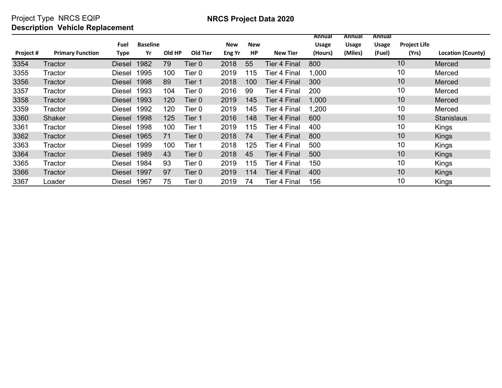|           |                         |               |                       |        |                   |                             |                  |                     | <b>Annual</b>           | Annual                  | Annual          |                              |                          |
|-----------|-------------------------|---------------|-----------------------|--------|-------------------|-----------------------------|------------------|---------------------|-------------------------|-------------------------|-----------------|------------------------------|--------------------------|
| Project # | <b>Primary Function</b> | Fuel<br>Type  | <b>Baseline</b><br>Yr | Old HP | Old Tier          | <b>New</b><br><b>Eng Yr</b> | <b>New</b><br>HP | <b>New Tier</b>     | <b>Usage</b><br>(Hours) | <b>Usage</b><br>(Miles) | Usage<br>(Fuel) | <b>Project Life</b><br>(Yrs) | <b>Location (County)</b> |
| 3354      | Tractor                 | <b>Diesel</b> | 1982                  | 79     | Tier <sub>0</sub> | 2018                        | 55               | Tier 4 Final        | 800                     |                         |                 | 10                           | Merced                   |
| 3355      | Tractor                 | <b>Diesel</b> | 1995                  | 100    | Tier 0            | 2019                        | 115              | Tier 4 Final        | 1,000                   |                         |                 | 10                           | Merced                   |
| 3356      | Tractor                 | <b>Diesel</b> | 1998                  | 89     | Tier 1            | 2018                        | 100              | Tier 4 Final        | 300                     |                         |                 | 10                           | Merced                   |
| 3357      | Tractor                 | Diesel        | 1993                  | 104    | Tier 0            | 2016                        | 99               | Tier 4 Final        | 200                     |                         |                 | 10                           | Merced                   |
| 3358      | Tractor                 | <b>Diesel</b> | 1993                  | 120    | Tier 0            | 2019                        | 145              | Tier 4 Final        | 1,000                   |                         |                 | 10                           | Merced                   |
| 3359      | Tractor                 | Diesel        | 1992                  | 120    | Tier 0            | 2019                        | 145              | Tier 4 Final        | 1,200                   |                         |                 | 10                           | Merced                   |
| 3360      | Shaker                  | <b>Diesel</b> | 1998                  | 125    | Tier 1            | 2016                        | 148              | Tier 4 Final        | 600                     |                         |                 | 10                           | <b>Stanislaus</b>        |
| 3361      | Tractor                 | Diesel        | 1998                  | 100    | Tier 1            | 2019                        | 115              | Tier 4 Final        | 400                     |                         |                 | 10                           | Kings                    |
| 3362      | Tractor                 | Diesel        | 1965                  | 71     | Tier 0            | 2018                        | 74               | <b>Tier 4 Final</b> | 800                     |                         |                 | 10                           | <b>Kings</b>             |
| 3363      | Tractor                 | Diesel        | 1999                  | 100    | Tier 1            | 2018                        | 125              | Tier 4 Final        | 500                     |                         |                 | 10                           | <b>Kings</b>             |
| 3364      | Tractor                 | <b>Diesel</b> | 1989                  | 43     | Tier 0            | 2018                        | 45               | Tier 4 Final        | 500                     |                         |                 | 10                           | <b>Kings</b>             |
| 3365      | Tractor                 | Diesel        | 1984                  | 93     | Tier 0            | 2019                        | 115              | Tier 4 Final        | 150                     |                         |                 | 10                           | <b>Kings</b>             |
| 3366      | Tractor                 | Diesel        | 1997                  | 97     | Tier 0            | 2019                        | 114              | Tier 4 Final        | 400                     |                         |                 | 10                           | <b>Kings</b>             |
| 3367      | Loader                  | Diesel        | 1967                  | 75     | Tier 0            | 2019                        | 74               | Tier 4 Final        | 156                     |                         |                 | 10                           | Kings                    |